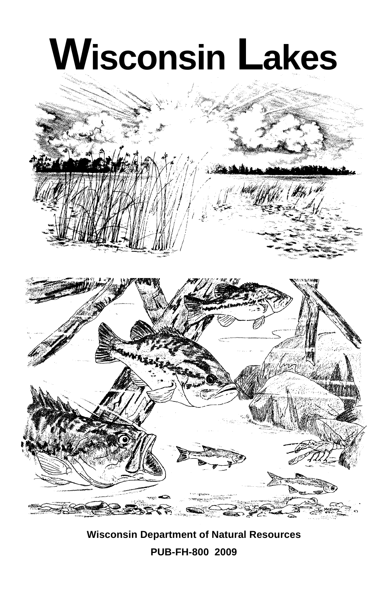

**Wisconsin Department of Natural Resources PUB-FH-800 2009**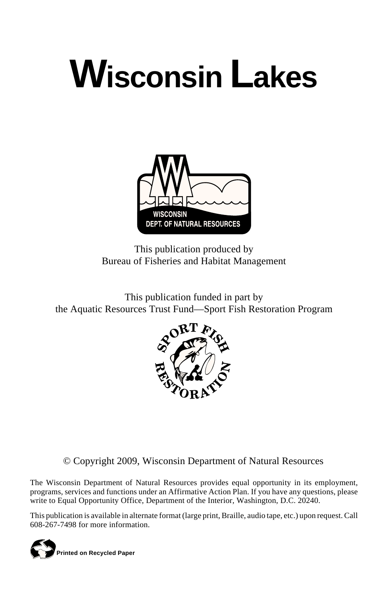# **Wisconsin Lakes**



This publication produced by Bureau of Fisheries and Habitat Management

This publication funded in part by the Aquatic Resources Trust Fund—Sport Fish Restoration Program



© Copyright 2009, Wisconsin Department of Natural Resources

The Wisconsin Department of Natural Resources provides equal opportunity in its employment, programs, services and functions under an Affirmative Action Plan. If you have any questions, please write to Equal Opportunity Office, Department of the Interior, Washington, D.C. 20240.

This publication is available in alternate format (large print, Braille, audio tape, etc.) upon request. Call 608-267-7498 for more information.

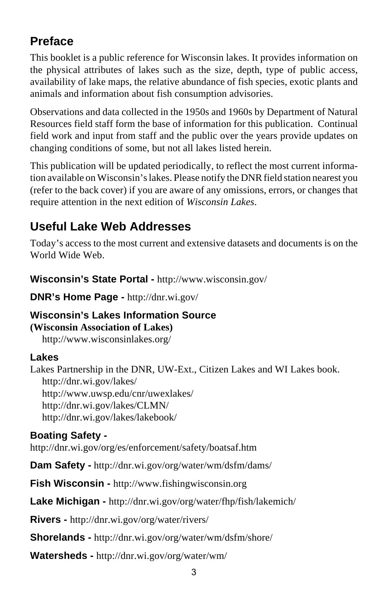## **Preface**

This booklet is a public reference for Wisconsin lakes. It provides information on the physical attributes of lakes such as the size, depth, type of public access, availability of lake maps, the relative abundance of fish species, exotic plants and animals and information about fish consumption advisories.

Observations and data collected in the 1950s and 1960s by Department of Natural Resources field staff form the base of information for this publication. Continual field work and input from staff and the public over the years provide updates on changing conditions of some, but not all lakes listed herein.

This publication will be updated periodically, to reflect the most current information available on Wisconsin's lakes. Please notify the DNR field station nearest you (refer to the back cover) if you are aware of any omissions, errors, or changes that require attention in the next edition of *Wisconsin Lakes*.

## **Useful Lake Web Addresses**

Today's access to the most current and extensive datasets and documents is on the World Wide Web.

**Wisconsin's State Portal -** http://www.wisconsin.gov/

**DNR's Home Page -** http://dnr.wi.gov/

#### **Wisconsin's Lakes Information Source (Wisconsin Association of Lakes)**

http://www.wisconsinlakes.org/

### **Lakes**

Lakes Partnership in the DNR, UW-Ext., Citizen Lakes and WI Lakes book. http://dnr.wi.gov/lakes/ http://www.uwsp.edu/cnr/uwexlakes/ http://dnr.wi.gov/lakes/CLMN/ http://dnr.wi.gov/lakes/lakebook/

### **Boating Safety -**

http://dnr.wi.gov/org/es/enforcement/safety/boatsaf.htm

**Dam Safety -** http://dnr.wi.gov/org/water/wm/dsfm/dams/

**Fish Wisconsin -** http://www.fishingwisconsin.org

**Lake Michigan -** http://dnr.wi.gov/org/water/fhp/fish/lakemich/

**Rivers -** http://dnr.wi.gov/org/water/rivers/

**Shorelands -** http://dnr.wi.gov/org/water/wm/dsfm/shore/

**Watersheds -** http://dnr.wi.gov/org/water/wm/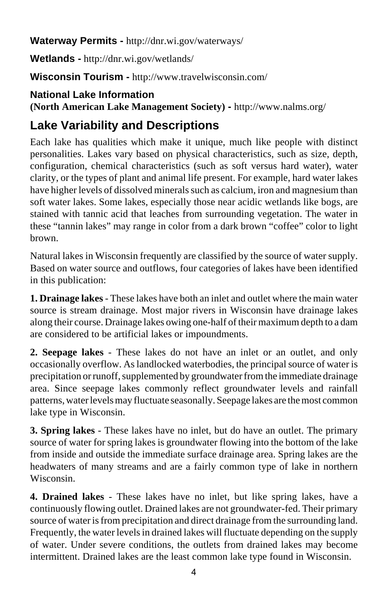**Waterway Permits -** http://dnr.wi.gov/waterways/

**Wetlands -** http://dnr.wi.gov/wetlands/

**Wisconsin Tourism -** http://www.travelwisconsin.com/

## **National Lake Information**

**(North American Lake Management Society) -** http://www.nalms.org/

## **Lake Variability and Descriptions**

Each lake has qualities which make it unique, much like people with distinct personalities. Lakes vary based on physical characteristics, such as size, depth, configuration, chemical characteristics (such as soft versus hard water), water clarity, or the types of plant and animal life present. For example, hard water lakes have higher levels of dissolved minerals such as calcium, iron and magnesium than soft water lakes. Some lakes, especially those near acidic wetlands like bogs, are stained with tannic acid that leaches from surrounding vegetation. The water in these "tannin lakes" may range in color from a dark brown "coffee" color to light brown.

Natural lakes in Wisconsin frequently are classified by the source of water supply. Based on water source and outflows, four categories of lakes have been identified in this publication:

**1. Drainage lakes** - These lakes have both an inlet and outlet where the main water source is stream drainage. Most major rivers in Wisconsin have drainage lakes along their course. Drainage lakes owing one-half of their maximum depth to a dam are considered to be artificial lakes or impoundments.

**2. Seepage lakes** - These lakes do not have an inlet or an outlet, and only occasionally overflow. As landlocked waterbodies, the principal source of water is precipitation or runoff, supplemented by groundwater from the immediate drainage area. Since seepage lakes commonly reflect groundwater levels and rainfall patterns, water levels may fluctuate seasonally. Seepage lakes are the most common lake type in Wisconsin.

**3. Spring lakes** - These lakes have no inlet, but do have an outlet. The primary source of water for spring lakes is groundwater flowing into the bottom of the lake from inside and outside the immediate surface drainage area. Spring lakes are the headwaters of many streams and are a fairly common type of lake in northern Wisconsin.

**4. Drained lakes** - These lakes have no inlet, but like spring lakes, have a continuously flowing outlet. Drained lakes are not groundwater-fed. Their primary source of water is from precipitation and direct drainage from the surrounding land. Frequently, the water levels in drained lakes will fluctuate depending on the supply of water. Under severe conditions, the outlets from drained lakes may become intermittent. Drained lakes are the least common lake type found in Wisconsin.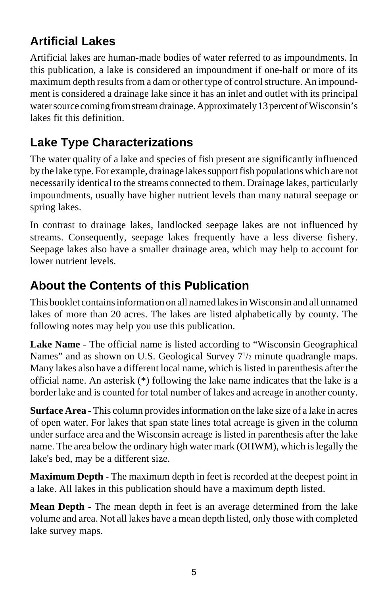## **Artificial Lakes**

Artificial lakes are human-made bodies of water referred to as impoundments. In this publication, a lake is considered an impoundment if one-half or more of its maximum depth results from a dam or other type of control structure. An impoundment is considered a drainage lake since it has an inlet and outlet with its principal water source coming from stream drainage. Approximately 13 percent of Wisconsin's lakes fit this definition.

## **Lake Type Characterizations**

The water quality of a lake and species of fish present are significantly influenced by the lake type. For example, drainage lakes support fish populations which are not necessarily identical to the streams connected to them. Drainage lakes, particularly impoundments, usually have higher nutrient levels than many natural seepage or spring lakes.

In contrast to drainage lakes, landlocked seepage lakes are not influenced by streams. Consequently, seepage lakes frequently have a less diverse fishery. Seepage lakes also have a smaller drainage area, which may help to account for lower nutrient levels.

## **About the Contents of this Publication**

This booklet contains information on all named lakes in Wisconsin and all unnamed lakes of more than 20 acres. The lakes are listed alphabetically by county. The following notes may help you use this publication.

**Lake Name** - The official name is listed according to "Wisconsin Geographical Names" and as shown on U.S. Geological Survey  $7\frac{1}{2}$  minute quadrangle maps. Many lakes also have a different local name, which is listed in parenthesis after the official name. An asterisk (\*) following the lake name indicates that the lake is a border lake and is counted for total number of lakes and acreage in another county.

**Surface Area** - This column provides information on the lake size of a lake in acres of open water. For lakes that span state lines total acreage is given in the column under surface area and the Wisconsin acreage is listed in parenthesis after the lake name. The area below the ordinary high water mark (OHWM), which is legally the lake's bed, may be a different size.

**Maximum Depth** - The maximum depth in feet is recorded at the deepest point in a lake. All lakes in this publication should have a maximum depth listed.

**Mean Depth** - The mean depth in feet is an average determined from the lake volume and area. Not all lakes have a mean depth listed, only those with completed lake survey maps.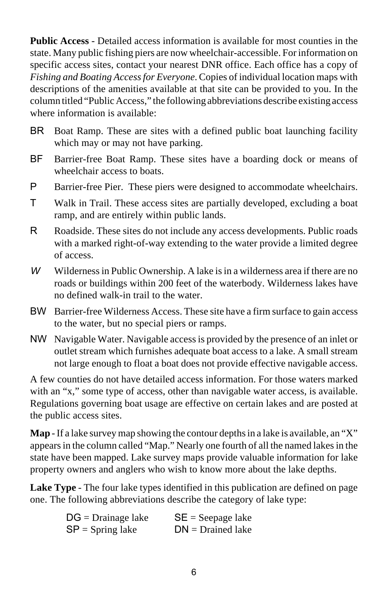**Public Access** - Detailed access information is available for most counties in the state. Many public fishing piers are now wheelchair-accessible. For information on specific access sites, contact your nearest DNR office. Each office has a copy of *Fishing and Boating Access for Everyone*. Copies of individual location maps with descriptions of the amenities available at that site can be provided to you. In the column titled "Public Access," the following abbreviations describe existing access where information is available:

- BR Boat Ramp. These are sites with a defined public boat launching facility which may or may not have parking.
- BF Barrier-free Boat Ramp. These sites have a boarding dock or means of wheelchair access to boats.
- P Barrier-free Pier. These piers were designed to accommodate wheelchairs.
- T Walk in Trail. These access sites are partially developed, excluding a boat ramp, and are entirely within public lands.
- R Roadside. These sites do not include any access developments. Public roads with a marked right-of-way extending to the water provide a limited degree of access.
- W Wilderness in Public Ownership. A lake is in a wilderness area if there are no roads or buildings within 200 feet of the waterbody. Wilderness lakes have no defined walk-in trail to the water.
- BW Barrier-free Wilderness Access. These site have a firm surface to gain access to the water, but no special piers or ramps.
- NW Navigable Water. Navigable access is provided by the presence of an inlet or outlet stream which furnishes adequate boat access to a lake. A small stream not large enough to float a boat does not provide effective navigable access.

A few counties do not have detailed access information. For those waters marked with an "x," some type of access, other than navigable water access, is available. Regulations governing boat usage are effective on certain lakes and are posted at the public access sites.

**Map** - If a lake survey map showing the contour depths in a lake is available, an "X" appears in the column called "Map." Nearly one fourth of all the named lakes in the state have been mapped. Lake survey maps provide valuable information for lake property owners and anglers who wish to know more about the lake depths.

**Lake Type** - The four lake types identified in this publication are defined on page one. The following abbreviations describe the category of lake type:

| $DG = Drainage$ lake | $SE = Seepage$ lake |
|----------------------|---------------------|
| $SP =$ Spring lake   | $DN = Drained$ lake |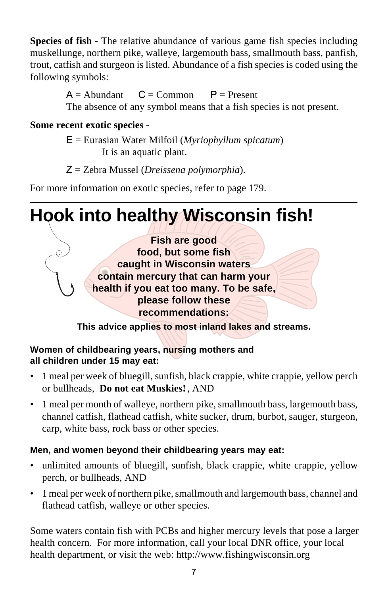**Species of fish** - The relative abundance of various game fish species including muskellunge, northern pike, walleye, largemouth bass, smallmouth bass, panfish, trout, catfish and sturgeon is listed. Abundance of a fish species is coded using the following symbols:

> $A =$  Abundant  $C =$  Common  $P =$  Present The absence of any symbol means that a fish species is not present.

#### **Some recent exotic species** -

E = Eurasian Water Milfoil (*Myriophyllum spicatum*) It is an aquatic plant.

Z = Zebra Mussel (*Dreissena polymorphia*).

For more information on exotic species, refer to page 179.

**Hook into healthy Wisconsin fish!**

**Fish are good food, but some fish caught in Wisconsin waters contain mercury that can harm your health if you eat too many. To be safe, please follow these recommendations:**

**This advice applies to most inland lakes and streams.**

#### **Women of childbearing years, nursing mothers and all children under 15 may eat:**

- 1 meal per week of bluegill, sunfish, black crappie, white crappie, yellow perch or bullheads, **Do not eat Muskies!** , AND
- 1 meal per month of walleye, northern pike, smallmouth bass, largemouth bass, channel catfish, flathead catfish, white sucker, drum, burbot, sauger, sturgeon, carp, white bass, rock bass or other species.

#### **Men, and women beyond their childbearing years may eat:**

- unlimited amounts of bluegill, sunfish, black crappie, white crappie, yellow perch, or bullheads, AND
- 1 meal per week of northern pike, smallmouth and largemouth bass, channel and flathead catfish, walleye or other species.

Some waters contain fish with PCBs and higher mercury levels that pose a larger health concern. For more information, call your local DNR office, your local health department, or visit the web: http://www.fishingwisconsin.org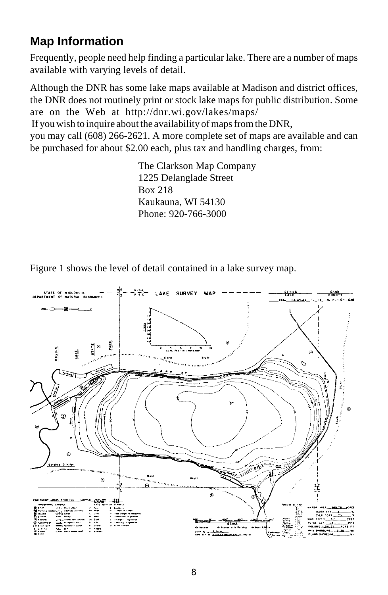## **Map Information**

Frequently, people need help finding a particular lake. There are a number of maps available with varying levels of detail.

Although the DNR has some lake maps available at Madison and district offices, the DNR does not routinely print or stock lake maps for public distribution. Some are on the Web at http://dnr.wi.gov/lakes/maps/ If you wish to inquire about the availability of maps from the DNR,

you may call (608) 266-2621. A more complete set of maps are available and can be purchased for about \$2.00 each, plus tax and handling charges, from:

> The Clarkson Map Company 1225 Delanglade Street Box 218 Kaukauna, WI 54130 Phone: 920-766-3000

Figure 1 shows the level of detail contained in a lake survey map.

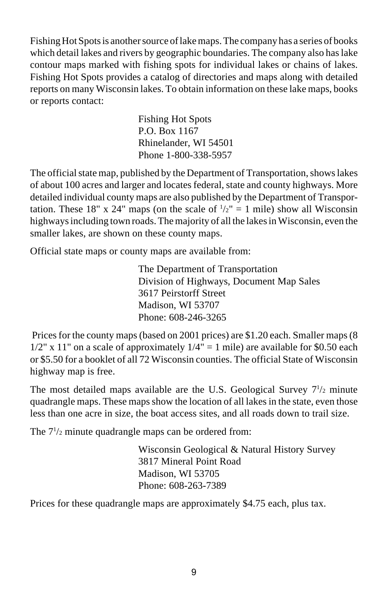Fishing Hot Spots is another source of lake maps. The company has a series of books which detail lakes and rivers by geographic boundaries. The company also has lake contour maps marked with fishing spots for individual lakes or chains of lakes. Fishing Hot Spots provides a catalog of directories and maps along with detailed reports on many Wisconsin lakes. To obtain information on these lake maps, books or reports contact:

> Fishing Hot Spots P.O. Box 1167 Rhinelander, WI 54501 Phone 1-800-338-5957

The official state map, published by the Department of Transportation, shows lakes of about 100 acres and larger and locates federal, state and county highways. More detailed individual county maps are also published by the Department of Transportation. These 18" x 24" maps (on the scale of  $\frac{1}{2}$ " = 1 mile) show all Wisconsin highways including town roads. The majority of all the lakes in Wisconsin, even the smaller lakes, are shown on these county maps.

Official state maps or county maps are available from:

The Department of Transportation Division of Highways, Document Map Sales 3617 Peirstorff Street Madison, WI 53707 Phone: 608-246-3265

 Prices for the county maps (based on 2001 prices) are \$1.20 each. Smaller maps (8  $1/2$ " x 11" on a scale of approximately  $1/4$ " = 1 mile) are available for \$0.50 each or \$5.50 for a booklet of all 72 Wisconsin counties. The official State of Wisconsin highway map is free.

The most detailed maps available are the U.S. Geological Survey  $7\frac{1}{2}$  minute quadrangle maps. These maps show the location of all lakes in the state, even those less than one acre in size, the boat access sites, and all roads down to trail size.

The  $7\frac{1}{2}$  minute quadrangle maps can be ordered from:

Wisconsin Geological & Natural History Survey 3817 Mineral Point Road Madison, WI 53705 Phone: 608-263-7389

Prices for these quadrangle maps are approximately \$4.75 each, plus tax.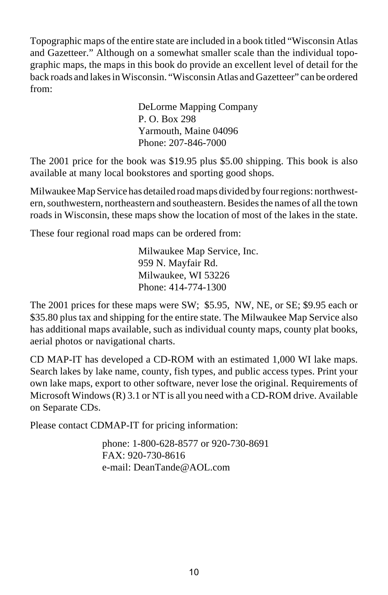Topographic maps of the entire state are included in a book titled "Wisconsin Atlas and Gazetteer." Although on a somewhat smaller scale than the individual topographic maps, the maps in this book do provide an excellent level of detail for the back roads and lakes in Wisconsin. "Wisconsin Atlas and Gazetteer" can be ordered from:

> DeLorme Mapping Company P. O. Box 298 Yarmouth, Maine 04096 Phone: 207-846-7000

The 2001 price for the book was \$19.95 plus \$5.00 shipping. This book is also available at many local bookstores and sporting good shops.

Milwaukee Map Service has detailed road maps divided by four regions: northwestern, southwestern, northeastern and southeastern. Besides the names of all the town roads in Wisconsin, these maps show the location of most of the lakes in the state.

These four regional road maps can be ordered from:

Milwaukee Map Service, Inc. 959 N. Mayfair Rd. Milwaukee, WI 53226 Phone: 414-774-1300

The 2001 prices for these maps were SW; \$5.95, NW, NE, or SE; \$9.95 each or \$35.80 plus tax and shipping for the entire state. The Milwaukee Map Service also has additional maps available, such as individual county maps, county plat books, aerial photos or navigational charts.

CD MAP-IT has developed a CD-ROM with an estimated 1,000 WI lake maps. Search lakes by lake name, county, fish types, and public access types. Print your own lake maps, export to other software, never lose the original. Requirements of Microsoft Windows  $(R)$  3.1 or NT is all you need with a CD-ROM drive. Available on Separate CDs.

Please contact CDMAP-IT for pricing information:

phone: 1-800-628-8577 or 920-730-8691 FAX: 920-730-8616 e-mail: DeanTande@AOL.com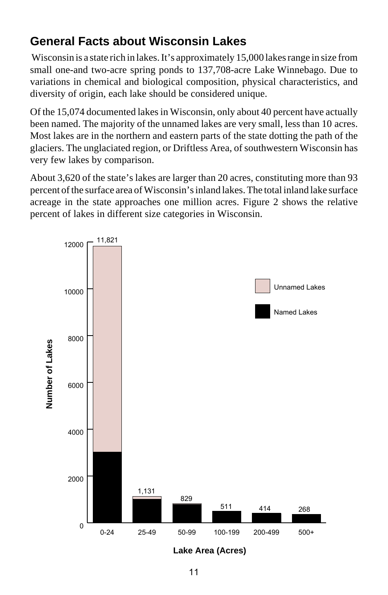## **General Facts about Wisconsin Lakes**

 Wisconsin is a state rich in lakes. It's approximately 15,000 lakes range in size from small one-and two-acre spring ponds to 137,708-acre Lake Winnebago. Due to variations in chemical and biological composition, physical characteristics, and diversity of origin, each lake should be considered unique.

Of the 15,074 documented lakes in Wisconsin, only about 40 percent have actually been named. The majority of the unnamed lakes are very small, less than 10 acres. Most lakes are in the northern and eastern parts of the state dotting the path of the glaciers. The unglaciated region, or Driftless Area, of southwestern Wisconsin has very few lakes by comparison.

About 3,620 of the state's lakes are larger than 20 acres, constituting more than 93 percent of the surface area of Wisconsin's inland lakes. The total inland lake surface acreage in the state approaches one million acres. Figure 2 shows the relative percent of lakes in different size categories in Wisconsin.



**Lake Area (Acres)**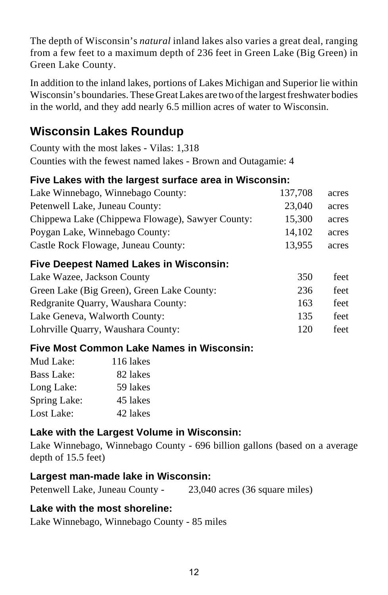The depth of Wisconsin's *natural* inland lakes also varies a great deal, ranging from a few feet to a maximum depth of 236 feet in Green Lake (Big Green) in Green Lake County.

In addition to the inland lakes, portions of Lakes Michigan and Superior lie within Wisconsin's boundaries. These Great Lakes are two of the largest freshwater bodies in the world, and they add nearly 6.5 million acres of water to Wisconsin.

## **Wisconsin Lakes Roundup**

County with the most lakes - Vilas: 1,318 Counties with the fewest named lakes - Brown and Outagamie: 4

### **Five Lakes with the largest surface area in Wisconsin:**

| Lake Winnebago, Winnebago County:                | 137,708 | acres |
|--------------------------------------------------|---------|-------|
| Petenwell Lake, Juneau County:                   | 23,040  | acres |
| Chippewa Lake (Chippewa Flowage), Sawyer County: | 15,300  | acres |
| Poygan Lake, Winnebago County:                   | 14.102  | acres |
| Castle Rock Flowage, Juneau County:              | 13.955  | acres |
|                                                  |         |       |

#### **Five Deepest Named Lakes in Wisconsin:**

| Lake Wazee, Jackson County                 | 350 | feet |
|--------------------------------------------|-----|------|
| Green Lake (Big Green), Green Lake County: | 236 | feet |
| Redgranite Quarry, Waushara County:        | 163 | feet |
| Lake Geneva, Walworth County:              | 135 | feet |
| Lohrville Quarry, Waushara County:         | 120 | feet |

#### **Five Most Common Lake Names in Wisconsin:**

| Mud Lake:         | 116 lakes |
|-------------------|-----------|
| <b>Bass Lake:</b> | 82 lakes  |
| Long Lake:        | 59 lakes  |
| Spring Lake:      | 45 lakes  |
| Lost Lake:        | 42 lakes  |

#### **Lake with the Largest Volume in Wisconsin:**

Lake Winnebago, Winnebago County - 696 billion gallons (based on a average depth of 15.5 feet)

#### **Largest man-made lake in Wisconsin:**

|  | Petenwell Lake, Juneau County - | 23,040 acres (36 square miles) |
|--|---------------------------------|--------------------------------|
|--|---------------------------------|--------------------------------|

#### **Lake with the most shoreline:**

Lake Winnebago, Winnebago County - 85 miles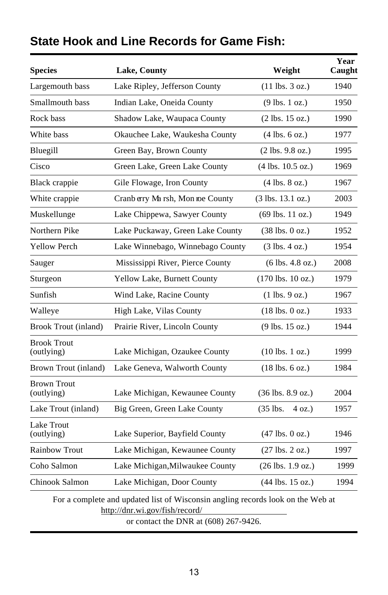| <b>Species</b>                   | <b>Lake, County</b>                                                                                                                                        | Weight                               | Year<br>Caught |
|----------------------------------|------------------------------------------------------------------------------------------------------------------------------------------------------------|--------------------------------------|----------------|
| Largemouth bass                  | Lake Ripley, Jefferson County                                                                                                                              | $(11$ lbs. $3$ oz.)                  | 1940           |
| Smallmouth bass                  | Indian Lake, Oneida County                                                                                                                                 | $(9$ lbs. 1 oz.)                     | 1950           |
| Rock bass                        | Shadow Lake, Waupaca County                                                                                                                                | $(2 \text{ lbs. } 15 \text{ oz.})$   | 1990           |
| White bass                       | Okauchee Lake, Waukesha County                                                                                                                             | $(4 \text{ lbs. } 6 \text{ oz.})$    | 1977           |
| Bluegill                         | Green Bay, Brown County                                                                                                                                    | $(2 \text{ lbs. } 9.8 \text{ oz.})$  | 1995           |
| Cisco                            | Green Lake, Green Lake County                                                                                                                              | $(4 \text{ lbs. } 10.5 \text{ oz.})$ | 1969           |
| Black crappie                    | Gile Flowage, Iron County                                                                                                                                  | $(4 \text{ lbs. } 8 \text{ oz.})$    | 1967           |
| White crappie                    | Cranb erry Marsh, Mon roe County                                                                                                                           | $(3 \text{ lbs. } 13.1 \text{ oz.})$ | 2003           |
| Muskellunge                      | Lake Chippewa, Sawyer County                                                                                                                               | $(69$ lbs. 11 oz.)                   | 1949           |
| Northern Pike                    | Lake Puckaway, Green Lake County                                                                                                                           | $(38 \text{ lbs. } 0 \text{ oz.})$   | 1952           |
| <b>Yellow Perch</b>              | Lake Winnebago, Winnebago County                                                                                                                           | $(3 \text{ lbs. } 4 \text{ oz.})$    | 1954           |
| Sauger                           | Mississippi River, Pierce County                                                                                                                           | $(6 \text{ lbs. } 4.8 \text{ oz.})$  | 2008           |
| Sturgeon                         | Yellow Lake, Burnett County                                                                                                                                | $(170$ lbs. $10$ oz.)                | 1979           |
| Sunfish                          | Wind Lake, Racine County                                                                                                                                   | $(1 \text{ lbs. } 9 \text{ oz.})$    | 1967           |
| Walleye                          | High Lake, Vilas County                                                                                                                                    | $(18 \text{ lbs. } 0 \text{ oz.})$   | 1933           |
| <b>Brook Trout (inland)</b>      | Prairie River, Lincoln County                                                                                                                              | $(9$ lbs. 15 oz.)                    | 1944           |
| <b>Brook Trout</b><br>(outlying) | Lake Michigan, Ozaukee County                                                                                                                              | $(10 \text{ lbs. } 1 \text{ oz.})$   | 1999           |
| Brown Trout (inland)             | Lake Geneva, Walworth County                                                                                                                               | $(18 \text{ lbs. } 6 \text{ oz.})$   | 1984           |
| <b>Brown Trout</b><br>(outlying) | Lake Michigan, Kewaunee County                                                                                                                             | $(36 \text{ lbs. } 8.9 \text{ oz.})$ | 2004           |
| Lake Trout (inland)              | Big Green, Green Lake County                                                                                                                               | $(35$ lbs.<br>4 oz.)                 | 1957           |
| Lake Trout<br>(outlying)         | Lake Superior, Bayfield County                                                                                                                             | $(47 \text{ lbs. } 0 \text{ oz.})$   | 1946           |
| <b>Rainbow Trout</b>             | Lake Michigan, Kewaunee County                                                                                                                             | $(27 \text{ lbs. } 2 \text{ oz.})$   | 1997           |
| Coho Salmon                      | Lake Michigan, Milwaukee County                                                                                                                            | $(26 \text{ lbs. } 1.9 \text{ oz.})$ | 1999           |
| Chinook Salmon                   | Lake Michigan, Door County                                                                                                                                 | $(44$ lbs. 15 oz.)                   | 1994           |
|                                  | For a complete and updated list of Wisconsin angling records look on the Web at<br>http://dnr.wi.gov/fish/record/<br>or contact the DNR at (608) 267-9426. |                                      |                |

## **State Hook and Line Records for Game Fish:**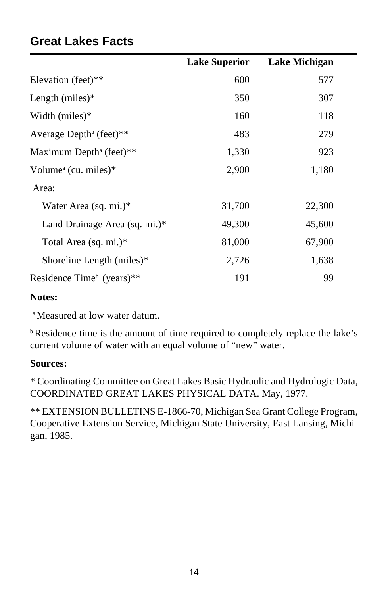|                                               | <b>Lake Superior</b> | Lake Michigan |
|-----------------------------------------------|----------------------|---------------|
| Elevation (feet)**                            | 600                  | 577           |
| Length $(miles)*$                             | 350                  | 307           |
| Width $(miles)*$                              | 160                  | 118           |
| Average Depth <sup>a</sup> (feet)**           | 483                  | 279           |
| Maximum Depth <sup>a</sup> (feet)**           | 1,330                | 923           |
| Volume <sup><math>a</math></sup> (cu. miles)* | 2,900                | 1,180         |
| Area:                                         |                      |               |
| Water Area (sq. mi.)*                         | 31,700               | 22,300        |
| Land Drainage Area (sq. mi.)*                 | 49,300               | 45,600        |
| Total Area (sq. mi.)*                         | 81,000               | 67,900        |
| Shoreline Length (miles)*                     | 2,726                | 1,638         |
| Residence Time <sup>b</sup> (years)**         | 191                  | 99            |

## **Great Lakes Facts**

#### **Notes:**

a Measured at low water datum.

b Residence time is the amount of time required to completely replace the lake's current volume of water with an equal volume of "new" water.

#### **Sources:**

\* Coordinating Committee on Great Lakes Basic Hydraulic and Hydrologic Data, COORDINATED GREAT LAKES PHYSICAL DATA. May, 1977.

\*\* EXTENSION BULLETINS E-1866-70, Michigan Sea Grant College Program, Cooperative Extension Service, Michigan State University, East Lansing, Michigan, 1985.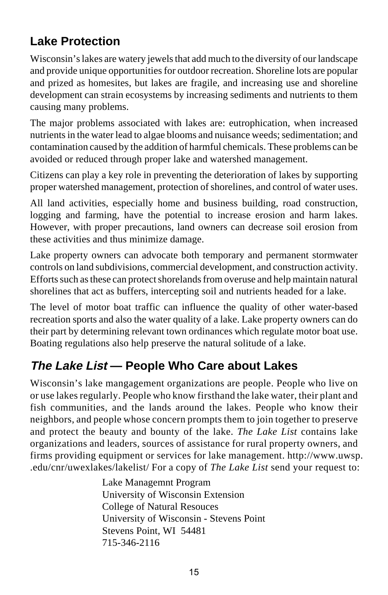## **Lake Protection**

Wisconsin's lakes are watery jewels that add much to the diversity of our landscape and provide unique opportunities for outdoor recreation. Shoreline lots are popular and prized as homesites, but lakes are fragile, and increasing use and shoreline development can strain ecosystems by increasing sediments and nutrients to them causing many problems.

The major problems associated with lakes are: eutrophication, when increased nutrients in the water lead to algae blooms and nuisance weeds; sedimentation; and contamination caused by the addition of harmful chemicals. These problems can be avoided or reduced through proper lake and watershed management.

Citizens can play a key role in preventing the deterioration of lakes by supporting proper watershed management, protection of shorelines, and control of water uses.

All land activities, especially home and business building, road construction, logging and farming, have the potential to increase erosion and harm lakes. However, with proper precautions, land owners can decrease soil erosion from these activities and thus minimize damage.

Lake property owners can advocate both temporary and permanent stormwater controls on land subdivisions, commercial development, and construction activity. Efforts such as these can protect shorelands from overuse and help maintain natural shorelines that act as buffers, intercepting soil and nutrients headed for a lake.

The level of motor boat traffic can influence the quality of other water-based recreation sports and also the water quality of a lake. Lake property owners can do their part by determining relevant town ordinances which regulate motor boat use. Boating regulations also help preserve the natural solitude of a lake.

## **The Lake List — People Who Care about Lakes**

Wisconsin's lake mangagement organizations are people. People who live on or use lakes regularly. People who know firsthand the lake water, their plant and fish communities, and the lands around the lakes. People who know their neighbors, and people whose concern prompts them to join together to preserve and protect the beauty and bounty of the lake. *The Lake List* contains lake organizations and leaders, sources of assistance for rural property owners, and firms providing equipment or services for lake management. http://www.uwsp. .edu/cnr/uwexlakes/lakelist/ For a copy of *The Lake List* send your request to:

> Lake Managemnt Program University of Wisconsin Extension College of Natural Resouces University of Wisconsin - Stevens Point Stevens Point, WI 54481 715-346-2116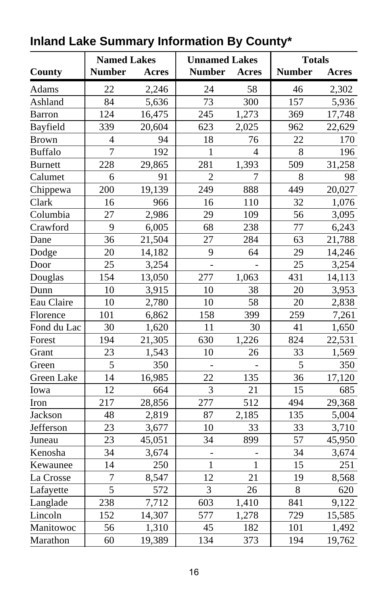|                | <b>Named Lakes</b><br><b>Unnamed Lakes</b> |        |                | <b>Totals</b>  |               |        |
|----------------|--------------------------------------------|--------|----------------|----------------|---------------|--------|
| County         | <b>Number</b>                              | Acres  | <b>Number</b>  | Acres          | <b>Number</b> | Acres  |
| Adams          | 22                                         | 2,246  | 24             | 58             | 46            | 2,302  |
| Ashland        | 84                                         | 5,636  | 73             | 300            | 157           | 5,936  |
| <b>Barron</b>  | 124                                        | 16,475 | 245            | 1,273          | 369           | 17,748 |
| Bayfield       | 339                                        | 20,604 | 623            | 2,025          | 962           | 22,629 |
| <b>Brown</b>   | $\overline{4}$                             | 94     | 18             | 76             | 22            | 170    |
| <b>Buffalo</b> | $\overline{7}$                             | 192    | $\mathbf{1}$   | $\overline{4}$ | 8             | 196    |
| <b>Burnett</b> | 228                                        | 29,865 | 281            | 1,393          | 509           | 31,258 |
| Calumet        | 6                                          | 91     | $\overline{2}$ | 7              | 8             | 98     |
| Chippewa       | 200                                        | 19,139 | 249            | 888            | 449           | 20,027 |
| Clark          | 16                                         | 966    | 16             | 110            | 32            | 1,076  |
| Columbia       | 27                                         | 2,986  | 29             | 109            | 56            | 3,095  |
| Crawford       | 9                                          | 6,005  | 68             | 238            | 77            | 6,243  |
| Dane           | 36                                         | 21,504 | 27             | 284            | 63            | 21,788 |
| Dodge          | 20                                         | 14,182 | 9              | 64             | 29            | 14,246 |
| Door           | 25                                         | 3,254  | $\overline{a}$ |                | 25            | 3,254  |
| Douglas        | 154                                        | 13,050 | 277            | 1,063          | 431           | 14,113 |
| Dunn           | 10                                         | 3,915  | 10             | 38             | 20            | 3,953  |
| Eau Claire     | 10                                         | 2,780  | 10             | 58             | 20            | 2,838  |
| Florence       | 101                                        | 6,862  | 158            | 399            | 259           | 7,261  |
| Fond du Lac    | 30                                         | 1,620  | 11             | 30             | 41            | 1,650  |
| Forest         | 194                                        | 21,305 | 630            | 1,226          | 824           | 22,531 |
| Grant          | 23                                         | 1,543  | 10             | 26             | 33            | 1,569  |
| Green          | 5                                          | 350    | $\overline{a}$ | $\overline{a}$ | 5             | 350    |
| Green Lake     | 14                                         | 16,985 | 22             | 135            | 36            | 17,120 |
| Iowa           | 12                                         | 664    | 3              | 21             | 15            | 685    |
| Iron           | 217                                        | 28,856 | 277            | 512            | 494           | 29,368 |
| Jackson        | 48                                         | 2,819  | 87             | 2,185          | 135           | 5,004  |
| Jefferson      | 23                                         | 3,677  | 10             | 33             | 33            | 3,710  |
| Juneau         | 23                                         | 45,051 | 34             | 899            | 57            | 45,950 |
| Kenosha        | 34                                         | 3,674  |                |                | 34            | 3,674  |
| Kewaunee       | 14                                         | 250    | $\mathbf{1}$   | $\mathbf{1}$   | 15            | 251    |
| La Crosse      | $\overline{7}$                             | 8,547  | 12             | 21             | 19            | 8,568  |
| Lafayette      | $\overline{5}$                             | 572    | 3              | 26             | 8             | 620    |
| Langlade       | 238                                        | 7,712  | 603            | 1,410          | 841           | 9,122  |
| Lincoln        | 152                                        | 14,307 | 577            | 1,278          | 729           | 15,585 |
| Manitowoc      | 56                                         | 1,310  | 45             | 182            | 101           | 1,492  |
| Marathon       | 60                                         | 19,389 | 134            | 373            | 194           | 19,762 |

## **Inland Lake Summary Information By County\***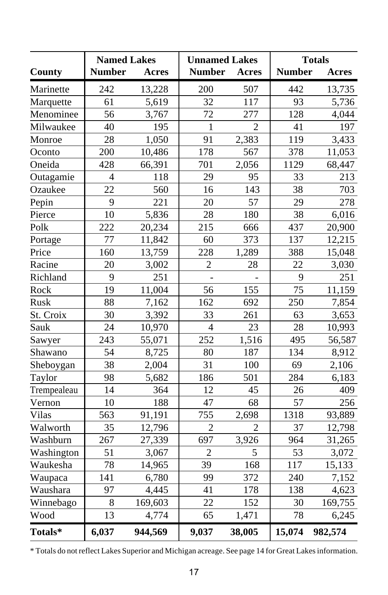|             | <b>Named Lakes</b> |         | <b>Unnamed Lakes</b> |                | <b>Totals</b> |         |  |  |  |
|-------------|--------------------|---------|----------------------|----------------|---------------|---------|--|--|--|
| County      | <b>Number</b>      | Acres   | <b>Number</b>        | <b>Acres</b>   | <b>Number</b> | Acres   |  |  |  |
| Marinette   | 242                | 13,228  | 200                  | 507            | 442           | 13,735  |  |  |  |
| Marquette   | 61                 | 5,619   | 32                   | 117            | 93            | 5,736   |  |  |  |
| Menominee   | 56                 | 3,767   | 72                   | 277            | 128           | 4,044   |  |  |  |
| Milwaukee   | 40                 | 195     | $\mathbf{1}$         | $\overline{2}$ | 41            | 197     |  |  |  |
| Monroe      | 28                 | 1,050   | 91                   | 2,383          | 119           | 3,433   |  |  |  |
| Oconto      | 200                | 10,486  | 178                  | 567            | 378           | 11,053  |  |  |  |
| Oneida      | 428                | 66,391  | 701                  | 2,056          | 1129          | 68,447  |  |  |  |
| Outagamie   | $\overline{4}$     | 118     | 29                   | 95             | 33            | 213     |  |  |  |
| Ozaukee     | 22                 | 560     | 16                   | 143            | 38            | 703     |  |  |  |
| Pepin       | 9                  | 221     | 20                   | 57             | 29            | 278     |  |  |  |
| Pierce      | 10                 | 5,836   | 28                   | 180            | 38            | 6,016   |  |  |  |
| Polk        | 222                | 20,234  | 215                  | 666            | 437           | 20,900  |  |  |  |
| Portage     | 77                 | 11,842  | 60                   | 373            | 137           | 12,215  |  |  |  |
| Price       | 160                | 13,759  | 228                  | 1,289          | 388           | 15,048  |  |  |  |
| Racine      | 20                 | 3,002   | $\overline{2}$       | 28             | 22            | 3,030   |  |  |  |
| Richland    | 9                  | 251     | $\overline{a}$       |                | 9             | 251     |  |  |  |
| Rock        | 19                 | 11,004  | 56                   | 155            | 75            | 11,159  |  |  |  |
| Rusk        | 88                 | 7,162   | 162                  | 692            | 250           | 7,854   |  |  |  |
| St. Croix   | 30                 | 3,392   | 33                   | 261            | 63            | 3,653   |  |  |  |
| Sauk        | 24                 | 10,970  | $\overline{4}$       | 23             | 28            | 10,993  |  |  |  |
| Sawyer      | 243                | 55,071  | 252                  | 1,516          | 495           | 56,587  |  |  |  |
| Shawano     | 54                 | 8,725   | 80                   | 187            | 134           | 8,912   |  |  |  |
| Sheboygan   | 38                 | 2,004   | 31                   | 100            | 69            | 2,106   |  |  |  |
| Taylor      | 98                 | 5,682   | 186                  | 501            | 284           | 6,183   |  |  |  |
| Trempealeau | 14                 | 364     | 12                   | 45             | 26            | 409     |  |  |  |
| Vernon      | 10                 | 188     | 47                   | 68             | 57            | 256     |  |  |  |
| Vilas       | 563                | 91,191  | 755                  | 2,698          | 1318          | 93,889  |  |  |  |
| Walworth    | 35                 | 12,796  | $\overline{2}$       | $\overline{2}$ | 37            | 12,798  |  |  |  |
| Washburn    | 267                | 27,339  | 697                  | 3,926          | 964           | 31,265  |  |  |  |
| Washington  | 51                 | 3,067   | $\overline{2}$       | 5              | 53            | 3,072   |  |  |  |
| Waukesha    | 78                 | 14,965  | 39                   | 168            | 117           | 15,133  |  |  |  |
| Waupaca     | 141                | 6,780   | 99                   | 372            | 240           | 7,152   |  |  |  |
| Waushara    | 97                 | 4,445   | 41                   | 178            | 138           | 4,623   |  |  |  |
| Winnebago   | 8                  | 169,603 | 22                   | 152            | 30<br>169,755 |         |  |  |  |
| Wood        | 13                 | 4,774   | 65                   | 1,471          | 78            | 6,245   |  |  |  |
| Totals*     | 6,037              | 944,569 | 9,037                | 38,005         | 15,074        | 982,574 |  |  |  |

\* Totals do not reflect Lakes Superior and Michigan acreage. See page 14 for Great Lakes information.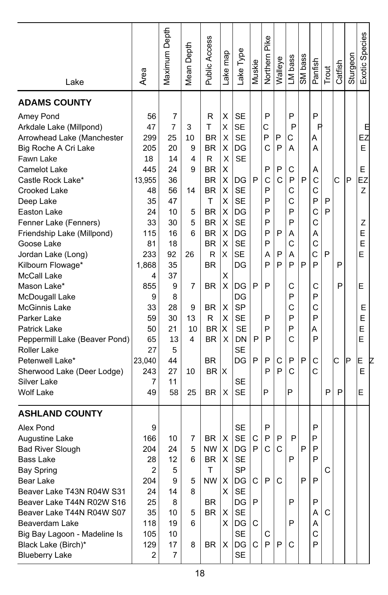| Lake                          | Area           | Maximum Depth  | Mean Depth | Public Access | ake map | ake Type  | Muskie       | Pike<br>Northern | Walleye | LM bass | SM bass | Panfish | Trout | Catfish | Sturgeon | Exotic Species |
|-------------------------------|----------------|----------------|------------|---------------|---------|-----------|--------------|------------------|---------|---------|---------|---------|-------|---------|----------|----------------|
| <b>ADAMS COUNTY</b>           |                |                |            |               |         |           |              |                  |         |         |         |         |       |         |          |                |
| Amey Pond                     | 56             | 7              |            | R             | X       | <b>SE</b> |              | P                |         | P       |         | P       |       |         |          |                |
| Arkdale Lake (Millpond)       | 47             | $\overline{7}$ | 3          | T             | Χ       | <b>SE</b> |              | C                |         | P       |         | R       |       |         |          | Θ              |
| Arrowhead Lake (Manchester    | 299            | 25             | 10         | <b>BR</b>     | X       | <b>SE</b> |              | P                | P       | С       |         | A       |       |         |          | EZ             |
| Big Roche A Cri Lake          | 205            | 20             | 9          | BR            | х       | DG        |              | C                | P       | Α       |         | Α       |       |         |          | E              |
| Fawn Lake                     | 18             | 14             | 4          | R.            | X       | <b>SE</b> |              |                  |         |         |         |         |       |         |          |                |
| <b>Camelot Lake</b>           | 445            | 24             | 9          | <b>BR</b>     | X       |           |              | P                | P       | C       |         | Α       |       |         |          | E              |
| Castle Rock Lake*             | 13,955         | 36             |            | <b>BR</b>     | X       | DG        | P            | C                | C       | P       | P       | С       |       | C       | P        | EZ             |
| Crooked Lake                  | 48             | 56             | 14         | BR            | X       | <b>SE</b> |              | P                |         | C       |         | C       |       |         |          | Z              |
| Deep Lake                     | 35             | 47             |            | T             | X       | <b>SE</b> |              | P                |         | Ċ       |         | P       | P     |         |          |                |
| Easton Lake                   | 24             | 10             | 5          | <b>BR</b>     | X       | DG        |              | P                |         | P       |         | C       | P     |         |          |                |
| Fenner Lake (Fenners)         | 33             | 30             | 5          | <b>BR</b>     | X       | <b>SE</b> |              | P                |         | P       |         | С       |       |         |          | Ζ              |
| Friendship Lake (Millpond)    | 115            | 16             | 6          | <b>BR</b>     | X       | DG        |              | P                | P       | А       |         | Α       |       |         |          | Е              |
| Goose Lake                    | 81             | 18             |            | <b>BR</b>     | X       | <b>SE</b> |              | P                |         | C       |         | C       |       |         |          | E              |
| Jordan Lake (Long)            | 233            | 92             | 26         | R             | X       | <b>SE</b> |              | Α                | P       | Α       |         | C       | P     |         |          | E              |
| Kilbourn Flowage*             | 1,868          | 35             |            | <b>BR</b>     |         | DG        |              | P                | P       | P       | P       | P       |       | P       |          |                |
| <b>McCall Lake</b>            | 4              | 37             |            |               | X       |           |              |                  |         |         |         |         |       |         |          |                |
| Mason Lake*                   | 855            | 9              | 7          | <b>BR</b>     | X       | DG        | P            | P                |         | С       |         | С       |       | P       |          | E              |
| McDougall Lake                | 9              | 8              |            |               |         | DG        |              |                  |         | P       |         | P       |       |         |          |                |
| <b>McGinnis Lake</b>          | 33             | 28             | 9          | BR            | X       | <b>SP</b> |              |                  |         | Ċ       |         | C       |       |         |          | Е              |
| Parker Lake                   | 59             | 30             | 13         | R             | X       | <b>SE</b> |              | P                |         | P       |         | P       |       |         |          | Е              |
| Patrick Lake                  | 50             | 21             | 10         | <b>BR</b>     | X       | <b>SE</b> |              | P                |         | P       |         | Α       |       |         |          | E              |
| Peppermill Lake (Beaver Pond) | 65             | 13             | 4          | <b>BR</b>     | X       | DN        | P            | P                |         | C       |         | P       |       |         |          | E              |
| Roller Lake                   | 27             | 5              |            |               |         | <b>SE</b> |              |                  |         |         |         |         |       |         |          |                |
| Petenwell Lake*               | 23,040         | 44             |            | <b>BR</b>     |         | DG        | P            | P                | C       | P       | P       | С       |       | C       | P        | E              |
| Sherwood Lake (Deer Lodge)    | 243            | 27             | 10         | <b>BR</b>     | X       |           |              | P                | P       | C       |         | C       |       |         |          | Ε              |
| Silver Lake                   | 7              | 11             |            |               |         | SE        |              |                  |         |         |         |         |       |         |          |                |
| <b>Wolf Lake</b>              | 49             | 58             | 25         | <b>BR</b>     | X       | <b>SE</b> |              | P                |         | P       |         |         | P     | P       |          | E              |
| <b>ASHLAND COUNTY</b>         |                |                |            |               |         |           |              |                  |         |         |         |         |       |         |          |                |
| Alex Pond                     | 9              |                |            |               |         | <b>SE</b> |              | P                |         |         |         | P       |       |         |          |                |
| Augustine Lake                | 166            | 10             | 7          | <b>BR</b>     | х       | <b>SE</b> | C            | P                | P       | P       |         | P       |       |         |          |                |
| <b>Bad River Slough</b>       | 204            | 24             | 5          | ΝW            | X       | DG        | P            | C                | C       |         | P       | P       |       |         |          |                |
| <b>Bass Lake</b>              | 28             | 12             | 6          | <b>BR</b>     | X       | <b>SE</b> |              |                  |         | P       |         | P       |       |         |          |                |
| <b>Bay Spring</b>             | $\overline{c}$ | 5              |            | T             |         | SP        |              |                  |         |         |         |         |       |         |          |                |
| Bear Lake                     | 204            | 9              | 5          | $NW \mid X$   |         | DG        | C            | P                | C       |         | P       | P       |       |         |          |                |
| Beaver Lake T43N R04W S31     | 24             | 14             | 8          |               | X       | SE        |              |                  |         |         |         |         |       |         |          |                |
| Beaver Lake T44N R02W S16     | 25             | 8              |            | <b>BR</b>     |         | DG        | $\mathsf{P}$ |                  |         | P       |         | P       |       |         |          |                |
| Beaver Lake T44N R04W S07     | 35             | 10             | 5          | BR.           | Х       | SE        |              |                  |         |         |         | Α       | C     |         |          |                |
| Beaverdam Lake                | 118            | 19             | 6          |               | X       | DG        | C            |                  |         | P       |         | A       |       |         |          |                |
| Big Bay Lagoon - Madeline Is  | 105            | 10             |            |               |         | SE        |              | С                |         |         |         | С       |       |         |          |                |
| Black Lake (Birch)*           | 129            | 17             | 8          | <b>BR</b>     | X       | DG        | C            | P                | P       | C       |         | P       |       |         |          |                |
| <b>Blueberry Lake</b>         | 2              | 7              |            |               |         | <b>SE</b> |              |                  |         |         |         |         |       |         |          |                |
|                               |                |                |            |               |         |           |              |                  |         |         |         |         |       |         |          |                |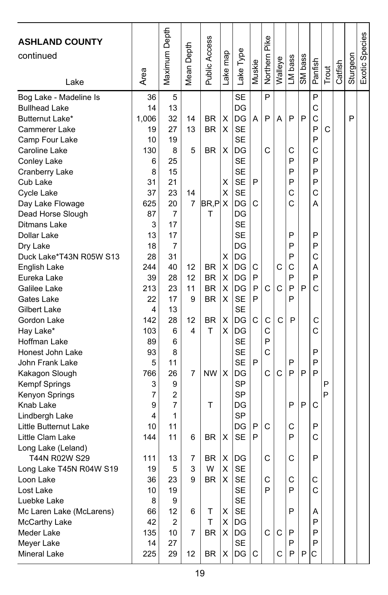| <b>ASHLAND COUNTY</b><br>continued<br>Lake | Area           | Maximum Depth | Depth<br>Mean I | Public Access | ake map | Lake Type       | Muskie | Pike<br>Northern | Walleye | LM bass | SM bass | Panfish      | Trout | Catfish | Sturgeon | Exotic Species |
|--------------------------------------------|----------------|---------------|-----------------|---------------|---------|-----------------|--------|------------------|---------|---------|---------|--------------|-------|---------|----------|----------------|
| Bog Lake - Madeline Is                     | 36             | 5             |                 |               |         | <b>SE</b>       |        | P                |         |         |         | P            |       |         |          |                |
| <b>Bullhead Lake</b>                       | 14             | 13            |                 |               |         | DG              |        |                  |         |         |         | C            |       |         |          |                |
| Butternut Lake*                            | 1,006          | 32            | 14              | <b>BR</b>     | Χ       | DG              | A      | P                | А       | P       | P       | C            |       |         | P        |                |
| Cammerer Lake                              | 19             | 27            | 13              | <b>BR</b>     | X       | <b>SE</b>       |        |                  |         |         |         | P            | C     |         |          |                |
| Camp Four Lake                             | 10             | 19            |                 |               |         | <b>SE</b>       |        |                  |         |         |         | P            |       |         |          |                |
| Caroline Lake                              | 130            | 8             | 5               | BR            | Χ       | DG              |        | C                |         | С       |         | C            |       |         |          |                |
| Conley Lake                                | 6              | 25            |                 |               |         | <b>SE</b>       |        |                  |         | P       |         | P            |       |         |          |                |
| Cranberry Lake                             | 8              | 15            |                 |               |         | <b>SE</b>       |        |                  |         | P       |         | P            |       |         |          |                |
| Cub Lake                                   | 31             | 21            |                 |               | X       | <b>SE</b>       | P      |                  |         | P       |         | P            |       |         |          |                |
| Cycle Lake                                 | 37             | 23            | 14              |               | х       | SE              |        |                  |         | С       |         | C            |       |         |          |                |
| Day Lake Flowage                           | 625            | 20            | 7               | BR,P          | Х       | DG              | С      |                  |         | C       |         | А            |       |         |          |                |
| Dead Horse Slough                          | 87             | 7             |                 | T             |         | DG              |        |                  |         |         |         |              |       |         |          |                |
| Ditmans Lake                               | 3              | 17            |                 |               |         | <b>SE</b>       |        |                  |         |         |         |              |       |         |          |                |
| Dollar Lake                                | 13             | 17            |                 |               |         | <b>SE</b>       |        |                  |         | P       |         | P            |       |         |          |                |
| Dry Lake                                   | 18             | 7             |                 |               |         | DG              |        |                  |         | P       |         | P            |       |         |          |                |
| Duck Lake*T43N R05W S13                    | 28             | 31            |                 |               | Χ       | DG              |        |                  |         | P       |         | C            |       |         |          |                |
| English Lake                               | 244            | 40            | 12              | BR.           | X       | DG              | С      |                  | C       | C       |         | А            |       |         |          |                |
| Eureka Lake                                | 39             | 28            | 12              | <b>BR</b>     | х       | DG              | P      |                  |         | P       |         | P            |       |         |          |                |
| Galilee Lake                               | 213            | 23            | 11              | <b>BR</b>     | х       | DG              | P      | C                | C       | P       | P       | C            |       |         |          |                |
| Gates Lake                                 | 22             | 17            | 9               | <b>BR</b>     | х       | <b>SE</b>       | P      |                  |         | P       |         |              |       |         |          |                |
| Gilbert Lake                               | 4              | 13            |                 |               |         | <b>SE</b>       |        |                  |         |         |         |              |       |         |          |                |
| Gordon Lake                                | 142            | 28            | 12              | BR            | Χ       | DG              | C      | C                | C       | P       |         | С            |       |         |          |                |
| Hay Lake*                                  | 103            | 6             | 4               | T             | х       | DG              |        | C                |         |         |         | C            |       |         |          |                |
| Hoffman Lake                               | 89             | 6             |                 |               |         | <b>SE</b>       |        | P                |         |         |         |              |       |         |          |                |
| Honest John Lake                           | 93             | 8             |                 |               |         | <b>SE</b>       |        | C                |         |         |         | P            |       |         |          |                |
| John Frank Lake                            | 5              | 11            |                 |               |         | <b>SE</b>       | P      |                  |         | P       |         | P            |       |         |          |                |
| Kakagon Slough                             | 766            | 26            | 7               | <b>NW</b>     | X       | DG              |        | C                | С       | P       | P       | P            |       |         |          |                |
| Kempf Springs                              | 3              | 9             |                 |               |         | <b>SP</b>       |        |                  |         |         |         |              | P     |         |          |                |
| Kenyon Springs                             | $\overline{7}$ | 2             |                 |               |         | <b>SP</b>       |        |                  |         |         |         |              | P     |         |          |                |
| Knab Lake                                  | 9              | 7             |                 | т             |         | DG              |        |                  |         | P       | P       | C            |       |         |          |                |
| Lindbergh Lake                             | 4              | 1             |                 |               |         | <b>SP</b>       |        |                  |         |         |         |              |       |         |          |                |
| Little Butternut Lake                      | 10             | 11            |                 |               |         | DG              | P      | C                |         | С<br>P  |         | P            |       |         |          |                |
| Little Clam Lake                           | 144            | 11            | 6               | <b>BR</b>     | х       | <b>SE</b>       | P      |                  |         |         |         | C            |       |         |          |                |
| Long Lake (Leland)<br>T44N R02W S29        |                |               |                 | <b>BR</b>     |         |                 |        | C                |         | C       |         | P            |       |         |          |                |
|                                            | 111<br>19      | 13<br>5       | 7<br>3          | W             | Χ<br>X  | DG<br><b>SE</b> |        |                  |         |         |         |              |       |         |          |                |
| Long Lake T45N R04W S19                    | 36             | 23            | 9               | <b>BR</b>     | X       | <b>SE</b>       |        | С                |         | С       |         | С            |       |         |          |                |
| Loon Lake<br>Lost Lake                     | 10             | 19            |                 |               |         | <b>SE</b>       |        | P                |         | P       |         | $\mathsf{C}$ |       |         |          |                |
| Luebke Lake                                | 8              | 9             |                 |               |         | <b>SE</b>       |        |                  |         |         |         |              |       |         |          |                |
| Mc Laren Lake (McLarens)                   | 66             | 12            | 6               | т             | х       | SE              |        |                  |         | P       |         | Α            |       |         |          |                |
| McCarthy Lake                              | 42             | 2             |                 | T             | х       | DG              |        |                  |         |         |         | P            |       |         |          |                |
| Meder Lake                                 | 135            | 10            | 7               | BR            | X       | DG              |        | $\mathsf{C}$     | C       | Ρ       |         | P            |       |         |          |                |
| Meyer Lake                                 | 14             | 27            |                 |               |         | <b>SE</b>       |        |                  |         | P       |         | P            |       |         |          |                |
| Mineral Lake                               | 225            | 29            | 12              | BR            | х       | DG              | C      |                  | C.      | P       | P       | С            |       |         |          |                |
|                                            |                |               |                 |               |         |                 |        |                  |         |         |         |              |       |         |          |                |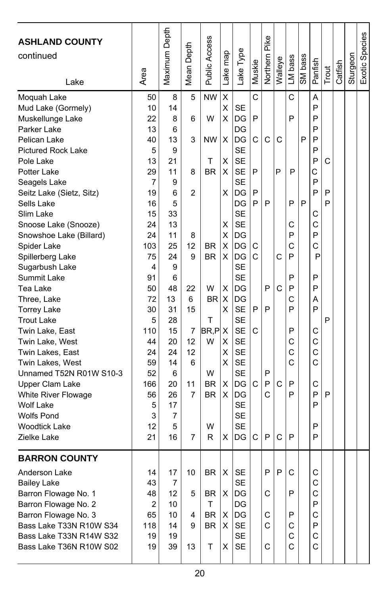| <b>ASHLAND COUNTY</b><br>continued<br>Lake | Area     | Maximum Depth | Depth<br>Mean | Public Access | Lake map | Type<br>Lake           | Muskie | Northern Pike | Walleye | LM bass | SM bass | Panfish     | Trout | Catfish | Sturgeon | Exotic Species |
|--------------------------------------------|----------|---------------|---------------|---------------|----------|------------------------|--------|---------------|---------|---------|---------|-------------|-------|---------|----------|----------------|
| Moquah Lake                                | 50       | 8             | 5             | <b>NW</b>     | X        |                        | C      |               |         | C       |         | Α           |       |         |          |                |
| Mud Lake (Gormely)                         | 10       | 14            |               |               | Χ        | SE                     |        |               |         |         |         | P           |       |         |          |                |
| Muskellunge Lake                           | 22       | 8             | 6             | W             | х        | DG                     | P      |               |         | P       |         | P           |       |         |          |                |
| Parker Lake                                | 13       | 6             |               |               |          | DG                     |        |               |         |         |         | P           |       |         |          |                |
| Pelican Lake                               | 40       | 13            | 3             | NW            | х        | DG                     | C      | C             | C       |         | P       | P           |       |         |          |                |
| <b>Pictured Rock Lake</b>                  | 5        | 9             |               |               |          | <b>SE</b>              |        |               |         |         |         | P           |       |         |          |                |
| Pole Lake                                  | 13       | 21            |               | T             | X        | <b>SE</b>              |        |               |         |         |         | P           | C     |         |          |                |
| Potter Lake                                | 29       | 11            | 8             | <b>BR</b>     | х        | <b>SE</b>              | P      |               | P       | P       |         | С           |       |         |          |                |
| Seagels Lake                               | 7        | 9             |               |               |          | <b>SE</b>              |        |               |         |         |         | P           |       |         |          |                |
| Seitz Lake (Sietz, Sitz)                   | 19       | 6             | 2             |               | X        | DG                     | P      |               |         |         |         | P           | P     |         |          |                |
| Sells Lake                                 | 16       | 5             |               |               |          | DG                     | P      | P             |         | P       | P       |             | P     |         |          |                |
| Slim Lake                                  | 15       | 33            |               |               |          | <b>SE</b>              |        |               |         |         |         | С           |       |         |          |                |
| Snoose Lake (Snooze)                       | 24       | 13            |               |               | х        | <b>SE</b>              |        |               |         | С       |         | C           |       |         |          |                |
| Snowshoe Lake (Billard)                    | 24       | 11            | 8             |               | X        | DG                     |        |               |         | P       |         | P           |       |         |          |                |
| Spider Lake                                | 103      | 25            | 12            | <b>BR</b>     | X        | DG                     | С      |               |         | С       |         | C           |       |         |          |                |
| Spillerberg Lake                           | 75       | 24            | 9             | <b>BR</b>     | х        | DG                     | C      |               | C       | P       |         | P           |       |         |          |                |
| Sugarbush Lake                             | 4        | 9             |               |               |          | <b>SE</b>              |        |               |         |         |         |             |       |         |          |                |
| Summit Lake                                | 91       | 6             |               |               |          | <b>SE</b>              |        |               |         | P       |         | P           |       |         |          |                |
| Tea Lake                                   | 50       | 48            | 22            | W             | х        | DG                     |        | P             | C       | P       |         | P           |       |         |          |                |
| Three, Lake                                | 72       | 13            | 6             | BR.           | X        | DG                     |        |               |         | С       |         | Α           |       |         |          |                |
| <b>Torrey Lake</b>                         | 30       | 31            | 15            |               | х        | <b>SE</b>              | P      | P             |         | P       |         | P           |       |         |          |                |
| <b>Trout Lake</b>                          | 5        | 28            |               | т             |          | <b>SE</b>              |        |               |         |         |         |             | P     |         |          |                |
| Twin Lake, East                            | 110      | 15            | 7             | BR.P          | X        | <b>SE</b>              | C      |               |         | P       |         | С           |       |         |          |                |
| Twin Lake, West                            | 44<br>24 | 20<br>24      | 12<br>12      | W             | х        | <b>SE</b><br><b>SE</b> |        |               |         | С<br>C  |         | C<br>C      |       |         |          |                |
| Twin Lakes, East<br>Twin Lakes, West       | 59       | 14            | 6             |               | х<br>X   | <b>SE</b>              |        |               |         | C       |         | C           |       |         |          |                |
| Unnamed T52N R01W S10-3                    | 52       | 6             |               | W             |          | <b>SE</b>              |        | P             |         |         |         |             |       |         |          |                |
| Upper Clam Lake                            | 166      | 20            | 11            | BR            | х        | DG                     | C      | P             | C       | P       |         | C           |       |         |          |                |
| White River Flowage                        | 56       | 26            | 7             | <b>BR</b>     | х        | DG                     |        | C             |         | P       |         | P           | P     |         |          |                |
| <b>Wolf Lake</b>                           | 5        | 17            |               |               |          | <b>SE</b>              |        |               |         |         |         | P           |       |         |          |                |
| <b>Wolfs Pond</b>                          | 3        | 7             |               |               |          | <b>SE</b>              |        |               |         |         |         |             |       |         |          |                |
| <b>Woodtick Lake</b>                       | 12       | 5             |               | W             |          | <b>SE</b>              |        |               |         |         |         | P           |       |         |          |                |
| Zielke Lake                                | 21       | 16            | 7             | R             | х        | DG                     | C      | P             | C       | P       |         | P           |       |         |          |                |
|                                            |          |               |               |               |          |                        |        |               |         |         |         |             |       |         |          |                |
| <b>BARRON COUNTY</b>                       |          |               |               |               |          |                        |        |               |         |         |         |             |       |         |          |                |
| Anderson Lake                              | 14       | 17            | 10            | $BR$ $X$      |          | SE                     |        | ۲             | ۲       | C       |         | C           |       |         |          |                |
| <b>Bailey Lake</b>                         | 43       | 7             |               |               |          | <b>SE</b>              |        |               |         |         |         | $\mathsf C$ |       |         |          |                |
| Barron Flowage No. 1                       | 48       | 12            | 5             | BR            | X        | DG                     |        | $\mathsf{C}$  |         | P       |         | C           |       |         |          |                |
| Barron Flowage No. 2                       | 2        | 10            |               | T             |          | DG                     |        |               |         |         |         | P           |       |         |          |                |
| Barron Flowage No. 3                       | 65       | 10            | 4             | BR            | Χ        | DG                     |        | C             |         | P       |         | C           |       |         |          |                |
| Bass Lake T33N R10W S34                    | 118      | 14            | 9             | BR            | X        | <b>SE</b>              |        | C             |         | С       |         | P           |       |         |          |                |
| Bass Lake T33N R14W S32                    | 19       | 19            |               |               |          | <b>SE</b>              |        |               |         | C       |         | C           |       |         |          |                |
| Bass Lake T36N R10W S02                    | 19       | 39            | 13            | T             | X        | <b>SE</b>              |        | C             |         | С       |         | C           |       |         |          |                |
|                                            |          |               |               |               |          |                        |        |               |         |         |         |             |       |         |          |                |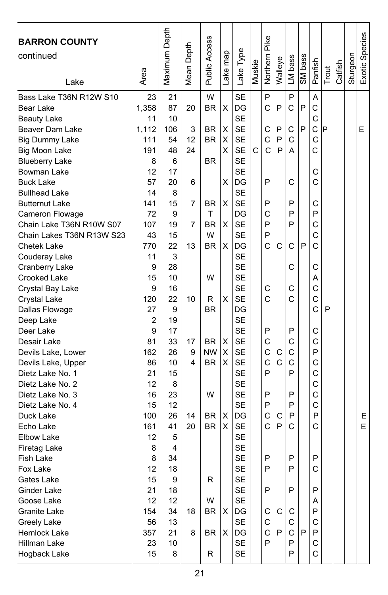| <b>BARRON COUNTY</b>      |                | Maximum Depth |        | <b>Public Access</b> |          |           |        | Northern Pike |         |         |         |              |       |         |          | Exotic Species |
|---------------------------|----------------|---------------|--------|----------------------|----------|-----------|--------|---------------|---------|---------|---------|--------------|-------|---------|----------|----------------|
| continued                 |                |               | Depth  |                      |          |           |        |               |         |         |         |              |       |         |          |                |
|                           |                |               |        |                      |          |           | Muskie |               | Walleye | LM bass | SM bass | Panfish      |       | Catfish | Sturgeon |                |
| Lake                      | Area           |               | Mean I |                      | Lake map | Lake Type |        |               |         |         |         |              | Trout |         |          |                |
| Bass Lake T36N R12W S10   | 23             | 21            |        | W                    |          | <b>SE</b> |        | P             |         | P       |         | A            |       |         |          |                |
| Bear Lake                 | 1,358          | 87            | 20     | <b>BR</b>            | Χ        | DG        |        | C             | P       | C       | P       | C            |       |         |          |                |
| <b>Beauty Lake</b>        | 11             | 10            |        |                      |          | <b>SE</b> |        |               |         |         |         | C            |       |         |          |                |
| Beaver Dam Lake           | 1,112          | 106           | 3      | BR                   | Χ        | <b>SE</b> |        | C             | P       | C       | P       | $\mathsf{C}$ | P     |         |          | Е              |
| <b>Big Dummy Lake</b>     | 111            | 54            | 12     | <b>BR</b>            | Χ        | <b>SE</b> |        | C             | P       | C       |         | C            |       |         |          |                |
| Big Moon Lake             | 191            | 48            | 24     |                      | X        | <b>SE</b> | С      | Ċ             | P       | A       |         | C            |       |         |          |                |
| <b>Blueberry Lake</b>     | 8              | 6             |        | <b>BR</b>            |          | <b>SE</b> |        |               |         |         |         |              |       |         |          |                |
| Bowman Lake               | 12             | 17            |        |                      |          | <b>SE</b> |        |               |         |         |         | C            |       |         |          |                |
| <b>Buck Lake</b>          | 57             | 20            | 6      |                      | X        | DG        |        | P             |         | C       |         | C            |       |         |          |                |
| <b>Bullhead Lake</b>      | 14             | 8             |        |                      |          | <b>SE</b> |        |               |         |         |         |              |       |         |          |                |
| <b>Butternut Lake</b>     | 141            | 15            | 7      | <b>BR</b>            | х        | <b>SE</b> |        | P             |         | P       |         | С            |       |         |          |                |
| Cameron Flowage           | 72             | 9             |        | T                    |          | DG        |        | C             |         | P       |         | P            |       |         |          |                |
| Chain Lake T36N R10W S07  | 107            | 19            | 7      | <b>BR</b>            | X        | <b>SE</b> |        | P             |         | P       |         | C            |       |         |          |                |
| Chain Lakes T36N R13W S23 | 43             | 15            |        | W                    |          | <b>SE</b> |        | P             |         |         |         | C            |       |         |          |                |
| Chetek Lake               | 770            | 22            | 13     | <b>BR</b>            | х        | DG        |        | Ć             | C       | C       | P       | Ć            |       |         |          |                |
| Couderay Lake             | 11             | 3             |        |                      |          | <b>SE</b> |        |               |         |         |         |              |       |         |          |                |
| Cranberry Lake            | 9              | 28            |        |                      |          | <b>SE</b> |        |               |         | C       |         | C            |       |         |          |                |
| Crooked Lake              | 15             | 10            |        | W                    |          | <b>SE</b> |        |               |         |         |         | Α            |       |         |          |                |
| Crystal Bay Lake          | 9              | 16            |        |                      |          | <b>SE</b> |        | C             |         | C       |         | $\mathsf{C}$ |       |         |          |                |
| <b>Crystal Lake</b>       | 120            | 22            | 10     | R                    | X        | <b>SE</b> |        | Ć             |         | C       |         | $\mathsf{C}$ |       |         |          |                |
| Dallas Flowage            | 27             | 9             |        | <b>BR</b>            |          | DG        |        |               |         |         |         | Ċ            | P     |         |          |                |
| Deep Lake                 | $\overline{2}$ | 19            |        |                      |          | <b>SE</b> |        |               |         |         |         |              |       |         |          |                |
| Deer Lake                 | 9              | 17            |        |                      |          | <b>SE</b> |        | P             |         | P       |         | C            |       |         |          |                |
| Desair Lake               | 81             | 33            | 17     | <b>BR</b>            | X        | <b>SE</b> |        | C             |         | С       |         | C            |       |         |          |                |
| Devils Lake, Lower        | 162            | 26            | 9      | <b>NW</b>            | X        | <b>SE</b> |        | $\mathsf{C}$  | С       | C       |         | P            |       |         |          |                |
| Devils Lake, Upper        | 86             | 10            | 4      | <b>BR</b>            | X        | <b>SE</b> |        | $\mathsf{C}$  | C       | C       |         | C            |       |         |          |                |
| Dietz Lake No. 1          | 21             | 15            |        |                      |          | <b>SE</b> |        | P             |         | P       |         | C            |       |         |          |                |
| Dietz Lake No. 2          | 12             | 8             |        |                      |          | <b>SE</b> |        |               |         |         |         | C            |       |         |          |                |
| Dietz Lake No. 3          | 16             | 23            |        | W                    |          | <b>SE</b> |        | P             |         | P       |         | C            |       |         |          |                |
| Dietz Lake No. 4          | 15             | 12            |        |                      |          | <b>SE</b> |        | P             |         | P       |         | C            |       |         |          |                |
| Duck Lake                 | 100            | 26            | 14     | <b>BR</b>            | X        | DG        |        | C             | C       | P       |         | P            |       |         |          | E              |
| Echo Lake                 | 161            | 41            | 20     | <b>BR</b>            | X        | <b>SE</b> |        | C             | P       | C       |         | C            |       |         |          | E              |
| Elbow Lake                | 12             | 5             |        |                      |          | <b>SE</b> |        |               |         |         |         |              |       |         |          |                |
| Firetag Lake              | 8              | 4             |        |                      |          | <b>SE</b> |        |               |         |         |         |              |       |         |          |                |
| Fish Lake                 | 8              | 34            |        |                      |          | <b>SE</b> |        | P             |         | P       |         | P            |       |         |          |                |
| Fox Lake                  | 12             | 18            |        |                      |          | <b>SE</b> |        | P             |         | P       |         | C            |       |         |          |                |
| Gates Lake                | 15             | 9             |        | R                    |          | SE        |        |               |         |         |         |              |       |         |          |                |
| Ginder Lake               | 21             | 18            |        |                      |          | <b>SE</b> |        | P             |         | P       |         | P            |       |         |          |                |
| Goose Lake                | 12             | 12            |        | W                    |          | <b>SE</b> |        |               |         |         |         | Α            |       |         |          |                |
| Granite Lake              | 154            | 34            | 18     | <b>BR</b>            | х        | DG        |        | С             | C       | С       |         | P            |       |         |          |                |
| Greely Lake               | 56             | 13            |        |                      |          | <b>SE</b> |        | C             |         | С       |         | С            |       |         |          |                |
| Hemlock Lake              | 357            | 21            | 8      | BR                   | X        | DG        |        | C             | P       | C       | P       | P            |       |         |          |                |
| Hillman Lake              | 23             | 10            |        |                      |          | <b>SE</b> |        | P             |         | P       |         | С            |       |         |          |                |
| Hogback Lake              | 15             | 8             |        | R                    |          | SE        |        |               |         | P       |         | $\mathsf{C}$ |       |         |          |                |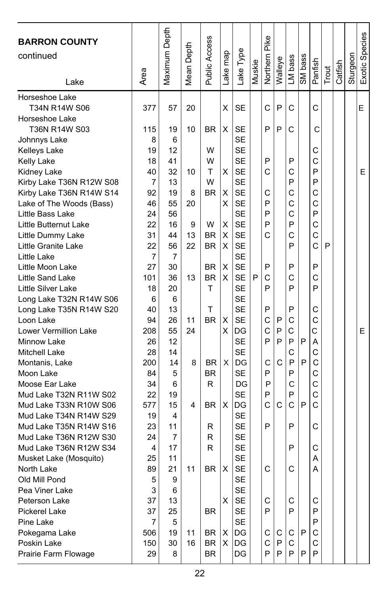|                                                  |                | Maximum Depth |       |                      |          |                 |        |               |         |         |              |         |       |         |          |                |
|--------------------------------------------------|----------------|---------------|-------|----------------------|----------|-----------------|--------|---------------|---------|---------|--------------|---------|-------|---------|----------|----------------|
| <b>BARRON COUNTY</b>                             |                |               | Depth | <b>Public Access</b> |          |                 |        | Northern Pike |         |         |              |         |       |         |          | Exotic Species |
| continued                                        |                |               |       |                      | Lake map | Lake Type       |        |               |         |         |              |         |       |         | Sturgeon |                |
|                                                  |                |               | Mean  |                      |          |                 | Muskie |               | Walleye | LM bass | SM bass      | Panfish | Trout | Catfish |          |                |
| Lake                                             | Area           |               |       |                      |          |                 |        |               |         |         |              |         |       |         |          |                |
| Horseshoe Lake                                   |                |               |       |                      |          |                 |        |               |         |         |              |         |       |         |          |                |
| T34N R14W S06                                    | 377            | 57            | 20    |                      | х        | SE              |        | Ċ             | P       | C       |              | C       |       |         |          | E              |
| Horseshoe Lake                                   |                |               |       |                      |          |                 |        |               |         |         |              |         |       |         |          |                |
| T36N R14W S03                                    | 115            | 19            | 10    | <b>BR</b>            | X        | SE              |        | P             | P       | С       |              | С       |       |         |          |                |
| Johnnys Lake                                     | 8              | 6             |       |                      |          | <b>SE</b>       |        |               |         |         |              |         |       |         |          |                |
| Kelleys Lake                                     | 19             | 12            |       | W                    |          | <b>SE</b>       |        |               |         |         |              | С       |       |         |          |                |
| Kelly Lake                                       | 18             | 41            |       | W                    |          | <b>SE</b>       |        | P             |         | P       |              | С       |       |         |          |                |
| Kidney Lake                                      | 40             | 32            | 10    | т                    | х        | <b>SE</b>       |        | C             |         | С       |              | P       |       |         |          | E.             |
| Kirby Lake T36N R12W S08                         | $\overline{7}$ | 13            |       | W                    |          | SE              |        |               |         | P       |              | P       |       |         |          |                |
| Kirby Lake T36N R14W S14                         | 92             | 19            | 8     | <b>BR</b>            | X        | <b>SE</b>       |        | Ċ             |         | C       |              | C       |       |         |          |                |
| Lake of The Woods (Bass)                         | 46             | 55            | 20    |                      | х        | <b>SE</b>       |        | P             |         | C       |              | С       |       |         |          |                |
| Little Bass Lake                                 | 24             | 56            |       |                      |          | <b>SE</b>       |        | P             |         | C       |              | P       |       |         |          |                |
| Little Butternut Lake                            | 22             | 16            | 9     | W                    | х        | <b>SE</b>       |        | P             |         | P       |              | C       |       |         |          |                |
| Little Dummy Lake                                | 31             | 44            | 13    | <b>BR</b>            | X        | <b>SE</b>       |        | C             |         | C       |              | C       |       |         |          |                |
| Little Granite Lake                              | 22             | 56            | 22    | BR                   | X        | <b>SE</b>       |        |               |         | P       |              | С       | P     |         |          |                |
| Little Lake                                      | 7              | 7             |       |                      |          | <b>SE</b>       |        |               |         |         |              |         |       |         |          |                |
| Little Moon Lake                                 | 27             | 30            |       | <b>BR</b>            | X        | <b>SE</b>       |        | P             |         | P       |              | P       |       |         |          |                |
| Little Sand Lake                                 | 101            | 36            | 13    | <b>BR</b>            | X        | <b>SE</b>       | P      | C             |         | C       |              | Ċ       |       |         |          |                |
| Little Silver Lake                               | 18             | 20            |       | т                    |          | <b>SE</b>       |        | P             |         | P       |              | P       |       |         |          |                |
| Long Lake T32N R14W S06                          | 6              | 6             |       |                      |          | SE              |        |               |         |         |              |         |       |         |          |                |
| Long Lake T35N R14W S20                          | 40             | 13            |       | т                    |          | <b>SE</b>       |        | P             |         | P       |              | C       |       |         |          |                |
| Loon Lake                                        | 94             | 26            | 11    | <b>BR</b>            | X        | <b>SE</b>       |        | Ċ             | P       | C       |              | C       |       |         |          |                |
| Lower Vermillion Lake                            | 208            | 55            | 24    |                      | x        | DG              |        | C             | P       | С       |              | С       |       |         |          | E              |
| Minnow Lake                                      | 26             | 12            |       |                      |          | <b>SE</b>       |        | P             | P       | P       | P            | A       |       |         |          |                |
| Mitchell Lake                                    | 28             | 14            |       |                      |          | SE              |        |               | C       | C       |              | C<br>C  |       |         |          |                |
| Montanis, Lake                                   | 200            | 14            | 8     | BR.                  | X        | DG              |        | C             |         | P       | P            |         |       |         |          |                |
| Moon Lake                                        | 84             | 5             |       | <b>BR</b>            |          | <b>SE</b>       |        | P             |         | P       |              | C       |       |         |          |                |
| Moose Ear Lake                                   | 34             | 6             |       | R                    |          | DG              |        | P             |         | C       |              | C<br>C  |       |         |          |                |
| Mud Lake T32N R11W S02                           | 22             | 19            | 4     |                      |          | <b>SE</b>       |        | P<br>Ċ        |         | P<br>C  | P            | C       |       |         |          |                |
| Mud Lake T33N R10W S06                           | 577            | 15            |       | <b>BR</b>            | X        | DG<br><b>SE</b> |        |               | C       |         |              |         |       |         |          |                |
| Mud Lake T34N R14W S29                           | 19<br>23       | 4<br>11       |       |                      |          | <b>SE</b>       |        | P             |         | P       |              | C       |       |         |          |                |
| Mud Lake T35N R14W S16<br>Mud Lake T36N R12W S30 | 24             | 7             |       | R<br>R               |          | <b>SE</b>       |        |               |         |         |              |         |       |         |          |                |
| Mud Lake T36N R12W S34                           | 4              | 17            |       | R                    |          | SE              |        |               |         | P       |              | C       |       |         |          |                |
|                                                  | 25             | 11            |       |                      |          | <b>SE</b>       |        |               |         |         |              | A       |       |         |          |                |
| Musket Lake (Mosquito)<br>North Lake             | 89             | 21            | 11    | <b>BR</b>            | X        | <b>SE</b>       |        | C.            |         | C       |              | A       |       |         |          |                |
| Old Mill Pond                                    | 5              | 9             |       |                      |          | SE              |        |               |         |         |              |         |       |         |          |                |
| Pea Viner Lake                                   | 3              | 6             |       |                      |          | <b>SE</b>       |        |               |         |         |              |         |       |         |          |                |
| Peterson Lake                                    | 37             | 13            |       |                      | X        | SE              |        | C             |         | C       |              | С       |       |         |          |                |
| <b>Pickerel Lake</b>                             | 37             | 25            |       | BR.                  |          | SE              |        | P             |         | P       |              | P       |       |         |          |                |
| Pine Lake                                        | 7              | 5             |       |                      |          | SE              |        |               |         |         |              | P       |       |         |          |                |
| Pokegama Lake                                    | 506            | 19            | 11    | BR                   | X        | DG              |        | С             | С       | С       | $\mathsf{P}$ | С       |       |         |          |                |
| Poskin Lake                                      | 150            | 30            | 16    | BR                   | X        | DG              |        | С             | P       | C       |              | C       |       |         |          |                |
| Prairie Farm Flowage                             | 29             | 8             |       | <b>BR</b>            |          | DG              |        | P             | P       | P       | P            | P       |       |         |          |                |
|                                                  |                |               |       |                      |          |                 |        |               |         |         |              |         |       |         |          |                |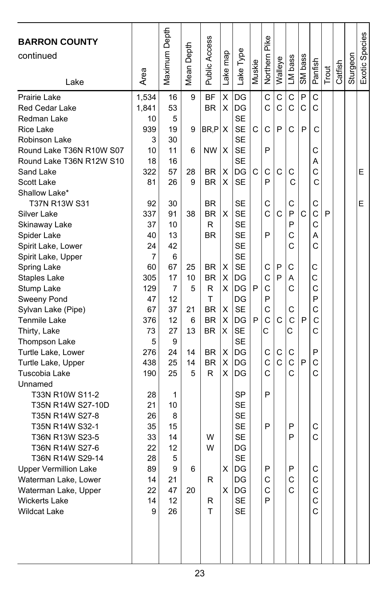| <b>BARRON COUNTY</b><br>continued<br>Lake | Area      | Maximum Depth | Depth<br>Mean | Public Access          | map<br>Lake <sub>l</sub> | Lake Type       | Muskie | Northern Pike | Walleye      | LM bass      | SM bass | Panfish | Trout | Catfish | Sturgeon | Exotic Species |
|-------------------------------------------|-----------|---------------|---------------|------------------------|--------------------------|-----------------|--------|---------------|--------------|--------------|---------|---------|-------|---------|----------|----------------|
| Prairie Lake                              | 1,534     | 16            | 9             | <b>BF</b>              | X                        | DG              |        | C             | C            | C            | P       | C       |       |         |          |                |
| <b>Red Cedar Lake</b>                     | 1,841     | 53            |               | <b>BR</b>              | Χ                        | DG              |        | C             | C            | C            | C       | C       |       |         |          |                |
| Redman Lake                               | 10        | 5             |               |                        |                          | <b>SE</b>       |        |               |              |              |         |         |       |         |          |                |
| Rice Lake                                 | 939       | 19            | 9             | BR,P                   | х                        | <b>SE</b>       | C      | C             | P            | C            | P       | C       |       |         |          |                |
| Robinson Lake                             | 3         | 30            |               |                        |                          | <b>SE</b>       |        |               |              |              |         |         |       |         |          |                |
| Round Lake T36N R10W S07                  | 10        | 11            | 6             | ΝW                     | х                        | <b>SE</b>       |        | P             |              |              |         | C       |       |         |          |                |
| Round Lake T36N R12W S10                  | 18        | 16            |               |                        |                          | <b>SE</b>       |        |               |              |              |         | Α       |       |         |          |                |
| Sand Lake                                 | 322       | 57            | 28            | BR                     | х                        | DG              | C      | С             | C            | C            |         | C       |       |         |          | E              |
| Scott Lake                                | 81        | 26            | 9             | <b>BR</b>              | X                        | <b>SE</b>       |        | P             |              | C            |         | C       |       |         |          |                |
| Shallow Lake*                             |           |               |               |                        |                          |                 |        |               |              |              |         |         |       |         |          |                |
| T37N R13W S31                             | 92        | 30<br>91      | 38            | <b>BR</b><br><b>BR</b> | X                        | SE<br><b>SE</b> |        | С<br>C        | C            | С<br>P       | C       | С<br>C  | P     |         |          | E              |
| Silver Lake<br>Skinaway Lake              | 337<br>37 | 10            |               | R                      |                          | <b>SE</b>       |        |               |              | P            |         | C       |       |         |          |                |
| Spider Lake                               | 40        | 13            |               | <b>BR</b>              |                          | <b>SE</b>       |        | P             |              | С            |         | Α       |       |         |          |                |
| Spirit Lake, Lower                        | 24        | 42            |               |                        |                          | <b>SE</b>       |        |               |              | С            |         | C       |       |         |          |                |
| Spirit Lake, Upper                        | 7         | 6             |               |                        |                          | <b>SE</b>       |        |               |              |              |         |         |       |         |          |                |
| Spring Lake                               | 60        | 67            | 25            | BR                     | х                        | <b>SE</b>       |        | C             | P            | С            |         | C       |       |         |          |                |
| Staples Lake                              | 305       | 17            | 10            | <b>BR</b>              | Χ                        | DG              |        | C             | P            | Α            |         | C       |       |         |          |                |
| Stump Lake                                | 129       | 7             | 5             | R                      | X                        | DG              | P      | C             |              | C            |         | C       |       |         |          |                |
| Sweeny Pond                               | 47        | 12            |               | T                      |                          | DG              |        | P             |              |              |         | P       |       |         |          |                |
| Sylvan Lake (Pipe)                        | 67        | 37            | 21            | <b>BR</b>              | х                        | <b>SE</b>       |        | C             |              | С            |         | C       |       |         |          |                |
| Tenmile Lake                              | 376       | 12            | 6             | BR                     | Χ                        | DG              | P      | C             | $\mathsf{C}$ | C            | P       | C       |       |         |          |                |
| Thirty, Lake                              | 73        | 27            | 13            | <b>BR</b>              | X                        | <b>SE</b>       |        | С             |              | Ć            |         | C       |       |         |          |                |
| Thompson Lake                             | 5         | 9             |               |                        |                          | <b>SE</b>       |        |               |              |              |         |         |       |         |          |                |
| Turtle Lake, Lower                        | 276       | 24            | 14            | <b>BR</b>              | Χ                        | DG              |        | С             | С            | С            |         | P       |       |         |          |                |
| Turtle Lake, Upper                        | 438       | 25            | 14            | <b>BR</b>              | Χ                        | DG              |        | $\mathsf{C}$  | $\mathsf{C}$ | $\mathsf{C}$ | P       | C       |       |         |          |                |
| Tuscobia Lake                             | 190       | 25            | 5             | R                      | Χ                        | DG              |        | C             |              | С            |         | C       |       |         |          |                |
| Unnamed                                   |           |               |               |                        |                          |                 |        |               |              |              |         |         |       |         |          |                |
| T33N R10W S11-2                           | 28        | 1             |               |                        |                          | <b>SP</b>       |        | P             |              |              |         |         |       |         |          |                |
| T35N R14W S27-10D                         | 21        | 10            |               |                        |                          | <b>SE</b>       |        |               |              |              |         |         |       |         |          |                |
| T35N R14W S27-8                           | 26        | 8             |               |                        |                          | <b>SE</b>       |        |               |              |              |         |         |       |         |          |                |
| T35N R14W S32-1                           | 35        | 15            |               |                        |                          | <b>SE</b>       |        | P             |              | P            |         | С       |       |         |          |                |
| T36N R13W S23-5                           | 33        | 14            |               | W                      |                          | <b>SE</b>       |        |               |              | P            |         | Ć       |       |         |          |                |
| T36N R14W S27-6                           | 22        | 12            |               | W                      |                          | DG              |        |               |              |              |         |         |       |         |          |                |
| T36N R14W S29-14                          | 28        | 5             |               |                        |                          | <b>SE</b>       |        |               |              |              |         |         |       |         |          |                |
| <b>Upper Vermillion Lake</b>              | 89        | g             | 6             |                        | X                        | DG              |        | P             |              | P            |         | C       |       |         |          |                |
| Waterman Lake, Lower                      | 14        | 21            |               | R                      |                          | DG              |        | С             |              | С            |         | С       |       |         |          |                |
| Waterman Lake, Upper                      | 22        | 47            | 20            |                        | X                        | DG              |        | C<br>P        |              | С            |         | С       |       |         |          |                |
| <b>Wickerts Lake</b>                      | 14        | 12            |               | R<br>T                 |                          | <b>SE</b>       |        |               |              |              |         | C       |       |         |          |                |
| <b>Wildcat Lake</b>                       | 9         | 26            |               |                        |                          | <b>SE</b>       |        |               |              |              |         | С       |       |         |          |                |
|                                           |           |               |               |                        |                          |                 |        |               |              |              |         |         |       |         |          |                |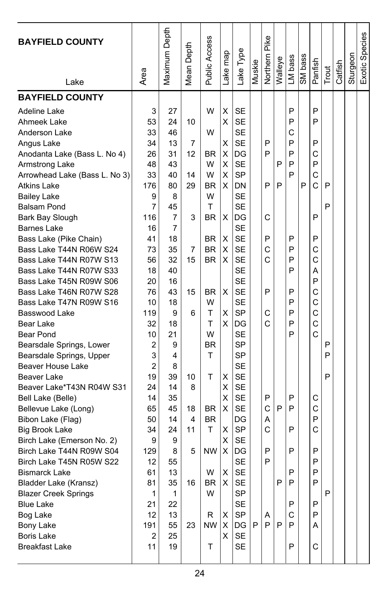| <b>BAYFIELD COUNTY</b><br>Lake | Area | Maximum Depth  | Depth<br>Mean I | Public Access | ake map | Lake Type | Muskie | Northern Pike | Walleye | LM bass | SM bass | Panfish | Trout | Catfish | Sturgeon | Exotic Species |
|--------------------------------|------|----------------|-----------------|---------------|---------|-----------|--------|---------------|---------|---------|---------|---------|-------|---------|----------|----------------|
| <b>BAYFIELD COUNTY</b>         |      |                |                 |               |         |           |        |               |         |         |         |         |       |         |          |                |
|                                |      |                |                 |               |         |           |        |               |         |         |         |         |       |         |          |                |
| Adeline Lake                   | 3    | 27             |                 | W             | Χ       | <b>SE</b> |        |               |         | P       |         | P       |       |         |          |                |
| Ahmeek Lake                    | 53   | 24             | 10              |               | X       | <b>SE</b> |        |               |         | P       |         | P       |       |         |          |                |
| Anderson Lake                  | 33   | 46             |                 | W             |         | <b>SE</b> |        |               |         | С       |         |         |       |         |          |                |
| Angus Lake                     | 34   | 13             | 7               |               | Χ       | <b>SE</b> |        | P             |         | P       |         | P       |       |         |          |                |
| Anodanta Lake (Bass L. No 4)   | 26   | 31             | 12              | BR            | X       | DG        |        | P             |         | P       |         | С       |       |         |          |                |
| Armstrong Lake                 | 48   | 43             |                 | W             | X       | <b>SE</b> |        |               | P       | P       |         | P       |       |         |          |                |
| Arrowhead Lake (Bass L. No 3)  | 33   | 40             | 14              | W             | X       | <b>SP</b> |        |               |         | P       |         | C       |       |         |          |                |
| Atkins Lake                    | 176  | 80             | 29              | BR            | X       | DN        |        | P             | P       |         | P       | C       | P     |         |          |                |
| <b>Bailey Lake</b>             | 9    | 8              |                 | W             |         | <b>SE</b> |        |               |         |         |         |         |       |         |          |                |
| <b>Balsam Pond</b>             | 7    | 45             |                 | T             |         | <b>SE</b> |        |               |         |         |         |         | P     |         |          |                |
| Bark Bay Slough                | 116  | $\overline{7}$ | 3               | BR            | X       | DG        |        | C             |         |         |         | P       |       |         |          |                |
| <b>Barnes Lake</b>             | 16   | 7              |                 |               |         | <b>SE</b> |        |               |         |         |         |         |       |         |          |                |
| Bass Lake (Pike Chain)         | 41   | 18             |                 | BR            | X       | <b>SE</b> |        | P             |         | P       |         | P       |       |         |          |                |
| Bass Lake T44N R06W S24        | 73   | 35             | 7               | <b>BR</b>     | X       | <b>SE</b> |        | C             |         | P       |         | C       |       |         |          |                |
| Bass Lake T44N R07W S13        | 56   | 32             | 15              | <b>BR</b>     | X       | <b>SE</b> |        | Ć             |         | P       |         | C       |       |         |          |                |
| Bass Lake T44N R07W S33        | 18   | 40             |                 |               |         | <b>SE</b> |        |               |         | P       |         | А       |       |         |          |                |
| Bass Lake T45N R09W S06        | 20   | 16             |                 |               |         | <b>SE</b> |        |               |         |         |         | P       |       |         |          |                |
| Bass Lake T46N R07W S28        | 76   | 43             | 15              | ΒR            | х       | <b>SE</b> |        | P             |         | P       |         | C       |       |         |          |                |
| Bass Lake T47N R09W S16        | 10   | 18             |                 | W             |         | <b>SE</b> |        |               |         | P       |         | C       |       |         |          |                |
| Basswood Lake                  | 119  | 9              | 6               | т             | Χ       | <b>SP</b> |        | C             |         | P       |         | C       |       |         |          |                |
| Bear Lake                      | 32   | 18             |                 | T             | х       | DG        |        | Ċ             |         | P       |         | C       |       |         |          |                |
| Bear Pond                      | 10   | 21             |                 | W             |         | <b>SE</b> |        |               |         | P       |         | Ć       |       |         |          |                |
| Bearsdale Springs, Lower       | 2    | 9              |                 | BR            |         | <b>SP</b> |        |               |         |         |         |         | P     |         |          |                |
| Bearsdale Springs, Upper       | 3    | 4              |                 | T             |         | SP        |        |               |         |         |         |         | P     |         |          |                |
| Beaver House Lake              | 2    | 8              |                 |               |         | <b>SE</b> |        |               |         |         |         |         |       |         |          |                |
| Beaver Lake                    | 19   | 39             | 10              | T             | х       | <b>SE</b> |        |               |         |         |         |         | P     |         |          |                |
| Beaver Lake*T43N R04W S31      | 24   | 14             | 8               |               | х       | <b>SE</b> |        |               |         |         |         |         |       |         |          |                |
| Bell Lake (Belle)              | 14   | 35             |                 |               | Χ       | <b>SE</b> |        | P             |         | P       |         | С       |       |         |          |                |
| Bellevue Lake (Long)           | 65   | 45             | 18              | <b>BR</b>     | X       | <b>SE</b> |        | C             | P       | P       |         | C       |       |         |          |                |
| Bibon Lake (Flag)              | 50   | 14             | 4               | <b>BR</b>     |         | DG        |        | Α             |         |         |         | P       |       |         |          |                |
| <b>Big Brook Lake</b>          | 34   | 24             | 11              | т             | Χ       | <b>SP</b> |        | Ċ             |         | P       |         | C       |       |         |          |                |
| Birch Lake (Emerson No. 2)     | 9    | 9              |                 |               | X       | <b>SE</b> |        |               |         |         |         |         |       |         |          |                |
| Birch Lake T44N R09W S04       | 129  | 8              | 5               | <b>NW</b>     | X       | DG        |        | P             |         | P       |         | P       |       |         |          |                |
| Birch Lake T45N R05W S22       | 12   | 55             |                 |               |         | <b>SE</b> |        | P             |         |         |         | P       |       |         |          |                |
| Bismarck Lake                  | 61   | 13             |                 | W             | Χ       | SE        |        |               |         | Ρ       |         | ۲       |       |         |          |                |
| Bladder Lake (Kransz)          | 81   | 35             | 16              | BR            | X       | SE        |        |               | P       | P       |         | P       |       |         |          |                |
| <b>Blazer Creek Springs</b>    | 1    | 1              |                 | W             |         | SP        |        |               |         |         |         |         | P     |         |          |                |
| <b>Blue Lake</b>               | 21   | 22             |                 |               |         | SE        |        |               |         | P       |         | P       |       |         |          |                |
| Bog Lake                       | 12   | 13             |                 | R             | Χ       | SP        |        | A             |         | С       |         | P       |       |         |          |                |
| Bony Lake                      | 191  | 55             | 23              | NW            | Χ       | DG        | P      | P             | P       | P       |         | A       |       |         |          |                |
| Boris Lake                     | 2    | 25             |                 |               | X       | SE        |        |               |         |         |         |         |       |         |          |                |
| <b>Breakfast Lake</b>          | 11   | 19             |                 | Τ             |         | SE        |        |               |         | Ρ       |         | С       |       |         |          |                |
|                                |      |                |                 |               |         |           |        |               |         |         |         |         |       |         |          |                |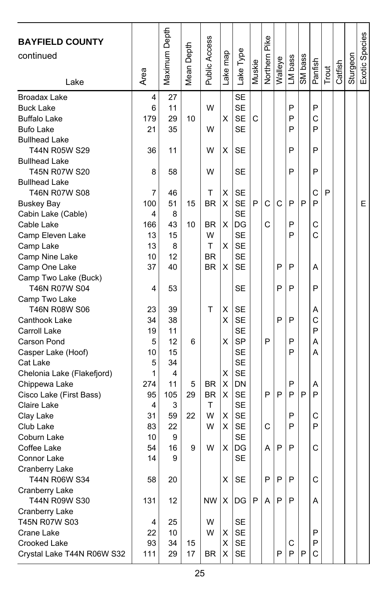| <b>BAYFIELD COUNTY</b><br>continued |      | Maximum Depth | Mean Depth | Public Access |         |           |        | Northern Pike |         |         |         |         |       |         |          | Exotic Species |
|-------------------------------------|------|---------------|------------|---------------|---------|-----------|--------|---------------|---------|---------|---------|---------|-------|---------|----------|----------------|
|                                     |      |               |            |               |         |           |        |               |         |         |         |         |       |         |          |                |
|                                     | Area |               |            |               | ake map | Lake Type | Muskie |               | Walleye | LM bass | SM bass | Panfish | Trout | Catfish | Sturgeon |                |
| Lake                                |      |               |            |               |         |           |        |               |         |         |         |         |       |         |          |                |
| Broadax Lake                        | 4    | 27            |            |               |         | <b>SE</b> |        |               |         |         |         |         |       |         |          |                |
| <b>Buck Lake</b>                    | 6    | 11            |            | W             |         | <b>SE</b> |        |               |         | P       |         | P       |       |         |          |                |
| <b>Buffalo Lake</b>                 | 179  | 29            | 10         |               | Χ       | <b>SE</b> | C      |               |         | P       |         | C       |       |         |          |                |
| <b>Bufo Lake</b>                    | 21   | 35            |            | W             |         | <b>SE</b> |        |               |         | P       |         | P       |       |         |          |                |
| <b>Bullhead Lake</b>                |      |               |            |               |         |           |        |               |         |         |         |         |       |         |          |                |
| T44N R05W S29                       | 36   | 11            |            | W             | х       | SЕ        |        |               |         | P       |         | P       |       |         |          |                |
| <b>Bullhead Lake</b>                |      |               |            |               |         |           |        |               |         |         |         |         |       |         |          |                |
| T45N R07W S20                       | 8    | 58            |            | W             |         | <b>SE</b> |        |               |         | P       |         | P       |       |         |          |                |
| <b>Bullhead Lake</b>                |      |               |            |               |         |           |        |               |         |         |         |         |       |         |          |                |
| <b>T46N R07W S08</b>                | 7    | 46            |            | т             | X       | <b>SE</b> |        |               |         |         |         | C       | P     |         |          |                |
| <b>Buskey Bay</b>                   | 100  | 51            | 15         | <b>BR</b>     | X       | <b>SE</b> | P      | C             | C       | P       | P       | P       |       |         |          | E              |
| Cabin Lake (Cable)                  | 4    | 8             |            |               |         | <b>SE</b> |        |               |         |         |         |         |       |         |          |                |
| Cable Lake                          | 166  | 43            | 10         | <b>BR</b>     | X       | DG        |        | C             |         | P       |         | C       |       |         |          |                |
| Camp Eleven Lake                    | 13   | 15            |            | W             |         | <b>SE</b> |        |               |         | P       |         | C       |       |         |          |                |
| Camp Lake                           | 13   | 8             |            | т             | X       | <b>SE</b> |        |               |         |         |         |         |       |         |          |                |
| Camp Nine Lake                      | 10   | 12            |            | <b>BR</b>     |         | <b>SE</b> |        |               |         |         |         |         |       |         |          |                |
| Camp One Lake                       | 37   | 40            |            | <b>BR</b>     | х       | <b>SE</b> |        |               | P       | P       |         | A       |       |         |          |                |
| Camp Two Lake (Buck)                |      |               |            |               |         |           |        |               |         |         |         |         |       |         |          |                |
| <b>T46N R07W S04</b>                | 4    | 53            |            |               |         | <b>SE</b> |        |               | P       | P       |         | P       |       |         |          |                |
| Camp Two Lake                       |      |               |            |               |         |           |        |               |         |         |         |         |       |         |          |                |
| T46N R08W S06                       | 23   | 39            |            | T             | х       | <b>SE</b> |        |               |         |         |         | Α       |       |         |          |                |
| Canthook Lake                       | 34   | 38            |            |               | X       | <b>SE</b> |        |               | P       | P       |         | C       |       |         |          |                |
| Carroll Lake                        | 19   | 11            |            |               |         | <b>SE</b> |        |               |         |         |         | P       |       |         |          |                |
| Carson Pond                         | 5    | 12            | 6          |               | X       | <b>SP</b> |        | P             |         | P       |         | А       |       |         |          |                |
| Casper Lake (Hoof)                  | 10   | 15            |            |               |         | <b>SE</b> |        |               |         | P       |         | А       |       |         |          |                |
| Cat Lake                            | 5    | 34            |            |               |         | <b>SE</b> |        |               |         |         |         |         |       |         |          |                |
| Chelonia Lake (Flakefjord)          | 1    | 4             |            |               | Χ       | <b>SE</b> |        |               |         |         |         |         |       |         |          |                |
| Chippewa Lake                       | 274  | 11            | 5          | BR            | х       | DN        |        |               |         | P       |         | Α       |       |         |          |                |
| Cisco Lake (First Bass)             | 95   | 105           | 29         | <b>BR</b>     | х       | <b>SE</b> |        | P             | P       | P       | P       | P       |       |         |          |                |
| Claire Lake                         | 4    | 3             |            | т             |         | <b>SE</b> |        |               |         |         |         |         |       |         |          |                |
| Clay Lake                           | 31   | 59            | 22         | W             | X       | <b>SE</b> |        |               |         | P       |         | C       |       |         |          |                |
| Club Lake                           | 83   | 22            |            | W             | X       | <b>SE</b> |        | C             |         | P       |         | P       |       |         |          |                |
| Coburn Lake                         | 10   | 9             |            |               |         | <b>SE</b> |        |               |         |         |         |         |       |         |          |                |
| Coffee Lake                         | 54   | 16            | 9          | W             | X       | DG        |        | А             | P       | P       |         | C       |       |         |          |                |
| Connor Lake                         | 14   | 9             |            |               |         | <b>SE</b> |        |               |         |         |         |         |       |         |          |                |
| Cranberry Lake                      |      |               |            |               |         |           |        |               |         |         |         |         |       |         |          |                |
| <b>T44N R06W S34</b>                | 58   | 20            |            |               | X       | SE        |        | P             | P       | P       |         | С       |       |         |          |                |
| Cranberry Lake                      |      |               |            |               |         |           |        |               |         |         |         |         |       |         |          |                |
| T44N R09W S30                       | 131  | 12            |            | <b>NW</b>     | Χ       | DG        | P      | Α             | P       | P       |         | A       |       |         |          |                |
| Cranberry Lake                      |      |               |            |               |         |           |        |               |         |         |         |         |       |         |          |                |
| T45N R07W S03                       | 4    | 25            |            | W             |         | SE        |        |               |         |         |         |         |       |         |          |                |
| Crane Lake                          | 22   | 10            |            | W             | х       | SE        |        |               |         |         |         | P       |       |         |          |                |
| Crooked Lake                        | 93   | 34            | 15         |               | X       | SE        |        |               |         | С       |         | P       |       |         |          |                |
| Crystal Lake T44N R06W S32          | 111  | 29            | 17         | BR.           | X       | SE        |        |               | P       | P       | P       | C       |       |         |          |                |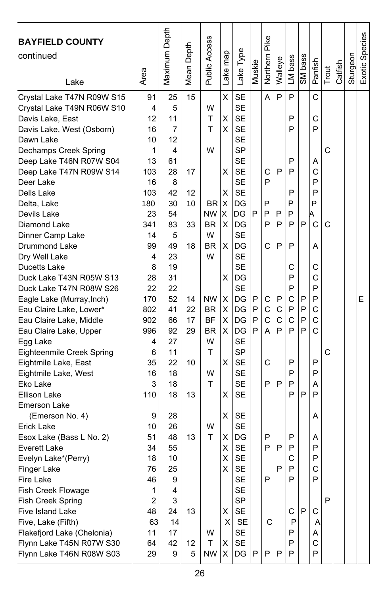| <b>BAYFIELD COUNTY</b><br>continued<br>Lake                                                                                                                                                                                                                                                                                           | Area                                                                                       | Maximum Depth                                                                     | Depth<br>Mean I                  | Public Access                                                       | Lake map                                         | Lake Type                                                                                                                                                           | Muskie           | Pike<br>Northern                      | Walleye               | LM bass                                             | SM bass               | Panfish                                              | Trout  | Catfish | Sturgeon | Exotic Species |
|---------------------------------------------------------------------------------------------------------------------------------------------------------------------------------------------------------------------------------------------------------------------------------------------------------------------------------------|--------------------------------------------------------------------------------------------|-----------------------------------------------------------------------------------|----------------------------------|---------------------------------------------------------------------|--------------------------------------------------|---------------------------------------------------------------------------------------------------------------------------------------------------------------------|------------------|---------------------------------------|-----------------------|-----------------------------------------------------|-----------------------|------------------------------------------------------|--------|---------|----------|----------------|
| Crystal Lake T47N R09W S15<br>Crystal Lake T49N R06W S10<br>Davis Lake, East<br>Davis Lake, West (Osborn)<br>Dawn Lake<br>Dechamps Creek Spring<br>Deep Lake T46N R07W S04<br>Deep Lake T47N R09W S14<br>Deer Lake<br>Dells Lake<br>Delta, Lake<br>Devils Lake<br>Diamond Lake<br>Dinner Camp Lake<br><b>Drummond Lake</b>            | 91<br>4<br>12<br>16<br>10<br>1<br>13<br>103<br>16<br>103<br>180<br>23<br>341<br>14<br>99   | 25<br>5<br>11<br>7<br>12<br>4<br>61<br>28<br>8<br>42<br>30<br>54<br>83<br>5<br>49 | 15<br>17<br>12<br>10<br>33<br>18 | W<br>Т<br>T<br>W<br>BR.<br><b>NW</b><br><b>BR</b><br>W<br><b>BR</b> | X<br>Χ<br>X<br>х<br>X<br>X<br>X<br>X<br>X        | <b>SE</b><br><b>SE</b><br><b>SE</b><br><b>SE</b><br><b>SE</b><br><b>SP</b><br><b>SE</b><br><b>SE</b><br><b>SE</b><br><b>SE</b><br>DG<br>DG<br>DG<br><b>SE</b><br>DG | P                | A<br>C<br>P<br>P<br>P<br>P<br>C       | P<br>P<br>P<br>P<br>P | P<br>P<br>P<br>P<br>P<br>P<br>P<br>P<br>P<br>P      | P                     | C<br>C<br>P<br>А<br>C<br>P<br>P<br>P<br>А.<br>C<br>A | C<br>C |         |          |                |
| Dry Well Lake<br>Ducetts Lake<br>Duck Lake T43N R05W S13<br>Duck Lake T47N R08W S26<br>Eagle Lake (Murray, Inch)<br>Eau Claire Lake, Lower*<br>Eau Claire Lake, Middle<br>Eau Claire Lake, Upper<br>Egg Lake<br>Eighteenmile Creek Spring<br>Eightmile Lake, East<br>Eightmile Lake, West<br>Eko Lake<br>Ellison Lake<br>Emerson Lake | 4<br>8<br>28<br>22<br>170<br>802<br>902<br>996<br>4<br>6<br>35<br>16<br>3<br>110           | 23<br>19<br>31<br>22<br>52<br>41<br>66<br>92<br>27<br>11<br>22<br>18<br>18<br>18  | 14<br>22<br>17<br>29<br>10<br>13 | W<br>NW<br>BR<br><b>BF</b><br><b>BR</b><br>W<br>т<br>W<br>T         | X<br>х<br>X<br>X<br>X<br>X<br>х                  | <b>SE</b><br><b>SE</b><br>DG<br><b>SE</b><br>DG<br>DG<br>DG<br>DG<br><b>SE</b><br><b>SP</b><br><b>SE</b><br><b>SE</b><br><b>SE</b><br><b>SE</b>                     | P<br>P<br>P<br>P | С<br>$\mathsf{C}$<br>C<br>A<br>C<br>P | P<br>C<br>C<br>P<br>P | С<br>P<br>P<br>C<br>P<br>C<br>P<br>P<br>P<br>P<br>P | P<br>P<br>P<br>P<br>P | C<br>C<br>P<br>P<br>C<br>C<br>C<br>P<br>P<br>A<br>P  | C      |         |          | E              |
| (Emerson No. 4)<br>Erick Lake<br>Esox Lake (Bass L No. 2)<br><b>Everett Lake</b><br>Evelyn Lake*(Perry)<br>Finger Lake<br>Fire Lake<br>Fish Creek Flowage<br>Fish Creek Spring<br>Five Island Lake<br>Five, Lake (Fifth)<br>Flakefjord Lake (Chelonia)<br>Flynn Lake T45N R07W S30<br>Flynn Lake T46N R08W S03                        | 9<br>10<br>51<br>34<br>18<br>76<br>46<br>1<br>$\overline{2}$<br>48<br>63<br>11<br>64<br>29 | 28<br>26<br>48<br>55<br>10<br>25<br>9<br>4<br>3<br>24<br>14<br>17<br>42<br>9      | 13<br>13<br>12<br>5              | W<br>Т<br>W<br>т<br><b>NW</b>                                       | X<br>х<br>X<br>X<br>Χ<br>X<br>$\times$<br>X<br>X | <b>SE</b><br><b>SE</b><br>DG<br><b>SE</b><br><b>SE</b><br><b>SE</b><br>SE<br><b>SE</b><br>SP<br>SE<br><b>SE</b><br>SE<br>SE<br>DG                                   | P                | P<br>P<br>P<br>С<br>P                 | P<br>P<br>P           | P<br>P<br>C<br>P<br>P<br>С<br>P<br>P<br>P<br>P      | P                     | А<br>Α<br>P<br>P<br>C<br>P<br>С<br>A<br>A<br>C<br>P  | P      |         |          |                |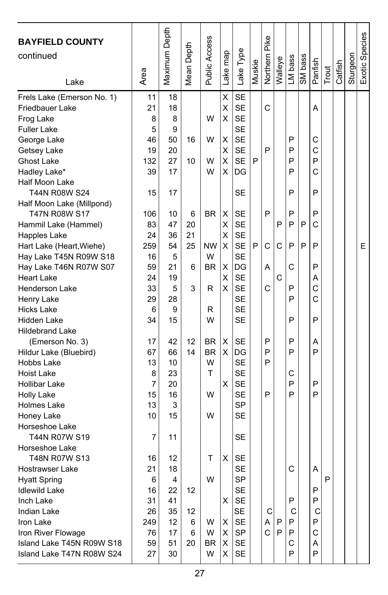| <b>BAYFIELD COUNTY</b><br>continued<br>Lake | Area     | Maximum Depth | Mean Depth | Public Access | Lake map | Lake Type              | Muskie | Northern Pike | Walleye | LM bass | SM bass | Panfish | Trout        | Catfish | Sturgeon | Exotic Species |
|---------------------------------------------|----------|---------------|------------|---------------|----------|------------------------|--------|---------------|---------|---------|---------|---------|--------------|---------|----------|----------------|
| Frels Lake (Emerson No. 1)                  | 11       | 18            |            |               | X        | <b>SE</b>              |        |               |         |         |         |         |              |         |          |                |
| Friedbauer Lake                             | 21       | 18            |            |               | Χ        | <b>SE</b>              |        | C             |         |         |         | Α       |              |         |          |                |
| Frog Lake                                   | 8        | 8             |            | W             | х        | <b>SE</b>              |        |               |         |         |         |         |              |         |          |                |
| <b>Fuller Lake</b>                          | 5        | 9             |            |               |          | <b>SE</b>              |        |               |         |         |         |         |              |         |          |                |
| George Lake                                 | 46       | 50            | 16         | W             | Χ        | <b>SE</b>              |        |               |         | P       |         | С       |              |         |          |                |
| Getsey Lake                                 | 19       | 20            |            |               | X        | <b>SE</b>              |        | P             |         | P       |         | C       |              |         |          |                |
| <b>Ghost Lake</b>                           | 132      | 27            | 10         | W             | Χ        | <b>SE</b>              | P      |               |         | P       |         | P       |              |         |          |                |
| Hadley Lake*                                | 39       | 17            |            | W             | X        | DG                     |        |               |         | P       |         | C       |              |         |          |                |
| Half Moon Lake                              |          |               |            |               |          |                        |        |               |         |         |         |         |              |         |          |                |
| T44N R08W S24                               | 15       | 17            |            |               |          | SE                     |        |               |         | P       |         | P       |              |         |          |                |
| Half Moon Lake (Millpond)                   |          |               |            |               |          |                        |        |               |         |         |         |         |              |         |          |                |
| T47N R08W S17                               | 106      | 10            | 6          | <b>BR</b>     | Χ        | SE                     |        | P             |         | P       |         | P       |              |         |          |                |
| Hammil Lake (Hammel)                        | 83       | 47            | 20         |               | Χ        | <b>SE</b>              |        |               | P       | P       | P       | C       |              |         |          |                |
| Happles Lake                                | 24       | 36            | 21         |               | Χ        | <b>SE</b>              |        |               |         |         |         |         |              |         |          |                |
| Hart Lake (Heart, Wiehe)                    | 259      | 54            | 25         | <b>NW</b>     | X        | <b>SE</b>              | P      | C             | C       | P       | P       | P       |              |         |          | E              |
| Hay Lake T45N R09W S18                      | 16       | 5             |            | W             |          | <b>SE</b>              |        |               |         |         |         |         |              |         |          |                |
| Hay Lake T46N R07W S07                      | 59       | 21            | 6          | <b>BR</b>     | х        | DG                     |        | A             |         | C       |         | P       |              |         |          |                |
| <b>Heart Lake</b>                           | 24       | 19            |            |               | X        | <b>SE</b>              |        |               | C       |         |         | Α       |              |         |          |                |
| Henderson Lake                              | 33       | 5             | 3          | R             | X        | <b>SE</b>              |        | C             |         | P       |         | C       |              |         |          |                |
| Henry Lake                                  | 29       | 28            |            |               |          | <b>SE</b>              |        |               |         | P       |         | C       |              |         |          |                |
| <b>Hicks Lake</b>                           | 6        | 9             |            | R             |          | <b>SE</b>              |        |               |         |         |         |         |              |         |          |                |
| Hidden Lake                                 | 34       | 15            |            | W             |          | <b>SE</b>              |        |               |         | P       |         | P       |              |         |          |                |
| <b>Hildebrand Lake</b>                      |          |               |            |               |          |                        |        |               |         |         |         |         |              |         |          |                |
| (Emerson No. 3)                             | 17       | 42            | 12         | <b>BR</b>     | х        | SE                     |        | P             |         | P       |         | Α       |              |         |          |                |
| Hildur Lake (Bluebird)                      | 67       | 66            | 14         | <b>BR</b>     | X        | DG                     |        | P             |         | P       |         | P       |              |         |          |                |
| Hobbs Lake                                  | 13       | 10            |            | W             |          | <b>SE</b>              |        | P             |         |         |         |         |              |         |          |                |
| Hoist Lake                                  | 8        | 23            |            | T             |          | <b>SE</b>              |        |               |         | C       |         |         |              |         |          |                |
| <b>Hollibar Lake</b>                        | 7        | 20            |            |               | X        | <b>SE</b>              |        |               |         | P       |         | P       |              |         |          |                |
| <b>Holly Lake</b>                           | 15<br>13 | 16<br>3       |            | W             |          | <b>SE</b><br><b>SP</b> |        | P             |         | P       |         | P       |              |         |          |                |
| Holmes Lake                                 |          | 15            |            | W             |          | <b>SE</b>              |        |               |         |         |         |         |              |         |          |                |
| Honey Lake<br>Horseshoe Lake                | 10       |               |            |               |          |                        |        |               |         |         |         |         |              |         |          |                |
| T44N R07W S19                               | 7        | 11            |            |               |          | SE                     |        |               |         |         |         |         |              |         |          |                |
| Horseshoe Lake                              |          |               |            |               |          |                        |        |               |         |         |         |         |              |         |          |                |
| T48N R07W S13                               | 16       | 12            |            | т             | Χ        | <b>SE</b>              |        |               |         |         |         |         |              |         |          |                |
| Hostrawser Lake                             | 21       | 18            |            |               |          | <b>SE</b>              |        |               |         | C.      |         | A       |              |         |          |                |
| <b>Hyatt Spring</b>                         | 6        | 4             |            | W             |          | SP                     |        |               |         |         |         |         | $\mathsf{P}$ |         |          |                |
| <b>Idlewild Lake</b>                        | 16       | 22            | 12         |               |          | <b>SE</b>              |        |               |         |         |         | P       |              |         |          |                |
| Inch Lake                                   | 31       | 41            |            |               | X        | <b>SE</b>              |        |               |         | P       |         | P       |              |         |          |                |
| Indian Lake                                 | 26       | 35            | 12         |               |          | <b>SE</b>              |        | С             |         | С       |         | С       |              |         |          |                |
| Iron Lake                                   | 249      | 12            | 6          | W             | х        | <b>SE</b>              |        | Α             | P       | P       |         | P       |              |         |          |                |
| Iron River Flowage                          | 76       | 17            | 6          | W             | X        | SP                     |        | $\mathsf{C}$  | P       | P       |         | С       |              |         |          |                |
| Island Lake T45N R09W S18                   | 59       | 51            | 20         | BR            | X        | <b>SE</b>              |        |               |         | C       |         | Α       |              |         |          |                |
| Island Lake T47N R08W S24                   | 27       | 30            |            | W             | X        | <b>SE</b>              |        |               |         | P       |         | P       |              |         |          |                |
|                                             |          |               |            |               |          |                        |        |               |         |         |         |         |              |         |          |                |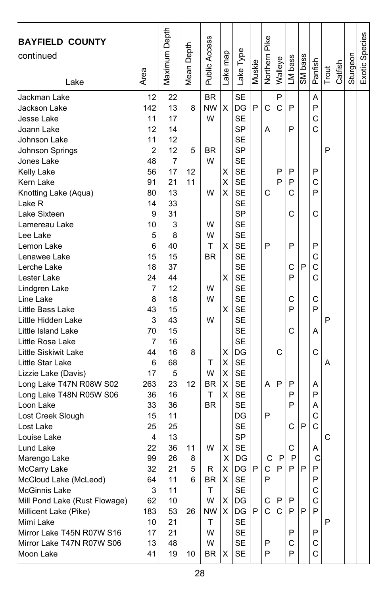| <b>BAYFIELD COUNTY</b><br>continued<br>Lake                                                                                                                                                                                                                                                                                                                                                                                                                                                                                                                                                                                                                                                                                                                   | Area                                                                                                                                                                                                                                       | Maximum Depth                                                                                                                                                                                                                                  | Mean Depth                                               | Public Access                                                                                                                                                 | Lake map                                                                               | Lake Type                                                                                                                                                                                                                                                                                                                                                                                                                                                                           | Muskie      | Northern Pike                                        | Walleye                                                    | LM bass                                                                                               | SM bass          | Panfish                                                                                                                                             | Trout                 | Catfish | Sturgeon | Exotic Species |
|---------------------------------------------------------------------------------------------------------------------------------------------------------------------------------------------------------------------------------------------------------------------------------------------------------------------------------------------------------------------------------------------------------------------------------------------------------------------------------------------------------------------------------------------------------------------------------------------------------------------------------------------------------------------------------------------------------------------------------------------------------------|--------------------------------------------------------------------------------------------------------------------------------------------------------------------------------------------------------------------------------------------|------------------------------------------------------------------------------------------------------------------------------------------------------------------------------------------------------------------------------------------------|----------------------------------------------------------|---------------------------------------------------------------------------------------------------------------------------------------------------------------|----------------------------------------------------------------------------------------|-------------------------------------------------------------------------------------------------------------------------------------------------------------------------------------------------------------------------------------------------------------------------------------------------------------------------------------------------------------------------------------------------------------------------------------------------------------------------------------|-------------|------------------------------------------------------|------------------------------------------------------------|-------------------------------------------------------------------------------------------------------|------------------|-----------------------------------------------------------------------------------------------------------------------------------------------------|-----------------------|---------|----------|----------------|
| Jackman Lake<br>Jackson Lake<br>Jesse Lake<br>Joann Lake<br>Johnson Lake<br>Johnson Springs<br>Jones Lake<br>Kelly Lake<br>Kern Lake<br>Knotting Lake (Aqua)<br>Lake R<br>Lake Sixteen<br>Lamereau Lake<br>Lee Lake<br>Lemon Lake<br>Lenawee Lake<br>Lerche Lake<br>Lester Lake<br>Lindgren Lake<br>Line Lake<br>Little Bass Lake<br>Little Hidden Lake<br>Little Island Lake<br>Little Rosa Lake<br>Little Siskiwit Lake<br>Little Star Lake<br>Lizzie Lake (Davis)<br>Long Lake T47N R08W S02<br>Long Lake T48N R05W S06<br>Loon Lake<br>Lost Creek Slough<br>Lost Lake<br>Louise Lake<br>Lund Lake<br>Marengo Lake<br>McCarry Lake<br>McCloud Lake (McLeod)<br><b>McGinnis Lake</b><br>Mill Pond Lake (Rust Flowage)<br>Millicent Lake (Pike)<br>Mimi Lake | 12<br>142<br>11<br>12<br>11<br>2<br>48<br>56<br>91<br>80<br>14<br>9<br>10<br>5<br>6<br>15<br>18<br>24<br>7<br>8<br>43<br>3<br>70<br>7<br>44<br>6<br>17<br>263<br>36<br>33<br>15<br>25<br>4<br>22<br>99<br>32<br>64<br>3<br>62<br>183<br>10 | 22<br>13<br>17<br>14<br>12<br>12<br>7<br>17<br>21<br>13<br>33<br>31<br>3<br>8<br>40<br>15<br>37<br>44<br>12<br>18<br>15<br>43<br>15<br>16<br>16<br>68<br>5<br>23<br>16<br>36<br>11<br>25<br>13<br>36<br>26<br>21<br>11<br>11<br>10<br>53<br>21 | 8<br>5<br>12<br>11<br>8<br>12<br>11<br>8<br>5<br>6<br>26 | <b>BR</b><br><b>NW</b><br>W<br><b>BR</b><br>W<br>W<br>W<br>W<br>т<br>BR<br>W<br>W<br>W<br>т<br>W<br>BR<br>T<br><b>BR</b><br>W<br>R<br>BR<br>Τ<br>W<br>NW<br>Τ | X<br>Χ<br>X<br>X<br>х<br>X<br>х<br>X<br>X<br>Χ<br>х<br>X<br>х<br>X<br>X<br>Χ<br>х<br>X | <b>SE</b><br>DG<br><b>SE</b><br><b>SP</b><br><b>SE</b><br>SP<br><b>SE</b><br><b>SE</b><br><b>SE</b><br><b>SE</b><br><b>SE</b><br>SP<br><b>SE</b><br><b>SE</b><br><b>SE</b><br><b>SE</b><br><b>SE</b><br><b>SE</b><br><b>SE</b><br><b>SE</b><br><b>SE</b><br><b>SE</b><br><b>SE</b><br><b>SE</b><br>DG<br><b>SE</b><br><b>SE</b><br><b>SE</b><br><b>SE</b><br><b>SE</b><br>DG<br>SE<br><b>SP</b><br><b>SE</b><br>DG<br>$\overline{DG}$ I<br><b>SE</b><br><b>SE</b><br>DG<br>DG<br>SE | P<br>P<br>P | C<br>A<br>С<br>P<br>A<br>P<br>C<br>C.<br>P<br>С<br>C | P<br>C<br>P<br>P<br>С<br>P<br>P<br>P<br>P.<br>$\mathsf{C}$ | P<br>P<br>P<br>P<br>С<br>C<br>P<br>С<br>P<br>С<br>P<br>C<br>P<br>P<br>P<br>С<br>С<br>P<br>P<br>P<br>P | P<br>P<br>P<br>P | Α<br>P<br>C<br>Ċ<br>P<br>C<br>P<br>C<br>P<br>С<br>C<br>C<br>С<br>P<br>А<br>C<br>Α<br>P<br>Α<br>C<br>C<br>Α<br>С<br>P<br>P<br>С<br>$\mathsf{C}$<br>P | P<br>P<br>Α<br>С<br>P |         |          |                |
| Mirror Lake T45N R07W S16<br>Mirror Lake T47N R07W S06<br>Moon Lake                                                                                                                                                                                                                                                                                                                                                                                                                                                                                                                                                                                                                                                                                           | 17<br>13<br>41                                                                                                                                                                                                                             | 21<br>48<br>19                                                                                                                                                                                                                                 | 10                                                       | W<br>W<br><b>BR</b>                                                                                                                                           | х                                                                                      | SE<br>SE<br>SE                                                                                                                                                                                                                                                                                                                                                                                                                                                                      |             | P<br>P                                               |                                                            | Ρ<br>С<br>P                                                                                           |                  | P<br>С<br>C                                                                                                                                         |                       |         |          |                |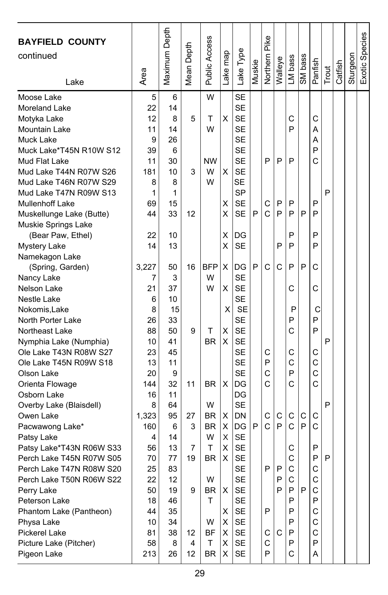| <b>BAYFIELD COUNTY</b><br>continued<br>Lake                                                                                                                                                                                                                                                                                            | Area                                                                                            | Maximum Depth                                                                              | Depth<br>Mean <sub>l</sub>               | Public Access                                                                            | ake map                                             | Lake Type                                                                                                                                               | Muskie | Northern Pike                   | Walleye                    | LM bass                                                       | SM bass     | Panfish                                                       | Trout  | Catfish | Sturgeon | Exotic Species |
|----------------------------------------------------------------------------------------------------------------------------------------------------------------------------------------------------------------------------------------------------------------------------------------------------------------------------------------|-------------------------------------------------------------------------------------------------|--------------------------------------------------------------------------------------------|------------------------------------------|------------------------------------------------------------------------------------------|-----------------------------------------------------|---------------------------------------------------------------------------------------------------------------------------------------------------------|--------|---------------------------------|----------------------------|---------------------------------------------------------------|-------------|---------------------------------------------------------------|--------|---------|----------|----------------|
| Moose Lake<br>Moreland Lake<br>Motyka Lake<br>Mountain Lake<br>Muck Lake<br>Muck Lake*T45N R10W S12<br>Mud Flat Lake<br>Mud Lake T44N R07W S26<br>Mud Lake T46N R07W S29<br>Mud Lake T47N R09W S13<br><b>Mullenhoff Lake</b><br>Muskellunge Lake (Butte)<br>Muskie Springs Lake<br>(Bear Paw, Ethel)                                   | 5<br>22<br>12<br>11<br>9<br>39<br>11<br>181<br>8<br>1<br>69<br>44<br>22                         | 6<br>14<br>8<br>14<br>26<br>6<br>30<br>10<br>8<br>1<br>15<br>33<br>10                      | 5<br>3<br>12                             | W<br>т<br>W<br><b>NW</b><br>W<br>W                                                       | Χ<br>X<br>X<br>x<br>Χ                               | <b>SE</b><br><b>SE</b><br><b>SE</b><br><b>SE</b><br><b>SE</b><br>SE<br><b>SE</b><br><b>SE</b><br><b>SE</b><br><b>SP</b><br><b>SE</b><br><b>SE</b><br>DG | P      | P<br>C<br>C                     | P<br>P<br>P                | C<br>P<br>P<br>P<br>P<br>P                                    | P           | C<br>A<br>A<br>P<br>Ć<br>P<br>P<br>P                          | P      |         |          |                |
| <b>Mystery Lake</b><br>Namekagon Lake<br>(Spring, Garden)<br>Nancy Lake<br>Nelson Lake<br>Nestle Lake<br>Nokomis, Lake<br>North Porter Lake<br>Northeast Lake<br>Nymphia Lake (Numphia)<br>Ole Lake T43N R08W S27<br>Ole Lake T45N R09W S18<br>Olson Lake<br>Orienta Flowage                                                           | 14<br>3,227<br>7<br>21<br>6<br>8<br>26<br>88<br>10<br>23<br>13<br>20<br>144                     | 13<br>50<br>3<br>37<br>10<br>15<br>33<br>50<br>41<br>45<br>11<br>9<br>32                   | 16<br>9<br>11                            | <b>BFP</b><br>W<br>W<br>т<br><b>BR</b><br><b>BR</b>                                      | X<br>X<br>Χ<br>X<br>X<br>X<br>X                     | <b>SE</b><br>DG<br><b>SE</b><br><b>SE</b><br><b>SE</b><br><b>SE</b><br><b>SE</b><br><b>SE</b><br><b>SE</b><br>SE<br><b>SE</b><br><b>SE</b><br>DG        | P      | C<br>С<br>P<br>C<br>Ċ           | P<br>C                     | P<br>P<br>С<br>P<br>P<br>C<br>С<br>C<br>P<br>C                | P           | P<br>C<br>C<br>С<br>P<br>P<br>С<br>C<br>C<br>Ć                | P      |         |          |                |
| Osborn Lake<br>Overby Lake (Blaisdell)<br>Owen Lake<br>Pacwawong Lake*<br>Patsy Lake<br>Patsy Lake*T43N R06W S33<br>Perch Lake T45N R07W S05<br>Perch Lake T47N R08W S20<br>Perch Lake T50N R06W S22<br>Perry Lake<br>Peterson Lake<br>Phantom Lake (Pantheon)<br>Physa Lake<br>Pickerel Lake<br>Picture Lake (Pitcher)<br>Pigeon Lake | 16<br>8<br>1,323<br>160<br>4<br>56<br>70<br>25<br>22<br>50<br>18<br>44<br>10<br>81<br>58<br>213 | 11<br>64<br>95<br>6<br>14<br>13<br>77<br>83<br>12<br>19<br>46<br>35<br>34<br>38<br>8<br>26 | 27<br>3<br>7<br>19<br>9<br>12<br>4<br>12 | W<br><b>BR</b><br><b>BR</b><br>W<br>T<br>BR<br>W<br>BR<br>T<br>W<br>BF<br>т<br><b>BR</b> | X<br>х<br>X<br>Χ<br>X<br>X<br>X<br>X<br>X<br>X<br>X | DG<br><b>SE</b><br>DN<br>DG<br><b>SE</b><br><b>SE</b><br><b>SE</b><br>SE<br>SE<br>SE<br><b>SE</b><br>SE<br>SE<br>SE<br><b>SE</b><br>SE                  | P      | С<br>C<br>P<br>P<br>С<br>C<br>P | C<br>P<br>P<br>P<br>P<br>C | C<br>C<br>С<br>C<br>C<br>C<br>P<br>P<br>P<br>P<br>P<br>P<br>С | С<br>P<br>P | C<br>C<br>P<br>P<br>C<br>С<br>C<br>P<br>С<br>C<br>C<br>P<br>A | P<br>P |         |          |                |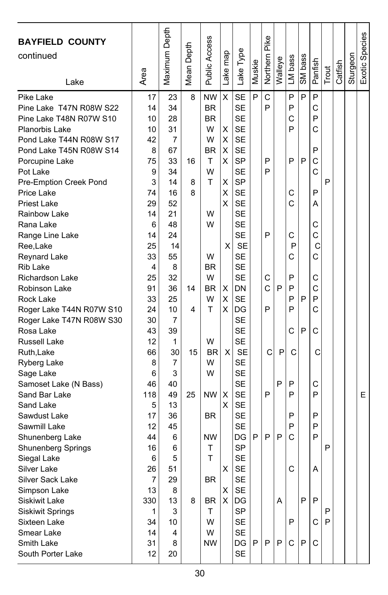| <b>BAYFIELD COUNTY</b><br>continued<br>Lake | Area    | Maximum Depth | Depth<br>Mean I | Public Access | Lake map     | Lake Type              | Muskie | Northern Pike | Walleye | LM bass      | SM bass | Panfish | Trout | Catfish | Sturgeon | Exotic Species |
|---------------------------------------------|---------|---------------|-----------------|---------------|--------------|------------------------|--------|---------------|---------|--------------|---------|---------|-------|---------|----------|----------------|
| Pike Lake                                   | 17      | 23            | 8               | <b>NW</b>     | X            | <b>SE</b>              | P      | C             |         | P            | P       | P       |       |         |          |                |
| Pine Lake T47N R08W S22                     | 14      | 34            |                 | <b>BR</b>     |              | <b>SE</b>              |        | P             |         | P            |         | C       |       |         |          |                |
| Pine Lake T48N R07W S10                     | 10      | 28            |                 | <b>BR</b>     |              | <b>SE</b>              |        |               |         | C            |         | P       |       |         |          |                |
| Planorbis Lake                              | 10      | 31            |                 | W             | X            | <b>SE</b>              |        |               |         | P            |         | C       |       |         |          |                |
| Pond Lake T44N R08W S17                     | 42      | 7             |                 | W             | X            | <b>SE</b>              |        |               |         |              |         |         |       |         |          |                |
| Pond Lake T45N R08W S14                     | 8       | 67            |                 | <b>BR</b>     | X            | SE                     |        |               |         |              |         | P       |       |         |          |                |
| Porcupine Lake                              | 75      | 33            | 16              | т             | X            | <b>SP</b>              |        | P             |         | P            | P       | C       |       |         |          |                |
| Pot Lake                                    | 9       | 34            |                 | W             |              | <b>SE</b>              |        | P             |         |              |         | C       |       |         |          |                |
| Pre-Emption Creek Pond                      | 3<br>74 | 14            | 8<br>8          | т             | X<br>X       | <b>SP</b><br><b>SE</b> |        |               |         |              |         | P       | P     |         |          |                |
| Price Lake<br><b>Priest Lake</b>            | 29      | 16<br>52      |                 |               | X            | <b>SE</b>              |        |               |         | С<br>C       |         | A       |       |         |          |                |
| Rainbow Lake                                | 14      | 21            |                 | W             |              | <b>SE</b>              |        |               |         |              |         |         |       |         |          |                |
| Rana Lake                                   | 6       | 48            |                 | W             |              | <b>SE</b>              |        |               |         |              |         | С       |       |         |          |                |
| Range Line Lake                             | 14      | 24            |                 |               |              | <b>SE</b>              |        | P             |         | C            |         | С       |       |         |          |                |
| Ree,Lake                                    | 25      | 14            |                 |               | $\times$     | <b>SE</b>              |        |               |         | P            |         | С       |       |         |          |                |
| Reynard Lake                                | 33      | 55            |                 | W             |              | <b>SE</b>              |        |               |         | C            |         | Ć       |       |         |          |                |
| <b>Rib Lake</b>                             | 4       | 8             |                 | <b>BR</b>     |              | <b>SE</b>              |        |               |         |              |         |         |       |         |          |                |
| Richardson Lake                             | 25      | 32            |                 | W             |              | <b>SE</b>              |        | C             |         | P            |         | C       |       |         |          |                |
| Robinson Lake                               | 91      | 36            | 14              | <b>BR</b>     | х            | <b>DN</b>              |        | C             | P       | P            |         | Ċ       |       |         |          |                |
| Rock Lake                                   | 33      | 25            |                 | W             | х            | <b>SE</b>              |        |               |         | P            | P       | P       |       |         |          |                |
| Roger Lake T44N R07W S10                    | 24      | 10            | 4               | Т             | X            | DG                     |        | P             |         | P            |         | C       |       |         |          |                |
| Roger Lake T47N R08W S30                    | 30      | 7             |                 |               |              | <b>SE</b>              |        |               |         |              |         |         |       |         |          |                |
| Rosa Lake                                   | 43      | 39            |                 |               |              | <b>SE</b>              |        |               |         | C            | P       | C       |       |         |          |                |
| Russell Lake                                | 12      | 1             |                 | W             |              | <b>SE</b>              |        |               |         |              |         |         |       |         |          |                |
| Ruth, Lake                                  | 66      | 30            | 15              | <b>BR</b>     | $\mathsf{X}$ | <b>SE</b>              |        | С             | P       | C            |         | C       |       |         |          |                |
| Ryberg Lake                                 | 8       | 7             |                 | W             |              | <b>SE</b>              |        |               |         |              |         |         |       |         |          |                |
| Sage Lake                                   | 6       | 3             |                 | W             |              | <b>SE</b>              |        |               |         |              |         |         |       |         |          |                |
| Samoset Lake (N Bass)                       | 46      | 40            |                 |               |              | <b>SE</b>              |        |               | P       | P            |         | С       |       |         |          |                |
| Sand Bar Lake                               | 118     | 49            | 25              | <b>NW</b>     | Х            | <b>SE</b>              |        | P             |         | P            |         | P       |       |         |          | E.             |
| Sand Lake                                   | 5       | 13            |                 |               | X            | <b>SE</b>              |        |               |         |              |         |         |       |         |          |                |
| Sawdust Lake                                | 17      | 36            |                 | <b>BR</b>     |              | <b>SE</b>              |        |               |         | P            |         | P       |       |         |          |                |
| Sawmill Lake                                | 12      | 45            |                 |               |              | <b>SE</b>              |        |               |         | P            |         | P       |       |         |          |                |
| Shunenberg Lake                             | 44      | 6             |                 | <b>NW</b>     |              | DG                     | P      | P             | P       | C            |         | P       |       |         |          |                |
| Shunenberg Springs                          | 16      | 6             |                 | Т<br>T        |              | <b>SP</b><br><b>SE</b> |        |               |         |              |         |         | P     |         |          |                |
| Siegal Lake<br>Silver Lake                  | 6<br>26 | 5<br>51       |                 |               | $\times$     | <b>SE</b>              |        |               |         | $\mathsf{C}$ |         | Α       |       |         |          |                |
| Silver Sack Lake                            | 7       | 29            |                 | BR            |              | <b>SE</b>              |        |               |         |              |         |         |       |         |          |                |
| Simpson Lake                                | 13      | 8             |                 |               | х            | SE                     |        |               |         |              |         |         |       |         |          |                |
| <b>Siskiwit Lake</b>                        | 330     | 13            | 8               | <b>BR</b>     | X            | DG                     |        |               | Α       |              | P       | P       |       |         |          |                |
| <b>Siskiwit Springs</b>                     | 1       | 3             |                 | T             |              | <b>SP</b>              |        |               |         |              |         |         | P     |         |          |                |
| Sixteen Lake                                | 34      | 10            |                 | w             |              | SE                     |        |               |         | P            |         | С       | P     |         |          |                |
| Smear Lake                                  | 14      | 4             |                 | W             |              | SE                     |        |               |         |              |         |         |       |         |          |                |
| Smith Lake                                  | 31      | 8             |                 | <b>NW</b>     |              | DG                     | P      | P             | P       | C            | P       | C       |       |         |          |                |
| South Porter Lake                           | 12      | 20            |                 |               |              | SE                     |        |               |         |              |         |         |       |         |          |                |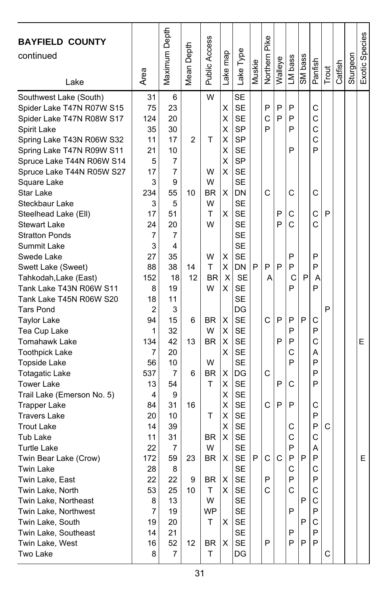| <b>BAYFIELD COUNTY</b><br>continued<br>Lake                                                                                                                                                                                                                                                                                                                                                                                                      | Area                                                                                                        | Maximum Depth                                                                                           | Depth<br>Mean             | Public Access                                                            | Lake map                                                      | Lake Type                                                                                                                                                                                                                                    | Muskie | <b>Northern Pike</b>       | Walleye               | LM bass                                             | SM bass          | Panfish                                                            | Trout  | Catfish | Sturgeon | Exotic Species |
|--------------------------------------------------------------------------------------------------------------------------------------------------------------------------------------------------------------------------------------------------------------------------------------------------------------------------------------------------------------------------------------------------------------------------------------------------|-------------------------------------------------------------------------------------------------------------|---------------------------------------------------------------------------------------------------------|---------------------------|--------------------------------------------------------------------------|---------------------------------------------------------------|----------------------------------------------------------------------------------------------------------------------------------------------------------------------------------------------------------------------------------------------|--------|----------------------------|-----------------------|-----------------------------------------------------|------------------|--------------------------------------------------------------------|--------|---------|----------|----------------|
| Southwest Lake (South)<br>Spider Lake T47N R07W S15<br>Spider Lake T47N R08W S17<br>Spirit Lake<br>Spring Lake T43N R06W S32<br>Spring Lake T47N R09W S11<br>Spruce Lake T44N R06W S14<br>Spruce Lake T44N R05W S27<br>Square Lake<br>Star Lake<br>Steckbaur Lake<br>Steelhead Lake (Ell)<br><b>Stewart Lake</b><br><b>Stratton Ponds</b><br>Summit Lake<br>Swede Lake<br>Swett Lake (Sweet)<br>Tahkodah, Lake (East)<br>Tank Lake T43N R06W S11 | 31<br>75<br>124<br>35<br>11<br>21<br>5<br>17<br>3<br>234<br>3<br>17<br>24<br>7<br>3<br>27<br>88<br>152<br>8 | 6<br>23<br>20<br>30<br>17<br>10<br>7<br>7<br>9<br>55<br>5<br>51<br>20<br>7<br>4<br>35<br>38<br>18<br>19 | 2<br>10<br>14<br>12       | W<br>T<br>W<br>W<br><b>BR</b><br>W<br>T<br>W<br>W<br>Т<br><b>BR</b><br>W | Χ<br>Χ<br>X<br>X<br>X<br>X<br>X<br>X<br>x<br>х<br>X<br>X<br>X | <b>SE</b><br><b>SE</b><br><b>SE</b><br><b>SP</b><br><b>SP</b><br><b>SE</b><br><b>SP</b><br><b>SE</b><br><b>SE</b><br>DN<br><b>SE</b><br><b>SE</b><br><b>SE</b><br><b>SE</b><br><b>SE</b><br><b>SE</b><br><b>DN</b><br><b>SE</b><br><b>SE</b> | P      | P<br>C<br>P<br>C<br>P<br>Α | P<br>P<br>P<br>P<br>P | P<br>P<br>P<br>P<br>C<br>С<br>C<br>P<br>P<br>C<br>P | P                | C<br>С<br>C<br>Ċ<br>P<br>C<br>C<br>С<br>P<br>P<br>A<br>P           | P      |         |          |                |
| Tank Lake T45N R06W S20<br><b>Tars Pond</b><br><b>Taylor Lake</b><br>Tea Cup Lake<br>Tomahawk Lake<br><b>Toothpick Lake</b><br><b>Topside Lake</b><br><b>Totagatic Lake</b><br><b>Tower Lake</b>                                                                                                                                                                                                                                                 | 18<br>2<br>94<br>1<br>134<br>7<br>56<br>537<br>13                                                           | 11<br>3<br>15<br>32<br>42<br>20<br>10<br>7<br>54                                                        | 6<br>13<br>6              | BR.<br>W<br><b>BR</b><br>W<br><b>BR</b><br>т                             | X<br>X<br>X<br>X<br>X<br>Х                                    | <b>SE</b><br>DG<br><b>SE</b><br><b>SE</b><br><b>SE</b><br><b>SE</b><br><b>SE</b><br>DG<br><b>SE</b>                                                                                                                                          |        | C<br>C                     | P<br>P<br>P           | P<br>P<br>P<br>С<br>P<br>С                          | P                | С<br>P<br>С<br>А<br>P<br>P<br>P                                    | P      |         |          | Е              |
| Trail Lake (Emerson No. 5)<br><b>Trapper Lake</b><br><b>Travers Lake</b><br><b>Trout Lake</b><br>Tub Lake<br><b>Turtle Lake</b><br>Twin Bear Lake (Crow)<br>Twin Lake<br>Twin Lake, East<br>Twin Lake, North<br>Twin Lake, Northeast<br>Twin Lake, Northwest<br>Twin Lake, South<br>Twin Lake, Southeast<br>Twin Lake, West<br>Two Lake                                                                                                          | 4<br>84<br>20<br>14<br>11<br>22<br>172<br>28<br>22<br>53<br>8<br>7<br>19<br>14<br>16<br>8                   | 9<br>31<br>10<br>39<br>31<br>$\overline{7}$<br>59<br>8<br>22<br>25<br>13<br>19<br>20<br>21<br>52<br>7   | 16<br>23<br>9<br>10<br>12 | Τ<br>BR<br>W<br>BR<br>BR<br>Τ<br>W<br><b>WP</b><br>т<br>BR<br>T.         | Χ<br>X<br>X<br>X<br>х<br>X<br>Х<br>X.<br>x<br>х               | <b>SE</b><br><b>SE</b><br><b>SE</b><br><b>SE</b><br><b>SE</b><br>SE<br><b>SE</b><br><b>SE</b><br><b>SE</b><br>SE<br>SE<br><b>SE</b><br><b>SE</b><br>SE<br>SE<br>DG                                                                           | P      | C<br>C<br>P<br>C<br>P      | P<br>C                | P<br>С<br>С<br>P<br>P<br>C<br>P<br>С<br>P<br>P<br>P | P<br>P<br>P<br>P | C<br>P<br>P<br>С<br>A<br>P<br>C<br>P<br>С<br>С<br>P<br>С<br>P<br>P | C<br>С |         |          | E              |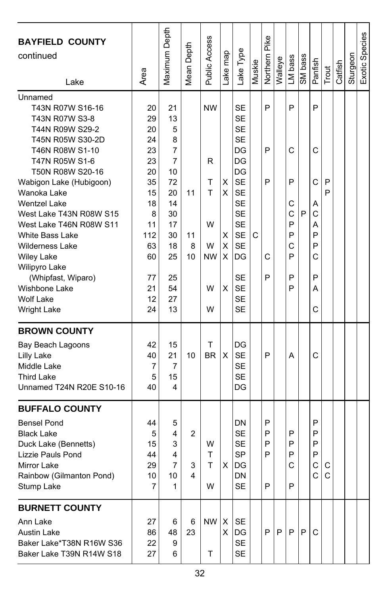| <b>BAYFIELD COUNTY</b><br>continued<br>Lake                                                                                                                                                                                                                                                                                                                                                                                                     | Area                                                                                                           | Maximum Depth                                                                                              | Mean Depth          | Public Access                                             | Lake map                   | Lake Type                                                                                                                                                                                                               | Muskie | Pike<br>Northern      | Walleye | LM bass                                             | SM bass | Panfish                                                  | Trout  | Catfish | Sturgeon | Exotic Species |
|-------------------------------------------------------------------------------------------------------------------------------------------------------------------------------------------------------------------------------------------------------------------------------------------------------------------------------------------------------------------------------------------------------------------------------------------------|----------------------------------------------------------------------------------------------------------------|------------------------------------------------------------------------------------------------------------|---------------------|-----------------------------------------------------------|----------------------------|-------------------------------------------------------------------------------------------------------------------------------------------------------------------------------------------------------------------------|--------|-----------------------|---------|-----------------------------------------------------|---------|----------------------------------------------------------|--------|---------|----------|----------------|
| Unnamed<br>T43N R07W S16-16<br>T43N R07W S3-8<br>T44N R09W S29-2<br>T45N R05W S30-2D<br>T46N R08W S1-10<br>T47N R05W S1-6<br>T50N R08W S20-16<br>Wabigon Lake (Hubigoon)<br>Wanoka Lake<br><b>Wentzel Lake</b><br>West Lake T43N R08W S15<br>West Lake T46N R08W S11<br>White Bass Lake<br><b>Wilderness Lake</b><br><b>Wiley Lake</b><br>Wilipyro Lake<br>(Whipfast, Wiparo)<br><b>Wishbone Lake</b><br><b>Wolf Lake</b><br><b>Wright Lake</b> | 20<br>29<br>20<br>24<br>23<br>23<br>20<br>35<br>15<br>18<br>8<br>11<br>112<br>63<br>60<br>77<br>21<br>12<br>24 | 21<br>13<br>5<br>8<br>7<br>7<br>10<br>72<br>20<br>14<br>30<br>17<br>30<br>18<br>25<br>25<br>54<br>27<br>13 | 11<br>11<br>8<br>10 | <b>NW</b><br>R<br>T<br>T<br>W<br>W<br><b>NW</b><br>W<br>W | х<br>X<br>х<br>X<br>X<br>X | <b>SE</b><br><b>SE</b><br><b>SE</b><br><b>SE</b><br>DG<br>DG<br>DG<br><b>SE</b><br><b>SE</b><br><b>SE</b><br><b>SE</b><br><b>SE</b><br><b>SE</b><br><b>SE</b><br>DG<br><b>SE</b><br><b>SE</b><br><b>SE</b><br><b>SE</b> | C      | P<br>P<br>P<br>С<br>P |         | P<br>C<br>P<br>С<br>C<br>P<br>P<br>С<br>P<br>P<br>P | P       | P<br>C<br>C<br>Α<br>C<br>А<br>P<br>P<br>Ċ<br>P<br>Α<br>C | P<br>P |         |          |                |
| <b>BROWN COUNTY</b><br>Bay Beach Lagoons<br>Lilly Lake<br>Middle Lake<br><b>Third Lake</b><br>Unnamed T24N R20E S10-16                                                                                                                                                                                                                                                                                                                          | 42<br>40<br>7<br>5<br>40                                                                                       | 15<br>21<br>7<br>15<br>4                                                                                   | 10                  | T<br><b>BR</b>                                            | X                          | DG<br><b>SE</b><br><b>SE</b><br><b>SE</b><br>DG                                                                                                                                                                         |        | P                     |         | Α                                                   |         | C                                                        |        |         |          |                |
| <b>BUFFALO COUNTY</b><br><b>Bensel Pond</b><br><b>Black Lake</b><br>Duck Lake (Bennetts)<br>Lizzie Pauls Pond<br>Mirror Lake<br>Rainbow (Gilmanton Pond)<br>Stump Lake                                                                                                                                                                                                                                                                          | 44<br>5<br>15<br>44<br>29<br>10<br>7                                                                           | 5<br>4<br>3<br>4<br>7<br>10<br>1                                                                           | 2<br>3<br>4         | W<br>Τ<br>T<br>W                                          | X                          | DN<br><b>SE</b><br><b>SE</b><br><b>SP</b><br>DG<br>DN<br><b>SE</b>                                                                                                                                                      |        | P<br>P<br>P<br>P<br>P |         | P<br>P<br>P<br>C<br>P                               |         | P<br>P<br>P<br>P<br>$\mathsf{C}$<br>С                    | C<br>С |         |          |                |
| <b>BURNETT COUNTY</b><br>Ann Lake<br><b>Austin Lake</b><br>Baker Lake*T38N R16W S36<br>Baker Lake T39N R14W S18                                                                                                                                                                                                                                                                                                                                 | 27<br>86<br>22<br>27                                                                                           | 6<br>48<br>9<br>6                                                                                          | 6<br>23             | NW<br>T                                                   | Х<br>X                     | <b>SE</b><br>DG<br><b>SE</b><br><b>SE</b>                                                                                                                                                                               |        | P                     | P       | P                                                   | P       | C                                                        |        |         |          |                |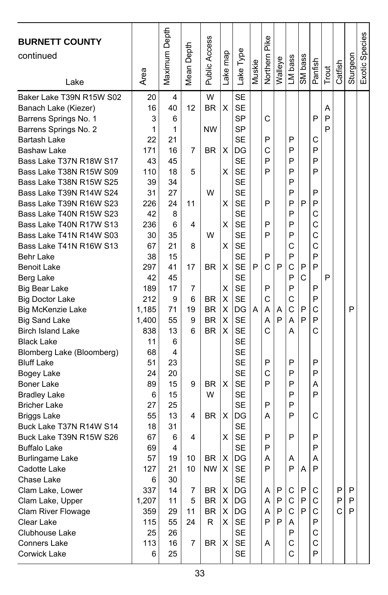| <b>BURNETT COUNTY</b><br>continued<br>Lake         | Area      | Maximum Depth | Depth<br>Mean | Public Access | ake map | Lake Type              | Muskie | Northern Pike | Walleye | LM bass | SM bass | Panfish | Trout | Catfish | Sturgeon | Exotic Species |
|----------------------------------------------------|-----------|---------------|---------------|---------------|---------|------------------------|--------|---------------|---------|---------|---------|---------|-------|---------|----------|----------------|
| Baker Lake T39N R15W S02                           | 20        | 4             |               | W             |         | <b>SE</b>              |        |               |         |         |         |         |       |         |          |                |
| Banach Lake (Kiezer)                               | 16        | 40            | 12            | <b>BR</b>     | X       | <b>SE</b>              |        |               |         |         |         |         | Α     |         |          |                |
| Barrens Springs No. 1                              | 3         | 6             |               |               |         | SP                     |        | C             |         |         |         | P       | P     |         |          |                |
| Barrens Springs No. 2                              | 1         | 1             |               | <b>NW</b>     |         | <b>SP</b>              |        |               |         |         |         |         | P     |         |          |                |
| Bartash Lake                                       | 22        | 21            |               |               |         | <b>SE</b>              |        | P             |         | P       |         | С       |       |         |          |                |
| <b>Bashaw Lake</b>                                 | 171       | 16            | 7             | <b>BR</b>     | х       | DG                     |        | C             |         | P       |         | P       |       |         |          |                |
| Bass Lake T37N R18W S17                            | 43        | 45            |               |               |         | <b>SE</b>              |        | P             |         | P       |         | P       |       |         |          |                |
| Bass Lake T38N R15W S09                            | 110       | 18            | 5             |               | х       | <b>SE</b>              |        | P             |         | P       |         | P       |       |         |          |                |
| Bass Lake T38N R15W S25                            | 39        | 34            |               |               |         | <b>SE</b>              |        |               |         | P       |         |         |       |         |          |                |
| Bass Lake T39N R14W S24                            | 31        | 27            |               | W             |         | <b>SE</b>              |        |               |         | P       |         | P       |       |         |          |                |
| Bass Lake T39N R16W S23                            | 226       | 24            | 11            |               | х       | <b>SE</b>              |        | P             |         | P       | P       | P       |       |         |          |                |
| Bass Lake T40N R15W S23                            | 42        | 8             |               |               |         | <b>SE</b>              |        |               |         | P       |         | C       |       |         |          |                |
| Bass Lake T40N R17W S13                            | 236       | 6             | 4             | W             | х       | <b>SE</b>              |        | P<br>P        |         | P<br>P  |         | C       |       |         |          |                |
| Bass Lake T41N R14W S03<br>Bass Lake T41N R16W S13 | 30<br>67  | 35<br>21      |               |               |         | <b>SE</b><br><b>SE</b> |        |               |         | C       |         | C<br>C  |       |         |          |                |
|                                                    |           | 15            | 8             |               | X       | <b>SE</b>              |        | P             |         | P       |         | P       |       |         |          |                |
| Behr Lake<br><b>Benoit Lake</b>                    | 38<br>297 | 41            | 17            | BR            | Χ       | <b>SE</b>              | P      | C             | P       | C       | P       | P       |       |         |          |                |
| Berg Lake                                          | 42        | 45            |               |               |         | <b>SE</b>              |        |               |         | P       | C       |         | P     |         |          |                |
| Big Bear Lake                                      | 189       | 17            | 7             |               | X       | <b>SE</b>              |        | P             |         | P       |         | P       |       |         |          |                |
| <b>Big Doctor Lake</b>                             | 212       | 9             | 6             | BR            | X       | <b>SE</b>              |        | C             |         | C       |         | P       |       |         |          |                |
| <b>Big McKenzie Lake</b>                           | 1,185     | 71            | 19            | BR.           | х       | DG                     | A      | A             | Α       | C       | P       | C       |       |         | P        |                |
| <b>Big Sand Lake</b>                               | 1,400     | 55            | 9             | BR            | Χ       | <b>SE</b>              |        | A             | P       | A       | P       | P       |       |         |          |                |
| <b>Birch Island Lake</b>                           | 838       | 13            | 6             | <b>BR</b>     | х       | <b>SE</b>              |        | C             |         | А       |         | C       |       |         |          |                |
| <b>Black Lake</b>                                  | 11        | 6             |               |               |         | <b>SE</b>              |        |               |         |         |         |         |       |         |          |                |
| Blomberg Lake (Bloomberg)                          | 68        | 4             |               |               |         | SE                     |        |               |         |         |         |         |       |         |          |                |
| <b>Bluff Lake</b>                                  | 51        | 23            |               |               |         | <b>SE</b>              |        | P             |         | P       |         | P       |       |         |          |                |
| Bogey Lake                                         | 24        | 20            |               |               |         | <b>SE</b>              |        | C             |         | P       |         | P       |       |         |          |                |
| <b>Boner Lake</b>                                  | 89        | 15            | 9             | <b>BR</b>     | х       | <b>SE</b>              |        | P             |         | P       |         | Α       |       |         |          |                |
| <b>Bradley Lake</b>                                | 6         | 15            |               | W             |         | <b>SE</b>              |        |               |         | P       |         | P       |       |         |          |                |
| <b>Bricher Lake</b>                                | 27        | 25            |               |               |         | <b>SE</b>              |        | P             |         | P       |         |         |       |         |          |                |
| <b>Briggs Lake</b>                                 | 55        | 13            | 4             | <b>BR</b>     | X       | DG                     |        | А             |         | P       |         | C       |       |         |          |                |
| Buck Lake T37N R14W S14                            | 18        | 31            |               |               |         | <b>SE</b>              |        |               |         |         |         |         |       |         |          |                |
| Buck Lake T39N R15W S26                            | 67        | 6             | 4             |               | х       | <b>SE</b>              |        | P             |         | P       |         | P       |       |         |          |                |
| <b>Buffalo Lake</b>                                | 69        | 4             |               |               |         | <b>SE</b>              |        | P             |         |         |         | P       |       |         |          |                |
| <b>Burlingame Lake</b>                             | 57        | 19            | 10            | BR.           | X       | DG                     |        | Α             |         | Α       |         | Α       |       |         |          |                |
| Cadotte Lake                                       | 127       | 21            | $10$          | <b>NW</b>     | X       | <b>SE</b>              |        | P             |         | P       | A       | P       |       |         |          |                |
| Chase Lake                                         | 6         | 30            |               |               |         | <b>SE</b>              |        |               |         |         |         |         |       |         |          |                |
| Clam Lake, Lower                                   | 337       | 14            | 7             | BR            | х       | DG                     |        | Α             | P       | С       | P       | С       |       | P       | P        |                |
| Clam Lake, Upper                                   | 1,207     | 11            | 5             | BR            | X       | DG                     |        | Α             | P       | С       | P       | C       |       | P       | P        |                |
| Clam River Flowage                                 | 359       | 29            | 11            | BR            | х       | DG                     |        | A             | P       | С       | P       | C       |       | C       | P        |                |
| Clear Lake                                         | 115       | 55            | 24            | R.            | X       | <b>SE</b>              |        | P             | P       | A       |         | P       |       |         |          |                |
| Clubhouse Lake                                     | 25        | 26            |               |               |         | SE                     |        |               |         | P       |         | С       |       |         |          |                |
| Conners Lake                                       | 113       | 16            | 7             | BR            | х       | SE                     |        | Α             |         | С       |         | C       |       |         |          |                |
| Corwick Lake                                       | 6         | 25            |               |               |         | SE                     |        |               |         | C       |         | P       |       |         |          |                |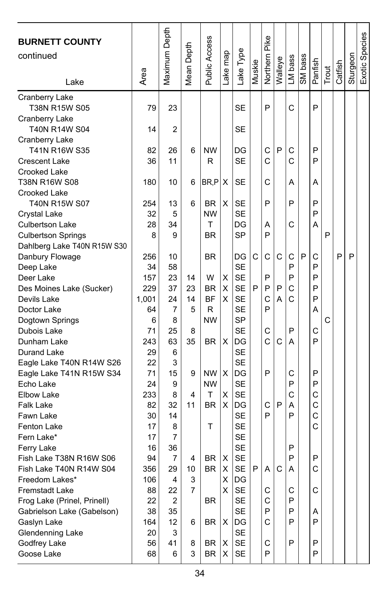| <b>BURNETT COUNTY</b><br>continued<br>Lake           | Area     | Maximum Depth | Depth<br>Mean I | Public Access | ake map | ake Type               | Muskie | Northern Pike | Walleye      | LM bass | SM bass | Panfish | Trout | Catfish | Sturgeon | Exotic Species |
|------------------------------------------------------|----------|---------------|-----------------|---------------|---------|------------------------|--------|---------------|--------------|---------|---------|---------|-------|---------|----------|----------------|
| Cranberry Lake                                       |          |               |                 |               |         |                        |        | P             |              |         |         |         |       |         |          |                |
| T38N R15W S05                                        | 79       | 23            |                 |               |         | SE                     |        |               |              | C       |         | P       |       |         |          |                |
| <b>Cranberry Lake</b><br>T40N R14W S04               | 14       | 2             |                 |               |         | SE                     |        |               |              |         |         |         |       |         |          |                |
| Cranberry Lake                                       |          |               |                 |               |         |                        |        |               |              |         |         |         |       |         |          |                |
| T41N R16W S35                                        | 82       | 26            | 6               | <b>NW</b>     |         | DG                     |        | C             | P            | C       |         | P       |       |         |          |                |
| <b>Crescent Lake</b>                                 | 36       | 11            |                 | R             |         | <b>SE</b>              |        | C             |              | Ć       |         | P       |       |         |          |                |
| Crooked Lake                                         |          |               |                 |               |         |                        |        |               |              |         |         |         |       |         |          |                |
| T38N R16W S08                                        | 180      | 10            | 6               | BR, P X       |         | SE                     |        | C             |              | Α       |         | Α       |       |         |          |                |
| Crooked Lake                                         |          |               |                 |               |         |                        |        |               |              |         |         |         |       |         |          |                |
| T40N R15W S07                                        | 254      | 13            | 6               | BR            | X       | <b>SE</b>              |        | P             |              | P       |         | P       |       |         |          |                |
| Crystal Lake                                         | 32       | 5             |                 | <b>NW</b>     |         | <b>SE</b>              |        |               |              |         |         | P       |       |         |          |                |
| <b>Culbertson Lake</b>                               | 28       | 34            |                 | т             |         | DG                     |        | A             |              | C       |         | A       |       |         |          |                |
| <b>Culbertson Springs</b>                            | 8        | 9             |                 | <b>BR</b>     |         | <b>SP</b>              |        | P             |              |         |         |         | P     |         |          |                |
| Dahlberg Lake T40N R15W S30                          |          |               |                 |               |         |                        |        |               |              |         |         |         |       |         |          |                |
| Danbury Flowage                                      | 256      | 10            |                 | ΒR            |         | DG                     | C      | C             | C            | C       | P       | C       |       | P       | P        |                |
| Deep Lake                                            | 34       | 58            |                 |               |         | <b>SE</b>              |        |               |              | P       |         | P       |       |         |          |                |
| Deer Lake                                            | 157      | 23            | 14              | W             | X       | <b>SE</b>              |        | P             |              | P       |         | P       |       |         |          |                |
| Des Moines Lake (Sucker)                             | 229      | 37            | 23              | BR            | х       | <b>SE</b>              | P      | P             | P            | C       |         | P       |       |         |          |                |
| Devils Lake                                          | 1,001    | 24            | 14              | <b>BF</b>     | х       | <b>SE</b>              |        | C             | A            | C       |         | P       |       |         |          |                |
| Doctor Lake                                          | 64       | 7             | 5               | R             |         | <b>SE</b>              |        | P             |              |         |         | Α       |       |         |          |                |
| Dogtown Springs                                      | 6        | 8             |                 | <b>NW</b>     |         | <b>SP</b>              |        |               |              |         |         |         | C     |         |          |                |
| Dubois Lake                                          | 71       | 25            | 8               |               |         | <b>SE</b>              |        | C<br>Ċ        |              | P       |         | С       |       |         |          |                |
| Dunham Lake                                          | 243      | 63            | 35              | BR            | х       | DG                     |        |               | C            | Α       |         | P       |       |         |          |                |
| Durand Lake                                          | 29<br>22 | 6             |                 |               |         | <b>SE</b><br><b>SE</b> |        |               |              |         |         |         |       |         |          |                |
| Eagle Lake T40N R14W S26<br>Eagle Lake T41N R15W S34 | 71       | 3<br>15       | 9               | <b>NW</b>     | X       | DG                     |        | P             |              | С       |         | P       |       |         |          |                |
| Echo Lake                                            | 24       | 9             |                 | <b>NW</b>     |         | <b>SE</b>              |        |               |              | P       |         | P       |       |         |          |                |
| Elbow Lake                                           | 233      | 8             | 4               | т             | X       | <b>SE</b>              |        |               |              | C       |         | C       |       |         |          |                |
| <b>Falk Lake</b>                                     | 82       | 32            | 11              | <b>BR</b>     | X       | DG                     |        | C             | P            | Α       |         | C       |       |         |          |                |
| Fawn Lake                                            | 30       | 14            |                 |               |         | <b>SE</b>              |        | P             |              | P       |         | C       |       |         |          |                |
| Fenton Lake                                          | 17       | 8             |                 | т             |         | <b>SE</b>              |        |               |              |         |         | C       |       |         |          |                |
| Fern Lake*                                           | 17       | 7             |                 |               |         | <b>SE</b>              |        |               |              |         |         |         |       |         |          |                |
| Ferry Lake                                           | 16       | 36            |                 |               |         | <b>SE</b>              |        |               |              | P       |         |         |       |         |          |                |
| Fish Lake T38N R16W S06                              | 94       | 7             | 4               | BR            | X       | <b>SE</b>              |        |               |              | P       |         | P       |       |         |          |                |
| Fish Lake T40N R14W S04                              | 356      | 29            | 10              | BR.           | X.      | <b>SE</b>              | Ρl     | AI            | $\mathsf{C}$ | A       |         | C       |       |         |          |                |
| Freedom Lakes*                                       | 106      | 4             | 3               |               | X       | DG                     |        |               |              |         |         |         |       |         |          |                |
| Fremstadt Lake                                       | 88       | 22            | 7               |               | X       | SE                     |        | C             |              | С       |         | C       |       |         |          |                |
| Frog Lake (Prinel, Prinell)                          | 22       | 2             |                 | BR            |         | <b>SE</b>              |        | C             |              | P       |         |         |       |         |          |                |
| Gabrielson Lake (Gabelson)                           | 38       | 35            |                 |               |         | SE                     |        | P             |              | P       |         | A       |       |         |          |                |
| Gaslyn Lake                                          | 164      | 12            | 6               | BR            | Х       | DG                     |        | C             |              | P       |         | P       |       |         |          |                |
| Glendenning Lake                                     | 20       | 3             |                 |               |         | <b>SE</b>              |        |               |              |         |         |         |       |         |          |                |
| Godfrey Lake                                         | 56       | 41            | 8               | BR            | Х       | SE                     |        | С             |              | P       |         | P       |       |         |          |                |
| Goose Lake                                           | 68       | 6             | 3               | BR            | х       | SE                     |        | P             |              |         |         | P       |       |         |          |                |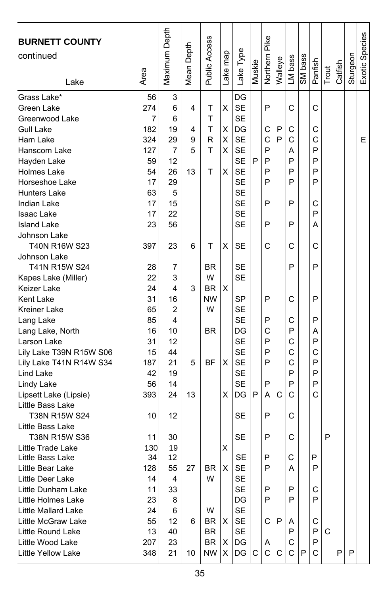| <b>BURNETT COUNTY</b><br>continued<br>Lake  | Area           | Maximum Depth | Mean Depth | <b>Public Access</b> | Lake map | Lake Type                    | Muskie | Northern Pike | Walleye | LM bass | SM bass | Panfish | Trout | Catfish | Sturgeon | Exotic Species |
|---------------------------------------------|----------------|---------------|------------|----------------------|----------|------------------------------|--------|---------------|---------|---------|---------|---------|-------|---------|----------|----------------|
|                                             |                |               |            |                      |          |                              |        |               |         |         |         |         |       |         |          |                |
| Grass Lake*<br>Green Lake<br>Greenwood Lake | 56<br>274<br>7 | 3<br>6<br>6   | 4          | Τ<br>T               | X        | DG<br><b>SE</b><br><b>SE</b> |        | P             |         | C       |         | C       |       |         |          |                |
| Gull Lake                                   | 182            | 19            | 4          | T                    | х        | DG                           |        | С             | P       | C       |         | C       |       |         |          |                |
| Ham Lake                                    | 324            | 29            | 9          | R                    | X        | <b>SE</b>                    |        | C             | P       | C       |         | C       |       |         |          | E              |
| Hanscom Lake                                | 127            | 7             | 5          | T                    | X        | <b>SE</b>                    |        | P             |         | Α       |         | P       |       |         |          |                |
| Hayden Lake                                 | 59             | 12            |            |                      |          | <b>SE</b>                    | P      | P             |         | P       |         | P       |       |         |          |                |
| <b>Holmes Lake</b>                          | 54             | 26            | 13         | т                    | X        | <b>SE</b>                    |        | P             |         | P       |         | P       |       |         |          |                |
| Horseshoe Lake                              | 17             | 29            |            |                      |          | <b>SE</b>                    |        | P             |         | P       |         | P       |       |         |          |                |
| Hunters Lake                                | 63             | 5             |            |                      |          | SE                           |        |               |         |         |         |         |       |         |          |                |
| <b>Indian Lake</b>                          | 17             | 15            |            |                      |          | <b>SE</b>                    |        | P             |         | P       |         | С       |       |         |          |                |
| <b>Isaac Lake</b>                           | 17             | 22            |            |                      |          | <b>SE</b>                    |        |               |         |         |         | P       |       |         |          |                |
| <b>Island Lake</b>                          | 23             | 56            |            |                      |          | <b>SE</b>                    |        | P             |         | P       |         | Α       |       |         |          |                |
| Johnson Lake                                |                |               |            |                      |          |                              |        |               |         |         |         |         |       |         |          |                |
| T40N R16W S23                               | 397            | 23            | 6          | т                    | х        | SE                           |        | С             |         | C       |         | C       |       |         |          |                |
| Johnson Lake                                |                |               |            |                      |          |                              |        |               |         |         |         |         |       |         |          |                |
| T41N R15W S24                               | 28             | 7             |            | <b>BR</b>            |          | <b>SE</b>                    |        |               |         | P       |         | P       |       |         |          |                |
| Kapes Lake (Miller)                         | 22             | 3             |            | W                    |          | SE                           |        |               |         |         |         |         |       |         |          |                |
| Keizer Lake                                 | 24             | 4             | 3          | <b>BR</b>            | X        |                              |        |               |         |         |         |         |       |         |          |                |
| <b>Kent Lake</b>                            | 31             | 16            |            | <b>NW</b>            |          | <b>SP</b>                    |        | P             |         | С       |         | P       |       |         |          |                |
| Kreiner Lake                                | 65             | 2             |            | W                    |          | <b>SE</b>                    |        |               |         |         |         |         |       |         |          |                |
| Lang Lake                                   | 85             | 4             |            |                      |          | <b>SE</b>                    |        | P             |         | С       |         | P       |       |         |          |                |
| Lang Lake, North                            | 16             | 10            |            | <b>BR</b>            |          | DG                           |        | С             |         | P       |         | A       |       |         |          |                |
| Larson Lake                                 | 31             | 12            |            |                      |          | SE                           |        | P             |         | C       |         | P       |       |         |          |                |
| Lily Lake T39N R15W S06                     | 15             | 44            |            |                      |          | SE                           |        | P             |         | C       |         | C       |       |         |          |                |
| Lily Lake T41N R14W S34                     | 187            | 21            | 5          | ΒF                   | X        | <b>SE</b>                    |        | P             |         | C       |         | P       |       |         |          |                |
| Lind Lake                                   | 42             | 19            |            |                      |          | <b>SE</b>                    |        |               |         | P       |         | P       |       |         |          |                |
| Lindy Lake                                  | 56             | 14            |            |                      |          | <b>SE</b>                    |        | P             |         | P       |         | P       |       |         |          |                |
| Lipsett Lake (Lipsie)                       | 393            | 24            | 13         |                      | X        | DG                           | P      | А             | С       | C       |         | C       |       |         |          |                |
| Little Bass Lake                            |                |               |            |                      |          |                              |        |               |         |         |         |         |       |         |          |                |
| T38N R15W S24                               | 10             | 12            |            |                      |          | SE                           |        | P             |         | C       |         |         |       |         |          |                |
| Little Bass Lake                            |                |               |            |                      |          |                              |        |               |         |         |         |         |       |         |          |                |
| T38N R15W S36                               | 11             | 30            |            |                      |          | SE                           |        | P             |         | С       |         |         | P     |         |          |                |
| Little Trade Lake                           | 130            | 19            |            |                      | X        |                              |        |               |         |         |         |         |       |         |          |                |
| Little Bass Lake                            | 34             | 12            |            |                      |          | <b>SE</b>                    |        | P             |         | C       |         | P       |       |         |          |                |
| Little Bear Lake                            | 128            | 55            | 27         | BR                   | X        | <b>SE</b>                    |        | P             |         | Α       |         | P       |       |         |          |                |
| Little Deer Lake                            | 14             | 4             |            | W                    |          | SE                           |        |               |         |         |         |         |       |         |          |                |
| Little Dunham Lake                          | 11             | 33            |            |                      |          | SE                           |        | Ρ             |         | P       |         | С       |       |         |          |                |
| Little Holmes Lake                          | 23             | 8             |            |                      |          | DG                           |        | Ρ             |         | P       |         | P       |       |         |          |                |
| Little Mallard Lake                         | 24             | 6             |            | W                    |          | SE                           |        |               |         |         |         |         |       |         |          |                |
| Little McGraw Lake                          | 55             | 12            | 6          | BR                   | х        | <b>SE</b>                    |        | С             | P       | Α       |         | С       |       |         |          |                |
| Little Round Lake                           | 13             | 40            |            | BR                   |          | SE                           |        |               |         | P       |         | P       | С     |         |          |                |
| Little Wood Lake                            | 207            | 23            |            | BR                   | Х        | DG                           |        | A             |         | C       |         | P       |       |         |          |                |
| Little Yellow Lake                          | 348            | 21            | 10         | NW.                  | X        | DG                           | С      | С             | C       | C       | P       | С       |       | P       | P        |                |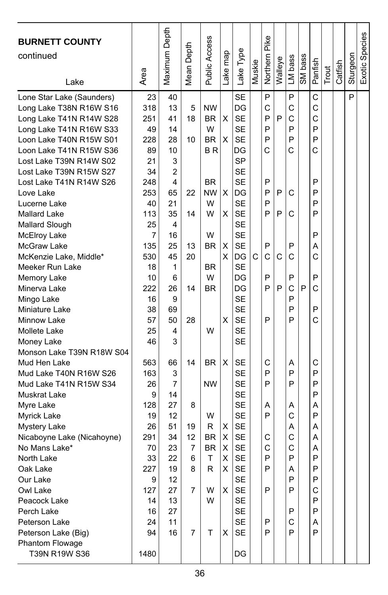| Maximum Depth<br>Exotic Species<br>Public Access<br>Northern Pike<br>Depth<br>Lake Type<br>ake map<br>Sturgeon<br>SM bass<br>LM bass<br>Walleye<br>Panfish<br>Muskie<br>Catfish<br>Mean <sup>1</sup><br>Trout<br>Area<br>Lake<br>P<br>P<br>P<br><b>SE</b><br>C<br>Lone Star Lake (Saunders)<br>23<br>40<br>C<br>318<br>DG<br>C<br>C<br>Long Lake T38N R16W S16<br>13<br><b>NW</b><br>5<br><b>SE</b><br>P<br>P<br>X<br>C<br>C<br>Long Lake T41N R14W S28<br>251<br>41<br>18<br><b>BR</b><br>P<br>P<br>W<br><b>SE</b><br>P<br>Long Lake T41N R16W S33<br>49<br>14<br>P<br>P<br>X<br><b>SE</b><br>P<br>Loon Lake T40N R15W S01<br>228<br>28<br>10<br><b>BR</b><br>C<br>C<br>C<br>Loon Lake T41N R15W S36<br>89<br>10<br>ΒR<br>DG<br><b>SP</b><br>Lost Lake T39N R14W S02<br>21<br>3<br>34<br>$\overline{2}$<br><b>SE</b><br>Lost Lake T39N R15W S27<br><b>SE</b><br>4<br><b>BR</b><br>P<br>P<br>Lost Lake T41N R14W S26<br>248<br>22<br><b>NW</b><br>X<br>P<br>C<br>P<br>Love Lake<br>253<br>65<br>DG<br>P<br>W<br><b>SE</b><br>P<br>P<br>Lucerne Lake<br>40<br>21<br>P<br>W<br><b>SE</b><br>P<br>C<br>P<br><b>Mallard Lake</b><br>113<br>35<br>14<br>х<br>4<br><b>SE</b><br>Mallard Slough<br>25<br>W<br><b>SE</b><br>P<br>McElroy Lake<br>7<br>16<br><b>SE</b><br>P<br>P<br>McGraw Lake<br>135<br>25<br>13<br>BR<br>X<br>Α<br>Ć<br>C<br>C<br>McKenzie Lake, Middle*<br>530<br>45<br>20<br>х<br>DG<br>C<br>С<br>1<br><b>SE</b><br>Meeker Run Lake<br>18<br>BR<br>W<br>P<br>P<br>P<br>10<br>6<br>DG<br>Memory Lake<br>C<br>222<br>P<br>P<br>C<br>P<br>Minerva Lake<br>26<br>14<br>BR<br>DG<br><b>SE</b><br>P<br>16<br>9<br>Mingo Lake<br><b>SE</b><br>P<br>P<br>Miniature Lake<br>38<br>69<br>C<br>57<br>X<br><b>SE</b><br>P<br>P<br>50<br>28<br>Minnow Lake<br>25<br>W<br><b>SE</b><br>Mollete Lake<br>4<br>3<br><b>SE</b><br>46<br>Money Lake<br>Monson Lake T39N R18W S04<br>X<br><b>SE</b><br>C<br>Mud Hen Lake<br>563<br>66<br>14<br><b>BR</b><br>С<br>Α<br>P<br>163<br>3<br><b>SE</b><br>P<br>P<br>Mud Lake T40N R16W S26<br><b>NW</b><br><b>SE</b><br>P<br>P<br>P<br>Mud Lake T41N R15W S34<br>26<br>7<br><b>SE</b><br>P<br>Muskrat Lake<br>9<br>14<br><b>SE</b><br>128<br>27<br>Myre Lake<br>8<br>Α<br>Α<br>Α |                                    |    |    |   |           |   |   |   |  |  |
|--------------------------------------------------------------------------------------------------------------------------------------------------------------------------------------------------------------------------------------------------------------------------------------------------------------------------------------------------------------------------------------------------------------------------------------------------------------------------------------------------------------------------------------------------------------------------------------------------------------------------------------------------------------------------------------------------------------------------------------------------------------------------------------------------------------------------------------------------------------------------------------------------------------------------------------------------------------------------------------------------------------------------------------------------------------------------------------------------------------------------------------------------------------------------------------------------------------------------------------------------------------------------------------------------------------------------------------------------------------------------------------------------------------------------------------------------------------------------------------------------------------------------------------------------------------------------------------------------------------------------------------------------------------------------------------------------------------------------------------------------------------------------------------------------------------------------------------------------------------------------------------------------------------------------------------------------------------------------------------------------------------------------------------------------------------------------------------------------------------------------------------------------------------------------------------------------------------------|------------------------------------|----|----|---|-----------|---|---|---|--|--|
|                                                                                                                                                                                                                                                                                                                                                                                                                                                                                                                                                                                                                                                                                                                                                                                                                                                                                                                                                                                                                                                                                                                                                                                                                                                                                                                                                                                                                                                                                                                                                                                                                                                                                                                                                                                                                                                                                                                                                                                                                                                                                                                                                                                                                    | <b>BURNETT COUNTY</b><br>continued |    |    |   |           |   |   |   |  |  |
|                                                                                                                                                                                                                                                                                                                                                                                                                                                                                                                                                                                                                                                                                                                                                                                                                                                                                                                                                                                                                                                                                                                                                                                                                                                                                                                                                                                                                                                                                                                                                                                                                                                                                                                                                                                                                                                                                                                                                                                                                                                                                                                                                                                                                    |                                    |    |    |   |           |   |   |   |  |  |
|                                                                                                                                                                                                                                                                                                                                                                                                                                                                                                                                                                                                                                                                                                                                                                                                                                                                                                                                                                                                                                                                                                                                                                                                                                                                                                                                                                                                                                                                                                                                                                                                                                                                                                                                                                                                                                                                                                                                                                                                                                                                                                                                                                                                                    |                                    |    |    |   |           |   |   |   |  |  |
|                                                                                                                                                                                                                                                                                                                                                                                                                                                                                                                                                                                                                                                                                                                                                                                                                                                                                                                                                                                                                                                                                                                                                                                                                                                                                                                                                                                                                                                                                                                                                                                                                                                                                                                                                                                                                                                                                                                                                                                                                                                                                                                                                                                                                    |                                    |    |    |   |           |   |   |   |  |  |
|                                                                                                                                                                                                                                                                                                                                                                                                                                                                                                                                                                                                                                                                                                                                                                                                                                                                                                                                                                                                                                                                                                                                                                                                                                                                                                                                                                                                                                                                                                                                                                                                                                                                                                                                                                                                                                                                                                                                                                                                                                                                                                                                                                                                                    |                                    |    |    |   |           |   |   |   |  |  |
|                                                                                                                                                                                                                                                                                                                                                                                                                                                                                                                                                                                                                                                                                                                                                                                                                                                                                                                                                                                                                                                                                                                                                                                                                                                                                                                                                                                                                                                                                                                                                                                                                                                                                                                                                                                                                                                                                                                                                                                                                                                                                                                                                                                                                    |                                    |    |    |   |           |   |   |   |  |  |
|                                                                                                                                                                                                                                                                                                                                                                                                                                                                                                                                                                                                                                                                                                                                                                                                                                                                                                                                                                                                                                                                                                                                                                                                                                                                                                                                                                                                                                                                                                                                                                                                                                                                                                                                                                                                                                                                                                                                                                                                                                                                                                                                                                                                                    |                                    |    |    |   |           |   |   |   |  |  |
|                                                                                                                                                                                                                                                                                                                                                                                                                                                                                                                                                                                                                                                                                                                                                                                                                                                                                                                                                                                                                                                                                                                                                                                                                                                                                                                                                                                                                                                                                                                                                                                                                                                                                                                                                                                                                                                                                                                                                                                                                                                                                                                                                                                                                    |                                    |    |    |   |           |   |   |   |  |  |
|                                                                                                                                                                                                                                                                                                                                                                                                                                                                                                                                                                                                                                                                                                                                                                                                                                                                                                                                                                                                                                                                                                                                                                                                                                                                                                                                                                                                                                                                                                                                                                                                                                                                                                                                                                                                                                                                                                                                                                                                                                                                                                                                                                                                                    |                                    |    |    |   |           |   |   |   |  |  |
|                                                                                                                                                                                                                                                                                                                                                                                                                                                                                                                                                                                                                                                                                                                                                                                                                                                                                                                                                                                                                                                                                                                                                                                                                                                                                                                                                                                                                                                                                                                                                                                                                                                                                                                                                                                                                                                                                                                                                                                                                                                                                                                                                                                                                    |                                    |    |    |   |           |   |   |   |  |  |
|                                                                                                                                                                                                                                                                                                                                                                                                                                                                                                                                                                                                                                                                                                                                                                                                                                                                                                                                                                                                                                                                                                                                                                                                                                                                                                                                                                                                                                                                                                                                                                                                                                                                                                                                                                                                                                                                                                                                                                                                                                                                                                                                                                                                                    |                                    |    |    |   |           |   |   |   |  |  |
|                                                                                                                                                                                                                                                                                                                                                                                                                                                                                                                                                                                                                                                                                                                                                                                                                                                                                                                                                                                                                                                                                                                                                                                                                                                                                                                                                                                                                                                                                                                                                                                                                                                                                                                                                                                                                                                                                                                                                                                                                                                                                                                                                                                                                    |                                    |    |    |   |           |   |   |   |  |  |
|                                                                                                                                                                                                                                                                                                                                                                                                                                                                                                                                                                                                                                                                                                                                                                                                                                                                                                                                                                                                                                                                                                                                                                                                                                                                                                                                                                                                                                                                                                                                                                                                                                                                                                                                                                                                                                                                                                                                                                                                                                                                                                                                                                                                                    |                                    |    |    |   |           |   |   |   |  |  |
|                                                                                                                                                                                                                                                                                                                                                                                                                                                                                                                                                                                                                                                                                                                                                                                                                                                                                                                                                                                                                                                                                                                                                                                                                                                                                                                                                                                                                                                                                                                                                                                                                                                                                                                                                                                                                                                                                                                                                                                                                                                                                                                                                                                                                    |                                    |    |    |   |           |   |   |   |  |  |
|                                                                                                                                                                                                                                                                                                                                                                                                                                                                                                                                                                                                                                                                                                                                                                                                                                                                                                                                                                                                                                                                                                                                                                                                                                                                                                                                                                                                                                                                                                                                                                                                                                                                                                                                                                                                                                                                                                                                                                                                                                                                                                                                                                                                                    |                                    |    |    |   |           |   |   |   |  |  |
|                                                                                                                                                                                                                                                                                                                                                                                                                                                                                                                                                                                                                                                                                                                                                                                                                                                                                                                                                                                                                                                                                                                                                                                                                                                                                                                                                                                                                                                                                                                                                                                                                                                                                                                                                                                                                                                                                                                                                                                                                                                                                                                                                                                                                    |                                    |    |    |   |           |   |   |   |  |  |
|                                                                                                                                                                                                                                                                                                                                                                                                                                                                                                                                                                                                                                                                                                                                                                                                                                                                                                                                                                                                                                                                                                                                                                                                                                                                                                                                                                                                                                                                                                                                                                                                                                                                                                                                                                                                                                                                                                                                                                                                                                                                                                                                                                                                                    |                                    |    |    |   |           |   |   |   |  |  |
|                                                                                                                                                                                                                                                                                                                                                                                                                                                                                                                                                                                                                                                                                                                                                                                                                                                                                                                                                                                                                                                                                                                                                                                                                                                                                                                                                                                                                                                                                                                                                                                                                                                                                                                                                                                                                                                                                                                                                                                                                                                                                                                                                                                                                    |                                    |    |    |   |           |   |   |   |  |  |
|                                                                                                                                                                                                                                                                                                                                                                                                                                                                                                                                                                                                                                                                                                                                                                                                                                                                                                                                                                                                                                                                                                                                                                                                                                                                                                                                                                                                                                                                                                                                                                                                                                                                                                                                                                                                                                                                                                                                                                                                                                                                                                                                                                                                                    |                                    |    |    |   |           |   |   |   |  |  |
|                                                                                                                                                                                                                                                                                                                                                                                                                                                                                                                                                                                                                                                                                                                                                                                                                                                                                                                                                                                                                                                                                                                                                                                                                                                                                                                                                                                                                                                                                                                                                                                                                                                                                                                                                                                                                                                                                                                                                                                                                                                                                                                                                                                                                    |                                    |    |    |   |           |   |   |   |  |  |
|                                                                                                                                                                                                                                                                                                                                                                                                                                                                                                                                                                                                                                                                                                                                                                                                                                                                                                                                                                                                                                                                                                                                                                                                                                                                                                                                                                                                                                                                                                                                                                                                                                                                                                                                                                                                                                                                                                                                                                                                                                                                                                                                                                                                                    |                                    |    |    |   |           |   |   |   |  |  |
|                                                                                                                                                                                                                                                                                                                                                                                                                                                                                                                                                                                                                                                                                                                                                                                                                                                                                                                                                                                                                                                                                                                                                                                                                                                                                                                                                                                                                                                                                                                                                                                                                                                                                                                                                                                                                                                                                                                                                                                                                                                                                                                                                                                                                    |                                    |    |    |   |           |   |   |   |  |  |
|                                                                                                                                                                                                                                                                                                                                                                                                                                                                                                                                                                                                                                                                                                                                                                                                                                                                                                                                                                                                                                                                                                                                                                                                                                                                                                                                                                                                                                                                                                                                                                                                                                                                                                                                                                                                                                                                                                                                                                                                                                                                                                                                                                                                                    |                                    |    |    |   |           |   |   |   |  |  |
|                                                                                                                                                                                                                                                                                                                                                                                                                                                                                                                                                                                                                                                                                                                                                                                                                                                                                                                                                                                                                                                                                                                                                                                                                                                                                                                                                                                                                                                                                                                                                                                                                                                                                                                                                                                                                                                                                                                                                                                                                                                                                                                                                                                                                    |                                    |    |    |   |           |   |   |   |  |  |
|                                                                                                                                                                                                                                                                                                                                                                                                                                                                                                                                                                                                                                                                                                                                                                                                                                                                                                                                                                                                                                                                                                                                                                                                                                                                                                                                                                                                                                                                                                                                                                                                                                                                                                                                                                                                                                                                                                                                                                                                                                                                                                                                                                                                                    |                                    |    |    |   |           |   |   |   |  |  |
|                                                                                                                                                                                                                                                                                                                                                                                                                                                                                                                                                                                                                                                                                                                                                                                                                                                                                                                                                                                                                                                                                                                                                                                                                                                                                                                                                                                                                                                                                                                                                                                                                                                                                                                                                                                                                                                                                                                                                                                                                                                                                                                                                                                                                    |                                    |    |    |   |           |   |   |   |  |  |
|                                                                                                                                                                                                                                                                                                                                                                                                                                                                                                                                                                                                                                                                                                                                                                                                                                                                                                                                                                                                                                                                                                                                                                                                                                                                                                                                                                                                                                                                                                                                                                                                                                                                                                                                                                                                                                                                                                                                                                                                                                                                                                                                                                                                                    |                                    |    |    |   |           |   |   |   |  |  |
|                                                                                                                                                                                                                                                                                                                                                                                                                                                                                                                                                                                                                                                                                                                                                                                                                                                                                                                                                                                                                                                                                                                                                                                                                                                                                                                                                                                                                                                                                                                                                                                                                                                                                                                                                                                                                                                                                                                                                                                                                                                                                                                                                                                                                    |                                    |    |    |   |           |   |   |   |  |  |
|                                                                                                                                                                                                                                                                                                                                                                                                                                                                                                                                                                                                                                                                                                                                                                                                                                                                                                                                                                                                                                                                                                                                                                                                                                                                                                                                                                                                                                                                                                                                                                                                                                                                                                                                                                                                                                                                                                                                                                                                                                                                                                                                                                                                                    |                                    |    |    |   |           |   |   |   |  |  |
|                                                                                                                                                                                                                                                                                                                                                                                                                                                                                                                                                                                                                                                                                                                                                                                                                                                                                                                                                                                                                                                                                                                                                                                                                                                                                                                                                                                                                                                                                                                                                                                                                                                                                                                                                                                                                                                                                                                                                                                                                                                                                                                                                                                                                    |                                    |    |    |   |           |   |   |   |  |  |
|                                                                                                                                                                                                                                                                                                                                                                                                                                                                                                                                                                                                                                                                                                                                                                                                                                                                                                                                                                                                                                                                                                                                                                                                                                                                                                                                                                                                                                                                                                                                                                                                                                                                                                                                                                                                                                                                                                                                                                                                                                                                                                                                                                                                                    |                                    |    |    |   |           |   |   |   |  |  |
|                                                                                                                                                                                                                                                                                                                                                                                                                                                                                                                                                                                                                                                                                                                                                                                                                                                                                                                                                                                                                                                                                                                                                                                                                                                                                                                                                                                                                                                                                                                                                                                                                                                                                                                                                                                                                                                                                                                                                                                                                                                                                                                                                                                                                    | <b>Myrick Lake</b>                 | 19 | 12 | W | <b>SE</b> | P | C | P |  |  |
| Mystery Lake<br>26<br>51<br>X<br>SE<br>19<br>R<br>Α<br>Α                                                                                                                                                                                                                                                                                                                                                                                                                                                                                                                                                                                                                                                                                                                                                                                                                                                                                                                                                                                                                                                                                                                                                                                                                                                                                                                                                                                                                                                                                                                                                                                                                                                                                                                                                                                                                                                                                                                                                                                                                                                                                                                                                           |                                    |    |    |   |           |   |   |   |  |  |
| C<br>C<br>34<br>12<br>BR<br>X<br>SE<br>Nicaboyne Lake (Nicahoyne)<br>291<br>Α                                                                                                                                                                                                                                                                                                                                                                                                                                                                                                                                                                                                                                                                                                                                                                                                                                                                                                                                                                                                                                                                                                                                                                                                                                                                                                                                                                                                                                                                                                                                                                                                                                                                                                                                                                                                                                                                                                                                                                                                                                                                                                                                      |                                    |    |    |   |           |   |   |   |  |  |
| C<br><b>SE</b><br>C<br>No Mans Lake*<br>70<br>23<br>7<br><b>BR</b><br>х<br>Α                                                                                                                                                                                                                                                                                                                                                                                                                                                                                                                                                                                                                                                                                                                                                                                                                                                                                                                                                                                                                                                                                                                                                                                                                                                                                                                                                                                                                                                                                                                                                                                                                                                                                                                                                                                                                                                                                                                                                                                                                                                                                                                                       |                                    |    |    |   |           |   |   |   |  |  |
| <b>SE</b><br>P<br>33<br>22<br>T<br>X<br>P<br>P<br>North Lake<br>6                                                                                                                                                                                                                                                                                                                                                                                                                                                                                                                                                                                                                                                                                                                                                                                                                                                                                                                                                                                                                                                                                                                                                                                                                                                                                                                                                                                                                                                                                                                                                                                                                                                                                                                                                                                                                                                                                                                                                                                                                                                                                                                                                  |                                    |    |    |   |           |   |   |   |  |  |
| Χ<br><b>SE</b><br>P<br>P<br>227<br>19<br>8<br>R<br>A<br>Oak Lake                                                                                                                                                                                                                                                                                                                                                                                                                                                                                                                                                                                                                                                                                                                                                                                                                                                                                                                                                                                                                                                                                                                                                                                                                                                                                                                                                                                                                                                                                                                                                                                                                                                                                                                                                                                                                                                                                                                                                                                                                                                                                                                                                   |                                    |    |    |   |           |   |   |   |  |  |
| <b>SE</b><br>P<br>12<br>P<br>Our Lake<br>9                                                                                                                                                                                                                                                                                                                                                                                                                                                                                                                                                                                                                                                                                                                                                                                                                                                                                                                                                                                                                                                                                                                                                                                                                                                                                                                                                                                                                                                                                                                                                                                                                                                                                                                                                                                                                                                                                                                                                                                                                                                                                                                                                                         |                                    |    |    |   |           |   |   |   |  |  |
| 27<br>X<br>SE<br>P<br>P<br>Owl Lake<br>127<br>W<br>С<br>7                                                                                                                                                                                                                                                                                                                                                                                                                                                                                                                                                                                                                                                                                                                                                                                                                                                                                                                                                                                                                                                                                                                                                                                                                                                                                                                                                                                                                                                                                                                                                                                                                                                                                                                                                                                                                                                                                                                                                                                                                                                                                                                                                          |                                    |    |    |   |           |   |   |   |  |  |
| 13<br>W<br><b>SE</b><br>P<br>Peacock Lake<br>14                                                                                                                                                                                                                                                                                                                                                                                                                                                                                                                                                                                                                                                                                                                                                                                                                                                                                                                                                                                                                                                                                                                                                                                                                                                                                                                                                                                                                                                                                                                                                                                                                                                                                                                                                                                                                                                                                                                                                                                                                                                                                                                                                                    |                                    |    |    |   |           |   |   |   |  |  |
| <b>SE</b><br>P<br>Perch Lake<br>16<br>27<br>P                                                                                                                                                                                                                                                                                                                                                                                                                                                                                                                                                                                                                                                                                                                                                                                                                                                                                                                                                                                                                                                                                                                                                                                                                                                                                                                                                                                                                                                                                                                                                                                                                                                                                                                                                                                                                                                                                                                                                                                                                                                                                                                                                                      |                                    |    |    |   |           |   |   |   |  |  |
| <b>SE</b><br>P<br>24<br>11<br>С<br>Peterson Lake<br>A                                                                                                                                                                                                                                                                                                                                                                                                                                                                                                                                                                                                                                                                                                                                                                                                                                                                                                                                                                                                                                                                                                                                                                                                                                                                                                                                                                                                                                                                                                                                                                                                                                                                                                                                                                                                                                                                                                                                                                                                                                                                                                                                                              |                                    |    |    |   |           |   |   |   |  |  |
| 16<br><b>SE</b><br>P<br>P<br>P<br>94<br>Τ<br>х<br>7                                                                                                                                                                                                                                                                                                                                                                                                                                                                                                                                                                                                                                                                                                                                                                                                                                                                                                                                                                                                                                                                                                                                                                                                                                                                                                                                                                                                                                                                                                                                                                                                                                                                                                                                                                                                                                                                                                                                                                                                                                                                                                                                                                | Peterson Lake (Big)                |    |    |   |           |   |   |   |  |  |
|                                                                                                                                                                                                                                                                                                                                                                                                                                                                                                                                                                                                                                                                                                                                                                                                                                                                                                                                                                                                                                                                                                                                                                                                                                                                                                                                                                                                                                                                                                                                                                                                                                                                                                                                                                                                                                                                                                                                                                                                                                                                                                                                                                                                                    | Phantom Flowage                    |    |    |   |           |   |   |   |  |  |
| T39N R19W S36<br>1480<br>DG                                                                                                                                                                                                                                                                                                                                                                                                                                                                                                                                                                                                                                                                                                                                                                                                                                                                                                                                                                                                                                                                                                                                                                                                                                                                                                                                                                                                                                                                                                                                                                                                                                                                                                                                                                                                                                                                                                                                                                                                                                                                                                                                                                                        |                                    |    |    |   |           |   |   |   |  |  |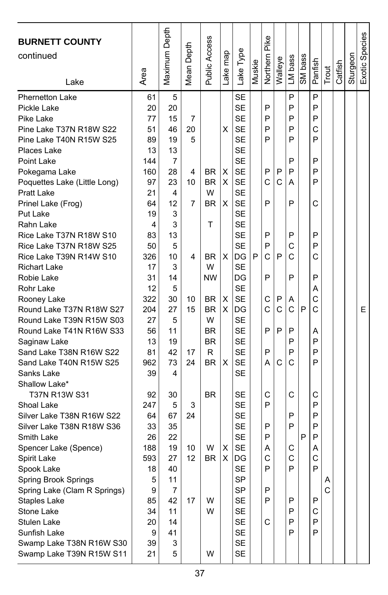| <b>BURNETT COUNTY</b><br>continued<br>Lake         | Area     | Maximum Depth | Depth<br>Mean I | Public Access | Lake map | Lake Type | Muskie | Northern Pike | Walleye | LM bass | SM bass | Panfish | Trout | Catfish | Sturgeon | Exotic Species |
|----------------------------------------------------|----------|---------------|-----------------|---------------|----------|-----------|--------|---------------|---------|---------|---------|---------|-------|---------|----------|----------------|
|                                                    |          |               |                 |               |          | <b>SE</b> |        |               |         | P       |         | P       |       |         |          |                |
| <b>Phernetton Lake</b><br>Pickle Lake              | 61<br>20 | 5<br>20       |                 |               |          | SE        |        | P             |         | P       |         | P       |       |         |          |                |
| Pike Lake                                          | 77       |               | 7               |               |          | <b>SE</b> |        | P             |         | P       |         | P       |       |         |          |                |
|                                                    | 51       | 15<br>46      | 20              |               |          | <b>SE</b> |        | P             |         | P       |         | C       |       |         |          |                |
| Pine Lake T37N R18W S22<br>Pine Lake T40N R15W S25 | 89       | 19            | 5               |               | X        | <b>SE</b> |        | P             |         | P       |         | P       |       |         |          |                |
| Places Lake                                        | 13       | 13            |                 |               |          | SE        |        |               |         |         |         |         |       |         |          |                |
| Point Lake                                         | 144      | 7             |                 |               |          | <b>SE</b> |        |               |         | P       |         | P       |       |         |          |                |
|                                                    | 160      | 28            | 4               | <b>BR</b>     | х        | <b>SE</b> |        | P             | P       | P       |         | P       |       |         |          |                |
| Pokegama Lake<br>Poquettes Lake (Little Long)      | 97       | 23            | 10              | <b>BR</b>     | X        | <b>SE</b> |        | C             | C       | Α       |         | P       |       |         |          |                |
| <b>Pratt Lake</b>                                  | 21       | 4             |                 | W             |          | <b>SE</b> |        |               |         |         |         |         |       |         |          |                |
| Prinel Lake (Frog)                                 | 64       | 12            | 7               | <b>BR</b>     | Х        | <b>SE</b> |        | P             |         | P       |         | C       |       |         |          |                |
| Put Lake                                           | 19       | 3             |                 |               |          | <b>SE</b> |        |               |         |         |         |         |       |         |          |                |
| Rahn Lake                                          | 4        | 3             |                 | т             |          | <b>SE</b> |        |               |         |         |         |         |       |         |          |                |
| Rice Lake T37N R18W S10                            | 83       | 13            |                 |               |          | SE        |        | P             |         | P       |         | P       |       |         |          |                |
| Rice Lake T37N R18W S25                            | 50       | 5             |                 |               |          | <b>SE</b> |        | P             |         | С       |         | P       |       |         |          |                |
| Rice Lake T39N R14W S10                            | 326      | 10            | 4               | BR.           | X        | DG        | P      | С             | P       | С       |         | C       |       |         |          |                |
| <b>Richart Lake</b>                                | 17       | 3             |                 | W             |          | SE        |        |               |         |         |         |         |       |         |          |                |
| Robie Lake                                         | 31       | 14            |                 | <b>NW</b>     |          | DG        |        | P             |         | P       |         | P       |       |         |          |                |
| Rohr Lake                                          | 12       | 5             |                 |               |          | <b>SE</b> |        |               |         |         |         | Α       |       |         |          |                |
| Rooney Lake                                        | 322      | 30            | 10              | <b>BR</b>     | х        | <b>SE</b> |        | С             | P       | Α       |         | С       |       |         |          |                |
| Round Lake T37N R18W S27                           | 204      | 27            | 15              | <b>BR</b>     | X        | DG        |        | Ċ             | C       | C       | P       | Ċ       |       |         |          | E              |
| Round Lake T39N R15W S03                           | 27       | 5             |                 | W             |          | <b>SE</b> |        |               |         |         |         |         |       |         |          |                |
| Round Lake T41N R16W S33                           | 56       | 11            |                 | <b>BR</b>     |          | <b>SE</b> |        | P             | P       | P       |         | A       |       |         |          |                |
| Saginaw Lake                                       | 13       | 19            |                 | <b>BR</b>     |          | SE        |        |               |         | P       |         | P       |       |         |          |                |
| Sand Lake T38N R16W S22                            | 81       | 42            | 17              | R             |          | <b>SE</b> |        | P             |         | P       |         | P       |       |         |          |                |
| Sand Lake T40N R15W S25                            | 962      | 73            | 24              | <b>BR</b>     | X        | <b>SE</b> |        | А             | С       | C       |         | P       |       |         |          |                |
| Sanks Lake                                         | 39       | 4             |                 |               |          | <b>SE</b> |        |               |         |         |         |         |       |         |          |                |
| Shallow Lake*                                      |          |               |                 |               |          |           |        |               |         |         |         |         |       |         |          |                |
| T37N R13W S31                                      | 92       | 30            |                 | <b>BR</b>     |          | SE        |        | С             |         | С       |         | С       |       |         |          |                |
| Shoal Lake                                         | 247      | 5             | 3               |               |          | SE        |        | P             |         |         |         | P       |       |         |          |                |
| Silver Lake T38N R16W S22                          | 64       | 67            | 24              |               |          | SE        |        |               |         | P       |         | P       |       |         |          |                |
| Silver Lake T38N R18W S36                          | 33       | 35            |                 |               |          | SE        |        | P             |         | P       |         | P       |       |         |          |                |
| Smith Lake                                         | 26       | 22            |                 |               |          | <b>SE</b> |        | P             |         |         | P       | P       |       |         |          |                |
| Spencer Lake (Spence)                              | 188      | 19            | 10              | W             | х        | SE        |        | А             |         | С       |         | Α       |       |         |          |                |
| Spirit Lake                                        | 593      | 27            | 12              | <b>BR</b>     | X        | DG        |        | C             |         | C       |         | C       |       |         |          |                |
| Spook Lake                                         | 18       | 40            |                 |               |          | <b>SF</b> |        | Þ             |         | P       |         | P       |       |         |          |                |
| Spring Brook Springs                               | 5        | 11            |                 |               |          | SP        |        |               |         |         |         |         | Α     |         |          |                |
| Spring Lake (Clam R Springs)                       | 9        | 7             |                 |               |          | SP        |        | P             |         |         |         |         | C     |         |          |                |
| Staples Lake                                       | 85       | 42            | 17              | W             |          | <b>SE</b> |        | P             |         | P       |         | P       |       |         |          |                |
| Stone Lake                                         | 34       | 11            |                 | W             |          | SE        |        |               |         | P       |         | С       |       |         |          |                |
| Stulen Lake                                        | 20       | 14            |                 |               |          | SE        |        | С             |         | P       |         | P       |       |         |          |                |
| Sunfish Lake                                       | 9        | 41            |                 |               |          | SE        |        |               |         | P       |         | P       |       |         |          |                |
| Swamp Lake T38N R16W S30                           | 39       | 3             |                 |               |          | <b>SE</b> |        |               |         |         |         |         |       |         |          |                |
| Swamp Lake T39N R15W S11                           | 21       | 5             |                 | W             |          | SE        |        |               |         |         |         |         |       |         |          |                |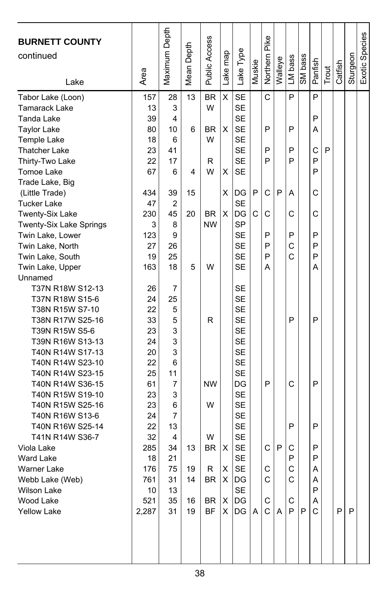| <b>BURNETT COUNTY</b><br>continued<br>Lake | Area      | Maximum Depth | Mean Depth | <b>Public Access</b> | Lake map | Lake Type              | Muskie | Northern Pike | Walleye | LM bass      | SM bass | Panfish | Trout | Catfish | Sturgeon | Exotic Species |
|--------------------------------------------|-----------|---------------|------------|----------------------|----------|------------------------|--------|---------------|---------|--------------|---------|---------|-------|---------|----------|----------------|
| Tabor Lake (Loon)                          | 157       | 28            | 13         | <b>BR</b>            | X        | <b>SE</b>              |        | C             |         | P            |         | P       |       |         |          |                |
| <b>Tamarack Lake</b>                       | 13        | 3             |            | W                    |          | <b>SE</b>              |        |               |         |              |         |         |       |         |          |                |
| Tanda Lake                                 | 39        | 4             |            |                      |          | <b>SE</b>              |        |               |         |              |         | P       |       |         |          |                |
| <b>Taylor Lake</b>                         | 80        | 10            | 6          | <b>BR</b>            | X        | <b>SE</b>              |        | P             |         | P            |         | А       |       |         |          |                |
| <b>Temple Lake</b>                         | 18        | 6             |            | W                    |          | <b>SE</b>              |        |               |         |              |         |         |       |         |          |                |
| <b>Thatcher Lake</b>                       | 23        | 41            |            |                      |          | <b>SE</b>              |        | P             |         | P            |         | C       | P     |         |          |                |
| Thirty-Two Lake                            | 22        | 17            |            | R                    |          | <b>SE</b>              |        | P             |         | P            |         | P       |       |         |          |                |
| Tomoe Lake                                 | 67        | 6             | 4          | W                    | X        | <b>SE</b>              |        |               |         |              |         | P       |       |         |          |                |
| Trade Lake, Big                            |           |               |            |                      |          |                        |        |               |         |              |         |         |       |         |          |                |
| (Little Trade)                             | 434       | 39            | 15         |                      | х        | DG                     | P      | C             | P       | A            |         | C       |       |         |          |                |
| <b>Tucker Lake</b>                         | 47        | 2             |            |                      |          | <b>SE</b>              |        |               |         |              |         |         |       |         |          |                |
| <b>Twenty-Six Lake</b>                     | 230       | 45            | 20         | <b>BR</b>            | X        | DG                     | C      | C             |         | С            |         | C       |       |         |          |                |
| Twenty-Six Lake Springs                    | 3         | 8             |            | <b>NW</b>            |          | SP                     |        |               |         |              |         |         |       |         |          |                |
| Twin Lake, Lower                           | 123       | 9             |            |                      |          | <b>SE</b>              |        | P             |         | P            |         | P       |       |         |          |                |
| Twin Lake, North                           | 27        | 26            |            |                      |          | <b>SE</b>              |        | P             |         | C            |         | P       |       |         |          |                |
| Twin Lake, South                           | 19        | 25            |            |                      |          | <b>SE</b>              |        | P             |         | C            |         | P       |       |         |          |                |
| Twin Lake, Upper                           | 163       | 18            | 5          | W                    |          | SE                     |        | Α             |         |              |         | Α       |       |         |          |                |
| Unnamed                                    |           |               |            |                      |          |                        |        |               |         |              |         |         |       |         |          |                |
| T37N R18W S12-13                           | 26        | 7             |            |                      |          | SE                     |        |               |         |              |         |         |       |         |          |                |
| T37N R18W S15-6                            | 24        | 25            |            |                      |          | <b>SE</b>              |        |               |         |              |         |         |       |         |          |                |
| T38N R15W S7-10                            | 22        | 5             |            |                      |          | <b>SE</b>              |        |               |         |              |         |         |       |         |          |                |
| T38N R17W S25-16                           | 33        | 5             |            | R                    |          | <b>SE</b>              |        |               |         | P            |         | P       |       |         |          |                |
| T39N R15W S5-6                             | 23        | 3             |            |                      |          | <b>SE</b>              |        |               |         |              |         |         |       |         |          |                |
| T39N R16W S13-13                           | 24        | 3             |            |                      |          | <b>SE</b>              |        |               |         |              |         |         |       |         |          |                |
| T40N R14W S17-13                           | 20        | 3             |            |                      |          | <b>SE</b>              |        |               |         |              |         |         |       |         |          |                |
| T40N R14W S23-10                           | 22        | 6             |            |                      |          | <b>SE</b>              |        |               |         |              |         |         |       |         |          |                |
| T40N R14W S23-15                           | 25        | 11            |            |                      |          | <b>SE</b>              |        |               |         |              |         |         |       |         |          |                |
| T40N R14W S36-15                           | 61        | 7             |            | <b>NW</b>            |          | DG                     |        | P             |         | C            |         | P       |       |         |          |                |
| T40N R15W S19-10                           | 23        | 3             |            |                      |          | <b>SE</b>              |        |               |         |              |         |         |       |         |          |                |
| T40N R15W S25-16                           | 23        | 6             |            | W                    |          | <b>SE</b>              |        |               |         |              |         |         |       |         |          |                |
| T40N R16W S13-6                            | 24        | 7             |            |                      |          | <b>SE</b>              |        |               |         |              |         |         |       |         |          |                |
| T40N R16W S25-14                           | 22        | 13            |            |                      |          | SE                     |        |               |         | P            |         | P       |       |         |          |                |
| T41N R14W S36-7                            | 32        | 4             |            | W                    |          | <b>SE</b>              |        |               |         |              |         |         |       |         |          |                |
| Viola Lake                                 | 285       | 34<br>21      | 13         | <b>BR</b>            | X        | <b>SE</b><br><b>SE</b> |        | C             | P       | С<br>P       |         | P<br>P  |       |         |          |                |
| <b>Ward Lake</b><br>Warner Lake            | 18<br>176 | 75            | 19         | R                    | X        | <b>SE</b>              |        | C             |         | $\mathsf{C}$ |         | A       |       |         |          |                |
| Webb Lake (Web)                            | 761       | 31            | 14         | BR                   | X        | DG                     |        | С             |         | С            |         | Α       |       |         |          |                |
| <b>Wilson Lake</b>                         | 10        | 13            |            |                      |          | <b>SE</b>              |        |               |         |              |         | P       |       |         |          |                |
| Wood Lake                                  | 521       | 35            | 16         | BR                   | Χ        | DG                     |        | С             |         | C            |         | Α       |       |         |          |                |
| <b>Yellow Lake</b>                         | 2,287     | 31            | 19         | <b>BF</b>            | X.       | DG                     | A      | C             | A       | P            | P       | C       |       | P       | P        |                |
|                                            |           |               |            |                      |          |                        |        |               |         |              |         |         |       |         |          |                |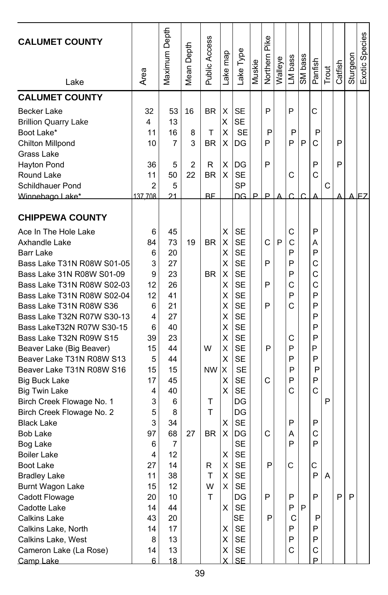| Maximum Depth<br>Exotic Species<br>Public Access<br>Northern Pike<br><b>CALUMET COUNTY</b><br>Mean Depth<br>Lake Type<br>Lake map<br>Sturgeon<br>SM bass<br>LM bass<br>Walleye<br>Panfish<br>Muskie<br>Catfish<br>Trout<br>Area<br>Lake<br><b>CALUMET COUNTY</b><br><b>SE</b><br>P<br>P<br>С<br><b>Becker Lake</b><br>32<br>53<br>16<br><b>BR</b><br>Χ<br>X<br><b>SE</b><br>13<br><b>Brillion Quarry Lake</b><br>4<br>Boot Lake*<br>16<br>X<br><b>SE</b><br>P<br>P<br>P<br>11<br>т<br>8<br>P<br>P<br>P<br>Ć<br>Chilton Millpond<br>10<br>7<br>3<br><b>BR</b><br>x<br>DG<br>P<br>Grass Lake<br>Χ<br>P<br>P<br>P<br>Hayton Pond<br>36<br>2<br>R<br>DG<br>5<br>50<br>22<br><b>BR</b><br>X<br><b>SE</b><br>C<br>C<br>Round Lake<br>11<br><b>SP</b><br>C<br>Schildhauer Pond<br>2<br>5<br>21<br><b>RF</b><br>DG<br>P<br>P<br>137 708<br>Winnebago Lake*<br><b>CHIPPEWA COUNTY</b><br><b>SE</b><br>P<br>Ace In The Hole Lake<br>6<br>45<br>х<br>С<br>P<br>73<br>19<br><b>BR</b><br>X<br><b>SE</b><br>C<br>C<br>Axhandle Lake<br>84<br>Α<br>20<br><b>SE</b><br>P<br>P<br><b>Barr Lake</b><br>6<br>х<br>3<br>X<br><b>SE</b><br>P<br>P<br>Bass Lake T31N R08W S01-05<br>27<br>С<br><b>SE</b><br>23<br><b>BR</b><br>P<br>C<br>Bass Lake 31N R08W S01-09<br>9<br>X<br><b>SE</b><br>Ċ<br>26<br>Χ<br>P<br>C<br>Bass Lake T31N R08W S02-03<br>12<br>41<br><b>SE</b><br>P<br>P<br>Bass Lake T31N R08W S02-04<br>12<br>х<br>X<br><b>SE</b><br>P<br>C<br>P<br>Bass Lake T31N R08W S36<br>6<br>21<br>27<br><b>SE</b><br>Bass Lake T32N R07W S30-13<br>4<br>х<br>P<br>X<br><b>SE</b><br>P<br>Bass LakeT32N R07W S30-15<br>6<br>40<br>X<br><b>SE</b><br>P<br>Bass Lake T32N R09W S15<br>39<br>23<br>С<br>W<br>Χ<br><b>SE</b><br>P<br>P<br>15<br>44<br>P<br>Beaver Lake (Big Beaver)<br>Beaver Lake T31N R08W S13<br>X<br><b>SE</b><br>P<br>5<br>44<br>P<br><b>NW</b><br>X<br><b>SE</b><br>Beaver Lake T31N R08W S16<br>15<br>15<br>P<br>P<br>17<br>X<br><b>SE</b><br>P<br>45<br>С<br>P<br>Big Buck Lake<br>X<br><b>SE</b><br>C<br>С<br>40<br><b>Big Twin Lake</b><br>4<br>P<br>Birch Creek Flowage No. 1<br>3<br>Т<br>DG<br>6<br>5<br>T<br>DG<br>Birch Creek Flowage No. 2<br>8<br>3<br>X<br><b>SE</b><br>P<br>P<br><b>Black Lake</b><br>34<br>68<br>X<br>C<br>C<br><b>Bob Lake</b><br>97<br>27<br><b>BR</b><br>DG<br>Α<br><b>SE</b><br>P<br>P<br>7<br>Bog Lake<br>6<br>12<br><b>SE</b><br><b>Boiler Lake</b><br>Χ<br>4<br>27<br>14<br><b>SE</b><br>P<br>C<br>C<br>R<br>Χ<br>Boot Lake<br><b>Bradley Lake</b><br>11<br>38<br>т<br>х<br><b>SE</b><br>P<br>A<br>12<br>W<br>X<br><b>SE</b><br>Burnt Wagon Lake<br>15<br>P<br>T<br>P<br>P<br>P<br>P<br>Cadott Flowage<br>20<br>10<br>DG<br><b>SE</b><br>P<br>44<br>X.<br>P<br>Cadotte Lake<br>14<br><b>SE</b><br>P<br><b>Calkins Lake</b><br>43<br>20<br>С<br>P<br><b>SE</b><br>Calkins Lake, North<br>14<br>17<br>X<br>P<br>P<br>X<br>SE<br>P<br>Calkins Lake, West<br>13<br>P<br>8 |                        |    |    |  |   |    |  |   |   |  |  |
|--------------------------------------------------------------------------------------------------------------------------------------------------------------------------------------------------------------------------------------------------------------------------------------------------------------------------------------------------------------------------------------------------------------------------------------------------------------------------------------------------------------------------------------------------------------------------------------------------------------------------------------------------------------------------------------------------------------------------------------------------------------------------------------------------------------------------------------------------------------------------------------------------------------------------------------------------------------------------------------------------------------------------------------------------------------------------------------------------------------------------------------------------------------------------------------------------------------------------------------------------------------------------------------------------------------------------------------------------------------------------------------------------------------------------------------------------------------------------------------------------------------------------------------------------------------------------------------------------------------------------------------------------------------------------------------------------------------------------------------------------------------------------------------------------------------------------------------------------------------------------------------------------------------------------------------------------------------------------------------------------------------------------------------------------------------------------------------------------------------------------------------------------------------------------------------------------------------------------------------------------------------------------------------------------------------------------------------------------------------------------------------------------------------------------------------------------------------------------------------------------------------------------------------------------------------------------------------------------------------------------------------------------------------------------------------------------------------------------------------------------------------------------------------------------------------------------------------------------------------------------------------------------------------|------------------------|----|----|--|---|----|--|---|---|--|--|
|                                                                                                                                                                                                                                                                                                                                                                                                                                                                                                                                                                                                                                                                                                                                                                                                                                                                                                                                                                                                                                                                                                                                                                                                                                                                                                                                                                                                                                                                                                                                                                                                                                                                                                                                                                                                                                                                                                                                                                                                                                                                                                                                                                                                                                                                                                                                                                                                                                                                                                                                                                                                                                                                                                                                                                                                                                                                                                              |                        |    |    |  |   |    |  |   |   |  |  |
|                                                                                                                                                                                                                                                                                                                                                                                                                                                                                                                                                                                                                                                                                                                                                                                                                                                                                                                                                                                                                                                                                                                                                                                                                                                                                                                                                                                                                                                                                                                                                                                                                                                                                                                                                                                                                                                                                                                                                                                                                                                                                                                                                                                                                                                                                                                                                                                                                                                                                                                                                                                                                                                                                                                                                                                                                                                                                                              |                        |    |    |  |   |    |  |   |   |  |  |
|                                                                                                                                                                                                                                                                                                                                                                                                                                                                                                                                                                                                                                                                                                                                                                                                                                                                                                                                                                                                                                                                                                                                                                                                                                                                                                                                                                                                                                                                                                                                                                                                                                                                                                                                                                                                                                                                                                                                                                                                                                                                                                                                                                                                                                                                                                                                                                                                                                                                                                                                                                                                                                                                                                                                                                                                                                                                                                              |                        |    |    |  |   |    |  |   |   |  |  |
|                                                                                                                                                                                                                                                                                                                                                                                                                                                                                                                                                                                                                                                                                                                                                                                                                                                                                                                                                                                                                                                                                                                                                                                                                                                                                                                                                                                                                                                                                                                                                                                                                                                                                                                                                                                                                                                                                                                                                                                                                                                                                                                                                                                                                                                                                                                                                                                                                                                                                                                                                                                                                                                                                                                                                                                                                                                                                                              |                        |    |    |  |   |    |  |   |   |  |  |
|                                                                                                                                                                                                                                                                                                                                                                                                                                                                                                                                                                                                                                                                                                                                                                                                                                                                                                                                                                                                                                                                                                                                                                                                                                                                                                                                                                                                                                                                                                                                                                                                                                                                                                                                                                                                                                                                                                                                                                                                                                                                                                                                                                                                                                                                                                                                                                                                                                                                                                                                                                                                                                                                                                                                                                                                                                                                                                              |                        |    |    |  |   |    |  |   |   |  |  |
|                                                                                                                                                                                                                                                                                                                                                                                                                                                                                                                                                                                                                                                                                                                                                                                                                                                                                                                                                                                                                                                                                                                                                                                                                                                                                                                                                                                                                                                                                                                                                                                                                                                                                                                                                                                                                                                                                                                                                                                                                                                                                                                                                                                                                                                                                                                                                                                                                                                                                                                                                                                                                                                                                                                                                                                                                                                                                                              |                        |    |    |  |   |    |  |   |   |  |  |
|                                                                                                                                                                                                                                                                                                                                                                                                                                                                                                                                                                                                                                                                                                                                                                                                                                                                                                                                                                                                                                                                                                                                                                                                                                                                                                                                                                                                                                                                                                                                                                                                                                                                                                                                                                                                                                                                                                                                                                                                                                                                                                                                                                                                                                                                                                                                                                                                                                                                                                                                                                                                                                                                                                                                                                                                                                                                                                              |                        |    |    |  |   |    |  |   |   |  |  |
|                                                                                                                                                                                                                                                                                                                                                                                                                                                                                                                                                                                                                                                                                                                                                                                                                                                                                                                                                                                                                                                                                                                                                                                                                                                                                                                                                                                                                                                                                                                                                                                                                                                                                                                                                                                                                                                                                                                                                                                                                                                                                                                                                                                                                                                                                                                                                                                                                                                                                                                                                                                                                                                                                                                                                                                                                                                                                                              |                        |    |    |  |   |    |  |   |   |  |  |
|                                                                                                                                                                                                                                                                                                                                                                                                                                                                                                                                                                                                                                                                                                                                                                                                                                                                                                                                                                                                                                                                                                                                                                                                                                                                                                                                                                                                                                                                                                                                                                                                                                                                                                                                                                                                                                                                                                                                                                                                                                                                                                                                                                                                                                                                                                                                                                                                                                                                                                                                                                                                                                                                                                                                                                                                                                                                                                              |                        |    |    |  |   |    |  |   |   |  |  |
|                                                                                                                                                                                                                                                                                                                                                                                                                                                                                                                                                                                                                                                                                                                                                                                                                                                                                                                                                                                                                                                                                                                                                                                                                                                                                                                                                                                                                                                                                                                                                                                                                                                                                                                                                                                                                                                                                                                                                                                                                                                                                                                                                                                                                                                                                                                                                                                                                                                                                                                                                                                                                                                                                                                                                                                                                                                                                                              |                        |    |    |  |   |    |  |   |   |  |  |
|                                                                                                                                                                                                                                                                                                                                                                                                                                                                                                                                                                                                                                                                                                                                                                                                                                                                                                                                                                                                                                                                                                                                                                                                                                                                                                                                                                                                                                                                                                                                                                                                                                                                                                                                                                                                                                                                                                                                                                                                                                                                                                                                                                                                                                                                                                                                                                                                                                                                                                                                                                                                                                                                                                                                                                                                                                                                                                              |                        |    |    |  |   |    |  |   |   |  |  |
|                                                                                                                                                                                                                                                                                                                                                                                                                                                                                                                                                                                                                                                                                                                                                                                                                                                                                                                                                                                                                                                                                                                                                                                                                                                                                                                                                                                                                                                                                                                                                                                                                                                                                                                                                                                                                                                                                                                                                                                                                                                                                                                                                                                                                                                                                                                                                                                                                                                                                                                                                                                                                                                                                                                                                                                                                                                                                                              |                        |    |    |  |   |    |  |   |   |  |  |
|                                                                                                                                                                                                                                                                                                                                                                                                                                                                                                                                                                                                                                                                                                                                                                                                                                                                                                                                                                                                                                                                                                                                                                                                                                                                                                                                                                                                                                                                                                                                                                                                                                                                                                                                                                                                                                                                                                                                                                                                                                                                                                                                                                                                                                                                                                                                                                                                                                                                                                                                                                                                                                                                                                                                                                                                                                                                                                              |                        |    |    |  |   |    |  |   |   |  |  |
|                                                                                                                                                                                                                                                                                                                                                                                                                                                                                                                                                                                                                                                                                                                                                                                                                                                                                                                                                                                                                                                                                                                                                                                                                                                                                                                                                                                                                                                                                                                                                                                                                                                                                                                                                                                                                                                                                                                                                                                                                                                                                                                                                                                                                                                                                                                                                                                                                                                                                                                                                                                                                                                                                                                                                                                                                                                                                                              |                        |    |    |  |   |    |  |   |   |  |  |
|                                                                                                                                                                                                                                                                                                                                                                                                                                                                                                                                                                                                                                                                                                                                                                                                                                                                                                                                                                                                                                                                                                                                                                                                                                                                                                                                                                                                                                                                                                                                                                                                                                                                                                                                                                                                                                                                                                                                                                                                                                                                                                                                                                                                                                                                                                                                                                                                                                                                                                                                                                                                                                                                                                                                                                                                                                                                                                              |                        |    |    |  |   |    |  |   |   |  |  |
|                                                                                                                                                                                                                                                                                                                                                                                                                                                                                                                                                                                                                                                                                                                                                                                                                                                                                                                                                                                                                                                                                                                                                                                                                                                                                                                                                                                                                                                                                                                                                                                                                                                                                                                                                                                                                                                                                                                                                                                                                                                                                                                                                                                                                                                                                                                                                                                                                                                                                                                                                                                                                                                                                                                                                                                                                                                                                                              |                        |    |    |  |   |    |  |   |   |  |  |
|                                                                                                                                                                                                                                                                                                                                                                                                                                                                                                                                                                                                                                                                                                                                                                                                                                                                                                                                                                                                                                                                                                                                                                                                                                                                                                                                                                                                                                                                                                                                                                                                                                                                                                                                                                                                                                                                                                                                                                                                                                                                                                                                                                                                                                                                                                                                                                                                                                                                                                                                                                                                                                                                                                                                                                                                                                                                                                              |                        |    |    |  |   |    |  |   |   |  |  |
|                                                                                                                                                                                                                                                                                                                                                                                                                                                                                                                                                                                                                                                                                                                                                                                                                                                                                                                                                                                                                                                                                                                                                                                                                                                                                                                                                                                                                                                                                                                                                                                                                                                                                                                                                                                                                                                                                                                                                                                                                                                                                                                                                                                                                                                                                                                                                                                                                                                                                                                                                                                                                                                                                                                                                                                                                                                                                                              |                        |    |    |  |   |    |  |   |   |  |  |
|                                                                                                                                                                                                                                                                                                                                                                                                                                                                                                                                                                                                                                                                                                                                                                                                                                                                                                                                                                                                                                                                                                                                                                                                                                                                                                                                                                                                                                                                                                                                                                                                                                                                                                                                                                                                                                                                                                                                                                                                                                                                                                                                                                                                                                                                                                                                                                                                                                                                                                                                                                                                                                                                                                                                                                                                                                                                                                              |                        |    |    |  |   |    |  |   |   |  |  |
|                                                                                                                                                                                                                                                                                                                                                                                                                                                                                                                                                                                                                                                                                                                                                                                                                                                                                                                                                                                                                                                                                                                                                                                                                                                                                                                                                                                                                                                                                                                                                                                                                                                                                                                                                                                                                                                                                                                                                                                                                                                                                                                                                                                                                                                                                                                                                                                                                                                                                                                                                                                                                                                                                                                                                                                                                                                                                                              |                        |    |    |  |   |    |  |   |   |  |  |
|                                                                                                                                                                                                                                                                                                                                                                                                                                                                                                                                                                                                                                                                                                                                                                                                                                                                                                                                                                                                                                                                                                                                                                                                                                                                                                                                                                                                                                                                                                                                                                                                                                                                                                                                                                                                                                                                                                                                                                                                                                                                                                                                                                                                                                                                                                                                                                                                                                                                                                                                                                                                                                                                                                                                                                                                                                                                                                              |                        |    |    |  |   |    |  |   |   |  |  |
|                                                                                                                                                                                                                                                                                                                                                                                                                                                                                                                                                                                                                                                                                                                                                                                                                                                                                                                                                                                                                                                                                                                                                                                                                                                                                                                                                                                                                                                                                                                                                                                                                                                                                                                                                                                                                                                                                                                                                                                                                                                                                                                                                                                                                                                                                                                                                                                                                                                                                                                                                                                                                                                                                                                                                                                                                                                                                                              |                        |    |    |  |   |    |  |   |   |  |  |
|                                                                                                                                                                                                                                                                                                                                                                                                                                                                                                                                                                                                                                                                                                                                                                                                                                                                                                                                                                                                                                                                                                                                                                                                                                                                                                                                                                                                                                                                                                                                                                                                                                                                                                                                                                                                                                                                                                                                                                                                                                                                                                                                                                                                                                                                                                                                                                                                                                                                                                                                                                                                                                                                                                                                                                                                                                                                                                              |                        |    |    |  |   |    |  |   |   |  |  |
|                                                                                                                                                                                                                                                                                                                                                                                                                                                                                                                                                                                                                                                                                                                                                                                                                                                                                                                                                                                                                                                                                                                                                                                                                                                                                                                                                                                                                                                                                                                                                                                                                                                                                                                                                                                                                                                                                                                                                                                                                                                                                                                                                                                                                                                                                                                                                                                                                                                                                                                                                                                                                                                                                                                                                                                                                                                                                                              |                        |    |    |  |   |    |  |   |   |  |  |
|                                                                                                                                                                                                                                                                                                                                                                                                                                                                                                                                                                                                                                                                                                                                                                                                                                                                                                                                                                                                                                                                                                                                                                                                                                                                                                                                                                                                                                                                                                                                                                                                                                                                                                                                                                                                                                                                                                                                                                                                                                                                                                                                                                                                                                                                                                                                                                                                                                                                                                                                                                                                                                                                                                                                                                                                                                                                                                              |                        |    |    |  |   |    |  |   |   |  |  |
|                                                                                                                                                                                                                                                                                                                                                                                                                                                                                                                                                                                                                                                                                                                                                                                                                                                                                                                                                                                                                                                                                                                                                                                                                                                                                                                                                                                                                                                                                                                                                                                                                                                                                                                                                                                                                                                                                                                                                                                                                                                                                                                                                                                                                                                                                                                                                                                                                                                                                                                                                                                                                                                                                                                                                                                                                                                                                                              |                        |    |    |  |   |    |  |   |   |  |  |
|                                                                                                                                                                                                                                                                                                                                                                                                                                                                                                                                                                                                                                                                                                                                                                                                                                                                                                                                                                                                                                                                                                                                                                                                                                                                                                                                                                                                                                                                                                                                                                                                                                                                                                                                                                                                                                                                                                                                                                                                                                                                                                                                                                                                                                                                                                                                                                                                                                                                                                                                                                                                                                                                                                                                                                                                                                                                                                              |                        |    |    |  |   |    |  |   |   |  |  |
|                                                                                                                                                                                                                                                                                                                                                                                                                                                                                                                                                                                                                                                                                                                                                                                                                                                                                                                                                                                                                                                                                                                                                                                                                                                                                                                                                                                                                                                                                                                                                                                                                                                                                                                                                                                                                                                                                                                                                                                                                                                                                                                                                                                                                                                                                                                                                                                                                                                                                                                                                                                                                                                                                                                                                                                                                                                                                                              |                        |    |    |  |   |    |  |   |   |  |  |
|                                                                                                                                                                                                                                                                                                                                                                                                                                                                                                                                                                                                                                                                                                                                                                                                                                                                                                                                                                                                                                                                                                                                                                                                                                                                                                                                                                                                                                                                                                                                                                                                                                                                                                                                                                                                                                                                                                                                                                                                                                                                                                                                                                                                                                                                                                                                                                                                                                                                                                                                                                                                                                                                                                                                                                                                                                                                                                              |                        |    |    |  |   |    |  |   |   |  |  |
|                                                                                                                                                                                                                                                                                                                                                                                                                                                                                                                                                                                                                                                                                                                                                                                                                                                                                                                                                                                                                                                                                                                                                                                                                                                                                                                                                                                                                                                                                                                                                                                                                                                                                                                                                                                                                                                                                                                                                                                                                                                                                                                                                                                                                                                                                                                                                                                                                                                                                                                                                                                                                                                                                                                                                                                                                                                                                                              |                        |    |    |  |   |    |  |   |   |  |  |
|                                                                                                                                                                                                                                                                                                                                                                                                                                                                                                                                                                                                                                                                                                                                                                                                                                                                                                                                                                                                                                                                                                                                                                                                                                                                                                                                                                                                                                                                                                                                                                                                                                                                                                                                                                                                                                                                                                                                                                                                                                                                                                                                                                                                                                                                                                                                                                                                                                                                                                                                                                                                                                                                                                                                                                                                                                                                                                              |                        |    |    |  |   |    |  |   |   |  |  |
|                                                                                                                                                                                                                                                                                                                                                                                                                                                                                                                                                                                                                                                                                                                                                                                                                                                                                                                                                                                                                                                                                                                                                                                                                                                                                                                                                                                                                                                                                                                                                                                                                                                                                                                                                                                                                                                                                                                                                                                                                                                                                                                                                                                                                                                                                                                                                                                                                                                                                                                                                                                                                                                                                                                                                                                                                                                                                                              |                        |    |    |  |   |    |  |   |   |  |  |
|                                                                                                                                                                                                                                                                                                                                                                                                                                                                                                                                                                                                                                                                                                                                                                                                                                                                                                                                                                                                                                                                                                                                                                                                                                                                                                                                                                                                                                                                                                                                                                                                                                                                                                                                                                                                                                                                                                                                                                                                                                                                                                                                                                                                                                                                                                                                                                                                                                                                                                                                                                                                                                                                                                                                                                                                                                                                                                              |                        |    |    |  |   |    |  |   |   |  |  |
|                                                                                                                                                                                                                                                                                                                                                                                                                                                                                                                                                                                                                                                                                                                                                                                                                                                                                                                                                                                                                                                                                                                                                                                                                                                                                                                                                                                                                                                                                                                                                                                                                                                                                                                                                                                                                                                                                                                                                                                                                                                                                                                                                                                                                                                                                                                                                                                                                                                                                                                                                                                                                                                                                                                                                                                                                                                                                                              |                        |    |    |  |   |    |  |   |   |  |  |
|                                                                                                                                                                                                                                                                                                                                                                                                                                                                                                                                                                                                                                                                                                                                                                                                                                                                                                                                                                                                                                                                                                                                                                                                                                                                                                                                                                                                                                                                                                                                                                                                                                                                                                                                                                                                                                                                                                                                                                                                                                                                                                                                                                                                                                                                                                                                                                                                                                                                                                                                                                                                                                                                                                                                                                                                                                                                                                              |                        |    |    |  |   |    |  |   |   |  |  |
|                                                                                                                                                                                                                                                                                                                                                                                                                                                                                                                                                                                                                                                                                                                                                                                                                                                                                                                                                                                                                                                                                                                                                                                                                                                                                                                                                                                                                                                                                                                                                                                                                                                                                                                                                                                                                                                                                                                                                                                                                                                                                                                                                                                                                                                                                                                                                                                                                                                                                                                                                                                                                                                                                                                                                                                                                                                                                                              |                        |    |    |  |   |    |  |   |   |  |  |
|                                                                                                                                                                                                                                                                                                                                                                                                                                                                                                                                                                                                                                                                                                                                                                                                                                                                                                                                                                                                                                                                                                                                                                                                                                                                                                                                                                                                                                                                                                                                                                                                                                                                                                                                                                                                                                                                                                                                                                                                                                                                                                                                                                                                                                                                                                                                                                                                                                                                                                                                                                                                                                                                                                                                                                                                                                                                                                              |                        |    |    |  |   |    |  |   |   |  |  |
|                                                                                                                                                                                                                                                                                                                                                                                                                                                                                                                                                                                                                                                                                                                                                                                                                                                                                                                                                                                                                                                                                                                                                                                                                                                                                                                                                                                                                                                                                                                                                                                                                                                                                                                                                                                                                                                                                                                                                                                                                                                                                                                                                                                                                                                                                                                                                                                                                                                                                                                                                                                                                                                                                                                                                                                                                                                                                                              |                        |    |    |  |   |    |  |   |   |  |  |
|                                                                                                                                                                                                                                                                                                                                                                                                                                                                                                                                                                                                                                                                                                                                                                                                                                                                                                                                                                                                                                                                                                                                                                                                                                                                                                                                                                                                                                                                                                                                                                                                                                                                                                                                                                                                                                                                                                                                                                                                                                                                                                                                                                                                                                                                                                                                                                                                                                                                                                                                                                                                                                                                                                                                                                                                                                                                                                              |                        |    |    |  |   |    |  |   |   |  |  |
|                                                                                                                                                                                                                                                                                                                                                                                                                                                                                                                                                                                                                                                                                                                                                                                                                                                                                                                                                                                                                                                                                                                                                                                                                                                                                                                                                                                                                                                                                                                                                                                                                                                                                                                                                                                                                                                                                                                                                                                                                                                                                                                                                                                                                                                                                                                                                                                                                                                                                                                                                                                                                                                                                                                                                                                                                                                                                                              |                        |    |    |  |   |    |  |   |   |  |  |
|                                                                                                                                                                                                                                                                                                                                                                                                                                                                                                                                                                                                                                                                                                                                                                                                                                                                                                                                                                                                                                                                                                                                                                                                                                                                                                                                                                                                                                                                                                                                                                                                                                                                                                                                                                                                                                                                                                                                                                                                                                                                                                                                                                                                                                                                                                                                                                                                                                                                                                                                                                                                                                                                                                                                                                                                                                                                                                              |                        |    |    |  |   |    |  |   |   |  |  |
|                                                                                                                                                                                                                                                                                                                                                                                                                                                                                                                                                                                                                                                                                                                                                                                                                                                                                                                                                                                                                                                                                                                                                                                                                                                                                                                                                                                                                                                                                                                                                                                                                                                                                                                                                                                                                                                                                                                                                                                                                                                                                                                                                                                                                                                                                                                                                                                                                                                                                                                                                                                                                                                                                                                                                                                                                                                                                                              |                        |    |    |  |   |    |  |   |   |  |  |
|                                                                                                                                                                                                                                                                                                                                                                                                                                                                                                                                                                                                                                                                                                                                                                                                                                                                                                                                                                                                                                                                                                                                                                                                                                                                                                                                                                                                                                                                                                                                                                                                                                                                                                                                                                                                                                                                                                                                                                                                                                                                                                                                                                                                                                                                                                                                                                                                                                                                                                                                                                                                                                                                                                                                                                                                                                                                                                              | Cameron Lake (La Rose) | 14 | 13 |  | X | SE |  | C | С |  |  |
| 18<br>X.<br><b>SE</b><br>P<br>6<br>Camp Lake                                                                                                                                                                                                                                                                                                                                                                                                                                                                                                                                                                                                                                                                                                                                                                                                                                                                                                                                                                                                                                                                                                                                                                                                                                                                                                                                                                                                                                                                                                                                                                                                                                                                                                                                                                                                                                                                                                                                                                                                                                                                                                                                                                                                                                                                                                                                                                                                                                                                                                                                                                                                                                                                                                                                                                                                                                                                 |                        |    |    |  |   |    |  |   |   |  |  |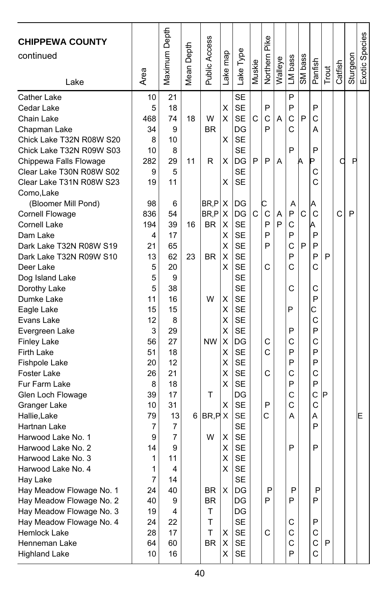| <b>CHIPPEWA COUNTY</b><br>continued<br>Lake                                                                                               | Area                                   | Maximum Depth                        | Mean Depth | Public Access        | map<br>ake <sub>1</sub> | Lake Type                                                                 | Muskie | Pike<br>Northern | Walleye | LM bass               | SM bass | Panfish                    | Trout | Catfish | Sturgeon | Exotic Species |
|-------------------------------------------------------------------------------------------------------------------------------------------|----------------------------------------|--------------------------------------|------------|----------------------|-------------------------|---------------------------------------------------------------------------|--------|------------------|---------|-----------------------|---------|----------------------------|-------|---------|----------|----------------|
| Cather Lake<br>Cedar Lake<br>Chain Lake<br>Chapman Lake<br>Chick Lake T32N R08W S20<br>Chick Lake T32N R09W S03<br>Chippewa Falls Flowage | 10<br>5<br>468<br>34<br>8<br>10<br>282 | 21<br>18<br>74<br>9<br>10<br>8<br>29 | 18<br>11   | W<br>BR<br>R         | х<br>Χ<br>X<br>X        | <b>SE</b><br><b>SE</b><br><b>SE</b><br>DG<br><b>SE</b><br><b>SE</b><br>DG | C<br>P | P<br>C<br>P<br>P | A<br>A  | P<br>P<br>C<br>C<br>P | P<br>Α  | P<br>C<br>A<br>P<br>P      |       | C       | P        |                |
| Clear Lake T30N R08W S02<br>Clear Lake T31N R08W S23<br>Como, Lake<br>(Bloomer Mill Pond)                                                 | 9<br>19<br>98                          | 5<br>11<br>6                         |            | BR,P                 | X<br>х                  | <b>SE</b><br><b>SE</b><br>DG                                              |        | C                |         | Α                     |         | С<br>C<br>A                |       |         |          |                |
| Cornell Flowage<br>Cornell Lake<br>Dam Lake<br>Dark Lake T32N R08W S19                                                                    | 836<br>194<br>4<br>21                  | 54<br>39<br>17<br>65                 | 16         | BR,P<br>BR.          | х<br>X<br>Χ<br>X        | DG<br><b>SE</b><br><b>SE</b><br><b>SE</b>                                 | C      | C<br>P<br>P<br>P | A<br>P  | P<br>C<br>P<br>C      | C<br>P  | C<br>A<br>P<br>P           |       | C       | P        |                |
| Dark Lake T32N R09W S10<br>Deer Lake<br>Dog Island Lake<br>Dorothy Lake                                                                   | 13<br>5<br>5<br>5                      | 62<br>20<br>9<br>38                  | 23         | <b>BR</b>            | X<br>X                  | <b>SE</b><br><b>SE</b><br><b>SE</b><br><b>SE</b>                          |        | C                |         | P<br>C<br>С           |         | P<br>C<br>C                | P     |         |          |                |
| Dumke Lake<br>Eagle Lake<br>Evans Lake<br>Evergreen Lake                                                                                  | 11<br>15<br>12<br>3                    | 16<br>15<br>8<br>29                  |            | W                    | Χ<br>X<br>Χ<br>Χ        | <b>SE</b><br><b>SE</b><br><b>SE</b><br><b>SE</b>                          |        |                  |         | P<br>P                |         | P<br>C<br>C<br>P           |       |         |          |                |
| <b>Finley Lake</b><br>Firth Lake<br>Fishpole Lake<br>Foster Lake                                                                          | 56<br>51<br>20<br>26                   | 27<br>18<br>12<br>21                 |            | <b>NW</b>            | х<br>Χ<br>X<br>Χ        | DG<br><b>SE</b><br><b>SE</b><br><b>SE</b>                                 |        | C<br>C<br>C      |         | С<br>P<br>P<br>C      |         | C<br>P<br>P<br>C           |       |         |          |                |
| Fur Farm Lake<br>Glen Loch Flowage<br>Granger Lake<br>Hallie, Lake                                                                        | 8<br>39<br>10<br>79                    | 18<br>17<br>31<br>13                 |            | T<br>6 BR, P X       | X<br>X                  | <b>SE</b><br>DG<br><b>SE</b><br><b>SE</b>                                 |        | P<br>C           |         | P<br>С<br>Ċ<br>А      |         | P<br>C<br>C<br>Α           | P     |         |          | E              |
| Hartnan Lake<br>Harwood Lake No. 1<br>Harwood Lake No. 2<br>Harwood Lake No. 3                                                            | 7<br>9<br>14<br>1                      | 7<br>7<br>9<br>11                    |            | W                    | Χ<br>X<br>Χ             | <b>SE</b><br><b>SE</b><br><b>SE</b><br><b>SE</b>                          |        |                  |         | P                     |         | P<br>P                     |       |         |          |                |
| Harwood Lake No. 4<br>Hay Lake<br>Hay Meadow Flowage No. 1<br>Hay Meadow Flowage No. 2<br>Hay Meadow Flowage No. 3                        | 1<br>7<br>24<br>40<br>19               | 4<br>14<br>40<br>9<br>4              |            | BR<br><b>BR</b><br>T | X<br>X                  | <b>SE</b><br><b>SE</b><br>DG<br>DG<br>DG                                  |        | P<br>P           |         | P<br>P                |         | P<br>P                     |       |         |          |                |
| Hay Meadow Flowage No. 4<br>Hemlock Lake<br>Henneman Lake<br><b>Highland Lake</b>                                                         | 24<br>28<br>64<br>10                   | 22<br>17<br>60<br>16                 |            | T<br>T.<br><b>BR</b> | Χ<br>X<br>X             | <b>SE</b><br><b>SE</b><br><b>SE</b><br>SE                                 |        | C                |         | С<br>C<br>С<br>P      |         | P<br>C<br>$\mathsf C$<br>C | P     |         |          |                |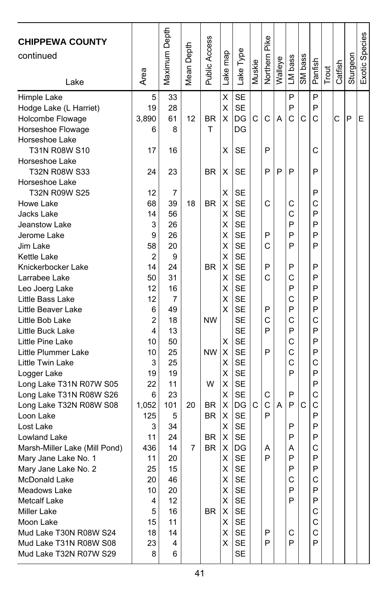| <b>CHIPPEWA COUNTY</b><br>continued<br>Lake | Area     | Maximum Depth | Depth<br>Mean | Public Access | Lake map | Lake Type              | Muskie | <b>Northern Pike</b> | Walleye | LM bass | SM bass | Panfish | Trout | Catfish | Sturgeon | Exotic Species |
|---------------------------------------------|----------|---------------|---------------|---------------|----------|------------------------|--------|----------------------|---------|---------|---------|---------|-------|---------|----------|----------------|
| Himple Lake                                 | 5        | 33            |               |               | Χ        | <b>SE</b>              |        |                      |         | P       |         | P       |       |         |          |                |
| Hodge Lake (L Harriet)                      | 19       | 28            |               |               | Χ        | <b>SE</b>              |        |                      |         | P       |         | P       |       |         |          |                |
| Holcombe Flowage                            | 3,890    | 61            | 12            | BR            | х        | DG                     | C      | C                    | A       | Ć       | C       | C       |       | C       | P        | Е              |
| Horseshoe Flowage                           | 6        | 8             |               | T             |          | DG                     |        |                      |         |         |         |         |       |         |          |                |
| Horseshoe Lake                              |          |               |               |               |          |                        |        |                      |         |         |         |         |       |         |          |                |
| T31N R08W S10                               | 17       | 16            |               |               | х        | SE                     |        | P                    |         |         |         | C       |       |         |          |                |
| Horseshoe Lake                              |          |               |               |               |          |                        |        |                      |         |         |         |         |       |         |          |                |
| T32N R08W S33                               | 24       | 23            |               | <b>BR</b>     | Χ        | <b>SE</b>              |        | P                    | P       | P       |         | P       |       |         |          |                |
| Horseshoe Lake                              |          |               |               |               |          |                        |        |                      |         |         |         |         |       |         |          |                |
| T32N R09W S25                               | 12       | 7             |               |               | X        | <b>SE</b>              |        |                      |         |         |         | P       |       |         |          |                |
| Howe Lake                                   | 68       | 39            | 18            | <b>BR</b>     | X        | <b>SE</b>              |        | C                    |         | С       |         | С       |       |         |          |                |
| Jacks Lake                                  | 14       | 56            |               |               | X<br>X   | <b>SE</b><br><b>SE</b> |        |                      |         | C<br>P  |         | P<br>P  |       |         |          |                |
| Jeanstow Lake<br>Jerome Lake                | 3<br>9   | 26<br>26      |               |               | X        | <b>SE</b>              |        | P                    |         | P       |         | P       |       |         |          |                |
| Jim Lake                                    | 58       | 20            |               |               | х        | <b>SE</b>              |        | C                    |         | P       |         | P       |       |         |          |                |
| Kettle Lake                                 | 2        | 9             |               |               | Χ        | <b>SE</b>              |        |                      |         |         |         |         |       |         |          |                |
| Knickerbocker Lake                          | 14       | 24            |               | <b>BR</b>     | х        | <b>SE</b>              |        | P                    |         | P       |         | P       |       |         |          |                |
| Larrabee Lake                               | 50       | 31            |               |               | X        | <b>SE</b>              |        | C                    |         | C       |         | P       |       |         |          |                |
| Leo Joerg Lake                              | 12       | 16            |               |               | Χ        | <b>SE</b>              |        |                      |         | P       |         | P       |       |         |          |                |
| Little Bass Lake                            | 12       | 7             |               |               | Χ        | <b>SE</b>              |        |                      |         | C       |         | P       |       |         |          |                |
| Little Beaver Lake                          | 6        | 49            |               |               | X        | <b>SE</b>              |        | P                    |         | P       |         | P       |       |         |          |                |
| Little Bob Lake                             | 2        | 18            |               | <b>NW</b>     |          | <b>SE</b>              |        | C                    |         | Ċ       |         | C       |       |         |          |                |
| Little Buck Lake                            | 4        | 13            |               |               |          | <b>SE</b>              |        | P                    |         | P       |         | P       |       |         |          |                |
| Little Pine Lake                            | 10       | 50            |               |               | X        | <b>SE</b>              |        |                      |         | C       |         | P       |       |         |          |                |
| Little Plummer Lake                         | 10       | 25            |               | <b>NW</b>     | х        | <b>SE</b>              |        | P                    |         | C       |         | P       |       |         |          |                |
| Little Twin Lake                            | 3        | 25            |               |               | X        | <b>SE</b>              |        |                      |         | Ċ       |         | C       |       |         |          |                |
| Logger Lake                                 | 19       | 19            |               |               | Χ        | <b>SE</b>              |        |                      |         | P       |         | P       |       |         |          |                |
| Long Lake T31N R07W S05                     | 22       | 11            |               | W             | х        | <b>SE</b>              |        |                      |         |         |         | P       |       |         |          |                |
| Long Lake T31N R08W S26                     | 6        | 23            |               |               | X        | <b>SE</b>              |        | С                    |         | P       |         | C       |       |         |          |                |
| Long Lake T32N R08W S08                     | 1,052    | 101           | 20            | <b>BR</b>     | X        | DG                     | C      | C                    | A       | P       | C       | C       |       |         |          |                |
| Loon Lake                                   | 125      | 5             |               | ΒR            | х        | <b>SE</b>              |        | P                    |         |         |         | P       |       |         |          |                |
| Lost Lake                                   | 3        | 34            |               |               | X        | SE                     |        |                      |         | P       |         | P       |       |         |          |                |
| Lowland Lake                                | 11       | 24            |               | BR            | X        | <b>SE</b>              |        |                      |         | P       |         | P       |       |         |          |                |
| Marsh-Miller Lake (Mill Pond)               | 436      | 14            | 7             | <b>BR</b>     | х        | DG                     |        | A                    |         | Α       |         | C       |       |         |          |                |
| Mary Jane Lake No. 1                        | 11       | 20            |               |               | X        | <b>SE</b>              |        | P                    |         | P       |         | P       |       |         |          |                |
| Mary Jane Lake No. 2                        | 25       | 15            |               |               | X        | <b>SE</b>              |        |                      |         | P       |         | P       |       |         |          |                |
| McDonald Lake                               | 20       | 46            |               |               | X        | SE                     |        |                      |         | С       |         | С       |       |         |          |                |
| Meadows Lake                                | 10       | 20            |               |               | X        | <b>SE</b>              |        |                      |         | P       |         | P       |       |         |          |                |
| Metcalf Lake                                | 4        | 12            |               |               | X        | <b>SE</b>              |        |                      |         | P       |         | P       |       |         |          |                |
| <b>Miller Lake</b><br>Moon Lake             | 5        | 16<br>11      |               | BR            | X.<br>X  | SE<br><b>SE</b>        |        |                      |         |         |         | С<br>С  |       |         |          |                |
| Mud Lake T30N R08W S24                      | 15<br>18 | 14            |               |               | X        | SE                     |        | P                    |         | С       |         | C       |       |         |          |                |
| Mud Lake T31N R08W S08                      | 23       | 4             |               |               | X        | SE                     |        | P                    |         | P       |         | P       |       |         |          |                |
| Mud Lake T32N R07W S29                      | 8        | 6             |               |               |          | SE                     |        |                      |         |         |         |         |       |         |          |                |
|                                             |          |               |               |               |          |                        |        |                      |         |         |         |         |       |         |          |                |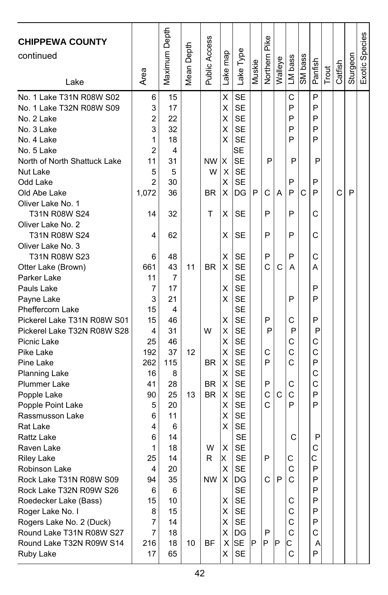| <b>CHIPPEWA COUNTY</b><br>continued<br>Lake          | Area           | Maximum Depth | Mean Depth | Public Access | map<br>Lake <sub>l</sub> | Lake Type              | Muskie | Northern Pike | Walleye | LM bass | SM bass | Panfish | Trout | Catfish | Sturgeon | Exotic Species |
|------------------------------------------------------|----------------|---------------|------------|---------------|--------------------------|------------------------|--------|---------------|---------|---------|---------|---------|-------|---------|----------|----------------|
| No. 1 Lake T31N R08W S02<br>No. 1 Lake T32N R08W S09 | 6<br>3         | 15<br>17      |            |               | Χ<br>Χ                   | <b>SE</b><br><b>SE</b> |        |               |         | C<br>P  |         | P<br>P  |       |         |          |                |
| No. 2 Lake                                           | $\overline{c}$ | 22            |            |               | Χ                        | <b>SE</b>              |        |               |         | P       |         | P       |       |         |          |                |
| No. 3 Lake                                           | 3              | 32            |            |               | Χ                        | <b>SE</b>              |        |               |         | P       |         | P       |       |         |          |                |
| No. 4 Lake                                           | 1              | 18            |            |               | х                        | <b>SE</b>              |        |               |         | P       |         | P       |       |         |          |                |
| No. 5 Lake                                           | 2              | 4             |            |               |                          | SE                     |        |               |         |         |         |         |       |         |          |                |
| North of North Shattuck Lake                         | 11             | 31            |            | NW            | X                        | <b>SE</b>              |        | P             |         | Ρ       |         | Ρ       |       |         |          |                |
| Nut Lake                                             | 5              | 5             |            | W             | X                        | <b>SE</b>              |        |               |         |         |         |         |       |         |          |                |
| Odd Lake                                             | 2              | 30            |            |               | X                        | <b>SE</b>              |        |               |         | P       |         | P       |       |         |          |                |
| Old Abe Lake                                         | 1,072          | 36            |            | <b>BR</b>     | х                        | DG                     | P      | C             | A       | P       | С       | P       |       | C       | P        |                |
| Oliver Lake No. 1                                    |                |               |            |               |                          |                        |        |               |         |         |         |         |       |         |          |                |
| T31N R08W S24                                        | 14             | 32            |            | т             | х                        | SЕ                     |        | P             |         | P       |         | С       |       |         |          |                |
| Oliver Lake No. 2                                    |                |               |            |               |                          |                        |        |               |         |         |         |         |       |         |          |                |
| T31N R08W S24                                        | 4              | 62            |            |               | x                        | SE                     |        | P             |         | P       |         | C       |       |         |          |                |
| Oliver Lake No. 3                                    |                |               |            |               |                          |                        |        |               |         |         |         |         |       |         |          |                |
| T31N R08W S23                                        | 6              | 48            |            |               | X                        | SE                     |        | P             |         | P       |         | C       |       |         |          |                |
| Otter Lake (Brown)                                   | 661            | 43            | 11         | <b>BR</b>     | X                        | <b>SE</b>              |        | C             | С       | Α       |         | А       |       |         |          |                |
| Parker Lake                                          | 11             | 7             |            |               |                          | <b>SE</b>              |        |               |         |         |         |         |       |         |          |                |
| Pauls Lake                                           | 7              | 17            |            |               | X                        | <b>SE</b>              |        |               |         |         |         | P       |       |         |          |                |
| Payne Lake                                           | 3              | 21            |            |               | x                        | <b>SE</b>              |        |               |         | P       |         | P       |       |         |          |                |
| Pheffercorn Lake                                     | 15             | 4             |            |               |                          | <b>SE</b>              |        |               |         |         |         |         |       |         |          |                |
| Pickerel Lake T31N R08W S01                          | 15             | 46            |            |               | X                        | <b>SE</b>              |        | P             |         | C       |         | P       |       |         |          |                |
| Pickerel Lake T32N R08W S28                          | 4              | 31            |            | W             | X                        | <b>SE</b>              |        | P             |         | P       |         | P       |       |         |          |                |
| Picnic Lake                                          | 25             | 46            |            |               | х                        | <b>SE</b>              |        |               |         | С       |         | C       |       |         |          |                |
| Pike Lake                                            | 192            | 37            | 12         |               | X                        | <b>SE</b>              |        | С             |         | C       |         | C       |       |         |          |                |
| Pine Lake                                            | 262            | 115           |            | <b>BR</b>     | X                        | <b>SE</b>              |        | P             |         | C       |         | P       |       |         |          |                |
| <b>Planning Lake</b>                                 | 16             | 8             |            |               | X                        | <b>SE</b>              |        |               |         |         |         | C       |       |         |          |                |
| <b>Plummer Lake</b>                                  | 41             | 28            |            | <b>BR</b>     | X                        | <b>SE</b>              |        | P             |         | С       |         | C       |       |         |          |                |
| Popple Lake                                          | 90             | 25            | 13         | <b>BR</b>     | х                        | <b>SE</b>              |        | C<br>C        | C       | C<br>P  |         | P<br>P  |       |         |          |                |
| Popple Point Lake                                    | 5              | 20            |            |               | X                        | <b>SE</b><br><b>SE</b> |        |               |         |         |         |         |       |         |          |                |
| Rassmusson Lake<br>Rat Lake                          | 6<br>4         | 11            |            |               | X<br>Х                   | SE                     |        |               |         |         |         |         |       |         |          |                |
| Rattz Lake                                           | 6              | 6<br>14       |            |               |                          | <b>SE</b>              |        |               |         | C       |         | P       |       |         |          |                |
| Raven Lake                                           | 1              | 18            |            | W             | х                        | <b>SE</b>              |        |               |         |         |         | C       |       |         |          |                |
| <b>Riley Lake</b>                                    | 25             | 14            |            | R             | IX.                      | <b>SE</b>              |        | P             |         | С       |         | C       |       |         |          |                |
| Robinson Lake                                        | 4              | 20            |            |               | X                        | <b>SE</b>              |        |               |         | C       |         | P       |       |         |          |                |
| Rock Lake T31N R08W S09                              | 94             | 35            |            | NW            | Χ                        | IDG                    |        | C             | P       | C       |         | Ρ       |       |         |          |                |
| Rock Lake T32N R09W S26                              | 6              | 6             |            |               |                          | <b>SE</b>              |        |               |         |         |         | P       |       |         |          |                |
| Roedecker Lake (Bass)                                | 15             | 10            |            |               | X                        | <b>SE</b>              |        |               |         | С       |         | P       |       |         |          |                |
| Roger Lake No. I                                     | 8              | 15            |            |               | X                        | <b>SE</b>              |        |               |         | С       |         | P       |       |         |          |                |
| Rogers Lake No. 2 (Duck)                             | 7              | 14            |            |               | X                        | SE                     |        |               |         | C       |         | P       |       |         |          |                |
| Round Lake T31N R08W S27                             | 7              | 18            |            |               | X                        | DG                     |        | P             |         | C       |         | С       |       |         |          |                |
| Round Lake T32N R09W S14                             | 216            | 18            | 10         | BF            | X                        | <b>SE</b>              | IP     | P             | IP      | С       |         | Α       |       |         |          |                |
| Ruby Lake                                            | 17             | 65            |            |               | X                        | <b>SE</b>              |        |               |         | C       |         | P       |       |         |          |                |
|                                                      |                |               |            |               |                          |                        |        |               |         |         |         |         |       |         |          |                |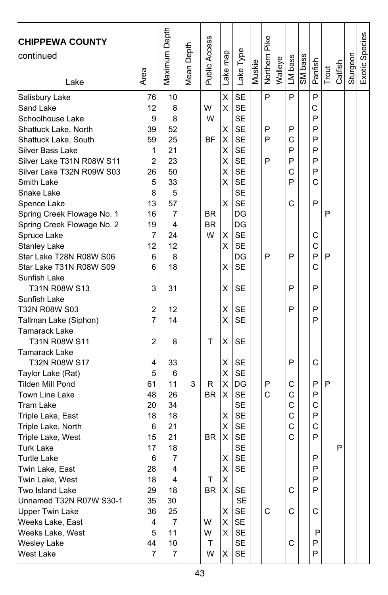| <b>CHIPPEWA COUNTY</b><br>continued<br>Lake | Area           | Maximum Depth | Mean Depth | Public Access | Lake map | Lake Type | Muskie | Northern Pike | Walleye | LM bass | SM bass | Panfish      | Trout | Catfish | Sturgeon | Exotic Species |
|---------------------------------------------|----------------|---------------|------------|---------------|----------|-----------|--------|---------------|---------|---------|---------|--------------|-------|---------|----------|----------------|
|                                             | 76             | 10            |            |               | X        | <b>SE</b> |        | P             |         | P       |         | P            |       |         |          |                |
| Salisbury Lake<br>Sand Lake                 | 12             | 8             |            | W             | X        | <b>SE</b> |        |               |         |         |         | C            |       |         |          |                |
| Schoolhouse Lake                            | 9              | 8             |            | W             |          | <b>SE</b> |        |               |         |         |         | P            |       |         |          |                |
| Shattuck Lake, North                        | 39             | 52            |            |               | X        | <b>SE</b> |        | P             |         | P       |         | P            |       |         |          |                |
| Shattuck Lake, South                        | 59             | 25            |            | <b>BF</b>     | X        | <b>SE</b> |        | P             |         | C       |         | P            |       |         |          |                |
| Silver Bass Lake                            | 1              | 21            |            |               | X        | <b>SE</b> |        |               |         | P       |         | P            |       |         |          |                |
| Silver Lake T31N R08W S11                   | 2              | 23            |            |               | х        | <b>SE</b> |        | P             |         | P       |         | P            |       |         |          |                |
| Silver Lake T32N R09W S03                   | 26             | 50            |            |               | х        | <b>SE</b> |        |               |         | C       |         | P            |       |         |          |                |
| Smith Lake                                  | 5              | 33            |            |               | X        | <b>SE</b> |        |               |         | P       |         | C            |       |         |          |                |
| Snake Lake                                  | 8              | 5             |            |               |          | <b>SE</b> |        |               |         |         |         |              |       |         |          |                |
| Spence Lake                                 | 13             | 57            |            |               | х        | <b>SE</b> |        |               |         | C       |         | P            |       |         |          |                |
| Spring Creek Flowage No. 1                  | 16             | 7             |            | <b>BR</b>     |          | DG        |        |               |         |         |         |              | P     |         |          |                |
| Spring Creek Flowage No. 2                  | 19             | 4             |            | <b>BR</b>     |          | DG        |        |               |         |         |         |              |       |         |          |                |
| Spruce Lake                                 | 7              | 24            |            | W             | Χ        | <b>SE</b> |        |               |         |         |         | C            |       |         |          |                |
| Stanley Lake                                | 12             | 12            |            |               | х        | <b>SE</b> |        |               |         |         |         | $\mathsf{C}$ |       |         |          |                |
| Star Lake T28N R08W S06                     | 6              | 8             |            |               |          | DG        |        | P             |         | P       |         | P            | P     |         |          |                |
| Star Lake T31N R08W S09                     | 6              | 18            |            |               | х        | <b>SE</b> |        |               |         |         |         | C            |       |         |          |                |
| Sunfish Lake                                |                |               |            |               |          |           |        |               |         |         |         |              |       |         |          |                |
| T31N R08W S13                               | 3              | 31            |            |               | х        | SE        |        |               |         | P       |         | P            |       |         |          |                |
| Sunfish Lake                                |                |               |            |               |          |           |        |               |         |         |         |              |       |         |          |                |
| T32N R08W S03                               | $\overline{c}$ | 12            |            |               | X        | SE        |        |               |         | P       |         | P            |       |         |          |                |
| Tallman Lake (Siphon)                       | $\overline{7}$ | 14            |            |               | X        | <b>SE</b> |        |               |         |         |         | P            |       |         |          |                |
| <b>Tamarack Lake</b>                        |                |               |            |               |          |           |        |               |         |         |         |              |       |         |          |                |
| T31N R08W S11                               | 2              | 8             |            | т             | X        | SЕ        |        |               |         |         |         |              |       |         |          |                |
| <b>Tamarack Lake</b>                        |                |               |            |               |          |           |        |               |         |         |         |              |       |         |          |                |
| T32N R08W S17                               | 4              | 33            |            |               | Χ        | <b>SE</b> |        |               |         | P       |         | C            |       |         |          |                |
| Taylor Lake (Rat)                           | 5              | 6             |            |               | Χ        | <b>SE</b> |        |               |         |         |         |              |       |         |          |                |
| <b>Tilden Mill Pond</b>                     | 61             | 11            | 3          | R             | Χ        | DG        |        | P             |         | С       |         | P            | P     |         |          |                |
| Town Line Lake                              | 48             | 26            |            | <b>BR</b>     | х        | <b>SE</b> |        | C             |         | C       |         | P            |       |         |          |                |
| <b>Tram Lake</b>                            | 20             | 34            |            |               |          | <b>SE</b> |        |               |         | C       |         | C            |       |         |          |                |
| Triple Lake, East                           | 18             | 18            |            |               | Χ        | <b>SE</b> |        |               |         | C       |         | P            |       |         |          |                |
| Triple Lake, North                          | 6              | 21            |            |               | X        | <b>SE</b> |        |               |         | C       |         | C            |       |         |          |                |
| Triple Lake, West                           | 15             | 21            |            | <b>BR</b>     | х        | <b>SE</b> |        |               |         | C       |         | P            |       |         |          |                |
| <b>Turk Lake</b>                            | 17             | 18            |            |               |          | <b>SE</b> |        |               |         |         |         |              |       | P       |          |                |
| <b>Turtle Lake</b>                          | 6              | 7             |            |               | Χ        | <b>SE</b> |        |               |         |         |         | P            |       |         |          |                |
| Twin Lake, East                             | 28             | 4             |            |               | X        | <b>SE</b> |        |               |         |         |         | P            |       |         |          |                |
| Twin Lake, West                             | 18             | 4             |            | т             | X        |           |        |               |         |         |         | P            |       |         |          |                |
| Two Island Lake                             | 29             | 18            |            | <b>BR</b>     | X        | <b>SE</b> |        |               |         | С       |         | P            |       |         |          |                |
| Unnamed T32N R07W S30-1                     | 35             | 30            |            |               |          | SE        |        |               |         |         |         |              |       |         |          |                |
| <b>Upper Twin Lake</b>                      | 36             | 25            |            |               | Χ        | SE        |        | C             |         | C       |         | С            |       |         |          |                |
| Weeks Lake, East                            | 4              | 7             |            | W             | Χ        | SE        |        |               |         |         |         |              |       |         |          |                |
| Weeks Lake, West                            | 5              | 11            |            | W             | х        | SE        |        |               |         |         |         | P            |       |         |          |                |
| <b>Wesley Lake</b>                          | 44             | 10            |            | Τ             |          | SE        |        |               |         | C       |         | P            |       |         |          |                |
| West Lake                                   | 7              | 7             |            | W             | Χ        | SE        |        |               |         |         |         | P            |       |         |          |                |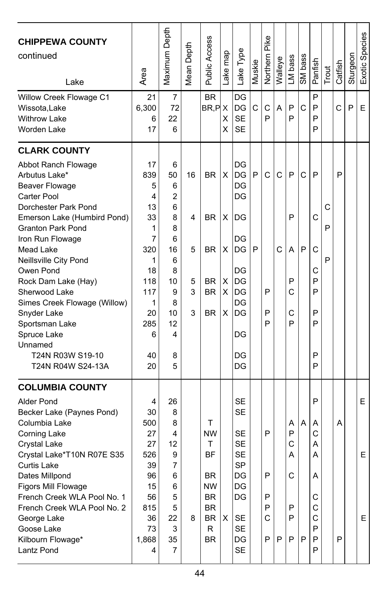| <b>CHIPPEWA COUNTY</b><br>continued<br>Lake                                                                                                                                                                                                                                                                                                                                                                                               | Area                                                                                                         | Maximum Depth                                                                                                 | Depth<br>Mean I             | Public Access                                                                                                | Lake map                   | Lake Type                                                                                                                   | Muskie | Pike<br>Northern           | Walleye | LM bass                              | SM bass | Panfish                                                  | Trout       | Catfish | Sturgeon | Exotic Species |
|-------------------------------------------------------------------------------------------------------------------------------------------------------------------------------------------------------------------------------------------------------------------------------------------------------------------------------------------------------------------------------------------------------------------------------------------|--------------------------------------------------------------------------------------------------------------|---------------------------------------------------------------------------------------------------------------|-----------------------------|--------------------------------------------------------------------------------------------------------------|----------------------------|-----------------------------------------------------------------------------------------------------------------------------|--------|----------------------------|---------|--------------------------------------|---------|----------------------------------------------------------|-------------|---------|----------|----------------|
| Willow Creek Flowage C1<br>Wissota, Lake<br><b>Withrow Lake</b><br>Worden Lake                                                                                                                                                                                                                                                                                                                                                            | 21<br>6,300<br>6<br>17                                                                                       | 7<br>72<br>22<br>6                                                                                            |                             | <b>BR</b><br>BR, PX                                                                                          | х<br>X                     | DG<br>DG<br><b>SE</b><br><b>SE</b>                                                                                          | C      | C<br>P                     | A       | P<br>P                               | C       | P<br>P<br>P<br>P                                         |             | С       | P        | Е              |
| <b>CLARK COUNTY</b><br>Abbot Ranch Flowage<br>Arbutus Lake*<br><b>Beaver Flowage</b><br>Carter Pool<br>Dorchester Park Pond<br>Emerson Lake (Humbird Pond)<br><b>Granton Park Pond</b><br>Iron Run Flowage<br>Mead Lake<br>Neillsville City Pond<br>Owen Pond<br>Rock Dam Lake (Hay)<br>Sherwood Lake<br>Simes Creek Flowage (Willow)<br>Snyder Lake<br>Sportsman Lake<br>Spruce Lake<br>Unnamed<br>T24N R03W S19-10<br>T24N R04W S24-13A | 17<br>839<br>5<br>4<br>13<br>33<br>1<br>7<br>320<br>1<br>18<br>118<br>117<br>1<br>20<br>285<br>6<br>40<br>20 | 6<br>50<br>6<br>$\overline{2}$<br>6<br>8<br>8<br>6<br>16<br>6<br>8<br>10<br>9<br>8<br>10<br>12<br>4<br>8<br>5 | 16<br>4<br>5<br>5<br>3<br>3 | BR.<br><b>BR</b><br><b>BR</b><br>BR.<br><b>BR</b><br><b>BR</b>                                               | X<br>X<br>X<br>х<br>X<br>X | DG<br>DG<br>DG<br>DG<br>DG<br>DG<br>DG<br>DG<br>DG<br>DG<br>DG<br>DG<br>DG<br>DG<br>DG                                      | P<br>P | C<br>P<br>P<br>P           | С<br>C  | P<br>P<br>A<br>P<br>C<br>C<br>P      | C<br>P  | P<br>C<br>C<br>С<br>P<br>P<br>P<br>P<br>P<br>P           | C<br>P<br>P | P       |          |                |
| <b>COLUMBIA COUNTY</b><br>Alder Pond<br>Becker Lake (Paynes Pond)<br>Columbia Lake<br>Corning Lake<br>Crystal Lake<br>Crystal Lake*T10N R07E S35<br>Curtis Lake<br>Dates Millpond<br>Figors Mill Flowage<br>French Creek WLA Pool No. 1<br>French Creek WLA Pool No. 2<br>George Lake<br>Goose Lake<br>Kilbourn Flowage*<br>Lantz Pond                                                                                                    | 4<br>30<br>500<br>27<br>27<br>526<br>39<br>96<br>15<br>56<br>815<br>36<br>73<br>1,868<br>4                   | 26<br>8<br>8<br>4<br>12<br>9<br>7<br>6<br>6<br>5<br>5<br>22<br>3<br>35<br>$\overline{7}$                      | 8                           | т<br><b>NW</b><br>т<br><b>BF</b><br>BR<br><b>NW</b><br><b>BR</b><br><b>BR</b><br><b>BR</b><br>R<br><b>BR</b> | X                          | SE<br>SE<br><b>SE</b><br><b>SE</b><br><b>SE</b><br><b>SP</b><br>DG<br>DG<br>DG<br><b>SE</b><br><b>SE</b><br>DG<br><b>SE</b> |        | P<br>P<br>P<br>P<br>C<br>P | P       | Α<br>P<br>C<br>А<br>С<br>P<br>P<br>P | A<br>P  | P<br>A<br>C<br>А<br>А<br>Α<br>С<br>C<br>C<br>P<br>P<br>P |             | A<br>P  |          | E<br>E<br>E.   |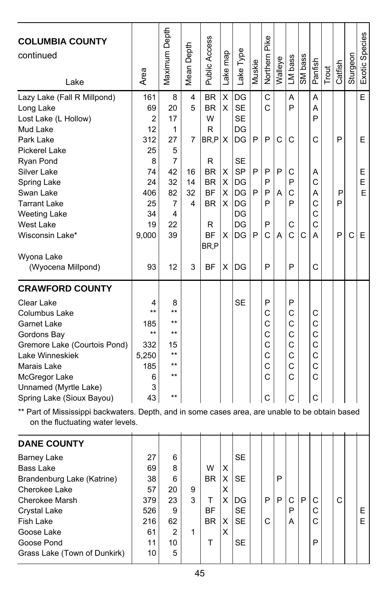| <b>COLUMBIA COUNTY</b><br>continued<br>Lake                                                                                         | Area              | Maximum Depth | Mean Depth | Public Access    | Lake map | Lake Type | Muskie | Pike<br>Northern | Walleye | LM bass | SM bass | Panfish | Trout | Catfish | Sturgeon | Exotic Species |
|-------------------------------------------------------------------------------------------------------------------------------------|-------------------|---------------|------------|------------------|----------|-----------|--------|------------------|---------|---------|---------|---------|-------|---------|----------|----------------|
| Lazy Lake (Fall R Millpond)                                                                                                         | 161               | 8             | 4          | <b>BR</b>        | X        | DG        |        | C                |         | Α       |         | Α       |       |         |          | E              |
| Long Lake                                                                                                                           | 69                | 20            | 5          | <b>BR</b>        | X        | <b>SE</b> |        | C                |         | P       |         | A       |       |         |          |                |
| Lost Lake (L Hollow)                                                                                                                | 2                 | 17            |            | W                |          | <b>SE</b> |        |                  |         |         |         | P       |       |         |          |                |
| Mud Lake                                                                                                                            | 12                | 1             |            | R                |          | DG        |        |                  |         |         |         |         |       |         |          |                |
| Park Lake                                                                                                                           | 312               | 27            | 7          | BR <sub>.P</sub> | х        | DG        | P      | P                | C       | C       |         | C       |       | P       |          | E              |
| Pickerel Lake                                                                                                                       | 25                | 5             |            |                  |          |           |        |                  |         |         |         |         |       |         |          |                |
| Ryan Pond                                                                                                                           | 8                 | 7             |            | R                |          | SE        |        |                  |         |         |         |         |       |         |          |                |
| Silver Lake                                                                                                                         | 74                | 42            | 16         | BR               | х        | SP        | P      | P                | P       | С       |         | Α       |       |         |          | E              |
| Spring Lake                                                                                                                         | 24                | 32            | 14         | <b>BR</b>        | X        | lDG       |        | P                |         | P       |         | C       |       |         |          | E              |
| Swan Lake                                                                                                                           | 406               | 82            | 32         | BF               | X        | DG        | P      | P                | A       | С       |         | A       |       | P       |          | E              |
| <b>Tarrant Lake</b>                                                                                                                 | 25                | 7             | 4          | <b>BR</b>        | X        | DG        |        | P                |         | P       |         | C       |       | P       |          |                |
| <b>Weeting Lake</b>                                                                                                                 | 34                | 4             |            |                  |          | DG        |        |                  |         |         |         | C       |       |         |          |                |
| <b>West Lake</b>                                                                                                                    | 19                | 22            |            | R                |          | DG        |        | P                |         | С       |         | C       |       |         |          |                |
| Wisconsin Lake*                                                                                                                     | 9,000             | 39            |            | BF               | X        | DG        | P      | C                | A       | C       | C       | А       |       | P       | C        | E              |
|                                                                                                                                     |                   |               |            | BR,P             |          |           |        |                  |         |         |         |         |       |         |          |                |
| Wyona Lake                                                                                                                          |                   |               |            |                  |          |           |        |                  |         |         |         |         |       |         |          |                |
| (Wyocena Millpond)                                                                                                                  | 93                | 12            | 3          | BF               | х        | DG        |        | P                |         | P       |         | С       |       |         |          |                |
| <b>CRAWFORD COUNTY</b>                                                                                                              |                   |               |            |                  |          |           |        |                  |         |         |         |         |       |         |          |                |
|                                                                                                                                     |                   |               |            |                  |          |           |        |                  |         |         |         |         |       |         |          |                |
| Clear Lake                                                                                                                          | 4<br>$\star\star$ | 8<br>$***$    |            |                  |          | <b>SE</b> |        | P                |         | P       |         |         |       |         |          |                |
| Columbus Lake                                                                                                                       |                   | $***$         |            |                  |          |           |        | С                |         | С       |         | С       |       |         |          |                |
| Garnet Lake                                                                                                                         | 185<br>$**$       | $**$          |            |                  |          |           |        | C                |         | C       |         | C       |       |         |          |                |
| Gordons Bay                                                                                                                         |                   |               |            |                  |          |           |        | С<br>C           |         | С       |         | C<br>C  |       |         |          |                |
| Gremore Lake (Courtois Pond)<br>Lake Winneskiek                                                                                     | 332               | 15<br>$***$   |            |                  |          |           |        | C                |         | C<br>C  |         | C       |       |         |          |                |
|                                                                                                                                     | 5,250             | $***$         |            |                  |          |           |        | C                |         | C       |         | C       |       |         |          |                |
| Marais Lake                                                                                                                         | 185<br>6          | $***$         |            |                  |          |           |        | Ċ                |         | С       |         | С       |       |         |          |                |
| McGregor Lake<br>Unnamed (Myrtle Lake)                                                                                              | 3                 |               |            |                  |          |           |        |                  |         |         |         |         |       |         |          |                |
| Spring Lake (Sioux Bayou)                                                                                                           | 43                | $***$         |            |                  |          |           |        | С                |         | С       |         | С       |       |         |          |                |
|                                                                                                                                     |                   |               |            |                  |          |           |        |                  |         |         |         |         |       |         |          |                |
| ** Part of Mississippi backwaters. Depth, and in some cases area, are unable to be obtain based<br>on the fluctuating water levels. |                   |               |            |                  |          |           |        |                  |         |         |         |         |       |         |          |                |
| <b>DANE COUNTY</b>                                                                                                                  |                   |               |            |                  |          |           |        |                  |         |         |         |         |       |         |          |                |
| Barney Lake                                                                                                                         | 27                | 6             |            |                  |          | <b>SE</b> |        |                  |         |         |         |         |       |         |          |                |
| Bass Lake                                                                                                                           | 69                | 8             |            | W                | Χ        |           |        |                  |         |         |         |         |       |         |          |                |
| Brandenburg Lake (Katrine)                                                                                                          | 38                | 6             |            | BR.              | X        | SE        |        |                  | P       |         |         |         |       |         |          |                |
| Cherokee Lake                                                                                                                       | 57                | 20            | 9          |                  | X        |           |        |                  |         |         |         |         |       |         |          |                |
| <b>Cherokee Marsh</b>                                                                                                               | 379               | 23            | 3          | T                |          | $X$  DG   |        | P                | P       | C       | P       | С       |       | C       |          |                |
| Crystal Lake                                                                                                                        | 526               | 9             |            | <b>BF</b>        |          | SE        |        |                  |         | P       |         | С       |       |         |          | E              |
| Fish Lake                                                                                                                           | 216               | 62            |            | BR               | X        | SE        |        | С                |         | A       |         | С       |       |         |          | E              |
| Goose Lake                                                                                                                          | 61                | 2             | 1          |                  | X        |           |        |                  |         |         |         |         |       |         |          |                |
| Goose Pond                                                                                                                          | 11                | 10            |            | т                |          | SE        |        |                  |         |         |         | P       |       |         |          |                |
| Grass Lake (Town of Dunkirk)                                                                                                        | 10                | 5             |            |                  |          |           |        |                  |         |         |         |         |       |         |          |                |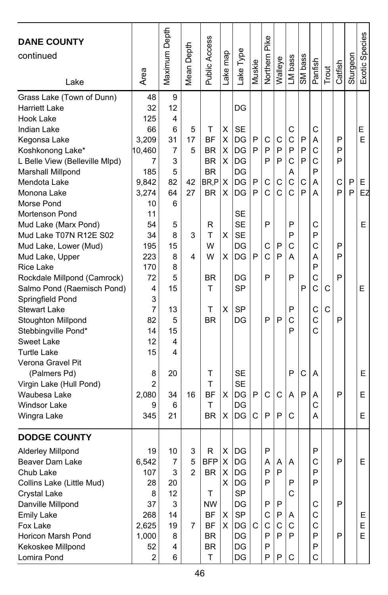| <b>DANE COUNTY</b>             |                | Maximum Depth |                         | Public Access |          |            |        | Pike     |              |              |         |         |       |         |          | Exotic Species |
|--------------------------------|----------------|---------------|-------------------------|---------------|----------|------------|--------|----------|--------------|--------------|---------|---------|-------|---------|----------|----------------|
| continued                      |                |               | Depth                   |               |          | Lake Type  |        |          |              |              |         |         |       |         |          |                |
|                                |                |               |                         |               |          |            | Muskie | Northern |              | LM bass      | SM bass |         |       |         | Sturgeon |                |
| Lake                           | Area           |               | Mean I                  |               | Lake map |            |        |          | Walleye      |              |         | Panfish | Trout | Catfish |          |                |
| Grass Lake (Town of Dunn)      | 48             | 9             |                         |               |          |            |        |          |              |              |         |         |       |         |          |                |
| Harriett Lake                  | 32             | 12            |                         |               |          | DG         |        |          |              |              |         |         |       |         |          |                |
| Hook Lake                      | 125            | 4             |                         |               |          |            |        |          |              |              |         |         |       |         |          |                |
| Indian Lake                    | 66             | 6             | 5                       | т             | X        | <b>SE</b>  |        |          |              | C            |         | C       |       |         |          | Е              |
| Kegonsa Lake                   | 3,209          | 31            | 17                      | <b>BF</b>     | X        | DG         | P      | C        | С            | C            | P       | Α       |       | P       |          | E              |
| Koshkonong Lake*               | 10,460         | 7             | 5                       | BR            | X        | DG         | P      | P        | P            | P            | P       | C       |       | P       |          |                |
| L Belle View (Belleville Mlpd) | 7              | 3             |                         | <b>BR</b>     | х        | DG         |        | P        | P            | C            | P       | C       |       | P       |          |                |
| Marshall Millpond              | 185            | 5             |                         | <b>BR</b>     |          | DG         |        |          |              | Α            |         | P       |       |         |          |                |
| Mendota Lake                   | 9,842          | 82            | 42                      | BR,P          | X        | DG         | P      | С        | С            | $\mathsf{C}$ | C       | Α       |       | C       | P        | E.             |
| Monona Lake                    | 3,274          | 64            | 27                      | <b>BR</b>     | X        | DG         | P      | Ċ        | C            | Ċ            | P       | A       |       | P       | P        | EZ             |
| Morse Pond                     | 10             | 6             |                         |               |          |            |        |          |              |              |         |         |       |         |          |                |
| <b>Mortenson Pond</b>          | 11             |               |                         |               |          | SE         |        |          |              |              |         |         |       |         |          |                |
| Mud Lake (Marx Pond)           | 54             | 5             |                         | R             |          | <b>SE</b>  |        | P        |              | P            |         | С       |       |         |          | E              |
| Mud Lake T07N R12E S02         | 34             | 8             | 3                       | т             | X        | <b>SE</b>  |        |          |              | P            |         | P       |       |         |          |                |
| Mud Lake, Lower (Mud)          | 195            | 15            |                         | W             |          | DG         |        | С        | P            | C            |         | Ć       |       | P       |          |                |
| Mud Lake, Upper                | 223            | 8             | 4                       | W             | х        | DG         | P      | Ć        | P            | А            |         | А       |       | P       |          |                |
| Rice Lake                      | 170            | 8             |                         |               |          |            |        |          |              |              |         | P       |       |         |          |                |
| Rockdale Millpond (Camrock)    | 72             | 5             |                         | <b>BR</b>     |          | DG         |        | P        |              | P            |         | С       |       | P       |          |                |
| Salmo Pond (Raemisch Pond)     | 4              | 15            |                         | T             |          | SP         |        |          |              |              | P       | C       | C     |         |          | Е              |
| Springfield Pond               | 3              |               |                         |               |          |            |        |          |              |              |         |         |       |         |          |                |
| <b>Stewart Lake</b>            | 7              | 13            |                         | т             | X        | <b>SP</b>  |        |          |              | P            |         | C       | C     |         |          |                |
| Stoughton Millpond             | 82             | 5             |                         | <b>BR</b>     |          | DG         |        | P        | P            | C            |         | C       |       | P       |          |                |
| Stebbingville Pond*            | 14             | 15            |                         |               |          |            |        |          |              | P            |         | C       |       |         |          |                |
| Sweet Lake                     | 12             | 4             |                         |               |          |            |        |          |              |              |         |         |       |         |          |                |
| <b>Turtle Lake</b>             | 15             | 4             |                         |               |          |            |        |          |              |              |         |         |       |         |          |                |
| Verona Gravel Pit              |                |               |                         |               |          |            |        |          |              |              |         |         |       |         |          |                |
| (Palmers Pd)                   | 8              | 20            |                         | т             |          | SE         |        |          |              | P            | С       | A       |       |         |          | E              |
| Virgin Lake (Hull Pond)        | $\overline{c}$ |               |                         | T             |          | <b>SE</b>  |        |          |              |              |         |         |       |         |          |                |
| Waubesa Lake                   | 2,080          | 34            | 16                      | <b>BF</b>     | X        | <b>IDG</b> | P      | C        | C            | A            | P       | A       |       | P       |          | Ε              |
| <b>Windsor Lake</b>            | 9              | 6             |                         | T             |          | DG         |        |          |              |              |         | C       |       |         |          |                |
| Wingra Lake                    | 345            | 21            |                         | <b>BR</b>     | X        | DG         | C      | P        | P            | C            |         | A       |       |         |          | E              |
| <b>DODGE COUNTY</b>            |                |               |                         |               |          |            |        |          |              |              |         |         |       |         |          |                |
| Alderley Millpond              | 19             | 10            | 3                       | R             | х        | DG         |        | P        |              |              |         | P       |       |         |          |                |
| Beaver Dam Lake                | 6,542          | 7             | 5                       | <b>BFP</b>    | х        | DG         |        | A        | Α            | A            |         | С       |       | P       |          | Е              |
| Chub Lake                      | 107            | 3             | $\overline{\mathbf{c}}$ | BR            | X        | DG         |        | Ρ        | $\mathsf{P}$ |              |         | P       |       |         |          |                |
| Collins Lake (Little Mud)      | 28             | 20            |                         |               | X.       | DG         |        | P        |              | P            |         | P       |       |         |          |                |
| <b>Crystal Lake</b>            | 8              | 12            |                         | Τ             |          | SP         |        |          |              | C            |         |         |       |         |          |                |
| Danville Millpond              | 37             | 3             |                         | <b>NW</b>     |          | DG         |        | P        | P            |              |         | С       |       | P       |          |                |
| <b>Emily Lake</b>              | 268            | 14            |                         | BF            | х        | SP         |        | С        | P            | Α            |         | C       |       |         |          | E.             |
| Fox Lake                       | 2,625          | 19            | 7                       | <b>BF</b>     | X.       | DG         | C      | C        | C            | C            |         | C       |       |         |          | E.             |
| <b>Horicon Marsh Pond</b>      | 1,000          | 8             |                         | <b>BR</b>     |          | DG         |        | P        | P            | P            |         | P       |       | P       |          | E              |
| Kekoskee Millpond              | 52             | 4             |                         | BR            |          | DG         |        | P        |              |              |         | P       |       |         |          |                |
| Lomira Pond                    | 2              | 6             |                         | T             |          | DG         |        | P        | P            | C            |         | C       |       |         |          |                |
|                                |                |               |                         |               |          |            |        |          |              |              |         |         |       |         |          |                |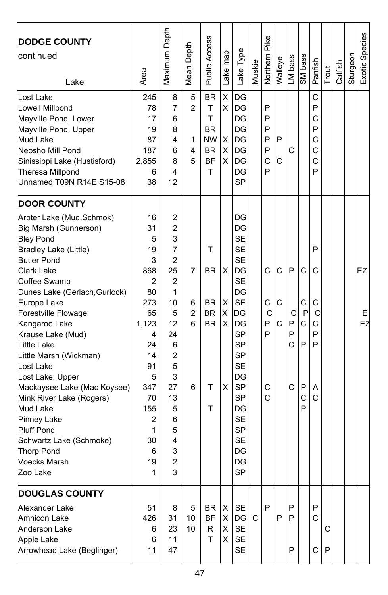| <b>DODGE COUNTY</b><br>continued<br>Lake | Area    | Maximum Depth  | Depth<br>Mean | <b>Public Access</b> | Lake map | Lake Type | Muskie | Northern Pike | Walleye | LM bass | SM bass | Panfish      | Trout | Catfish | Sturgeon | Exotic Species |
|------------------------------------------|---------|----------------|---------------|----------------------|----------|-----------|--------|---------------|---------|---------|---------|--------------|-------|---------|----------|----------------|
| Lost Lake                                | 245     | 8              | 5             | <b>BR</b>            | Χ        | DG        |        |               |         |         |         | C            |       |         |          |                |
| Lowell Millpond                          | 78      | 7              | $\mathcal{P}$ | Т                    | X        | DG        |        | P             |         |         |         | P            |       |         |          |                |
| Mayville Pond, Lower                     | 17      | 6              |               | T                    |          | DG        |        | P             |         |         |         | С            |       |         |          |                |
| Mayville Pond, Upper                     | 19      | 8              |               | BR                   |          | DG        |        | P             |         |         |         | P            |       |         |          |                |
| Mud Lake                                 | 87      | 4              | 1             | <b>NW</b>            | X        | DG        |        | P             | P       |         |         | C            |       |         |          |                |
| Neosho Mill Pond                         | 187     | 6              | 4             | <b>BR</b>            | X        | DG        |        | P             |         | С       |         | C            |       |         |          |                |
| Sinissippi Lake (Hustisford)             | 2,855   | 8              | 5             | <b>BF</b>            | х        | DG        |        | C             | С       |         |         | C            |       |         |          |                |
| Theresa Millpond                         | 6       | 4              |               | T                    |          | DG        |        | P             |         |         |         | P            |       |         |          |                |
| Unnamed T09N R14E S15-08                 | 38      | 12             |               |                      |          | <b>SP</b> |        |               |         |         |         |              |       |         |          |                |
| <b>DOOR COUNTY</b>                       |         |                |               |                      |          |           |        |               |         |         |         |              |       |         |          |                |
| Arbter Lake (Mud, Schmok)                | 16      | 2              |               |                      |          | DG        |        |               |         |         |         |              |       |         |          |                |
| Big Marsh (Gunnerson)                    | 31      | 2              |               |                      |          | DG        |        |               |         |         |         |              |       |         |          |                |
| <b>Bley Pond</b>                         | 5       | 3              |               |                      |          | <b>SE</b> |        |               |         |         |         |              |       |         |          |                |
| Bradley Lake (Little)                    | 19      | $\overline{7}$ |               | т                    |          | <b>SE</b> |        |               |         |         |         | P            |       |         |          |                |
| <b>Butler Pond</b>                       | 3       | 2              |               |                      |          | <b>SE</b> |        |               |         |         |         |              |       |         |          |                |
| Clark Lake                               | 868     | 25             | 7             | <b>BR</b>            | х        | DG        |        | C             | С       | P       | C       | C            |       |         |          | EZ             |
| Coffee Swamp                             | 2       | 2              |               |                      |          | <b>SE</b> |        |               |         |         |         |              |       |         |          |                |
| Dunes Lake (Gerlach, Gurlock)            | 80      | 1              |               |                      |          | DG        |        |               |         |         |         |              |       |         |          |                |
| Europe Lake                              | 273     | 10             | 6             | <b>BR</b>            | X        | <b>SE</b> |        | C             | C       |         | С       | С            |       |         |          |                |
| Forestville Flowage                      | 65      | 5              | 2             | <b>BR</b>            | X        | IDG       |        | С             |         | С       | P       | С            |       |         |          | Е              |
| Kangaroo Lake                            | 1,123   | 12             | 6             | <b>BR</b>            | х        | DG        |        | P             | С       | P       | C       | С            |       |         |          | EZ             |
| Krause Lake (Mud)                        | 4       | 24             |               |                      |          | SP        |        | P             |         | P       |         | P            |       |         |          |                |
| Little Lake                              | 24      | 6              |               |                      |          | <b>SP</b> |        |               |         | C       | P       | P            |       |         |          |                |
| Little Marsh (Wickman)                   | 14      | $\overline{2}$ |               |                      |          | <b>SP</b> |        |               |         |         |         |              |       |         |          |                |
| Lost Lake                                | 91      | 5              |               |                      |          | SE        |        |               |         |         |         |              |       |         |          |                |
| Lost Lake, Upper                         | 5       | 3              |               |                      |          | DG        |        |               |         |         |         |              |       |         |          |                |
| Mackaysee Lake (Mac Koysee)              | 347     | 27             | 6             | т                    | X        | <b>SP</b> |        | C             |         | C       | P       | Α            |       |         |          |                |
| Mink River Lake (Rogers)                 | 70      | 13             |               |                      |          | <b>SP</b> |        | C             |         |         | C       | C            |       |         |          |                |
| Mud Lake                                 | 155     | 5              |               | т                    |          | DG        |        |               |         |         | P       |              |       |         |          |                |
| Pinney Lake                              | 2       | 6              |               |                      |          | <b>SE</b> |        |               |         |         |         |              |       |         |          |                |
| <b>Pluff Pond</b>                        | 1       | 5              |               |                      |          | <b>SP</b> |        |               |         |         |         |              |       |         |          |                |
| Schwartz Lake (Schmoke)                  | 30      | 4              |               |                      |          | <b>SE</b> |        |               |         |         |         |              |       |         |          |                |
| <b>Thorp Pond</b>                        | 6       | 3              |               |                      |          | DG        |        |               |         |         |         |              |       |         |          |                |
| <b>Voecks Marsh</b><br>∠oo Lake          | 19<br>1 | 2<br>3         |               |                      |          | DG<br>SΡ  |        |               |         |         |         |              |       |         |          |                |
|                                          |         |                |               |                      |          |           |        |               |         |         |         |              |       |         |          |                |
| <b>DOUGLAS COUNTY</b>                    |         |                |               |                      |          |           |        |               |         |         |         |              |       |         |          |                |
| Alexander Lake                           | 51      | 8              | 5             | BR                   | Х        | <b>SE</b> |        | P             |         | P       |         | P            |       |         |          |                |
| Amnicon Lake                             | 426     | 31             | 10            | <b>BF</b>            | X        | DG        | C      |               | P       | P       |         | $\mathsf{C}$ |       |         |          |                |
| Anderson Lake                            | 6       | 23             | 10            | R                    | X        | <b>SE</b> |        |               |         |         |         |              | C     |         |          |                |
| Apple Lake                               | 6       | 11             |               | T                    | X        | <b>SE</b> |        |               |         |         |         |              |       |         |          |                |
| Arrowhead Lake (Beglinger)               | 11      | 47             |               |                      |          | SE        |        |               |         | P       |         | C            | P     |         |          |                |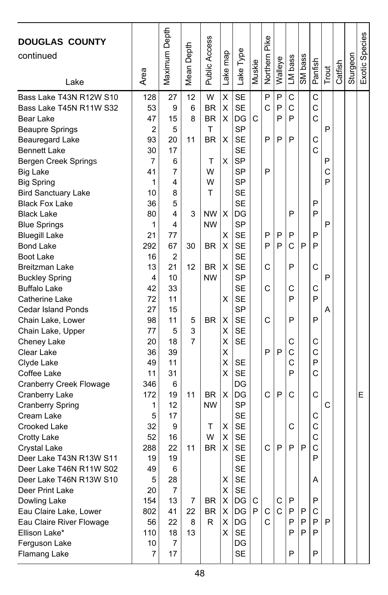| <b>DOUGLAS COUNTY</b><br>continued<br>Lake          | Area     | Maximum Depth  | Depth<br>Mean I | Public Access | Lake map | Lake Type              | Muskie | Pike<br>Northern | Walleye     | LM bass     | SM bass      | Panfish | Trout  | Catfish | Sturgeon | Exotic Species |
|-----------------------------------------------------|----------|----------------|-----------------|---------------|----------|------------------------|--------|------------------|-------------|-------------|--------------|---------|--------|---------|----------|----------------|
| Bass Lake T43N R12W S10                             | 128      | 27             | 12              | W             | X        | <b>SE</b>              |        | P                | P           | C           |              | C       |        |         |          |                |
| Bass Lake T45N R11W S32                             | 53       | 9              | 6               | <b>BR</b>     | X        | <b>SE</b>              |        | C                | P           | C           |              | C       |        |         |          |                |
| Bear Lake                                           | 47       | 15             | 8               | <b>BR</b>     | X        | DG                     | C      |                  | P           | P           |              | Ċ       |        |         |          |                |
| <b>Beaupre Springs</b>                              | 2        | 5              |                 | T             |          | SP                     |        |                  |             |             |              |         | P      |         |          |                |
| <b>Beauregard Lake</b>                              | 93       | 20             | 11              | <b>BR</b>     | X        | <b>SE</b>              |        | P                | P           | P           |              | C       |        |         |          |                |
| <b>Bennett Lake</b>                                 | 30       | 17             |                 |               |          | <b>SE</b>              |        |                  |             |             |              | Ċ       |        |         |          |                |
| Bergen Creek Springs                                | 7        | 6              |                 | т<br>W        | Χ        | <b>SP</b>              |        | P                |             |             |              |         | P      |         |          |                |
| <b>Big Lake</b>                                     | 41<br>1  | 7<br>4         |                 | W             |          | SP<br><b>SP</b>        |        |                  |             |             |              |         | C<br>P |         |          |                |
| <b>Big Spring</b>                                   | 10       | 8              |                 | Т             |          | <b>SE</b>              |        |                  |             |             |              |         |        |         |          |                |
| <b>Bird Sanctuary Lake</b><br><b>Black Fox Lake</b> | 36       | 5              |                 |               |          | <b>SE</b>              |        |                  |             |             |              | P       |        |         |          |                |
| <b>Black Lake</b>                                   | 80       | 4              | 3               | NW.           | X        | DG                     |        |                  |             | P           |              | P       |        |         |          |                |
| <b>Blue Springs</b>                                 | 1        | 4              |                 | <b>NW</b>     |          | <b>SP</b>              |        |                  |             |             |              |         | P      |         |          |                |
| <b>Bluegill Lake</b>                                | 21       | 77             |                 |               | X        | <b>SE</b>              |        | P                | P           | P           |              | P       |        |         |          |                |
| <b>Bond Lake</b>                                    | 292      | 67             | 30              | <b>BR</b>     | X        | <b>SE</b>              |        | P                | P           | C           | P            | P       |        |         |          |                |
| Boot Lake                                           | 16       | $\overline{2}$ |                 |               |          | <b>SE</b>              |        |                  |             |             |              |         |        |         |          |                |
| <b>Breitzman Lake</b>                               | 13       | 21             | 12              | <b>BR</b>     | X        | <b>SE</b>              |        | C                |             | P           |              | Ċ       |        |         |          |                |
| <b>Buckley Spring</b>                               | 4        | 10             |                 | <b>NW</b>     |          | SP                     |        |                  |             |             |              |         | P      |         |          |                |
| <b>Buffalo Lake</b>                                 | 42       | 33             |                 |               |          | <b>SE</b>              |        | C                |             | С           |              | C       |        |         |          |                |
| Catherine Lake                                      | 72       | 11             |                 |               | x        | SE                     |        |                  |             | P           |              | P       |        |         |          |                |
| <b>Cedar Island Ponds</b>                           | 27       | 15             |                 |               |          | SP                     |        |                  |             |             |              |         | A      |         |          |                |
| Chain Lake, Lower                                   | 98       | 11             | 5               | <b>BR</b>     | X        | <b>SE</b>              |        | C                |             | P           |              | P       |        |         |          |                |
| Chain Lake, Upper                                   | 77       | 5              | 3               |               | х        | <b>SE</b>              |        |                  |             |             |              |         |        |         |          |                |
| Cheney Lake                                         | 20       | 18             | 7               |               | X        | <b>SE</b>              |        |                  |             | С           |              | С       |        |         |          |                |
| Clear Lake                                          | 36       | 39             |                 |               | X        |                        |        | P                | P           | C           |              | Ċ       |        |         |          |                |
| Clyde Lake                                          | 49       | 11             |                 |               | Χ        | <b>SE</b>              |        |                  |             | C           |              | P       |        |         |          |                |
| Coffee Lake                                         | 11       | 31             |                 |               | X        | <b>SE</b>              |        |                  |             | P           |              | С       |        |         |          |                |
| Cranberry Creek Flowage                             | 346      | 6              |                 |               |          | DG                     |        |                  |             |             |              |         |        |         |          |                |
| Cranberry Lake                                      | 172      | 19             | 11              | BR.           | X        | DG                     |        | C                | P           | C           |              | C       |        |         |          | E              |
| <b>Cranberry Spring</b>                             | 1        | 12             |                 | <b>NW</b>     |          | <b>SP</b>              |        |                  |             |             |              |         | C      |         |          |                |
| Cream Lake                                          | 5        | 17             |                 |               |          | <b>SE</b>              |        |                  |             |             |              | С       |        |         |          |                |
| <b>Crooked Lake</b>                                 | 32       | 9              |                 | Т             | х        | <b>SE</b>              |        |                  |             | С           |              | C       |        |         |          |                |
| <b>Crotty Lake</b>                                  | 52       | 16             |                 | W             | X        | <b>SE</b>              |        |                  |             |             |              | C       |        |         |          |                |
| Crystal Lake                                        | 288      | 22             | 11              | <b>BR</b>     | X        | <b>SE</b>              |        | C                | P           | P           | P            | C       |        |         |          |                |
| Deer Lake T43N R13W S11                             | 19<br>49 | 19             |                 |               |          | <b>SE</b><br><b>SE</b> |        |                  |             |             |              | P       |        |         |          |                |
| Deer Lake T46N R11W S02<br>Deer Lake T46N R13W S10  | 5        | 6<br>28        |                 |               | х        | <b>SE</b>              |        |                  |             |             |              | Α       |        |         |          |                |
| Deer Print Lake                                     | 20       | $\overline{7}$ |                 |               | X        | $\mathsf{SE}$          |        |                  |             |             |              |         |        |         |          |                |
| Dowling Lake                                        | 154      | 13             | 7               | BR            | X        | DG                     | C      |                  | С           | $\mathsf P$ |              | P       |        |         |          |                |
| Eau Claire Lake, Lower                              | 802      | 41             | 22              | BR            | Χ        | DG                     | P      | С                | $\mathbf C$ | P           | $\mathsf{P}$ | C       |        |         |          |                |
| Eau Claire River Flowage                            | 56       | 22             | 8               | R             | х        | IDG.                   |        | C                |             | P           | $\mathsf{P}$ | P       | P      |         |          |                |
| Ellison Lake*                                       | 110      | 18             | 13              |               | X.       | SE                     |        |                  |             | P           | P            | P       |        |         |          |                |
| Ferguson Lake                                       | 10       | $\overline{7}$ |                 |               |          | DG                     |        |                  |             |             |              |         |        |         |          |                |
| Flamang Lake                                        | 7        | 17             |                 |               |          | SE                     |        |                  |             | P           |              | P       |        |         |          |                |
|                                                     |          |                |                 |               |          |                        |        |                  |             |             |              |         |        |         |          |                |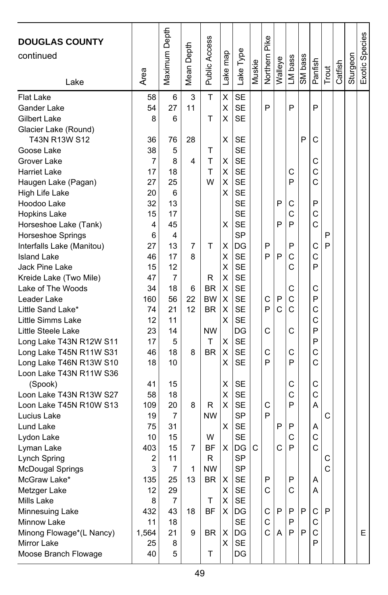| <b>DOUGLAS COUNTY</b><br>continued<br>Lake | Area     | Maximum Depth | Depth<br>Mean I | <b>Public Access</b> | Lake map | Lake Type              | Muskie | Northern Pike | Walleye | LM bass | SM bass | Panfish      | Trout | Catfish | Sturgeon | Exotic Species |
|--------------------------------------------|----------|---------------|-----------------|----------------------|----------|------------------------|--------|---------------|---------|---------|---------|--------------|-------|---------|----------|----------------|
| Flat Lake                                  | 58       | 6             | 3               | T                    | X        | <b>SE</b>              |        |               |         |         |         |              |       |         |          |                |
| Gander Lake                                | 54       | 27            | 11              |                      | Χ        | <b>SE</b>              |        | P             |         | P       |         | P            |       |         |          |                |
| Gilbert Lake                               | 8        | 6             |                 | T                    | х        | <b>SE</b>              |        |               |         |         |         |              |       |         |          |                |
| Glacier Lake (Round)                       |          |               |                 |                      |          |                        |        |               |         |         |         |              |       |         |          |                |
| T43N R13W S12                              | 36       | 76            | 28              |                      | X        | <b>SE</b>              |        |               |         |         | P       | C            |       |         |          |                |
| Goose Lake                                 | 38       | 5             |                 | т                    |          | <b>SE</b>              |        |               |         |         |         |              |       |         |          |                |
| Grover Lake                                | 7        | 8             | 4               | T                    | X        | <b>SE</b>              |        |               |         |         |         | С            |       |         |          |                |
| <b>Harriet Lake</b>                        | 17       | 18            |                 | T                    | X        | <b>SE</b>              |        |               |         | С       |         | $\mathsf{C}$ |       |         |          |                |
| Haugen Lake (Pagan)                        | 27       | 25            |                 | W                    | X        | <b>SE</b>              |        |               |         | P       |         | C            |       |         |          |                |
| High Life Lake                             | 20       | 6             |                 |                      | X        | <b>SE</b>              |        |               |         |         |         |              |       |         |          |                |
| Hoodoo Lake                                | 32       | 13            |                 |                      |          | <b>SE</b>              |        |               | P       | С       |         | P            |       |         |          |                |
| <b>Hopkins Lake</b>                        | 15       | 17            |                 |                      |          | <b>SE</b>              |        |               |         | C       |         | C            |       |         |          |                |
| Horseshoe Lake (Tank)                      | 4        | 45            |                 |                      | X        | <b>SE</b>              |        |               | P       | P       |         | C            |       |         |          |                |
| Horseshoe Springs                          | 6        | 4             |                 |                      |          | <b>SP</b>              |        |               |         |         |         |              | P     |         |          |                |
| Interfalls Lake (Manitou)                  | 27       | 13            | 7               | т                    | X        | DG                     |        | P             |         | P       |         | С            | P     |         |          |                |
| <b>Island Lake</b>                         | 46       | 17            | 8               |                      | X        | <b>SE</b>              |        | P             | P       | C       |         | C            |       |         |          |                |
| Jack Pine Lake                             | 15       | 12            |                 |                      | Χ        | <b>SE</b>              |        |               |         | C       |         | P            |       |         |          |                |
| Kreide Lake (Two Mile)                     | 47       | 7             |                 | R                    | Χ        | <b>SE</b>              |        |               |         |         |         |              |       |         |          |                |
| Lake of The Woods                          | 34       | 18            | 6               | <b>BR</b>            | Χ        | <b>SE</b>              |        |               |         | С       |         | C            |       |         |          |                |
| Leader Lake                                | 160      | 56            | 22              | ВW                   | X        | <b>SE</b>              |        | C             | Ρ       | C       |         | P            |       |         |          |                |
| Little Sand Lake*                          | 74       | 21            | 12              | <b>BR</b>            | Χ        | <b>SE</b>              |        | P             | C       | C       |         | C            |       |         |          |                |
| Little Simms Lake                          | 12       | 11            |                 |                      | х        | <b>SE</b>              |        |               |         |         |         | C            |       |         |          |                |
| Little Steele Lake                         | 23       | 14            |                 | <b>NW</b>            |          | DG                     |        | C             |         | C       |         | P            |       |         |          |                |
| Long Lake T43N R12W S11                    | 17       | 5             |                 | Т                    | X        | <b>SE</b>              |        |               |         |         |         | P            |       |         |          |                |
| Long Lake T45N R11W S31                    | 46       | 18            | 8               | <b>BR</b>            | х        | <b>SE</b>              |        | C             |         | C       |         | C            |       |         |          |                |
| Long Lake T46N R13W S10                    | 18       | 10            |                 |                      | X        | <b>SE</b>              |        | P             |         | P       |         | C            |       |         |          |                |
| Loon Lake T43N R11W S36                    |          |               |                 |                      |          |                        |        |               |         |         |         |              |       |         |          |                |
| (Spook)                                    | 41       | 15            |                 |                      | Χ        | SE                     |        |               |         | С       |         | С<br>C       |       |         |          |                |
| Loon Lake T43N R13W S27                    | 58       | 18<br>20      |                 |                      | Χ<br>X   | <b>SE</b><br><b>SE</b> |        | C             |         | C<br>P  |         | A            |       |         |          |                |
| Loon Lake T45N R10W S13                    | 109      |               | 8               | R<br><b>NW</b>       |          | SP                     |        | P             |         |         |         |              | C     |         |          |                |
| Lucius Lake                                | 19<br>75 | 7<br>31       |                 |                      | х        | <b>SE</b>              |        |               | P       | P       |         |              |       |         |          |                |
| Lund Lake<br>Lydon Lake                    | 10       | 15            |                 | W                    |          | <b>SE</b>              |        |               |         | C       |         | Α<br>C       |       |         |          |                |
|                                            | 403      | 15            | 7               | BF                   | х        | DG                     | С      |               | С       | P       |         | Ċ            |       |         |          |                |
| Lyman Lake<br>Lynch Spring                 | 2        | 11            |                 | R                    |          | <b>SP</b>              |        |               |         |         |         |              | С     |         |          |                |
| McDougal Springs                           | 3        | 7             | 1               | <b>NW</b>            |          | <b>SP</b>              |        |               |         |         |         |              | C     |         |          |                |
| McGraw Lake*                               | 135      | 25            | 13              | BR                   | х        | SE                     |        | Ρ             |         | Ρ       |         | A            |       |         |          |                |
| Metzger Lake                               | 12       | 29            |                 |                      | X        | SE                     |        | C             |         | С       |         | A            |       |         |          |                |
| Mills Lake                                 | 8        | 7             |                 | T                    | X        | <b>SE</b>              |        |               |         |         |         |              |       |         |          |                |
| Minnesuing Lake                            | 432      | 43            | 18              | <b>BF</b>            | X        | DG                     |        | С             | P       | P       | P       | С            | P     |         |          |                |
| Minnow Lake                                | 11       | 18            |                 |                      |          | SE                     |        | С             |         | P       |         | С            |       |         |          |                |
| Minong Flowage*(L Nancy)                   | 1,564    | 21            | 9               | BR                   | X        | DG                     |        | Ċ             | Α       | P       | P       | $\mathsf{C}$ |       |         |          | E.             |
| Mirror Lake                                | 25       | 8             |                 |                      | X        | SE                     |        |               |         |         |         | P            |       |         |          |                |
| Moose Branch Flowage                       | 40       | 5             |                 | T                    |          | DG                     |        |               |         |         |         |              |       |         |          |                |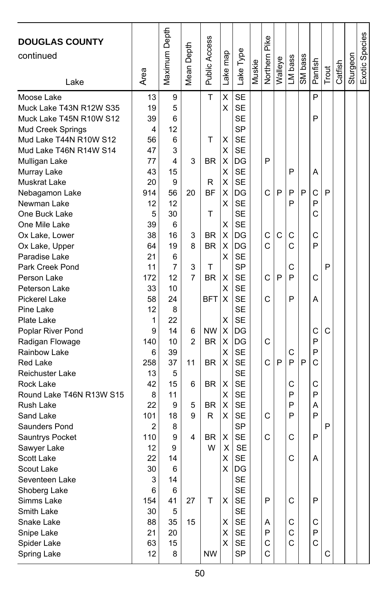| <b>DOUGLAS COUNTY</b><br>continued<br>Lake | Area     | Maximum Depth | Depth<br>Mean I | Public Access | Lake map | Lake Type              | Muskie | Pike<br>Northern | Walleye | LM bass | SM bass | Panfish | Trout | Catfish | Sturgeon | Exotic Species |
|--------------------------------------------|----------|---------------|-----------------|---------------|----------|------------------------|--------|------------------|---------|---------|---------|---------|-------|---------|----------|----------------|
| Moose Lake                                 | 13       | 9             |                 | T             | X        | <b>SE</b>              |        |                  |         |         |         | P       |       |         |          |                |
| Muck Lake T43N R12W S35                    | 19       | 5             |                 |               | X        | <b>SE</b>              |        |                  |         |         |         |         |       |         |          |                |
| Muck Lake T45N R10W S12                    | 39       | 6             |                 |               |          | <b>SE</b>              |        |                  |         |         |         | P       |       |         |          |                |
| Mud Creek Springs                          | 4        | 12            |                 |               |          | <b>SP</b>              |        |                  |         |         |         |         |       |         |          |                |
| Mud Lake T44N R10W S12                     | 56       | 6             |                 | T             | X        | <b>SE</b>              |        |                  |         |         |         |         |       |         |          |                |
| Mud Lake T46N R14W S14                     | 47       | 3             |                 |               | х        | <b>SE</b>              |        |                  |         |         |         |         |       |         |          |                |
| Mulligan Lake                              | 77       | 4             | 3               | BR            | х        | DG                     |        | P                |         |         |         |         |       |         |          |                |
| Murray Lake                                | 43       | 15            |                 |               | х        | <b>SE</b>              |        |                  |         | P       |         | Α       |       |         |          |                |
| Muskrat Lake                               | 20       | 9             |                 | R             | X        | <b>SE</b>              |        |                  |         |         |         |         |       |         |          |                |
| Nebagamon Lake                             | 914      | 56            | 20              | <b>BF</b>     | X        | DG                     |        | C                | P       | P       | P       | С       | P     |         |          |                |
| Newman Lake                                | 12       | 12            |                 |               | X        | <b>SE</b>              |        |                  |         | P       |         | P       |       |         |          |                |
| One Buck Lake                              | 5        | 30            |                 | T             |          | <b>SE</b><br><b>SE</b> |        |                  |         |         |         | C       |       |         |          |                |
| One Mile Lake                              | 39<br>38 | 6<br>16       | 3               | BR            | х<br>X   | DG                     |        | C                | C       | С       |         | C       |       |         |          |                |
| Ox Lake, Lower                             | 64       | 19            | 8               | <b>BR</b>     | х        | DG                     |        | Ċ                |         | Ć       |         | P       |       |         |          |                |
| Ox Lake, Upper<br>Paradise Lake            | 21       | 6             |                 |               | х        | <b>SE</b>              |        |                  |         |         |         |         |       |         |          |                |
| Park Creek Pond                            | 11       | 7             | 3               | T             |          | SP                     |        |                  |         | C       |         |         | P     |         |          |                |
| Person Lake                                | 172      | 12            | 7               | <b>BR</b>     | X        | <b>SE</b>              |        | C                | P       | P       |         | C       |       |         |          |                |
| Peterson Lake                              | 33       | 10            |                 |               | X        | <b>SE</b>              |        |                  |         |         |         |         |       |         |          |                |
| Pickerel Lake                              | 58       | 24            |                 | <b>BFT</b>    | X        | <b>SE</b>              |        | Ć                |         | P       |         | A       |       |         |          |                |
| Pine Lake                                  | 12       | 8             |                 |               |          | <b>SE</b>              |        |                  |         |         |         |         |       |         |          |                |
| Plate Lake                                 | 1        | 22            |                 |               | X        | <b>SE</b>              |        |                  |         |         |         |         |       |         |          |                |
| Poplar River Pond                          | 9        | 14            | 6               | <b>NW</b>     | X        | DG                     |        |                  |         |         |         | C       | C     |         |          |                |
| Radigan Flowage                            | 140      | 10            | $\overline{2}$  | <b>BR</b>     | X        | DG                     |        | C                |         |         |         | P       |       |         |          |                |
| Rainbow Lake                               | 6        | 39            |                 |               | х        | <b>SE</b>              |        |                  |         | С       |         | P       |       |         |          |                |
| <b>Red Lake</b>                            | 258      | 37            | 11              | <b>BR</b>     | X        | <b>SE</b>              |        | C                | P       | P       | P       | C       |       |         |          |                |
| Reichuster Lake                            | 13       | 5             |                 |               |          | <b>SE</b>              |        |                  |         |         |         |         |       |         |          |                |
| Rock Lake                                  | 42       | 15            | 6               | <b>BR</b>     | х        | <b>SE</b>              |        |                  |         | С       |         | С       |       |         |          |                |
| Round Lake T46N R13W S15                   | 8        | 11            |                 |               | х        | <b>SE</b>              |        |                  |         | P       |         | P       |       |         |          |                |
| Rush Lake                                  | 22       | 9             | 5               | <b>BR</b>     | X        | <b>SE</b>              |        |                  |         | P       |         | А       |       |         |          |                |
| Sand Lake                                  | 101      | 18            | 9               | R             | х        | <b>SE</b>              |        | C                |         | P       |         | P       |       |         |          |                |
| Saunders Pond                              | 2        | 8             |                 |               |          | <b>SP</b>              |        |                  |         |         |         |         | P     |         |          |                |
| Sauntrys Pocket                            | 110      | 9             | 4               | BR            | х        | <b>SE</b>              |        | C                |         | C       |         | P       |       |         |          |                |
| Sawyer Lake                                | 12       | 9             |                 | W             | X        | <b>SE</b>              |        |                  |         |         |         |         |       |         |          |                |
| Scott Lake                                 | 22       | 14            |                 |               | X        | <b>SE</b>              |        |                  |         | С       |         | A       |       |         |          |                |
| Scout Lake                                 | 30       | 6             |                 |               | X        | lDG.                   |        |                  |         |         |         |         |       |         |          |                |
| Seventeen Lake                             | 3        | 14            |                 |               |          | <b>SE</b>              |        |                  |         |         |         |         |       |         |          |                |
| Shoberg Lake                               | 6        | 6             |                 |               |          | <b>SE</b>              |        |                  |         |         |         |         |       |         |          |                |
| Simms Lake                                 | 154      | 41            | 27              | Τ             | X        | <b>SE</b>              |        | P                |         | С       |         | P       |       |         |          |                |
| Smith Lake                                 | 30       | 5             |                 |               |          | <b>SE</b>              |        |                  |         |         |         |         |       |         |          |                |
| Snake Lake                                 | 88       | 35            | 15              |               | х        | <b>SE</b>              |        | A                |         | С       |         | С       |       |         |          |                |
| Snipe Lake                                 | 21       | 20            |                 |               | х        | <b>SE</b>              |        | P                |         | C       |         | P       |       |         |          |                |
| Spider Lake                                | 63       | 15            |                 |               | X        | SE                     |        | С                |         | C       |         | C       |       |         |          |                |
| Spring Lake                                | 12       | 8             |                 | <b>NW</b>     |          | SP                     |        | C                |         |         |         |         | C     |         |          |                |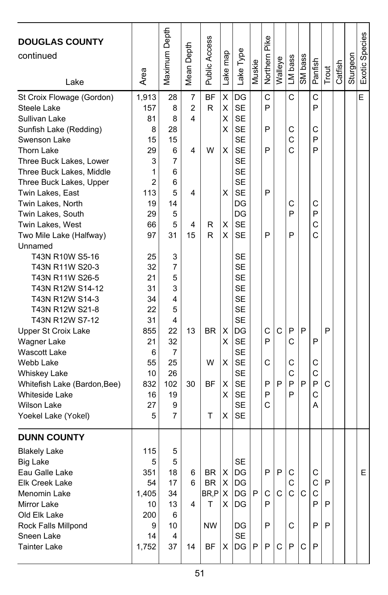| <b>DOUGLAS COUNTY</b><br>continued<br>Lake | Area           | Maximum Depth | Mean Depth     | <b>Public Access</b> | Lake map | Lake Type | Muskie | Northern Pike | Walleye | LM bass      | SM bass | Panfish | Trout        | Catfish | Sturgeon | Exotic Species |
|--------------------------------------------|----------------|---------------|----------------|----------------------|----------|-----------|--------|---------------|---------|--------------|---------|---------|--------------|---------|----------|----------------|
| St Croix Flowage (Gordon)                  | 1,913          | 28            | 7              | <b>BF</b>            | X        | DG        |        | Ċ             |         | C            |         | C       |              |         |          | E              |
| Steele Lake                                | 157            | 8             | $\overline{2}$ | R                    | X        | <b>SE</b> |        | P             |         |              |         | P       |              |         |          |                |
| Sullivan Lake                              | 81             | 8             | 4              |                      | х        | <b>SE</b> |        |               |         |              |         |         |              |         |          |                |
| Sunfish Lake (Redding)                     | 8              | 28            |                |                      | х        | <b>SE</b> |        | P             |         | C            |         | C       |              |         |          |                |
| Swenson Lake                               | 15             | 15            |                |                      |          | <b>SE</b> |        |               |         | C            |         | P       |              |         |          |                |
| <b>Thorn Lake</b>                          | 29             | 6             | 4              | W                    | X        | <b>SE</b> |        | P             |         | C            |         | P       |              |         |          |                |
| Three Buck Lakes, Lower                    | 3              | 7             |                |                      |          | <b>SE</b> |        |               |         |              |         |         |              |         |          |                |
| Three Buck Lakes, Middle                   | 1              | 6             |                |                      |          | <b>SE</b> |        |               |         |              |         |         |              |         |          |                |
| Three Buck Lakes, Upper                    | $\overline{2}$ | 6             |                |                      |          | <b>SE</b> |        |               |         |              |         |         |              |         |          |                |
| Twin Lakes, East                           | 113            | 5             | 4              |                      | х        | <b>SE</b> |        | P             |         |              |         |         |              |         |          |                |
| Twin Lakes, North                          | 19             | 14            |                |                      |          | DG        |        |               |         | С            |         | С       |              |         |          |                |
| Twin Lakes, South                          | 29             | 5             |                |                      |          | DG        |        |               |         | P            |         | P       |              |         |          |                |
| Twin Lakes, West                           | 66             | 5             | 4              | R                    | X        | <b>SE</b> |        |               |         |              |         | C       |              |         |          |                |
| Two Mile Lake (Halfway)                    | 97             | 31            | 15             | R                    | х        | <b>SE</b> |        | P             |         | P            |         | C       |              |         |          |                |
| Unnamed                                    |                |               |                |                      |          |           |        |               |         |              |         |         |              |         |          |                |
| T43N R10W S5-16                            | 25             | 3             |                |                      |          | SE        |        |               |         |              |         |         |              |         |          |                |
| T43N R11W S20-3                            | 32             | 7             |                |                      |          | <b>SE</b> |        |               |         |              |         |         |              |         |          |                |
| T43N R11W S26-5                            | 21             | 5             |                |                      |          | <b>SE</b> |        |               |         |              |         |         |              |         |          |                |
| T43N R12W S14-12                           | 31             | 3             |                |                      |          | <b>SE</b> |        |               |         |              |         |         |              |         |          |                |
| T43N R12W S14-3                            | 34             | 4             |                |                      |          | <b>SE</b> |        |               |         |              |         |         |              |         |          |                |
| T43N R12W S21-8                            | 22             | 5             |                |                      |          | <b>SE</b> |        |               |         |              |         |         |              |         |          |                |
| T43N R12W S7-12                            | 31             | 4             |                |                      |          | <b>SE</b> |        |               |         |              |         |         |              |         |          |                |
| Upper St Croix Lake                        | 855            | 22            | 13             | BR.                  | X        | DG        |        | C             | C       | P            | P       |         | P            |         |          |                |
| Wagner Lake                                | 21             | 32            |                |                      | X        | <b>SE</b> |        | P             |         | C            |         | P       |              |         |          |                |
| <b>Wascott Lake</b>                        | 6              | 7             |                |                      |          | <b>SE</b> |        |               |         |              |         |         |              |         |          |                |
| Webb Lake                                  | 55             | 25            |                | W                    | X        | <b>SE</b> |        | С             |         | C            |         | C       |              |         |          |                |
| Whiskey Lake                               | 10             | 26            |                |                      |          | <b>SE</b> |        |               |         | C            |         | C       |              |         |          |                |
| Whitefish Lake (Bardon, Bee)               | 832            | 102           | 30             | ΒF                   | х        | <b>SE</b> |        | P             | P       | P            | P       | P       | $\mathsf{C}$ |         |          |                |
| Whiteside Lake                             | 16             | 19            |                |                      | х        | <b>SE</b> |        | P             |         | P            |         | C       |              |         |          |                |
| <b>Wilson Lake</b>                         | 27             | 9             |                |                      |          | <b>SE</b> |        | C             |         |              |         | A       |              |         |          |                |
| Yoekel Lake (Yokel)                        | 5              | 7             |                | т                    | х        | <b>SE</b> |        |               |         |              |         |         |              |         |          |                |
| <b>DUNN COUNTY</b>                         |                |               |                |                      |          |           |        |               |         |              |         |         |              |         |          |                |
|                                            |                |               |                |                      |          |           |        |               |         |              |         |         |              |         |          |                |
| <b>Blakely Lake</b>                        | 115            | 5             |                |                      |          |           |        |               |         |              |         |         |              |         |          |                |
| <b>Big Lake</b>                            | 5              | 5             |                |                      |          | SE        |        |               |         |              |         |         |              |         |          |                |
| Eau Galle Lake                             | 351<br>54      | 18<br>17      | 6<br>6         | BR  <br>BR X         | X        | DG<br> DG |        | ۲             | ۲       | C<br>C       |         | C<br>C  | P            |         |          | ь.             |
| Elk Creek Lake<br>Menomin Lake             | 1,405          | 34            |                | BR, P X              |          | DG        | P      | С             | C       | $\mathsf{C}$ | C       | С       |              |         |          |                |
| Mirror Lake                                | 10             | 13            | 4              | T                    | X.       | IDG       |        | P             |         |              |         | P       | P            |         |          |                |
| Old Elk Lake                               | 200            | 6             |                |                      |          |           |        |               |         |              |         |         |              |         |          |                |
| Rock Falls Millpond                        | 9              | 10            |                | NW                   |          | DG        |        | P             |         | С            |         | P       | P            |         |          |                |
| Sneen Lake                                 | 14             | 4             |                |                      |          | <b>SE</b> |        |               |         |              |         |         |              |         |          |                |
| <b>Tainter Lake</b>                        | 1,752          | 37            | 14             | BF                   | x        | DG        | P      | P             | С       | P            | С       | P       |              |         |          |                |
|                                            |                |               |                |                      |          |           |        |               |         |              |         |         |              |         |          |                |
|                                            |                |               |                |                      |          |           |        |               |         |              |         |         |              |         |          |                |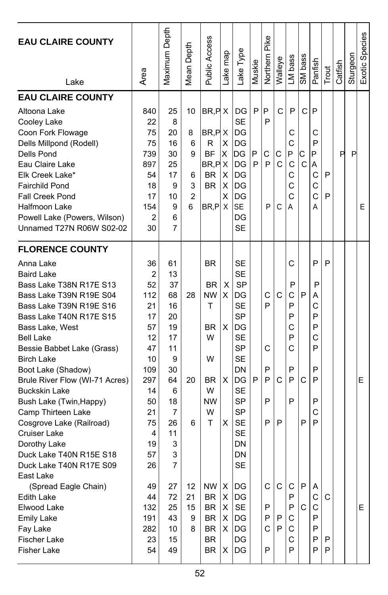| <b>EAU CLAIRE COUNTY</b><br>Lake                                                                                                                                                                                                                                                                                                                                                                                                                                                                           | Area                                                                                                                               | Maximum Depth                                                                                                               | Depth<br>Mean I                                    | Public Access                                                                                      | ake map                    | ake Type                                                                                                                                                                                          | Muskie      | Pike<br>Northern                | Walleye          | LM bass                                             | SM bass                           | Panfish                                                       | Trout       | Catfish | Sturgeon | Exotic Species |
|------------------------------------------------------------------------------------------------------------------------------------------------------------------------------------------------------------------------------------------------------------------------------------------------------------------------------------------------------------------------------------------------------------------------------------------------------------------------------------------------------------|------------------------------------------------------------------------------------------------------------------------------------|-----------------------------------------------------------------------------------------------------------------------------|----------------------------------------------------|----------------------------------------------------------------------------------------------------|----------------------------|---------------------------------------------------------------------------------------------------------------------------------------------------------------------------------------------------|-------------|---------------------------------|------------------|-----------------------------------------------------|-----------------------------------|---------------------------------------------------------------|-------------|---------|----------|----------------|
| <b>EAU CLAIRE COUNTY</b><br>Altoona Lake<br>Cooley Lake<br>Coon Fork Flowage<br>Dells Millpond (Rodell)<br>Dells Pond<br>Eau Claire Lake<br>Elk Creek Lake*<br><b>Fairchild Pond</b><br><b>Fall Creek Pond</b><br>Halfmoon Lake<br>Powell Lake (Powers, Wilson)<br>Unnamed T27N R06W S02-02                                                                                                                                                                                                                | 840<br>22<br>75<br>75<br>739<br>897<br>54<br>18<br>17<br>154<br>2<br>30                                                            | 25<br>8<br>20<br>16<br>30<br>25<br>17<br>9<br>10<br>9<br>6<br>7                                                             | 10<br>8<br>6<br>9<br>6<br>3<br>$\overline{2}$<br>6 | BR, PX<br>BR, PX<br>R<br><b>BF</b><br>$BR, P \times$<br><b>BR</b><br>BR.<br>BR,PIX                 | х<br>X<br>X<br>X<br>х      | DG<br><b>SE</b><br>DG<br>DG<br>IDG<br>DG<br>DG<br>DG<br>DG<br><b>SE</b><br>DG<br><b>SE</b>                                                                                                        | P<br>P<br>P | P<br>P<br>С<br>P<br>P           | C<br>С<br>C<br>C | P<br>С<br>С<br>P<br>C<br>C<br>С<br>C<br>А           | $\mathsf{C}$<br>С<br>$\mathsf{C}$ | P<br>С<br>P<br>P<br>Α<br>C<br>С<br>Ć<br>Α                     | P<br>P      | P       | P        | E              |
| <b>FLORENCE COUNTY</b><br>Anna Lake<br><b>Baird Lake</b><br>Bass Lake T38N R17E S13<br>Bass Lake T39N R19E S04<br>Bass Lake T39N R19E S16<br>Bass Lake T40N R17E S15<br>Bass Lake, West<br><b>Bell Lake</b><br>Bessie Babbet Lake (Grass)<br><b>Birch Lake</b><br>Boot Lake (Shadow)<br>Brule River Flow (WI-71 Acres)<br>Buckskin Lake<br>Bush Lake (Twin, Happy)<br>Camp Thirteen Lake<br>Cosgrove Lake (Railroad)<br>Cruiser Lake<br>Dorothy Lake<br>Duck Lake T40N R15E S18<br>Duck Lake T40N R17E S09 | 36<br>$\overline{2}$<br>52<br>112<br>21<br>17<br>57<br>12<br>47<br>10<br>109<br>297<br>14<br>50<br>21<br>75<br>4<br>19<br>57<br>26 | 61<br>13<br>37<br>68<br>16<br>20<br>19<br>17<br>11<br>9<br>30<br>64<br>6<br>18<br>7<br>26<br>11<br>3<br>3<br>$\overline{7}$ | 28<br>20<br>6                                      | <b>BR</b><br><b>BR</b><br><b>NW</b><br>т<br>BR.<br>W<br>W<br><b>BR</b><br>W<br><b>NW</b><br>W<br>т | X<br>X<br>X<br>X<br>X      | SЕ<br><b>SE</b><br><b>SP</b><br>DG<br><b>SE</b><br><b>SP</b><br>DG<br>SE<br><b>SP</b><br><b>SE</b><br>DN<br>DG<br><b>SE</b><br><b>SP</b><br><b>SP</b><br><b>SE</b><br>SE<br>DΝ<br>DN<br><b>SE</b> | P           | С<br>P<br>С<br>P<br>P<br>P<br>P | C<br>C<br>P      | С<br>P<br>C<br>P<br>P<br>C<br>P<br>C<br>P<br>P<br>P | P<br>C<br>P                       | P<br>P<br>А<br>С<br>P<br>P<br>C<br>P<br>P<br>P<br>P<br>С<br>P | P           |         |          | E              |
| East Lake<br>(Spread Eagle Chain)<br><b>Edith Lake</b><br>Elwood Lake<br><b>Emily Lake</b><br>Fay Lake<br>Fischer Lake<br><b>Fisher Lake</b>                                                                                                                                                                                                                                                                                                                                                               | 49<br>44<br>132<br>191<br>282<br>23<br>54                                                                                          | 27<br>72<br>25<br>43<br>10<br>15<br>49                                                                                      | 12<br>21<br>15<br>9<br>8                           | <b>NW</b><br><b>BR</b><br><b>BR</b><br><b>BR</b><br>BR<br><b>BR</b><br>BR                          | х<br>X<br>X<br>X<br>X<br>х | DG<br>DG<br><b>SE</b><br>DG<br>DG<br>DG<br>DG                                                                                                                                                     |             | С<br>P<br>P<br>С<br>P           | C<br>P<br>P      | С<br>P<br>P<br>С<br>С<br>С<br>P                     | P<br>C                            | A<br>С<br>С<br>P<br>P<br>Р<br>P                               | C<br>P<br>P |         |          | E              |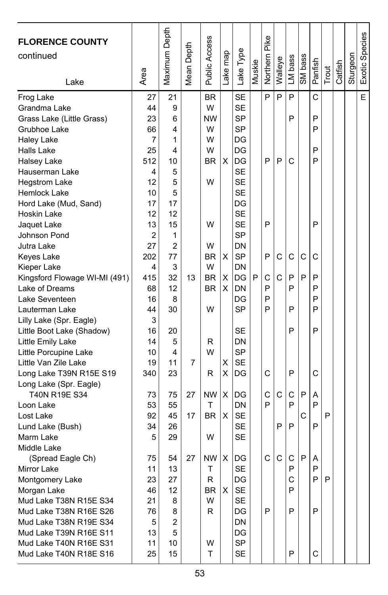| <b>FLORENCE COUNTY</b><br>continued<br>Lake      | Area           | Maximum Depth           | Depth<br>Mean [ | Public Access  | Lake map | Lake Type | Muskie | Northern Pike | Walleye | LM bass | SM bass | Panfish | Trout | Catfish | Sturgeon | Exotic Species |
|--------------------------------------------------|----------------|-------------------------|-----------------|----------------|----------|-----------|--------|---------------|---------|---------|---------|---------|-------|---------|----------|----------------|
| Frog Lake                                        | 27             | 21                      |                 | <b>BR</b><br>W |          | <b>SE</b> |        | P             | P       | P       |         | C       |       |         |          | E              |
| Grandma Lake                                     | 44             | 9                       |                 |                |          | <b>SE</b> |        |               |         | P       |         | P       |       |         |          |                |
| Grass Lake (Little Grass)                        | 23             | 6                       |                 | <b>NW</b>      |          | SP        |        |               |         |         |         | P       |       |         |          |                |
| Grubhoe Lake<br>Haley Lake                       | 66<br>7        | 4<br>1                  |                 | W<br>W         |          | SP<br>DG  |        |               |         |         |         |         |       |         |          |                |
| Halls Lake                                       | 25             | 4                       |                 | W              |          | DG        |        |               |         |         |         | P       |       |         |          |                |
| Halsey Lake                                      | 512            | 10                      |                 | <b>BR</b>      | х        | DG        |        | P             | P       | C       |         | P       |       |         |          |                |
| Hauserman Lake                                   | 4              | 5                       |                 |                |          | <b>SE</b> |        |               |         |         |         |         |       |         |          |                |
| <b>Hegstrom Lake</b>                             | 12             | 5                       |                 | W              |          | <b>SE</b> |        |               |         |         |         |         |       |         |          |                |
| Hemlock Lake                                     | 10             | 5                       |                 |                |          | <b>SE</b> |        |               |         |         |         |         |       |         |          |                |
| Hord Lake (Mud, Sand)                            | 17             | 17                      |                 |                |          | DG        |        |               |         |         |         |         |       |         |          |                |
| Hoskin Lake                                      | 12             | 12                      |                 |                |          | <b>SE</b> |        |               |         |         |         |         |       |         |          |                |
| Jaquet Lake                                      | 13             | 15                      |                 | W              |          | <b>SE</b> |        | P             |         |         |         | P       |       |         |          |                |
| Johnson Pond                                     | $\overline{2}$ | 1                       |                 |                |          | <b>SP</b> |        |               |         |         |         |         |       |         |          |                |
| Jutra Lake                                       | 27             | 2                       |                 | W              |          | DN        |        |               |         |         |         |         |       |         |          |                |
| Keyes Lake                                       | 202            | 77                      |                 | BR             | X        | SP        |        | P             | C       | C       | C       | C       |       |         |          |                |
| Kieper Lake                                      | 4              | 3                       |                 | W              |          | DN        |        |               |         |         |         |         |       |         |          |                |
| Kingsford Flowage WI-MI (491)                    | 415            | 32                      | 13              | <b>BR</b>      | Χ        | DG        | P      | C             | С       | P       | P       | P       |       |         |          |                |
| Lake of Dreams                                   | 68             | 12                      |                 | <b>BR</b>      | х        | DN        |        | P             |         | P       |         | P       |       |         |          |                |
| Lake Seventeen                                   | 16             | 8                       |                 |                |          | DG        |        | P             |         |         |         | P       |       |         |          |                |
| Lauterman Lake                                   | 44             | 30                      |                 | W              |          | <b>SP</b> |        | P             |         | P       |         | P       |       |         |          |                |
| Lilly Lake (Spr. Eagle)                          | 3              |                         |                 |                |          |           |        |               |         |         |         |         |       |         |          |                |
| Little Boot Lake (Shadow)                        | 16             | 20                      |                 |                |          | SЕ        |        |               |         | P       |         | P       |       |         |          |                |
| Little Emily Lake                                | 14             | 5                       |                 | R              |          | DN        |        |               |         |         |         |         |       |         |          |                |
| Little Porcupine Lake                            | 10             | 4                       |                 | W              |          | <b>SP</b> |        |               |         |         |         |         |       |         |          |                |
| Little Van Zile Lake                             | 19             | 11                      | 7               |                | Χ        | <b>SE</b> |        |               |         |         |         |         |       |         |          |                |
| Long Lake T39N R15E S19                          | 340            | 23                      |                 | R              | X        | DG        |        | C             |         | P       |         | C       |       |         |          |                |
| Long Lake (Spr. Eagle)                           |                |                         |                 |                |          |           |        |               |         |         |         |         |       |         |          |                |
| T40N R19E S34                                    | 73             | 75                      | 27              | <b>NW</b>      | X        | DG        |        | C             | C       | С       | P       | A       |       |         |          |                |
| Loon Lake                                        | 53             | 55                      |                 | Т              |          | DN        |        | P             |         | P       |         | P       |       |         |          |                |
| Lost Lake                                        | 92             | 45                      | 17              | <b>BR</b>      | X        | <b>SE</b> |        |               |         |         | C       |         | P     |         |          |                |
| Lund Lake (Bush)                                 | 34             | 26                      |                 |                |          | <b>SE</b> |        |               | P       | P       |         | P       |       |         |          |                |
| Marm Lake                                        | 5              | 29                      |                 | W              |          | <b>SE</b> |        |               |         |         |         |         |       |         |          |                |
| Middle Lake                                      |                |                         |                 |                |          |           |        |               |         |         |         |         |       |         |          |                |
| (Spread Eagle Ch)                                | 75             | 54                      | 27              | NW             | х        | DG        |        | C             | C       | C       | P       | Α       |       |         |          |                |
| Mirror Lake                                      | 11             | 13                      |                 | $\mathsf{T}$   |          | <b>SE</b> |        |               |         | P       |         | P       |       |         |          |                |
| Montgomery Lake                                  | 23             | 27                      |                 | R              |          | DG        |        |               |         | С       |         | P       | P     |         |          |                |
| Morgan Lake                                      | 46             | 12                      |                 | BR             | X        | SE        |        |               |         | P       |         |         |       |         |          |                |
| Mud Lake T38N R15E S34                           | 21             | 8                       |                 | W              |          | <b>SE</b> |        |               |         |         |         |         |       |         |          |                |
| Mud Lake T38N R16E S26                           | 76             | 8                       |                 | R              |          | DG        |        | P             |         | P       |         | P       |       |         |          |                |
| Mud Lake T38N R19E S34<br>Mud Lake T39N R16E S11 | 5              | $\overline{\mathbf{c}}$ |                 |                |          | DN        |        |               |         |         |         |         |       |         |          |                |
| Mud Lake T40N R16E S31                           | 13             | 5                       |                 |                |          | DG<br>SP  |        |               |         |         |         |         |       |         |          |                |
| Mud Lake T40N R18E S16                           | 11<br>25       | 10<br>15                |                 | W<br>T         |          | <b>SE</b> |        |               |         | P       |         | C       |       |         |          |                |
|                                                  |                |                         |                 |                |          |           |        |               |         |         |         |         |       |         |          |                |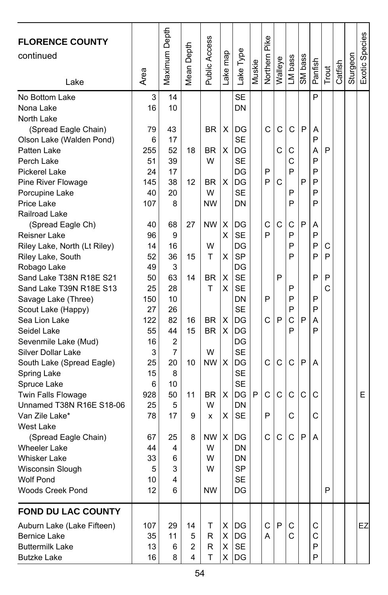| <b>FLORENCE COUNTY</b><br>continued<br>Lake | Area     | Maximum Depth | Depth<br>Mean I | Public Access | Lake map | Lake Type | Muskie | Northern Pike | Walleye | LM bass | SM bass | Panfish | Trout | Catfish | Sturgeon | Exotic Species |
|---------------------------------------------|----------|---------------|-----------------|---------------|----------|-----------|--------|---------------|---------|---------|---------|---------|-------|---------|----------|----------------|
| No Bottom Lake                              | 3        | 14            |                 |               |          | <b>SE</b> |        |               |         |         |         | P       |       |         |          |                |
| Nona Lake                                   | 16       | 10            |                 |               |          | DN        |        |               |         |         |         |         |       |         |          |                |
| North Lake                                  |          |               |                 |               |          |           |        |               |         |         |         |         |       |         |          |                |
| (Spread Eagle Chain)                        | 79       | 43            |                 | BR            | X        | DG        |        | Ć             | C       | C       | P       | A       |       |         |          |                |
| Olson Lake (Walden Pond)                    | 6        | 17            |                 |               |          | <b>SE</b> |        |               |         |         |         | P       |       |         |          |                |
| Patten Lake                                 | 255      | 52            | 18              | <b>BR</b>     | х        | DG        |        |               | С       | С       |         | А       | P     |         |          |                |
| Perch Lake                                  | 51       | 39            |                 | W             |          | <b>SE</b> |        |               |         | C       |         | P       |       |         |          |                |
| Pickerel Lake                               | 24       | 17            |                 |               |          | DG        |        | P             |         | P       |         | P       |       |         |          |                |
| Pine River Flowage                          | 145      | 38            | 12              | <b>BR</b>     | X        | DG        |        | P             | C       |         | P       | P       |       |         |          |                |
| Porcupine Lake                              | 40       | 20            |                 | W             |          | <b>SE</b> |        |               |         | P       |         | P       |       |         |          |                |
| Price Lake                                  | 107      | 8             |                 | <b>NW</b>     |          | DΝ        |        |               |         | P       |         | P       |       |         |          |                |
| Railroad Lake                               |          |               |                 |               |          |           |        |               |         |         |         |         |       |         |          |                |
| (Spread Eagle Ch)                           | 40       | 68            | 27              | <b>NW</b>     | X        | DG        |        | C             | C       | C       | P       | A       |       |         |          |                |
| Reisner Lake                                | 96       | 9             |                 |               | х        | <b>SE</b> |        | P             |         | P       |         | P       |       |         |          |                |
| Riley Lake, North (Lt Riley)                | 14       | 16            |                 | W             |          | DG        |        |               |         | P       |         | P       | С     |         |          |                |
| Riley Lake, South                           | 52       | 36            | 15              | т             | х        | <b>SP</b> |        |               |         | P       |         | P       | P     |         |          |                |
| Robago Lake                                 | 49       | 3             |                 |               |          | DG        |        |               |         |         |         |         |       |         |          |                |
| Sand Lake T38N R18E S21                     | 50       | 63            | 14              | BR            | Χ        | <b>SE</b> |        |               | P       |         |         | P       | P     |         |          |                |
| Sand Lake T39N R18E S13                     | 25       | 28            |                 | т             | х        | <b>SE</b> |        |               |         | P       |         |         | C     |         |          |                |
| Savage Lake (Three)                         | 150      | 10            |                 |               |          | DN        |        | P             |         | P       |         | P       |       |         |          |                |
| Scout Lake (Happy)                          | 27       | 26            |                 |               |          | <b>SE</b> |        |               |         | P<br>C  |         | P       |       |         |          |                |
| Sea Lion Lake                               | 122      | 82            | 16              | <b>BR</b>     | X        | DG        |        | C             | P       | P       | P       | Α<br>P  |       |         |          |                |
| Seidel Lake                                 | 55<br>16 | 44<br>2       | 15              | <b>BR</b>     | х        | DG<br>DG  |        |               |         |         |         |         |       |         |          |                |
| Sevenmile Lake (Mud)<br>Silver Dollar Lake  | 3        | 7             |                 | W             |          | <b>SE</b> |        |               |         |         |         |         |       |         |          |                |
| South Lake (Spread Eagle)                   | 25       | 20            | 10              | <b>NW</b>     | X        | DG        |        | C             | C       | C       | P       | A       |       |         |          |                |
| Spring Lake                                 | 15       | 8             |                 |               |          | <b>SE</b> |        |               |         |         |         |         |       |         |          |                |
| Spruce Lake                                 | 6        | 10            |                 |               |          | <b>SE</b> |        |               |         |         |         |         |       |         |          |                |
| <b>Twin Falls Flowage</b>                   | 928      | 50            | 11              | BR            | х        | DG        | P      | C             | C       | C       | C       | C       |       |         |          | E              |
| Unnamed T38N R16E S18-06                    | 25       | 5             |                 | W             |          | DN        |        |               |         |         |         |         |       |         |          |                |
| Van Zile Lake*                              | 78       | 17            | 9               | x             | X        | <b>SE</b> |        | P             |         | C       |         | С       |       |         |          |                |
| West Lake                                   |          |               |                 |               |          |           |        |               |         |         |         |         |       |         |          |                |
| (Spread Eagle Chain)                        | 67       | 25            | 8               | <b>NW</b>     | х        | DG        |        | C             | C       | C       | P       | A       |       |         |          |                |
| <b>Wheeler Lake</b>                         | 44       | 4             |                 | W             |          | DN        |        |               |         |         |         |         |       |         |          |                |
| <b>Whisker Lake</b>                         | 33       | 6             |                 | W             |          | DΝ        |        |               |         |         |         |         |       |         |          |                |
| Wisconsin Slough                            | 5        | 3             |                 | W             |          | <b>SP</b> |        |               |         |         |         |         |       |         |          |                |
| Wolf Pond                                   | 10       | 4             |                 |               |          | <b>SE</b> |        |               |         |         |         |         |       |         |          |                |
| Woods Creek Pond                            | 12       | 6             |                 | <b>NW</b>     |          | DG        |        |               |         |         |         |         | P     |         |          |                |
| FOND DU LAC COUNTY                          |          |               |                 |               |          |           |        |               |         |         |         |         |       |         |          |                |
| Auburn Lake (Lake Fifteen)                  | 107      | 29            | 14              | T             | х        | DG        |        | C             | P       | С       |         | С       |       |         |          | EZ             |
| <b>Bernice Lake</b>                         | 35       | 11            | 5               | R             | X        | DG        |        | A             |         | С       |         | С       |       |         |          |                |
| <b>Buttermilk Lake</b>                      | 13       | 6             | 2               | R             | X        | <b>SE</b> |        |               |         |         |         | P       |       |         |          |                |
| <b>Butzke Lake</b>                          | 16       | 8             | 4               | т             | X.       | DG        |        |               |         |         |         | P       |       |         |          |                |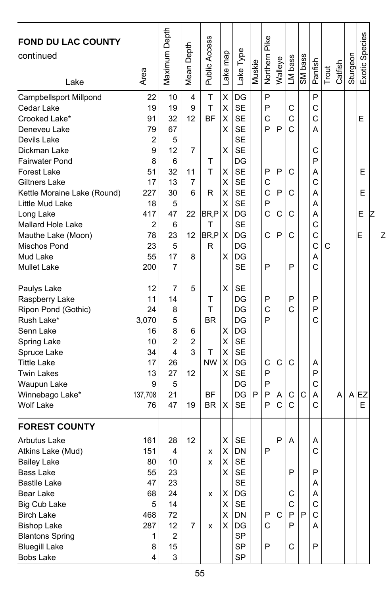| <b>FOND DU LAC COUNTY</b><br>continued |                         | Maximum Depth           | Depth          | <b>Public Access</b> | Lake map | Type              | Muskie | Pike<br>Northern | Walleye      | LM bass | SM bass      | Panfish     |       | Catfish | Sturgeon | Exotic Species |   |
|----------------------------------------|-------------------------|-------------------------|----------------|----------------------|----------|-------------------|--------|------------------|--------------|---------|--------------|-------------|-------|---------|----------|----------------|---|
| Lake                                   | Area                    |                         | Mean           |                      |          | Lake <sup>-</sup> |        |                  |              |         |              |             | Trout |         |          |                |   |
| Campbellsport Millpond                 | 22                      | 10                      | 4              | T                    | Χ        | DG                |        | P                |              |         |              | P           |       |         |          |                |   |
| Cedar Lake                             | 19                      | 19                      | 9              | Τ                    | X        | <b>SE</b>         |        | P                |              | С       |              | C           |       |         |          |                |   |
| Crooked Lake*                          | 91                      | 32                      | 12             | <b>BF</b>            | X        | <b>SE</b>         |        | $\mathsf{C}$     |              | C       |              | C           |       |         |          | E              |   |
| Deneveu Lake                           | 79                      | 67                      |                |                      | X        | <b>SE</b>         |        | P                | P            | C       |              | A           |       |         |          |                |   |
| Devils Lake                            | $\overline{2}$          | 5                       |                |                      |          | <b>SE</b>         |        |                  |              |         |              |             |       |         |          |                |   |
| Dickman Lake                           | 9                       | 12                      | 7              |                      | Χ        | <b>SE</b>         |        |                  |              |         |              | С           |       |         |          |                |   |
| <b>Fairwater Pond</b>                  | 8                       | 6                       |                | T                    |          | DG                |        |                  |              |         |              | P           |       |         |          |                |   |
| <b>Forest Lake</b>                     | 51                      | 32                      | 11             | T                    | х        | <b>SE</b>         |        | P                | $\mathsf{P}$ | C       |              | A           |       |         |          | E              |   |
| Giltners Lake                          | 17                      | 13                      | $\overline{7}$ |                      | X        | <b>SE</b>         |        | C                |              |         |              | $\mathbf C$ |       |         |          |                |   |
| Kettle Moraine Lake (Round)            | 227                     | 30                      | 6              | R                    | X        | <b>SE</b>         |        | C                | P            | С       |              | Α           |       |         |          | E              |   |
| Little Mud Lake                        | 18                      | 5                       |                |                      | X        | <b>SE</b>         |        | P                |              |         |              | Α           |       |         |          |                |   |
| Long Lake                              | 417                     | 47                      | 22             | BR,P                 | X        | DG                |        | C                | C            | C       |              | A           |       |         |          | E              |   |
| Mallard Hole Lake                      | $\overline{2}$          | 6                       |                | T                    |          | <b>SE</b>         |        |                  |              |         |              | $\mathbf C$ |       |         |          |                |   |
| Mauthe Lake (Moon)                     | 78                      | 23                      | 12             | BR,P                 | X        | DG                |        | C                | P            | C       |              | C           |       |         |          | E              | Ζ |
| Mischos Pond                           | 23                      | 5                       |                | R                    |          | DG                |        |                  |              |         |              | $\mathbf C$ | C     |         |          |                |   |
| Mud Lake                               | 55                      | 17                      | 8              |                      | X        | DG                |        |                  |              |         |              | A           |       |         |          |                |   |
| <b>Mullet Lake</b>                     | 200                     | 7                       |                |                      |          | <b>SE</b>         |        | P                |              | P       |              | C           |       |         |          |                |   |
| Paulys Lake                            | 12                      | 7                       | 5              |                      | Χ        | <b>SE</b>         |        |                  |              |         |              |             |       |         |          |                |   |
| Raspberry Lake                         | 11                      | 14                      |                | T                    |          | DG                |        | P                |              | P       |              | P           |       |         |          |                |   |
| Ripon Pond (Gothic)                    | 24                      | 8                       |                | T                    |          | DG                |        | C                |              | Ċ       |              | P           |       |         |          |                |   |
| Rush Lake*                             | 3,070                   | 5                       |                | <b>BR</b>            |          | DG                |        | P                |              |         |              | C           |       |         |          |                |   |
| Senn Lake                              | 16                      | 8                       | 6              |                      | X        | DG                |        |                  |              |         |              |             |       |         |          |                |   |
| Spring Lake                            | 10                      | $\overline{2}$          | $\overline{2}$ |                      | X        | <b>SE</b>         |        |                  |              |         |              |             |       |         |          |                |   |
| Spruce Lake                            | 34                      | 4                       | 3              | T                    | X        | <b>SE</b>         |        |                  |              |         |              |             |       |         |          |                |   |
| <b>Tittle Lake</b>                     | 17                      | 26                      |                | <b>NW</b>            | X        | DG                |        | C                | $\mathsf{C}$ | C       |              | A           |       |         |          |                |   |
| <b>Twin Lakes</b>                      | 13                      | 27                      | 12             |                      | X        | <b>SE</b>         |        | P                |              |         |              | P           |       |         |          |                |   |
| Waupun Lake                            | 9                       | 5                       |                |                      |          | DG                |        | P                |              |         |              | C           |       |         |          |                |   |
| Winnebago Lake*                        | 137,708                 | 21                      |                | <b>BF</b>            |          | DG                | P      | P                | Α            | С       | $\mathsf{C}$ | A           |       | A       |          | $A$ EZ         |   |
| Wolf Lake                              | 76                      | 47                      | 19             | <b>BR</b>            | X        | <b>SE</b>         |        | P                | $\mathsf{C}$ | C       |              | Ċ           |       |         |          | E              |   |
| <b>FOREST COUNTY</b>                   |                         |                         |                |                      |          |                   |        |                  |              |         |              |             |       |         |          |                |   |
| <b>Arbutus Lake</b>                    | 161                     | 28                      | 12             |                      | X        | <b>SE</b>         |        |                  | P            | A       |              | Α           |       |         |          |                |   |
| Atkins Lake (Mud)                      | 151                     | 4                       |                | x                    | X        | DN                |        | P                |              |         |              | C           |       |         |          |                |   |
| <b>Bailey Lake</b>                     | 80                      | 10                      |                | x                    | Χ        | <b>SE</b>         |        |                  |              |         |              |             |       |         |          |                |   |
| Bass Lake                              | 55                      | 23                      |                |                      | X        | SE                |        |                  |              | Ρ       |              | Ρ           |       |         |          |                |   |
| <b>Bastile Lake</b>                    | 47                      | 23                      |                |                      |          | <b>SE</b>         |        |                  |              |         |              | Α           |       |         |          |                |   |
| Bear Lake                              | 68                      | 24                      |                | x                    | X        | DG                |        |                  |              | С       |              | A           |       |         |          |                |   |
| <b>Big Cub Lake</b>                    | 5                       | 14                      |                |                      | X        | SE                |        |                  |              | С       |              | C           |       |         |          |                |   |
| <b>Birch Lake</b>                      | 468                     | 72                      |                |                      | X        | DN                |        | P                | $\mathsf{C}$ | P       | P            | C           |       |         |          |                |   |
| <b>Bishop Lake</b>                     | 287                     | 12                      | 7              | x                    | X        | DG                |        | C                |              | P       |              | A           |       |         |          |                |   |
| <b>Blantons Spring</b>                 | 1                       | $\overline{\mathbf{c}}$ |                |                      |          | <b>SP</b>         |        |                  |              |         |              |             |       |         |          |                |   |
| <b>Bluegill Lake</b>                   | 8                       | 15                      |                |                      |          | SP                |        | P                |              | С       |              | P           |       |         |          |                |   |
| <b>Bobs Lake</b>                       | $\overline{\mathbf{4}}$ | $\mathsf 3$             |                |                      |          | SP                |        |                  |              |         |              |             |       |         |          |                |   |
|                                        |                         |                         |                |                      |          |                   |        |                  |              |         |              |             |       |         |          |                |   |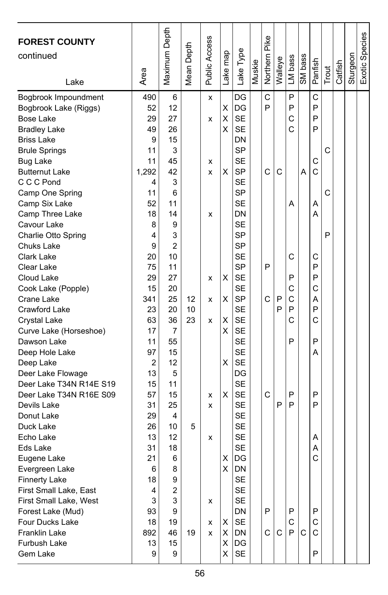| <b>FOREST COUNTY</b><br>continued<br>Lake                                                                                                                                                                                                                                                                                                                                                                                                                                                                                                                                                                                                                                                                                          | Area                                                                                                                                                                                                                          | Maximum Depth                                                                                                                                                                                                      | Mean Depth          | Public Access                                       | ake map                                                  | Lake Type                                                                                                                                                                                                                                                                                                                                                                                                                                                        | Muskie | Northern Pike              | Walleye          | LM bass                                                            | SM bass | Panfish                                                                                                    | Trout       | Catfish | Sturgeon | Exotic Species |
|------------------------------------------------------------------------------------------------------------------------------------------------------------------------------------------------------------------------------------------------------------------------------------------------------------------------------------------------------------------------------------------------------------------------------------------------------------------------------------------------------------------------------------------------------------------------------------------------------------------------------------------------------------------------------------------------------------------------------------|-------------------------------------------------------------------------------------------------------------------------------------------------------------------------------------------------------------------------------|--------------------------------------------------------------------------------------------------------------------------------------------------------------------------------------------------------------------|---------------------|-----------------------------------------------------|----------------------------------------------------------|------------------------------------------------------------------------------------------------------------------------------------------------------------------------------------------------------------------------------------------------------------------------------------------------------------------------------------------------------------------------------------------------------------------------------------------------------------------|--------|----------------------------|------------------|--------------------------------------------------------------------|---------|------------------------------------------------------------------------------------------------------------|-------------|---------|----------|----------------|
| Bogbrook Impoundment<br>Bogbrook Lake (Riggs)<br><b>Bose Lake</b><br><b>Bradley Lake</b><br><b>Briss Lake</b><br><b>Brule Springs</b><br><b>Bug Lake</b><br><b>Butternut Lake</b><br>C C C Pond<br>Camp One Spring<br>Camp Six Lake<br>Camp Three Lake<br>Cavour Lake<br>Charlie Otto Spring<br>Chuks Lake<br>Clark Lake<br>Clear Lake<br>Cloud Lake<br>Cook Lake (Popple)<br>Crane Lake<br>Crawford Lake<br>Crystal Lake<br>Curve Lake (Horseshoe)<br>Dawson Lake<br>Deep Hole Lake<br>Deep Lake<br>Deer Lake Flowage<br>Deer Lake T34N R14E S19<br>Deer Lake T34N R16E S09<br>Devils Lake<br>Donut Lake<br>Duck Lake<br>Echo Lake<br>Eds Lake<br>Eugene Lake<br>Evergreen Lake<br><b>Finnerty Lake</b><br>First Small Lake, East | 490<br>52<br>29<br>49<br>9<br>11<br>11<br>1,292<br>4<br>11<br>52<br>18<br>8<br>4<br>9<br>20<br>75<br>29<br>15<br>341<br>23<br>63<br>17<br>11<br>97<br>2<br>13<br>15<br>57<br>31<br>29<br>26<br>13<br>31<br>21<br>6<br>18<br>4 | 6<br>12<br>27<br>26<br>15<br>3<br>45<br>42<br>3<br>6<br>11<br>14<br>9<br>3<br>2<br>10<br>11<br>27<br>20<br>25<br>20<br>36<br>7<br>55<br>15<br>12<br>5<br>11<br>15<br>25<br>4<br>10<br>12<br>18<br>6<br>8<br>9<br>2 | 12<br>10<br>23<br>5 | X<br>X<br>x<br>X<br>x<br>x<br>x<br>x<br>x<br>x<br>x | Χ<br>Χ<br>Χ<br>X<br>X<br>X<br>X<br>х<br>X<br>X<br>х<br>X | DG<br>DG<br><b>SE</b><br><b>SE</b><br>DN<br><b>SP</b><br><b>SE</b><br><b>SP</b><br><b>SE</b><br><b>SP</b><br><b>SE</b><br>DN<br><b>SE</b><br><b>SP</b><br><b>SP</b><br><b>SE</b><br><b>SP</b><br><b>SE</b><br><b>SE</b><br><b>SP</b><br><b>SE</b><br><b>SE</b><br><b>SE</b><br><b>SE</b><br><b>SE</b><br><b>SE</b><br>DG<br><b>SE</b><br><b>SE</b><br><b>SE</b><br><b>SE</b><br><b>SE</b><br><b>SE</b><br><b>SE</b><br>DG<br><b>DN</b><br><b>SE</b><br><b>SE</b> |        | C<br>P<br>C<br>P<br>C<br>C | C<br>P<br>P<br>P | P<br>P<br>C<br>C<br>Α<br>C<br>P<br>C<br>С<br>P<br>С<br>P<br>P<br>P | Α       | C<br>P<br>P<br>P<br>С<br>C<br>Α<br>А<br>С<br>P<br>P<br>C<br>Α<br>P<br>C<br>P<br>Α<br>P<br>P<br>Α<br>Α<br>C | C<br>C<br>P |         |          |                |
| First Small Lake, West<br>Forest Lake (Mud)<br>Four Ducks Lake<br><b>Franklin Lake</b><br>Furbush Lake<br>Gem Lake                                                                                                                                                                                                                                                                                                                                                                                                                                                                                                                                                                                                                 | 3<br>93<br>18<br>892<br>13<br>9                                                                                                                                                                                               | 3<br>9<br>19<br>46<br>15<br>9                                                                                                                                                                                      | 19                  | x<br>x<br>x                                         | х<br>X<br>X<br>X                                         | <b>SE</b><br>DN<br>SE<br>DN<br>DG<br>SE                                                                                                                                                                                                                                                                                                                                                                                                                          |        | P<br>C                     | C                | P<br>С<br>P                                                        | C       | P<br>С<br>С<br>P                                                                                           |             |         |          |                |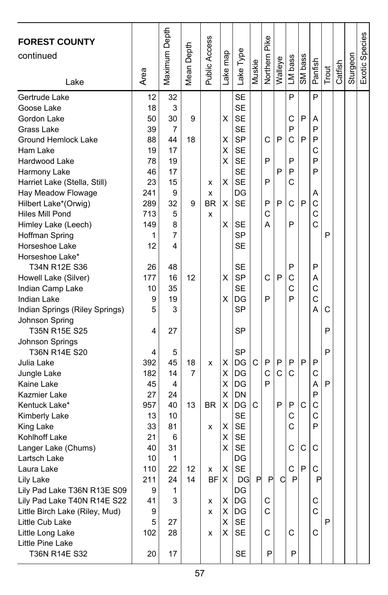| <b>FOREST COUNTY</b><br>continued<br>Lake                                                                                                                                                                                                                                                | Area                                                                                      | Maximum Depth                                                                   | Mean Depth    | Public Access            | ake map                         | Lake Type                                                                                                                                                     | Muskie | Northern Pike              | Walleye     | LM bass                                   | SM bass     | Panfish                                             | Trout  | Catfish | Sturgeon | Exotic Species |
|------------------------------------------------------------------------------------------------------------------------------------------------------------------------------------------------------------------------------------------------------------------------------------------|-------------------------------------------------------------------------------------------|---------------------------------------------------------------------------------|---------------|--------------------------|---------------------------------|---------------------------------------------------------------------------------------------------------------------------------------------------------------|--------|----------------------------|-------------|-------------------------------------------|-------------|-----------------------------------------------------|--------|---------|----------|----------------|
| Gertrude Lake<br>Goose Lake<br>Gordon Lake<br>Grass Lake<br>Ground Hemlock Lake<br>Ham Lake<br>Hardwood Lake<br>Harmony Lake<br>Harriet Lake (Stella, Still)<br>Hay Meadow Flowage<br>Hilbert Lake*(Orwig)<br>Hiles Mill Pond<br>Himley Lake (Leech)<br>Hoffman Spring<br>Horseshoe Lake | 12<br>18<br>50<br>39<br>88<br>19<br>78<br>46<br>23<br>241<br>289<br>713<br>149<br>1<br>12 | 32<br>3<br>30<br>7<br>44<br>17<br>19<br>17<br>15<br>9<br>32<br>5<br>8<br>7<br>4 | 9<br>18<br>9  | x<br>x<br>BR<br>x        | X<br>х<br>X<br>х<br>X<br>X<br>Χ | <b>SE</b><br><b>SE</b><br><b>SE</b><br><b>SE</b><br><b>SP</b><br><b>SE</b><br><b>SE</b><br><b>SE</b><br><b>SE</b><br>DG<br><b>SE</b><br>SE<br><b>SP</b><br>SE |        | C<br>P<br>P<br>P<br>C<br>A | P<br>P<br>P | P<br>С<br>P<br>C<br>P<br>P<br>C<br>С<br>P | P<br>P<br>P | P<br>Α<br>P<br>P<br>C<br>P<br>P<br>Α<br>C<br>C<br>Ċ | P      |         |          |                |
| Horseshoe Lake*<br>T34N R12E S36<br>Howell Lake (Silver)<br>Indian Camp Lake<br>Indian Lake<br>Indian Springs (Riley Springs)<br>Johnson Spring<br>T35N R15E S25<br>Johnson Springs                                                                                                      | 26<br>177<br>10<br>9<br>5<br>4                                                            | 48<br>16<br>35<br>19<br>3<br>27                                                 | 12            |                          | Χ<br>Χ                          | <b>SE</b><br><b>SP</b><br><b>SE</b><br>DG<br><b>SP</b><br>SP                                                                                                  |        | C<br>P                     | P           | P<br>C<br>C<br>P                          |             | P<br>Α<br>C<br>C<br>A                               | C<br>P |         |          |                |
| T36N R14E S20<br>Julia Lake<br>Jungle Lake<br>Kaine Lake<br>Kazmier Lake<br>Kentuck Lake*<br>Kimberly Lake<br>King Lake                                                                                                                                                                  | 4<br>392<br>182<br>45<br>27<br>957<br>13<br>33                                            | 5<br>45<br>14<br>4<br>24<br>40<br>10<br>81                                      | 18<br>7<br>13 | x<br>BR.<br>x            | х<br>х<br>Χ<br>Χ<br>X<br>Χ      | <b>SP</b><br>DG<br>DG<br>DG<br>DN<br>DG<br><b>SE</b><br><b>SE</b>                                                                                             | C<br>С | P<br>C<br>P                | P<br>C<br>P | P<br>C<br>P<br>C<br>C                     | P<br>C      | P<br>C<br>А<br>P<br>C<br>C<br>P                     | P<br>P |         |          |                |
| Kohlhoff Lake<br>Langer Lake (Chums)<br>Lartsch Lake<br>Laura Lake<br>Lily Lake<br>Lily Pad Lake T36N R13E S09<br>Lily Pad Lake T40N R14E S22<br>Little Birch Lake (Riley, Mud)<br>Little Cub Lake<br>Little Long Lake<br>Little Pine Lake<br>T36N R14E S32                              | 21<br>40<br>10<br>110<br>211<br>9<br>41<br>9<br>5<br>102<br>20                            | 6<br>31<br>1<br>22<br>24<br>1<br>3<br>27<br>28<br>17                            | 12<br>14      | x<br>BF X<br>x<br>x<br>x | Χ<br>х<br>X<br>х<br>х<br>Χ<br>х | SE<br><b>SE</b><br>DG<br><b>SE</b><br><b>DG</b><br>DG<br>DG<br>DG<br>SE<br>SE<br>SE                                                                           | P      | P<br>С<br>C<br>C<br>P      | C           | C<br>C.<br>$\mathsf{P}$<br>С<br>P         | С<br>P      | С<br>C<br>P<br>С<br>C<br>С                          | P      |         |          |                |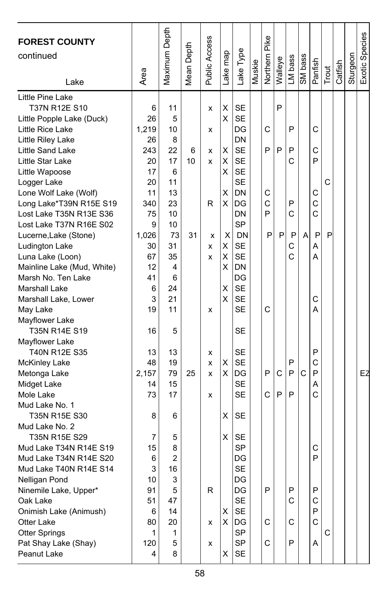| <b>FOREST COUNTY</b><br>continued<br>Lake   | Area    | Maximum Depth  | Mean Depth | Public Access | ake map | -ake Type       | Muskie | Northern Pike | Walleye | LM bass | SM bass | Panfish | Trout | Catfish | Sturgeon | Exotic Species |
|---------------------------------------------|---------|----------------|------------|---------------|---------|-----------------|--------|---------------|---------|---------|---------|---------|-------|---------|----------|----------------|
| Little Pine Lake<br>T37N R12E S10           |         | 11             |            |               | Χ       | <b>SE</b>       |        |               | P       |         |         |         |       |         |          |                |
| Little Popple Lake (Duck)                   | 6<br>26 | 5              |            | x             | Χ       | <b>SE</b>       |        |               |         |         |         |         |       |         |          |                |
| Little Rice Lake                            | 1,219   | 10             |            |               |         | DG              |        | C             |         | P       |         | C       |       |         |          |                |
| Little Riley Lake                           | 26      | 8              |            | x             |         | DN              |        |               |         |         |         |         |       |         |          |                |
| Little Sand Lake                            | 243     | 22             | 6          | x             | х       | <b>SE</b>       |        | P             | P       | P       |         | C       |       |         |          |                |
| Little Star Lake                            | 20      | 17             | 10         | x             | х       | <b>SE</b>       |        |               |         | C       |         | P       |       |         |          |                |
| Little Wapoose                              | 17      | 6              |            |               | x       | <b>SE</b>       |        |               |         |         |         |         |       |         |          |                |
| Logger Lake                                 | 20      | 11             |            |               |         | <b>SE</b>       |        |               |         |         |         |         | C     |         |          |                |
| Lone Wolf Lake (Wolf)                       | 11      | 13             |            |               | X       | DN              |        | С             |         |         |         | С       |       |         |          |                |
| Long Lake*T39N R15E S19                     | 340     | 23             |            | R             | х       | DG              |        | C             |         | P       |         | C       |       |         |          |                |
| Lost Lake T35N R13E S36                     | 75      | 10             |            |               |         | DN              |        | P             |         | C       |         | Ć       |       |         |          |                |
| Lost Lake T37N R16E S02                     | 9       | 10             |            |               |         | <b>SP</b>       |        |               |         |         |         |         |       |         |          |                |
| Lucerne, Lake (Stone)                       | 1,026   | 73             | 31         | x             | X       | DN              |        | P             | P       | P       | A       | P       | P     |         |          |                |
| Ludington Lake                              | 30      | 31             |            | x             | X       | <b>SE</b>       |        |               |         | С       |         | Α       |       |         |          |                |
| Luna Lake (Loon)                            | 67      | 35             |            | x             | X       | <b>SE</b>       |        |               |         | Ć       |         | А       |       |         |          |                |
| Mainline Lake (Mud, White)                  | 12      | 4              |            |               | X       | DN              |        |               |         |         |         |         |       |         |          |                |
| Marsh No. Ten Lake                          | 41      | 6              |            |               |         | DG              |        |               |         |         |         |         |       |         |          |                |
| <b>Marshall Lake</b>                        | 6       | 24             |            |               | X       | <b>SE</b>       |        |               |         |         |         |         |       |         |          |                |
| Marshall Lake, Lower                        | 3       | 21             |            |               | Χ       | <b>SE</b>       |        |               |         |         |         | C       |       |         |          |                |
| May Lake                                    | 19      | 11             |            | x             |         | <b>SE</b>       |        | C             |         |         |         | A       |       |         |          |                |
| Mayflower Lake                              |         |                |            |               |         |                 |        |               |         |         |         |         |       |         |          |                |
| T35N R14E S19                               | 16      | 5              |            |               |         | SE              |        |               |         |         |         |         |       |         |          |                |
| Mayflower Lake                              |         |                |            |               |         |                 |        |               |         |         |         |         |       |         |          |                |
| T40N R12E S35                               | 13      | 13             |            | x             |         | <b>SE</b>       |        |               |         |         |         | P       |       |         |          |                |
| <b>McKinley Lake</b>                        | 48      | 19             |            | x             | X       | <b>SE</b>       |        |               |         | P       |         | C       |       |         |          |                |
| Metonga Lake                                | 2,157   | 79             | 25         | x             | х       | DG              |        | P             | C       | P       | C       | P       |       |         |          | EZ             |
| Midget Lake                                 | 14      | 15             |            |               |         | <b>SE</b>       |        |               |         |         |         | Α       |       |         |          |                |
| Mole Lake                                   | 73      | 17             |            | x             |         | <b>SE</b>       |        | C             | P       | P       |         | Ċ       |       |         |          |                |
| Mud Lake No. 1                              |         |                |            |               |         |                 |        |               |         |         |         |         |       |         |          |                |
| T35N R15E S30                               | 8       | 6              |            |               | Χ       | <b>SE</b>       |        |               |         |         |         |         |       |         |          |                |
| Mud Lake No. 2                              |         |                |            |               |         |                 |        |               |         |         |         |         |       |         |          |                |
| T35N R15E S29                               | 7       | 5              |            |               | Χ       | <b>SE</b>       |        |               |         |         |         |         |       |         |          |                |
| Mud Lake T34N R14E S19                      | 15      | 8              |            |               |         | <b>SP</b>       |        |               |         |         |         | С       |       |         |          |                |
| Mud Lake T34N R14E S20                      | 6       | $\overline{c}$ |            |               |         | DG              |        |               |         |         |         | P       |       |         |          |                |
| Mud Lake T40N R14E S14                      | 3       | 16             |            |               |         | <b>SE</b>       |        |               |         |         |         |         |       |         |          |                |
| Nelligan Pond                               | 10      | 3              |            |               |         | DG              |        | P             |         |         |         |         |       |         |          |                |
| Ninemile Lake, Upper*                       | 91      | 5              |            | R             |         | DG<br><b>SE</b> |        |               |         | P<br>C  |         | P<br>C  |       |         |          |                |
| Oak Lake                                    | 51      | 47<br>14       |            |               | X       | SE              |        |               |         |         |         | P       |       |         |          |                |
| Onimish Lake (Animush)<br><b>Otter Lake</b> | 6<br>80 | 20             |            | x             | X       | DG              |        | C             |         | С       |         | C       |       |         |          |                |
| <b>Otter Springs</b>                        | 1       | 1              |            |               |         | <b>SP</b>       |        |               |         |         |         |         | C     |         |          |                |
| Pat Shay Lake (Shay)                        | 120     | 5              |            | x             |         | SP              |        | C             |         | P       |         | Α       |       |         |          |                |
| Peanut Lake                                 | 4       | 8              |            |               | X       | SE              |        |               |         |         |         |         |       |         |          |                |
|                                             |         |                |            |               |         |                 |        |               |         |         |         |         |       |         |          |                |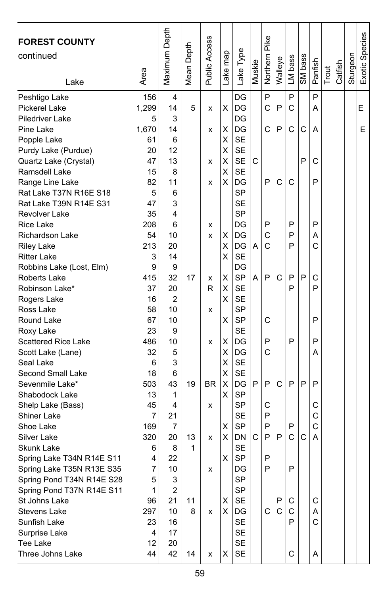| <b>FOREST COUNTY</b><br>continued<br>Lake | Area         | Maximum Depth  | Mean Depth | Public Access | map<br>ake <sub>1</sub> | Lake Type | Muskie | Northern Pike | Walleye | LM bass | SM bass | Panfish | Trout | Catfish | Sturgeon | Exotic Species |
|-------------------------------------------|--------------|----------------|------------|---------------|-------------------------|-----------|--------|---------------|---------|---------|---------|---------|-------|---------|----------|----------------|
| Peshtigo Lake<br>Pickerel Lake            | 156<br>1,299 | 4<br>14        | 5          | x             | Χ                       | DG<br>DG  |        | P<br>C        | P       | P<br>C  |         | P<br>Α  |       |         |          | E              |
| <b>Piledriver Lake</b>                    | 5            | 3              |            |               |                         | DG        |        |               |         |         |         |         |       |         |          |                |
| Pine Lake                                 | 1,670        | 14             |            | x             | х                       | DG        |        | C             | P       | C       | С       | Α       |       |         |          | E              |
| Popple Lake                               | 61           | 6              |            |               | Χ                       | <b>SE</b> |        |               |         |         |         |         |       |         |          |                |
| Purdy Lake (Purdue)                       | 20           | 12             |            |               | X                       | <b>SE</b> |        |               |         |         |         |         |       |         |          |                |
| Quartz Lake (Crystal)                     | 47           | 13             |            | x             | х                       | <b>SE</b> | C      |               |         |         | P       | С       |       |         |          |                |
| Ramsdell Lake                             | 15           | 8              |            |               | Χ                       | <b>SE</b> |        |               |         |         |         |         |       |         |          |                |
| Range Line Lake                           | 82           | 11             |            | x             | х                       | DG        |        | P             | C       | C       |         | P       |       |         |          |                |
| Rat Lake T37N R16E S18                    | 5            | 6              |            |               |                         | <b>SP</b> |        |               |         |         |         |         |       |         |          |                |
| Rat Lake T39N R14E S31                    | 47           | 3              |            |               |                         | <b>SE</b> |        |               |         |         |         |         |       |         |          |                |
| <b>Revolver Lake</b>                      | 35           | 4              |            |               |                         | <b>SP</b> |        |               |         |         |         |         |       |         |          |                |
| <b>Rice Lake</b>                          | 208          | 6              |            | x             |                         | DG        |        | P             |         | P       |         | P       |       |         |          |                |
| <b>Richardson Lake</b>                    | 54           | 10             |            | x             | х                       | DG        |        | C             |         | P       |         | Α       |       |         |          |                |
| <b>Riley Lake</b>                         | 213          | 20             |            |               | Χ                       | DG        | A      | C             |         | P       |         | Ć       |       |         |          |                |
| <b>Ritter Lake</b>                        | 3            | 14             |            |               | х                       | <b>SE</b> |        |               |         |         |         |         |       |         |          |                |
| Robbins Lake (Lost, Elm)                  | 9            | 9              |            |               |                         | DG        |        |               |         |         |         |         |       |         |          |                |
| <b>Roberts Lake</b>                       | 415          | 32             | 17         | x             | Χ                       | <b>SP</b> | A      | P             | C       | P       | P       | C       |       |         |          |                |
| Robinson Lake*                            | 37           | 20             |            | R             | х                       | <b>SE</b> |        |               |         | P       |         | P       |       |         |          |                |
| Rogers Lake                               | 16           | 2              |            |               | х                       | <b>SE</b> |        |               |         |         |         |         |       |         |          |                |
| Ross Lake                                 | 58           | 10             |            | x             |                         | SP        |        |               |         |         |         |         |       |         |          |                |
| Round Lake                                | 67           | 10             |            |               | х                       | <b>SP</b> |        | C             |         |         |         | P       |       |         |          |                |
| Roxy Lake                                 | 23           | 9              |            |               |                         | <b>SE</b> |        |               |         |         |         |         |       |         |          |                |
| <b>Scattered Rice Lake</b>                | 486          | 10             |            | x             | х                       | DG        |        | P             |         | P       |         | P       |       |         |          |                |
| Scott Lake (Lane)                         | 32           | 5              |            |               | х                       | DG        |        | Ć             |         |         |         | Α       |       |         |          |                |
| Seal Lake                                 | 6            | 3              |            |               | X                       | <b>SE</b> |        |               |         |         |         |         |       |         |          |                |
| Second Small Lake                         | 18           | 6              |            |               | Χ                       | <b>SE</b> |        |               |         |         |         |         |       |         |          |                |
| Sevenmile Lake*                           | 503          | 43             | 19         | <b>BR</b>     | Χ                       | DG        | P      | P             | C       | P       | P       | P       |       |         |          |                |
| Shabodock Lake                            | 13           | 1              |            |               | х                       | <b>SP</b> |        |               |         |         |         |         |       |         |          |                |
| Shelp Lake (Bass)                         | 45           | 4              |            | x             |                         | <b>SP</b> |        | C             |         |         |         | С       |       |         |          |                |
| Shiner Lake                               | 7            | 21             |            |               |                         | <b>SE</b> |        | P             |         |         |         | C       |       |         |          |                |
| Shoe Lake                                 | 169          | 7              |            |               | х                       | <b>SP</b> |        | P             |         | P       |         | C       |       |         |          |                |
| Silver Lake                               | 320          | 20             | 13         | x             | х                       | DN        | C      | P             | P       | C       | C       | A       |       |         |          |                |
| Skunk Lake                                | 6            | 8              | 1          |               |                         | <b>SE</b> |        |               |         |         |         |         |       |         |          |                |
| Spring Lake T34N R14E S11                 | 4            | 22             |            |               | X                       | <b>SP</b> |        | P             |         |         |         |         |       |         |          |                |
| Spring Lake T35N R13E S35                 | 7            | 10             |            | x             |                         | DG        |        | P             |         | P       |         |         |       |         |          |                |
| Spring Pond T34N R14E S28                 | 5            | 3              |            |               |                         | SP        |        |               |         |         |         |         |       |         |          |                |
| Spring Pond T37N R14E S11                 | 1            | $\overline{c}$ |            |               |                         | SP        |        |               |         |         |         |         |       |         |          |                |
| St Johns Lake                             | 96           | 21             | 11         |               | х                       | SE        |        |               | P       | С       |         | С       |       |         |          |                |
| Stevens Lake                              | 297          | 10             | 8          | x             | х                       | DG        |        | C             | C       | С       |         | Α       |       |         |          |                |
| Sunfish Lake                              | 23           | 16             |            |               |                         | SE        |        |               |         | P       |         | C       |       |         |          |                |
| Surprise Lake                             | 4            | 17             |            |               |                         | SE        |        |               |         |         |         |         |       |         |          |                |
| Tee Lake                                  | 12           | 20             |            |               |                         | SE        |        |               |         |         |         |         |       |         |          |                |
| Three Johns Lake                          | 44           | 42             | 14         | x             | X                       | <b>SE</b> |        |               |         | C       |         | Α       |       |         |          |                |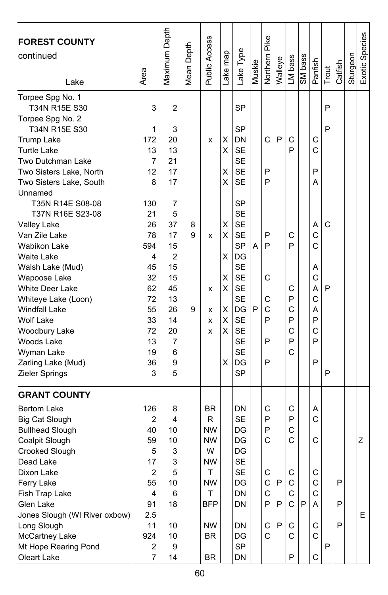| <b>FOREST COUNTY</b><br>continued<br>Lake | Area                    | Maximum Depth  | Mean Depth | Public Access | Lake map | Lake Type | Muskie | Pike<br>Northern | Walleye | LM bass     | SM bass | Panfish | Trout        | Catfish | Sturgeon | Exotic Species |
|-------------------------------------------|-------------------------|----------------|------------|---------------|----------|-----------|--------|------------------|---------|-------------|---------|---------|--------------|---------|----------|----------------|
| Torpee Spg No. 1<br>T34N R15E S30         | 3                       | $\overline{2}$ |            |               |          | <b>SP</b> |        |                  |         |             |         |         | P            |         |          |                |
| Torpee Spg No. 2                          |                         |                |            |               |          |           |        |                  |         |             |         |         |              |         |          |                |
| T34N R15E S30                             | 1                       | 3              |            |               |          | <b>SP</b> |        |                  |         |             |         |         | P            |         |          |                |
| Trump Lake                                | 172                     | 20             |            | x             | х        | DN        |        | C                | P       | С           |         | С       |              |         |          |                |
| <b>Turtle Lake</b>                        | 13                      | 13             |            |               | X        | <b>SE</b> |        |                  |         | P           |         | Ċ       |              |         |          |                |
| Two Dutchman Lake                         | 7                       | 21             |            |               |          | <b>SE</b> |        |                  |         |             |         |         |              |         |          |                |
| Two Sisters Lake, North                   | 12                      | 17             |            |               | х        | <b>SE</b> |        | P<br>P           |         |             |         | P       |              |         |          |                |
| Two Sisters Lake, South<br>Unnamed        | 8                       | 17             |            |               | X        | <b>SE</b> |        |                  |         |             |         | A       |              |         |          |                |
| T35N R14E S08-08                          | 130                     | 7              |            |               |          | <b>SP</b> |        |                  |         |             |         |         |              |         |          |                |
| T37N R16E S23-08                          | 21                      | 5              |            |               |          | <b>SE</b> |        |                  |         |             |         |         |              |         |          |                |
| Valley Lake                               | 26                      | 37             | 8          |               | X        | <b>SE</b> |        |                  |         |             |         | A       | C            |         |          |                |
| Van Zile Lake                             | 78                      | 17             | 9          | x             | X        | <b>SE</b> |        | P                |         | С           |         | Ċ       |              |         |          |                |
| Wabikon Lake                              | 594                     | 15             |            |               |          | <b>SP</b> | A      | P                |         | P           |         | Ć       |              |         |          |                |
| <b>Waite Lake</b>                         | 4                       | $\overline{2}$ |            |               | х        | DG        |        |                  |         |             |         |         |              |         |          |                |
| Walsh Lake (Mud)                          | 45                      | 15             |            |               |          | <b>SE</b> |        |                  |         |             |         | Α       |              |         |          |                |
| Wapoose Lake                              | 32                      | 15             |            |               | X        | <b>SE</b> |        | C                |         |             |         | C       |              |         |          |                |
| <b>White Deer Lake</b>                    | 62                      | 45             |            | x             | X        | <b>SE</b> |        |                  |         | С           |         | A       | P            |         |          |                |
| Whiteye Lake (Loon)                       | 72                      | 13             |            |               |          | <b>SE</b> |        | С                |         | P           |         | С       |              |         |          |                |
| <b>Windfall Lake</b>                      | 55                      | 26             | 9          | x             | х        | lDG       | P      | C                |         | C           |         | A       |              |         |          |                |
| <b>Wolf Lake</b>                          | 33                      | 14             |            | x             | Χ        | <b>SE</b> |        | P                |         | P           |         | P       |              |         |          |                |
| Woodbury Lake                             | 72                      | 20             |            | x             | X        | <b>SE</b> |        |                  |         | C           |         | С       |              |         |          |                |
| Woods Lake                                | 13                      | 7              |            |               |          | <b>SE</b> |        | P                |         | P           |         | P       |              |         |          |                |
| Wyman Lake                                | 19                      | 6              |            |               |          | <b>SE</b> |        |                  |         | C           |         |         |              |         |          |                |
| Zarling Lake (Mud)                        | 36                      | 9              |            |               | X        | DG        |        | P                |         |             |         | P       |              |         |          |                |
| Zieler Springs                            | 3                       | 5              |            |               |          | <b>SP</b> |        |                  |         |             |         |         | P            |         |          |                |
| <b>GRANT COUNTY</b>                       |                         |                |            |               |          |           |        |                  |         |             |         |         |              |         |          |                |
| <b>Bertom Lake</b>                        | 126                     | 8              |            | <b>BR</b>     |          | DN        |        | C                |         | С           |         | Α       |              |         |          |                |
| <b>Big Cat Slough</b>                     | 2                       | 4              |            | R             |          | <b>SE</b> |        | P                |         | P           |         | С       |              |         |          |                |
| <b>Bullhead Slough</b>                    | 40                      | 10             |            | <b>NW</b>     |          | DG        |        | P                |         | C           |         |         |              |         |          |                |
| Coalpit Slough                            | 59                      | 10             |            | <b>NW</b>     |          | DG        |        | C                |         | C           |         | C       |              |         |          | Z              |
| Crooked Slough                            | 5                       | 3              |            | W             |          | DG        |        |                  |         |             |         |         |              |         |          |                |
| Dead Lake                                 | 17                      | 3              |            | NW            |          | <b>SE</b> |        |                  |         |             |         |         |              |         |          |                |
| Dixon Lake                                | $\overline{\mathbf{c}}$ | 5              |            | Т             |          | SE        |        | C                |         |             |         | C       |              |         |          |                |
| Ferry Lake                                | 55                      | 10             |            | <b>NW</b>     |          | DG        |        | С                | P       | С           |         | C       |              | P       |          |                |
| Fish Trap Lake                            | 4                       | 6              |            | Τ             |          | DN        |        | C                |         | $\mathsf C$ |         | С       |              |         |          |                |
| Glen Lake                                 | 91                      | 18             |            | BFP           |          | DN        |        | P                | P       | C           | l P     | A       |              | P       |          |                |
| Jones Slough (WI River oxbow)             | 2.5                     |                |            |               |          |           |        |                  |         |             |         |         |              |         |          | Е              |
| Long Slough                               | 11                      | 10             |            | <b>NW</b>     |          | DN        |        | C                | P       | С           |         | С       |              | P       |          |                |
| McCartney Lake                            | 924                     | 10             |            | <b>BR</b>     |          | DG        |        | C                |         | C           |         | C       |              |         |          |                |
| Mt Hope Rearing Pond                      | 2                       | 9              |            |               |          | <b>SP</b> |        |                  |         |             |         |         | $\mathsf{P}$ |         |          |                |
| Oleart Lake                               | $\overline{7}$          | 14             |            | BR            |          | DN        |        |                  |         | P           |         | С       |              |         |          |                |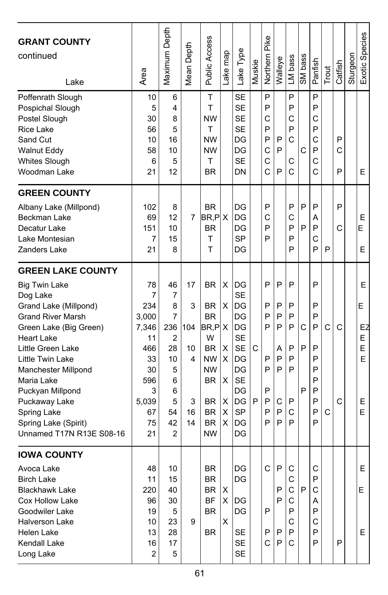| <b>GRANT COUNTY</b><br>continued<br>Lake                                                                                                                                                                                                                                                                                                               | Area                                                                                             | Maximum Depth                                                                               | Depth<br>Mean I                            | Public Access                                                                                                                                               | Lake map                             | Lake Type                                                                                                                 | Muskie | Pike<br>Northern                               | Walleye                                        | LM bass                                        | SM bass     | Panfish                                                  | Trout  | Catfish     | Sturgeon | Exotic Species                        |
|--------------------------------------------------------------------------------------------------------------------------------------------------------------------------------------------------------------------------------------------------------------------------------------------------------------------------------------------------------|--------------------------------------------------------------------------------------------------|---------------------------------------------------------------------------------------------|--------------------------------------------|-------------------------------------------------------------------------------------------------------------------------------------------------------------|--------------------------------------|---------------------------------------------------------------------------------------------------------------------------|--------|------------------------------------------------|------------------------------------------------|------------------------------------------------|-------------|----------------------------------------------------------|--------|-------------|----------|---------------------------------------|
| Poffenrath Slough<br>Pospichal Slough<br>Postel Slough<br><b>Rice Lake</b><br>Sand Cut<br><b>Walnut Eddy</b><br>Whites Slough<br>Woodman Lake                                                                                                                                                                                                          | 10<br>5<br>30<br>56<br>10<br>58<br>6<br>21                                                       | 6<br>4<br>8<br>5<br>16<br>10<br>5<br>12                                                     |                                            | T<br>Τ<br><b>NW</b><br>T<br><b>NW</b><br><b>NW</b><br>Τ<br><b>BR</b>                                                                                        |                                      | <b>SE</b><br><b>SE</b><br><b>SE</b><br><b>SE</b><br>DG<br>DG<br><b>SE</b><br>DN                                           |        | P<br>P<br>C<br>P<br>P<br>C<br>Ċ<br>Ċ           | P<br>P<br>P                                    | P<br>P<br>C<br>P<br>C<br>С<br>C                | C           | P<br>P<br>C<br>P<br>C<br>P<br>C<br>Ċ                     |        | P<br>С<br>P |          | E                                     |
| <b>GREEN COUNTY</b><br>Albany Lake (Millpond)<br>Beckman Lake<br>Decatur Lake<br>Lake Montesian<br>Zanders Lake                                                                                                                                                                                                                                        | 102<br>69<br>151<br>7<br>21                                                                      | 8<br>12<br>10<br>15<br>8                                                                    | 7                                          | <b>BR</b><br>BR.P X<br><b>BR</b><br>T<br>T                                                                                                                  |                                      | DG<br>DG<br>DG<br><b>SP</b><br>DG                                                                                         |        | P<br>C<br>P<br>P                               |                                                | P<br>C<br>P<br>P<br>P                          | P<br>P      | P<br>Α<br>P<br>C<br>P                                    | P      | P<br>С      |          | Ε<br>E<br>Е                           |
| <b>GREEN LAKE COUNTY</b><br><b>Big Twin Lake</b><br>Dog Lake<br>Grand Lake (Millpond)<br><b>Grand River Marsh</b><br>Green Lake (Big Green)<br><b>Heart Lake</b><br>Little Green Lake<br>Little Twin Lake<br>Manchester Millpond<br>Maria Lake<br>Puckyan Millpond<br>Puckaway Lake<br>Spring Lake<br>Spring Lake (Spirit)<br>Unnamed T17N R13E S08-16 | 78<br>7<br>234<br>3,000<br>7,346<br>11<br>466<br>33<br>30<br>596<br>3<br>5,039<br>67<br>75<br>21 | 46<br>7<br>8<br>7<br>236<br>2<br>28<br>10<br>5<br>6<br>6<br>5<br>54<br>42<br>$\overline{2}$ | 17<br>3<br>104<br>10<br>4<br>3<br>16<br>14 | <b>BR</b><br><b>BR</b><br><b>BR</b><br>BR, PlX<br>W<br><b>BR</b><br><b>NW</b><br><b>NW</b><br><b>BR</b><br><b>BR</b><br><b>BR</b><br><b>BR</b><br><b>NW</b> | X<br>X<br>х<br>X<br>X<br>х<br>X<br>X | DG<br><b>SE</b><br>DG<br>DG<br>DG<br><b>SE</b><br><b>SE</b><br>DG<br>DG<br><b>SE</b><br>DG<br>DG<br><b>SP</b><br>DG<br>DG | C<br>P | P<br>P<br>P<br>P<br>P<br>P<br>P<br>P<br>P<br>P | P<br>P<br>P<br>P<br>Α<br>P<br>P<br>С<br>P<br>P | P<br>P<br>P<br>P<br>P<br>P<br>P<br>P<br>C<br>P | C<br>P<br>P | P<br>P<br>P<br>P<br>P<br>P<br>P<br>P<br>P<br>P<br>P<br>P | C<br>C | C<br>C      |          | E<br>Е<br>EZ<br>E<br>E<br>E<br>Ε<br>E |
| <b>IOWA COUNTY</b><br>Avoca Lake<br><b>Birch Lake</b><br><b>Blackhawk Lake</b><br>Cox Hollow Lake<br>Goodwiler Lake<br><b>Halverson Lake</b><br>Helen Lake<br>Kendall Lake<br>Long Lake                                                                                                                                                                | 48<br>11<br>220<br>96<br>19<br>10<br>13<br>16<br>2                                               | 10<br>15<br>40<br>30<br>5<br>23<br>28<br>17<br>5                                            | 9                                          | <b>BR</b><br>BR<br>BR<br><b>BF</b><br>BR.<br>BR.                                                                                                            | х<br>X<br>X                          | DG<br>DG<br>DG<br>DG<br>SE<br>SE<br>SE                                                                                    |        | C<br>P<br>P<br>C                               | P.<br>P<br>P<br>P<br>P                         | $\mathsf C$<br>С<br>C<br>C<br>P<br>С<br>P<br>C | P           | C<br>P<br>С<br>A<br>P<br>С<br>P<br>P                     |        | P           |          | E<br>E.<br>E.                         |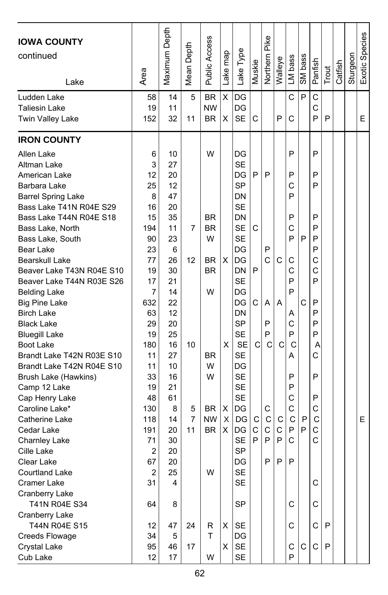| <b>IOWA COUNTY</b><br>continued<br>Lake | Area             | Maximum Depth | Depth<br>Mean I | <b>Public Access</b>   | Lake map | Lake Type | Muskie       | Northern Pike | Walleye      | LM bass     | SM bass | Panfish | Trout | Catfish | Sturgeon | Exotic Species |
|-----------------------------------------|------------------|---------------|-----------------|------------------------|----------|-----------|--------------|---------------|--------------|-------------|---------|---------|-------|---------|----------|----------------|
| Ludden Lake<br><b>Taliesin Lake</b>     | 58<br>19         | 14<br>11      | 5               | <b>BR</b><br><b>NW</b> | X        | DG<br>DG  |              |               |              | C           | P       | C<br>C  |       |         |          |                |
| Twin Valley Lake                        | 152              | 32            | 11              | <b>BR</b>              | х        | <b>SE</b> | C            |               | P            | C           |         | P       | P     |         |          | Е              |
| <b>IRON COUNTY</b>                      |                  |               |                 |                        |          |           |              |               |              |             |         |         |       |         |          |                |
| Allen Lake                              | 6                | 10            |                 | W                      |          | DG        |              |               |              | P           |         | P       |       |         |          |                |
| Altman Lake                             | 3                | 27            |                 |                        |          | <b>SE</b> |              |               |              |             |         |         |       |         |          |                |
| American Lake                           | 12               | 20            |                 |                        |          | DG        | P            | P             |              | P           |         | P       |       |         |          |                |
| Barbara Lake                            | 25               | 12            |                 |                        |          | <b>SP</b> |              |               |              | С           |         | P       |       |         |          |                |
| <b>Barrel Spring Lake</b>               | 8                | 47            |                 |                        |          | DN        |              |               |              | P           |         |         |       |         |          |                |
| Bass Lake T41N R04E S29                 | 16               | 20            |                 |                        |          | <b>SE</b> |              |               |              |             |         |         |       |         |          |                |
| Bass Lake T44N R04E S18                 | 15               | 35            |                 | <b>BR</b>              |          | DN        |              |               |              | P           |         | P       |       |         |          |                |
| Bass Lake, North                        | 194              | 11            | 7               | BR                     |          | <b>SE</b> | С            |               |              | C           |         | P       |       |         |          |                |
| Bass Lake, South                        | 90               | 23            |                 | W                      |          | <b>SE</b> |              |               |              | P           | P       | P       |       |         |          |                |
| Bear Lake                               | 23               | 6             |                 |                        |          | DG        |              | P             |              |             |         | P       |       |         |          |                |
| Bearskull Lake                          | 77               | 26            | 12              | <b>BR</b>              | X        | DG        |              | C             | C            | C           |         | C       |       |         |          |                |
| Beaver Lake T43N R04E S10               | 19               | 30            |                 | <b>BR</b>              |          | DN        | P            |               |              | C           |         | C       |       |         |          |                |
| Beaver Lake T44N R03E S26               | 17               | 21            |                 |                        |          | <b>SE</b> |              |               |              | P           |         | P       |       |         |          |                |
| <b>Belding Lake</b>                     | 7                | 14            |                 | W                      |          | DG        |              |               |              | P           |         |         |       |         |          |                |
| <b>Big Pine Lake</b>                    | 632              | 22            |                 |                        |          | DG        | C            | A             | A            |             | C       | P       |       |         |          |                |
| <b>Birch Lake</b>                       | 63               | 12            |                 |                        |          | DN        |              |               |              | Α           |         | P       |       |         |          |                |
| <b>Black Lake</b>                       | 29               | 20            |                 |                        |          | <b>SP</b> |              | P             |              | C           |         | P       |       |         |          |                |
| <b>Bluegill Lake</b>                    | 19               | 25            |                 |                        |          | <b>SE</b> |              | P             |              | P           |         | P       |       |         |          |                |
| Boot Lake                               | 180              | 16            | 10              |                        | X        | <b>SE</b> | C            | C             | C            | C           |         | Α       |       |         |          |                |
| Brandt Lake T42N R03E S10               | 11               | 27            |                 | <b>BR</b>              |          | SE        |              |               |              | А           |         | C       |       |         |          |                |
| Brandt Lake T42N R04E S10               | 11               | 10            |                 | W                      |          | DG        |              |               |              |             |         |         |       |         |          |                |
| Brush Lake (Hawkins)                    | 33               | 16            |                 | W                      |          | <b>SE</b> |              |               |              | P           |         | P       |       |         |          |                |
| Camp 12 Lake                            | 19               | 21            |                 |                        |          | <b>SE</b> |              |               |              | P           |         |         |       |         |          |                |
| Cap Henry Lake                          | 48               | 61            |                 |                        |          | <b>SE</b> |              |               |              | C           |         | P       |       |         |          |                |
| Caroline Lake*                          | 130              | 8             | 5               | <b>BR</b>              | х        | DG        |              | С             |              | C           |         | С       |       |         |          |                |
| Catherine Lake                          | 118              | 14            | 7               | <b>NW</b>              | Х        | DG        | $\mathsf{C}$ | C             | $\mathsf{C}$ | $\mathsf C$ | P       | C       |       |         |          | E              |
| Cedar Lake                              | 191              | 20            | 11              | <b>BR</b>              | X        | DG        | $\mathsf{C}$ | C             | $\mathsf C$  | P           | P       | C       |       |         |          |                |
| <b>Charnley Lake</b>                    | 71               | 30            |                 |                        |          | <b>SE</b> | P            | P             | P            | C           |         | C       |       |         |          |                |
| Cille Lake                              | 2                | 20            |                 |                        |          | <b>SP</b> |              |               |              |             |         |         |       |         |          |                |
| Clear Lake                              | 67               | 20            |                 |                        |          | DG        |              | P             | P            | P           |         |         |       |         |          |                |
| Courtland Lake                          | $\boldsymbol{2}$ | 25            |                 | W                      |          | SE        |              |               |              |             |         |         |       |         |          |                |
| Cramer Lake                             | 31               | 4             |                 |                        |          | <b>SE</b> |              |               |              |             |         | С       |       |         |          |                |
| Cranberry Lake                          |                  |               |                 |                        |          |           |              |               |              |             |         |         |       |         |          |                |
| T41N R04E S34                           | 64               | 8             |                 |                        |          | SP        |              |               |              | С           |         | С       |       |         |          |                |
| Cranberry Lake                          |                  |               |                 |                        |          |           |              |               |              |             |         |         |       |         |          |                |
| T44N R04E S15                           | 12               | 47            | 24              | R                      | X        | SE        |              |               |              | C           |         | C       | P     |         |          |                |
| <b>Creeds Flowage</b>                   | 34               | 5             |                 | T                      |          | DG        |              |               |              |             |         |         |       |         |          |                |
| Crystal Lake                            | 95               | 46            | 17              |                        | X        | <b>SE</b> |              |               |              | С           | С       | C       | P     |         |          |                |
| Cub Lake                                | 12               | 17            |                 | W                      |          | SE        |              |               |              | P           |         |         |       |         |          |                |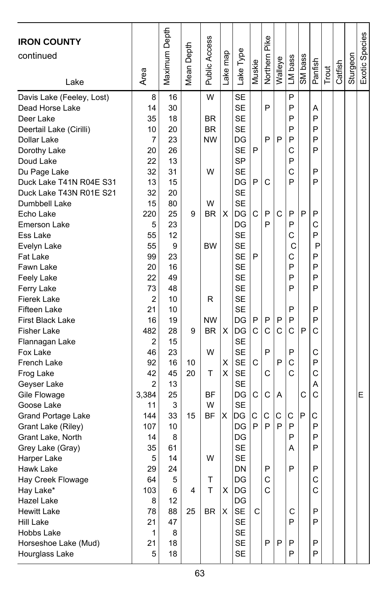| <b>IRON COUNTY</b><br>continued<br>Lake | Area           | Maximum Depth | Mean Depth | Public Access  | Lake map | Lake Type              | Muskie | Northern Pike | Walleye | LM bass | SM bass | Panfish      | Trout | Catfish | Sturgeon | Exotic Species |
|-----------------------------------------|----------------|---------------|------------|----------------|----------|------------------------|--------|---------------|---------|---------|---------|--------------|-------|---------|----------|----------------|
| Davis Lake (Feeley, Lost)               | 8              | 16            |            | W              |          | <b>SE</b>              |        |               |         | P       |         |              |       |         |          |                |
| Dead Horse Lake                         | 14             | 30            |            |                |          | <b>SE</b>              |        | P             |         | P       |         | A            |       |         |          |                |
| Deer Lake                               | 35             | 18            |            | <b>BR</b>      |          | <b>SE</b>              |        |               |         | P       |         | P            |       |         |          |                |
| Deertail Lake (Cirilli)                 | 10             | 20            |            | <b>BR</b>      |          | <b>SE</b>              |        |               |         | P       |         | P            |       |         |          |                |
| Dollar Lake                             | $\overline{7}$ | 23            |            | <b>NW</b>      |          | DG                     |        | P             | P       | P       |         | P            |       |         |          |                |
| Dorothy Lake                            | 20             | 26            |            |                |          | <b>SE</b>              | P      |               |         | C       |         | P            |       |         |          |                |
| Doud Lake                               | 22             | 13            |            |                |          | <b>SP</b>              |        |               |         | P       |         |              |       |         |          |                |
| Du Page Lake                            | 32             | 31            |            | W              |          | <b>SE</b>              |        |               |         | C       |         | P            |       |         |          |                |
| Duck Lake T41N R04E S31                 | 13             | 15            |            |                |          | DG                     | P      | C             |         | P       |         | P            |       |         |          |                |
| Duck Lake T43N R01E S21                 | 32             | 20            |            |                |          | <b>SE</b><br><b>SE</b> |        |               |         |         |         |              |       |         |          |                |
| Dumbbell Lake                           | 15<br>220      | 80<br>25      | 9          | W<br><b>BR</b> |          | DG                     | C      | P             | C       | P       | P       | P            |       |         |          |                |
| Echo Lake<br>Emerson Lake               | 5              | 23            |            |                | X        | DG                     |        | P             |         | P       |         | C            |       |         |          |                |
| Ess Lake                                | 55             | 12            |            |                |          | <b>SE</b>              |        |               |         | C       |         | P            |       |         |          |                |
| Evelyn Lake                             | 55             | 9             |            | BW             |          | <b>SE</b>              |        |               |         | С       |         | P            |       |         |          |                |
| <b>Fat Lake</b>                         | 99             | 23            |            |                |          | <b>SE</b>              | P      |               |         | C       |         | P            |       |         |          |                |
| Fawn Lake                               | 20             | 16            |            |                |          | <b>SE</b>              |        |               |         | P       |         | P            |       |         |          |                |
| Feely Lake                              | 22             | 49            |            |                |          | <b>SE</b>              |        |               |         | P       |         | P            |       |         |          |                |
| Ferry Lake                              | 73             | 48            |            |                |          | <b>SE</b>              |        |               |         | P       |         | P            |       |         |          |                |
| <b>Fierek Lake</b>                      | 2              | 10            |            | R              |          | <b>SE</b>              |        |               |         |         |         |              |       |         |          |                |
| Fifteen Lake                            | 21             | 10            |            |                |          | <b>SE</b>              |        |               |         | P       |         | P            |       |         |          |                |
| First Black Lake                        | 16             | 19            |            | <b>NW</b>      |          | DG                     | P      | P             | P       | P       |         | P            |       |         |          |                |
| <b>Fisher Lake</b>                      | 482            | 28            | 9          | <b>BR</b>      | X        | DG                     | C      | C             | C       | C       | P       | C            |       |         |          |                |
| Flannagan Lake                          | 2              | 15            |            |                |          | <b>SE</b>              |        |               |         |         |         |              |       |         |          |                |
| Fox Lake                                | 46             | 23            |            | W              |          | <b>SE</b>              |        | P             |         | P       |         | C            |       |         |          |                |
| French Lake                             | 92             | 16            | 10         |                | X        | SE                     | C      |               | P       | C       |         | P            |       |         |          |                |
| Frog Lake                               | 42             | 45            | 20         | т              | X        | <b>SE</b>              |        | C             |         | C       |         | C            |       |         |          |                |
| Geyser Lake                             | 2              | 13            |            |                |          | <b>SE</b>              |        |               |         |         |         | A            |       |         |          |                |
| Gile Flowage                            | 3,384          | 25            |            | ΒF             |          | DG                     | С      | С             | A       |         | C       | C            |       |         |          | E              |
| Goose Lake                              | 11             | 3             |            | W              |          | <b>SE</b>              |        |               |         |         |         |              |       |         |          |                |
| Grand Portage Lake                      | 144            | 33            | 15         | <b>BF</b>      | X        | DG                     | C      | С             | С       | C       | P       | С            |       |         |          |                |
| Grant Lake (Riley)                      | 107            | 10            |            |                |          | DG                     | P      | P             | P       | P       |         | P            |       |         |          |                |
| Grant Lake, North                       | 14             | 8             |            |                |          | DG                     |        |               |         | P       |         | P            |       |         |          |                |
| Grey Lake (Gray)                        | 35             | 61            |            |                |          | <b>SE</b>              |        |               |         | Α       |         | P            |       |         |          |                |
| Harper Lake                             | 5              | 14            |            | W              |          | <b>SE</b>              |        |               |         |         |         |              |       |         |          |                |
| Hawk Lake                               | 29             | 24            |            |                |          | <b>DN</b>              |        | P             |         | P       |         | P            |       |         |          |                |
| Hay Creek Flowage                       | 64             | 5             |            | T              |          | DG                     |        | С             |         |         |         | С            |       |         |          |                |
| Hay Lake*                               | 103            | 6             | 4          | т              | X        | DG                     |        | C             |         |         |         | $\mathsf{C}$ |       |         |          |                |
| <b>Hazel Lake</b>                       | 8              | 12            |            |                |          | DG                     |        |               |         |         |         |              |       |         |          |                |
| <b>Hewitt Lake</b><br><b>Hill Lake</b>  | 78             | 88<br>47      | 25         | BR.            | X        | <b>SE</b>              | C      |               |         | C<br>P  |         | P<br>P       |       |         |          |                |
| Hobbs Lake                              | 21<br>1        | 8             |            |                |          | SE<br><b>SE</b>        |        |               |         |         |         |              |       |         |          |                |
| Horseshoe Lake (Mud)                    | 21             | 18            |            |                |          | SE                     |        | P             | P       | P       |         | P            |       |         |          |                |
| Hourglass Lake                          | 5              | 18            |            |                |          | SE                     |        |               |         | P       |         | P            |       |         |          |                |
|                                         |                |               |            |                |          |                        |        |               |         |         |         |              |       |         |          |                |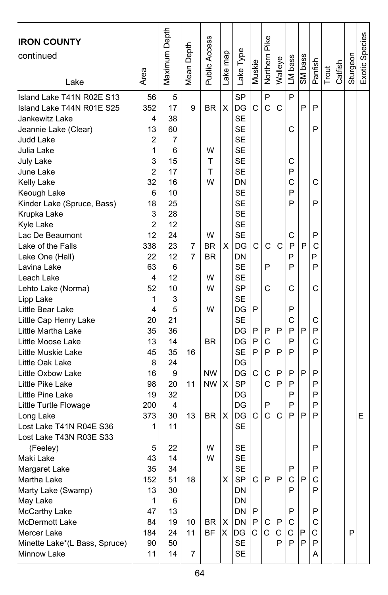| <b>IRON COUNTY</b><br>continued<br>Lake                                                                                                                                                                                                                                                                                                                                                                                                                                                                                                                                                                                                                                                                                    | Area                                                                                                                                                                                                                                  | Maximum Depth                                                                                                                                                                                                | Depth<br>Mean I                     | Public Access                                                                                                                             | Lake map               | Lake Type                                                                                                                                                                                                                                                                                                                                                        | Muskie                                     | Pike<br>Northern                                                         | Walleye                                         | LM bass                                                                                                              | SM bass                    | Panfish                                                                                               | Trout | Catfish | Sturgeon | Exotic Species |
|----------------------------------------------------------------------------------------------------------------------------------------------------------------------------------------------------------------------------------------------------------------------------------------------------------------------------------------------------------------------------------------------------------------------------------------------------------------------------------------------------------------------------------------------------------------------------------------------------------------------------------------------------------------------------------------------------------------------------|---------------------------------------------------------------------------------------------------------------------------------------------------------------------------------------------------------------------------------------|--------------------------------------------------------------------------------------------------------------------------------------------------------------------------------------------------------------|-------------------------------------|-------------------------------------------------------------------------------------------------------------------------------------------|------------------------|------------------------------------------------------------------------------------------------------------------------------------------------------------------------------------------------------------------------------------------------------------------------------------------------------------------------------------------------------------------|--------------------------------------------|--------------------------------------------------------------------------|-------------------------------------------------|----------------------------------------------------------------------------------------------------------------------|----------------------------|-------------------------------------------------------------------------------------------------------|-------|---------|----------|----------------|
| Island Lake T41N R02E S13<br>Island Lake T44N R01E S25<br>Jankewitz Lake<br>Jeannie Lake (Clear)<br>Judd Lake<br>Julia Lake<br>July Lake<br>June Lake<br>Kelly Lake<br>Keough Lake<br>Kinder Lake (Spruce, Bass)<br>Krupka Lake<br>Kyle Lake<br>Lac De Beaumont<br>Lake of the Falls<br>Lake One (Hall)<br>Lavina Lake<br>Leach Lake<br>Lehto Lake (Norma)<br>Lipp Lake<br>Little Bear Lake<br>Little Cap Henry Lake<br>Little Martha Lake<br>Little Moose Lake<br>Little Muskie Lake<br>Little Oak Lake<br>Little Oxbow Lake<br>Little Pike Lake<br>Little Pine Lake<br>Little Turtle Flowage<br>Long Lake<br>Lost Lake T41N R04E S36<br>Lost Lake T43N R03E S33<br>(Feeley)<br>Maki Lake<br>Margaret Lake<br>Martha Lake | 56<br>352<br>4<br>13<br>2<br>1<br>3<br>$\overline{2}$<br>32<br>6<br>18<br>3<br>$\overline{2}$<br>12<br>338<br>22<br>63<br>4<br>52<br>1<br>4<br>20<br>35<br>13<br>45<br>8<br>16<br>98<br>19<br>200<br>373<br>1<br>5<br>43<br>35<br>152 | 5<br>17<br>38<br>60<br>7<br>6<br>15<br>17<br>16<br>10<br>25<br>28<br>12<br>24<br>23<br>12<br>6<br>12<br>10<br>3<br>5<br>21<br>36<br>14<br>35<br>24<br>9<br>20<br>32<br>4<br>30<br>11<br>22<br>14<br>34<br>51 | 9<br>7<br>7<br>16<br>11<br>13<br>18 | <b>BR</b><br>W<br>т<br>T<br>W<br>W<br><b>BR</b><br><b>BR</b><br>W<br>W<br>W<br><b>BR</b><br><b>NW</b><br><b>NW</b><br><b>BR</b><br>W<br>W | X<br>X<br>X<br>X<br>X. | <b>SP</b><br>DG<br><b>SE</b><br><b>SE</b><br><b>SE</b><br><b>SE</b><br><b>SE</b><br>SE<br>DN<br><b>SE</b><br><b>SE</b><br><b>SE</b><br><b>SE</b><br><b>SE</b><br>DG<br>DN<br><b>SE</b><br>SE<br>SP<br><b>SE</b><br>DG<br><b>SE</b><br>DG<br>DG<br><b>SE</b><br>DG<br>DG<br><b>SP</b><br>DG<br>DG<br>DG<br><b>SE</b><br><b>SE</b><br><b>SE</b><br><b>SE</b><br>SP | С<br>C<br>P<br>P<br>P<br>P<br>С<br>C<br>C. | P<br>Ċ<br>C<br>P<br>C<br>P<br>C<br>P<br>С<br>Ċ<br>P<br>Ċ<br>$\mathsf{P}$ | C<br>$\mathsf{C}$<br>P<br>P<br>P<br>P<br>C<br>P | P<br>С<br>С<br>P<br>C<br>P<br>P<br>C<br>P<br>P<br>P<br>С<br>P<br>C<br>P<br>P<br>P<br>P<br>P<br>P<br>P<br>P<br>P<br>C | P<br>P<br>P<br>P<br>P<br>P | P<br>P<br>С<br>P<br>P<br>С<br>P<br>P<br>C<br>С<br>P<br>C<br>P<br>P<br>P<br>P<br>P<br>P<br>P<br>P<br>С |       |         |          | E              |
| Marty Lake (Swamp)<br>May Lake<br>McCarthy Lake<br>McDermott Lake<br>Mercer Lake<br>Minette Lake*(L Bass, Spruce)<br>Minnow Lake                                                                                                                                                                                                                                                                                                                                                                                                                                                                                                                                                                                           | 13<br>1<br>47<br>84<br>184<br>90<br>11                                                                                                                                                                                                | 30<br>6<br>13<br>19<br>24<br>50<br>14                                                                                                                                                                        | 10<br>11<br>7                       | BR<br><b>BF</b>                                                                                                                           | X<br>Χ                 | <b>DN</b><br>DN<br>DN<br>DN<br>DG<br><b>SE</b><br><b>SE</b>                                                                                                                                                                                                                                                                                                      | P<br>P<br>$\mathsf{C}$                     | С<br>C                                                                   | P<br>C.<br>P                                    | P<br>P<br>С<br>С<br>P                                                                                                | $\mathsf{P}$<br>P          | P<br>P<br>С<br>С<br>P<br>Α                                                                            |       |         | P        |                |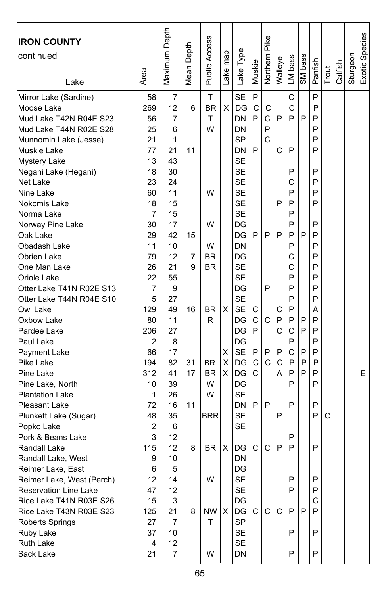| C<br>P<br>$\overline{7}$<br>T<br><b>SE</b><br>P<br>Mirror Lake (Sardine)<br>58<br>269<br>12<br><b>BR</b><br>X<br>C<br>С<br>P<br>Moose Lake<br>6<br>DG<br>С<br>C<br>DN<br>P<br>P<br>P<br>P<br>P<br>Mud Lake T42N R04E S23<br>56<br>7<br>т<br>P<br>P<br>25<br>W<br>Mud Lake T44N R02E S28<br>6<br>DN<br><b>SP</b><br>C<br>21<br>1<br>P<br>Munnomin Lake (Jesse)<br>P<br>C<br>P<br>P<br>21<br>11<br>DN<br>Muskie Lake<br>77<br><b>SE</b><br>13<br>43<br><b>Mystery Lake</b><br><b>SE</b><br>P<br>18<br>30<br>P<br>Negani Lake (Hegani)<br>23<br>24<br><b>SE</b><br>C<br>P<br>Net Lake<br>W<br>P<br>P<br>Nine Lake<br>60<br>11<br>SE<br><b>SE</b><br>P<br>P<br>P<br>Nokomis Lake<br>18<br>15<br>7<br><b>SE</b><br>P<br>Norma Lake<br>15<br>P<br>Norway Pine Lake<br>30<br>17<br>W<br>DG<br>P<br>P<br>P<br>P<br>Oak Lake<br>29<br>42<br>15<br>DG<br>P<br>P<br>P<br>P<br>Obadash Lake<br>11<br>10<br>W<br>DN<br>P<br>12<br><b>BR</b><br>DG<br>C<br>P<br>Obrien Lake<br>79<br>7<br>26<br>21<br><b>SE</b><br>Ċ<br>P<br>One Man Lake<br>9<br><b>BR</b><br>22<br><b>SE</b><br>P<br>P<br>Oriole Lake<br>55<br>Otter Lake T41N R02E S13<br>P<br>P<br>P<br>9<br>DG<br>7<br><b>SE</b><br>P<br>P<br>Otter Lake T44N R04E S10<br>5<br>27<br>X<br><b>SE</b><br>P<br>Owl Lake<br>129<br>49<br>16<br>BR.<br>С<br>С<br>Α<br>C<br>R<br>C<br>P<br>P<br>P<br>P<br>80<br>11<br>DG<br>Oxbow Lake<br>C<br>P<br>C<br>P<br>P<br>Pardee Lake<br>206<br>27<br>DG<br>P<br>P<br>2<br>Paul Lake<br>8<br>DG<br>C<br>P<br>66<br><b>SE</b><br>P<br>P<br>17<br>х<br>P<br>P<br>Payment Lake<br>C<br>C<br>P<br>X<br>C<br>P<br>P<br>Pike Lake<br>194<br>82<br><b>BR</b><br>DG<br>31<br>P<br>X<br>P<br>P<br>E.<br>Pine Lake<br>312<br>41<br>17<br><b>BR</b><br>DG<br>С<br>А<br>P<br>P<br>Pine Lake, North<br>39<br>W<br>DG<br>10<br>W<br><b>SE</b><br><b>Plantation Lake</b><br>1<br>26<br>P<br>P<br>72<br>16<br>11<br>DN<br>P<br>P<br>Pleasant Lake<br><b>SE</b><br>P<br>P<br>C<br>48<br>35<br><b>BRR</b><br>Plunkett Lake (Sugar)<br>Popko Lake<br>2<br>SE<br>6<br>3<br>Pork & Beans Lake<br>12<br>P<br>115<br>C<br>C<br>P<br>P<br>P<br>Randall Lake<br>12<br>BR.<br>X<br>DG<br>8<br>9<br>10<br>DN<br>Randall Lake, West<br>6<br>5<br>DG<br>Reimer Lake, East<br>W<br>SE<br>P<br>P<br>Reimer Lake, West (Perch)<br>12<br>14<br><b>Reservation Line Lake</b><br>12<br><b>SE</b><br>47<br>P<br>P<br>Rice Lake T41N R03E S26<br>15<br>3<br>DG<br>С<br>DG<br>C<br>C<br>P<br>Rice Lake T43N R03E S23<br>125<br>21<br>NW<br>Χ<br>C.<br>P<br>P<br>8<br><b>SP</b><br>т<br>Roberts Springs<br>27<br>7<br>SE<br>Ruby Lake<br>37<br>10<br>P<br>P<br>SE<br>Ruth Lake<br>12<br>4<br>P<br>P<br>Sack Lake<br>21<br>7<br>W<br>DN | <b>IRON COUNTY</b><br>continued<br>Lake | Area | Maximum Depth | Depth<br>Mean I | Public Access | Lake map | Lake Type | Muskie | Pike<br>Northern | Walleye | LM bass | SM bass | Panfish | Trout | Catfish | Sturgeon | Exotic Species |
|---------------------------------------------------------------------------------------------------------------------------------------------------------------------------------------------------------------------------------------------------------------------------------------------------------------------------------------------------------------------------------------------------------------------------------------------------------------------------------------------------------------------------------------------------------------------------------------------------------------------------------------------------------------------------------------------------------------------------------------------------------------------------------------------------------------------------------------------------------------------------------------------------------------------------------------------------------------------------------------------------------------------------------------------------------------------------------------------------------------------------------------------------------------------------------------------------------------------------------------------------------------------------------------------------------------------------------------------------------------------------------------------------------------------------------------------------------------------------------------------------------------------------------------------------------------------------------------------------------------------------------------------------------------------------------------------------------------------------------------------------------------------------------------------------------------------------------------------------------------------------------------------------------------------------------------------------------------------------------------------------------------------------------------------------------------------------------------------------------------------------------------------------------------------------------------------------------------------------------------------------------------------------------------------------------------------------------------------------------------------------------------------------------------------------------------------------------------------------------------------------------------------------------------------------------------------------------------------------------------------------------------------------------------------------|-----------------------------------------|------|---------------|-----------------|---------------|----------|-----------|--------|------------------|---------|---------|---------|---------|-------|---------|----------|----------------|
|                                                                                                                                                                                                                                                                                                                                                                                                                                                                                                                                                                                                                                                                                                                                                                                                                                                                                                                                                                                                                                                                                                                                                                                                                                                                                                                                                                                                                                                                                                                                                                                                                                                                                                                                                                                                                                                                                                                                                                                                                                                                                                                                                                                                                                                                                                                                                                                                                                                                                                                                                                                                                                                                           |                                         |      |               |                 |               |          |           |        |                  |         |         |         |         |       |         |          |                |
|                                                                                                                                                                                                                                                                                                                                                                                                                                                                                                                                                                                                                                                                                                                                                                                                                                                                                                                                                                                                                                                                                                                                                                                                                                                                                                                                                                                                                                                                                                                                                                                                                                                                                                                                                                                                                                                                                                                                                                                                                                                                                                                                                                                                                                                                                                                                                                                                                                                                                                                                                                                                                                                                           |                                         |      |               |                 |               |          |           |        |                  |         |         |         |         |       |         |          |                |
|                                                                                                                                                                                                                                                                                                                                                                                                                                                                                                                                                                                                                                                                                                                                                                                                                                                                                                                                                                                                                                                                                                                                                                                                                                                                                                                                                                                                                                                                                                                                                                                                                                                                                                                                                                                                                                                                                                                                                                                                                                                                                                                                                                                                                                                                                                                                                                                                                                                                                                                                                                                                                                                                           |                                         |      |               |                 |               |          |           |        |                  |         |         |         |         |       |         |          |                |
|                                                                                                                                                                                                                                                                                                                                                                                                                                                                                                                                                                                                                                                                                                                                                                                                                                                                                                                                                                                                                                                                                                                                                                                                                                                                                                                                                                                                                                                                                                                                                                                                                                                                                                                                                                                                                                                                                                                                                                                                                                                                                                                                                                                                                                                                                                                                                                                                                                                                                                                                                                                                                                                                           |                                         |      |               |                 |               |          |           |        |                  |         |         |         |         |       |         |          |                |
|                                                                                                                                                                                                                                                                                                                                                                                                                                                                                                                                                                                                                                                                                                                                                                                                                                                                                                                                                                                                                                                                                                                                                                                                                                                                                                                                                                                                                                                                                                                                                                                                                                                                                                                                                                                                                                                                                                                                                                                                                                                                                                                                                                                                                                                                                                                                                                                                                                                                                                                                                                                                                                                                           |                                         |      |               |                 |               |          |           |        |                  |         |         |         |         |       |         |          |                |
|                                                                                                                                                                                                                                                                                                                                                                                                                                                                                                                                                                                                                                                                                                                                                                                                                                                                                                                                                                                                                                                                                                                                                                                                                                                                                                                                                                                                                                                                                                                                                                                                                                                                                                                                                                                                                                                                                                                                                                                                                                                                                                                                                                                                                                                                                                                                                                                                                                                                                                                                                                                                                                                                           |                                         |      |               |                 |               |          |           |        |                  |         |         |         |         |       |         |          |                |
|                                                                                                                                                                                                                                                                                                                                                                                                                                                                                                                                                                                                                                                                                                                                                                                                                                                                                                                                                                                                                                                                                                                                                                                                                                                                                                                                                                                                                                                                                                                                                                                                                                                                                                                                                                                                                                                                                                                                                                                                                                                                                                                                                                                                                                                                                                                                                                                                                                                                                                                                                                                                                                                                           |                                         |      |               |                 |               |          |           |        |                  |         |         |         |         |       |         |          |                |
|                                                                                                                                                                                                                                                                                                                                                                                                                                                                                                                                                                                                                                                                                                                                                                                                                                                                                                                                                                                                                                                                                                                                                                                                                                                                                                                                                                                                                                                                                                                                                                                                                                                                                                                                                                                                                                                                                                                                                                                                                                                                                                                                                                                                                                                                                                                                                                                                                                                                                                                                                                                                                                                                           |                                         |      |               |                 |               |          |           |        |                  |         |         |         |         |       |         |          |                |
|                                                                                                                                                                                                                                                                                                                                                                                                                                                                                                                                                                                                                                                                                                                                                                                                                                                                                                                                                                                                                                                                                                                                                                                                                                                                                                                                                                                                                                                                                                                                                                                                                                                                                                                                                                                                                                                                                                                                                                                                                                                                                                                                                                                                                                                                                                                                                                                                                                                                                                                                                                                                                                                                           |                                         |      |               |                 |               |          |           |        |                  |         |         |         |         |       |         |          |                |
|                                                                                                                                                                                                                                                                                                                                                                                                                                                                                                                                                                                                                                                                                                                                                                                                                                                                                                                                                                                                                                                                                                                                                                                                                                                                                                                                                                                                                                                                                                                                                                                                                                                                                                                                                                                                                                                                                                                                                                                                                                                                                                                                                                                                                                                                                                                                                                                                                                                                                                                                                                                                                                                                           |                                         |      |               |                 |               |          |           |        |                  |         |         |         |         |       |         |          |                |
|                                                                                                                                                                                                                                                                                                                                                                                                                                                                                                                                                                                                                                                                                                                                                                                                                                                                                                                                                                                                                                                                                                                                                                                                                                                                                                                                                                                                                                                                                                                                                                                                                                                                                                                                                                                                                                                                                                                                                                                                                                                                                                                                                                                                                                                                                                                                                                                                                                                                                                                                                                                                                                                                           |                                         |      |               |                 |               |          |           |        |                  |         |         |         |         |       |         |          |                |
|                                                                                                                                                                                                                                                                                                                                                                                                                                                                                                                                                                                                                                                                                                                                                                                                                                                                                                                                                                                                                                                                                                                                                                                                                                                                                                                                                                                                                                                                                                                                                                                                                                                                                                                                                                                                                                                                                                                                                                                                                                                                                                                                                                                                                                                                                                                                                                                                                                                                                                                                                                                                                                                                           |                                         |      |               |                 |               |          |           |        |                  |         |         |         |         |       |         |          |                |
|                                                                                                                                                                                                                                                                                                                                                                                                                                                                                                                                                                                                                                                                                                                                                                                                                                                                                                                                                                                                                                                                                                                                                                                                                                                                                                                                                                                                                                                                                                                                                                                                                                                                                                                                                                                                                                                                                                                                                                                                                                                                                                                                                                                                                                                                                                                                                                                                                                                                                                                                                                                                                                                                           |                                         |      |               |                 |               |          |           |        |                  |         |         |         |         |       |         |          |                |
|                                                                                                                                                                                                                                                                                                                                                                                                                                                                                                                                                                                                                                                                                                                                                                                                                                                                                                                                                                                                                                                                                                                                                                                                                                                                                                                                                                                                                                                                                                                                                                                                                                                                                                                                                                                                                                                                                                                                                                                                                                                                                                                                                                                                                                                                                                                                                                                                                                                                                                                                                                                                                                                                           |                                         |      |               |                 |               |          |           |        |                  |         |         |         |         |       |         |          |                |
|                                                                                                                                                                                                                                                                                                                                                                                                                                                                                                                                                                                                                                                                                                                                                                                                                                                                                                                                                                                                                                                                                                                                                                                                                                                                                                                                                                                                                                                                                                                                                                                                                                                                                                                                                                                                                                                                                                                                                                                                                                                                                                                                                                                                                                                                                                                                                                                                                                                                                                                                                                                                                                                                           |                                         |      |               |                 |               |          |           |        |                  |         |         |         |         |       |         |          |                |
|                                                                                                                                                                                                                                                                                                                                                                                                                                                                                                                                                                                                                                                                                                                                                                                                                                                                                                                                                                                                                                                                                                                                                                                                                                                                                                                                                                                                                                                                                                                                                                                                                                                                                                                                                                                                                                                                                                                                                                                                                                                                                                                                                                                                                                                                                                                                                                                                                                                                                                                                                                                                                                                                           |                                         |      |               |                 |               |          |           |        |                  |         |         |         |         |       |         |          |                |
|                                                                                                                                                                                                                                                                                                                                                                                                                                                                                                                                                                                                                                                                                                                                                                                                                                                                                                                                                                                                                                                                                                                                                                                                                                                                                                                                                                                                                                                                                                                                                                                                                                                                                                                                                                                                                                                                                                                                                                                                                                                                                                                                                                                                                                                                                                                                                                                                                                                                                                                                                                                                                                                                           |                                         |      |               |                 |               |          |           |        |                  |         |         |         |         |       |         |          |                |
|                                                                                                                                                                                                                                                                                                                                                                                                                                                                                                                                                                                                                                                                                                                                                                                                                                                                                                                                                                                                                                                                                                                                                                                                                                                                                                                                                                                                                                                                                                                                                                                                                                                                                                                                                                                                                                                                                                                                                                                                                                                                                                                                                                                                                                                                                                                                                                                                                                                                                                                                                                                                                                                                           |                                         |      |               |                 |               |          |           |        |                  |         |         |         |         |       |         |          |                |
|                                                                                                                                                                                                                                                                                                                                                                                                                                                                                                                                                                                                                                                                                                                                                                                                                                                                                                                                                                                                                                                                                                                                                                                                                                                                                                                                                                                                                                                                                                                                                                                                                                                                                                                                                                                                                                                                                                                                                                                                                                                                                                                                                                                                                                                                                                                                                                                                                                                                                                                                                                                                                                                                           |                                         |      |               |                 |               |          |           |        |                  |         |         |         |         |       |         |          |                |
|                                                                                                                                                                                                                                                                                                                                                                                                                                                                                                                                                                                                                                                                                                                                                                                                                                                                                                                                                                                                                                                                                                                                                                                                                                                                                                                                                                                                                                                                                                                                                                                                                                                                                                                                                                                                                                                                                                                                                                                                                                                                                                                                                                                                                                                                                                                                                                                                                                                                                                                                                                                                                                                                           |                                         |      |               |                 |               |          |           |        |                  |         |         |         |         |       |         |          |                |
|                                                                                                                                                                                                                                                                                                                                                                                                                                                                                                                                                                                                                                                                                                                                                                                                                                                                                                                                                                                                                                                                                                                                                                                                                                                                                                                                                                                                                                                                                                                                                                                                                                                                                                                                                                                                                                                                                                                                                                                                                                                                                                                                                                                                                                                                                                                                                                                                                                                                                                                                                                                                                                                                           |                                         |      |               |                 |               |          |           |        |                  |         |         |         |         |       |         |          |                |
|                                                                                                                                                                                                                                                                                                                                                                                                                                                                                                                                                                                                                                                                                                                                                                                                                                                                                                                                                                                                                                                                                                                                                                                                                                                                                                                                                                                                                                                                                                                                                                                                                                                                                                                                                                                                                                                                                                                                                                                                                                                                                                                                                                                                                                                                                                                                                                                                                                                                                                                                                                                                                                                                           |                                         |      |               |                 |               |          |           |        |                  |         |         |         |         |       |         |          |                |
|                                                                                                                                                                                                                                                                                                                                                                                                                                                                                                                                                                                                                                                                                                                                                                                                                                                                                                                                                                                                                                                                                                                                                                                                                                                                                                                                                                                                                                                                                                                                                                                                                                                                                                                                                                                                                                                                                                                                                                                                                                                                                                                                                                                                                                                                                                                                                                                                                                                                                                                                                                                                                                                                           |                                         |      |               |                 |               |          |           |        |                  |         |         |         |         |       |         |          |                |
|                                                                                                                                                                                                                                                                                                                                                                                                                                                                                                                                                                                                                                                                                                                                                                                                                                                                                                                                                                                                                                                                                                                                                                                                                                                                                                                                                                                                                                                                                                                                                                                                                                                                                                                                                                                                                                                                                                                                                                                                                                                                                                                                                                                                                                                                                                                                                                                                                                                                                                                                                                                                                                                                           |                                         |      |               |                 |               |          |           |        |                  |         |         |         |         |       |         |          |                |
|                                                                                                                                                                                                                                                                                                                                                                                                                                                                                                                                                                                                                                                                                                                                                                                                                                                                                                                                                                                                                                                                                                                                                                                                                                                                                                                                                                                                                                                                                                                                                                                                                                                                                                                                                                                                                                                                                                                                                                                                                                                                                                                                                                                                                                                                                                                                                                                                                                                                                                                                                                                                                                                                           |                                         |      |               |                 |               |          |           |        |                  |         |         |         |         |       |         |          |                |
|                                                                                                                                                                                                                                                                                                                                                                                                                                                                                                                                                                                                                                                                                                                                                                                                                                                                                                                                                                                                                                                                                                                                                                                                                                                                                                                                                                                                                                                                                                                                                                                                                                                                                                                                                                                                                                                                                                                                                                                                                                                                                                                                                                                                                                                                                                                                                                                                                                                                                                                                                                                                                                                                           |                                         |      |               |                 |               |          |           |        |                  |         |         |         |         |       |         |          |                |
|                                                                                                                                                                                                                                                                                                                                                                                                                                                                                                                                                                                                                                                                                                                                                                                                                                                                                                                                                                                                                                                                                                                                                                                                                                                                                                                                                                                                                                                                                                                                                                                                                                                                                                                                                                                                                                                                                                                                                                                                                                                                                                                                                                                                                                                                                                                                                                                                                                                                                                                                                                                                                                                                           |                                         |      |               |                 |               |          |           |        |                  |         |         |         |         |       |         |          |                |
|                                                                                                                                                                                                                                                                                                                                                                                                                                                                                                                                                                                                                                                                                                                                                                                                                                                                                                                                                                                                                                                                                                                                                                                                                                                                                                                                                                                                                                                                                                                                                                                                                                                                                                                                                                                                                                                                                                                                                                                                                                                                                                                                                                                                                                                                                                                                                                                                                                                                                                                                                                                                                                                                           |                                         |      |               |                 |               |          |           |        |                  |         |         |         |         |       |         |          |                |
|                                                                                                                                                                                                                                                                                                                                                                                                                                                                                                                                                                                                                                                                                                                                                                                                                                                                                                                                                                                                                                                                                                                                                                                                                                                                                                                                                                                                                                                                                                                                                                                                                                                                                                                                                                                                                                                                                                                                                                                                                                                                                                                                                                                                                                                                                                                                                                                                                                                                                                                                                                                                                                                                           |                                         |      |               |                 |               |          |           |        |                  |         |         |         |         |       |         |          |                |
|                                                                                                                                                                                                                                                                                                                                                                                                                                                                                                                                                                                                                                                                                                                                                                                                                                                                                                                                                                                                                                                                                                                                                                                                                                                                                                                                                                                                                                                                                                                                                                                                                                                                                                                                                                                                                                                                                                                                                                                                                                                                                                                                                                                                                                                                                                                                                                                                                                                                                                                                                                                                                                                                           |                                         |      |               |                 |               |          |           |        |                  |         |         |         |         |       |         |          |                |
|                                                                                                                                                                                                                                                                                                                                                                                                                                                                                                                                                                                                                                                                                                                                                                                                                                                                                                                                                                                                                                                                                                                                                                                                                                                                                                                                                                                                                                                                                                                                                                                                                                                                                                                                                                                                                                                                                                                                                                                                                                                                                                                                                                                                                                                                                                                                                                                                                                                                                                                                                                                                                                                                           |                                         |      |               |                 |               |          |           |        |                  |         |         |         |         |       |         |          |                |
|                                                                                                                                                                                                                                                                                                                                                                                                                                                                                                                                                                                                                                                                                                                                                                                                                                                                                                                                                                                                                                                                                                                                                                                                                                                                                                                                                                                                                                                                                                                                                                                                                                                                                                                                                                                                                                                                                                                                                                                                                                                                                                                                                                                                                                                                                                                                                                                                                                                                                                                                                                                                                                                                           |                                         |      |               |                 |               |          |           |        |                  |         |         |         |         |       |         |          |                |
|                                                                                                                                                                                                                                                                                                                                                                                                                                                                                                                                                                                                                                                                                                                                                                                                                                                                                                                                                                                                                                                                                                                                                                                                                                                                                                                                                                                                                                                                                                                                                                                                                                                                                                                                                                                                                                                                                                                                                                                                                                                                                                                                                                                                                                                                                                                                                                                                                                                                                                                                                                                                                                                                           |                                         |      |               |                 |               |          |           |        |                  |         |         |         |         |       |         |          |                |
|                                                                                                                                                                                                                                                                                                                                                                                                                                                                                                                                                                                                                                                                                                                                                                                                                                                                                                                                                                                                                                                                                                                                                                                                                                                                                                                                                                                                                                                                                                                                                                                                                                                                                                                                                                                                                                                                                                                                                                                                                                                                                                                                                                                                                                                                                                                                                                                                                                                                                                                                                                                                                                                                           |                                         |      |               |                 |               |          |           |        |                  |         |         |         |         |       |         |          |                |
|                                                                                                                                                                                                                                                                                                                                                                                                                                                                                                                                                                                                                                                                                                                                                                                                                                                                                                                                                                                                                                                                                                                                                                                                                                                                                                                                                                                                                                                                                                                                                                                                                                                                                                                                                                                                                                                                                                                                                                                                                                                                                                                                                                                                                                                                                                                                                                                                                                                                                                                                                                                                                                                                           |                                         |      |               |                 |               |          |           |        |                  |         |         |         |         |       |         |          |                |
|                                                                                                                                                                                                                                                                                                                                                                                                                                                                                                                                                                                                                                                                                                                                                                                                                                                                                                                                                                                                                                                                                                                                                                                                                                                                                                                                                                                                                                                                                                                                                                                                                                                                                                                                                                                                                                                                                                                                                                                                                                                                                                                                                                                                                                                                                                                                                                                                                                                                                                                                                                                                                                                                           |                                         |      |               |                 |               |          |           |        |                  |         |         |         |         |       |         |          |                |
|                                                                                                                                                                                                                                                                                                                                                                                                                                                                                                                                                                                                                                                                                                                                                                                                                                                                                                                                                                                                                                                                                                                                                                                                                                                                                                                                                                                                                                                                                                                                                                                                                                                                                                                                                                                                                                                                                                                                                                                                                                                                                                                                                                                                                                                                                                                                                                                                                                                                                                                                                                                                                                                                           |                                         |      |               |                 |               |          |           |        |                  |         |         |         |         |       |         |          |                |
|                                                                                                                                                                                                                                                                                                                                                                                                                                                                                                                                                                                                                                                                                                                                                                                                                                                                                                                                                                                                                                                                                                                                                                                                                                                                                                                                                                                                                                                                                                                                                                                                                                                                                                                                                                                                                                                                                                                                                                                                                                                                                                                                                                                                                                                                                                                                                                                                                                                                                                                                                                                                                                                                           |                                         |      |               |                 |               |          |           |        |                  |         |         |         |         |       |         |          |                |
|                                                                                                                                                                                                                                                                                                                                                                                                                                                                                                                                                                                                                                                                                                                                                                                                                                                                                                                                                                                                                                                                                                                                                                                                                                                                                                                                                                                                                                                                                                                                                                                                                                                                                                                                                                                                                                                                                                                                                                                                                                                                                                                                                                                                                                                                                                                                                                                                                                                                                                                                                                                                                                                                           |                                         |      |               |                 |               |          |           |        |                  |         |         |         |         |       |         |          |                |
|                                                                                                                                                                                                                                                                                                                                                                                                                                                                                                                                                                                                                                                                                                                                                                                                                                                                                                                                                                                                                                                                                                                                                                                                                                                                                                                                                                                                                                                                                                                                                                                                                                                                                                                                                                                                                                                                                                                                                                                                                                                                                                                                                                                                                                                                                                                                                                                                                                                                                                                                                                                                                                                                           |                                         |      |               |                 |               |          |           |        |                  |         |         |         |         |       |         |          |                |
|                                                                                                                                                                                                                                                                                                                                                                                                                                                                                                                                                                                                                                                                                                                                                                                                                                                                                                                                                                                                                                                                                                                                                                                                                                                                                                                                                                                                                                                                                                                                                                                                                                                                                                                                                                                                                                                                                                                                                                                                                                                                                                                                                                                                                                                                                                                                                                                                                                                                                                                                                                                                                                                                           |                                         |      |               |                 |               |          |           |        |                  |         |         |         |         |       |         |          |                |
|                                                                                                                                                                                                                                                                                                                                                                                                                                                                                                                                                                                                                                                                                                                                                                                                                                                                                                                                                                                                                                                                                                                                                                                                                                                                                                                                                                                                                                                                                                                                                                                                                                                                                                                                                                                                                                                                                                                                                                                                                                                                                                                                                                                                                                                                                                                                                                                                                                                                                                                                                                                                                                                                           |                                         |      |               |                 |               |          |           |        |                  |         |         |         |         |       |         |          |                |
|                                                                                                                                                                                                                                                                                                                                                                                                                                                                                                                                                                                                                                                                                                                                                                                                                                                                                                                                                                                                                                                                                                                                                                                                                                                                                                                                                                                                                                                                                                                                                                                                                                                                                                                                                                                                                                                                                                                                                                                                                                                                                                                                                                                                                                                                                                                                                                                                                                                                                                                                                                                                                                                                           |                                         |      |               |                 |               |          |           |        |                  |         |         |         |         |       |         |          |                |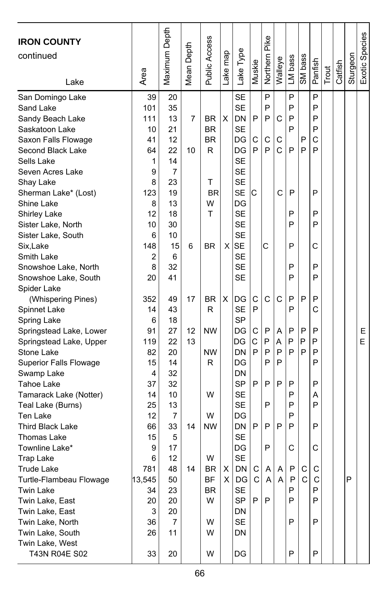| <b>IRON COUNTY</b><br>continued<br>Lake | Area    | Maximum Depth  | Mean Depth | Public Access | Lake map     | Lake Type              | Muskie | Northern Pike | Walleye | LM bass | SM bass | Panfish | Trout | Catfish | Sturgeon | Exotic Species |
|-----------------------------------------|---------|----------------|------------|---------------|--------------|------------------------|--------|---------------|---------|---------|---------|---------|-------|---------|----------|----------------|
| San Domingo Lake                        | 39      | 20             |            |               |              | <b>SE</b>              |        | P             |         | P       |         | P       |       |         |          |                |
| Sand Lake                               | 101     | 35             |            |               |              | <b>SE</b>              |        | P             |         | P       |         | P       |       |         |          |                |
| Sandy Beach Lake                        | 111     | 13             | 7          | BR            | X            | <b>DN</b>              | P      | P             | C       | P       |         | P       |       |         |          |                |
| Saskatoon Lake                          | 10      | 21             |            | <b>BR</b>     |              | <b>SE</b>              |        |               |         | P       |         | P       |       |         |          |                |
| Saxon Falls Flowage                     | 41      | 12             |            | <b>BR</b>     |              | DG                     | C      | C             | С       |         | P       | C       |       |         |          |                |
| Second Black Lake                       | 64      | 22             | 10         | R             |              | DG                     | P      | P             | C       | P       | P       | P       |       |         |          |                |
| Sells Lake                              | 1       | 14             |            |               |              | <b>SE</b>              |        |               |         |         |         |         |       |         |          |                |
| Seven Acres Lake                        | 9       | $\overline{7}$ |            |               |              | <b>SE</b><br><b>SE</b> |        |               |         |         |         |         |       |         |          |                |
| Shay Lake                               | 8       | 23             |            | T             |              |                        |        |               | C       |         |         |         |       |         |          |                |
| Sherman Lake* (Lost)<br>Shine Lake      | 123     | 19<br>13       |            | BR<br>W       |              | <b>SE</b><br>DG        | С      |               |         | P       |         | P       |       |         |          |                |
|                                         | 8<br>12 | 18             |            | T             |              | <b>SE</b>              |        |               |         | P       |         | P       |       |         |          |                |
| Shirley Lake<br>Sister Lake, North      | 10      | 30             |            |               |              | <b>SE</b>              |        |               |         | P       |         | P       |       |         |          |                |
| Sister Lake, South                      | 6       | 10             |            |               |              | <b>SE</b>              |        |               |         |         |         |         |       |         |          |                |
| Six,Lake                                | 148     | 15             | 6          | <b>BR</b>     | $\times$     | <b>SE</b>              |        | C             |         | P       |         | С       |       |         |          |                |
| Smith Lake                              | 2       | 6              |            |               |              | <b>SE</b>              |        |               |         |         |         |         |       |         |          |                |
| Snowshoe Lake, North                    | 8       | 32             |            |               |              | <b>SE</b>              |        |               |         | P       |         | P       |       |         |          |                |
| Snowshoe Lake, South                    | 20      | 41             |            |               |              | <b>SE</b>              |        |               |         | P       |         | P       |       |         |          |                |
| Spider Lake                             |         |                |            |               |              |                        |        |               |         |         |         |         |       |         |          |                |
| (Whispering Pines)                      | 352     | 49             | 17         | BR            | х            | DG                     | С      | C             | C       | Ρ       | P       | P       |       |         |          |                |
| Spinnet Lake                            | 14      | 43             |            | R             |              | <b>SE</b>              | P      |               |         | P       |         | Ċ       |       |         |          |                |
| Spring Lake                             | 6       | 18             |            |               |              | <b>SP</b>              |        |               |         |         |         |         |       |         |          |                |
| Springstead Lake, Lower                 | 91      | 27             | 12         | <b>NW</b>     |              | DG                     | С      | P             | A       | P       | P       | P       |       |         |          | E.             |
| Springstead Lake, Upper                 | 119     | 22             | 13         |               |              | DG                     | C      | P             | Α       | P       | P       | P       |       |         |          | E              |
| Stone Lake                              | 82      | 20             |            | NW            |              | DN                     | P      | P             | P       | P       | P       | P       |       |         |          |                |
| <b>Superior Falls Flowage</b>           | 15      | 14             |            | R             |              | DG                     |        | P             | P       |         |         | P       |       |         |          |                |
| Swamp Lake                              | 4       | 32             |            |               |              | DN                     |        |               |         |         |         |         |       |         |          |                |
| Tahoe Lake                              | 37      | 32             |            |               |              | <b>SP</b>              | P      | P             | P       | P       |         | P       |       |         |          |                |
| Tamarack Lake (Notter)                  | 14      | 10             |            | W             |              | <b>SE</b>              |        |               |         | P       |         | А       |       |         |          |                |
| Teal Lake (Burns)                       | 25      | 13             |            |               |              | <b>SE</b>              |        | P             |         | P       |         | P       |       |         |          |                |
| Ten Lake                                | 12      | 7              |            | W             |              | DG                     |        |               |         | P       |         |         |       |         |          |                |
| <b>Third Black Lake</b>                 | 66      | 33             | 14         | <b>NW</b>     |              | DN                     | P      | P             | P       | P       |         | P       |       |         |          |                |
| Thomas Lake                             | 15      | 5              |            |               |              | <b>SE</b>              |        |               |         |         |         |         |       |         |          |                |
| Townline Lake*                          | 9<br>6  | 17             |            | W             |              | DG<br><b>SE</b>        |        | P             |         | C       |         | C       |       |         |          |                |
| Trap Lake<br>Trude Lake                 | 781     | 12<br>48       | 14         | <b>BR</b>     | ΧI           | DN C A A P             |        |               |         |         | C       | C       |       |         |          |                |
| Turtle-Flambeau Flowage                 | 13,545  | 50             |            | ВF            | $\mathsf{X}$ | DG                     | C      | Α             | Α       | P       | C       | С       |       |         | Ρ        |                |
| <b>Twin Lake</b>                        | 34      | 23             |            | BR            |              | <b>SE</b>              |        |               |         | P       |         | P       |       |         |          |                |
| Twin Lake, East                         | 20      | 20             |            | W             |              | SP                     | P      | P             |         | Ρ       |         | P       |       |         |          |                |
| Twin Lake, East                         | 3       | 20             |            |               |              | DN                     |        |               |         |         |         |         |       |         |          |                |
| Twin Lake, North                        | 36      | 7              |            | W             |              | SE                     |        |               |         | P       |         | P       |       |         |          |                |
| Twin Lake, South                        | 26      | 11             |            | w             |              | DN                     |        |               |         |         |         |         |       |         |          |                |
| Twin Lake, West                         |         |                |            |               |              |                        |        |               |         |         |         |         |       |         |          |                |
| T43N R04E S02                           | 33      | 20             |            | W             |              | DG                     |        |               |         | P       |         | P       |       |         |          |                |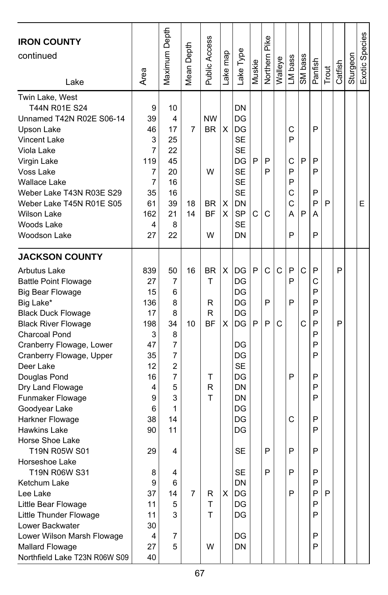| <b>IRON COUNTY</b><br>continued<br>Lake                                                                                                                                                                                                                                                                                                                                                                                                                                                                                                                                                                                                          | Area                                                                                                                                                 | Maximum Depth                                                                                                             | Depth<br>Mean I | Public Access                                                            | Lake map    | ake Type.                                                                                                                                            | Muskie | Pike<br>Northern      | Walleye | LM bass                                   | SM bass | Panfish                                                                                                    | Trout | Catfish | Sturgeon | Exotic Species |
|--------------------------------------------------------------------------------------------------------------------------------------------------------------------------------------------------------------------------------------------------------------------------------------------------------------------------------------------------------------------------------------------------------------------------------------------------------------------------------------------------------------------------------------------------------------------------------------------------------------------------------------------------|------------------------------------------------------------------------------------------------------------------------------------------------------|---------------------------------------------------------------------------------------------------------------------------|-----------------|--------------------------------------------------------------------------|-------------|------------------------------------------------------------------------------------------------------------------------------------------------------|--------|-----------------------|---------|-------------------------------------------|---------|------------------------------------------------------------------------------------------------------------|-------|---------|----------|----------------|
| Twin Lake, West<br>T44N R01E S24<br>Unnamed T42N R02E S06-14<br>Upson Lake<br><b>Vincent Lake</b><br>Viola Lake<br>Virgin Lake<br>Voss Lake<br><b>Wallace Lake</b><br>Weber Lake T43N R03E S29<br>Weber Lake T45N R01E S05<br><b>Wilson Lake</b><br>Woods Lake<br>Woodson Lake                                                                                                                                                                                                                                                                                                                                                                   | 9<br>39<br>46<br>3<br>7<br>119<br>7<br>7<br>35<br>61<br>162<br>4<br>27                                                                               | 10<br>4<br>17<br>25<br>22<br>45<br>20<br>16<br>16<br>39<br>21<br>8<br>22                                                  | 7<br>18<br>14   | <b>NW</b><br><b>BR</b><br>W<br>BR<br><b>BF</b><br>W                      | X<br>х<br>X | DN<br>DG<br>DG<br><b>SE</b><br><b>SE</b><br>DG<br><b>SE</b><br><b>SE</b><br><b>SE</b><br>DN<br><b>SP</b><br><b>SE</b><br>DN                          | P<br>C | P<br>P<br>C           |         | С<br>P<br>C<br>P<br>P<br>С<br>С<br>А<br>P | P<br>P  | P<br>P<br>P<br>P<br>P<br>А<br>P                                                                            | P     |         |          | E              |
| <b>JACKSON COUNTY</b><br><b>Arbutus Lake</b><br><b>Battle Point Flowage</b><br>Big Bear Flowage<br>Big Lake*<br><b>Black Duck Flowage</b><br><b>Black River Flowage</b><br><b>Charcoal Pond</b><br>Cranberry Flowage, Lower<br>Cranberry Flowage, Upper<br>Deer Lake<br>Douglas Pond<br>Dry Land Flowage<br>Funmaker Flowage<br>Goodyear Lake<br>Harkner Flowage<br><b>Hawkins Lake</b><br>Horse Shoe Lake<br>T19N R05W S01<br>Horseshoe Lake<br>T19N R06W S31<br>Ketchum Lake<br>Lee Lake<br>Little Bear Flowage<br>Little Thunder Flowage<br>Lower Backwater<br>Lower Wilson Marsh Flowage<br>Mallard Flowage<br>Northfield Lake T23N R06W S09 | 839<br>27<br>15<br>136<br>17<br>198<br>3<br>47<br>35<br>12<br>16<br>4<br>9<br>6<br>38<br>90<br>29<br>8<br>9<br>37<br>11<br>11<br>30<br>4<br>27<br>40 | 50<br>7<br>6<br>8<br>8<br>34<br>8<br>7<br>7<br>2<br>7<br>5<br>3<br>1<br>14<br>11<br>4<br>4<br>6<br>14<br>5<br>3<br>7<br>5 | 16<br>10<br>7   | <b>BR</b><br>T<br>R<br>R<br><b>BF</b><br>т<br>R<br>T<br>R<br>T<br>T<br>W | X<br>X<br>х | DG<br>DG<br>DG<br>DG<br>DG<br>DG<br>DG<br>DG<br><b>SE</b><br>DG<br>DN<br>DN<br>DG<br>DG<br>DG<br>SE<br>SE<br><b>DN</b><br>DG<br>DG<br>DG<br>DG<br>DN | P<br>P | C<br>P<br>P<br>P<br>P | C<br>C  | P<br>P<br>P<br>P<br>C<br>P<br>Ρ<br>P      | C<br>C  | P<br>C<br>P<br>P<br>P<br>P<br>P<br>P<br>P<br>P<br>P<br>P<br>P<br>P<br>P<br>P<br>P<br>P<br>P<br>P<br>P<br>P | P     | P<br>P  |          |                |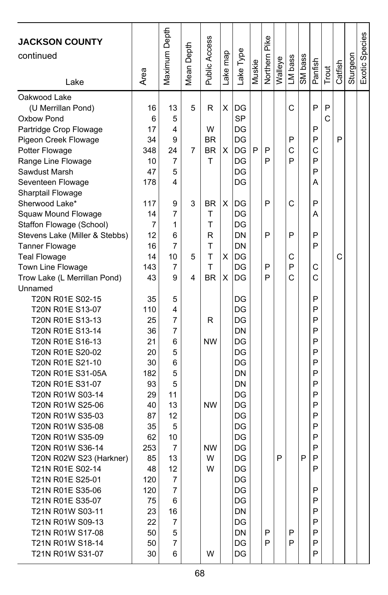| <b>JACKSON COUNTY</b><br>continued<br>Lake | Area      | Maximum Depth | Mean Depth | Public Access | ake map | ake Type  | Muskie | Pike<br>Northern | Walleye | LM bass | SM bass | Panfish | Trout | Catfish | Sturgeon | Exotic Species |
|--------------------------------------------|-----------|---------------|------------|---------------|---------|-----------|--------|------------------|---------|---------|---------|---------|-------|---------|----------|----------------|
| Oakwood Lake                               | 16        | 13            | 5          | R             | X       | DG        |        |                  |         | C       |         | P       | P     |         |          |                |
| (U Merrillan Pond)<br>Oxbow Pond           | 6         | 5             |            |               |         | <b>SP</b> |        |                  |         |         |         |         | C     |         |          |                |
| Partridge Crop Flowage                     | 17        | 4             |            | W             |         | DG        |        |                  |         |         |         | P       |       |         |          |                |
| Pigeon Creek Flowage                       | 34        | 9             |            | ΒR            |         | DG        |        |                  |         | P       |         | P       |       | P       |          |                |
| Potter Flowage                             | 348       | 24            | 7          | <b>BR</b>     | X       | DG        | P      | P                |         | С       |         | С       |       |         |          |                |
| Range Line Flowage                         | 10        | 7             |            | т             |         | DG        |        | P                |         | P       |         | P       |       |         |          |                |
| Sawdust Marsh                              | 47        | 5             |            |               |         | DG        |        |                  |         |         |         | P       |       |         |          |                |
| Seventeen Flowage                          | 178       | 4             |            |               |         | DG        |        |                  |         |         |         | Α       |       |         |          |                |
| Sharptail Flowage                          |           |               |            |               |         |           |        |                  |         |         |         |         |       |         |          |                |
| Sherwood Lake*                             | 117       | 9             | 3          | BR            | X       | DG        |        | P                |         | C       |         | P       |       |         |          |                |
| Squaw Mound Flowage                        | 14        | 7             |            | т             |         | DG        |        |                  |         |         |         | А       |       |         |          |                |
| Staffon Flowage (School)                   | 7         | 1             |            | T             |         | DG        |        |                  |         |         |         |         |       |         |          |                |
| Stevens Lake (Miller & Stebbs)             | 12        | 6             |            | R             |         | DN        |        | P                |         | P       |         | P       |       |         |          |                |
| <b>Tanner Flowage</b>                      | 16        | 7             |            | T             |         | DN        |        |                  |         |         |         | P       |       |         |          |                |
| <b>Teal Flowage</b>                        | 14        | 10            | 5          | T             | X       | DG        |        |                  |         | С       |         |         |       | C       |          |                |
| Town Line Flowage                          | 143       | 7             |            | T             |         | DG        |        | P                |         | P       |         | C       |       |         |          |                |
| Trow Lake (L Merrillan Pond)               | 43        | 9             | 4          | <b>BR</b>     | X       | DG        |        | P                |         | C       |         | С       |       |         |          |                |
| Unnamed                                    |           |               |            |               |         |           |        |                  |         |         |         |         |       |         |          |                |
| T20N R01E S02-15                           | 35        | 5             |            |               |         | DG        |        |                  |         |         |         | P       |       |         |          |                |
| T20N R01E S13-07                           | 110       | 4             |            |               |         | DG        |        |                  |         |         |         | P       |       |         |          |                |
| T20N R01E S13-13                           | 25        | 7             |            | R             |         | DG        |        |                  |         |         |         | P       |       |         |          |                |
| T20N R01E S13-14                           | 36        | 7             |            |               |         | DN        |        |                  |         |         |         | P       |       |         |          |                |
| T20N R01E S16-13                           | 21        | 6             |            | <b>NW</b>     |         | DG        |        |                  |         |         |         | P       |       |         |          |                |
| T20N R01E S20-02                           | 20        | 5             |            |               |         | DG        |        |                  |         |         |         | P       |       |         |          |                |
| T20N R01E S21-10                           | 30        | 6             |            |               |         | DG        |        |                  |         |         |         | P       |       |         |          |                |
| T20N R01E S31-05A<br>T20N R01E S31-07      | 182<br>93 | 5<br>5        |            |               |         | DN<br>DN  |        |                  |         |         |         | P<br>P  |       |         |          |                |
| T20N R01W S03-14                           | 29        | 11            |            |               |         | DG        |        |                  |         |         |         | P       |       |         |          |                |
| T20N R01W S25-06                           | 40        | 13            |            | <b>NW</b>     |         | DG        |        |                  |         |         |         | P       |       |         |          |                |
| T20N R01W S35-03                           | 87        | 12            |            |               |         | DG        |        |                  |         |         |         | P       |       |         |          |                |
| T20N R01W S35-08                           | 35        | 5             |            |               |         | DG        |        |                  |         |         |         | P       |       |         |          |                |
| T20N R01W S35-09                           | 62        | 10            |            |               |         | DG        |        |                  |         |         |         | P       |       |         |          |                |
| T20N R01W S36-14                           | 253       | 7             |            | <b>NW</b>     |         | DG        |        |                  |         |         |         | P       |       |         |          |                |
| T20N R02W S23 (Harkner)                    | 85        | 13            |            | W             |         | DG        |        |                  | P       |         | P       | P       |       |         |          |                |
| T21N R01E S02-14                           | 48        | 12            |            | W             |         | DG        |        |                  |         |         |         | P       |       |         |          |                |
| T21N R01E S25-01                           | 120       | 7             |            |               |         | DG        |        |                  |         |         |         |         |       |         |          |                |
| T21N R01E S35-06                           | 120       | 7             |            |               |         | DG        |        |                  |         |         |         | P       |       |         |          |                |
| T21N R01E S35-07                           | 75        | 6             |            |               |         | DG        |        |                  |         |         |         | P       |       |         |          |                |
| T21N R01W S03-11                           | 23        | 16            |            |               |         | DN        |        |                  |         |         |         | P       |       |         |          |                |
| T21N R01W S09-13                           | 22        | 7             |            |               |         | DG        |        |                  |         |         |         | P       |       |         |          |                |
| T21N R01W S17-08                           | 50        | 5             |            |               |         | DN        |        | P                |         | P       |         | P       |       |         |          |                |
| T21N R01W S18-14                           | 50        | 7             |            |               |         | DG        |        | P                |         | P       |         | P       |       |         |          |                |
| T21N R01W S31-07                           | 30        | 6             |            | W             |         | DG        |        |                  |         |         |         | P       |       |         |          |                |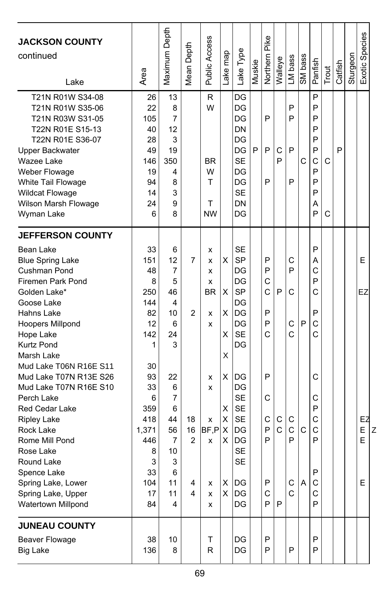| <b>JACKSON COUNTY</b><br>continued<br>Lake                                                                                                                                                                                                                                  | Area                                                                                 | Maximum Depth                                                                    | Mean Depth                           | <b>Public Access</b>                            | Lake map                        | Lake Type                                                                                               | Muskie | Pike<br>Northern                     | Walleye                  | LM bass                          | SM bass           | Panfish                                                  | Trout  | Catfish | Sturgeon | <b>Exotic Species</b>  |
|-----------------------------------------------------------------------------------------------------------------------------------------------------------------------------------------------------------------------------------------------------------------------------|--------------------------------------------------------------------------------------|----------------------------------------------------------------------------------|--------------------------------------|-------------------------------------------------|---------------------------------|---------------------------------------------------------------------------------------------------------|--------|--------------------------------------|--------------------------|----------------------------------|-------------------|----------------------------------------------------------|--------|---------|----------|------------------------|
| T21N R01W S34-08<br>T21N R01W S35-06<br>T21N R03W S31-05<br>T22N R01E S15-13<br>T22N R01E S36-07<br>Upper Backwater<br>Wazee Lake<br>Weber Flowage<br>White Tail Flowage<br><b>Wildcat Flowage</b><br>Wilson Marsh Flowage<br>Wyman Lake                                    | 26<br>22<br>105<br>40<br>28<br>49<br>146<br>19<br>94<br>14<br>24<br>6                | 13<br>8<br>7<br>12<br>3<br>19<br>350<br>4<br>8<br>3<br>9<br>8                    |                                      | R<br>W<br><b>BR</b><br>W<br>т<br>T<br><b>NW</b> |                                 | DG<br>DG<br>DG<br>DN<br>DG<br>DG<br><b>SE</b><br>DG<br>DG<br><b>SE</b><br>DN<br>DG                      | P      | P<br>P<br>P                          | C<br>P                   | P<br>P<br>P<br>P                 | C                 | P<br>P<br>P<br>P<br>P<br>P<br>C<br>P<br>P<br>P<br>Α<br>P | C<br>C | P       |          |                        |
| <b>JEFFERSON COUNTY</b><br>Bean Lake<br><b>Blue Spring Lake</b><br>Cushman Pond<br>Firemen Park Pond<br>Golden Lake*<br>Goose Lake<br>Hahns Lake<br>Hoopers Millpond<br>Hope Lake<br><b>Kurtz Pond</b><br>Marsh Lake                                                        | 33<br>151<br>48<br>8<br>250<br>144<br>82<br>12<br>142<br>1                           | 6<br>12<br>7<br>5<br>46<br>4<br>10<br>6<br>24<br>3                               | 7<br>2                               | x<br>X<br>X<br>x<br><b>BR</b><br>x<br>x         | X<br>X<br>X<br>X<br>Χ           | <b>SE</b><br><b>SP</b><br>DG<br>DG<br><b>SP</b><br>DG<br>DG<br>DG<br><b>SE</b><br>DG                    |        | P<br>P<br>C<br>Ċ<br>P<br>P<br>C      | P                        | C<br>P<br>C<br>C<br>C            | P                 | P<br>Α<br>C<br>P<br>C<br>P<br>C<br>C                     |        |         |          | E<br>EZ                |
| Mud Lake T06N R16E S11<br>Mud Lake T07N R13E S26<br>Mud Lake T07N R16E S10<br>Perch Lake<br>Red Cedar Lake<br><b>Ripley Lake</b><br>Rock Lake<br>Rome Mill Pond<br>Rose Lake<br>Round Lake<br>Spence Lake<br>Spring Lake, Lower<br>Spring Lake, Upper<br>Watertown Millpond | 30<br>93<br>33<br>6<br>359<br>418<br>1,371<br>446<br>8<br>3<br>33<br>104<br>17<br>84 | 22<br>6<br>$\overline{7}$<br>6<br>44<br>56<br>7<br>10<br>3<br>6<br>11<br>11<br>4 | 18<br>16<br>$\overline{2}$<br>4<br>4 | X<br>X<br>x<br>BF,P<br>x<br>x<br>x<br>x         | X<br>X<br>X<br>X<br>X<br>х<br>X | DG<br>DG<br><b>SE</b><br><b>SE</b><br><b>SE</b><br>DG<br>DG<br><b>SE</b><br><b>SE</b><br>DG<br>DG<br>DG |        | P<br>C<br>С<br>P<br>P<br>P<br>C<br>P | С<br>$\overline{C}$<br>P | С<br>$\mathsf{C}$<br>P<br>C<br>С | $\mathsf{C}$<br>Α | С<br>C<br>P<br>C<br>C<br>P<br>Ρ<br>C<br>C<br>P           |        |         |          | EZ<br>E<br>Z<br>E<br>E |
| <b>JUNEAU COUNTY</b><br>Beaver Flowage<br><b>Big Lake</b>                                                                                                                                                                                                                   | 38<br>136                                                                            | 10<br>8                                                                          |                                      | T<br>$\mathsf{R}$                               |                                 | DG<br>DG                                                                                                |        | P<br>P                               |                          | P                                |                   | P<br>P                                                   |        |         |          |                        |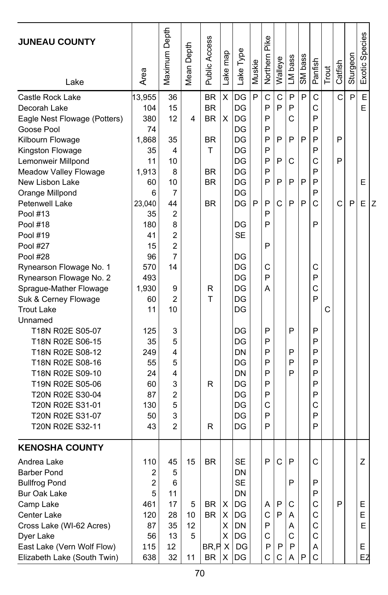| <b>JUNEAU COUNTY</b><br>Lake         | Area     | Maximum Depth  | Mean Depth | Public Access | Lake map | Lake Type | Muskie | Northern Pike | Walleye      | LM bass | SM bass | Panfish | Trout | Catfish      | Sturgeon | Exotic Species |   |
|--------------------------------------|----------|----------------|------------|---------------|----------|-----------|--------|---------------|--------------|---------|---------|---------|-------|--------------|----------|----------------|---|
| Castle Rock Lake                     | 13,955   | 36             |            | <b>BR</b>     | X        | DG        | P      | $\mathbf C$   | $\mathsf{C}$ | P       | P       | C       |       | $\mathsf{C}$ | P        | E              |   |
| Decorah Lake                         | 104      | 15             |            | <b>BR</b>     |          | DG        |        | P             | P            | P       |         | C       |       |              |          | E              |   |
| Eagle Nest Flowage (Potters)         | 380      | 12             | 4          | <b>BR</b>     | х        | DG        |        | P             |              | C       |         | P       |       |              |          |                |   |
| Goose Pool                           | 74       |                |            |               |          | DG        |        | P             |              |         |         | P       |       |              |          |                |   |
| Kilbourn Flowage                     | 1,868    | 35             |            | <b>BR</b>     |          | DG        |        | P             | P            | P       | P       | P       |       | P            |          |                |   |
| Kingston Flowage                     | 35       | 4              |            | т             |          | DG        |        | P             |              |         |         | P       |       |              |          |                |   |
| Lemonweir Millpond                   | 11       | 10             |            |               |          | DG        |        | P             | P            | С       |         | C       |       | P            |          |                |   |
| Meadow Valley Flowage                | 1,913    | 8              |            | <b>BR</b>     |          | DG        |        | P             |              |         |         | P       |       |              |          |                |   |
| New Lisbon Lake                      | 60       | 10             |            | <b>BR</b>     |          | DG        |        | P             | P            | P       | P       | P       |       |              |          | E              |   |
| Orange Millpond                      | 6        | 7              |            |               |          | DG        |        |               |              |         |         | P       |       |              |          |                |   |
| Petenwell Lake                       | 23,040   | 44             |            | <b>BR</b>     |          | DG        | P      | P             | С            | P       | P       | C       |       | C            | P        | E              | Z |
| Pool #13                             | 35       | 2              |            |               |          |           |        | P             |              |         |         |         |       |              |          |                |   |
| Pool #18                             | 180      | 8              |            |               |          | DG        |        | P             |              |         |         | P       |       |              |          |                |   |
| Pool #19                             | 41       | $\overline{2}$ |            |               |          | <b>SE</b> |        |               |              |         |         |         |       |              |          |                |   |
| <b>Pool #27</b>                      | 15       | $\overline{2}$ |            |               |          |           |        | P             |              |         |         |         |       |              |          |                |   |
| Pool #28                             | 96       | 7              |            |               |          | DG        |        |               |              |         |         |         |       |              |          |                |   |
| Rynearson Flowage No. 1              | 570      | 14             |            |               |          | DG        |        | С             |              |         |         | С       |       |              |          |                |   |
| Rynearson Flowage No. 2              | 493      |                |            |               |          | DG        |        | P             |              |         |         | P       |       |              |          |                |   |
| Sprague-Mather Flowage               | 1,930    | 9              |            | R             |          | DG        |        | А             |              |         |         | C       |       |              |          |                |   |
| Suk & Cerney Flowage                 | 60       | $\overline{2}$ |            | Т             |          | DG        |        |               |              |         |         | P       |       |              |          |                |   |
| <b>Trout Lake</b>                    | 11       | 10             |            |               |          | DG        |        |               |              |         |         |         | С     |              |          |                |   |
| Unnamed                              |          |                |            |               |          |           |        |               |              |         |         |         |       |              |          |                |   |
| T18N R02E S05-07                     | 125      | 3              |            |               |          | DG        |        | P             |              | P       |         | P       |       |              |          |                |   |
| T18N R02E S06-15                     | 35       | 5              |            |               |          | DG        |        | P             |              |         |         | P       |       |              |          |                |   |
| T18N R02E S08-12                     | 249      | 4              |            |               |          | DN        |        | P             |              | P       |         | P       |       |              |          |                |   |
| T18N R02E S08-16                     | 55       | 5              |            |               |          | DG        |        | P             |              | P<br>P  |         | P       |       |              |          |                |   |
| T18N R02E S09-10                     | 24       | 4              |            |               |          | DN        |        | P<br>P        |              |         |         | P<br>P  |       |              |          |                |   |
| T19N R02E S05-06                     | 60<br>87 | 3<br>2         |            | R             |          | DG<br>DG  |        | P             |              |         |         | P       |       |              |          |                |   |
| T20N R02E S30-04<br>T20N R02E S31-01 | 130      | 5              |            |               |          | DG        |        | C             |              |         |         | C       |       |              |          |                |   |
| T20N R02E S31-07                     | 50       | 3              |            |               |          | DG        |        | P             |              |         |         | P       |       |              |          |                |   |
| T20N R02E S32-11                     | 43       | $\overline{2}$ |            | R             |          | DG        |        | P             |              |         |         | P       |       |              |          |                |   |
|                                      |          |                |            |               |          |           |        |               |              |         |         |         |       |              |          |                |   |
| <b>KENOSHA COUNTY</b>                |          |                |            |               |          |           |        |               |              |         |         |         |       |              |          |                |   |
| Andrea Lake                          | 110      | 45             | 15         | <b>BR</b>     |          | <b>SE</b> |        | P             | C            | P       |         | C       |       |              |          | Z              |   |
| Barber Pond                          | 2        | 5              |            |               |          | DN        |        |               |              |         |         |         |       |              |          |                |   |
| <b>Bullfrog Pond</b>                 | 2        | 6              |            |               |          | SE        |        |               |              | P       |         | P       |       |              |          |                |   |
| <b>Bur Oak Lake</b>                  | 5        | 11             |            |               |          | DN        |        |               |              |         |         | P       |       |              |          |                |   |
| Camp Lake                            | 461      | 17             | 5          | BR            | х        | DG        |        | A             | P            | С       |         | С       |       | P            |          | Е              |   |
| Center Lake                          | 120      | 28             | 10         | <b>BR</b>     | X        | DG        |        | С             | P            | Α       |         | С       |       |              |          | E              |   |
| Cross Lake (WI-62 Acres)             | 87       | 35             | 12         |               | X.       | DN        |        | P             |              | Α       |         | C       |       |              |          | E              |   |
| Dyer Lake                            | 56       | 13             | 5          |               | X.       | DG        |        | C             |              | C       |         | C       |       |              |          |                |   |
| East Lake (Vern Wolf Flow)           | 115      | 12             |            | BR, P X       |          | DG        |        | P             | P            | P       |         | Α       |       |              |          | Е              |   |
| Elizabeth Lake (South Twin)          | 638      | 32             | 11         | <b>BR</b>     | X        | DG        |        | C             | С            | A       | P       | C       |       |              |          | EŻ             |   |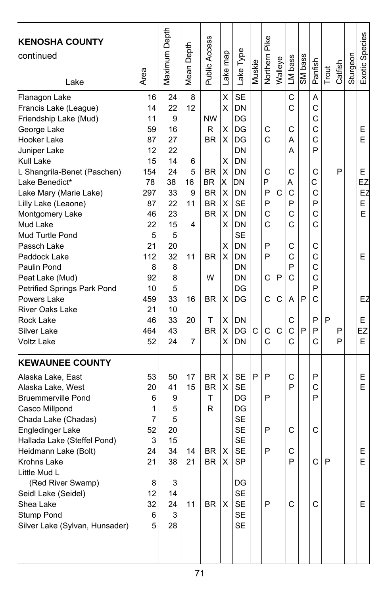| <b>KENOSHA COUNTY</b><br>continued<br>Lake                                                                                                                                                                                                                                                                                                                                                                                                                        | Area                                                                                                                                            | Maximum Depth                                                                                                                           | Depth<br>Mean <sup>1</sup>                                     | Public Access                                                                                                                           | map<br>Lake                                                                       | Lake Type                                                                                                                                                                                                    | Muskie | Pike<br>Northern                                                   | Walleye          | LM bass                                                                                     | SM bass | Panfish                                                                                               | Trout | Catfish     | Sturgeon | Exotic Species                                                |
|-------------------------------------------------------------------------------------------------------------------------------------------------------------------------------------------------------------------------------------------------------------------------------------------------------------------------------------------------------------------------------------------------------------------------------------------------------------------|-------------------------------------------------------------------------------------------------------------------------------------------------|-----------------------------------------------------------------------------------------------------------------------------------------|----------------------------------------------------------------|-----------------------------------------------------------------------------------------------------------------------------------------|-----------------------------------------------------------------------------------|--------------------------------------------------------------------------------------------------------------------------------------------------------------------------------------------------------------|--------|--------------------------------------------------------------------|------------------|---------------------------------------------------------------------------------------------|---------|-------------------------------------------------------------------------------------------------------|-------|-------------|----------|---------------------------------------------------------------|
| Flanagon Lake<br>Francis Lake (League)<br>Friendship Lake (Mud)<br>George Lake<br>Hooker Lake<br>Juniper Lake<br>Kull Lake<br>L Shangrila-Benet (Paschen)<br>Lake Benedict*<br>Lake Mary (Marie Lake)<br>Lilly Lake (Leaone)<br>Montgomery Lake<br>Mud Lake<br>Mud Turtle Pond<br>Passch Lake<br>Paddock Lake<br>Paulin Pond<br>Peat Lake (Mud)<br>Petrified Springs Park Pond<br>Powers Lake<br><b>River Oaks Lake</b><br>Rock Lake<br>Silver Lake<br>Voltz Lake | 16<br>14<br>11<br>59<br>87<br>12<br>15<br>154<br>78<br>297<br>87<br>46<br>22<br>5<br>21<br>112<br>8<br>92<br>10<br>459<br>21<br>46<br>464<br>52 | 24<br>22<br>9<br>16<br>27<br>22<br>14<br>24<br>38<br>33<br>22<br>23<br>15<br>5<br>20<br>32<br>8<br>8<br>5<br>33<br>10<br>33<br>43<br>24 | 8<br>12<br>6<br>5<br>16<br>9<br>11<br>4<br>11<br>16<br>20<br>7 | <b>NW</b><br>R<br><b>BR</b><br><b>BR</b><br>BR.<br><b>BR</b><br><b>BR</b><br><b>BR</b><br><b>BR</b><br>W<br><b>BR</b><br>т<br><b>BR</b> | X<br>X<br>х<br>X<br>х<br>X<br>X<br>X<br>X<br>X<br>X<br>X<br>X<br>х<br>х<br>X<br>х | <b>SE</b><br><b>DN</b><br>DG<br>DG<br>DG<br>DN<br><b>DN</b><br><b>DN</b><br>DN<br><b>DN</b><br><b>SE</b><br><b>DN</b><br><b>DN</b><br>SE<br>DN<br><b>DN</b><br>DN<br><b>DN</b><br>DG<br>DG<br>DN<br>DG<br>DN | C      | C<br>C<br>С<br>P<br>P<br>P<br>C<br>Ć<br>P<br>P<br>C<br>Ć<br>С<br>Ć | C<br>P<br>C<br>C | C<br>C<br>C<br>Α<br>Α<br>C<br>А<br>C<br>P<br>C<br>C<br>С<br>C<br>P<br>C<br>Α<br>С<br>C<br>C | P<br>P  | A<br>C<br>C<br>C<br>C<br>P<br>C<br>Ć<br>C<br>P<br>C<br>Ċ<br>С<br>C<br>C<br>C<br>P<br>C<br>P<br>P<br>C | P     | P<br>P<br>P |          | Ε<br>E<br>E<br>EZ<br>EZ<br>E.<br>E<br>E<br>EZ<br>Е<br>EZ<br>E |
| <b>KEWAUNEE COUNTY</b><br>Alaska Lake, East<br>Alaska Lake, West<br><b>Bruemmerville Pond</b><br>Casco Millpond<br>Chada Lake (Chadas)<br>Engledinger Lake<br>Hallada Lake (Steffel Pond)<br>Heidmann Lake (Bolt)<br>Krohns Lake<br>Little Mud L<br>(Red River Swamp)<br>Seidl Lake (Seidel)<br>Shea Lake<br>Stump Pond                                                                                                                                           | 53<br>20<br>6<br>1<br>7<br>52<br>3<br>24<br>21<br>8<br>12<br>32<br>6                                                                            | 50<br>41<br>9<br>5<br>5<br>20<br>15<br>34<br>38<br>3<br>14<br>24<br>3                                                                   | 17<br>15<br>14<br>21<br>11                                     | <b>BR</b><br><b>BR</b><br>т<br>R<br><b>BR</b><br><b>BR</b><br>BR                                                                        | X<br>X<br>X<br>X<br>Х                                                             | <b>SE</b><br><b>SE</b><br>DG<br>DG<br><b>SE</b><br><b>SE</b><br><b>SE</b><br><b>SE</b><br><b>SP</b><br>DG<br>SE<br>SE<br>SE                                                                                  | P      | P<br>P<br>P<br>P<br>P                                              |                  | С<br>P<br>С<br>С<br>P<br>С                                                                  |         | P<br>C<br>P<br>C<br>C<br>С                                                                            | P     |             |          | Ε<br>E<br>Ε<br>E<br>E.                                        |
| Silver Lake (Sylvan, Hunsader)                                                                                                                                                                                                                                                                                                                                                                                                                                    | 5                                                                                                                                               | 28                                                                                                                                      |                                                                |                                                                                                                                         |                                                                                   | SE                                                                                                                                                                                                           |        |                                                                    |                  |                                                                                             |         |                                                                                                       |       |             |          |                                                               |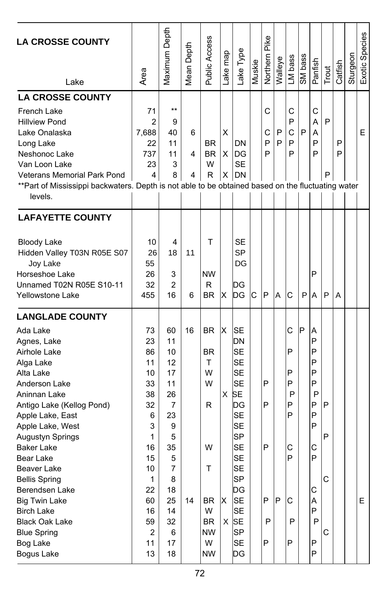| <b>LA CROSSE COUNTY</b><br>Lake                                                                                                                                                                                                                                                                                                                                                                                                               | Area                                                                                                                        | Maximum Depth                                                                                                             | Mean Depth  | Public Access                                                                                               | Lake map       | Lake Type                                                                                                                                                                                                                                      | Muskie | Pike<br>Northern           | Walleye | LM bass                                                  | SM bass | Panfish                                                                                | Trout            | Catfish | Sturgeon | Exotic Species |
|-----------------------------------------------------------------------------------------------------------------------------------------------------------------------------------------------------------------------------------------------------------------------------------------------------------------------------------------------------------------------------------------------------------------------------------------------|-----------------------------------------------------------------------------------------------------------------------------|---------------------------------------------------------------------------------------------------------------------------|-------------|-------------------------------------------------------------------------------------------------------------|----------------|------------------------------------------------------------------------------------------------------------------------------------------------------------------------------------------------------------------------------------------------|--------|----------------------------|---------|----------------------------------------------------------|---------|----------------------------------------------------------------------------------------|------------------|---------|----------|----------------|
| <b>LA CROSSE COUNTY</b><br>French Lake<br><b>Hillview Pond</b><br>Lake Onalaska<br>Long Lake<br>Neshonoc Lake<br>Van Loon Lake<br>Veterans Memorial Park Pond<br>**Part of Mississippi backwaters. Depth is not able to be obtained based on the fluctuating water<br>levels.                                                                                                                                                                 | 71<br>$\overline{2}$<br>7,688<br>22<br>737<br>23<br>4                                                                       | $***$<br>9<br>40<br>11<br>11<br>3<br>8                                                                                    | 6<br>4<br>4 | <b>BR</b><br><b>BR</b><br>W<br>R                                                                            | х<br>X         | DN<br>IDG<br><b>SE</b><br>$X$ DN                                                                                                                                                                                                               |        | C<br>С<br>P<br>P           | P<br>P  | C<br>P<br>C<br>P<br>P                                    | P       | C<br>A<br>А<br>P<br>P                                                                  | P<br>P           | P<br>P  |          | E              |
| <b>LAFAYETTE COUNTY</b><br><b>Bloody Lake</b><br>Hidden Valley T03N R05E S07<br>Joy Lake<br>Horseshoe Lake<br>Unnamed T02N R05E S10-11<br><b>Yellowstone Lake</b>                                                                                                                                                                                                                                                                             | 10<br>26<br>55<br>26<br>32<br>455                                                                                           | 4<br>18<br>3<br>$\overline{2}$<br>16                                                                                      | 11<br>6     | T<br><b>NW</b><br>R<br><b>BR</b>                                                                            | х              | <b>SE</b><br><b>SP</b><br>DG<br>DG<br>DG                                                                                                                                                                                                       | C      | P                          | A       | C                                                        | P       | P<br>A                                                                                 | P                | A       |          |                |
| <b>LANGLADE COUNTY</b><br>Ada Lake<br>Agnes, Lake<br>Airhole Lake<br>Alga Lake<br>Alta Lake<br>Anderson Lake<br>Aninnan Lake<br>Antigo Lake (Kellog Pond)<br>Apple Lake, East<br>Apple Lake, West<br>Augustyn Springs<br><b>Baker Lake</b><br>Bear Lake<br>Beaver Lake<br><b>Bellis Spring</b><br>Berendsen Lake<br><b>Big Twin Lake</b><br><b>Birch Lake</b><br><b>Black Oak Lake</b><br><b>Blue Spring</b><br><b>Bog Lake</b><br>Bogus Lake | 73<br>23<br>86<br>11<br>10<br>33<br>38<br>32<br>6<br>3<br>1<br>16<br>15<br>10<br>1<br>22<br>60<br>16<br>59<br>2<br>11<br>13 | 60<br>11<br>10<br>12<br>17<br>11<br>26<br>7<br>23<br>9<br>5<br>35<br>5<br>7<br>8<br>18<br>25<br>14<br>32<br>6<br>17<br>18 | 16<br>14    | <b>BR</b><br><b>BR</b><br>T<br>W<br>w<br>R<br>W<br>Τ<br>BR<br>W<br><b>BR</b><br><b>NW</b><br>W<br><b>NW</b> | ΙX<br>X<br>lx. | lSΕ<br>DN<br><b>SE</b><br><b>SE</b><br><b>SE</b><br><b>SE</b><br><b>SE</b><br>DG<br><b>SE</b><br>SE<br><b>SP</b><br><b>SE</b><br><b>SE</b><br><b>SE</b><br><b>SP</b><br>DG<br><b>SE</b><br><b>SE</b><br>$X$ SE<br><b>SP</b><br><b>SE</b><br>DG |        | P<br>P<br>P<br>P<br>P<br>P | lP.     | С<br>P<br>P<br>P<br>P<br>P<br>P<br>С<br>P<br>C<br>P<br>P | P       | A<br>P<br>P<br>P<br>P<br>P<br>P<br>P<br>P<br>P<br>С<br>P<br>С<br>Α<br>P<br>P<br>P<br>P | P<br>P<br>C<br>С |         |          | E.             |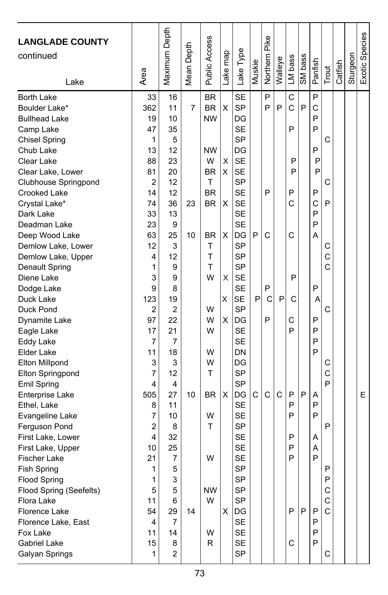| <b>LANGLADE COUNTY</b><br>continued<br>Lake                                                                                                                                                                                                                                                                                                                                                                                                                                                                                                                                                                                                                                                                                                                                                     | Area                                                                                                                                                                                                                                                             | Maximum Depth                                                                                                                                                                                                                                                  | Mean Depth                | <b>Public Access</b>                                                                                                                                                                                       | Lake map                                       | Lake Type                                                                                                                                                                                                                                                                                                                                                                                                                                                         | Muskie      | Northern Pike                        | Walleye     | LM bass                                                                                          | SM bass     | Panfish                                                                                                                                  | Trout                                                                             | Catfish | Sturgeon | Exotic Species |
|-------------------------------------------------------------------------------------------------------------------------------------------------------------------------------------------------------------------------------------------------------------------------------------------------------------------------------------------------------------------------------------------------------------------------------------------------------------------------------------------------------------------------------------------------------------------------------------------------------------------------------------------------------------------------------------------------------------------------------------------------------------------------------------------------|------------------------------------------------------------------------------------------------------------------------------------------------------------------------------------------------------------------------------------------------------------------|----------------------------------------------------------------------------------------------------------------------------------------------------------------------------------------------------------------------------------------------------------------|---------------------------|------------------------------------------------------------------------------------------------------------------------------------------------------------------------------------------------------------|------------------------------------------------|-------------------------------------------------------------------------------------------------------------------------------------------------------------------------------------------------------------------------------------------------------------------------------------------------------------------------------------------------------------------------------------------------------------------------------------------------------------------|-------------|--------------------------------------|-------------|--------------------------------------------------------------------------------------------------|-------------|------------------------------------------------------------------------------------------------------------------------------------------|-----------------------------------------------------------------------------------|---------|----------|----------------|
| Borth Lake<br>Boulder Lake*<br><b>Bullhead Lake</b><br>Camp Lake<br><b>Chisel Spring</b><br>Chub Lake<br>Clear Lake<br>Clear Lake, Lower<br>Clubhouse Springpond<br>Crooked Lake<br>Crystal Lake*<br>Dark Lake<br>Deadman Lake<br>Deep Wood Lake<br>Demlow Lake, Lower<br>Demlow Lake, Upper<br>Denault Spring<br>Diene Lake<br>Dodge Lake<br>Duck Lake<br>Duck Pond<br>Dynamite Lake<br>Eagle Lake<br>Eddy Lake<br>Elder Lake<br>Elton Millpond<br>Elton Springpond<br>Emil Spring<br>Enterprise Lake<br>Ethel, Lake<br>Evangeline Lake<br>Ferguson Pond<br>First Lake, Lower<br>First Lake, Upper<br><b>Fischer Lake</b><br>Fish Spring<br><b>Flood Spring</b><br>Flood Spring (Seefelts)<br>Flora Lake<br>Florence Lake<br>Florence Lake, East<br>Fox Lake<br>Gabriel Lake<br>Galyan Springs | 33<br>362<br>19<br>47<br>1<br>13<br>88<br>81<br>$\overline{c}$<br>14<br>74<br>33<br>23<br>63<br>12<br>4<br>1<br>3<br>9<br>123<br>2<br>97<br>17<br>7<br>11<br>3<br>7<br>4<br>505<br>8<br>7<br>2<br>4<br>10<br>21<br>1<br>1<br>5<br>11<br>54<br>4<br>11<br>15<br>1 | 16<br>11<br>10<br>35<br>5<br>12<br>23<br>20<br>12<br>12<br>36<br>13<br>9<br>25<br>3<br>12<br>9<br>9<br>8<br>19<br>2<br>22<br>21<br>7<br>18<br>3<br>12<br>4<br>27<br>11<br>10<br>8<br>32<br>25<br>7<br>5<br>3<br>5<br>6<br>29<br>7<br>14<br>8<br>$\overline{c}$ | 7<br>23<br>10<br>10<br>14 | BR<br><b>BR</b><br><b>NW</b><br><b>NW</b><br>W<br><b>BR</b><br>т<br><b>BR</b><br><b>BR</b><br>BR<br>т<br>T<br>T<br>W<br>W<br>W<br>W<br>W<br>W<br>т<br><b>BR</b><br>W<br>т<br>W<br><b>NW</b><br>W<br>W<br>R | X<br>х<br>X<br>X<br>X<br>X<br>Χ<br>X<br>х<br>X | <b>SE</b><br>SP<br>DG<br><b>SE</b><br><b>SP</b><br>DG<br><b>SE</b><br><b>SE</b><br><b>SP</b><br><b>SE</b><br><b>SE</b><br><b>SE</b><br><b>SE</b><br>DG<br><b>SP</b><br><b>SP</b><br>SP<br><b>SE</b><br>SE<br><b>SE</b><br><b>SP</b><br>DG<br><b>SE</b><br><b>SE</b><br><b>DN</b><br>DG<br><b>SP</b><br>SP<br>DG<br><b>SE</b><br><b>SE</b><br><b>SP</b><br><b>SE</b><br><b>SE</b><br><b>SE</b><br>SP<br>SP<br><b>SP</b><br>SP<br>DG<br>SE<br>SE<br>SE<br><b>SP</b> | P<br>P<br>C | P<br>P<br>P<br>C<br>P<br>С<br>P<br>Ċ | P<br>P<br>C | C<br>C<br>P<br>P<br>P<br>P<br>C<br>C<br>P<br>С<br>C<br>P<br>P<br>P<br>P<br>P<br>P<br>P<br>P<br>C | P<br>P<br>P | P<br>C<br>P<br>P<br>P<br>P<br>P<br>P<br>C<br>P<br>P<br>A<br>P<br>A<br>P<br>P<br>P<br>P<br>A<br>P<br>P<br>Α<br>A<br>P<br>P<br>P<br>P<br>P | C<br>C<br>P<br>С<br>C<br>C<br>C<br>С<br>C<br>P<br>P<br>P<br>P<br>С<br>C<br>C<br>C |         |          | E              |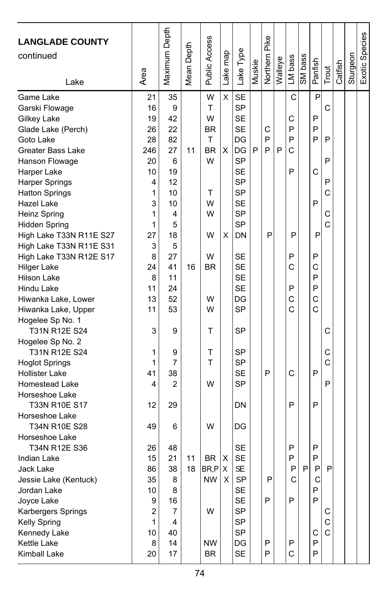| <b>LANGLADE COUNTY</b><br>continued | Area                    | Maximum Depth | Mean Depth | Public Access | Lake map | Lake Type | Muskie | Northern Pike | Walleye | LM bass      | SM bass | Panfish | Trout | Catfish | Sturgeon | Exotic Species |
|-------------------------------------|-------------------------|---------------|------------|---------------|----------|-----------|--------|---------------|---------|--------------|---------|---------|-------|---------|----------|----------------|
| Lake                                |                         |               |            |               |          |           |        |               |         |              |         |         |       |         |          |                |
| Game Lake                           | 21                      | 35            |            | W             | X        | <b>SE</b> |        |               |         | $\mathsf{C}$ |         | P       |       |         |          |                |
| Garski Flowage                      | 16                      | 9             |            | T             |          | <b>SP</b> |        |               |         |              |         |         | C     |         |          |                |
| Gilkey Lake                         | 19                      | 42            |            | W             |          | <b>SE</b> |        |               |         | С            |         | P       |       |         |          |                |
| Glade Lake (Perch)                  | 26                      | 22            |            | <b>BR</b>     |          | <b>SE</b> |        | С             |         | P            |         | P       |       |         |          |                |
| Goto Lake                           | 28                      | 82            |            | T             |          | DG        |        | P             |         | P            |         | P       | P     |         |          |                |
| Greater Bass Lake                   | 246                     | 27            | 11         | <b>BR</b>     | X        | DG        | P      | P             | P       | C            |         |         |       |         |          |                |
| Hanson Flowage                      | 20                      | 6             |            | W             |          | SP        |        |               |         |              |         |         | P     |         |          |                |
| Harper Lake                         | 10                      | 19            |            |               |          | <b>SE</b> |        |               |         | P            |         | C       |       |         |          |                |
| Harper Springs                      | 4                       | 12            |            |               |          | SP        |        |               |         |              |         |         | P     |         |          |                |
| <b>Hatton Springs</b>               | 1                       | 10            |            | т             |          | SP        |        |               |         |              |         |         | C     |         |          |                |
| Hazel Lake                          | 3                       | 10            |            | W             |          | <b>SE</b> |        |               |         |              |         | P       |       |         |          |                |
| Heinz Spring                        | 1                       | 4             |            | W             |          | SP        |        |               |         |              |         |         | С     |         |          |                |
| <b>Hidden Spring</b>                | 1                       | 5             |            |               |          | SP        |        |               |         |              |         |         | C     |         |          |                |
| High Lake T33N R11E S27             | 27                      | 18            |            | W             | X        | DN        |        | P             |         | P            |         | P       |       |         |          |                |
| High Lake T33N R11E S31             | 3                       | 5             |            |               |          |           |        |               |         |              |         |         |       |         |          |                |
| High Lake T33N R12E S17             | 8                       | 27            |            | W             |          | SE        |        |               |         | P            |         | P       |       |         |          |                |
| <b>Hilger Lake</b>                  | 24                      | 41            | 16         | <b>BR</b>     |          | <b>SE</b> |        |               |         | C            |         | C       |       |         |          |                |
| Hilson Lake                         | 8                       | 11            |            |               |          | <b>SE</b> |        |               |         |              |         | P       |       |         |          |                |
| Hindu Lake                          | 11                      | 24            |            |               |          | <b>SE</b> |        |               |         | P            |         | P       |       |         |          |                |
| Hiwanka Lake, Lower                 | 13                      | 52            |            | W             |          | DG        |        |               |         | C            |         | C       |       |         |          |                |
| Hiwanka Lake, Upper                 | 11                      | 53            |            | W             |          | <b>SP</b> |        |               |         | C            |         | Ċ       |       |         |          |                |
| Hogelee Sp No. 1                    |                         |               |            |               |          |           |        |               |         |              |         |         |       |         |          |                |
| T31N R12E S24                       | 3                       | 9             |            | T             |          | <b>SP</b> |        |               |         |              |         |         | С     |         |          |                |
| Hogelee Sp No. 2                    |                         |               |            |               |          |           |        |               |         |              |         |         |       |         |          |                |
| T31N R12E S24                       | 1                       | 9             |            | T             |          | SP        |        |               |         |              |         |         | C     |         |          |                |
| <b>Hoglot Springs</b>               | 1                       | 7             |            | T             |          | <b>SP</b> |        |               |         |              |         |         | C     |         |          |                |
| <b>Hollister Lake</b>               | 41                      | 38            |            |               |          | <b>SE</b> |        | P             |         | C            |         | P       |       |         |          |                |
| <b>Homestead Lake</b>               | 4                       | 2             |            | W             |          | SP        |        |               |         |              |         |         | P     |         |          |                |
| Horseshoe Lake                      |                         |               |            |               |          |           |        |               |         |              |         |         |       |         |          |                |
| T33N R10E S17                       | 12                      | 29            |            |               |          | DN        |        |               |         | P            |         | P       |       |         |          |                |
| Horseshoe Lake                      |                         |               |            |               |          |           |        |               |         |              |         |         |       |         |          |                |
| T34N R10E S28                       | 49                      | 6             |            | W             |          | DG        |        |               |         |              |         |         |       |         |          |                |
| Horseshoe Lake                      |                         |               |            |               |          |           |        |               |         |              |         |         |       |         |          |                |
| T34N R12E S36                       | 26                      | 48            |            |               |          | <b>SE</b> |        |               |         | P            |         | P       |       |         |          |                |
| Indian Lake                         | 15                      | 21            | 11         | <b>BR</b>     | Х        | <b>SE</b> |        |               |         | P            |         | P       |       |         |          |                |
| Jack Lake                           | 86                      | 38            | 18         | BR,P          | X        | SF        |        |               |         | P            | P       | P       | P     |         |          |                |
| Jessie Lake (Kentuck)               | 35                      | 8             |            | <b>NW</b>     | X        | SP        |        | P             |         | C            |         | C       |       |         |          |                |
| Jordan Lake                         | 10                      | 8             |            |               |          | <b>SE</b> |        |               |         |              |         | P       |       |         |          |                |
| Joyce Lake                          | 9                       | 16            |            |               |          | <b>SE</b> |        | P             |         | P            |         | P       |       |         |          |                |
| Karbergers Springs                  | $\overline{\mathbf{c}}$ | 7             |            | W             |          | SP        |        |               |         |              |         |         | С     |         |          |                |
| Kelly Spring                        | 1                       | 4             |            |               |          | SP        |        |               |         |              |         |         | С     |         |          |                |
| Kennedy Lake                        | 10                      | 40            |            |               |          | <b>SP</b> |        |               |         |              |         | С       | С     |         |          |                |
| <b>Kettle Lake</b>                  | 8                       | 14            |            | ΝW            |          | DG        |        | P             |         | $\mathsf{P}$ |         | P       |       |         |          |                |
| Kimball Lake                        | 20                      | 17            |            | BR            |          | <b>SE</b> |        | P             |         | $\mathsf C$  |         | P       |       |         |          |                |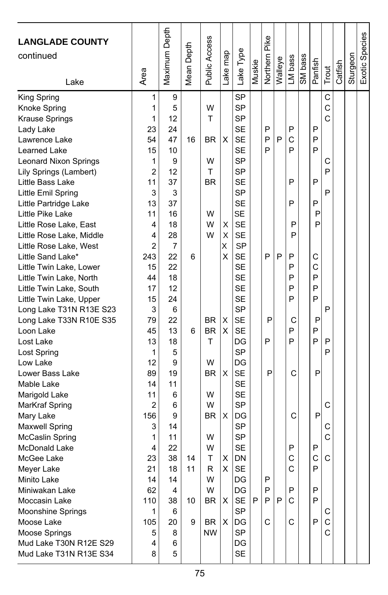| <b>LANGLADE COUNTY</b><br>continued          |                | Maximum Depth | Mean Depth | Public Access | ake map | Lake Type              | Muskie | Northern Pike | Walleye | LM bass | SM bass | Panfish |       | Catfish | Sturgeon | Exotic Species |
|----------------------------------------------|----------------|---------------|------------|---------------|---------|------------------------|--------|---------------|---------|---------|---------|---------|-------|---------|----------|----------------|
| Lake                                         | Area           |               |            |               |         |                        |        |               |         |         |         |         | Trout |         |          |                |
| King Spring                                  | 1              | 9             |            |               |         | <b>SP</b>              |        |               |         |         |         |         | C     |         |          |                |
| Knoke Spring                                 | 1              | 5             |            | W             |         | <b>SP</b>              |        |               |         |         |         |         | C     |         |          |                |
| Krause Springs                               | 1              | 12            |            | T             |         | <b>SP</b>              |        |               |         |         |         |         | C     |         |          |                |
| Lady Lake                                    | 23             | 24            |            |               |         | <b>SE</b>              |        | P             |         | P       |         | P       |       |         |          |                |
| Lawrence Lake                                | 54             | 47            | 16         | BR            | X       | <b>SE</b>              |        | P             | P       | C       |         | P       |       |         |          |                |
| Learned Lake                                 | 15             | 10            |            |               |         | <b>SE</b>              |        | P             |         | P       |         | P       |       |         |          |                |
| <b>Leonard Nixon Springs</b>                 | 1              | 9             |            | W             |         | <b>SP</b>              |        |               |         |         |         |         | С     |         |          |                |
| Lily Springs (Lambert)                       | $\overline{2}$ | 12            |            | T             |         | <b>SP</b>              |        |               |         |         |         |         | P     |         |          |                |
| Little Bass Lake                             | 11             | 37            |            | <b>BR</b>     |         | <b>SE</b>              |        |               |         | P       |         | P       |       |         |          |                |
| Little Emil Spring                           | 3              | 3             |            |               |         | <b>SP</b>              |        |               |         |         |         |         | P     |         |          |                |
| Little Partridge Lake                        | 13             | 37            |            |               |         | <b>SE</b>              |        |               |         | P       |         | P       |       |         |          |                |
| Little Pike Lake                             | 11             | 16            |            | W             |         | SE                     |        |               |         |         |         | P       |       |         |          |                |
| Little Rose Lake, East                       | 4              | 18            |            | W<br>W        | х       | <b>SE</b>              |        |               |         | P       |         | P       |       |         |          |                |
| Little Rose Lake, Middle                     | 4<br>2         | 28            |            |               | Χ<br>X  | <b>SE</b><br><b>SP</b> |        |               |         | P       |         |         |       |         |          |                |
| Little Rose Lake, West                       |                | 7             | 6          |               | Χ       | <b>SE</b>              |        | P             | P       | P       |         | C       |       |         |          |                |
| Little Sand Lake*<br>Little Twin Lake, Lower | 243<br>15      | 22<br>22      |            |               |         | <b>SE</b>              |        |               |         | P       |         | C       |       |         |          |                |
| Little Twin Lake, North                      | 44             | 18            |            |               |         | <b>SE</b>              |        |               |         | P       |         | P       |       |         |          |                |
| Little Twin Lake, South                      | 17             | 12            |            |               |         | <b>SE</b>              |        |               |         | P       |         | P       |       |         |          |                |
| Little Twin Lake, Upper                      | 15             | 24            |            |               |         | <b>SE</b>              |        |               |         | P       |         | P       |       |         |          |                |
| Long Lake T31N R13E S23                      | 3              | 6             |            |               |         | <b>SP</b>              |        |               |         |         |         |         | P     |         |          |                |
| Long Lake T33N R10E S35                      | 79             | 22            |            | BR            | X       | <b>SE</b>              |        | P             |         | С       |         | P       |       |         |          |                |
| Loon Lake                                    | 45             | 13            | 6          | <b>BR</b>     | X       | <b>SE</b>              |        |               |         | P       |         | P       |       |         |          |                |
| Lost Lake                                    | 13             | 18            |            | т             |         | DG                     |        | P             |         | P       |         | P       | P     |         |          |                |
| Lost Spring                                  | 1              | 5             |            |               |         | <b>SP</b>              |        |               |         |         |         |         | P     |         |          |                |
| Low Lake                                     | 12             | 9             |            | W             |         | DG                     |        |               |         |         |         |         |       |         |          |                |
| Lower Bass Lake                              | 89             | 19            |            | <b>BR</b>     | X       | <b>SE</b>              |        | P             |         | C       |         | P       |       |         |          |                |
| Mable Lake                                   | 14             | 11            |            |               |         | <b>SE</b>              |        |               |         |         |         |         |       |         |          |                |
| Marigold Lake                                | 11             | 6             |            | W             |         | <b>SE</b>              |        |               |         |         |         |         |       |         |          |                |
| MarKraf Spring                               | 2              | 6             |            | W             |         | <b>SP</b>              |        |               |         |         |         |         | C     |         |          |                |
| Mary Lake                                    | 156            | 9             |            | ΒR            | X       | DG                     |        |               |         | C       |         | P       |       |         |          |                |
| Maxwell Spring                               | 3              | 14            |            |               |         | SP                     |        |               |         |         |         |         | С     |         |          |                |
| McCaslin Spring                              | 1              | 11            |            | W             |         | <b>SP</b>              |        |               |         |         |         |         | C     |         |          |                |
| McDonald Lake                                | 4              | 22            |            | W             |         | <b>SE</b>              |        |               |         | P       |         | P       |       |         |          |                |
| McGee Lake                                   | 23             | 38            | 14         | T             | X       | DN                     |        |               |         | C       |         | C       | C     |         |          |                |
| Meyer Lake                                   | 21             | 18            | 11         | R             | X       | <b>SE</b>              |        |               |         | C       |         | P       |       |         |          |                |
| Minito Lake                                  | 14             | 14            |            | W             |         | DG                     |        | Ρ             |         |         |         |         |       |         |          |                |
| Miniwakan Lake                               | 62             | 4             |            | W             |         | DG                     |        | P             |         | P       |         | P       |       |         |          |                |
| Moccasin Lake                                | 110            | 38            | 10         | BR            | Χ       | SE                     | P      | P             | P       | C       |         | P       |       |         |          |                |
| Moonshine Springs                            | 1              | 6             |            |               |         | <b>SP</b>              |        |               |         |         |         |         | С     |         |          |                |
| Moose Lake                                   | 105            | 20            | 9          | BR            | X       | DG                     |        | С             |         | C       |         | P       | С     |         |          |                |
| Moose Springs                                | 5              | 8             |            | <b>NW</b>     |         | <b>SP</b>              |        |               |         |         |         |         | C     |         |          |                |
| Mud Lake T30N R12E S29                       | 4              | 6             |            |               |         | DG                     |        |               |         |         |         |         |       |         |          |                |
| Mud Lake T31N R13E S34                       | 8              | 5             |            |               |         | SE                     |        |               |         |         |         |         |       |         |          |                |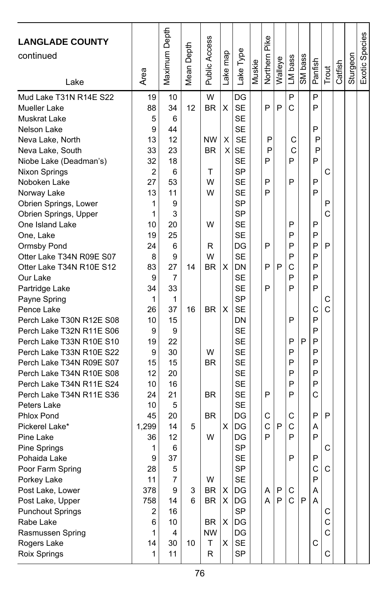| <b>LANGLADE COUNTY</b><br>continued<br>Lake | Area    | Maximum Depth | Depth<br>Mean I | Public Access | Lake map | Lake Type              | Muskie | Pike<br>Northern | Walleye | LM bass      | SM bass | Panfish | Trout  | Catfish | Sturgeon | Exotic Species |
|---------------------------------------------|---------|---------------|-----------------|---------------|----------|------------------------|--------|------------------|---------|--------------|---------|---------|--------|---------|----------|----------------|
| Mud Lake T31N R14E S22                      | 19      | 10            |                 | W             |          | DG                     |        |                  |         | P            |         | P       |        |         |          |                |
| Mueller Lake                                | 88      | 34            | 12              | <b>BR</b>     | X        | <b>SE</b>              |        | P                | P       | С            |         | P       |        |         |          |                |
| Muskrat Lake                                | 5       | 6             |                 |               |          | <b>SE</b>              |        |                  |         |              |         |         |        |         |          |                |
| Nelson Lake                                 | 9       | 44            |                 |               |          | <b>SE</b>              |        |                  |         |              |         | P       |        |         |          |                |
| Neva Lake, North                            | 13      | 12            |                 | <b>NW</b>     | X        | <b>SE</b>              |        | P                |         | С            |         | P       |        |         |          |                |
| Neva Lake, South                            | 33      | 23            |                 | <b>BR</b>     | X        | <b>SE</b>              |        | P                |         | С            |         | P       |        |         |          |                |
| Niobe Lake (Deadman's)                      | 32      | 18            |                 |               |          | <b>SE</b>              |        | P                |         | P            |         | P       |        |         |          |                |
| Nixon Springs                               | 2       | 6             |                 | Τ             |          | <b>SP</b>              |        |                  |         |              |         |         | C      |         |          |                |
| Noboken Lake                                | 27      | 53            |                 | W             |          | <b>SE</b>              |        | P                |         | P            |         | P<br>P  |        |         |          |                |
| Norway Lake                                 | 13      | 11            |                 | W             |          | <b>SE</b><br><b>SP</b> |        | P                |         |              |         |         |        |         |          |                |
| Obrien Springs, Lower                       | 1       | 9<br>3        |                 |               |          | <b>SP</b>              |        |                  |         |              |         |         | P<br>C |         |          |                |
| Obrien Springs, Upper                       | 1<br>10 | 20            |                 | W             |          | <b>SE</b>              |        |                  |         | P            |         | P       |        |         |          |                |
| One Island Lake<br>One, Lake                | 19      | 25            |                 |               |          | <b>SE</b>              |        |                  |         | P            |         | P       |        |         |          |                |
| Ormsby Pond                                 | 24      | 6             |                 | R             |          | DG                     |        | P                |         | P            |         | P       | P      |         |          |                |
| Otter Lake T34N R09E S07                    | 8       | 9             |                 | W             |          | <b>SE</b>              |        |                  |         | P            |         | P       |        |         |          |                |
| Otter Lake T34N R10E S12                    | 83      | 27            | 14              | <b>BR</b>     | X        | DN                     |        | P                | P       | C            |         | P       |        |         |          |                |
| Our Lake                                    | 9       | 7             |                 |               |          | <b>SE</b>              |        |                  |         | P            |         | P       |        |         |          |                |
| Partridge Lake                              | 34      | 33            |                 |               |          | <b>SE</b>              |        | P                |         | P            |         | P       |        |         |          |                |
| Payne Spring                                | 1       | 1             |                 |               |          | <b>SP</b>              |        |                  |         |              |         |         | С      |         |          |                |
| Pence Lake                                  | 26      | 37            | 16              | <b>BR</b>     | X        | <b>SE</b>              |        |                  |         |              |         | C       | C      |         |          |                |
| Perch Lake T30N R12E S08                    | 10      | 15            |                 |               |          | DN                     |        |                  |         | P            |         | P       |        |         |          |                |
| Perch Lake T32N R11E S06                    | 9       | 9             |                 |               |          | <b>SE</b>              |        |                  |         |              |         | P       |        |         |          |                |
| Perch Lake T33N R10E S10                    | 19      | 22            |                 |               |          | <b>SE</b>              |        |                  |         | P            | P       | P       |        |         |          |                |
| Perch Lake T33N R10E S22                    | 9       | 30            |                 | W             |          | <b>SE</b>              |        |                  |         | P            |         | P       |        |         |          |                |
| Perch Lake T34N R09E S07                    | 15      | 15            |                 | <b>BR</b>     |          | <b>SE</b>              |        |                  |         | P            |         | P       |        |         |          |                |
| Perch Lake T34N R10E S08                    | 12      | 20            |                 |               |          | <b>SE</b>              |        |                  |         | P            |         | P       |        |         |          |                |
| Perch Lake T34N R11E S24                    | 10      | 16            |                 |               |          | <b>SE</b>              |        |                  |         | P            |         | P       |        |         |          |                |
| Perch Lake T34N R11E S36                    | 24      | 21            |                 | <b>BR</b>     |          | <b>SE</b>              |        | P                |         | P            |         | C       |        |         |          |                |
| Peters Lake                                 | 10      | 5             |                 |               |          | <b>SE</b>              |        |                  |         |              |         |         |        |         |          |                |
| Phlox Pond                                  | 45      | 20            |                 | <b>BR</b>     |          | DG                     |        | C                |         | С            |         | P       | P      |         |          |                |
| Pickerel Lake*                              | 1.299   | 14            | 5               |               | х        | DG                     |        | C                | P       | С            |         | Α       |        |         |          |                |
| Pine Lake                                   | 36      | 12            |                 | W             |          | DG                     |        | P                |         | P            |         | P       |        |         |          |                |
| Pine Springs                                | 1       | 6             |                 |               |          | <b>SP</b>              |        |                  |         |              |         |         | С      |         |          |                |
| Pohaida Lake                                | 9       | 37            |                 |               |          | <b>SE</b>              |        |                  |         | P            |         | P       |        |         |          |                |
| Poor Farm Spring                            | 28      | 5             |                 |               |          | <b>SP</b>              |        |                  |         |              |         | C       | C      |         |          |                |
| Porkey Lake                                 | 11      | 7             |                 | W             |          | <b>SE</b>              |        |                  |         |              |         | P       |        |         |          |                |
| Post Lake, Lower                            | 378     | 9             | 3               | BR            | X        | DG                     |        | A                | P       | C            |         | A       |        |         |          |                |
| Post Lake, Upper                            | 758     | 14            | 6               | <b>BR</b>     | X        | DG                     |        | A                | P       | $\mathsf{C}$ | P       | A       |        |         |          |                |
| <b>Punchout Springs</b>                     | 2       | 16            |                 |               |          | <b>SP</b>              |        |                  |         |              |         |         | С      |         |          |                |
| Rabe Lake                                   | 6       | 10            |                 | BR.           | х        | DG                     |        |                  |         |              |         |         | C      |         |          |                |
| Rasmussen Spring                            | 1       | 4             |                 | <b>NW</b>     |          | DG                     |        |                  |         |              |         |         | C      |         |          |                |
| Rogers Lake                                 | 14      | 30            | 10              | т             | X        | <b>SE</b>              |        |                  |         |              |         | С       |        |         |          |                |
| Roix Springs                                | 1       | 11            |                 | R             |          | <b>SP</b>              |        |                  |         |              |         |         | C      |         |          |                |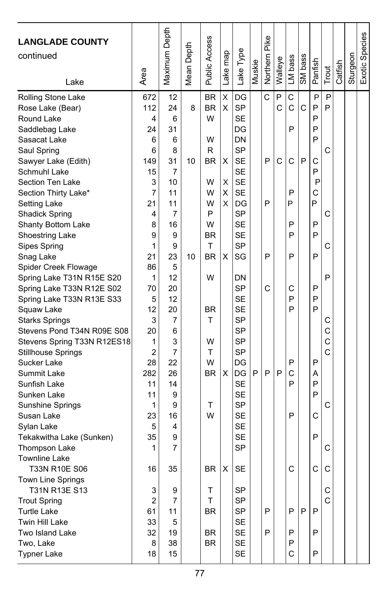| <b>LANGLADE COUNTY</b><br>continued<br>Lake                                                                                                                                                                                                                                                                                                                                                                                                                                                                                                                                                                                                                                                                                                                       | Area                                                                                                                                                                                                           | Maximum Depth                                                                                                                                                                                 | Mean Depth    | <b>Public Access</b>                                                                                                                                     | ake map                                   | Lake Type                                                                                                                                                                                                                                                                                                                                                                 | Muskie | Northern Pike              | Walleye                     | LM bass                                                                            | SM bass | Panfish                                                                                                          | Trout                                                         | Catfish | Sturgeon | Exotic Species |
|-------------------------------------------------------------------------------------------------------------------------------------------------------------------------------------------------------------------------------------------------------------------------------------------------------------------------------------------------------------------------------------------------------------------------------------------------------------------------------------------------------------------------------------------------------------------------------------------------------------------------------------------------------------------------------------------------------------------------------------------------------------------|----------------------------------------------------------------------------------------------------------------------------------------------------------------------------------------------------------------|-----------------------------------------------------------------------------------------------------------------------------------------------------------------------------------------------|---------------|----------------------------------------------------------------------------------------------------------------------------------------------------------|-------------------------------------------|---------------------------------------------------------------------------------------------------------------------------------------------------------------------------------------------------------------------------------------------------------------------------------------------------------------------------------------------------------------------------|--------|----------------------------|-----------------------------|------------------------------------------------------------------------------------|---------|------------------------------------------------------------------------------------------------------------------|---------------------------------------------------------------|---------|----------|----------------|
| Rolling Stone Lake<br>Rose Lake (Bear)<br>Round Lake<br>Saddlebag Lake<br>Sasacat Lake<br>Saul Spring<br>Sawyer Lake (Edith)<br>Schmuhl Lake<br>Section Ten Lake<br>Section Thirty Lake*<br>Setting Lake<br>Shadick Spring<br>Shanty Bottom Lake<br>Shoestring Lake<br>Sipes Spring<br>Snag Lake<br>Spider Creek Flowage<br>Spring Lake T31N R15E S20<br>Spring Lake T33N R12E S02<br>Spring Lake T33N R13E S33<br>Squaw Lake<br><b>Starks Springs</b><br>Stevens Pond T34N R09E S08<br>Stevens Spring T33N R12ES18<br>Stillhouse Springs<br>Sucker Lake<br>Summit Lake<br>Sunfish Lake<br>Sunken Lake<br>Sunshine Springs<br>Susan Lake<br>Sylan Lake<br>Tekakwitha Lake (Sunken)<br>Thompson Lake<br><b>Townline Lake</b><br>T33N R10E S06<br>Town Line Springs | 672<br>112<br>4<br>24<br>6<br>6<br>149<br>15<br>3<br>7<br>21<br>4<br>8<br>9<br>1<br>21<br>86<br>1<br>70<br>5<br>12<br>3<br>20<br>1<br>$\overline{2}$<br>28<br>282<br>11<br>11<br>1<br>23<br>5<br>35<br>1<br>16 | 12<br>24<br>6<br>31<br>6<br>8<br>31<br>7<br>10<br>11<br>11<br>7<br>16<br>9<br>9<br>23<br>5<br>12<br>20<br>12<br>20<br>7<br>6<br>3<br>7<br>22<br>26<br>14<br>9<br>9<br>16<br>4<br>9<br>7<br>35 | 8<br>10<br>10 | BR<br><b>BR</b><br>W<br>W<br>R<br>BR<br>W<br>W<br>W<br>P<br>W<br>ΒR<br>T<br>BR<br>W<br><b>BR</b><br>T<br>W<br>т<br>W<br><b>BR</b><br>т<br>W<br><b>BR</b> | Χ<br>X<br>х<br>X<br>Χ<br>X<br>х<br>Χ<br>x | DG<br><b>SP</b><br><b>SE</b><br>DG<br>DN<br><b>SP</b><br><b>SE</b><br><b>SE</b><br><b>SE</b><br><b>SE</b><br>DG<br><b>SP</b><br><b>SE</b><br><b>SE</b><br><b>SP</b><br>SG<br>DN<br><b>SP</b><br><b>SE</b><br><b>SE</b><br><b>SP</b><br>SP<br>SP<br>SP<br>DG<br>DG<br><b>SE</b><br><b>SE</b><br><b>SP</b><br><b>SE</b><br><b>SE</b><br><b>SE</b><br><b>SP</b><br><b>SE</b> | P      | C<br>P<br>P<br>P<br>C<br>P | P<br>C<br>$\mathsf{C}$<br>P | C<br>C<br>P<br>C<br>P<br>P<br>P<br>P<br>P<br>С<br>P<br>P<br>P<br>C<br>P<br>P<br>C. | C<br>P  | P<br>P<br>P<br>P<br>P<br>С<br>P<br>P<br>C<br>P<br>P<br>P<br>P<br>P<br>P<br>P<br>P<br>Α<br>P<br>P<br>C<br>P<br>C. | P<br>P<br>C<br>С<br>С<br>P<br>С<br>C<br>C<br>Ċ<br>C<br>С<br>C |         |          |                |
| T31N R13E S13<br><b>Trout Spring</b><br><b>Turtle Lake</b><br>Twin Hill Lake<br>Two Island Lake<br>Two, Lake<br><b>Typner Lake</b>                                                                                                                                                                                                                                                                                                                                                                                                                                                                                                                                                                                                                                | 3<br>2<br>61<br>33<br>32<br>8<br>18                                                                                                                                                                            | 9<br>7<br>11<br>5<br>19<br>38<br>15                                                                                                                                                           |               | Τ<br>T<br><b>BR</b><br><b>BR</b><br>BR.                                                                                                                  |                                           | <b>SP</b><br>SP<br><b>SP</b><br><b>SE</b><br>SE<br>SE<br>SE                                                                                                                                                                                                                                                                                                               |        | P<br>P                     |                             | P<br>P<br>P<br>C                                                                   | P       | P<br>P<br>P                                                                                                      | С<br>C                                                        |         |          |                |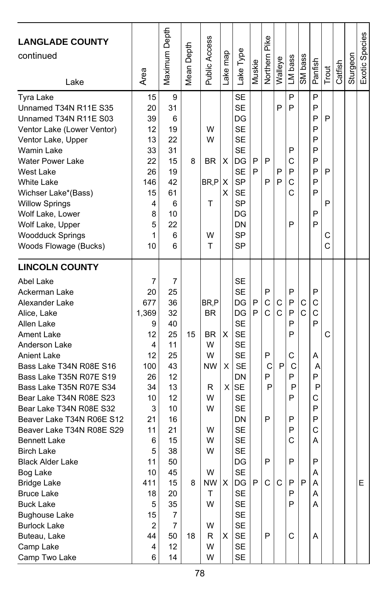| <b>LANGLADE COUNTY</b><br>continued<br>Lake                                                                                                                                                                                                                                                                                                                                                                                                                                                                                                                                                                    | Area                                                                                                                                                                    | Maximum Depth                                                                                                                                                            | Mean Depth    | Public Access                                                                                                                | Lake map         | Lake Type                                                                                                                                                                                                                                              | Muskie      | Pike<br>Northern                                    | Walleye          | LM bass                                                                                | SM bass                | Panfish                                                                                     | Trout                 | Catfish | Sturgeon | Exotic Species |
|----------------------------------------------------------------------------------------------------------------------------------------------------------------------------------------------------------------------------------------------------------------------------------------------------------------------------------------------------------------------------------------------------------------------------------------------------------------------------------------------------------------------------------------------------------------------------------------------------------------|-------------------------------------------------------------------------------------------------------------------------------------------------------------------------|--------------------------------------------------------------------------------------------------------------------------------------------------------------------------|---------------|------------------------------------------------------------------------------------------------------------------------------|------------------|--------------------------------------------------------------------------------------------------------------------------------------------------------------------------------------------------------------------------------------------------------|-------------|-----------------------------------------------------|------------------|----------------------------------------------------------------------------------------|------------------------|---------------------------------------------------------------------------------------------|-----------------------|---------|----------|----------------|
| <b>Tyra Lake</b><br>Unnamed T34N R11E S35<br>Unnamed T34N R11E S03<br>Ventor Lake (Lower Ventor)<br>Ventor Lake, Upper<br>Wamin Lake<br><b>Water Power Lake</b><br>West Lake<br><b>White Lake</b><br>Wichser Lake*(Bass)<br><b>Willow Springs</b><br>Wolf Lake, Lower<br>Wolf Lake, Upper<br><b>Woodduck Springs</b><br>Woods Flowage (Bucks)                                                                                                                                                                                                                                                                  | 15<br>20<br>39<br>12<br>13<br>33<br>22<br>26<br>146<br>15<br>4<br>8<br>5<br>1<br>10                                                                                     | 9<br>31<br>6<br>19<br>22<br>31<br>15<br>19<br>42<br>61<br>6<br>10<br>22<br>6<br>6                                                                                        | 8             | W<br>W<br>BR<br>BR,P<br>т<br>w<br>т                                                                                          | X<br>X<br>X      | <b>SE</b><br><b>SE</b><br>DG<br><b>SE</b><br><b>SE</b><br><b>SE</b><br>DG<br><b>SE</b><br><b>SP</b><br><b>SE</b><br><b>SP</b><br>DG<br>DN<br><b>SP</b><br><b>SP</b>                                                                                    | P<br>P      | P<br>P                                              | P<br>P<br>P      | P<br>P<br>P<br>С<br>P<br>C<br>C<br>P                                                   |                        | P<br>P<br>P<br>P<br>P<br>P<br>P<br>P<br>P<br>P<br>P<br>P                                    | P<br>P<br>P<br>С<br>Ċ |         |          |                |
| <b>LINCOLN COUNTY</b><br>Abel Lake<br>Ackerman Lake<br>Alexander Lake<br>Alice, Lake<br>Allen Lake<br><b>Ament Lake</b><br>Anderson Lake<br><b>Anient Lake</b><br>Bass Lake T34N R08E S16<br>Bass Lake T35N R07E S19<br>Bass Lake T35N R07E S34<br>Bear Lake T34N R08E S23<br>Bear Lake T34N R08E S32<br>Beaver Lake T34N R06E S12<br>Beaver Lake T34N R08E S29<br><b>Bennett Lake</b><br><b>Birch Lake</b><br><b>Black Alder Lake</b><br>Bog Lake<br><b>Bridge Lake</b><br><b>Bruce Lake</b><br><b>Buck Lake</b><br><b>Bughouse Lake</b><br><b>Burlock Lake</b><br>Buteau, Lake<br>Camp Lake<br>Camp Two Lake | 7<br>20<br>677<br>1,369<br>9<br>12<br>4<br>12<br>100<br>26<br>34<br>10<br>3<br>21<br>11<br>6<br>5<br>11<br>10<br>411<br>18<br>5<br>15<br>$\overline{2}$<br>44<br>4<br>6 | 7<br>25<br>36<br>32<br>40<br>25<br>11<br>25<br>43<br>12<br>13<br>12<br>10<br>16<br>21<br>15<br>38<br>50<br>45<br>15<br>20<br>35<br>7<br>$\overline{7}$<br>50<br>12<br>14 | 15<br>8<br>18 | BR.P<br><b>BR</b><br><b>BR</b><br>W<br>W<br><b>NW</b><br>R<br>W<br>W<br>W<br>W<br>W<br>W<br>NW<br>T<br>W<br>W<br>R<br>W<br>W | X<br>X<br>Χ<br>X | <b>SE</b><br><b>SE</b><br>DG<br>DG<br><b>SE</b><br><b>SE</b><br><b>SE</b><br><b>SE</b><br><b>SE</b><br>DN<br>$X$ SE<br><b>SE</b><br><b>SE</b><br>DN<br><b>SE</b><br><b>SE</b><br><b>SE</b><br>DG<br>SE<br>DG<br>SE<br>SE<br>SE<br>SE<br>SE<br>SE<br>SE | P<br>P<br>P | P<br>C<br>C<br>P<br>C<br>P<br>P<br>P<br>P<br>C<br>P | С<br>C<br>P<br>C | P<br>P<br>P<br>P<br>P<br>C<br>С<br>P<br>P<br>P<br>P<br>P<br>C<br>P<br>P<br>P<br>P<br>C | С<br>$\mathsf{C}$<br>P | P<br>C<br>Ċ<br>P<br>А<br>A<br>P<br>P<br>С<br>P<br>P<br>Ċ<br>A<br>P<br>A<br>Α<br>A<br>Α<br>Α | C                     |         |          | Е              |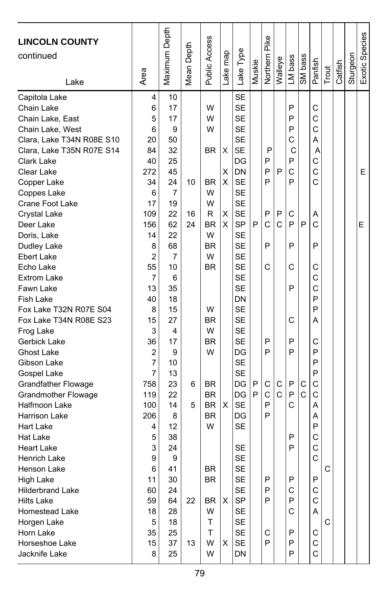| <b>LINCOLN COUNTY</b><br>continued                                                                                                                                                                                                                                                                                                                                                                                                                                                                                                                                                                                                                                                                                            |                                                                                                                                                                                                                                                                                   | Maximum Depth                                                                                                                                                                                                            | Mean Depth               | <b>Public Access</b>                                                                                                                                                                                         |                                        | Lake Type                                                                                                                                                                                                                                                                                                                                                                                                                      |                       | Northern Pike                                                                |                                  |                                                                                                                            |                                  |                                                                                                                                                                                          |            |         |          | Exotic Species |
|-------------------------------------------------------------------------------------------------------------------------------------------------------------------------------------------------------------------------------------------------------------------------------------------------------------------------------------------------------------------------------------------------------------------------------------------------------------------------------------------------------------------------------------------------------------------------------------------------------------------------------------------------------------------------------------------------------------------------------|-----------------------------------------------------------------------------------------------------------------------------------------------------------------------------------------------------------------------------------------------------------------------------------|--------------------------------------------------------------------------------------------------------------------------------------------------------------------------------------------------------------------------|--------------------------|--------------------------------------------------------------------------------------------------------------------------------------------------------------------------------------------------------------|----------------------------------------|--------------------------------------------------------------------------------------------------------------------------------------------------------------------------------------------------------------------------------------------------------------------------------------------------------------------------------------------------------------------------------------------------------------------------------|-----------------------|------------------------------------------------------------------------------|----------------------------------|----------------------------------------------------------------------------------------------------------------------------|----------------------------------|------------------------------------------------------------------------------------------------------------------------------------------------------------------------------------------|------------|---------|----------|----------------|
|                                                                                                                                                                                                                                                                                                                                                                                                                                                                                                                                                                                                                                                                                                                               |                                                                                                                                                                                                                                                                                   |                                                                                                                                                                                                                          |                          |                                                                                                                                                                                                              |                                        |                                                                                                                                                                                                                                                                                                                                                                                                                                |                       |                                                                              |                                  |                                                                                                                            |                                  |                                                                                                                                                                                          |            |         |          |                |
| Lake<br>Capitola Lake<br>Chain Lake<br>Chain Lake, East<br>Chain Lake, West<br>Clara, Lake T34N R08E S10<br>Clara, Lake T35N R07E S14<br>Clark Lake<br>Clear Lake<br>Copper Lake<br>Coppes Lake<br>Crane Foot Lake<br>Crystal Lake<br>Deer Lake<br>Doris, Lake<br>Dudley Lake<br><b>Ebert Lake</b><br>Echo Lake<br><b>Extrom Lake</b><br>Fawn Lake<br>Fish Lake<br>Fox Lake T32N R07E S04<br>Fox Lake T34N R08E S23<br>Frog Lake<br>Gerbick Lake<br>Ghost Lake<br>Gibson Lake<br>Gospel Lake<br><b>Grandfather Flowage</b><br><b>Grandmother Flowage</b><br>Halfmoon Lake<br><b>Harrison Lake</b><br>Hart Lake<br>Hat Lake<br><b>Heart Lake</b><br><b>Henrich Lake</b><br>Henson Lake<br>High Lake<br><b>Hilderbrand Lake</b> | Area<br>4<br>6<br>5<br>6<br>20<br>84<br>40<br>272<br>34<br>6<br>17<br>109<br>156<br>14<br>8<br>$\overline{2}$<br>55<br>$\overline{7}$<br>13<br>40<br>8<br>15<br>3<br>36<br>$\overline{2}$<br>$\overline{7}$<br>7<br>758<br>119<br>100<br>206<br>4<br>5<br>3<br>9<br>6<br>11<br>60 | 10<br>17<br>17<br>9<br>50<br>32<br>25<br>45<br>24<br>7<br>19<br>22<br>62<br>22<br>68<br>7<br>10<br>6<br>35<br>18<br>15<br>27<br>4<br>17<br>9<br>10<br>13<br>23<br>22<br>14<br>8<br>12<br>38<br>24<br>9<br>41<br>30<br>24 | 10<br>16<br>24<br>6<br>5 | W<br>W<br>W<br><b>BR</b><br><b>BR</b><br>W<br>W<br>R<br><b>BR</b><br>W<br>BR<br>W<br><b>BR</b><br>W<br><b>BR</b><br>W<br><b>BR</b><br>W<br>BR<br><b>BR</b><br><b>BR</b><br><b>BR</b><br>W<br><b>BR</b><br>BR | Lake map<br>х<br>X<br>X<br>Χ<br>X<br>X | <b>SE</b><br><b>SE</b><br><b>SE</b><br><b>SE</b><br><b>SE</b><br><b>SE</b><br>DG<br>DN<br><b>SE</b><br><b>SE</b><br><b>SE</b><br><b>SE</b><br><b>SP</b><br><b>SE</b><br><b>SE</b><br><b>SE</b><br><b>SE</b><br><b>SE</b><br><b>SE</b><br>DN<br><b>SE</b><br><b>SE</b><br><b>SE</b><br><b>SE</b><br>DG<br><b>SE</b><br><b>SE</b><br>DG<br>DG<br><b>SE</b><br>DG<br>SЕ<br>SE<br><b>SE</b><br><b>SE</b><br><b>SE</b><br><b>SE</b> | Muskie<br>P<br>P<br>P | P<br>P<br>P<br>P<br>P<br>C<br>P<br>C<br>P<br>P<br>С<br>C<br>P<br>P<br>P<br>P | Walleye<br>P<br>P<br>C<br>С<br>C | LM bass<br>P<br>P<br>P<br>C<br>C<br>P<br>C<br>P<br>C<br>P<br>P<br>C<br>P<br>С<br>P<br>P<br>P<br>P<br>C<br>P<br>P<br>Ρ<br>С | SM bass<br>P<br>C<br>$\mathbf C$ | Panfish<br>C<br>C<br>$\mathsf{C}$<br>A<br>Α<br>C<br>C<br>Ċ<br>Α<br>C<br>P<br>C<br>C<br>C<br>P<br>P<br>Α<br>С<br>P<br>P<br>P<br>C<br>C<br>A<br>Α<br>P<br>C<br>$\mathsf{C}$<br>C<br>Ρ<br>С | Trout<br>C | Catfish | Sturgeon | E<br>E         |
| Hilts Lake<br>Homestead Lake<br>Horgen Lake                                                                                                                                                                                                                                                                                                                                                                                                                                                                                                                                                                                                                                                                                   | 59<br>18<br>5                                                                                                                                                                                                                                                                     | 64<br>28<br>18                                                                                                                                                                                                           | 22                       | BR<br>W<br>т                                                                                                                                                                                                 | X                                      | SP<br>SE<br>SE                                                                                                                                                                                                                                                                                                                                                                                                                 |                       | P                                                                            |                                  | P<br>C                                                                                                                     |                                  | $\mathsf{C}$<br>A                                                                                                                                                                        | C          |         |          |                |
| Horn Lake<br>Horseshoe Lake<br>Jacknife Lake                                                                                                                                                                                                                                                                                                                                                                                                                                                                                                                                                                                                                                                                                  | 35<br>15<br>8                                                                                                                                                                                                                                                                     | 25<br>37<br>25                                                                                                                                                                                                           | 13                       | T<br>W<br>W                                                                                                                                                                                                  | х                                      | <b>SE</b><br><b>SE</b><br>DN                                                                                                                                                                                                                                                                                                                                                                                                   |                       | C<br>P                                                                       |                                  | P<br>P<br>P                                                                                                                |                                  | С<br>$\mathsf C$<br>C                                                                                                                                                                    |            |         |          |                |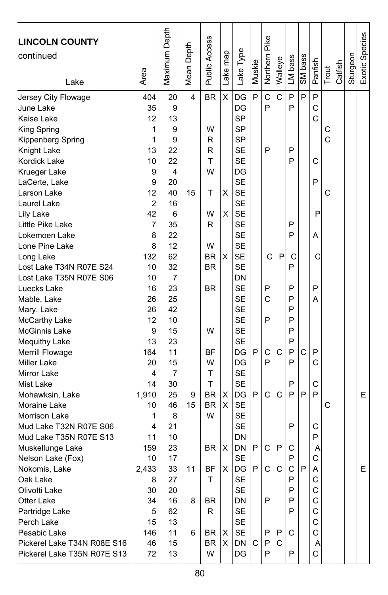| X<br>P<br>C<br>C<br>P<br>P<br>P<br>20<br><b>BR</b><br>DG<br>Jersey City Flowage<br>404<br>4<br>P<br>35<br>9<br>DG<br>P<br>C<br>June Lake<br><b>SP</b><br>C<br>13<br>Kaise Lake<br>12<br><b>SP</b><br>1<br>9<br>W<br>C<br>King Spring<br><b>SP</b><br>9<br>C<br>Kippenberg Spring<br>1<br>R<br>13<br>R<br><b>SE</b><br>P<br>P<br>Knight Lake<br>22<br>T<br><b>SE</b><br>P<br>Kordick Lake<br>10<br>22<br>С<br>W<br>9<br>4<br>DG<br>Krueger Lake<br><b>SE</b><br>9<br>P<br>LaCerte, Lake<br>20<br>40<br><b>SE</b><br>C<br>Larson Lake<br>12<br>15<br>Т<br>X<br>$\overline{c}$<br><b>SE</b><br>Laurel Lake<br>16<br>42<br>X<br><b>SE</b><br>P<br>Lily Lake<br>6<br>W<br>$\overline{7}$<br>R<br><b>SE</b><br>P<br>Little Pike Lake<br>35<br>8<br>22<br><b>SE</b><br>P<br>Lokemoen Lake<br>А<br>8<br>W<br><b>SE</b><br>Lone Pine Lake<br>12<br><b>SE</b><br>132<br>62<br><b>BR</b><br>X<br>C<br>P<br>C<br>С<br>Long Lake<br><b>SE</b><br>Lost Lake T34N R07E S24<br>32<br><b>BR</b><br>P<br>10<br>Lost Lake T35N R07E S06<br>DN<br>10<br>7<br><b>SE</b><br>P<br>P<br>P<br>Luecks Lake<br>16<br>23<br>BR<br>25<br><b>SE</b><br>C<br>P<br>26<br>Α<br>Mable, Lake<br><b>SE</b><br>P<br>Mary, Lake<br>26<br>42<br>P<br>P<br>12<br><b>SE</b><br>McCarthy Lake<br>10<br><b>SE</b><br>McGinnis Lake<br>9<br>15<br>W<br>P<br>23<br><b>SE</b><br>P<br>Mequithy Lake<br>13<br>P<br>$\mathsf{C}$<br>C<br>11<br>C<br>P<br>Merrill Flowage<br>164<br>ΒF<br>DG<br>P<br>C<br>15<br>W<br>DG<br>P<br>P<br><b>Miller Lake</b><br>20<br>Τ<br><b>SE</b><br>Mirror Lake<br>4<br>7<br>Τ<br><b>SE</b><br>C<br>Mist Lake<br>14<br>30<br>P<br>P<br>25<br><b>BR</b><br>DG<br>P<br>C<br>C<br>P<br>P<br>E<br>Mohawksin, Lake<br>1,910<br>9<br>х<br><b>BR</b><br>X<br><b>SE</b><br>C<br>Moraine Lake<br>10<br>46<br>15<br>W<br><b>SE</b><br>1<br>8<br>Morrison Lake<br><b>SE</b><br>P<br>Mud Lake T32N R07E S06<br>21<br>С<br>4<br>DN<br>P<br>Mud Lake T35N R07E S13<br>11<br>10<br>23<br>DN<br>P<br>C<br>P<br>C<br>159<br><b>BR</b><br>X<br>Muskellunge Lake<br>Α<br>Ċ<br>17<br><b>SE</b><br>P<br>Nelson Lake (Fox)<br>10<br>$\mathsf{C}$<br>$\mathsf{C}$<br>P<br>2.433<br>33<br><b>BF</b><br>X<br>DG<br>P.<br>C<br>A<br>E<br>11<br>Nokomis, Lake<br>Τ<br><b>SE</b><br>Ρ<br>Oak Lake<br>8<br>27<br>С<br><b>SE</b><br>C<br>Olivotti Lake<br>30<br>20<br>P<br>16<br>P<br>P<br>C<br>Otter Lake<br>34<br>BR<br>DN<br>8<br><b>SE</b><br>C<br>5<br>62<br>R<br>P<br>Partridge Lake<br>SE<br>C<br>Perch Lake<br>13<br>15<br>C<br>SE<br>Pesabic Lake<br>146<br>11<br>BR<br>Ρ<br>P<br>С<br>6<br>Х<br>Pickerel Lake T34N R08E S16<br>46<br>15<br>BR<br>X<br>DN<br>P<br>С<br>C<br>Α<br>C<br>W<br>DG<br>P<br>P<br>Pickerel Lake T35N R07E S13<br>72<br>13 | <b>LINCOLN COUNTY</b><br>continued<br>Lake | Area | Maximum Depth | Mean Depth | Public Access | Lake map | Lake Type | Muskie | Northern Pike | Walleye | LM bass | SM bass | Panfish | Trout | Catfish | Sturgeon | Exotic Species |
|-------------------------------------------------------------------------------------------------------------------------------------------------------------------------------------------------------------------------------------------------------------------------------------------------------------------------------------------------------------------------------------------------------------------------------------------------------------------------------------------------------------------------------------------------------------------------------------------------------------------------------------------------------------------------------------------------------------------------------------------------------------------------------------------------------------------------------------------------------------------------------------------------------------------------------------------------------------------------------------------------------------------------------------------------------------------------------------------------------------------------------------------------------------------------------------------------------------------------------------------------------------------------------------------------------------------------------------------------------------------------------------------------------------------------------------------------------------------------------------------------------------------------------------------------------------------------------------------------------------------------------------------------------------------------------------------------------------------------------------------------------------------------------------------------------------------------------------------------------------------------------------------------------------------------------------------------------------------------------------------------------------------------------------------------------------------------------------------------------------------------------------------------------------------------------------------------------------------------------------------------------------------------------------------------------------------------------------------------------------------------------------------------------------------------------------------------------------------------------------------------------------------------------------------------------------------------------------------------------------------------------------------------------------------------------------------------------------|--------------------------------------------|------|---------------|------------|---------------|----------|-----------|--------|---------------|---------|---------|---------|---------|-------|---------|----------|----------------|
|                                                                                                                                                                                                                                                                                                                                                                                                                                                                                                                                                                                                                                                                                                                                                                                                                                                                                                                                                                                                                                                                                                                                                                                                                                                                                                                                                                                                                                                                                                                                                                                                                                                                                                                                                                                                                                                                                                                                                                                                                                                                                                                                                                                                                                                                                                                                                                                                                                                                                                                                                                                                                                                                                                             |                                            |      |               |            |               |          |           |        |               |         |         |         |         |       |         |          |                |
|                                                                                                                                                                                                                                                                                                                                                                                                                                                                                                                                                                                                                                                                                                                                                                                                                                                                                                                                                                                                                                                                                                                                                                                                                                                                                                                                                                                                                                                                                                                                                                                                                                                                                                                                                                                                                                                                                                                                                                                                                                                                                                                                                                                                                                                                                                                                                                                                                                                                                                                                                                                                                                                                                                             |                                            |      |               |            |               |          |           |        |               |         |         |         |         |       |         |          |                |
|                                                                                                                                                                                                                                                                                                                                                                                                                                                                                                                                                                                                                                                                                                                                                                                                                                                                                                                                                                                                                                                                                                                                                                                                                                                                                                                                                                                                                                                                                                                                                                                                                                                                                                                                                                                                                                                                                                                                                                                                                                                                                                                                                                                                                                                                                                                                                                                                                                                                                                                                                                                                                                                                                                             |                                            |      |               |            |               |          |           |        |               |         |         |         |         |       |         |          |                |
|                                                                                                                                                                                                                                                                                                                                                                                                                                                                                                                                                                                                                                                                                                                                                                                                                                                                                                                                                                                                                                                                                                                                                                                                                                                                                                                                                                                                                                                                                                                                                                                                                                                                                                                                                                                                                                                                                                                                                                                                                                                                                                                                                                                                                                                                                                                                                                                                                                                                                                                                                                                                                                                                                                             |                                            |      |               |            |               |          |           |        |               |         |         |         |         |       |         |          |                |
|                                                                                                                                                                                                                                                                                                                                                                                                                                                                                                                                                                                                                                                                                                                                                                                                                                                                                                                                                                                                                                                                                                                                                                                                                                                                                                                                                                                                                                                                                                                                                                                                                                                                                                                                                                                                                                                                                                                                                                                                                                                                                                                                                                                                                                                                                                                                                                                                                                                                                                                                                                                                                                                                                                             |                                            |      |               |            |               |          |           |        |               |         |         |         |         |       |         |          |                |
|                                                                                                                                                                                                                                                                                                                                                                                                                                                                                                                                                                                                                                                                                                                                                                                                                                                                                                                                                                                                                                                                                                                                                                                                                                                                                                                                                                                                                                                                                                                                                                                                                                                                                                                                                                                                                                                                                                                                                                                                                                                                                                                                                                                                                                                                                                                                                                                                                                                                                                                                                                                                                                                                                                             |                                            |      |               |            |               |          |           |        |               |         |         |         |         |       |         |          |                |
|                                                                                                                                                                                                                                                                                                                                                                                                                                                                                                                                                                                                                                                                                                                                                                                                                                                                                                                                                                                                                                                                                                                                                                                                                                                                                                                                                                                                                                                                                                                                                                                                                                                                                                                                                                                                                                                                                                                                                                                                                                                                                                                                                                                                                                                                                                                                                                                                                                                                                                                                                                                                                                                                                                             |                                            |      |               |            |               |          |           |        |               |         |         |         |         |       |         |          |                |
|                                                                                                                                                                                                                                                                                                                                                                                                                                                                                                                                                                                                                                                                                                                                                                                                                                                                                                                                                                                                                                                                                                                                                                                                                                                                                                                                                                                                                                                                                                                                                                                                                                                                                                                                                                                                                                                                                                                                                                                                                                                                                                                                                                                                                                                                                                                                                                                                                                                                                                                                                                                                                                                                                                             |                                            |      |               |            |               |          |           |        |               |         |         |         |         |       |         |          |                |
|                                                                                                                                                                                                                                                                                                                                                                                                                                                                                                                                                                                                                                                                                                                                                                                                                                                                                                                                                                                                                                                                                                                                                                                                                                                                                                                                                                                                                                                                                                                                                                                                                                                                                                                                                                                                                                                                                                                                                                                                                                                                                                                                                                                                                                                                                                                                                                                                                                                                                                                                                                                                                                                                                                             |                                            |      |               |            |               |          |           |        |               |         |         |         |         |       |         |          |                |
|                                                                                                                                                                                                                                                                                                                                                                                                                                                                                                                                                                                                                                                                                                                                                                                                                                                                                                                                                                                                                                                                                                                                                                                                                                                                                                                                                                                                                                                                                                                                                                                                                                                                                                                                                                                                                                                                                                                                                                                                                                                                                                                                                                                                                                                                                                                                                                                                                                                                                                                                                                                                                                                                                                             |                                            |      |               |            |               |          |           |        |               |         |         |         |         |       |         |          |                |
|                                                                                                                                                                                                                                                                                                                                                                                                                                                                                                                                                                                                                                                                                                                                                                                                                                                                                                                                                                                                                                                                                                                                                                                                                                                                                                                                                                                                                                                                                                                                                                                                                                                                                                                                                                                                                                                                                                                                                                                                                                                                                                                                                                                                                                                                                                                                                                                                                                                                                                                                                                                                                                                                                                             |                                            |      |               |            |               |          |           |        |               |         |         |         |         |       |         |          |                |
|                                                                                                                                                                                                                                                                                                                                                                                                                                                                                                                                                                                                                                                                                                                                                                                                                                                                                                                                                                                                                                                                                                                                                                                                                                                                                                                                                                                                                                                                                                                                                                                                                                                                                                                                                                                                                                                                                                                                                                                                                                                                                                                                                                                                                                                                                                                                                                                                                                                                                                                                                                                                                                                                                                             |                                            |      |               |            |               |          |           |        |               |         |         |         |         |       |         |          |                |
|                                                                                                                                                                                                                                                                                                                                                                                                                                                                                                                                                                                                                                                                                                                                                                                                                                                                                                                                                                                                                                                                                                                                                                                                                                                                                                                                                                                                                                                                                                                                                                                                                                                                                                                                                                                                                                                                                                                                                                                                                                                                                                                                                                                                                                                                                                                                                                                                                                                                                                                                                                                                                                                                                                             |                                            |      |               |            |               |          |           |        |               |         |         |         |         |       |         |          |                |
|                                                                                                                                                                                                                                                                                                                                                                                                                                                                                                                                                                                                                                                                                                                                                                                                                                                                                                                                                                                                                                                                                                                                                                                                                                                                                                                                                                                                                                                                                                                                                                                                                                                                                                                                                                                                                                                                                                                                                                                                                                                                                                                                                                                                                                                                                                                                                                                                                                                                                                                                                                                                                                                                                                             |                                            |      |               |            |               |          |           |        |               |         |         |         |         |       |         |          |                |
|                                                                                                                                                                                                                                                                                                                                                                                                                                                                                                                                                                                                                                                                                                                                                                                                                                                                                                                                                                                                                                                                                                                                                                                                                                                                                                                                                                                                                                                                                                                                                                                                                                                                                                                                                                                                                                                                                                                                                                                                                                                                                                                                                                                                                                                                                                                                                                                                                                                                                                                                                                                                                                                                                                             |                                            |      |               |            |               |          |           |        |               |         |         |         |         |       |         |          |                |
|                                                                                                                                                                                                                                                                                                                                                                                                                                                                                                                                                                                                                                                                                                                                                                                                                                                                                                                                                                                                                                                                                                                                                                                                                                                                                                                                                                                                                                                                                                                                                                                                                                                                                                                                                                                                                                                                                                                                                                                                                                                                                                                                                                                                                                                                                                                                                                                                                                                                                                                                                                                                                                                                                                             |                                            |      |               |            |               |          |           |        |               |         |         |         |         |       |         |          |                |
|                                                                                                                                                                                                                                                                                                                                                                                                                                                                                                                                                                                                                                                                                                                                                                                                                                                                                                                                                                                                                                                                                                                                                                                                                                                                                                                                                                                                                                                                                                                                                                                                                                                                                                                                                                                                                                                                                                                                                                                                                                                                                                                                                                                                                                                                                                                                                                                                                                                                                                                                                                                                                                                                                                             |                                            |      |               |            |               |          |           |        |               |         |         |         |         |       |         |          |                |
|                                                                                                                                                                                                                                                                                                                                                                                                                                                                                                                                                                                                                                                                                                                                                                                                                                                                                                                                                                                                                                                                                                                                                                                                                                                                                                                                                                                                                                                                                                                                                                                                                                                                                                                                                                                                                                                                                                                                                                                                                                                                                                                                                                                                                                                                                                                                                                                                                                                                                                                                                                                                                                                                                                             |                                            |      |               |            |               |          |           |        |               |         |         |         |         |       |         |          |                |
|                                                                                                                                                                                                                                                                                                                                                                                                                                                                                                                                                                                                                                                                                                                                                                                                                                                                                                                                                                                                                                                                                                                                                                                                                                                                                                                                                                                                                                                                                                                                                                                                                                                                                                                                                                                                                                                                                                                                                                                                                                                                                                                                                                                                                                                                                                                                                                                                                                                                                                                                                                                                                                                                                                             |                                            |      |               |            |               |          |           |        |               |         |         |         |         |       |         |          |                |
|                                                                                                                                                                                                                                                                                                                                                                                                                                                                                                                                                                                                                                                                                                                                                                                                                                                                                                                                                                                                                                                                                                                                                                                                                                                                                                                                                                                                                                                                                                                                                                                                                                                                                                                                                                                                                                                                                                                                                                                                                                                                                                                                                                                                                                                                                                                                                                                                                                                                                                                                                                                                                                                                                                             |                                            |      |               |            |               |          |           |        |               |         |         |         |         |       |         |          |                |
|                                                                                                                                                                                                                                                                                                                                                                                                                                                                                                                                                                                                                                                                                                                                                                                                                                                                                                                                                                                                                                                                                                                                                                                                                                                                                                                                                                                                                                                                                                                                                                                                                                                                                                                                                                                                                                                                                                                                                                                                                                                                                                                                                                                                                                                                                                                                                                                                                                                                                                                                                                                                                                                                                                             |                                            |      |               |            |               |          |           |        |               |         |         |         |         |       |         |          |                |
|                                                                                                                                                                                                                                                                                                                                                                                                                                                                                                                                                                                                                                                                                                                                                                                                                                                                                                                                                                                                                                                                                                                                                                                                                                                                                                                                                                                                                                                                                                                                                                                                                                                                                                                                                                                                                                                                                                                                                                                                                                                                                                                                                                                                                                                                                                                                                                                                                                                                                                                                                                                                                                                                                                             |                                            |      |               |            |               |          |           |        |               |         |         |         |         |       |         |          |                |
|                                                                                                                                                                                                                                                                                                                                                                                                                                                                                                                                                                                                                                                                                                                                                                                                                                                                                                                                                                                                                                                                                                                                                                                                                                                                                                                                                                                                                                                                                                                                                                                                                                                                                                                                                                                                                                                                                                                                                                                                                                                                                                                                                                                                                                                                                                                                                                                                                                                                                                                                                                                                                                                                                                             |                                            |      |               |            |               |          |           |        |               |         |         |         |         |       |         |          |                |
|                                                                                                                                                                                                                                                                                                                                                                                                                                                                                                                                                                                                                                                                                                                                                                                                                                                                                                                                                                                                                                                                                                                                                                                                                                                                                                                                                                                                                                                                                                                                                                                                                                                                                                                                                                                                                                                                                                                                                                                                                                                                                                                                                                                                                                                                                                                                                                                                                                                                                                                                                                                                                                                                                                             |                                            |      |               |            |               |          |           |        |               |         |         |         |         |       |         |          |                |
|                                                                                                                                                                                                                                                                                                                                                                                                                                                                                                                                                                                                                                                                                                                                                                                                                                                                                                                                                                                                                                                                                                                                                                                                                                                                                                                                                                                                                                                                                                                                                                                                                                                                                                                                                                                                                                                                                                                                                                                                                                                                                                                                                                                                                                                                                                                                                                                                                                                                                                                                                                                                                                                                                                             |                                            |      |               |            |               |          |           |        |               |         |         |         |         |       |         |          |                |
|                                                                                                                                                                                                                                                                                                                                                                                                                                                                                                                                                                                                                                                                                                                                                                                                                                                                                                                                                                                                                                                                                                                                                                                                                                                                                                                                                                                                                                                                                                                                                                                                                                                                                                                                                                                                                                                                                                                                                                                                                                                                                                                                                                                                                                                                                                                                                                                                                                                                                                                                                                                                                                                                                                             |                                            |      |               |            |               |          |           |        |               |         |         |         |         |       |         |          |                |
|                                                                                                                                                                                                                                                                                                                                                                                                                                                                                                                                                                                                                                                                                                                                                                                                                                                                                                                                                                                                                                                                                                                                                                                                                                                                                                                                                                                                                                                                                                                                                                                                                                                                                                                                                                                                                                                                                                                                                                                                                                                                                                                                                                                                                                                                                                                                                                                                                                                                                                                                                                                                                                                                                                             |                                            |      |               |            |               |          |           |        |               |         |         |         |         |       |         |          |                |
|                                                                                                                                                                                                                                                                                                                                                                                                                                                                                                                                                                                                                                                                                                                                                                                                                                                                                                                                                                                                                                                                                                                                                                                                                                                                                                                                                                                                                                                                                                                                                                                                                                                                                                                                                                                                                                                                                                                                                                                                                                                                                                                                                                                                                                                                                                                                                                                                                                                                                                                                                                                                                                                                                                             |                                            |      |               |            |               |          |           |        |               |         |         |         |         |       |         |          |                |
|                                                                                                                                                                                                                                                                                                                                                                                                                                                                                                                                                                                                                                                                                                                                                                                                                                                                                                                                                                                                                                                                                                                                                                                                                                                                                                                                                                                                                                                                                                                                                                                                                                                                                                                                                                                                                                                                                                                                                                                                                                                                                                                                                                                                                                                                                                                                                                                                                                                                                                                                                                                                                                                                                                             |                                            |      |               |            |               |          |           |        |               |         |         |         |         |       |         |          |                |
|                                                                                                                                                                                                                                                                                                                                                                                                                                                                                                                                                                                                                                                                                                                                                                                                                                                                                                                                                                                                                                                                                                                                                                                                                                                                                                                                                                                                                                                                                                                                                                                                                                                                                                                                                                                                                                                                                                                                                                                                                                                                                                                                                                                                                                                                                                                                                                                                                                                                                                                                                                                                                                                                                                             |                                            |      |               |            |               |          |           |        |               |         |         |         |         |       |         |          |                |
|                                                                                                                                                                                                                                                                                                                                                                                                                                                                                                                                                                                                                                                                                                                                                                                                                                                                                                                                                                                                                                                                                                                                                                                                                                                                                                                                                                                                                                                                                                                                                                                                                                                                                                                                                                                                                                                                                                                                                                                                                                                                                                                                                                                                                                                                                                                                                                                                                                                                                                                                                                                                                                                                                                             |                                            |      |               |            |               |          |           |        |               |         |         |         |         |       |         |          |                |
|                                                                                                                                                                                                                                                                                                                                                                                                                                                                                                                                                                                                                                                                                                                                                                                                                                                                                                                                                                                                                                                                                                                                                                                                                                                                                                                                                                                                                                                                                                                                                                                                                                                                                                                                                                                                                                                                                                                                                                                                                                                                                                                                                                                                                                                                                                                                                                                                                                                                                                                                                                                                                                                                                                             |                                            |      |               |            |               |          |           |        |               |         |         |         |         |       |         |          |                |
|                                                                                                                                                                                                                                                                                                                                                                                                                                                                                                                                                                                                                                                                                                                                                                                                                                                                                                                                                                                                                                                                                                                                                                                                                                                                                                                                                                                                                                                                                                                                                                                                                                                                                                                                                                                                                                                                                                                                                                                                                                                                                                                                                                                                                                                                                                                                                                                                                                                                                                                                                                                                                                                                                                             |                                            |      |               |            |               |          |           |        |               |         |         |         |         |       |         |          |                |
|                                                                                                                                                                                                                                                                                                                                                                                                                                                                                                                                                                                                                                                                                                                                                                                                                                                                                                                                                                                                                                                                                                                                                                                                                                                                                                                                                                                                                                                                                                                                                                                                                                                                                                                                                                                                                                                                                                                                                                                                                                                                                                                                                                                                                                                                                                                                                                                                                                                                                                                                                                                                                                                                                                             |                                            |      |               |            |               |          |           |        |               |         |         |         |         |       |         |          |                |
|                                                                                                                                                                                                                                                                                                                                                                                                                                                                                                                                                                                                                                                                                                                                                                                                                                                                                                                                                                                                                                                                                                                                                                                                                                                                                                                                                                                                                                                                                                                                                                                                                                                                                                                                                                                                                                                                                                                                                                                                                                                                                                                                                                                                                                                                                                                                                                                                                                                                                                                                                                                                                                                                                                             |                                            |      |               |            |               |          |           |        |               |         |         |         |         |       |         |          |                |
|                                                                                                                                                                                                                                                                                                                                                                                                                                                                                                                                                                                                                                                                                                                                                                                                                                                                                                                                                                                                                                                                                                                                                                                                                                                                                                                                                                                                                                                                                                                                                                                                                                                                                                                                                                                                                                                                                                                                                                                                                                                                                                                                                                                                                                                                                                                                                                                                                                                                                                                                                                                                                                                                                                             |                                            |      |               |            |               |          |           |        |               |         |         |         |         |       |         |          |                |
|                                                                                                                                                                                                                                                                                                                                                                                                                                                                                                                                                                                                                                                                                                                                                                                                                                                                                                                                                                                                                                                                                                                                                                                                                                                                                                                                                                                                                                                                                                                                                                                                                                                                                                                                                                                                                                                                                                                                                                                                                                                                                                                                                                                                                                                                                                                                                                                                                                                                                                                                                                                                                                                                                                             |                                            |      |               |            |               |          |           |        |               |         |         |         |         |       |         |          |                |
|                                                                                                                                                                                                                                                                                                                                                                                                                                                                                                                                                                                                                                                                                                                                                                                                                                                                                                                                                                                                                                                                                                                                                                                                                                                                                                                                                                                                                                                                                                                                                                                                                                                                                                                                                                                                                                                                                                                                                                                                                                                                                                                                                                                                                                                                                                                                                                                                                                                                                                                                                                                                                                                                                                             |                                            |      |               |            |               |          |           |        |               |         |         |         |         |       |         |          |                |
|                                                                                                                                                                                                                                                                                                                                                                                                                                                                                                                                                                                                                                                                                                                                                                                                                                                                                                                                                                                                                                                                                                                                                                                                                                                                                                                                                                                                                                                                                                                                                                                                                                                                                                                                                                                                                                                                                                                                                                                                                                                                                                                                                                                                                                                                                                                                                                                                                                                                                                                                                                                                                                                                                                             |                                            |      |               |            |               |          |           |        |               |         |         |         |         |       |         |          |                |
|                                                                                                                                                                                                                                                                                                                                                                                                                                                                                                                                                                                                                                                                                                                                                                                                                                                                                                                                                                                                                                                                                                                                                                                                                                                                                                                                                                                                                                                                                                                                                                                                                                                                                                                                                                                                                                                                                                                                                                                                                                                                                                                                                                                                                                                                                                                                                                                                                                                                                                                                                                                                                                                                                                             |                                            |      |               |            |               |          |           |        |               |         |         |         |         |       |         |          |                |
|                                                                                                                                                                                                                                                                                                                                                                                                                                                                                                                                                                                                                                                                                                                                                                                                                                                                                                                                                                                                                                                                                                                                                                                                                                                                                                                                                                                                                                                                                                                                                                                                                                                                                                                                                                                                                                                                                                                                                                                                                                                                                                                                                                                                                                                                                                                                                                                                                                                                                                                                                                                                                                                                                                             |                                            |      |               |            |               |          |           |        |               |         |         |         |         |       |         |          |                |
|                                                                                                                                                                                                                                                                                                                                                                                                                                                                                                                                                                                                                                                                                                                                                                                                                                                                                                                                                                                                                                                                                                                                                                                                                                                                                                                                                                                                                                                                                                                                                                                                                                                                                                                                                                                                                                                                                                                                                                                                                                                                                                                                                                                                                                                                                                                                                                                                                                                                                                                                                                                                                                                                                                             |                                            |      |               |            |               |          |           |        |               |         |         |         |         |       |         |          |                |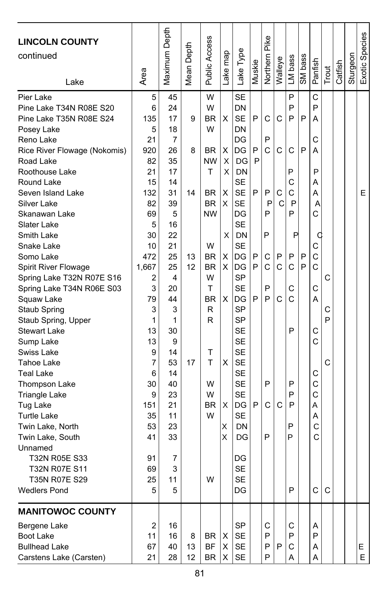| <b>LINCOLN COUNTY</b><br>continued<br>Lake                                                                                                                                                                                                                                                                                                                                                                                                                                                                                                                                                                                                                                                                              | Area                                                                                                                                                                                                                  | Maximum Depth                                                                                                                                                                                                                  | Mean Depth                     | Public Access                                                                                                                                                                               | Lake map                                                           | Lake Type                                                                                                                                                                                                                                                                                                                                                                     | Muskie                               | Pike<br>Northern                                                   | Walleye                              | LM bass                                                                                               | SM bass          | Panfish                                                                                                                                              | Trout                 | Catfish | Sturgeon | Exotic Species |
|-------------------------------------------------------------------------------------------------------------------------------------------------------------------------------------------------------------------------------------------------------------------------------------------------------------------------------------------------------------------------------------------------------------------------------------------------------------------------------------------------------------------------------------------------------------------------------------------------------------------------------------------------------------------------------------------------------------------------|-----------------------------------------------------------------------------------------------------------------------------------------------------------------------------------------------------------------------|--------------------------------------------------------------------------------------------------------------------------------------------------------------------------------------------------------------------------------|--------------------------------|---------------------------------------------------------------------------------------------------------------------------------------------------------------------------------------------|--------------------------------------------------------------------|-------------------------------------------------------------------------------------------------------------------------------------------------------------------------------------------------------------------------------------------------------------------------------------------------------------------------------------------------------------------------------|--------------------------------------|--------------------------------------------------------------------|--------------------------------------|-------------------------------------------------------------------------------------------------------|------------------|------------------------------------------------------------------------------------------------------------------------------------------------------|-----------------------|---------|----------|----------------|
| Pier Lake<br>Pine Lake T34N R08E S20<br>Pine Lake T35N R08E S24<br>Posey Lake<br>Reno Lake<br>Rice River Flowage (Nokomis)<br>Road Lake<br>Roothouse Lake<br>Round Lake<br>Seven Island Lake<br>Silver Lake<br>Skanawan Lake<br>Slater Lake<br>Smith Lake<br>Snake Lake<br>Somo Lake<br>Spirit River Flowage<br>Spring Lake T32N R07E S16<br>Spring Lake T34N R06E S03<br>Squaw Lake<br>Staub Spring<br>Staub Spring, Upper<br><b>Stewart Lake</b><br>Sump Lake<br>Swiss Lake<br>Tahoe Lake<br><b>Teal Lake</b><br>Thompson Lake<br><b>Triangle Lake</b><br>Tug Lake<br><b>Turtle Lake</b><br>Twin Lake, North<br>Twin Lake, South<br>Unnamed<br>T32N R05E S33<br>T32N R07E S11<br>T35N R07E S29<br><b>Wedlers Pond</b> | 5<br>6<br>135<br>5<br>21<br>920<br>82<br>21<br>15<br>132<br>82<br>69<br>5<br>30<br>10<br>472<br>1,667<br>2<br>3<br>79<br>3<br>1<br>13<br>13<br>9<br>7<br>6<br>30<br>9<br>151<br>35<br>53<br>41<br>91<br>69<br>25<br>5 | 45<br>24<br>17<br>18<br>$\overline{7}$<br>26<br>35<br>17<br>14<br>31<br>39<br>5<br>16<br>22<br>21<br>25<br>25<br>4<br>20<br>44<br>3<br>1<br>30<br>9<br>14<br>53<br>14<br>40<br>23<br>21<br>11<br>23<br>33<br>7<br>3<br>11<br>5 | 9<br>8<br>14<br>13<br>12<br>17 | W<br>W<br><b>BR</b><br>W<br>BR<br>NW<br>т<br><b>BR</b><br><b>BR</b><br><b>NW</b><br>W<br><b>BR</b><br><b>BR</b><br>W<br>т<br><b>BR</b><br>R<br>R<br>Т<br>T<br>W<br>W<br><b>BR</b><br>W<br>W | X<br>X<br>Χ<br>X<br>X<br>X<br>X<br>х<br>X<br>X<br>X<br>X<br>X<br>X | <b>SE</b><br>DN<br><b>SE</b><br>DN<br>DG<br>DG<br>DG<br>DN<br>SE<br><b>SE</b><br><b>SE</b><br>DG<br><b>SE</b><br><b>DN</b><br><b>SE</b><br>DG<br>DG<br><b>SP</b><br><b>SE</b><br>DG<br><b>SP</b><br><b>SP</b><br><b>SE</b><br><b>SE</b><br><b>SE</b><br><b>SE</b><br><b>SE</b><br><b>SE</b><br><b>SE</b><br>DG<br><b>SE</b><br>DN<br>DG<br>DG<br><b>SE</b><br><b>SE</b><br>DG | P<br>P<br>P<br>P<br>P<br>P<br>P<br>P | C<br>P<br>Ć<br>P<br>Ρ<br>P<br>P<br>С<br>C<br>P<br>P<br>P<br>C<br>P | C<br>С<br>С<br>C<br>P<br>C<br>С<br>C | P<br>P<br>P<br>C<br>P<br>C<br>C<br>P<br>P<br>P<br>P<br>C<br>С<br>C<br>P<br>P<br>P<br>P<br>P<br>P<br>P | P<br>P<br>P<br>P | C<br>P<br>А<br>С<br>A<br>P<br>A<br>A<br>A<br>C<br>C<br>C<br>C<br>$\mathsf{C}$<br>С<br>А<br>С<br>C<br>С<br>C<br>C<br>А<br>Α<br>C<br>C<br>$\mathsf{C}$ | C<br>C<br>P<br>C<br>C |         |          | E.             |
| <b>MANITOWOC COUNTY</b><br>Bergene Lake<br>Boot Lake<br><b>Bullhead Lake</b><br>Carstens Lake (Carsten)                                                                                                                                                                                                                                                                                                                                                                                                                                                                                                                                                                                                                 | 2<br>11<br>67<br>21                                                                                                                                                                                                   | 16<br>16<br>40<br>28                                                                                                                                                                                                           | 8<br>13<br>12                  | BR<br>BF<br>BR                                                                                                                                                                              | х<br>X<br>X                                                        | SP<br>SE<br><b>SE</b><br>SE                                                                                                                                                                                                                                                                                                                                                   |                                      | С<br>P<br>P<br>P                                                   | P                                    | С<br>P<br>С<br>Α                                                                                      |                  | A<br>P<br>Α<br>Α                                                                                                                                     |                       |         |          | E.<br>E.       |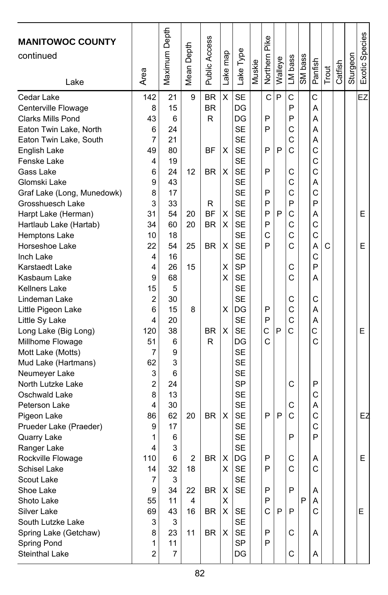| <b>MANITOWOC COUNTY</b><br>continued |                | Maximum Depth | Depth<br>Mean I | Public Access | Lake map | Lake Type | Muskie | Northern Pike | Walleye | LM bass | SM bass | Panfish      | Trout | Catfish | Sturgeon | Exotic Species |
|--------------------------------------|----------------|---------------|-----------------|---------------|----------|-----------|--------|---------------|---------|---------|---------|--------------|-------|---------|----------|----------------|
| Lake                                 | Area           |               |                 |               |          |           |        |               |         |         |         |              |       |         |          |                |
| Cedar Lake                           | 142            | 21            | 9               | <b>BR</b>     | X        | <b>SE</b> |        | C             | P       | C       |         | C            |       |         |          | EZ             |
| Centerville Flowage                  | 8              | 15            |                 | <b>BR</b>     |          | DG        |        |               |         | P       |         | Α            |       |         |          |                |
| <b>Clarks Mills Pond</b>             | 43             | 6             |                 | R             |          | DG        |        | P             |         | P       |         | A            |       |         |          |                |
| Eaton Twin Lake, North               | 6              | 24            |                 |               |          | <b>SE</b> |        | P             |         | C       |         | Α            |       |         |          |                |
| Eaton Twin Lake, South               | $\overline{7}$ | 21            |                 |               |          | <b>SE</b> |        |               |         | C       |         | Α            |       |         |          |                |
| English Lake                         | 49             | 80            |                 | ΒF            | X        | <b>SE</b> |        | P             | P       | C       |         | C            |       |         |          |                |
| Fenske Lake                          | 4              | 19            |                 |               |          | <b>SE</b> |        |               |         |         |         | C            |       |         |          |                |
| Gass Lake                            | 6              | 24            | 12              | <b>BR</b>     | X        | <b>SE</b> |        | P             |         | C       |         | C            |       |         |          |                |
| Glomski Lake                         | 9              | 43            |                 |               |          | <b>SE</b> |        |               |         | C       |         | Α            |       |         |          |                |
| Graf Lake (Long, Munedowk)           | 8              | 17            |                 |               |          | <b>SE</b> |        | P             |         | C       |         | C            |       |         |          |                |
| Grosshuesch Lake                     | 3              | 33            |                 | R             |          | <b>SE</b> |        | P             |         | P       |         | P            |       |         |          |                |
| Harpt Lake (Herman)                  | 31             | 54            | 20              | <b>BF</b>     | X        | <b>SE</b> |        | P             | P       | C       |         | Α            |       |         |          | Е              |
| Hartlaub Lake (Hartab)               | 34             | 60            | 20              | <b>BR</b>     | х        | <b>SE</b> |        | P             |         | C       |         | $\mathsf{C}$ |       |         |          |                |
| Hemptons Lake                        | 10             | 18            |                 |               |          | <b>SE</b> |        | C             |         | C       |         | C            |       |         |          |                |
| Horseshoe Lake                       | 22             | 54            | 25              | <b>BR</b>     | х        | <b>SE</b> |        | P             |         | C       |         | A            | C     |         |          | Е              |
| Inch Lake                            | 4              | 16            |                 |               |          | <b>SE</b> |        |               |         |         |         | C            |       |         |          |                |
| <b>Karstaedt Lake</b>                | 4              | 26            | 15              |               | х        | <b>SP</b> |        |               |         | С       |         | P            |       |         |          |                |
| Kasbaum Lake                         | 9              | 68            |                 |               | X        | <b>SE</b> |        |               |         | C       |         | A            |       |         |          |                |
| <b>Kellners Lake</b>                 | 15             | 5             |                 |               |          | <b>SE</b> |        |               |         |         |         |              |       |         |          |                |
| Lindeman Lake                        | 2              | 30            |                 |               |          | <b>SE</b> |        |               |         | С       |         | С            |       |         |          |                |
| Little Pigeon Lake                   | 6              | 15            | 8               |               | х        | DG        |        | P             |         | C       |         | А            |       |         |          |                |
| Little Sy Lake                       | 4              | 20            |                 |               |          | <b>SE</b> |        | P             |         | C       |         | Α            |       |         |          |                |
| Long Lake (Big Long)                 | 120            | 38            |                 | <b>BR</b>     | X        | <b>SE</b> |        | C             | P       | Ċ       |         | C            |       |         |          | E              |
| Millhome Flowage                     | 51             | 6             |                 | R             |          | DG        |        | C             |         |         |         | C            |       |         |          |                |
| Mott Lake (Motts)                    | 7              | 9             |                 |               |          | <b>SE</b> |        |               |         |         |         |              |       |         |          |                |
| Mud Lake (Hartmans)                  | 62             | 3             |                 |               |          | <b>SE</b> |        |               |         |         |         |              |       |         |          |                |
| Neumeyer Lake                        | 3              | 6             |                 |               |          | <b>SE</b> |        |               |         |         |         |              |       |         |          |                |
| North Lutzke Lake                    | $\overline{2}$ | 24            |                 |               |          | <b>SP</b> |        |               |         | С       |         | P            |       |         |          |                |
| Oschwald Lake                        | 8              | 13            |                 |               |          | <b>SE</b> |        |               |         |         |         | C            |       |         |          |                |
| Peterson Lake                        | 4              | 30            |                 |               |          | <b>SE</b> |        |               |         | C       |         | A            |       |         |          |                |
| Pigeon Lake                          | 86             | 62            | 20              | <b>BR</b>     | X        | <b>SE</b> |        | P             | P       | C       |         | C            |       |         |          | EZ             |
| Prueder Lake (Praeder)               | 9              | 17            |                 |               |          | <b>SE</b> |        |               |         |         |         | C            |       |         |          |                |
| Quarry Lake                          | 1              | 6             |                 |               |          | <b>SE</b> |        |               |         | P       |         | P            |       |         |          |                |
| Ranger Lake                          | 4              | 3             |                 |               |          | <b>SE</b> |        |               |         |         |         |              |       |         |          |                |
| Rockville Flowage                    | 110            | 6             | 2               | <b>BR</b>     | х        | DG        |        | P             |         | C       |         | Α            |       |         |          | Е              |
| Schisel Lake                         | 14             | 32            | 18              |               | X        | SF        |        | P             |         | C       |         | C            |       |         |          |                |
| Scout Lake                           | 7              | 3             |                 |               |          | <b>SE</b> |        |               |         |         |         |              |       |         |          |                |
| Shoe Lake                            | 9              | 34            | 22              | BR            | X        | <b>SE</b> |        | P             |         | P       |         | Α            |       |         |          |                |
| Shoto Lake                           | 55             | 11            | 4               |               | X        |           |        | P             |         |         | P       | Α            |       |         |          |                |
| Silver Lake                          | 69             | 43            | 16              | <b>BR</b>     | X        | <b>SE</b> |        | C             | P       | P       |         | C            |       |         |          | E.             |
| South Lutzke Lake                    | 3              | 3             |                 |               |          | <b>SE</b> |        |               |         |         |         |              |       |         |          |                |
| Spring Lake (Getchaw)                | 8              | 23            | 11              | BR            | X        | <b>SE</b> |        | P             |         | С       |         | Α            |       |         |          |                |
| Spring Pond                          | 1              | 11            |                 |               |          | <b>SP</b> |        | P             |         |         |         |              |       |         |          |                |
| Steinthal Lake                       | $\overline{2}$ | 7             |                 |               |          | DG        |        |               |         | C       |         | Α            |       |         |          |                |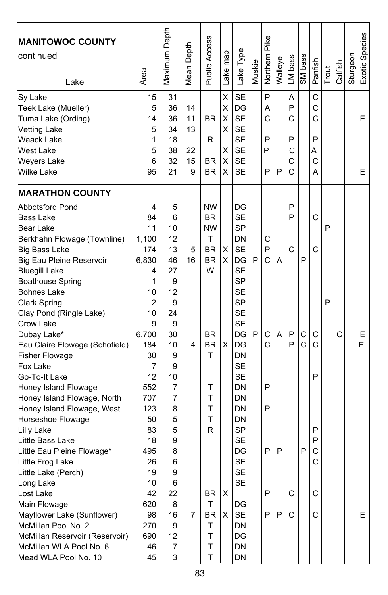| <b>MANITOWOC COUNTY</b><br>continued<br>Lake                                                                                                                                                                                                                                                                                                                                                                                                                                                                                                                                                                                             | Area                                                                                                                                                                           | Maximum Depth                                                                                                                            | Mean Depth                      | Public Access                                                                                                                   | Lake map                        | Lake Type                                                                                                                                                                                                                                                               | Muskie | Northern Pike                        | Walleye     | LM bass                         | SM bass                     | Panfish                                   | Trout  | Catfish | Sturgeon | Exotic Species |
|------------------------------------------------------------------------------------------------------------------------------------------------------------------------------------------------------------------------------------------------------------------------------------------------------------------------------------------------------------------------------------------------------------------------------------------------------------------------------------------------------------------------------------------------------------------------------------------------------------------------------------------|--------------------------------------------------------------------------------------------------------------------------------------------------------------------------------|------------------------------------------------------------------------------------------------------------------------------------------|---------------------------------|---------------------------------------------------------------------------------------------------------------------------------|---------------------------------|-------------------------------------------------------------------------------------------------------------------------------------------------------------------------------------------------------------------------------------------------------------------------|--------|--------------------------------------|-------------|---------------------------------|-----------------------------|-------------------------------------------|--------|---------|----------|----------------|
| Sy Lake<br>Teek Lake (Mueller)<br>Tuma Lake (Ording)<br><b>Vetting Lake</b><br>Waack Lake<br><b>West Lake</b><br><b>Weyers Lake</b><br><b>Wilke Lake</b>                                                                                                                                                                                                                                                                                                                                                                                                                                                                                 | 15<br>5<br>14<br>5<br>1<br>5<br>6<br>95                                                                                                                                        | 31<br>36<br>36<br>34<br>18<br>38<br>32<br>21                                                                                             | 14<br>11<br>13<br>22<br>15<br>9 | BR<br>R<br>BR.<br><b>BR</b>                                                                                                     | X<br>X<br>X<br>X<br>х<br>X<br>x | <b>SE</b><br>DG<br><b>SE</b><br><b>SE</b><br><b>SE</b><br><b>SE</b><br><b>SE</b><br><b>SE</b>                                                                                                                                                                           |        | P<br>A<br>C<br>P<br>P<br>P           | P           | Α<br>P<br>С<br>P<br>С<br>С<br>C |                             | С<br>C<br>C<br>P<br>A<br>C<br>А           |        |         |          | E<br>E         |
| <b>MARATHON COUNTY</b><br><b>Abbotsford Pond</b><br><b>Bass Lake</b><br>Bear Lake<br>Berkhahn Flowage (Townline)<br><b>Big Bass Lake</b><br>Big Eau Pleine Reservoir<br><b>Bluegill Lake</b><br><b>Boathouse Spring</b><br><b>Bohnes Lake</b><br><b>Clark Spring</b><br>Clay Pond (Ringle Lake)<br>Crow Lake<br>Dubay Lake*<br>Eau Claire Flowage (Schofield)<br><b>Fisher Flowage</b><br>Fox Lake<br>Go-To-It Lake<br>Honey Island Flowage<br>Honey Island Flowage, North<br>Honey Island Flowage, West<br>Horseshoe Flowage<br>Lilly Lake<br>Little Bass Lake<br>Little Eau Pleine Flowage*<br>Little Frog Lake<br>Little Lake (Perch) | 4<br>84<br>11<br>1,100<br>174<br>6,830<br>4<br>1<br>10<br>$\overline{2}$<br>10<br>9<br>6,700<br>184<br>30<br>7<br>12<br>552<br>707<br>123<br>50<br>83<br>18<br>495<br>26<br>19 | 5<br>6<br>10<br>12<br>13<br>46<br>27<br>9<br>12<br>9<br>24<br>9<br>30<br>10<br>9<br>9<br>10<br>7<br>7<br>8<br>5<br>5<br>9<br>8<br>6<br>9 | 5<br>16<br>4                    | <b>NW</b><br><b>BR</b><br><b>NW</b><br>T<br><b>BR</b><br><b>BR</b><br>W<br><b>BR</b><br><b>BR</b><br>т<br>Τ<br>Τ<br>Т<br>T<br>R | X<br>X<br>X                     | DG<br><b>SE</b><br><b>SP</b><br>DN<br><b>SE</b><br>DG<br><b>SE</b><br><b>SP</b><br><b>SE</b><br><b>SP</b><br><b>SE</b><br><b>SE</b><br>DG<br>DG<br>DN<br><b>SE</b><br><b>SE</b><br>DN<br>DN<br>DN<br>DN<br><b>SP</b><br><b>SE</b><br>DG<br><b>SE</b><br>SE<br><b>SE</b> | P<br>P | С<br>P<br>Ć<br>С<br>C<br>P<br>P<br>P | A<br>A<br>P | P<br>P<br>C<br>P<br>P           | P<br>С<br>$\mathsf{C}$<br>P | C<br>C<br>С<br>C<br>P<br>P<br>P<br>С<br>С | P<br>P | C       |          | Ε<br>E         |
| Long Lake<br>Lost Lake<br>Main Flowage<br>Mayflower Lake (Sunflower)<br>McMillan Pool No. 2<br>McMillan Reservoir (Reservoir)<br>McMillan WLA Pool No. 6<br>Mead WLA Pool No. 10                                                                                                                                                                                                                                                                                                                                                                                                                                                         | 10<br>42<br>620<br>98<br>270<br>690<br>46<br>45                                                                                                                                | 6<br>22<br>8<br>16<br>9<br>12<br>7<br>3                                                                                                  | 7                               | BR<br>Τ<br><b>BR</b><br>т<br>T<br>т<br>T                                                                                        | X<br>X                          | DG<br><b>SE</b><br>DN<br>DG<br>DN<br>DN                                                                                                                                                                                                                                 |        | P<br>P                               | P           | C<br>C                          |                             | C<br>C                                    |        |         |          | E              |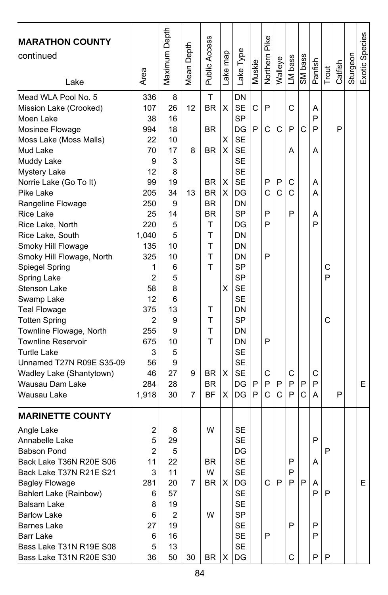| <b>MARATHON COUNTY</b><br>continued<br>Lake                                                                                                                                                                                                                                                                                                                                                                                                                                                                                                                                                                 | Area                                                                                                                                                                                                 | Maximum Depth                                                                                                                                                | Mean Depth              | Public Access                                                                                                                                                                    | Lake map                             | Lake Type                                                                                                                                                                                                                                                                                  | Muskie           | Pike<br>Northern                                    | Walleye               | LM bass                                   | SM bass     | Panfish                                             | Trout       | Catfish | Sturgeon | Exotic Species |
|-------------------------------------------------------------------------------------------------------------------------------------------------------------------------------------------------------------------------------------------------------------------------------------------------------------------------------------------------------------------------------------------------------------------------------------------------------------------------------------------------------------------------------------------------------------------------------------------------------------|------------------------------------------------------------------------------------------------------------------------------------------------------------------------------------------------------|--------------------------------------------------------------------------------------------------------------------------------------------------------------|-------------------------|----------------------------------------------------------------------------------------------------------------------------------------------------------------------------------|--------------------------------------|--------------------------------------------------------------------------------------------------------------------------------------------------------------------------------------------------------------------------------------------------------------------------------------------|------------------|-----------------------------------------------------|-----------------------|-------------------------------------------|-------------|-----------------------------------------------------|-------------|---------|----------|----------------|
| Mead WLA Pool No. 5<br>Mission Lake (Crooked)<br>Moen Lake<br>Mosinee Flowage<br>Moss Lake (Moss Malls)<br>Mud Lake<br>Muddy Lake<br>Mystery Lake<br>Norrie Lake (Go To It)<br>Pike Lake<br>Rangeline Flowage<br>Rice Lake<br>Rice Lake, North<br>Rice Lake, South<br>Smoky Hill Flowage<br>Smoky Hill Flowage, North<br>Spiegel Spring<br>Spring Lake<br>Stenson Lake<br>Swamp Lake<br><b>Teal Flowage</b><br><b>Totten Spring</b><br>Townline Flowage, North<br><b>Townline Reservoir</b><br><b>Turtle Lake</b><br>Unnamed T27N R09E S35-09<br>Wadley Lake (Shantytown)<br>Wausau Dam Lake<br>Wausau Lake | 336<br>107<br>38<br>994<br>22<br>70<br>9<br>12<br>99<br>205<br>250<br>25<br>220<br>1,040<br>135<br>325<br>1<br>2<br>58<br>12<br>375<br>$\overline{2}$<br>255<br>675<br>3<br>56<br>46<br>284<br>1,918 | 8<br>26<br>16<br>18<br>10<br>17<br>3<br>8<br>19<br>34<br>9<br>14<br>5<br>5<br>10<br>10<br>6<br>5<br>8<br>6<br>13<br>9<br>9<br>10<br>5<br>9<br>27<br>28<br>30 | 12<br>8<br>13<br>9<br>7 | T<br><b>BR</b><br><b>BR</b><br><b>BR</b><br><b>BR</b><br><b>BR</b><br><b>BR</b><br><b>BR</b><br>T<br>T<br>T<br>T<br>T<br>т<br>T<br>Τ<br>T<br><b>BR</b><br><b>BR</b><br><b>BF</b> | X<br>X<br>X<br>X<br>X<br>х<br>X<br>х | DN<br><b>SE</b><br><b>SP</b><br>DG<br><b>SE</b><br><b>SE</b><br><b>SE</b><br><b>SE</b><br><b>SE</b><br>DG<br>DN<br><b>SP</b><br>DG<br>DN<br>DN<br>DN<br><b>SP</b><br><b>SP</b><br><b>SE</b><br><b>SE</b><br>DN<br><b>SP</b><br>DN<br>DN<br><b>SE</b><br><b>SE</b><br><b>SE</b><br>DG<br>DG | C<br>P<br>P<br>P | P<br>C<br>P<br>C<br>P<br>P<br>P<br>P<br>C<br>P<br>C | C<br>P<br>C<br>P<br>C | C<br>P<br>A<br>С<br>C<br>P<br>C<br>P<br>P | C<br>P<br>C | A<br>P<br>P<br>A<br>A<br>А<br>А<br>P<br>С<br>P<br>А | C<br>P<br>C | P<br>P  |          | E              |
| <b>MARINETTE COUNTY</b><br>Angle Lake<br>Annabelle Lake<br><b>Babson Pond</b><br>Back Lake T36N R20E S06<br>Back Lake T37N R21E S21<br><b>Bagley Flowage</b><br>Bahlert Lake (Rainbow)<br>Balsam Lake<br><b>Barlow Lake</b><br><b>Barnes Lake</b><br>Barr Lake<br>Bass Lake T31N R19E S08<br>Bass Lake T31N R20E S30                                                                                                                                                                                                                                                                                        | 2<br>5<br>2<br>11<br>3<br>281<br>6<br>8<br>6<br>27<br>6<br>5<br>36                                                                                                                                   | 8<br>29<br>5<br>22<br>11<br>20<br>57<br>19<br>2<br>19<br>16<br>13<br>50                                                                                      | 7<br>30                 | W<br><b>BR</b><br>W<br>BR<br>W<br>BR                                                                                                                                             | Χ<br>х                               | <b>SE</b><br><b>SE</b><br>DG<br><b>SE</b><br>SE<br>DG<br>SE<br>SE<br><b>SP</b><br>SE<br>SE<br>SE<br>DG                                                                                                                                                                                     |                  | C.<br>P                                             | P                     | P<br>P<br>P<br>P<br>C                     | IP.         | P<br>A<br>Α<br>P<br>P<br>P<br>Ρ                     | P<br>P<br>P |         |          | E              |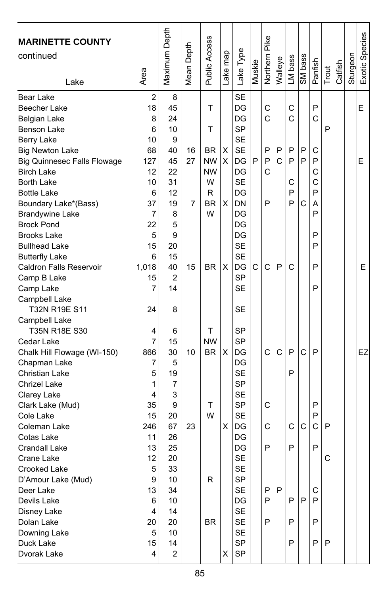| <b>MARINETTE COUNTY</b>            |                | Maximum Depth  |            |                        |          |                        |        |               |         |         |         |         |       |         |          | Exotic Species |
|------------------------------------|----------------|----------------|------------|------------------------|----------|------------------------|--------|---------------|---------|---------|---------|---------|-------|---------|----------|----------------|
| continued                          |                |                |            |                        |          |                        |        |               |         |         |         |         |       |         |          |                |
|                                    |                |                |            |                        |          |                        |        |               |         |         |         |         |       |         |          |                |
| Lake                               | Area           |                | Mean Depth | Public Access          | Lake map | Lake Type              | Muskie | Northern Pike | Walleye | LM bass | SM bass | Panfish | Trout | Catfish | Sturgeon |                |
|                                    |                |                |            |                        |          |                        |        |               |         |         |         |         |       |         |          |                |
| <b>Bear Lake</b>                   | $\overline{2}$ | 8              |            |                        |          | <b>SE</b>              |        |               |         |         |         |         |       |         |          |                |
| Beecher Lake                       | 18             | 45             |            | т                      |          | DG                     |        | C<br>C        |         | C       |         | P<br>C  |       |         |          | E              |
| Belgian Lake                       | 8              | 24             |            |                        |          | DG                     |        |               |         | C       |         |         | P     |         |          |                |
| Benson Lake                        | 6              | 10             |            | т                      |          | <b>SP</b><br><b>SE</b> |        |               |         |         |         |         |       |         |          |                |
| Berry Lake                         | 10             | 9              |            |                        | X        | <b>SE</b>              |        | P             | P       | P       | P       | C       |       |         |          |                |
| <b>Big Newton Lake</b>             | 68             | 40<br>45       | 16<br>27   | <b>BR</b><br><b>NW</b> | X        | DG                     | P      | P             | C       | P       | P       | P       |       |         |          | Е              |
| <b>Big Quinnesec Falls Flowage</b> | 127<br>12      | 22             |            | <b>NW</b>              |          | DG                     |        | C             |         |         |         | C       |       |         |          |                |
| <b>Birch Lake</b><br>Borth Lake    | 10             | 31             |            | W                      |          | <b>SE</b>              |        |               |         | C       |         | C       |       |         |          |                |
| <b>Bottle Lake</b>                 | 6              | 12             |            | R                      |          | DG                     |        |               |         | P       |         | P       |       |         |          |                |
| Boundary Lake*(Bass)               | 37             | 19             | 7          | <b>BR</b>              | X        | <b>DN</b>              |        | P             |         | P       | C       | A       |       |         |          |                |
| <b>Brandywine Lake</b>             | 7              | 8              |            | W                      |          | DG                     |        |               |         |         |         | P       |       |         |          |                |
| <b>Brock Pond</b>                  | 22             | 5              |            |                        |          | DG                     |        |               |         |         |         |         |       |         |          |                |
| <b>Brooks Lake</b>                 | 5              | 9              |            |                        |          | DG                     |        |               |         |         |         | P       |       |         |          |                |
| <b>Bullhead Lake</b>               | 15             | 20             |            |                        |          | <b>SE</b>              |        |               |         |         |         | P       |       |         |          |                |
| <b>Butterfly Lake</b>              | 6              | 15             |            |                        |          | <b>SE</b>              |        |               |         |         |         |         |       |         |          |                |
| <b>Caldron Falls Reservoir</b>     | 1,018          | 40             | 15         | <b>BR</b>              | X        | DG                     | C      | C             | P       | C       |         | P       |       |         |          | E.             |
| Camp B Lake                        | 15             | $\overline{2}$ |            |                        |          | <b>SP</b>              |        |               |         |         |         |         |       |         |          |                |
| Camp Lake                          | 7              | 14             |            |                        |          | <b>SE</b>              |        |               |         |         |         | P       |       |         |          |                |
| Campbell Lake                      |                |                |            |                        |          |                        |        |               |         |         |         |         |       |         |          |                |
| T32N R19E S11                      | 24             | 8              |            |                        |          | <b>SE</b>              |        |               |         |         |         |         |       |         |          |                |
| Campbell Lake                      |                |                |            |                        |          |                        |        |               |         |         |         |         |       |         |          |                |
| T35N R18E S30                      | 4              | 6              |            | т                      |          | <b>SP</b>              |        |               |         |         |         |         |       |         |          |                |
| Cedar Lake                         | 7              | 15             |            | <b>NW</b>              |          | <b>SP</b>              |        |               |         |         |         |         |       |         |          |                |
| Chalk Hill Flowage (WI-150)        | 866            | 30             | 10         | <b>BR</b>              | X        | DG                     |        | Ċ             | C       | P       | C       | P       |       |         |          | EZ             |
| Chapman Lake                       | 7              | 5              |            |                        |          | DG                     |        |               |         |         |         |         |       |         |          |                |
| Christian Lake                     | 5              | 19             |            |                        |          | <b>SE</b>              |        |               |         | P       |         |         |       |         |          |                |
| Chrizel Lake                       | 1              | 7              |            |                        |          | SP                     |        |               |         |         |         |         |       |         |          |                |
| Clarey Lake                        | 4              | 3              |            |                        |          | <b>SE</b>              |        |               |         |         |         |         |       |         |          |                |
| Clark Lake (Mud)                   | 35             | 9              |            | Τ                      |          | SP                     |        | C             |         |         |         | P       |       |         |          |                |
| Cole Lake                          | 15             | 20             |            | W                      |          | <b>SE</b>              |        |               |         |         |         | P       |       |         |          |                |
| Coleman Lake                       | 246            | 67             | 23         |                        | X        | DG                     |        | C             |         | C       | C       | C       | P     |         |          |                |
| Cotas Lake                         | 11             | 26             |            |                        |          | DG                     |        |               |         |         |         |         |       |         |          |                |
| Crandall Lake                      | 13             | 25             |            |                        |          | DG                     |        | P             |         | P       |         | P       |       |         |          |                |
| Crane Lake                         | 12             | 20             |            |                        |          | <b>SE</b>              |        |               |         |         |         |         | C     |         |          |                |
| Crooked Lake                       | 5              | 33             |            |                        |          | SF                     |        |               |         |         |         |         |       |         |          |                |
| D'Amour Lake (Mud)                 | 9              | 10             |            | R                      |          | SP                     |        |               |         |         |         |         |       |         |          |                |
| Deer Lake                          | 13             | 34             |            |                        |          | <b>SE</b>              |        | P             | P       |         |         | С       |       |         |          |                |
| Devils Lake                        | 6              | 10             |            |                        |          | DG                     |        | P             |         | P       | P       | P       |       |         |          |                |
| Disney Lake                        | 4              | 14             |            |                        |          | SE                     |        |               |         |         |         |         |       |         |          |                |
| Dolan Lake                         | 20             | 20             |            | BR                     |          | SE                     |        | P             |         | P       |         | P       |       |         |          |                |
| Downing Lake                       | 5              | 10             |            |                        |          | SE                     |        |               |         |         |         |         |       |         |          |                |
| Duck Lake                          | 15             | 14             |            |                        |          | <b>SP</b>              |        |               |         | P       |         | P       | P     |         |          |                |
| Dvorak Lake                        | 4              | 2              |            |                        | x        | SP                     |        |               |         |         |         |         |       |         |          |                |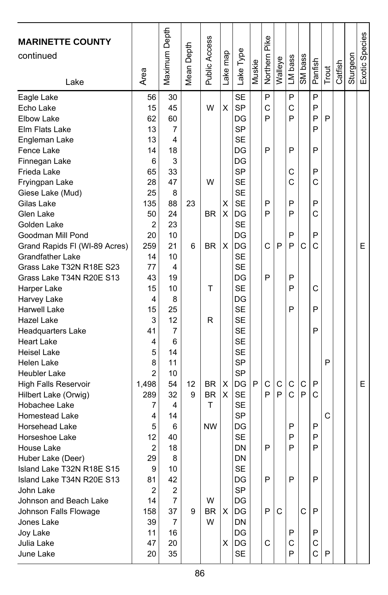| <b>SE</b><br>P<br>P<br>P<br>Eagle Lake<br>56<br>30<br>X<br>SP<br>45<br>W<br>C<br>C<br>P<br>Echo Lake<br>15<br>P<br>P<br>60<br>P<br>P<br><b>Elbow Lake</b><br>62<br>DG<br>SP<br>13<br>7<br>P<br>Elm Flats Lake<br><b>SE</b><br>13<br>4<br>Engleman Lake<br>P<br>P<br>P<br>Fence Lake<br>14<br>DG<br>18<br>6<br>3<br>DG<br>Finnegan Lake<br>33<br>SP<br>C<br>P<br>Frieda Lake<br>65<br>47<br>W<br><b>SE</b><br>C<br>C<br>28<br>Fryingpan Lake<br>25<br><b>SE</b><br>8<br>Giese Lake (Mud)<br><b>SE</b><br>Gilas Lake<br>135<br>88<br>23<br>X<br>P<br>P<br>P<br>24<br>DG<br>P<br>P<br>C<br>Glen Lake<br>50<br><b>BR</b><br>X<br>$\overline{c}$<br>23<br><b>SE</b><br>Golden Lake<br>P<br>P<br>Goodman Mill Pond<br>20<br>10<br>DG<br>21<br>C<br>P<br>P<br>C<br>E<br>Grand Rapids FI (WI-89 Acres)<br>259<br>6<br><b>BR</b><br>Х<br>DG<br>С<br><b>SE</b><br>10<br><b>Grandfather Lake</b><br>14<br>77<br>4<br><b>SE</b><br>Grass Lake T32N R18E S23<br>P<br>19<br>P<br>Grass Lake T34N R20E S13<br>43<br>DG<br><b>SE</b><br>P<br>C<br>10<br>т<br>Harper Lake<br>15<br>Harvey Lake<br>8<br>DG<br>4<br><b>SE</b><br>P<br>P<br><b>Harwell Lake</b><br>15<br>25<br><b>SE</b><br>Hazel Lake<br>3<br>12<br>R<br>7<br><b>SE</b><br>P<br>41<br><b>Headquarters Lake</b><br><b>SE</b><br><b>Heart Lake</b><br>6<br>4<br>5<br><b>SE</b><br><b>Heisel Lake</b><br>14<br><b>SP</b><br>P<br>Helen Lake<br>8<br>11<br><b>SP</b><br>2<br><b>Heubler Lake</b><br>10<br>P<br>С<br>P<br>E<br><b>High Falls Reservoir</b><br>1,498<br>54<br>12<br><b>BR</b><br>х<br>DG<br>С<br>C<br>C<br>Ċ<br>$\mathsf{C}$<br>P<br>P<br>289<br>32<br><b>BR</b><br><b>SE</b><br>P<br>Hilbert Lake (Orwig)<br>9<br>X<br><b>SE</b><br>Hobachee Lake<br>7<br>4<br>т<br>SP<br>C<br>14<br>Homestead Lake<br>4<br><b>NW</b><br>P<br>P<br>5<br>DG<br>Horsehead Lake<br>6<br><b>SE</b><br>P<br>P<br>12<br>40<br>Horseshoe Lake<br>2<br>P<br>P<br>P<br>18<br>DN<br>House Lake<br>DN<br>29<br>8<br>Huber Lake (Deer)<br><b>SE</b><br>g<br>10<br>Island Lake T32N R18E S15<br>P<br>P<br>81<br>P<br>Island Lake T34N R20E S13<br>42<br>DG<br>$\overline{c}$<br><b>SP</b><br>John Lake<br>2<br>7<br>Johnson and Beach Lake<br>14<br>W<br>DG<br>P<br>С<br>Johnson Falls Flowage<br>158<br>37<br>9<br>BR<br>X.<br>DG<br>C<br>P<br>W<br>Jones Lake<br>39<br>DN<br>7<br>DG<br>P<br>Joy Lake<br>11<br>16<br>P<br>47<br>20<br>X.<br>DG<br>С<br>С<br>С<br>Julia Lake<br>SE<br>P<br>C.<br>P<br>June Lake<br>20<br>35 | <b>MARINETTE COUNTY</b><br>continued<br>Lake | Area | Maximum Depth | Mean Depth | Public Access | Lake map | Lake Type | Muskie | Northern Pike | Walleye | LM bass | SM bass | Panfish | Trout | Catfish | Sturgeon | Exotic Species |
|---------------------------------------------------------------------------------------------------------------------------------------------------------------------------------------------------------------------------------------------------------------------------------------------------------------------------------------------------------------------------------------------------------------------------------------------------------------------------------------------------------------------------------------------------------------------------------------------------------------------------------------------------------------------------------------------------------------------------------------------------------------------------------------------------------------------------------------------------------------------------------------------------------------------------------------------------------------------------------------------------------------------------------------------------------------------------------------------------------------------------------------------------------------------------------------------------------------------------------------------------------------------------------------------------------------------------------------------------------------------------------------------------------------------------------------------------------------------------------------------------------------------------------------------------------------------------------------------------------------------------------------------------------------------------------------------------------------------------------------------------------------------------------------------------------------------------------------------------------------------------------------------------------------------------------------------------------------------------------------------------------------------------------------------------------------------------------------------------------------------------------------------------------------------------------------------------------------------------------------------------------------------------------------------------------------------------------------------------------------------------------------------------------------------------------------------------------|----------------------------------------------|------|---------------|------------|---------------|----------|-----------|--------|---------------|---------|---------|---------|---------|-------|---------|----------|----------------|
|                                                                                                                                                                                                                                                                                                                                                                                                                                                                                                                                                                                                                                                                                                                                                                                                                                                                                                                                                                                                                                                                                                                                                                                                                                                                                                                                                                                                                                                                                                                                                                                                                                                                                                                                                                                                                                                                                                                                                                                                                                                                                                                                                                                                                                                                                                                                                                                                                                                         |                                              |      |               |            |               |          |           |        |               |         |         |         |         |       |         |          |                |
|                                                                                                                                                                                                                                                                                                                                                                                                                                                                                                                                                                                                                                                                                                                                                                                                                                                                                                                                                                                                                                                                                                                                                                                                                                                                                                                                                                                                                                                                                                                                                                                                                                                                                                                                                                                                                                                                                                                                                                                                                                                                                                                                                                                                                                                                                                                                                                                                                                                         |                                              |      |               |            |               |          |           |        |               |         |         |         |         |       |         |          |                |
|                                                                                                                                                                                                                                                                                                                                                                                                                                                                                                                                                                                                                                                                                                                                                                                                                                                                                                                                                                                                                                                                                                                                                                                                                                                                                                                                                                                                                                                                                                                                                                                                                                                                                                                                                                                                                                                                                                                                                                                                                                                                                                                                                                                                                                                                                                                                                                                                                                                         |                                              |      |               |            |               |          |           |        |               |         |         |         |         |       |         |          |                |
|                                                                                                                                                                                                                                                                                                                                                                                                                                                                                                                                                                                                                                                                                                                                                                                                                                                                                                                                                                                                                                                                                                                                                                                                                                                                                                                                                                                                                                                                                                                                                                                                                                                                                                                                                                                                                                                                                                                                                                                                                                                                                                                                                                                                                                                                                                                                                                                                                                                         |                                              |      |               |            |               |          |           |        |               |         |         |         |         |       |         |          |                |
|                                                                                                                                                                                                                                                                                                                                                                                                                                                                                                                                                                                                                                                                                                                                                                                                                                                                                                                                                                                                                                                                                                                                                                                                                                                                                                                                                                                                                                                                                                                                                                                                                                                                                                                                                                                                                                                                                                                                                                                                                                                                                                                                                                                                                                                                                                                                                                                                                                                         |                                              |      |               |            |               |          |           |        |               |         |         |         |         |       |         |          |                |
|                                                                                                                                                                                                                                                                                                                                                                                                                                                                                                                                                                                                                                                                                                                                                                                                                                                                                                                                                                                                                                                                                                                                                                                                                                                                                                                                                                                                                                                                                                                                                                                                                                                                                                                                                                                                                                                                                                                                                                                                                                                                                                                                                                                                                                                                                                                                                                                                                                                         |                                              |      |               |            |               |          |           |        |               |         |         |         |         |       |         |          |                |
|                                                                                                                                                                                                                                                                                                                                                                                                                                                                                                                                                                                                                                                                                                                                                                                                                                                                                                                                                                                                                                                                                                                                                                                                                                                                                                                                                                                                                                                                                                                                                                                                                                                                                                                                                                                                                                                                                                                                                                                                                                                                                                                                                                                                                                                                                                                                                                                                                                                         |                                              |      |               |            |               |          |           |        |               |         |         |         |         |       |         |          |                |
|                                                                                                                                                                                                                                                                                                                                                                                                                                                                                                                                                                                                                                                                                                                                                                                                                                                                                                                                                                                                                                                                                                                                                                                                                                                                                                                                                                                                                                                                                                                                                                                                                                                                                                                                                                                                                                                                                                                                                                                                                                                                                                                                                                                                                                                                                                                                                                                                                                                         |                                              |      |               |            |               |          |           |        |               |         |         |         |         |       |         |          |                |
|                                                                                                                                                                                                                                                                                                                                                                                                                                                                                                                                                                                                                                                                                                                                                                                                                                                                                                                                                                                                                                                                                                                                                                                                                                                                                                                                                                                                                                                                                                                                                                                                                                                                                                                                                                                                                                                                                                                                                                                                                                                                                                                                                                                                                                                                                                                                                                                                                                                         |                                              |      |               |            |               |          |           |        |               |         |         |         |         |       |         |          |                |
|                                                                                                                                                                                                                                                                                                                                                                                                                                                                                                                                                                                                                                                                                                                                                                                                                                                                                                                                                                                                                                                                                                                                                                                                                                                                                                                                                                                                                                                                                                                                                                                                                                                                                                                                                                                                                                                                                                                                                                                                                                                                                                                                                                                                                                                                                                                                                                                                                                                         |                                              |      |               |            |               |          |           |        |               |         |         |         |         |       |         |          |                |
|                                                                                                                                                                                                                                                                                                                                                                                                                                                                                                                                                                                                                                                                                                                                                                                                                                                                                                                                                                                                                                                                                                                                                                                                                                                                                                                                                                                                                                                                                                                                                                                                                                                                                                                                                                                                                                                                                                                                                                                                                                                                                                                                                                                                                                                                                                                                                                                                                                                         |                                              |      |               |            |               |          |           |        |               |         |         |         |         |       |         |          |                |
|                                                                                                                                                                                                                                                                                                                                                                                                                                                                                                                                                                                                                                                                                                                                                                                                                                                                                                                                                                                                                                                                                                                                                                                                                                                                                                                                                                                                                                                                                                                                                                                                                                                                                                                                                                                                                                                                                                                                                                                                                                                                                                                                                                                                                                                                                                                                                                                                                                                         |                                              |      |               |            |               |          |           |        |               |         |         |         |         |       |         |          |                |
|                                                                                                                                                                                                                                                                                                                                                                                                                                                                                                                                                                                                                                                                                                                                                                                                                                                                                                                                                                                                                                                                                                                                                                                                                                                                                                                                                                                                                                                                                                                                                                                                                                                                                                                                                                                                                                                                                                                                                                                                                                                                                                                                                                                                                                                                                                                                                                                                                                                         |                                              |      |               |            |               |          |           |        |               |         |         |         |         |       |         |          |                |
|                                                                                                                                                                                                                                                                                                                                                                                                                                                                                                                                                                                                                                                                                                                                                                                                                                                                                                                                                                                                                                                                                                                                                                                                                                                                                                                                                                                                                                                                                                                                                                                                                                                                                                                                                                                                                                                                                                                                                                                                                                                                                                                                                                                                                                                                                                                                                                                                                                                         |                                              |      |               |            |               |          |           |        |               |         |         |         |         |       |         |          |                |
|                                                                                                                                                                                                                                                                                                                                                                                                                                                                                                                                                                                                                                                                                                                                                                                                                                                                                                                                                                                                                                                                                                                                                                                                                                                                                                                                                                                                                                                                                                                                                                                                                                                                                                                                                                                                                                                                                                                                                                                                                                                                                                                                                                                                                                                                                                                                                                                                                                                         |                                              |      |               |            |               |          |           |        |               |         |         |         |         |       |         |          |                |
|                                                                                                                                                                                                                                                                                                                                                                                                                                                                                                                                                                                                                                                                                                                                                                                                                                                                                                                                                                                                                                                                                                                                                                                                                                                                                                                                                                                                                                                                                                                                                                                                                                                                                                                                                                                                                                                                                                                                                                                                                                                                                                                                                                                                                                                                                                                                                                                                                                                         |                                              |      |               |            |               |          |           |        |               |         |         |         |         |       |         |          |                |
|                                                                                                                                                                                                                                                                                                                                                                                                                                                                                                                                                                                                                                                                                                                                                                                                                                                                                                                                                                                                                                                                                                                                                                                                                                                                                                                                                                                                                                                                                                                                                                                                                                                                                                                                                                                                                                                                                                                                                                                                                                                                                                                                                                                                                                                                                                                                                                                                                                                         |                                              |      |               |            |               |          |           |        |               |         |         |         |         |       |         |          |                |
|                                                                                                                                                                                                                                                                                                                                                                                                                                                                                                                                                                                                                                                                                                                                                                                                                                                                                                                                                                                                                                                                                                                                                                                                                                                                                                                                                                                                                                                                                                                                                                                                                                                                                                                                                                                                                                                                                                                                                                                                                                                                                                                                                                                                                                                                                                                                                                                                                                                         |                                              |      |               |            |               |          |           |        |               |         |         |         |         |       |         |          |                |
|                                                                                                                                                                                                                                                                                                                                                                                                                                                                                                                                                                                                                                                                                                                                                                                                                                                                                                                                                                                                                                                                                                                                                                                                                                                                                                                                                                                                                                                                                                                                                                                                                                                                                                                                                                                                                                                                                                                                                                                                                                                                                                                                                                                                                                                                                                                                                                                                                                                         |                                              |      |               |            |               |          |           |        |               |         |         |         |         |       |         |          |                |
|                                                                                                                                                                                                                                                                                                                                                                                                                                                                                                                                                                                                                                                                                                                                                                                                                                                                                                                                                                                                                                                                                                                                                                                                                                                                                                                                                                                                                                                                                                                                                                                                                                                                                                                                                                                                                                                                                                                                                                                                                                                                                                                                                                                                                                                                                                                                                                                                                                                         |                                              |      |               |            |               |          |           |        |               |         |         |         |         |       |         |          |                |
|                                                                                                                                                                                                                                                                                                                                                                                                                                                                                                                                                                                                                                                                                                                                                                                                                                                                                                                                                                                                                                                                                                                                                                                                                                                                                                                                                                                                                                                                                                                                                                                                                                                                                                                                                                                                                                                                                                                                                                                                                                                                                                                                                                                                                                                                                                                                                                                                                                                         |                                              |      |               |            |               |          |           |        |               |         |         |         |         |       |         |          |                |
|                                                                                                                                                                                                                                                                                                                                                                                                                                                                                                                                                                                                                                                                                                                                                                                                                                                                                                                                                                                                                                                                                                                                                                                                                                                                                                                                                                                                                                                                                                                                                                                                                                                                                                                                                                                                                                                                                                                                                                                                                                                                                                                                                                                                                                                                                                                                                                                                                                                         |                                              |      |               |            |               |          |           |        |               |         |         |         |         |       |         |          |                |
|                                                                                                                                                                                                                                                                                                                                                                                                                                                                                                                                                                                                                                                                                                                                                                                                                                                                                                                                                                                                                                                                                                                                                                                                                                                                                                                                                                                                                                                                                                                                                                                                                                                                                                                                                                                                                                                                                                                                                                                                                                                                                                                                                                                                                                                                                                                                                                                                                                                         |                                              |      |               |            |               |          |           |        |               |         |         |         |         |       |         |          |                |
|                                                                                                                                                                                                                                                                                                                                                                                                                                                                                                                                                                                                                                                                                                                                                                                                                                                                                                                                                                                                                                                                                                                                                                                                                                                                                                                                                                                                                                                                                                                                                                                                                                                                                                                                                                                                                                                                                                                                                                                                                                                                                                                                                                                                                                                                                                                                                                                                                                                         |                                              |      |               |            |               |          |           |        |               |         |         |         |         |       |         |          |                |
|                                                                                                                                                                                                                                                                                                                                                                                                                                                                                                                                                                                                                                                                                                                                                                                                                                                                                                                                                                                                                                                                                                                                                                                                                                                                                                                                                                                                                                                                                                                                                                                                                                                                                                                                                                                                                                                                                                                                                                                                                                                                                                                                                                                                                                                                                                                                                                                                                                                         |                                              |      |               |            |               |          |           |        |               |         |         |         |         |       |         |          |                |
|                                                                                                                                                                                                                                                                                                                                                                                                                                                                                                                                                                                                                                                                                                                                                                                                                                                                                                                                                                                                                                                                                                                                                                                                                                                                                                                                                                                                                                                                                                                                                                                                                                                                                                                                                                                                                                                                                                                                                                                                                                                                                                                                                                                                                                                                                                                                                                                                                                                         |                                              |      |               |            |               |          |           |        |               |         |         |         |         |       |         |          |                |
|                                                                                                                                                                                                                                                                                                                                                                                                                                                                                                                                                                                                                                                                                                                                                                                                                                                                                                                                                                                                                                                                                                                                                                                                                                                                                                                                                                                                                                                                                                                                                                                                                                                                                                                                                                                                                                                                                                                                                                                                                                                                                                                                                                                                                                                                                                                                                                                                                                                         |                                              |      |               |            |               |          |           |        |               |         |         |         |         |       |         |          |                |
|                                                                                                                                                                                                                                                                                                                                                                                                                                                                                                                                                                                                                                                                                                                                                                                                                                                                                                                                                                                                                                                                                                                                                                                                                                                                                                                                                                                                                                                                                                                                                                                                                                                                                                                                                                                                                                                                                                                                                                                                                                                                                                                                                                                                                                                                                                                                                                                                                                                         |                                              |      |               |            |               |          |           |        |               |         |         |         |         |       |         |          |                |
|                                                                                                                                                                                                                                                                                                                                                                                                                                                                                                                                                                                                                                                                                                                                                                                                                                                                                                                                                                                                                                                                                                                                                                                                                                                                                                                                                                                                                                                                                                                                                                                                                                                                                                                                                                                                                                                                                                                                                                                                                                                                                                                                                                                                                                                                                                                                                                                                                                                         |                                              |      |               |            |               |          |           |        |               |         |         |         |         |       |         |          |                |
|                                                                                                                                                                                                                                                                                                                                                                                                                                                                                                                                                                                                                                                                                                                                                                                                                                                                                                                                                                                                                                                                                                                                                                                                                                                                                                                                                                                                                                                                                                                                                                                                                                                                                                                                                                                                                                                                                                                                                                                                                                                                                                                                                                                                                                                                                                                                                                                                                                                         |                                              |      |               |            |               |          |           |        |               |         |         |         |         |       |         |          |                |
|                                                                                                                                                                                                                                                                                                                                                                                                                                                                                                                                                                                                                                                                                                                                                                                                                                                                                                                                                                                                                                                                                                                                                                                                                                                                                                                                                                                                                                                                                                                                                                                                                                                                                                                                                                                                                                                                                                                                                                                                                                                                                                                                                                                                                                                                                                                                                                                                                                                         |                                              |      |               |            |               |          |           |        |               |         |         |         |         |       |         |          |                |
|                                                                                                                                                                                                                                                                                                                                                                                                                                                                                                                                                                                                                                                                                                                                                                                                                                                                                                                                                                                                                                                                                                                                                                                                                                                                                                                                                                                                                                                                                                                                                                                                                                                                                                                                                                                                                                                                                                                                                                                                                                                                                                                                                                                                                                                                                                                                                                                                                                                         |                                              |      |               |            |               |          |           |        |               |         |         |         |         |       |         |          |                |
|                                                                                                                                                                                                                                                                                                                                                                                                                                                                                                                                                                                                                                                                                                                                                                                                                                                                                                                                                                                                                                                                                                                                                                                                                                                                                                                                                                                                                                                                                                                                                                                                                                                                                                                                                                                                                                                                                                                                                                                                                                                                                                                                                                                                                                                                                                                                                                                                                                                         |                                              |      |               |            |               |          |           |        |               |         |         |         |         |       |         |          |                |
|                                                                                                                                                                                                                                                                                                                                                                                                                                                                                                                                                                                                                                                                                                                                                                                                                                                                                                                                                                                                                                                                                                                                                                                                                                                                                                                                                                                                                                                                                                                                                                                                                                                                                                                                                                                                                                                                                                                                                                                                                                                                                                                                                                                                                                                                                                                                                                                                                                                         |                                              |      |               |            |               |          |           |        |               |         |         |         |         |       |         |          |                |
|                                                                                                                                                                                                                                                                                                                                                                                                                                                                                                                                                                                                                                                                                                                                                                                                                                                                                                                                                                                                                                                                                                                                                                                                                                                                                                                                                                                                                                                                                                                                                                                                                                                                                                                                                                                                                                                                                                                                                                                                                                                                                                                                                                                                                                                                                                                                                                                                                                                         |                                              |      |               |            |               |          |           |        |               |         |         |         |         |       |         |          |                |
|                                                                                                                                                                                                                                                                                                                                                                                                                                                                                                                                                                                                                                                                                                                                                                                                                                                                                                                                                                                                                                                                                                                                                                                                                                                                                                                                                                                                                                                                                                                                                                                                                                                                                                                                                                                                                                                                                                                                                                                                                                                                                                                                                                                                                                                                                                                                                                                                                                                         |                                              |      |               |            |               |          |           |        |               |         |         |         |         |       |         |          |                |
|                                                                                                                                                                                                                                                                                                                                                                                                                                                                                                                                                                                                                                                                                                                                                                                                                                                                                                                                                                                                                                                                                                                                                                                                                                                                                                                                                                                                                                                                                                                                                                                                                                                                                                                                                                                                                                                                                                                                                                                                                                                                                                                                                                                                                                                                                                                                                                                                                                                         |                                              |      |               |            |               |          |           |        |               |         |         |         |         |       |         |          |                |
|                                                                                                                                                                                                                                                                                                                                                                                                                                                                                                                                                                                                                                                                                                                                                                                                                                                                                                                                                                                                                                                                                                                                                                                                                                                                                                                                                                                                                                                                                                                                                                                                                                                                                                                                                                                                                                                                                                                                                                                                                                                                                                                                                                                                                                                                                                                                                                                                                                                         |                                              |      |               |            |               |          |           |        |               |         |         |         |         |       |         |          |                |
|                                                                                                                                                                                                                                                                                                                                                                                                                                                                                                                                                                                                                                                                                                                                                                                                                                                                                                                                                                                                                                                                                                                                                                                                                                                                                                                                                                                                                                                                                                                                                                                                                                                                                                                                                                                                                                                                                                                                                                                                                                                                                                                                                                                                                                                                                                                                                                                                                                                         |                                              |      |               |            |               |          |           |        |               |         |         |         |         |       |         |          |                |
|                                                                                                                                                                                                                                                                                                                                                                                                                                                                                                                                                                                                                                                                                                                                                                                                                                                                                                                                                                                                                                                                                                                                                                                                                                                                                                                                                                                                                                                                                                                                                                                                                                                                                                                                                                                                                                                                                                                                                                                                                                                                                                                                                                                                                                                                                                                                                                                                                                                         |                                              |      |               |            |               |          |           |        |               |         |         |         |         |       |         |          |                |
|                                                                                                                                                                                                                                                                                                                                                                                                                                                                                                                                                                                                                                                                                                                                                                                                                                                                                                                                                                                                                                                                                                                                                                                                                                                                                                                                                                                                                                                                                                                                                                                                                                                                                                                                                                                                                                                                                                                                                                                                                                                                                                                                                                                                                                                                                                                                                                                                                                                         |                                              |      |               |            |               |          |           |        |               |         |         |         |         |       |         |          |                |
|                                                                                                                                                                                                                                                                                                                                                                                                                                                                                                                                                                                                                                                                                                                                                                                                                                                                                                                                                                                                                                                                                                                                                                                                                                                                                                                                                                                                                                                                                                                                                                                                                                                                                                                                                                                                                                                                                                                                                                                                                                                                                                                                                                                                                                                                                                                                                                                                                                                         |                                              |      |               |            |               |          |           |        |               |         |         |         |         |       |         |          |                |
|                                                                                                                                                                                                                                                                                                                                                                                                                                                                                                                                                                                                                                                                                                                                                                                                                                                                                                                                                                                                                                                                                                                                                                                                                                                                                                                                                                                                                                                                                                                                                                                                                                                                                                                                                                                                                                                                                                                                                                                                                                                                                                                                                                                                                                                                                                                                                                                                                                                         |                                              |      |               |            |               |          |           |        |               |         |         |         |         |       |         |          |                |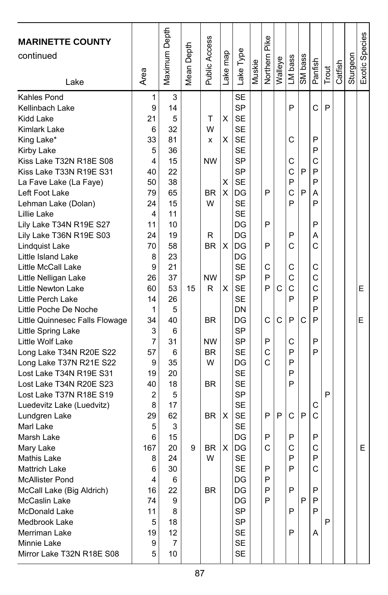| <b>MARINETTE COUNTY</b><br>continued<br>Lake                                                                                                                                                                                                                                                                                                                                                                                                                                                                                                                                                                                                                                                                                                                                                                                                                                                                               | Area                                                                                                                                                                                                                                  | Maximum Depth                                                                                                                                                                                                                                  | Mean Depth | Public Access                                                                                                                                                    | Lake map                             | Lake Type                                                                                                                                                                                                                                                                                                                                                                                                                        | Muskie | Northern Pike                                                                     | Walleye     | LM bass                                                                                                                             | SM bass               | Panfish                                                                                                                                       | Trout       | Catfish | Sturgeon | Exotic Species |
|----------------------------------------------------------------------------------------------------------------------------------------------------------------------------------------------------------------------------------------------------------------------------------------------------------------------------------------------------------------------------------------------------------------------------------------------------------------------------------------------------------------------------------------------------------------------------------------------------------------------------------------------------------------------------------------------------------------------------------------------------------------------------------------------------------------------------------------------------------------------------------------------------------------------------|---------------------------------------------------------------------------------------------------------------------------------------------------------------------------------------------------------------------------------------|------------------------------------------------------------------------------------------------------------------------------------------------------------------------------------------------------------------------------------------------|------------|------------------------------------------------------------------------------------------------------------------------------------------------------------------|--------------------------------------|----------------------------------------------------------------------------------------------------------------------------------------------------------------------------------------------------------------------------------------------------------------------------------------------------------------------------------------------------------------------------------------------------------------------------------|--------|-----------------------------------------------------------------------------------|-------------|-------------------------------------------------------------------------------------------------------------------------------------|-----------------------|-----------------------------------------------------------------------------------------------------------------------------------------------|-------------|---------|----------|----------------|
| Kahles Pond<br>Kellinbach Lake<br>Kidd Lake<br>Kimlark Lake<br>King Lake*<br>Kirby Lake<br>Kiss Lake T32N R18E S08<br>Kiss Lake T33N R19E S31<br>La Fave Lake (La Faye)<br>Left Foot Lake<br>Lehman Lake (Dolan)<br>Lillie Lake<br>Lily Lake T34N R19E S27<br>Lily Lake T36N R19E S03<br>Lindquist Lake<br>Little Island Lake<br>Little McCall Lake<br>Little Nelligan Lake<br>Little Newton Lake<br>Little Perch Lake<br>Little Poche De Noche<br>Little Quinnesec Falls Flowage<br>Little Spring Lake<br>Little Wolf Lake<br>Long Lake T34N R20E S22<br>Long Lake T37N R21E S22<br>Lost Lake T34N R19E S31<br>Lost Lake T34N R20E S23<br>Lost Lake T37N R18E S19<br>Luedevitz Lake (Luedvitz)<br>Lundgren Lake<br>Marl Lake<br>Marsh Lake<br>Mary Lake<br>Mathis Lake<br><b>Mattrich Lake</b><br><b>McAllister Pond</b><br>McCall Lake (Big Aldrich)<br>McCaslin Lake<br>McDonald Lake<br>Medbrook Lake<br>Merriman Lake | 1<br>9<br>21<br>6<br>33<br>5<br>4<br>40<br>50<br>79<br>24<br>4<br>11<br>24<br>70<br>8<br>9<br>26<br>60<br>14<br>1<br>34<br>3<br>7<br>57<br>9<br>19<br>40<br>2<br>8<br>29<br>5<br>6<br>167<br>8<br>6<br>4<br>16<br>74<br>11<br>5<br>19 | 3<br>14<br>5<br>32<br>81<br>36<br>15<br>22<br>38<br>65<br>15<br>11<br>10<br>19<br>58<br>23<br>21<br>37<br>53<br>26<br>5<br>40<br>6<br>31<br>6<br>35<br>20<br>18<br>5<br>17<br>62<br>3<br>15<br>20<br>24<br>30<br>6<br>22<br>9<br>8<br>18<br>12 | 15<br>9    | т<br>W<br>x<br><b>NW</b><br><b>BR</b><br>W<br>R<br><b>BR</b><br><b>NW</b><br>R<br><b>BR</b><br><b>NW</b><br><b>BR</b><br>W<br>BR<br>BR.<br><b>BR</b><br>W<br>BR. | х<br>X<br>Χ<br>X<br>х<br>X<br>X<br>X | <b>SE</b><br><b>SP</b><br><b>SE</b><br>SE<br><b>SE</b><br><b>SE</b><br><b>SP</b><br><b>SP</b><br><b>SE</b><br>DG<br><b>SE</b><br><b>SE</b><br>DG<br>DG<br>DG<br>DG<br><b>SE</b><br><b>SP</b><br><b>SE</b><br><b>SE</b><br>DN<br>DG<br>SP<br>SP<br><b>SE</b><br>DG<br><b>SE</b><br><b>SE</b><br><b>SP</b><br><b>SE</b><br><b>SE</b><br><b>SE</b><br>DG<br>DG<br><b>SE</b><br><b>SE</b><br>DG<br>DG<br>DG<br><b>SP</b><br>SP<br>SE |        | P<br>P<br>P<br>C<br>P<br>P<br>C<br>P<br>C<br>C<br>P<br>P<br>С<br>Þ<br>P<br>P<br>P | C<br>C<br>P | P<br>C<br>С<br>C<br>P<br>C<br>P<br>P<br>C<br>C<br>C<br>C<br>P<br>P<br>С<br>P<br>P<br>P<br>P<br>C<br>P<br>C<br>P<br>P<br>P<br>P<br>P | P<br>P<br>C<br>P<br>P | C<br>P<br>P<br>C<br>P<br>P<br>А<br>P<br>P<br>Α<br>C<br>C<br>C<br>C<br>P<br>P<br>P<br>P<br>P<br>С<br>C<br>P<br>C<br>P<br>C<br>P<br>P<br>P<br>A | P<br>P<br>P |         |          | Е<br>E<br>E    |
| Minnie Lake<br>Mirror Lake T32N R18E S08                                                                                                                                                                                                                                                                                                                                                                                                                                                                                                                                                                                                                                                                                                                                                                                                                                                                                   | 9<br>5                                                                                                                                                                                                                                | 7<br>10                                                                                                                                                                                                                                        |            |                                                                                                                                                                  |                                      | SE<br>SE                                                                                                                                                                                                                                                                                                                                                                                                                         |        |                                                                                   |             |                                                                                                                                     |                       |                                                                                                                                               |             |         |          |                |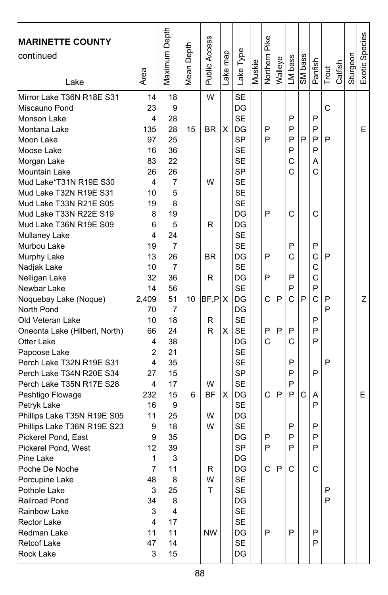| <b>MARINETTE COUNTY</b>       |                | Maximum Depth  |        |               |          |                 |        |               |         |         |         |              |       |         |          | Exotic Species |
|-------------------------------|----------------|----------------|--------|---------------|----------|-----------------|--------|---------------|---------|---------|---------|--------------|-------|---------|----------|----------------|
| continued                     |                |                | Depth  |               |          |                 |        |               |         |         |         |              |       |         |          |                |
|                               |                |                |        |               |          |                 |        |               |         |         |         |              |       |         |          |                |
| Lake                          | Area           |                | Mean I | Public Access | Lake map | Lake Type       | Muskie | Northern Pike | Walleye | LM bass | SM bass | Panfish      | Trout | Catfish | Sturgeon |                |
|                               |                |                |        |               |          |                 |        |               |         |         |         |              |       |         |          |                |
| Mirror Lake T36N R18E S31     | 14             | 18             |        | W             |          | <b>SE</b>       |        |               |         |         |         |              | C     |         |          |                |
| Miscauno Pond                 | 23             | 9              |        |               |          | DG<br><b>SE</b> |        |               |         | P       |         | P            |       |         |          |                |
| Monson Lake                   | 4              | 28             |        |               |          |                 |        | P             |         | P       |         | P            |       |         |          |                |
| Montana Lake                  | 135<br>97      | 28<br>25       | 15     | <b>BR</b>     | х        | DG<br><b>SP</b> |        | P             |         | P       | P       | P            | P     |         |          | E              |
| Moon Lake<br>Moose Lake       | 16             | 36             |        |               |          | <b>SE</b>       |        |               |         | P       |         | P            |       |         |          |                |
|                               | 83             | 22             |        |               |          | <b>SE</b>       |        |               |         | C       |         | Α            |       |         |          |                |
| Morgan Lake<br>Mountain Lake  | 26             | 26             |        |               |          | SP              |        |               |         | C       |         | C            |       |         |          |                |
| Mud Lake*T31N R19E S30        | 4              | $\overline{7}$ |        | W             |          | <b>SE</b>       |        |               |         |         |         |              |       |         |          |                |
| Mud Lake T32N R19E S31        | 10             | 5              |        |               |          | <b>SE</b>       |        |               |         |         |         |              |       |         |          |                |
| Mud Lake T33N R21E S05        | 19             | 8              |        |               |          | <b>SE</b>       |        |               |         |         |         |              |       |         |          |                |
| Mud Lake T33N R22E S19        | 8              | 19             |        |               |          | DG              |        | P             |         | C       |         | C            |       |         |          |                |
| Mud Lake T36N R19E S09        | 6              | 5              |        | R             |          | DG              |        |               |         |         |         |              |       |         |          |                |
| Mullaney Lake                 | 4              | 24             |        |               |          | <b>SE</b>       |        |               |         |         |         |              |       |         |          |                |
| Murbou Lake                   | 19             | 7              |        |               |          | <b>SE</b>       |        |               |         | P       |         | P            |       |         |          |                |
| Murphy Lake                   | 13             | 26             |        | <b>BR</b>     |          | DG              |        | P             |         | C       |         | C            | P     |         |          |                |
| Nadjak Lake                   | 10             | $\overline{7}$ |        |               |          | <b>SE</b>       |        |               |         |         |         | $\mathsf{C}$ |       |         |          |                |
| Nelligan Lake                 | 32             | 36             |        | R             |          | DG              |        | P             |         | P       |         | C            |       |         |          |                |
| Newbar Lake                   | 14             | 56             |        |               |          | <b>SE</b>       |        |               |         | P       |         | P            |       |         |          |                |
| Noquebay Lake (Noque)         | 2.409          | 51             | 10     | BF.P.X        |          | DG              |        | C             | P       | C       | P       | C            | P     |         |          | Z              |
| North Pond                    | 70             | $\overline{7}$ |        |               |          | DG              |        |               |         |         |         |              | P     |         |          |                |
| Old Veteran Lake              | 10             | 18             |        | R             |          | <b>SE</b>       |        |               |         |         |         | P            |       |         |          |                |
| Oneonta Lake (Hilbert, North) | 66             | 24             |        | R             | X        | <b>SE</b>       |        | P             | P       | P       |         | P            |       |         |          |                |
| Otter Lake                    | 4              | 38             |        |               |          | DG              |        | C             |         | C       |         | P            |       |         |          |                |
| Papoose Lake                  | $\overline{2}$ | 21             |        |               |          | <b>SE</b>       |        |               |         |         |         |              |       |         |          |                |
| Perch Lake T32N R19E S31      | 4              | 35             |        |               |          | <b>SE</b>       |        |               |         | P       |         |              | P     |         |          |                |
| Perch Lake T34N R20E S34      | 27             | 15             |        |               |          | <b>SP</b>       |        |               |         | P       |         | P            |       |         |          |                |
| Perch Lake T35N R17E S28      | 4              | 17             |        | W             |          | <b>SE</b>       |        |               |         | P       |         |              |       |         |          |                |
| Peshtigo Flowage              | 232            | 15             | 6      | <b>BF</b>     | X        | DG              |        | C             | P       | P       | C       | Α            |       |         |          | E              |
| Petryk Lake                   | 16             | 9              |        |               |          | <b>SE</b>       |        |               |         |         |         | P            |       |         |          |                |
| Phillips Lake T35N R19E S05   | 11             | 25             |        | W             |          | DG              |        |               |         |         |         |              |       |         |          |                |
| Phillips Lake T36N R19E S23   | 9              | 18             |        | W             |          | <b>SE</b>       |        |               |         | P       |         | P            |       |         |          |                |
| Pickerel Pond, East           | 9              | 35             |        |               |          | DG              |        | P             |         | P       |         | P            |       |         |          |                |
| Pickerel Pond, West           | 12             | 39             |        |               |          | <b>SP</b>       |        | P             |         | P       |         | P            |       |         |          |                |
| Pine Lake                     | 1              | 3              |        |               |          | DG              |        |               |         |         |         |              |       |         |          |                |
| Poche De Noche                | 7              | 11             |        | R             |          | DG              |        | C.            | P       | C.      |         | C            |       |         |          |                |
| Porcupine Lake                | 48             | 8              |        | W             |          | SE              |        |               |         |         |         |              |       |         |          |                |
| Pothole Lake                  | 3              | 25             |        | Τ             |          | SE              |        |               |         |         |         |              | P     |         |          |                |
| Railroad Pond                 | 34             | 8              |        |               |          | DG              |        |               |         |         |         |              | P     |         |          |                |
| Rainbow Lake                  | 3              | 4              |        |               |          | <b>SE</b>       |        |               |         |         |         |              |       |         |          |                |
| <b>Rector Lake</b>            | 4              | 17             |        |               |          | <b>SE</b>       |        |               |         |         |         |              |       |         |          |                |
| Redman Lake                   | 11             | 11             |        | <b>NW</b>     |          | DG              |        | P             |         | P       |         | P            |       |         |          |                |
| Retcof Lake                   | 47             | 14             |        |               |          | <b>SE</b>       |        |               |         |         |         | P            |       |         |          |                |
| Rock Lake                     | 3              | 15             |        |               |          | DG              |        |               |         |         |         |              |       |         |          |                |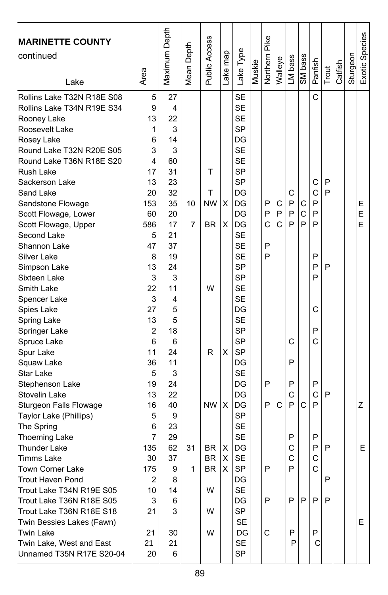| <b>MARINETTE COUNTY</b><br>continued<br>Lake         | Area           | Maximum Depth | Mean Depth | Public Access | Lake map | Lake Type              | Muskie | <b>Northern Pike</b> | Walleye | LM bass | SM bass      | Panfish | Trout  | Catfish | Sturgeon | Exotic Species |
|------------------------------------------------------|----------------|---------------|------------|---------------|----------|------------------------|--------|----------------------|---------|---------|--------------|---------|--------|---------|----------|----------------|
| Rollins Lake T32N R18E S08                           | 5              | 27            |            |               |          | <b>SE</b>              |        |                      |         |         |              | С       |        |         |          |                |
| Rollins Lake T34N R19E S34                           | 9              | 4             |            |               |          | <b>SE</b>              |        |                      |         |         |              |         |        |         |          |                |
| Rooney Lake                                          | 13             | 22            |            |               |          | <b>SE</b>              |        |                      |         |         |              |         |        |         |          |                |
| Roosevelt Lake                                       | 1              | 3             |            |               |          | <b>SP</b>              |        |                      |         |         |              |         |        |         |          |                |
| Rosey Lake                                           | 6              | 14            |            |               |          | DG                     |        |                      |         |         |              |         |        |         |          |                |
| Round Lake T32N R20E S05                             | 3              | 3             |            |               |          | <b>SE</b>              |        |                      |         |         |              |         |        |         |          |                |
| Round Lake T36N R18E S20                             | 4              | 60            |            |               |          | <b>SE</b>              |        |                      |         |         |              |         |        |         |          |                |
| Rush Lake                                            | 17             | 31            |            | т             |          | SP<br><b>SP</b>        |        |                      |         |         |              |         |        |         |          |                |
| Sackerson Lake                                       | 13             | 23<br>32      |            | т             |          | DG                     |        |                      |         | C       |              | С<br>C  | P<br>P |         |          |                |
| Sand Lake                                            | 20<br>153      | 35            | 10         | <b>NW</b>     | X        | DG                     |        | P                    | C       | P       | C            | P       |        |         |          | Е              |
| Sandstone Flowage                                    | 60             | 20            |            |               |          | DG                     |        | P                    | P       | P       | $\mathsf{C}$ | P       |        |         |          | E              |
| Scott Flowage, Lower<br>Scott Flowage, Upper         | 586            | 17            | 7          | <b>BR</b>     | X        | DG                     |        | C                    | C       | P       | P            | P       |        |         |          | E              |
| Second Lake                                          | 5              | 21            |            |               |          | <b>SE</b>              |        |                      |         |         |              |         |        |         |          |                |
| Shannon Lake                                         | 47             | 37            |            |               |          | <b>SE</b>              |        | P                    |         |         |              |         |        |         |          |                |
| Silver Lake                                          | 8              | 19            |            |               |          | <b>SE</b>              |        | P                    |         |         |              | P       |        |         |          |                |
| Simpson Lake                                         | 13             | 24            |            |               |          | <b>SP</b>              |        |                      |         |         |              | P       | P      |         |          |                |
| Sixteen Lake                                         | 3              | 3             |            |               |          | <b>SP</b>              |        |                      |         |         |              | P       |        |         |          |                |
| Smith Lake                                           | 22             | 11            |            | W             |          | <b>SE</b>              |        |                      |         |         |              |         |        |         |          |                |
| Spencer Lake                                         | 3              | 4             |            |               |          | <b>SE</b>              |        |                      |         |         |              |         |        |         |          |                |
| Spies Lake                                           | 27             | 5             |            |               |          | DG                     |        |                      |         |         |              | С       |        |         |          |                |
| Spring Lake                                          | 13             | 5             |            |               |          | <b>SE</b>              |        |                      |         |         |              |         |        |         |          |                |
| Springer Lake                                        | $\overline{2}$ | 18            |            |               |          | <b>SP</b>              |        |                      |         |         |              | P       |        |         |          |                |
| Spruce Lake                                          | 6              | 6             |            |               |          | <b>SP</b>              |        |                      |         | С       |              | Ć       |        |         |          |                |
| Spur Lake                                            | 11             | 24            |            | R             | X        | <b>SP</b>              |        |                      |         |         |              |         |        |         |          |                |
| Squaw Lake                                           | 36             | 11            |            |               |          | DG                     |        |                      |         | P       |              |         |        |         |          |                |
| Star Lake                                            | 5              | 3             |            |               |          | <b>SE</b>              |        |                      |         |         |              |         |        |         |          |                |
| Stephenson Lake                                      | 19             | 24            |            |               |          | DG                     |        | P                    |         | P       |              | P       |        |         |          |                |
| Stovelin Lake                                        | 13             | 22            |            |               |          | DG                     |        |                      |         | C       |              | C       | P      |         |          |                |
| Sturgeon Falls Flowage                               | 16             | 40            |            | <b>NW</b>     | X        | DG                     |        | P                    | C       | P       | C            | P       |        |         |          | Z              |
| Taylor Lake (Phillips)                               | 5              | 9             |            |               |          | <b>SP</b>              |        |                      |         |         |              |         |        |         |          |                |
| The Spring                                           | 6              | 23            |            |               |          | <b>SE</b>              |        |                      |         |         |              |         |        |         |          |                |
| <b>Thoeming Lake</b>                                 | 7              | 29            |            |               |          | <b>SE</b>              |        |                      |         | P       |              | P       |        |         |          |                |
| <b>Thunder Lake</b>                                  | 135            | 62            | 31         | <b>BR</b>     | X        | DG                     |        |                      |         | C       |              | P       | P      |         |          | E              |
| Timms Lake                                           | 30             | 37            |            | <b>BR</b>     | X        | <b>SE</b>              |        |                      |         | C       |              | С       |        |         |          |                |
| Town Corner Lake                                     | 175            | 9             | 1          | <b>BR</b>     | X        | <b>SP</b>              |        | P                    |         | P       |              | C       |        |         |          |                |
| Trout Haven Pond                                     | 2              | 8             |            |               |          | $\mathsf{D}\mathsf{G}$ |        |                      |         |         |              |         | P      |         |          |                |
| Trout Lake T34N R19E S05<br>Trout Lake T36N R18E S05 | 10             | 14            |            | W             |          | SE                     |        | P                    |         | P       | l P          | P       | P      |         |          |                |
| Trout Lake T36N R18E S18                             | 3<br>21        | 6<br>3        |            | W             |          | DG<br><b>SP</b>        |        |                      |         |         |              |         |        |         |          |                |
| Twin Bessies Lakes (Fawn)                            |                |               |            |               |          | <b>SE</b>              |        |                      |         |         |              |         |        |         |          | E.             |
| <b>Twin Lake</b>                                     | 21             | 30            |            | W             |          | DG                     |        | С                    |         | P       |              | P       |        |         |          |                |
| Twin Lake, West and East                             | 21             | 21            |            |               |          | SE                     |        |                      |         | P       |              | С       |        |         |          |                |
| Unnamed T35N R17E S20-04                             | 20             | 6             |            |               |          | SP                     |        |                      |         |         |              |         |        |         |          |                |
|                                                      |                |               |            |               |          |                        |        |                      |         |         |              |         |        |         |          |                |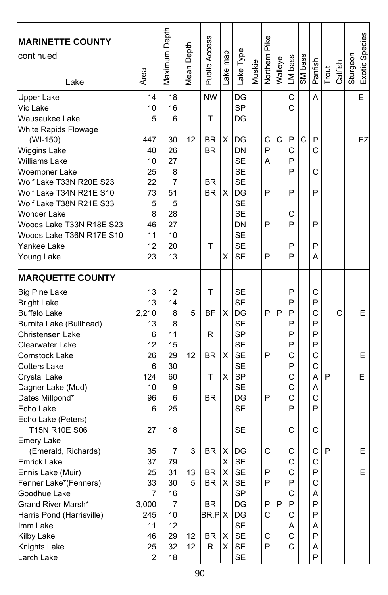| <b>MARINETTE COUNTY</b><br>continued            | Area           | Maximum Depth  | Mean Depth | Public Access  | Lake map     | Lake Type             | Muskie | <b>Northern Pike</b> | Walleye      | LM bass | SM bass      | Panfish | Trout | Catfish | Sturgeon | Exotic Species |
|-------------------------------------------------|----------------|----------------|------------|----------------|--------------|-----------------------|--------|----------------------|--------------|---------|--------------|---------|-------|---------|----------|----------------|
| Lake                                            |                |                |            |                |              |                       |        |                      |              |         |              |         |       |         |          |                |
| <b>Upper Lake</b><br>Vic Lake<br>Wausaukee Lake | 14<br>10<br>5  | 18<br>16<br>6  |            | <b>NW</b><br>Τ |              | DG<br><b>SP</b><br>DG |        |                      |              | C<br>C  |              | Α       |       |         |          | E              |
|                                                 |                |                |            |                |              |                       |        |                      |              |         |              |         |       |         |          |                |
| White Rapids Flowage                            | 447            |                | 12         | BR.            | X            | DG                    |        | C                    | $\mathsf{C}$ | P       | $\mathsf{C}$ | P       |       |         |          | EZ             |
| (WI-150)                                        | 40             | 30<br>26       |            | <b>BR</b>      |              | DN                    |        | P                    |              | C       |              | C       |       |         |          |                |
| <b>Wiggins Lake</b>                             |                |                |            |                |              |                       |        |                      |              | P       |              |         |       |         |          |                |
| Williams Lake                                   | 10             | 27             |            |                |              | <b>SE</b>             |        | A                    |              |         |              |         |       |         |          |                |
| Woempner Lake                                   | 25             | 8              |            |                |              | <b>SE</b>             |        |                      |              | P       |              | С       |       |         |          |                |
| Wolf Lake T33N R20E S23                         | 22             | $\overline{7}$ |            | <b>BR</b>      |              | <b>SE</b>             |        |                      |              |         |              |         |       |         |          |                |
| Wolf Lake T34N R21E S10                         | 73             | 51             |            | <b>BR</b>      | X            | DG                    |        | P                    |              | P       |              | P       |       |         |          |                |
| Wolf Lake T38N R21E S33                         | 5              | 5              |            |                |              | <b>SE</b>             |        |                      |              |         |              |         |       |         |          |                |
| <b>Wonder Lake</b>                              | 8              | 28             |            |                |              | <b>SE</b>             |        |                      |              | С       |              |         |       |         |          |                |
| Woods Lake T33N R18E S23                        | 46             | 27             |            |                |              | DN                    |        | P                    |              | P       |              | P       |       |         |          |                |
| Woods Lake T36N R17E S10                        | 11             | 10             |            |                |              | <b>SE</b>             |        |                      |              |         |              |         |       |         |          |                |
| Yankee Lake                                     | 12             | 20             |            | Т              |              | <b>SE</b>             |        |                      |              | P       |              | P       |       |         |          |                |
| Young Lake                                      | 23             | 13             |            |                | X            | SE                    |        | P                    |              | P       |              | A       |       |         |          |                |
| <b>MARQUETTE COUNTY</b>                         |                |                |            |                |              |                       |        |                      |              |         |              |         |       |         |          |                |
| <b>Big Pine Lake</b>                            | 13             | 12             |            | т              |              | <b>SE</b>             |        |                      |              | P       |              | С       |       |         |          |                |
| <b>Bright Lake</b>                              | 13             | 14             |            |                |              | <b>SE</b>             |        |                      |              | P       |              | P       |       |         |          |                |
| <b>Buffalo Lake</b>                             | 2,210          | 8              | 5          | ΒF             | X            | DG                    |        | P                    | P            | P       |              | Ċ       |       | C       |          | E              |
| Burnita Lake (Bullhead)                         | 13             | 8              |            |                |              | <b>SE</b>             |        |                      |              | P       |              | P       |       |         |          |                |
| Christensen Lake                                | 6              | 11             |            | R              |              | <b>SP</b>             |        |                      |              | P       |              | P       |       |         |          |                |
| Clearwater Lake                                 | 12             | 15             |            |                |              | <b>SE</b>             |        |                      |              | P       |              | P       |       |         |          |                |
| Comstock Lake                                   | 26             | 29             | 12         | <b>BR</b>      | X            | <b>SE</b>             |        | P                    |              | C       |              | C       |       |         |          | E              |
| <b>Cotters Lake</b>                             | 6              | 30             |            |                |              | <b>SE</b>             |        |                      |              | P       |              | С       |       |         |          |                |
| Crystal Lake                                    | 124            | 60             |            | т              | X            | <b>SP</b>             |        |                      |              | C       |              | Α       | P     |         |          | Е              |
| Dagner Lake (Mud)                               | 10             | 9              |            |                |              | <b>SE</b>             |        |                      |              | C       |              | Α       |       |         |          |                |
| Dates Millpond*                                 | 96             | 6              |            | <b>BR</b>      |              | DG                    |        | P                    |              | C       |              | Ċ       |       |         |          |                |
| Echo Lake                                       | 6              | 25             |            |                |              | <b>SE</b>             |        |                      |              | P       |              | P       |       |         |          |                |
| Echo Lake (Peters)                              |                |                |            |                |              |                       |        |                      |              |         |              |         |       |         |          |                |
| T15N R10E S06<br><b>Emery Lake</b>              | 27             | 18             |            |                |              | SE                    |        |                      |              | С       |              | C       |       |         |          |                |
|                                                 | 35             | 7              | 3          | <b>BR</b>      | X            | DG                    |        | C                    |              | С       |              | C       | P     |         |          | E              |
| (Emerald, Richards)                             | 37             | 79             |            |                | х            | <b>SE</b>             |        |                      |              | C       |              | C       |       |         |          |                |
| Emrick Lake                                     |                |                |            | $BR$ $X$       |              |                       |        |                      |              |         |              |         |       |         |          |                |
| Ennis Lake (Muir)                               | 25             | 31             | 13         |                | $\mathsf{X}$ | SE                    |        | Ρ<br>P               |              | C<br>P  |              | ۲       |       |         |          | ᄇ              |
| Fenner Lake*(Fenners)                           | 33             | 30             | 5          | BR             |              | SE                    |        |                      |              |         |              | С       |       |         |          |                |
| Goodhue Lake                                    | 7              | 16             |            |                |              | <b>SP</b>             |        |                      |              | С       |              | A       |       |         |          |                |
| Grand River Marsh*                              | 3,000          | 7              |            | BR             |              | DG                    |        | P                    | P            | P       |              | P       |       |         |          |                |
| Harris Pond (Harrisville)                       | 245            | 10             |            | BR, PlX        |              | DG                    |        | С                    |              | С       |              | P       |       |         |          |                |
| Imm Lake                                        | 11             | 12             |            |                |              | SE                    |        |                      |              | Α       |              | A       |       |         |          |                |
| Kilby Lake                                      | 46             | 29             | 12         | BR             | Х            | SE                    |        | C                    |              | C       |              | P       |       |         |          |                |
| Knights Lake                                    | 25             | 32             | 12         | R              | X            | <b>SE</b>             |        | P                    |              | C       |              | Α       |       |         |          |                |
| Larch Lake                                      | $\overline{c}$ | 18             |            |                |              | <b>SE</b>             |        |                      |              |         |              | P       |       |         |          |                |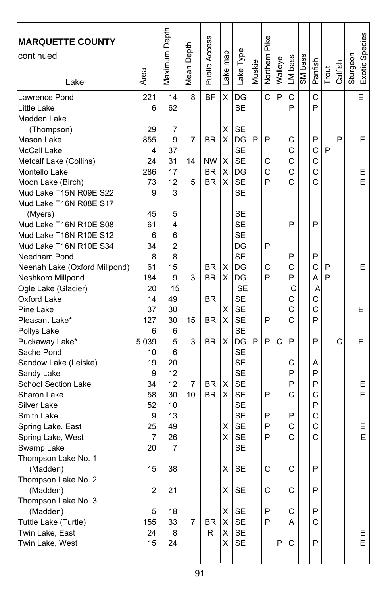| <b>MARQUETTE COUNTY</b><br>continued | Area           | Maximum Depth | Mean Depth | Public Access | Lake map | Lake Type | Muskie | Pike<br>Northern | Walleye | LM bass | SM bass | Panfish | Trout | Catfish | Sturgeon | Exotic Species |
|--------------------------------------|----------------|---------------|------------|---------------|----------|-----------|--------|------------------|---------|---------|---------|---------|-------|---------|----------|----------------|
| Lake                                 |                |               |            |               |          |           |        |                  |         |         |         |         |       |         |          |                |
| Lawrence Pond                        | 221            | 14            | 8          | <b>BF</b>     | X        | DG        |        | C                | P       | C       |         | C       |       |         |          | E              |
| Little Lake                          | 6              | 62            |            |               |          | <b>SE</b> |        |                  |         | P       |         | P       |       |         |          |                |
| Madden Lake                          |                |               |            |               |          |           |        |                  |         |         |         |         |       |         |          |                |
| (Thompson)                           | 29             | 7             |            |               | х        | SE        |        |                  |         |         |         |         |       |         |          |                |
| Mason Lake                           | 855            | 9             | 7          | <b>BR</b>     | X        | DG        | P      | P                |         | С       |         | P       |       | P       |          | E.             |
| McCall Lake                          | 4              | 37            |            |               |          | <b>SE</b> |        |                  |         | C       |         | C       | P     |         |          |                |
| Metcalf Lake (Collins)               | 24             | 31            | 14         | <b>NW</b>     | X        | <b>SE</b> |        | С                |         | C       |         | C       |       |         |          |                |
| Montello Lake                        | 286            | 17            |            | <b>BR</b>     | X        | DG        |        | C                |         | C       |         | C       |       |         |          | E              |
| Moon Lake (Birch)                    | 73             | 12            | 5          | <b>BR</b>     | X        | <b>SE</b> |        | P                |         | C       |         | Ć       |       |         |          | E.             |
| Mud Lake T15N R09E S22               | 9              | 3             |            |               |          | SE        |        |                  |         |         |         |         |       |         |          |                |
| Mud Lake T16N R08E S17               |                |               |            |               |          |           |        |                  |         |         |         |         |       |         |          |                |
| (Myers)                              | 45             | 5             |            |               |          | <b>SE</b> |        |                  |         |         |         |         |       |         |          |                |
| Mud Lake T16N R10E S08               | 61             | 4             |            |               |          | <b>SE</b> |        |                  |         | P       |         | P       |       |         |          |                |
| Mud Lake T16N R10E S12               | 6              | 6             |            |               |          | <b>SE</b> |        |                  |         |         |         |         |       |         |          |                |
| Mud Lake T16N R10E S34               | 34             | 2             |            |               |          | DG        |        | P                |         |         |         |         |       |         |          |                |
| Needham Pond                         | 8              | 8             |            |               |          | <b>SE</b> |        |                  |         | P       |         | P       |       |         |          |                |
| Neenah Lake (Oxford Millpond)        | 61             | 15            |            | <b>BR</b>     | х        | DG        |        | C                |         | C       |         | C       | P     |         |          | E.             |
| Neshkoro Millpond                    | 184            | 9             | 3          | BR            | X        | IDG       |        | P                |         | P       |         | A       | P     |         |          |                |
| Ogle Lake (Glacier)                  | 20             | 15            |            |               |          | <b>SE</b> |        |                  |         | C       |         | A       |       |         |          |                |
| Oxford Lake                          | 14             | 49            |            | <b>BR</b>     |          | <b>SE</b> |        |                  |         | С       |         | C       |       |         |          |                |
| Pine Lake                            | 37             | 30            |            |               | х        | <b>SE</b> |        |                  |         | C       |         | C       |       |         |          | E              |
| Pleasant Lake*                       | 127            | 30            | 15         | <b>BR</b>     | X        | <b>SE</b> |        | P                |         | Ċ       |         | P       |       |         |          |                |
| Pollys Lake                          | 6              | 6             |            |               |          | SE        |        |                  |         |         |         |         |       |         |          |                |
| Puckaway Lake*                       | 5,039          | 5             | 3          | <b>BR</b>     | X        | DG        | P      | P                | C       | P       |         | P       |       | С       |          | E              |
| Sache Pond                           | 10             | 6             |            |               |          | SE        |        |                  |         |         |         |         |       |         |          |                |
| Sandow Lake (Leiske)                 | 19             | 20            |            |               |          | <b>SE</b> |        |                  |         | С       |         | Α       |       |         |          |                |
| Sandy Lake                           | 9              | 12            |            |               |          | <b>SE</b> |        |                  |         | P       |         | P       |       |         |          |                |
| School Section Lake                  | 34             | 12            | 7          | BR            | х        | <b>SE</b> |        |                  |         | P       |         | P       |       |         |          | E              |
| Sharon Lake                          | 58             | 30            | 10         | <b>BR</b>     | X        | <b>SE</b> |        | P                |         | C       |         | C       |       |         |          | E.             |
| Silver Lake                          | 52             | 10            |            |               |          | <b>SE</b> |        |                  |         |         |         | P       |       |         |          |                |
| Smith Lake                           | 9              | 13            |            |               |          | <b>SE</b> |        | P                |         | P       |         | C       |       |         |          |                |
| Spring Lake, East                    | 25             | 49            |            |               | х        | SE        |        | P                |         | C       |         | C       |       |         |          | E              |
| Spring Lake, West                    | 7              | 26            |            |               | х        | <b>SE</b> |        | P                |         | C       |         | C       |       |         |          | E.             |
| Swamp Lake                           | 20             | 7             |            |               |          | <b>SE</b> |        |                  |         |         |         |         |       |         |          |                |
| Thompson Lake No. 1                  |                |               |            |               |          |           |        |                  |         |         |         |         |       |         |          |                |
| (Madden)                             | 15             | 38            |            |               | X        | <b>SE</b> |        | $\mathsf{C}$     |         | C       |         | P       |       |         |          |                |
| Thompson Lake No. 2                  |                |               |            |               |          |           |        |                  |         |         |         |         |       |         |          |                |
| (Madden)                             | $\overline{2}$ | 21            |            |               | х        | <b>SE</b> |        | С                |         | С       |         | P       |       |         |          |                |
| Thompson Lake No. 3                  |                |               |            |               |          |           |        |                  |         |         |         |         |       |         |          |                |
| (Madden)                             | 5              | 18            |            |               | X        | <b>SE</b> |        | P                |         | C       |         | P       |       |         |          |                |
| Tuttle Lake (Turtle)                 | 155            | 33            | 7          | BR            | X        | SE        |        | P                |         | Α       |         | С       |       |         |          |                |
| Twin Lake, East                      | 24             | 8             |            | R             | X        | SE        |        |                  |         |         |         |         |       |         |          | Е              |
| Twin Lake, West                      | 15             | 24            |            |               | X        | SE        |        |                  | P       | C       |         | P       |       |         |          | E              |
|                                      |                |               |            |               |          |           |        |                  |         |         |         |         |       |         |          |                |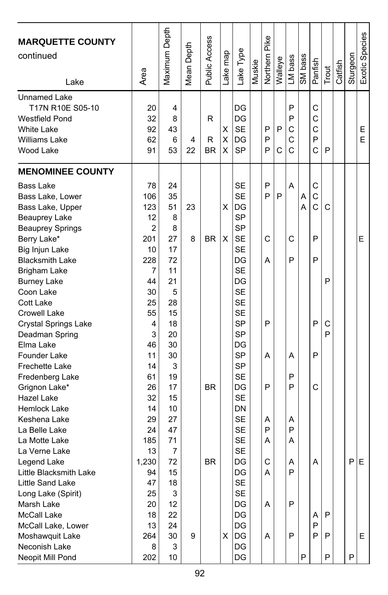| <b>MARQUETTE COUNTY</b><br>continued<br>Lake                                                                                                                                                                                                                                                                                                                                                                                                                                                          | Area                                                                                                                                                             | Maximum Depth                                                                                                                                  | Mean Depth | Public Access          | ake map     | Lake Type                                                                                                                                                                                                                                                                        | Muskie | Northern Pike                                  | Walleye | LM bass                                   | SM bass | Panfish                                                  | Trout            | Catfish | Sturgeon | Exotic Species |
|-------------------------------------------------------------------------------------------------------------------------------------------------------------------------------------------------------------------------------------------------------------------------------------------------------------------------------------------------------------------------------------------------------------------------------------------------------------------------------------------------------|------------------------------------------------------------------------------------------------------------------------------------------------------------------|------------------------------------------------------------------------------------------------------------------------------------------------|------------|------------------------|-------------|----------------------------------------------------------------------------------------------------------------------------------------------------------------------------------------------------------------------------------------------------------------------------------|--------|------------------------------------------------|---------|-------------------------------------------|---------|----------------------------------------------------------|------------------|---------|----------|----------------|
| Unnamed Lake<br>T17N R10E S05-10<br><b>Westfield Pond</b><br><b>White Lake</b><br>Williams Lake<br>Wood Lake                                                                                                                                                                                                                                                                                                                                                                                          | 20<br>32<br>92<br>62<br>91                                                                                                                                       | 4<br>8<br>43<br>6<br>53                                                                                                                        | 4<br>22    | R<br>R<br><b>BR</b>    | X<br>X<br>х | DG<br>DG<br><b>SE</b><br>DG<br><b>SP</b>                                                                                                                                                                                                                                         |        | P<br>P<br>P                                    | P<br>C  | P<br>P<br>C<br>C<br>C                     |         | C<br>C<br>C<br>P<br>Ć                                    | P                |         |          | E<br>E         |
| <b>MENOMINEE COUNTY</b><br><b>Bass Lake</b><br>Bass Lake, Lower<br>Bass Lake, Upper<br><b>Beauprey Lake</b><br><b>Beauprey Springs</b><br>Berry Lake*<br>Big Injun Lake<br><b>Blacksmith Lake</b><br>Brigham Lake<br><b>Burney Lake</b><br>Coon Lake<br>Cott Lake<br>Crowell Lake<br>Crystal Springs Lake<br>Deadman Spring<br>Elma Lake<br>Founder Lake<br><b>Frechette Lake</b><br>Fredenberg Lake<br>Grignon Lake*<br>Hazel Lake<br>Hemlock Lake<br>Keshena Lake<br>La Belle Lake<br>La Motte Lake | 78<br>106<br>123<br>12<br>$\overline{c}$<br>201<br>10<br>228<br>7<br>44<br>30<br>25<br>55<br>4<br>3<br>46<br>11<br>14<br>61<br>26<br>32<br>14<br>29<br>24<br>185 | 24<br>35<br>51<br>8<br>8<br>27<br>17<br>72<br>11<br>21<br>5<br>28<br>15<br>18<br>20<br>30<br>30<br>3<br>19<br>17<br>15<br>10<br>27<br>47<br>71 | 23<br>8    | <b>BR</b><br><b>BR</b> | х<br>X      | <b>SE</b><br><b>SE</b><br>DG<br>SP<br><b>SP</b><br><b>SE</b><br><b>SE</b><br>DG<br><b>SE</b><br>DG<br><b>SE</b><br><b>SE</b><br><b>SE</b><br><b>SP</b><br><b>SP</b><br>DG<br><b>SP</b><br><b>SP</b><br><b>SE</b><br>DG<br><b>SE</b><br>DN<br><b>SE</b><br><b>SE</b><br><b>SE</b> |        | P<br>P<br>C<br>A<br>P<br>А<br>P<br>Α<br>P<br>A | P       | A<br>С<br>P<br>A<br>P<br>P<br>Α<br>P<br>Α | A<br>A  | С<br>$\mathsf{C}$<br>$\ddot{c}$<br>P<br>P<br>P<br>P<br>С | C<br>P<br>С<br>P |         |          | Е              |
| La Verne Lake<br>Legend Lake<br>Little Blacksmith Lake<br>Little Sand Lake<br>Long Lake (Spirit)<br>Marsh Lake<br>McCall Lake<br>McCall Lake, Lower<br>Moshawquit Lake<br>Neconish Lake<br>Neopit Mill Pond                                                                                                                                                                                                                                                                                           | 13<br>1,230<br>94<br>47<br>25<br>20<br>18<br>13<br>264<br>8<br>202                                                                                               | 7<br>72<br>15<br>18<br>3<br>12<br>22<br>24<br>30<br>3<br>10                                                                                    | 9          | <b>BR</b>              | х           | <b>SE</b><br>DG<br>DG<br><b>SE</b><br>SE<br>DG<br>DG<br>DG<br>DG<br>DG<br>DG                                                                                                                                                                                                     |        | C<br>Α<br>Α<br>Α                               |         | Α<br>P<br>P<br>P                          | P       | Α<br>A<br>P<br>P                                         | P<br>P<br>P      |         | P<br>P   | Ε<br>E.        |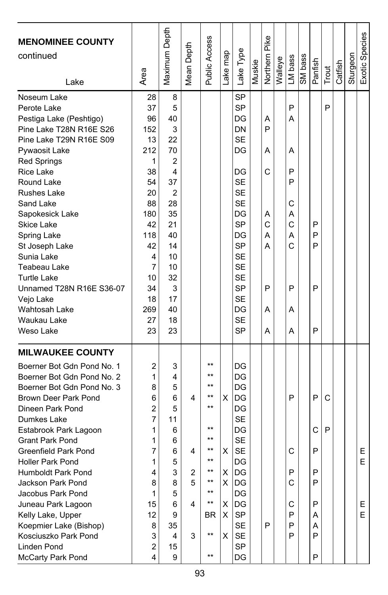| <b>MENOMINEE COUNTY</b><br>continued<br>Lake                                                                                                                                                                                                                                                                                                                                                                                                                                        | Area                                                                                                                                     | Maximum Depth                                                                                                                   | Mean Depth                 | Public Access                                                                                                                       | Lake map                         | Lake Type                                                                                                                                                                                                     | Muskie | Northern Pike                                       | Walleye | LM bass                                                       | SM bass | Panfish                                        | Trout  | Catfish | Sturgeon | Exotic Species    |
|-------------------------------------------------------------------------------------------------------------------------------------------------------------------------------------------------------------------------------------------------------------------------------------------------------------------------------------------------------------------------------------------------------------------------------------------------------------------------------------|------------------------------------------------------------------------------------------------------------------------------------------|---------------------------------------------------------------------------------------------------------------------------------|----------------------------|-------------------------------------------------------------------------------------------------------------------------------------|----------------------------------|---------------------------------------------------------------------------------------------------------------------------------------------------------------------------------------------------------------|--------|-----------------------------------------------------|---------|---------------------------------------------------------------|---------|------------------------------------------------|--------|---------|----------|-------------------|
| Noseum Lake<br>Perote Lake<br>Pestiga Lake (Peshtigo)<br>Pine Lake T28N R16E S26<br>Pine Lake T29N R16E S09<br>Pywaosit Lake<br><b>Red Springs</b><br><b>Rice Lake</b><br>Round Lake<br><b>Rushes Lake</b><br>Sand Lake<br>Sapokesick Lake<br><b>Skice Lake</b><br>Spring Lake<br>St Joseph Lake<br>Sunia Lake<br>Teabeau Lake<br><b>Turtle Lake</b><br>Unnamed T28N R16E S36-07<br>Vejo Lake<br>Wahtosah Lake<br>Waukau Lake<br>Weso Lake                                          | 28<br>37<br>96<br>152<br>13<br>212<br>1<br>38<br>54<br>20<br>88<br>180<br>42<br>118<br>42<br>4<br>7<br>10<br>34<br>18<br>269<br>27<br>23 | 8<br>5<br>40<br>3<br>22<br>70<br>2<br>4<br>37<br>2<br>28<br>35<br>21<br>40<br>14<br>10<br>10<br>32<br>3<br>17<br>40<br>18<br>23 |                            |                                                                                                                                     |                                  | SP<br><b>SP</b><br>DG<br>DN<br><b>SE</b><br>DG<br>DG<br><b>SE</b><br><b>SE</b><br><b>SE</b><br>DG<br><b>SP</b><br>DG<br>SP<br><b>SE</b><br><b>SE</b><br><b>SE</b><br>SP<br><b>SE</b><br>DG<br><b>SE</b><br>SP |        | Α<br>P<br>Α<br>C<br>Α<br>C<br>А<br>А<br>P<br>Α<br>А |         | P<br>А<br>Α<br>P<br>P<br>С<br>А<br>C<br>А<br>Ċ<br>P<br>Α<br>A |         | P<br>P<br>P<br>P<br>P                          | P      |         |          |                   |
| <b>MILWAUKEE COUNTY</b><br>Boerner Bot Gdn Pond No. 1<br>Boerner Bot Gdn Pond No. 2<br>Boerner Bot Gdn Pond No. 3<br>Brown Deer Park Pond<br>Dineen Park Pond<br>Dumkes Lake<br>Estabrook Park Lagoon<br><b>Grant Park Pond</b><br>Greenfield Park Pond<br><b>Holler Park Pond</b><br>Humboldt Park Pond<br>Jackson Park Pond<br>Jacobus Park Pond<br>Juneau Park Lagoon<br>Kelly Lake, Upper<br>Koepmier Lake (Bishop)<br>Kosciuszko Park Pond<br>Linden Pond<br>McCarty Park Pond | 2<br>1<br>8<br>6<br>$\overline{c}$<br>7<br>1<br>1<br>7<br>1<br>4<br>8<br>1<br>15<br>12<br>8<br>3<br>2<br>4                               | 3<br>4<br>5<br>6<br>5<br>11<br>6<br>6<br>6<br>5<br>3<br>8<br>5<br>6<br>9<br>35<br>4<br>15<br>9                                  | 4<br>4<br>2<br>5<br>4<br>3 | $***$<br>$^{\star\star}$<br>**<br>$***$<br>$***$<br>$***$<br>$**$<br>$***$<br>$***$<br>$***$<br>$***$<br>**<br>BR<br>$***$<br>$***$ | X<br>х<br>Χ<br>X.<br>X<br>X<br>X | DG<br>DG<br>DG<br>IDG<br>DG<br><b>SE</b><br>DG<br><b>SE</b><br>SE<br>DG<br>DG<br>DG<br>DG<br>DG<br>SP<br><b>SE</b><br>SE<br>SP<br>DG                                                                          |        | P                                                   |         | P<br>С<br>P<br>C<br>С<br>P<br>P<br>P                          |         | P<br>C<br>P<br>P<br>P<br>P<br>Α<br>A<br>P<br>P | C<br>P |         |          | Ε<br>E<br>E.<br>E |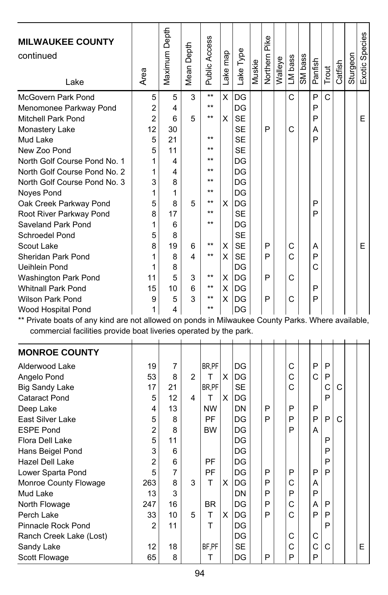| <b>MILWAUKEE COUNTY</b><br>continued<br>Lake                                                      | Area           | Maximum Depth | Mean Depth     | <b>Public Access</b> | Lake map | Lake Type | Muskie | Northern Pike | Walleye | LM bass | SM bass | Panfish | Trout       | Catfish | Sturgeon | Exotic Species |
|---------------------------------------------------------------------------------------------------|----------------|---------------|----------------|----------------------|----------|-----------|--------|---------------|---------|---------|---------|---------|-------------|---------|----------|----------------|
| <b>McGovern Park Pond</b>                                                                         | 5              | 5             | 3              | $\star\star$         | X        | DG        |        |               |         | C       |         | P       | $\mathbf C$ |         |          |                |
| Menomonee Parkway Pond                                                                            | $\overline{c}$ | 4             |                | $\star\star$         |          | DG        |        |               |         |         |         | P       |             |         |          |                |
| Mitchell Park Pond                                                                                | $\overline{c}$ | 6             | 5              | $***$                | X        | <b>SE</b> |        |               |         |         |         | P       |             |         |          | E              |
| Monastery Lake                                                                                    | 12             | 30            |                |                      |          | <b>SE</b> |        | P             |         | C       |         | A       |             |         |          |                |
| Mud Lake                                                                                          | 5              | 21            |                | $\star\star$         |          | <b>SE</b> |        |               |         |         |         | P       |             |         |          |                |
| New Zoo Pond                                                                                      | 5              | 11            |                | $***$                |          | <b>SE</b> |        |               |         |         |         |         |             |         |          |                |
| North Golf Course Pond No. 1                                                                      | 1              | 4             |                | $***$                |          | DG        |        |               |         |         |         |         |             |         |          |                |
| North Golf Course Pond No. 2                                                                      | 1              | 4             |                | $***$                |          | DG        |        |               |         |         |         |         |             |         |          |                |
| North Golf Course Pond No. 3                                                                      | 3              | 8             |                | $***$                |          | DG        |        |               |         |         |         |         |             |         |          |                |
| Noyes Pond                                                                                        | 1              | $\mathbf{1}$  |                | $***$                |          | DG        |        |               |         |         |         |         |             |         |          |                |
| Oak Creek Parkway Pond                                                                            | 5              | 8             | 5              | $***$                | х        | DG        |        |               |         |         |         | P       |             |         |          |                |
| Root River Parkway Pond                                                                           | 8              | 17            |                | $***$                |          | <b>SE</b> |        |               |         |         |         | P       |             |         |          |                |
| Saveland Park Pond                                                                                | 1              | 6             |                | $***$                |          | DG        |        |               |         |         |         |         |             |         |          |                |
| Schroedel Pond                                                                                    | 5              | 8             |                |                      |          | <b>SE</b> |        |               |         |         |         |         |             |         |          |                |
| Scout Lake                                                                                        | 8              | 19            | 6              | $***$                | X        | <b>SE</b> |        | P             |         | С       |         | A       |             |         |          | E              |
| Sheridan Park Pond                                                                                | 1              | 8             | 4              | $***$                | X        | <b>SE</b> |        | P             |         | C       |         | P       |             |         |          |                |
| Ueihlein Pond                                                                                     | 1              | 8             |                |                      |          | DG        |        |               |         |         |         | C       |             |         |          |                |
| Washington Park Pond                                                                              | 11             | 5             | 3              | $***$                | х        | DG        |        | P             |         | C       |         |         |             |         |          |                |
| <b>Whitnall Park Pond</b>                                                                         | 15             | 10            | 6              | $***$                | X        | DG        |        |               |         |         |         | P       |             |         |          |                |
| <b>Wilson Park Pond</b>                                                                           | 9              | 5             | 3              | $***$                | X        | DG        |        | P             |         | C       |         | P       |             |         |          |                |
| Wood Hospital Pond                                                                                | 1              | 4             |                | $***$                |          | DG        |        |               |         |         |         |         |             |         |          |                |
| ** Private boats of any kind are not allowed on ponds in Milwaukee County Parks. Where available, |                |               |                |                      |          |           |        |               |         |         |         |         |             |         |          |                |
| commercial facilities provide boat liveries operated by the park.                                 |                |               |                |                      |          |           |        |               |         |         |         |         |             |         |          |                |
| <b>MONROE COUNTY</b>                                                                              |                |               |                |                      |          |           |        |               |         |         |         |         |             |         |          |                |
| Alderwood Lake                                                                                    | 19             | 7             |                | BR,PF                |          | DG        |        |               |         | C       |         | P       | P           |         |          |                |
| Angelo Pond                                                                                       | 53             | 8             | $\overline{2}$ | т                    | X        | DG        |        |               |         | C       |         | C       | P           |         |          |                |
| <b>Big Sandy Lake</b>                                                                             | 17             | 21            |                | BR,PF                |          | <b>SE</b> |        |               |         | C       |         |         | C           | C       |          |                |
| <b>Cataract Pond</b>                                                                              | 5              | 12            | 4              | T                    | X        | DG        |        |               |         |         |         |         | P           |         |          |                |
| Deep Lake                                                                                         | 4              | 13            |                | <b>NW</b>            |          | DN        |        | P             |         | P       |         | P       |             |         |          |                |
| East Silver Lake                                                                                  | 5              | 8             |                | <b>PF</b>            |          | DG        |        | P             |         | P       |         | P       | P           | Ć       |          |                |
| <b>ESPE Pond</b>                                                                                  | 2              | 8             |                | <b>BW</b>            |          | DG        |        |               |         | P       |         | А       |             |         |          |                |
| Flora Dell Lake                                                                                   | 5              | 11            |                |                      |          | DG        |        |               |         |         |         |         | P           |         |          |                |
| Hans Beigel Pond                                                                                  | 3              | 6             |                |                      |          | DG        |        |               |         |         |         |         | P           |         |          |                |
| Hazel Dell Lake                                                                                   | $\overline{2}$ | 6             |                | PF                   |          | DG        |        |               |         |         |         |         | P           |         |          |                |
| Lower Sparta Pond                                                                                 | 5              | 7             |                | PF                   |          | DG        |        | P             |         | P       |         | P       | P           |         |          |                |
| Monroe County Flowage                                                                             | 263            | 8             | 3              | T                    | X        | DG        |        | P             |         | C       |         | A       |             |         |          |                |
| Mud Lake                                                                                          | 13             | 3             |                |                      |          | DN        |        | P             |         | P       |         | P       |             |         |          |                |
| North Flowage                                                                                     | 247            | 16            |                | <b>BR</b>            |          | DG        |        | P             |         | C       |         | A       | P           |         |          |                |
| Perch Lake                                                                                        | 33             | 10            | 5              | т                    | X        | DG        |        | P             |         | C       |         | P       | P           |         |          |                |
| Pinnacle Rock Pond                                                                                | 2              | 11            |                | T                    |          | DG        |        |               |         |         |         |         | P           |         |          |                |

Sandy Lake  $\begin{array}{|c|c|c|c|c|c|c|c|} \hline \text{Sondy Lake} & & & 12 & 18 & |BF, PF| & |SE & |C & |C & |C| & |E \end{array}$ 

Pinnacle Rock Pond<br>
Ranch Creek Lake (Lost)<br>
Sandy Lake<br>
Scott Flowage<br>  $\begin{array}{|c|c|c|c|c|c|}\n\hline\n2 & 11 & T & DG & C & C & C \n\hline\nSL & 18 & 18 & T & DG & P & C & C \n\hline\nSC & 10 & 18 & T & DG & P & P & P & P\n\end{array}$ Ranch Creek Lake (Lost)<br>Sandy Lake  $\begin{array}{|c|c|c|c|c|c|c|c|c|} \hline \text{Sing} & \text{BF,PF} & \text{SE} & \text{E} & \text{E} \end{array}$ 

Scott Flowage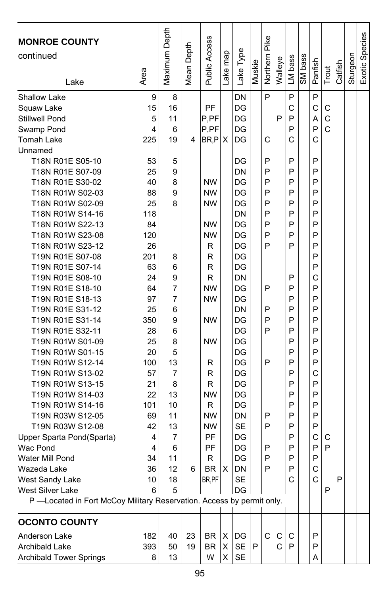| <b>MONROE COUNTY</b><br>continued                                     |      | Maximum Depth  |            | Public Access |          |           |        | Northern Pike |         |         |         |         |       |         |          | Exotic Species |
|-----------------------------------------------------------------------|------|----------------|------------|---------------|----------|-----------|--------|---------------|---------|---------|---------|---------|-------|---------|----------|----------------|
|                                                                       |      |                | Mean Depth |               | ake map  | Lake Type | Muskie |               | Walleye | LM bass | SM bass | Panfish | Trout | Catfish | Sturgeon |                |
| Lake                                                                  | Area |                |            |               |          |           |        |               |         |         |         |         |       |         |          |                |
| <b>Shallow Lake</b>                                                   | 9    | 8              |            |               |          | DN        |        | P             |         | P       |         | P       |       |         |          |                |
| Squaw Lake                                                            | 15   | 16             |            | <b>PF</b>     |          | DG        |        |               |         | C       |         | C       | С     |         |          |                |
| Stillwell Pond                                                        | 5    | 11             |            | P,PF          |          | DG        |        |               | P       | P       |         | A       | C     |         |          |                |
| Swamp Pond                                                            | 4    | 6              |            | P, PF         |          | DG        |        |               |         | P       |         | P       | C     |         |          |                |
| <b>Tomah Lake</b>                                                     | 225  | 19             | 4          | BR,P          | X        | DG        |        | C             |         | C       |         | C       |       |         |          |                |
| Unnamed                                                               |      |                |            |               |          |           |        |               |         |         |         |         |       |         |          |                |
| T18N R01E S05-10                                                      | 53   | 5              |            |               |          | DG        |        | P             |         | P       |         | P       |       |         |          |                |
| T18N R01E S07-09                                                      | 25   | 9              |            |               |          | DN        |        | P             |         | P       |         | P       |       |         |          |                |
| T18N R01E S30-02                                                      | 40   | 8              |            | <b>NW</b>     |          | DG        |        | P             |         | P       |         | P       |       |         |          |                |
| T18N R01W S02-03                                                      | 88   | 9              |            | <b>NW</b>     |          | DG        |        | P             |         | P       |         | P       |       |         |          |                |
| T18N R01W S02-09                                                      | 25   | 8              |            | <b>NW</b>     |          | DG        |        | P             |         | P       |         | P       |       |         |          |                |
| T18N R01W S14-16                                                      | 118  |                |            |               |          | DN        |        | P             |         | P       |         | P       |       |         |          |                |
| T18N R01W S22-13                                                      | 84   |                |            | <b>NW</b>     |          | DG        |        | P             |         | P       |         | P       |       |         |          |                |
| T18N R01W S23-08                                                      | 120  |                |            | <b>NW</b>     |          | DG        |        | P             |         | P       |         | P       |       |         |          |                |
| T18N R01W S23-12                                                      | 26   |                |            | R             |          | DG        |        | P             |         | P       |         | P       |       |         |          |                |
| T19N R01E S07-08                                                      | 201  | 8              |            | R             |          | DG        |        |               |         |         |         | P       |       |         |          |                |
| T19N R01E S07-14                                                      | 63   | 6              |            | R             |          | DG        |        |               |         |         |         | P       |       |         |          |                |
| T19N R01E S08-10                                                      | 24   | 9              |            | R             |          | DN        |        |               |         | P       |         | C       |       |         |          |                |
| T19N R01E S18-10                                                      | 64   | 7              |            | <b>NW</b>     |          | DG        |        | P             |         | P       |         | P       |       |         |          |                |
| T19N R01E S18-13                                                      | 97   | 7              |            | <b>NW</b>     |          | DG        |        |               |         | P       |         | P       |       |         |          |                |
| T19N R01E S31-12                                                      | 25   | 6              |            |               |          | DN        |        | P             |         | P       |         | P       |       |         |          |                |
| T19N R01E S31-14                                                      | 350  | 9              |            | <b>NW</b>     |          | DG        |        | P             |         | P       |         | P       |       |         |          |                |
| T19N R01E S32-11                                                      | 28   | 6              |            |               |          | DG        |        | P             |         | P       |         | P       |       |         |          |                |
| T19N R01W S01-09                                                      | 25   | 8              |            | <b>NW</b>     |          | DG        |        |               |         | P       |         | P       |       |         |          |                |
| T19N R01W S01-15                                                      | 20   | 5              |            |               |          | DG        |        |               |         | P       |         | P       |       |         |          |                |
| T19N R01W S12-14                                                      | 100  | 13             |            | R             |          | DG        |        | P             |         | P       |         | P       |       |         |          |                |
| T19N R01W S13-02                                                      | 57   | $\overline{7}$ |            | R             |          | DG        |        |               |         | P       |         | C       |       |         |          |                |
| T19N R01W S13-15                                                      | 21   | 8              |            | R             |          | DG        |        |               |         | P       |         | P       |       |         |          |                |
| T19N R01W S14-03                                                      | 22   | 13             |            | <b>NW</b>     |          | DG        |        |               |         | P       |         | P       |       |         |          |                |
| T19N R01W S14-16                                                      | 101  | 10             |            | R             |          | DG        |        |               |         | P       |         | P       |       |         |          |                |
| T19N R03W S12-05                                                      | 69   | 11             |            | <b>NW</b>     |          | DN        |        | P             |         | P       |         | P       |       |         |          |                |
| T19N R03W S12-08                                                      | 42   | 13             |            | <b>NW</b>     |          | <b>SE</b> |        | P             |         | P       |         | P       |       |         |          |                |
| Upper Sparta Pond(Sparta)                                             | 4    | 7              |            | PF            |          | DG        |        |               |         | P       |         | C       | С     |         |          |                |
| Wac Pond                                                              | 4    | 6              |            | PF            |          | DG        |        | P             |         | P       |         | P       | P     |         |          |                |
| Water Mill Pond                                                       | 34   | 11             |            | R             |          | DG        |        | P             |         | P       |         | P       |       |         |          |                |
| Wazeda Lake                                                           | 36   | 12             | 6          | <b>BR</b>     | $\times$ | DN        |        | P             |         | P       |         | C       |       |         |          |                |
| West Sandy Lake                                                       | 10   | 18             |            | BR, PF        |          | SЕ        |        |               |         | С       |         | C       |       | Ρ       |          |                |
| West Silver Lake                                                      | 6    | 5              |            |               |          | DG        |        |               |         |         |         |         | Ρ     |         |          |                |
| P -Located in Fort McCoy Military Reservation. Access by permit only. |      |                |            |               |          |           |        |               |         |         |         |         |       |         |          |                |
| <b>OCONTO COUNTY</b>                                                  |      |                |            |               |          |           |        |               |         |         |         |         |       |         |          |                |
| Anderson Lake                                                         | 182  | 40             | 23         | BR            | х        | DG        |        | C             | С       | С       |         | P       |       |         |          |                |
| Archibald Lake                                                        | 393  | 50             | 19         | BR            | х        | SE        | P      |               | С       | P       |         | Ρ       |       |         |          |                |
| <b>Archibald Tower Springs</b>                                        | 8    | 13             |            | W             | X.       | SE        |        |               |         |         |         | A       |       |         |          |                |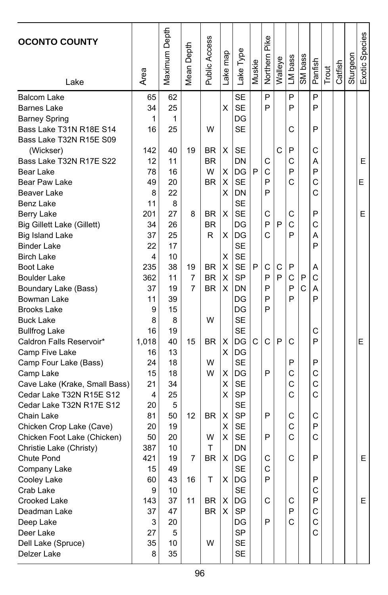| <b>OCONTO COUNTY</b>                                    | Area     | Maximum Depth | Depth<br>Mean | Public Access | ake map | Lake Type              | Muskie | Northern Pike | Walleye | LM bass | SM bass      | Panfish | Trout | Catfish | Sturgeon | Exotic Species |
|---------------------------------------------------------|----------|---------------|---------------|---------------|---------|------------------------|--------|---------------|---------|---------|--------------|---------|-------|---------|----------|----------------|
| Lake                                                    |          |               |               |               |         |                        |        |               |         |         |              |         |       |         |          |                |
| <b>Balcom Lake</b>                                      | 65       | 62            |               |               |         | <b>SE</b>              |        | P             |         | P       |              | P       |       |         |          |                |
| <b>Barnes Lake</b>                                      | 34       | 25            |               |               | X       | <b>SE</b>              |        | P             |         | P       |              | P       |       |         |          |                |
| <b>Barney Spring</b>                                    | 1        | 1             |               |               |         | DG                     |        |               |         |         |              |         |       |         |          |                |
| Bass Lake T31N R18E S14                                 | 16       | 25            |               | W             |         | <b>SE</b>              |        |               |         | С       |              | P       |       |         |          |                |
| Bass Lake T32N R15E S09                                 |          |               |               |               |         |                        |        |               |         |         |              |         |       |         |          |                |
| (Wickser)                                               | 142      | 40            | 19            | <b>BR</b>     | X       | SE                     |        |               | C       | P       |              | С       |       |         |          |                |
| Bass Lake T32N R17E S22                                 | 12       | 11            |               | <b>BR</b>     |         | DN                     |        | С             |         | С       |              | А       |       |         |          | E              |
| Bear Lake                                               | 78       | 16            |               | W             | х       | DG                     | P      | C             |         | P       |              | P       |       |         |          |                |
| Bear Paw Lake                                           | 49       | 20            |               | <b>BR</b>     | X       | <b>SE</b>              |        | P             |         | C       |              | C       |       |         |          | E              |
| Beaver Lake                                             | 8        | 22            |               |               | X       | DN                     |        | P             |         |         |              | C       |       |         |          |                |
| Benz Lake                                               | 11       | 8             |               |               |         | <b>SE</b>              |        |               |         |         |              |         |       |         |          |                |
| Berry Lake                                              | 201      | 27            | 8             | BR            | X       | <b>SE</b>              |        | С             |         | С       |              | P       |       |         |          | Е              |
| Big Gillett Lake (Gillett)                              | 34       | 26            |               | <b>BR</b>     |         | DG                     |        | P             | P       | C       |              | C       |       |         |          |                |
| <b>Big Island Lake</b>                                  | 37       | 25            |               | R             | X       | DG                     |        | Ć             |         | P       |              | А       |       |         |          |                |
| <b>Binder Lake</b>                                      | 22       | 17            |               |               |         | SE                     |        |               |         |         |              | P       |       |         |          |                |
| <b>Birch Lake</b>                                       | 4        | 10            |               |               | х       | <b>SE</b>              |        |               |         |         |              |         |       |         |          |                |
| Boot Lake                                               | 235      | 38            | 19            | <b>BR</b>     | X       | <b>SE</b>              | P      | С             | С       | P       |              | Α       |       |         |          |                |
| <b>Boulder Lake</b>                                     | 362      | 11            | 7             | <b>BR</b>     | X       | <b>SP</b>              |        | P             | P       | C       | P            | C       |       |         |          |                |
| Boundary Lake (Bass)                                    | 37       | 19            | 7             | <b>BR</b>     | X       | DN                     |        | P             |         | P       | $\mathsf{C}$ | А       |       |         |          |                |
| Bowman Lake                                             | 11       | 39            |               |               |         | DG                     |        | P             |         | P       |              | P       |       |         |          |                |
| <b>Brooks Lake</b>                                      | 9        | 15            |               |               |         | DG                     |        | P             |         |         |              |         |       |         |          |                |
| <b>Buck Lake</b>                                        | 8        | 8             |               | W             |         | <b>SE</b>              |        |               |         |         |              |         |       |         |          |                |
| <b>Bullfrog Lake</b>                                    | 16       | 19            |               |               |         | <b>SE</b>              |        |               |         |         |              | С       |       |         |          |                |
| Caldron Falls Reservoir*                                | 1,018    | 40            | 15            | <b>BR</b>     | х       | DG                     | С      | C             | P       | C       |              | P       |       |         |          | Е              |
| Camp Five Lake                                          | 16       | 13            |               |               | х       | DG                     |        |               |         |         |              |         |       |         |          |                |
| Camp Four Lake (Bass)                                   | 24       | 18            |               | W             |         | <b>SE</b>              |        |               |         | P       |              | P       |       |         |          |                |
| Camp Lake                                               | 15       | 18            |               | W             | Χ       | DG                     |        | P             |         | C       |              | C<br>C  |       |         |          |                |
| Cave Lake (Krake, Small Bass)                           | 21       | 34            |               |               | х       | SE                     |        |               |         | C<br>C  |              | Ċ       |       |         |          |                |
| Cedar Lake T32N R15E S12                                | 4        | 25<br>5       |               |               | х       | <b>SP</b><br><b>SE</b> |        |               |         |         |              |         |       |         |          |                |
| Cedar Lake T32N R17E S12                                | 20<br>81 | 50            | 12            | <b>BR</b>     | X       | SP                     |        | P             |         | С       |              | С       |       |         |          |                |
| Chain Lake                                              | 20       | 19            |               |               | х       | SE                     |        |               |         | C       |              | P       |       |         |          |                |
| Chicken Crop Lake (Cave)<br>Chicken Foot Lake (Chicken) | 50       | 20            |               | W             | Х       | <b>SE</b>              |        | P             |         | C       |              | C       |       |         |          |                |
| Christie Lake (Christy)                                 | 387      | 10            |               | т             |         | DN                     |        |               |         |         |              |         |       |         |          |                |
| Chute Pond                                              | 421      | 19            | 7             | <b>BR</b>     | X       | DG                     |        | С             |         | C       |              | P       |       |         |          | E              |
| Company Lake                                            | 15       | 49            |               |               |         | SF                     |        | C             |         |         |              |         |       |         |          |                |
| Cooley Lake                                             | 60       | 43            | 16            | т             | X.      | DG                     |        | P             |         |         |              | P       |       |         |          |                |
| Crab Lake                                               | 9        | 10            |               |               |         | <b>SE</b>              |        |               |         |         |              | С       |       |         |          |                |
| Crooked Lake                                            | 143      | 37            | 11            | BR            | X       | DG                     |        | С             |         | C       |              | P       |       |         |          | E              |
| Deadman Lake                                            | 37       | 47            |               | <b>BR</b>     | X       | SP                     |        |               |         | P       |              | С       |       |         |          |                |
| Deep Lake                                               | 3        | 20            |               |               |         | DG                     |        | P             |         | C       |              | C       |       |         |          |                |
| Deer Lake                                               | 27       | 5             |               |               |         | SP                     |        |               |         |         |              | C       |       |         |          |                |
| Dell Lake (Spruce)                                      | 35       | 10            |               | W             |         | <b>SE</b>              |        |               |         |         |              |         |       |         |          |                |
| Delzer Lake                                             | 8        | 35            |               |               |         | <b>SE</b>              |        |               |         |         |              |         |       |         |          |                |
|                                                         |          |               |               |               |         |                        |        |               |         |         |              |         |       |         |          |                |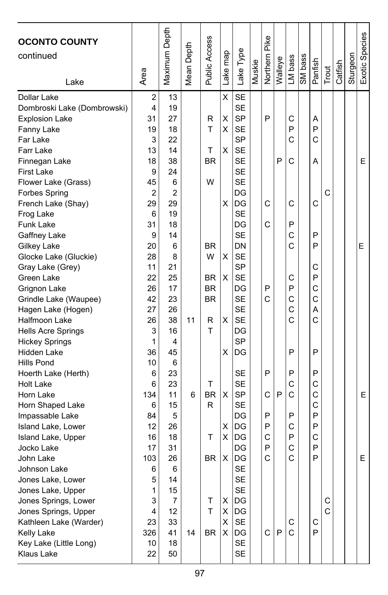| <b>OCONTO COUNTY</b>                 |                | Maximum Depth  |            | <b>Public Access</b> |          |                  |        | <b>Northern Pike</b> |         |         |         |         |        |         |          | Exotic Species |
|--------------------------------------|----------------|----------------|------------|----------------------|----------|------------------|--------|----------------------|---------|---------|---------|---------|--------|---------|----------|----------------|
| continued                            |                |                | Mean Depth |                      | Lake map | Lake Type        |        |                      |         |         |         |         |        |         |          |                |
|                                      |                |                |            |                      |          |                  | Muskie |                      |         | LM bass | SM bass | Panfish |        |         | Sturgeon |                |
| Lake                                 | Area           |                |            |                      |          |                  |        |                      | Walleye |         |         |         | Trout  | Catfish |          |                |
| Dollar Lake                          | $\overline{c}$ | 13             |            |                      | X        | <b>SE</b>        |        |                      |         |         |         |         |        |         |          |                |
| Dombroski Lake (Dombrowski)          | 4              | 19             |            |                      |          | <b>SE</b>        |        |                      |         |         |         |         |        |         |          |                |
| <b>Explosion Lake</b>                | 31             | 27             |            | R                    | Χ        | SP               |        | P                    |         | С       |         | Α       |        |         |          |                |
| Fanny Lake                           | 19             | 18             |            | T                    | X        | <b>SE</b>        |        |                      |         | P       |         | P       |        |         |          |                |
| Far Lake                             | 3              | 22             |            |                      |          | SP               |        |                      |         | C       |         | C       |        |         |          |                |
| Farr Lake                            | 13             | 14             |            | т                    | X        | <b>SE</b>        |        |                      |         |         |         |         |        |         |          |                |
| Finnegan Lake                        | 18             | 38             |            | <b>BR</b>            |          | <b>SE</b>        |        |                      | P       | C       |         | A       |        |         |          | E.             |
| <b>First Lake</b>                    | 9              | 24             |            |                      |          | <b>SE</b>        |        |                      |         |         |         |         |        |         |          |                |
| Flower Lake (Grass)                  | 45             | 6              |            | W                    |          | SE               |        |                      |         |         |         |         |        |         |          |                |
| Forbes Spring                        | 2              | $\overline{2}$ |            |                      |          | DG               |        |                      |         |         |         |         | C      |         |          |                |
| French Lake (Shay)                   | 29             | 29             |            |                      | X        | DG               |        | C                    |         | С       |         | C       |        |         |          |                |
| Frog Lake                            | 6              | 19             |            |                      |          | <b>SE</b>        |        |                      |         |         |         |         |        |         |          |                |
| <b>Funk Lake</b>                     | 31             | 18             |            |                      |          | DG               |        | C                    |         | P       |         |         |        |         |          |                |
| Gaffney Lake                         | 9              | 14             |            |                      |          | <b>SE</b>        |        |                      |         | C       |         | P       |        |         |          |                |
| Gilkey Lake                          | 20             | 6              |            | <b>BR</b>            |          | DN               |        |                      |         | C       |         | P       |        |         |          | E              |
| Glocke Lake (Gluckie)                | 28             | 8              |            | W                    | х        | <b>SE</b>        |        |                      |         |         |         |         |        |         |          |                |
| Gray Lake (Grey)                     | 11             | 21             |            |                      |          | <b>SP</b>        |        |                      |         |         |         | C       |        |         |          |                |
| Green Lake                           | 22             | 25             |            | BR                   | X        | <b>SE</b>        |        |                      |         | С       |         | P       |        |         |          |                |
| Grignon Lake                         | 26             | 17             |            | <b>BR</b>            |          | DG               |        | P                    |         | P       |         | C       |        |         |          |                |
| Grindle Lake (Waupee)                | 42             | 23             |            | <b>BR</b>            |          | <b>SE</b>        |        | Ć                    |         | C       |         | C       |        |         |          |                |
| Hagen Lake (Hogen)                   | 27             | 26             |            |                      |          | SE               |        |                      |         | C       |         | Α       |        |         |          |                |
| Halfmoon Lake                        | 26             | 38             | 11         | R                    | X        | <b>SE</b>        |        |                      |         | C       |         | C       |        |         |          |                |
| <b>Hells Acre Springs</b>            | 3              | 16             |            | T                    |          | DG               |        |                      |         |         |         |         |        |         |          |                |
| <b>Hickey Springs</b>                | 1              | 4              |            |                      |          | <b>SP</b>        |        |                      |         |         |         |         |        |         |          |                |
| Hidden Lake                          | 36             | 45             |            |                      | х        | DG               |        |                      |         | P       |         | P       |        |         |          |                |
| Hills Pond                           | 10             | 6              |            |                      |          |                  |        |                      |         |         |         |         |        |         |          |                |
| Hoerth Lake (Herth)                  | 6              | 23             |            |                      |          | <b>SE</b>        |        | P                    |         | P       |         | P       |        |         |          |                |
| <b>Holt Lake</b>                     | 6              | 23             |            | т                    |          | <b>SE</b>        |        |                      |         | C       |         | C       |        |         |          |                |
| Horn Lake                            | 134            | 11             | 6          | <b>BR</b>            | х        | <b>SP</b>        |        | C                    | P       | C       |         | C       |        |         |          | E              |
| Horn Shaped Lake                     | 6              | 15             |            | R                    |          | <b>SE</b>        |        |                      |         |         |         | C       |        |         |          |                |
| Impassable Lake                      | 84             | 5              |            |                      |          | DG               |        | P                    |         | P       |         | P       |        |         |          |                |
| Island Lake, Lower                   | 12             | 26             |            |                      | х        | DG               |        | P                    |         | C       |         | P       |        |         |          |                |
| Island Lake, Upper                   | 16             | 18             |            | Τ                    | х        | DG               |        | C                    |         | P       |         | C       |        |         |          |                |
| Jocko Lake                           | 17             | 31             |            |                      |          | DG               |        | P                    |         | C       |         | P       |        |         |          |                |
| John Lake                            | 103            | 26             |            | <b>BR</b>            | X        | DG<br><b>SE</b>  |        | C                    |         | C       |         | P       |        |         |          | E              |
| Johnson Lake                         | 6              | 6              |            |                      |          |                  |        |                      |         |         |         |         |        |         |          |                |
| Jones Lake, Lower                    | 5              | 14             |            |                      |          | SE               |        |                      |         |         |         |         |        |         |          |                |
| Jones Lake, Upper                    | 1              | 15             |            |                      |          | <b>SE</b>        |        |                      |         |         |         |         |        |         |          |                |
| Jones Springs, Lower                 | 3<br>4         | 7              |            | т<br>т               | х<br>X   | DG               |        |                      |         |         |         |         | С<br>C |         |          |                |
| Jones Springs, Upper                 | 23             | 12<br>33       |            |                      | X        | DG <br><b>SE</b> |        |                      |         | С       |         | С       |        |         |          |                |
| Kathleen Lake (Warder)               | 326            | 41             | 14         | <b>BR</b>            | X        | DG               |        | С                    | P       | C       |         | P       |        |         |          |                |
| Kelly Lake<br>Key Lake (Little Long) | 10             | 18             |            |                      |          | <b>SE</b>        |        |                      |         |         |         |         |        |         |          |                |
| Klaus Lake                           | 22             | 50             |            |                      |          | SE               |        |                      |         |         |         |         |        |         |          |                |
|                                      |                |                |            |                      |          |                  |        |                      |         |         |         |         |        |         |          |                |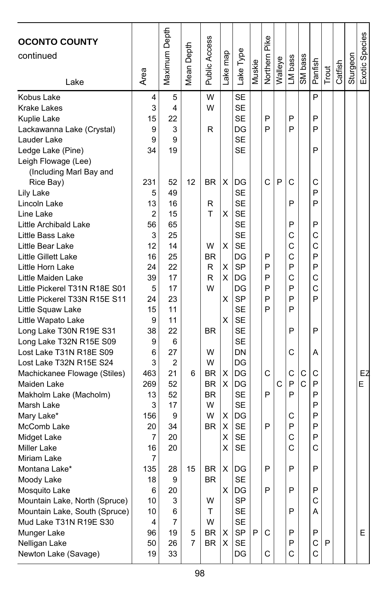| <b>OCONTO COUNTY</b><br>continued                              |          | Maximum Depth  | Mean Depth | Public Access | Lake map | Lake Type              |        | Northern Pike |         |         |             |         |       |         |          | Exotic Species |
|----------------------------------------------------------------|----------|----------------|------------|---------------|----------|------------------------|--------|---------------|---------|---------|-------------|---------|-------|---------|----------|----------------|
|                                                                | Area     |                |            |               |          |                        | Muskie |               | Walleye | LM bass | SM bass     | Panfish | Trout | Catfish | Sturgeon |                |
| Lake                                                           |          |                |            |               |          |                        |        |               |         |         |             |         |       |         |          |                |
| Kobus Lake                                                     | 4        | 5              |            | W             |          | <b>SE</b>              |        |               |         |         |             | P       |       |         |          |                |
| <b>Krake Lakes</b>                                             | 3        | 4              |            | W             |          | <b>SE</b>              |        |               |         |         |             |         |       |         |          |                |
| Kuplie Lake                                                    | 15       | 22             |            |               |          | <b>SE</b>              |        | P             |         | P       |             | P       |       |         |          |                |
| Lackawanna Lake (Crystal)                                      | 9        | 3              |            | R             |          | DG                     |        | P             |         | P       |             | P       |       |         |          |                |
| Lauder Lake                                                    | 9        | 9              |            |               |          | <b>SE</b>              |        |               |         |         |             |         |       |         |          |                |
| Ledge Lake (Pine)                                              | 34       | 19             |            |               |          | <b>SE</b>              |        |               |         |         |             | P       |       |         |          |                |
| Leigh Flowage (Lee)                                            |          |                |            |               |          |                        |        |               |         |         |             |         |       |         |          |                |
| (Including Marl Bay and                                        |          |                |            |               |          |                        |        |               |         |         |             |         |       |         |          |                |
| Rice Bay)                                                      | 231      | 52             | 12         | BR            | X        | DG                     |        | C             | P       | C       |             | С       |       |         |          |                |
| Lily Lake                                                      | 5        | 49             |            |               |          | <b>SE</b>              |        |               |         |         |             | P<br>P  |       |         |          |                |
| Lincoln Lake                                                   | 13       | 16             |            | R             |          | <b>SE</b>              |        |               |         | P       |             |         |       |         |          |                |
| Line Lake                                                      | 2        | 15             |            | T             | х        | <b>SE</b><br><b>SE</b> |        |               |         | P       |             | P       |       |         |          |                |
| Little Archibald Lake<br>Little Bass Lake                      | 56<br>3  | 65<br>25       |            |               |          | <b>SE</b>              |        |               |         | C       |             | C       |       |         |          |                |
| Little Bear Lake                                               | 12       | 14             |            | W             | X        | <b>SE</b>              |        |               |         | C       |             | C       |       |         |          |                |
| Little Gillett Lake                                            | 16       | 25             |            | <b>BR</b>     |          | DG                     |        | P             |         | C       |             | P       |       |         |          |                |
| Little Horn Lake                                               | 24       | 22             |            | R             | X        | <b>SP</b>              |        | P             |         | P       |             | P       |       |         |          |                |
| Little Maiden Lake                                             | 39       | 17             |            | R             | X        | DG                     |        | P             |         | C       |             | C       |       |         |          |                |
| Little Pickerel T31N R18E S01                                  | 5        | 17             |            | W             |          | DG                     |        | P             |         | P       |             | C       |       |         |          |                |
| Little Pickerel T33N R15E S11                                  | 24       | 23             |            |               | X        | <b>SP</b>              |        | P             |         | P       |             | P       |       |         |          |                |
| Little Squaw Lake                                              | 15       | 11             |            |               |          | <b>SE</b>              |        | P             |         | P       |             |         |       |         |          |                |
| Little Wapato Lake                                             | 9        | 11             |            |               | X        | <b>SE</b>              |        |               |         |         |             |         |       |         |          |                |
| Long Lake T30N R19E S31                                        | 38       | 22             |            | <b>BR</b>     |          | <b>SE</b>              |        |               |         | P       |             | P       |       |         |          |                |
| Long Lake T32N R15E S09                                        | 9        | 6              |            |               |          | <b>SE</b>              |        |               |         |         |             |         |       |         |          |                |
| Lost Lake T31N R18E S09                                        | 6        | 27             |            | W             |          | DN                     |        |               |         | C       |             | Α       |       |         |          |                |
| Lost Lake T32N R15E S24                                        | 3        | $\overline{2}$ |            | W             |          | DG                     |        |               |         |         |             |         |       |         |          |                |
| Machickanee Flowage (Stiles)                                   | 463      | 21             | 6          | BR            | х        | DG                     |        | C             |         | C       | C           | С       |       |         |          | EZ             |
| Maiden Lake                                                    | 269      | 52             |            | <b>BR</b>     | X        | DG                     |        |               | C       | P       | $\mathbf C$ | P       |       |         |          | Е              |
| Makholm Lake (Macholm)                                         | 13       | 52             |            | BR            |          | <b>SE</b>              |        | P             |         | P       |             | P       |       |         |          |                |
| Marsh Lake                                                     | 3        | 17             |            | W             |          | <b>SE</b>              |        |               |         |         |             | P       |       |         |          |                |
| Mary Lake*                                                     | 156      | 9              |            | W             | X        | DG                     |        |               |         | С       |             | P       |       |         |          |                |
| McComb Lake                                                    | 20       | 34             |            | BR            | X        | <b>SE</b>              |        | P             |         | P       |             | P       |       |         |          |                |
| Midget Lake                                                    | 7        | 20             |            |               | X        | <b>SE</b>              |        |               |         | C       |             | P       |       |         |          |                |
| Miller Lake                                                    | 16       | 20             |            |               | х        | <b>SE</b>              |        |               |         | C       |             | C       |       |         |          |                |
| Miriam Lake                                                    | 7        |                |            |               |          |                        |        |               |         |         |             |         |       |         |          |                |
| Montana Lake*                                                  | 135      | 28             | 15         | <b>BR</b>     |          | $X$ DG                 |        | P             |         | P       |             | P       |       |         |          |                |
| Moody Lake                                                     | 18       | 9              |            | BR            |          | <b>SE</b>              |        |               |         |         |             |         |       |         |          |                |
| Mosquito Lake                                                  | 6        | 20             |            | W             | X        | DG<br>SP               |        | P             |         | P       |             | P<br>C  |       |         |          |                |
| Mountain Lake, North (Spruce)<br>Mountain Lake, South (Spruce) | 10<br>10 | 3<br>6         |            | T             |          | <b>SE</b>              |        |               |         | P       |             | A       |       |         |          |                |
| Mud Lake T31N R19E S30                                         | 4        | 7              |            | W             |          | <b>SE</b>              |        |               |         |         |             |         |       |         |          |                |
| Munger Lake                                                    | 96       | 19             | 5          | BR            | X        | SP                     | P      | C             |         | P       |             | P       |       |         |          | Е              |
| Nelligan Lake                                                  | 50       | 26             | 7          | <b>BR</b>     | х        | SE                     |        |               |         | P       |             | C       | P     |         |          |                |
| Newton Lake (Savage)                                           | 19       | 33             |            |               |          | DG                     |        | С             |         | C       |             | C       |       |         |          |                |
|                                                                |          |                |            |               |          |                        |        |               |         |         |             |         |       |         |          |                |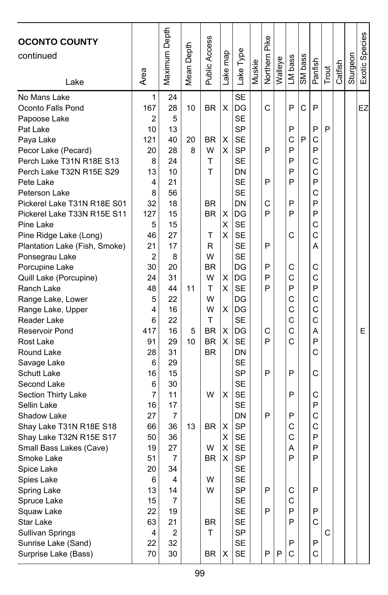| <b>OCONTO COUNTY</b><br>continued | Area | Maximum Depth           | Mean Depth | Public Access | ake map | Lake Type | Muskie | Northern Pike | Walleye | LM bass | SM bass | Panfish | Trout | Catfish | Sturgeon | Exotic Species |
|-----------------------------------|------|-------------------------|------------|---------------|---------|-----------|--------|---------------|---------|---------|---------|---------|-------|---------|----------|----------------|
| Lake                              |      |                         |            |               |         |           |        |               |         |         |         |         |       |         |          |                |
| No Mans Lake                      | 1    | 24                      |            |               |         | <b>SE</b> |        |               |         |         |         |         |       |         |          |                |
| Oconto Falls Pond                 | 167  | 28                      | 10         | BR            | X       | DG        |        | C             |         | P       | C       | P       |       |         |          | EZ             |
| Papoose Lake                      | 2    | 5                       |            |               |         | <b>SE</b> |        |               |         |         |         |         |       |         |          |                |
| Pat Lake                          | 10   | 13                      |            |               |         | <b>SP</b> |        |               |         | P       |         | P       | P     |         |          |                |
| Paya Lake                         | 121  | 40                      | 20         | BR            | X       | <b>SE</b> |        |               |         | C       | P       | C       |       |         |          |                |
| Pecor Lake (Pecard)               | 20   | 28                      | 8          | W             | х       | <b>SP</b> |        | P             |         | P       |         | P       |       |         |          |                |
| Perch Lake T31N R18E S13          | 8    | 24                      |            | T             |         | <b>SE</b> |        |               |         | P       |         | C       |       |         |          |                |
| Perch Lake T32N R15E S29          | 13   | 10                      |            | T             |         | DN        |        |               |         | P       |         | C       |       |         |          |                |
| Pete Lake                         | 4    | 21                      |            |               |         | <b>SE</b> |        | P             |         | P       |         | P       |       |         |          |                |
| Peterson Lake                     | 8    | 56                      |            |               |         | <b>SE</b> |        |               |         |         |         | C       |       |         |          |                |
| Pickerel Lake T31N R18E S01       | 32   | 18                      |            | BR            |         | DN        |        | С             |         | P       |         | P       |       |         |          |                |
| Pickerel Lake T33N R15E S11       | 127  | 15                      |            | BR            | х       | DG        |        | P             |         | P       |         | P       |       |         |          |                |
| Pine Lake                         | 5    | 15                      |            |               | Χ       | <b>SE</b> |        |               |         |         |         | C       |       |         |          |                |
| Pine Ridge Lake (Long)            | 46   | 27                      |            | т             | X       | <b>SE</b> |        |               |         | C       |         | C       |       |         |          |                |
| Plantation Lake (Fish, Smoke)     | 21   | 17                      |            | R             |         | <b>SE</b> |        | P             |         |         |         | Α       |       |         |          |                |
| Ponsegrau Lake                    | 2    | 8                       |            | W             |         | <b>SE</b> |        |               |         |         |         |         |       |         |          |                |
| Porcupine Lake                    | 30   | 20                      |            | BR            |         | DG        |        | P             |         | С       |         | С       |       |         |          |                |
| Quill Lake (Porcupine)            | 24   | 31                      |            | W             | X       | DG        |        | P             |         | C       |         | C       |       |         |          |                |
| Ranch Lake                        | 48   | 44                      | 11         | т             | х       | <b>SE</b> |        | P             |         | P       |         | P       |       |         |          |                |
| Range Lake, Lower                 | 5    | 22                      |            | W             |         | DG        |        |               |         | C       |         | C       |       |         |          |                |
| Range Lake, Upper                 | 4    | 16                      |            | W             | X       | DG        |        |               |         | C       |         | C       |       |         |          |                |
| Reader Lake                       | 6    | 22                      |            | т             |         | <b>SE</b> |        |               |         | C       |         | C       |       |         |          |                |
| Reservoir Pond                    | 417  | 16                      | 5          | <b>BR</b>     | X       | DG        |        | С             |         | C       |         | А       |       |         |          | E              |
| <b>Rost Lake</b>                  | 91   | 29                      | 10         | BR            | X       | <b>SE</b> |        | P             |         | Ć       |         | P       |       |         |          |                |
| Round Lake                        | 28   | 31                      |            | <b>BR</b>     |         | DN        |        |               |         |         |         | C       |       |         |          |                |
| Savage Lake                       | 6    | 29                      |            |               |         | <b>SE</b> |        |               |         |         |         |         |       |         |          |                |
| Schutt Lake                       | 16   | 15                      |            |               |         | <b>SP</b> |        | P             |         | P       |         | C       |       |         |          |                |
| Second Lake                       | 6    | 30                      |            |               |         | <b>SE</b> |        |               |         |         |         |         |       |         |          |                |
| Section Thirty Lake               | 7    | 11                      |            | W             | х       | <b>SE</b> |        |               |         | P       |         | C       |       |         |          |                |
| Sellin Lake                       | 16   | 17                      |            |               |         | <b>SE</b> |        |               |         |         |         | P       |       |         |          |                |
| Shadow Lake                       | 27   | $\overline{7}$          |            |               |         | DN        |        | P             |         | P       |         | C       |       |         |          |                |
| Shay Lake T31N R18E S18           | 66   | 36                      | 13         | BR            | х       | <b>SP</b> |        |               |         | С       |         | C       |       |         |          |                |
| Shay Lake T32N R15E S17           | 50   | 36                      |            |               | x       | <b>SE</b> |        |               |         | C       |         | P       |       |         |          |                |
| Small Bass Lakes (Cave)           | 19   | 27                      |            | W             | X       | <b>SE</b> |        |               |         | A       |         | P       |       |         |          |                |
| Smoke Lake                        | 51   | 7                       |            | BR            | X       | <b>SP</b> |        |               |         | P       |         | P       |       |         |          |                |
| Spice Lake                        | 20   | 34                      |            |               |         | <b>SE</b> |        |               |         |         |         |         |       |         |          |                |
| Spies Lake                        | 6    | 4                       |            | W             |         | <b>SE</b> |        |               |         |         |         |         |       |         |          |                |
| Spring Lake                       | 13   | 14                      |            | W             |         | <b>SP</b> |        | P             |         | С       |         | P       |       |         |          |                |
| Spruce Lake                       | 15   | 7                       |            |               |         | SE        |        |               |         | C       |         |         |       |         |          |                |
| Squaw Lake                        | 22   | 19                      |            |               |         | SE        |        | P             |         | P       |         | P       |       |         |          |                |
| Star Lake                         | 63   | 21                      |            | BR            |         | <b>SE</b> |        |               |         | P       |         | C       |       |         |          |                |
| Sullivan Springs                  | 4    | $\overline{\mathbf{c}}$ |            | T             |         | SP        |        |               |         |         |         |         | С     |         |          |                |
| Sunrise Lake (Sand)               | 22   | 32                      |            |               |         | <b>SE</b> |        |               |         | P       |         | P       |       |         |          |                |
| Surprise Lake (Bass)              | 70   | 30                      |            | BR            | X       | SE        |        | P             | P       | C       |         | C       |       |         |          |                |
|                                   |      |                         |            |               |         |           |        |               |         |         |         |         |       |         |          |                |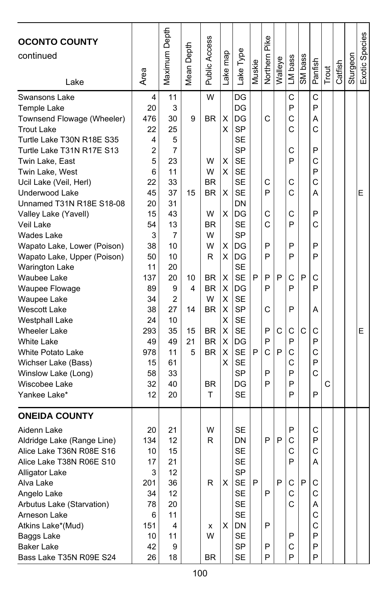| <b>OCONTO COUNTY</b><br>continued<br>Lake                                                                                                                                                                                                                                                                                                                                                                                                                                                                                                                                                                                                  | Area                                                                                                                                                                     | Maximum Depth                                                                                                                                                        | Mean Depth                                | Public Access                                                                                                                                                              | Lake map                                                                          | Lake Type                                                                                                                                                                                                                                                                                                       | Muskie | Northern Pike                                                           | Walleye     | LM bass                                                                                                    | SM bass | Panfish                                                                                                    | Trout | Catfish | Sturgeon | Exotic Species |
|--------------------------------------------------------------------------------------------------------------------------------------------------------------------------------------------------------------------------------------------------------------------------------------------------------------------------------------------------------------------------------------------------------------------------------------------------------------------------------------------------------------------------------------------------------------------------------------------------------------------------------------------|--------------------------------------------------------------------------------------------------------------------------------------------------------------------------|----------------------------------------------------------------------------------------------------------------------------------------------------------------------|-------------------------------------------|----------------------------------------------------------------------------------------------------------------------------------------------------------------------------|-----------------------------------------------------------------------------------|-----------------------------------------------------------------------------------------------------------------------------------------------------------------------------------------------------------------------------------------------------------------------------------------------------------------|--------|-------------------------------------------------------------------------|-------------|------------------------------------------------------------------------------------------------------------|---------|------------------------------------------------------------------------------------------------------------|-------|---------|----------|----------------|
| Swansons Lake<br>Temple Lake<br>Townsend Flowage (Wheeler)<br><b>Trout Lake</b><br>Turtle Lake T30N R18E S35<br>Turtle Lake T31N R17E S13<br>Twin Lake, East<br>Twin Lake, West<br>Ucil Lake (Veil, Herl)<br>Underwood Lake<br>Unnamed T31N R18E S18-08<br>Valley Lake (Yavell)<br>Veil Lake<br>Wades Lake<br>Wapato Lake, Lower (Poison)<br>Wapato Lake, Upper (Poison)<br><b>Warington Lake</b><br>Waubee Lake<br>Waupee Flowage<br>Waupee Lake<br><b>Wescott Lake</b><br>Westphall Lake<br><b>Wheeler Lake</b><br><b>White Lake</b><br>White Potato Lake<br>Wichser Lake (Bass)<br>Winslow Lake (Long)<br>Wiscobee Lake<br>Yankee Lake* | 4<br>20<br>476<br>22<br>4<br>2<br>5<br>6<br>22<br>45<br>20<br>15<br>54<br>3<br>38<br>50<br>11<br>137<br>89<br>34<br>38<br>24<br>293<br>49<br>978<br>15<br>58<br>32<br>12 | 11<br>3<br>30<br>25<br>5<br>7<br>23<br>11<br>33<br>37<br>31<br>43<br>13<br>7<br>10<br>10<br>20<br>20<br>9<br>2<br>27<br>10<br>35<br>49<br>11<br>61<br>33<br>40<br>20 | 9<br>15<br>10<br>4<br>14<br>15<br>21<br>5 | W<br><b>BR</b><br>W<br>W<br><b>BR</b><br><b>BR</b><br>W<br><b>BR</b><br>W<br>W<br>R<br>BR<br><b>BR</b><br>W<br><b>BR</b><br><b>BR</b><br><b>BR</b><br><b>BR</b><br>BR<br>T | х<br>X<br>X<br>X<br>X<br>X<br>х<br>х<br>X<br>X<br>X<br>X<br>X<br>X<br>X<br>X<br>X | DG<br>DG<br>DG<br><b>SP</b><br><b>SE</b><br><b>SP</b><br><b>SE</b><br><b>SE</b><br><b>SE</b><br><b>SE</b><br>DN<br>DG<br><b>SE</b><br><b>SP</b><br>DG<br>DG<br><b>SE</b><br><b>SE</b><br>DG<br><b>SE</b><br><b>SP</b><br><b>SE</b><br><b>SE</b><br>DG<br><b>SE</b><br><b>SE</b><br><b>SP</b><br>DG<br><b>SE</b> | P<br>P | C<br>C<br>P<br>С<br>C<br>P<br>P<br>P<br>P<br>C<br>P<br>P<br>C<br>P<br>P | P<br>C<br>P | C<br>P<br>C<br>Ć<br>C<br>P<br>C<br>Ċ<br>С<br>P<br>P<br>P<br>C<br>P<br>P<br>С<br>P<br>C<br>C<br>P<br>P<br>P | P<br>C  | C<br>P<br>Α<br>C<br>P<br>С<br>P<br>Ċ<br>А<br>P<br>С<br>P<br>P<br>C<br>P<br>А<br>C<br>P<br>C<br>P<br>C<br>P | C     |         |          | E<br>E         |
| <b>ONEIDA COUNTY</b><br>Aidenn Lake<br>Aldridge Lake (Range Line)<br>Alice Lake T36N R08E S16<br>Alice Lake T38N R06E S10<br>Alligator Lake<br>Alva Lake<br>Angelo Lake<br>Arbutus Lake (Starvation)<br>Arneson Lake<br>Atkins Lake*(Mud)<br>Baggs Lake<br><b>Baker Lake</b><br>Bass Lake T35N R09E S24                                                                                                                                                                                                                                                                                                                                    | 20<br>134<br>10<br>17<br>3<br>201<br>34<br>78<br>6<br>151<br>10<br>42<br>26                                                                                              | 21<br>12<br>15<br>21<br>12<br>36<br>12<br>20<br>11<br>4<br>11<br>9<br>18                                                                                             |                                           | W<br>R<br>R<br>x<br>W<br>BR                                                                                                                                                | X<br>х                                                                            | <b>SE</b><br>DN<br><b>SE</b><br><b>SE</b><br>S٢<br>SE<br>SE<br>SE<br>SE<br>DN<br><b>SE</b><br><b>SP</b><br>SE                                                                                                                                                                                                   | P      | P<br>P<br>P<br>P<br>P                                                   | P<br>P      | P<br>C<br>С<br>P<br>С<br>С<br>C<br>P<br>С<br>P                                                             | P       | C<br>P<br>С<br>Α<br>С<br>С<br>Α<br>C<br>C<br>P<br>Ρ<br>P                                                   |       |         |          |                |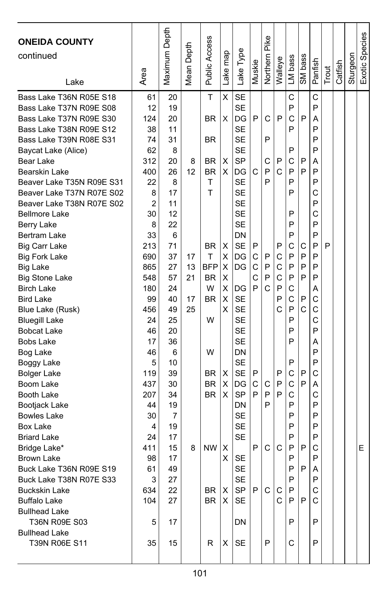| <b>ONEIDA COUNTY</b><br>continued<br>Lake | Area | Maximum Depth | Depth<br>Mean I | <b>Public Access</b> | Lake map | Lake Type | Muskie | Northern Pike | Walleye | LM bass | SM bass      | Panfish | Trout | Catfish | Sturgeon | Exotic Species |
|-------------------------------------------|------|---------------|-----------------|----------------------|----------|-----------|--------|---------------|---------|---------|--------------|---------|-------|---------|----------|----------------|
| Bass Lake T36N R05E S18                   | 61   | 20            |                 | T                    | X        | <b>SE</b> |        |               |         | C       |              | C       |       |         |          |                |
| Bass Lake T37N R09E S08                   | 12   | 19            |                 |                      |          | SE        |        |               |         | P       |              | P       |       |         |          |                |
| Bass Lake T37N R09E S30                   | 124  | 20            |                 | <b>BR</b>            | X        | DG        | P      | С             | P       | C       | P            | Α       |       |         |          |                |
| Bass Lake T38N R09E S12                   | 38   | 11            |                 |                      |          | SE        |        |               |         | P       |              | P       |       |         |          |                |
| Bass Lake T39N R08E S31                   | 74   | 31            |                 | <b>BR</b>            |          | <b>SE</b> |        | P             |         |         |              | P       |       |         |          |                |
| Baycat Lake (Alice)                       | 62   | 8             |                 |                      |          | <b>SE</b> |        |               |         | P       |              | P       |       |         |          |                |
| Bear Lake                                 | 312  | 20            | 8               | BR                   | х        | <b>SP</b> |        | С             | P       | С       | P            | Α       |       |         |          |                |
| Bearskin Lake                             | 400  | 26            | 12              | <b>BR</b>            | X        | DG        | C      | P             | C       | P       | P            | P       |       |         |          |                |
| Beaver Lake T35N R09E S31                 | 22   | 8             |                 | T                    |          | SE        |        | P             |         | P       |              | P       |       |         |          |                |
| Beaver Lake T37N R07E S02                 | 8    | 17            |                 | T                    |          | SE        |        |               |         | P       |              | C       |       |         |          |                |
| Beaver Lake T38N R07E S02                 | 2    | 11            |                 |                      |          | <b>SE</b> |        |               |         |         |              | P       |       |         |          |                |
| <b>Bellmore Lake</b>                      | 30   | 12            |                 |                      |          | <b>SE</b> |        |               |         | P       |              | C       |       |         |          |                |
| Berry Lake                                | 8    | 22            |                 |                      |          | <b>SE</b> |        |               |         | P       |              | P       |       |         |          |                |
| Bertram Lake                              | 33   | 6             |                 |                      |          | DN        |        |               |         | P       |              | P       |       |         |          |                |
| Big Carr Lake                             | 213  | 71            |                 | BR                   | х        | <b>SE</b> | P      |               | P       | C       | С            | P       | P     |         |          |                |
| <b>Big Fork Lake</b>                      | 690  | 37            | 17              | Τ                    | х        | DG        | C      | Ρ             | C       | P       | P            | P       |       |         |          |                |
| <b>Big Lake</b>                           | 865  | 27            | 13              | BFP                  | х        | DG        | C      | P             | C       | P       | P            | P       |       |         |          |                |
| <b>Big Stone Lake</b>                     | 548  | 57            | 21              | <b>BR</b>            | X        |           | C      | P             | C       | P       | P            | P       |       |         |          |                |
| <b>Birch Lake</b>                         | 180  | 24            |                 | W                    | X        | DG        | P      | Ċ             | P       | C       |              | A       |       |         |          |                |
| <b>Bird Lake</b>                          | 99   | 40            | 17              | <b>BR</b>            | X        | <b>SE</b> |        |               | P       | C       | P            | C       |       |         |          |                |
| Blue Lake (Rusk)                          | 456  | 49            | 25              |                      | X        | <b>SE</b> |        |               | C       | P       | $\mathsf{C}$ | C       |       |         |          |                |
| <b>Bluegill Lake</b>                      | 24   | 25            |                 | W                    |          | <b>SE</b> |        |               |         | P       |              | C       |       |         |          |                |
| <b>Bobcat Lake</b>                        | 46   | 20            |                 |                      |          | SE        |        |               |         | P       |              | P       |       |         |          |                |
| <b>Bobs Lake</b>                          | 17   | 36            |                 |                      |          | <b>SE</b> |        |               |         | P       |              | Α       |       |         |          |                |
| Bog Lake                                  | 46   | 6             |                 | W                    |          | DN        |        |               |         |         |              | P       |       |         |          |                |
| Boggy Lake                                | 5    | 10            |                 |                      |          | <b>SE</b> |        |               |         | P       |              | P       |       |         |          |                |
| <b>Bolger Lake</b>                        | 119  | 39            |                 | BR                   | X        | <b>SE</b> | P      |               | P       | C       | P            | C       |       |         |          |                |
| Boom Lake                                 | 437  | 30            |                 | <b>BR</b>            | х        | DG        | С      | С             | P       | C       | P            | A       |       |         |          |                |
| Booth Lake                                | 207  | 34            |                 | <b>BR</b>            | X        | <b>SP</b> | P      | P             | P       | C       |              | C       |       |         |          |                |
| Bootjack Lake                             | 44   | 19            |                 |                      |          | DN        |        | P             |         | P       |              | P       |       |         |          |                |
| <b>Bowles Lake</b>                        | 30   | 7             |                 |                      |          | <b>SE</b> |        |               |         | P       |              | P       |       |         |          |                |
| Box Lake                                  | 4    | 19            |                 |                      |          | <b>SE</b> |        |               |         | P       |              | P       |       |         |          |                |
| <b>Briard Lake</b>                        | 24   | 17            |                 |                      |          | SE        |        |               |         | P       |              | P       |       |         |          |                |
| Bridge Lake*                              | 411  | 15            | 8               | <b>NW</b>            | х        |           | P      | C             | С       | P       | P            | С       |       |         |          | E              |
| Brown Lake                                | 98   | 17            |                 |                      | X        | SE        |        |               |         | P       |              | P       |       |         |          |                |
| Buck Lake T36N R09E S19                   | 61   | 49            |                 |                      |          | <b>SE</b> |        |               |         | P       | P            | A       |       |         |          |                |
| Buck Lake T38N R07E S33                   | 3    | 27            |                 |                      |          | <b>SE</b> |        |               |         | P       |              | P       |       |         |          |                |
| <b>Buckskin Lake</b>                      | 634  | 22            |                 | BR                   | X        | SP        | P.     | C             | С       | P       |              | С       |       |         |          |                |
| <b>Buffalo Lake</b>                       | 104  | 27            |                 | BR.                  | $\times$ | <b>SE</b> |        |               | C.      | P       | P            | C       |       |         |          |                |
| <b>Bullhead Lake</b>                      |      |               |                 |                      |          |           |        |               |         |         |              |         |       |         |          |                |
| T36N R09E S03                             | 5    | 17            |                 |                      |          | DN        |        |               |         | P       |              | P       |       |         |          |                |
| <b>Bullhead Lake</b>                      |      |               |                 |                      |          |           |        |               |         |         |              |         |       |         |          |                |
| T39N R06E S11                             | 35   | 15            |                 | R                    | х        | SE        |        | P             |         | С       |              | P       |       |         |          |                |
|                                           |      |               |                 |                      |          |           |        |               |         |         |              |         |       |         |          |                |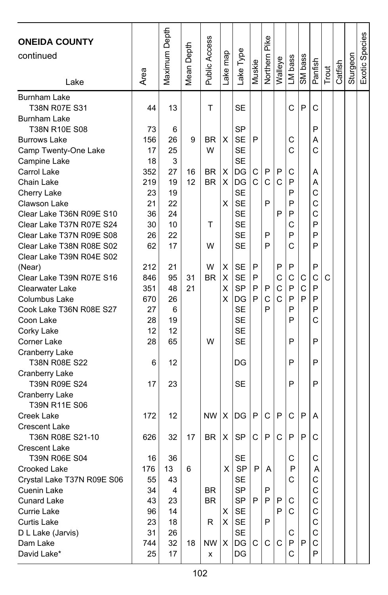| <b>ONEIDA COUNTY</b>            |      | Maximum Depth |        | Public Access |         |                 |        | Northern Pike |         |         |         |         |       |         |          | Exotic Species |
|---------------------------------|------|---------------|--------|---------------|---------|-----------------|--------|---------------|---------|---------|---------|---------|-------|---------|----------|----------------|
| continued                       |      |               | Depth  |               |         | -ake Type       |        |               |         |         |         |         |       |         |          |                |
|                                 |      |               |        |               | ake map |                 | Muskie |               | Walleye | LM bass | SM bass | Panfish |       |         | Sturgeon |                |
| Lake                            | Area |               | Mean I |               |         |                 |        |               |         |         |         |         | Trout | Catfish |          |                |
| <b>Burnham Lake</b>             |      |               |        |               |         |                 |        |               |         |         |         |         |       |         |          |                |
| T38N R07E S31                   | 44   | 13            |        | T             |         | SE              |        |               |         | C       | P       | C       |       |         |          |                |
| <b>Burnham Lake</b>             |      |               |        |               |         |                 |        |               |         |         |         |         |       |         |          |                |
| T38N R10E S08                   | 73   | 6             |        |               |         | <b>SP</b>       |        |               |         |         |         | P       |       |         |          |                |
| <b>Burrows Lake</b>             | 156  | 26            | 9      | BR            | X       | <b>SE</b>       | P      |               |         | С       |         | Α       |       |         |          |                |
| Camp Twenty-One Lake            | 17   | 25            |        | W             |         | <b>SE</b>       |        |               |         | C       |         | C       |       |         |          |                |
| Campine Lake                    | 18   | 3             |        |               |         | <b>SE</b>       |        |               |         |         |         |         |       |         |          |                |
| Carrol Lake                     | 352  | 27            | 16     | <b>BR</b>     | х       | DG              | C      | P             | P       | С       |         | Α       |       |         |          |                |
| Chain Lake                      | 219  | 19            | 12     | BR            | X       | DG              | C      | C             | C       | P       |         | Α       |       |         |          |                |
| Cherry Lake                     | 23   | 19            |        |               |         | <b>SE</b>       |        |               |         | P       |         | C       |       |         |          |                |
| Clawson Lake                    | 21   | 22            |        |               | x       | <b>SE</b>       |        | P             |         | P       |         | C       |       |         |          |                |
| Clear Lake T36N R09E S10        | 36   | 24            |        |               |         | <b>SE</b>       |        |               | P       | P       |         | C       |       |         |          |                |
| Clear Lake T37N R07E S24        | 30   | 10            |        | т             |         | <b>SE</b>       |        |               |         | С       |         | P       |       |         |          |                |
| Clear Lake T37N R09E S08        | 26   | 22            |        |               |         | <b>SE</b>       |        | P             |         | P       |         | P       |       |         |          |                |
| Clear Lake T38N R08E S02        | 62   | 17            |        | W             |         | <b>SE</b>       |        | P             |         | Ć       |         | P       |       |         |          |                |
| Clear Lake T39N R04E S02        |      |               |        |               |         |                 |        |               |         |         |         |         |       |         |          |                |
| (Near)                          | 212  | 21            |        | W             | Χ       | SE              | P      |               | P       | P       |         | P       |       |         |          |                |
| Clear Lake T39N R07E S16        | 846  | 95            | 31     | <b>BR</b>     | Χ       | <b>SE</b>       | P      |               | C       | C       | С       | C       | C     |         |          |                |
| Clearwater Lake                 | 351  | 48            | 21     |               | X       | <b>SP</b>       | P      | P             | C       | P       | C       | P       |       |         |          |                |
| Columbus Lake                   | 670  | 26            |        |               | x       | DG              | P      | C             | C       | P       | P       | P       |       |         |          |                |
| Cook Lake T36N R08E S27         | 27   | 6             |        |               |         | <b>SE</b>       |        | P             |         | P       |         | P       |       |         |          |                |
| Coon Lake                       | 28   | 19            |        |               |         | <b>SE</b>       |        |               |         | P       |         | C       |       |         |          |                |
| Corky Lake                      | 12   | 12            |        |               |         | <b>SE</b>       |        |               |         |         |         |         |       |         |          |                |
| Corner Lake                     | 28   | 65            |        | W             |         | <b>SE</b>       |        |               |         | P       |         | P       |       |         |          |                |
| Cranberry Lake<br>T38N R08E S22 | 6    | 12            |        |               |         | DG              |        |               |         | P       |         | P       |       |         |          |                |
| Cranberry Lake                  |      |               |        |               |         |                 |        |               |         |         |         |         |       |         |          |                |
| T39N R09E S24                   | 17   | 23            |        |               |         | SЕ              |        |               |         | P       |         | P       |       |         |          |                |
| Cranberry Lake                  |      |               |        |               |         |                 |        |               |         |         |         |         |       |         |          |                |
| T39N R11E S06                   |      |               |        |               |         |                 |        |               |         |         |         |         |       |         |          |                |
| Creek Lake                      | 172  | 12            |        | <b>NW</b>     | X       | DG              | P      | C             | P       | C       | P       | А       |       |         |          |                |
| <b>Crescent Lake</b>            |      |               |        |               |         |                 |        |               |         |         |         |         |       |         |          |                |
| T36N R08E S21-10                | 626  | 32            | 17     | <b>BR</b>     | х       | <b>SP</b>       | С      | P             | C       | P       | P       | C       |       |         |          |                |
| <b>Crescent Lake</b>            |      |               |        |               |         |                 |        |               |         |         |         |         |       |         |          |                |
| T39N R06E S04                   | 16   | 36            |        |               |         | <b>SE</b>       |        |               |         | С       |         | C       |       |         |          |                |
| Crooked Lake                    | 176  | 13            | 6      |               | X.      | SP <sup>I</sup> | P      | A             |         | P       |         | A       |       |         |          |                |
| Crystal Lake T37N R09E S06      | 55   | 43            |        |               |         | <b>SE</b>       |        |               |         | C       |         | С       |       |         |          |                |
| Cuenin Lake                     | 34   | 4             |        | BR            |         | <b>SP</b>       |        | P             |         |         |         | C       |       |         |          |                |
| Cunard Lake                     | 43   | 23            |        | BR            |         | SP              | P      | P             | P       | С       |         | C       |       |         |          |                |
| Currie Lake                     | 96   | 14            |        |               | X       | SE              |        |               | P       | С       |         | С       |       |         |          |                |
| Curtis Lake                     | 23   | 18            |        | R             | X       | SE              |        | P             |         |         |         | C       |       |         |          |                |
| D L Lake (Jarvis)               | 31   | 26            |        |               |         | <b>SE</b>       |        |               |         | С       |         | C       |       |         |          |                |
| Dam Lake                        | 744  | 32            | 18     | NW            | Χ       | DG              | C.     | С             | С       | P       | P       | C       |       |         |          |                |
| David Lake*                     | 25   | 17            |        | x             |         | DG              |        |               |         | C       |         | P       |       |         |          |                |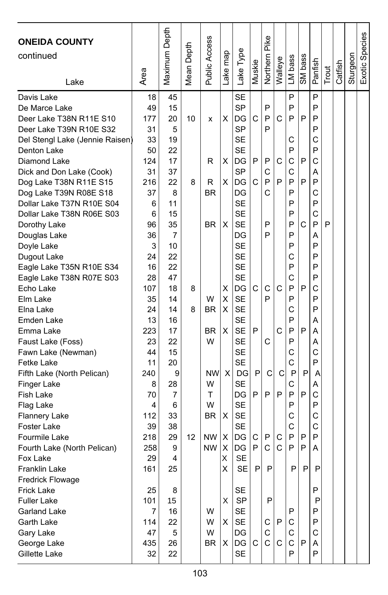| <b>ONEIDA COUNTY</b><br>continued<br>Lake            | Area      | Maximum Depth | Depth<br>Mean <sup>1</sup> | Public Access | ake map | Lake Type              | Muskie       | Pike<br>Northern | Walleye | LM bass | SM bass | Panfish | Trout | Catfish | Sturgeon | Exotic Species |
|------------------------------------------------------|-----------|---------------|----------------------------|---------------|---------|------------------------|--------------|------------------|---------|---------|---------|---------|-------|---------|----------|----------------|
| Davis Lake                                           | 18        | 45            |                            |               |         | <b>SE</b>              |              |                  |         | P       |         | P       |       |         |          |                |
| De Marce Lake                                        | 49        | 15            |                            |               |         | <b>SP</b>              |              | P                |         | P       |         | P       |       |         |          |                |
| Deer Lake T38N R11E S10                              | 177       | 20            | 10                         | x             | х       | DG                     | C            | P                | C       | P       | P       | P       |       |         |          |                |
| Deer Lake T39N R10E S32                              | 31        | 5             |                            |               |         | <b>SP</b>              |              | P                |         |         |         | P       |       |         |          |                |
| Del Stengl Lake (Jennie Raisen)                      | 33        | 19            |                            |               |         | <b>SE</b>              |              |                  |         | С       |         | C       |       |         |          |                |
| Denton Lake                                          | 50        | 22            |                            |               |         | <b>SE</b>              |              |                  |         | P       |         | P       |       |         |          |                |
| Diamond Lake                                         | 124       | 17            |                            | R             | х       | DG                     | P            | P                | C       | C       | P       | C       |       |         |          |                |
| Dick and Don Lake (Cook)                             | 31        | 37            |                            |               |         | SP                     |              | C                |         | С       |         | Α       |       |         |          |                |
| Dog Lake T38N R11E S15                               | 216       | 22            | 8                          | R             | X       | DG                     | C            | P                | P       | P       | P       | P       |       |         |          |                |
| Dog Lake T39N R08E S18                               | 37        | 8             |                            | BR            |         | DG                     |              | С                |         | P       |         | C       |       |         |          |                |
| Dollar Lake T37N R10E S04                            | 6         | 11            |                            |               |         | <b>SE</b>              |              |                  |         | P       |         | P       |       |         |          |                |
| Dollar Lake T38N R06E S03                            | 6         | 15            |                            |               |         | <b>SE</b>              |              |                  |         | P       |         | C       |       |         |          |                |
| Dorothy Lake                                         | 96        | 35            |                            | <b>BR</b>     | X       | <b>SE</b>              |              | P                |         | P       | C       | P       | P     |         |          |                |
| Douglas Lake                                         | 36        | 7             |                            |               |         | DG                     |              | P                |         | P<br>P  |         | Α<br>P  |       |         |          |                |
| Doyle Lake                                           | 3         | 10            |                            |               |         | <b>SE</b>              |              |                  |         |         |         | P       |       |         |          |                |
| Dugout Lake                                          | 24        | 22<br>22      |                            |               |         | <b>SE</b><br><b>SE</b> |              |                  |         | С<br>P  |         | P       |       |         |          |                |
| Eagle Lake T35N R10E S34<br>Eagle Lake T38N R07E S03 | 16        | 47            |                            |               |         | <b>SE</b>              |              |                  |         | C       |         | P       |       |         |          |                |
|                                                      | 28        |               |                            |               |         |                        | C            | C                | C       | P       | P       | C       |       |         |          |                |
| Echo Lake                                            | 107<br>35 | 18<br>14      | 8                          | W             | х       | DG<br><b>SE</b>        |              | P                |         | P       |         | P       |       |         |          |                |
| Elm Lake                                             | 24        | 14            | 8                          | <b>BR</b>     | X<br>X  | <b>SE</b>              |              |                  |         | С       |         | P       |       |         |          |                |
| Elna Lake<br>Emden Lake                              | 13        | 16            |                            |               |         | <b>SE</b>              |              |                  |         | P       |         | Α       |       |         |          |                |
| Emma Lake                                            | 223       | 17            |                            | <b>BR</b>     | X       | <b>SE</b>              | P            |                  | C       | P       | P       | А       |       |         |          |                |
| Faust Lake (Foss)                                    | 23        | 22            |                            | W             |         | <b>SE</b>              |              | C                |         | P       |         | Α       |       |         |          |                |
| Fawn Lake (Newman)                                   | 44        | 15            |                            |               |         | <b>SE</b>              |              |                  |         | С       |         | C       |       |         |          |                |
| Fetke Lake                                           | 11        | 20            |                            |               |         | <b>SE</b>              |              |                  |         | Ċ       |         | P       |       |         |          |                |
| Fifth Lake (North Pelican)                           | 240       | 9             |                            | <b>NW</b>     | X       | DG                     | P            | C                | C       | P       | P       | А       |       |         |          |                |
| Finger Lake                                          | 8         | 28            |                            | W             |         | <b>SE</b>              |              |                  |         | С       |         | Α       |       |         |          |                |
| Fish Lake                                            | 70        | 7             |                            | т             |         | DG                     | P            | P                | P       | P       | P       | C       |       |         |          |                |
| Flag Lake                                            | 4         | 6             |                            | W             |         | <b>SE</b>              |              |                  |         | P       |         | P       |       |         |          |                |
| <b>Flannery Lake</b>                                 | 112       | 33            |                            | <b>BR</b>     | х       | <b>SE</b>              |              |                  |         | C       |         | C       |       |         |          |                |
| <b>Foster Lake</b>                                   | 39        | 38            |                            |               |         | <b>SE</b>              |              |                  |         | С       |         | C       |       |         |          |                |
| Fourmile Lake                                        | 218       | 29            | 12                         | <b>NW</b>     | X       | DG                     | C            | P                | C       | P       | P       | P       |       |         |          |                |
| Fourth Lake (North Pelican)                          | 258       | 9             |                            | <b>NW</b>     | х       | DG                     | $\mathsf{P}$ | C                | C       | P       | P       | Α       |       |         |          |                |
| Fox Lake                                             | 29        | 4             |                            |               | Χ       | <b>SE</b>              |              |                  |         |         |         |         |       |         |          |                |
| Franklin Lake                                        | 161       | 25            |                            |               | X       | <b>SE</b>              | P            | P                |         | P       | P       | P       |       |         |          |                |
| <b>Fredrick Flowage</b>                              |           |               |                            |               |         |                        |              |                  |         |         |         |         |       |         |          |                |
| <b>Frick Lake</b>                                    | 25        | 8             |                            |               |         | <b>SE</b>              |              |                  |         |         |         | P       |       |         |          |                |
| <b>Fuller Lake</b>                                   | 101       | 15            |                            |               | X       | <b>SP</b>              |              | $\mathsf{P}$     |         |         |         | P       |       |         |          |                |
| Garland Lake                                         | 7         | 16            |                            | W             |         | <b>SE</b>              |              |                  |         | Ρ       |         | P       |       |         |          |                |
| Garth Lake                                           | 114       | 22            |                            | W             | X       | SE                     |              | С                | P       | С       |         | P       |       |         |          |                |
| Gary Lake                                            | 47        | 5             |                            | W             |         | DG                     |              | C                |         | С       |         | C       |       |         |          |                |
| George Lake                                          | 435       | 26            |                            | BR.           | Χ       | DG                     | С            | $\mathsf C$      | C       | С       | P       | A       |       |         |          |                |
| Gillette Lake                                        | 32        | 22            |                            |               |         | <b>SE</b>              |              |                  |         | P       |         | P       |       |         |          |                |
|                                                      |           |               |                            |               |         |                        |              |                  |         |         |         |         |       |         |          |                |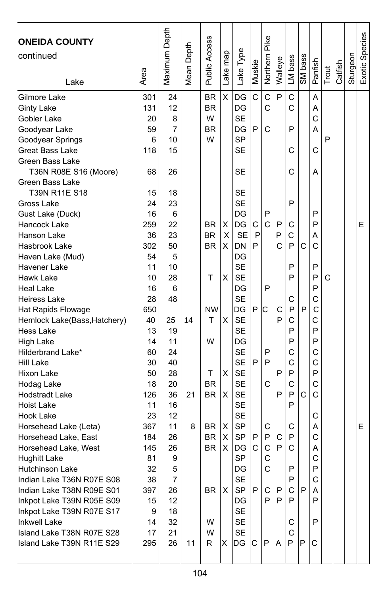| <b>ONEIDA COUNTY</b><br>continued<br>Lake              | Area | Maximum Depth | Mean Depth | Public Access | Lake map | Lake Type | Muskie | Pike<br>Northern | Walleye | LM bass | SM bass | Panfish | Trout | Catfish | Sturgeon | Exotic Species |
|--------------------------------------------------------|------|---------------|------------|---------------|----------|-----------|--------|------------------|---------|---------|---------|---------|-------|---------|----------|----------------|
| Gilmore Lake                                           | 301  | 24            |            | <b>BR</b>     | X        | DG        | C      | Ċ                | P       | C       |         | A       |       |         |          |                |
| Ginty Lake                                             | 131  | 12            |            | <b>BR</b>     |          | DG        |        | C                |         | C       |         | A       |       |         |          |                |
| Gobler Lake                                            | 20   | 8             |            | W             |          | <b>SE</b> |        |                  |         |         |         | C       |       |         |          |                |
| Goodyear Lake                                          | 59   | 7             |            | <b>BR</b>     |          | DG        | P      | C                |         | P       |         | A       |       |         |          |                |
| Goodyear Springs                                       | 6    | 10            |            | W             |          | <b>SP</b> |        |                  |         |         |         |         | P     |         |          |                |
| <b>Great Bass Lake</b>                                 | 118  | 15            |            |               |          | SE        |        |                  |         | C       |         | C       |       |         |          |                |
| Green Bass Lake                                        |      |               |            |               |          |           |        |                  |         |         |         |         |       |         |          |                |
| T36N R08E S16 (Moore)                                  | 68   | 26            |            |               |          | SE        |        |                  |         | C       |         | А       |       |         |          |                |
| Green Bass Lake                                        |      |               |            |               |          |           |        |                  |         |         |         |         |       |         |          |                |
| T39N R11E S18                                          | 15   | 18            |            |               |          | SE        |        |                  |         |         |         |         |       |         |          |                |
| Gross Lake                                             | 24   | 23            |            |               |          | <b>SE</b> |        |                  |         | P       |         |         |       |         |          |                |
| Gust Lake (Duck)                                       | 16   | 6             |            |               |          | DG        |        | P                |         |         |         | P       |       |         |          |                |
| Hancock Lake                                           | 259  | 22            |            | BR.           | х        | DG        | С      | Ċ                | P       | С       |         | P       |       |         |          | Е              |
| Hanson Lake                                            | 36   | 23            |            | ΒR            | X        | <b>SE</b> | P      |                  | P       | С       |         | А       |       |         |          |                |
| Hasbrook Lake                                          | 302  | 50            |            | <b>BR</b>     | X        | <b>DN</b> | P      |                  | C       | P       | C       | C       |       |         |          |                |
| Haven Lake (Mud)                                       | 54   | 5             |            |               |          | DG        |        |                  |         |         |         |         |       |         |          |                |
| Havener Lake                                           | 11   | 10            |            |               |          | <b>SE</b> |        |                  |         | P       |         | P       |       |         |          |                |
| Hawk Lake                                              | 10   | 28            |            | т             | X        | <b>SE</b> |        |                  |         | P       |         | P       | C     |         |          |                |
| <b>Heal Lake</b>                                       | 16   | 6             |            |               |          | DG        |        | P                |         |         |         | P       |       |         |          |                |
| <b>Heiress Lake</b>                                    | 28   | 48            |            |               |          | <b>SE</b> |        |                  |         | С       |         | С       |       |         |          |                |
| Hat Rapids Flowage                                     | 650  |               |            | <b>NW</b>     |          | DG        | P      | Іс               | C       | P       | P       | C       |       |         |          |                |
| Hemlock Lake(Bass, Hatchery)                           | 40   | 25            | 14         | т             | X        | <b>SE</b> |        |                  | P       | C       |         | С       |       |         |          |                |
| Hess Lake                                              | 13   | 19            |            |               |          | <b>SE</b> |        |                  |         | P       |         | P       |       |         |          |                |
| High Lake                                              | 14   | 11            |            | W             |          | DG        |        |                  |         | P       |         | P       |       |         |          |                |
| Hilderbrand Lake*                                      | 60   | 24            |            |               |          | <b>SE</b> |        | P                |         | C       |         | C       |       |         |          |                |
| Hill Lake                                              | 30   | 40            |            |               |          | <b>SE</b> | P      | P                |         | C       |         | C       |       |         |          |                |
| Hixon Lake                                             | 50   | 28            |            | т             | X        | SE        |        |                  | P       | P       |         | P       |       |         |          |                |
| Hodag Lake                                             | 18   | 20            |            | <b>BR</b>     |          | <b>SE</b> |        | C                |         | C       |         | С       |       |         |          |                |
| <b>Hodstradt Lake</b>                                  | 126  | 36            | 21         | <b>BR</b>     | X        | <b>SE</b> |        |                  | P       | P       | C       | C       |       |         |          |                |
| <b>Hoist Lake</b>                                      | 11   | 16            |            |               |          | <b>SE</b> |        |                  |         | P       |         |         |       |         |          |                |
| Hook Lake                                              | 23   | 12            |            |               |          | <b>SE</b> |        |                  |         |         |         | C       |       |         |          |                |
| Horsehead Lake (Leta)                                  | 367  | 11            | 8          | BR.           | х        | <b>SP</b> |        | С                |         | С       |         | Α       |       |         |          | E              |
| Horsehead Lake, East                                   | 184  | 26            |            | <b>BR</b>     | х        | <b>SP</b> | P      | P                | C       | P       |         | C       |       |         |          |                |
| Horsehead Lake, West                                   | 145  | 26            |            | <b>BR</b>     | X        | DG        | C      | C                | P       | C       |         | Α       |       |         |          |                |
| <b>Hughitt Lake</b>                                    | 81   | 9             |            |               |          | <b>SP</b> |        | C                |         |         |         | С       |       |         |          |                |
| Hutchinson Lake                                        | 32   | 5             |            |               |          | DG        |        | C                |         | P       |         | P       |       |         |          |                |
| Indian Lake T36N R07E S08                              | 38   | 7             |            |               |          | <b>SE</b> |        |                  |         | P       |         | С       |       |         |          |                |
| Indian Lake T38N R09E S01                              | 397  | 26            |            | BR            | Х        | <b>SP</b> | P      | С                | P       | С       | P       | A       |       |         |          |                |
| Inkpot Lake T39N R05E S09                              | 15   | 12            |            |               |          | DG        |        | P                | P       | P       |         | P       |       |         |          |                |
| Inkpot Lake T39N R07E S17                              | 9    | 18            |            |               |          | <b>SE</b> |        |                  |         |         |         |         |       |         |          |                |
| <b>Inkwell Lake</b>                                    | 14   | 32            |            | W             |          | SE        |        |                  |         | С       |         | P       |       |         |          |                |
| Island Lake T38N R07E S28<br>Island Lake T39N R11E S29 | 17   | 21            |            | W             |          | <b>SE</b> |        |                  |         | C<br>P  |         | C       |       |         |          |                |
|                                                        | 295  | 26            | 11         | R.            | Χ        | DG        | С      | P                | A       |         | P       |         |       |         |          |                |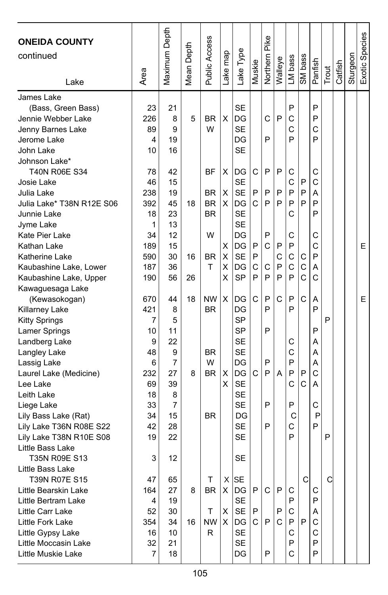| <b>ONEIDA COUNTY</b><br>continued<br>Lake                                                                                                                                                                                                                                                                                                                            | Area                                                                                           | Maximum Depth                                                                          | Mean Depth    | Public Access                                                    | ake map                    | Lake Type                                                                                                                                            | Muskie                | Northern Pike                             | Walleye                    | LM bass                                                       | SM bass                                    | Panfish                                                       | Trout  | Catfish | Sturgeon | Exotic Species |
|----------------------------------------------------------------------------------------------------------------------------------------------------------------------------------------------------------------------------------------------------------------------------------------------------------------------------------------------------------------------|------------------------------------------------------------------------------------------------|----------------------------------------------------------------------------------------|---------------|------------------------------------------------------------------|----------------------------|------------------------------------------------------------------------------------------------------------------------------------------------------|-----------------------|-------------------------------------------|----------------------------|---------------------------------------------------------------|--------------------------------------------|---------------------------------------------------------------|--------|---------|----------|----------------|
| James Lake<br>(Bass, Green Bass)<br>Jennie Webber Lake<br>Jenny Barnes Lake<br>Jerome Lake<br>John Lake<br>Johnson Lake*<br>T40N R06E S34<br>Josie Lake<br>Julia Lake<br>Julia Lake* T38N R12E S06<br>Junnie Lake<br>Jyme Lake<br>Kate Pier Lake<br>Kathan Lake<br>Katherine Lake                                                                                    | 23<br>226<br>89<br>4<br>10<br>78<br>46<br>238<br>392<br>18<br>1<br>34<br>189<br>590            | 21<br>8<br>9<br>19<br>16<br>42<br>15<br>19<br>45<br>23<br>13<br>12<br>15<br>30         | 5<br>18<br>16 | BR<br>W<br>ΒF<br><b>BR</b><br><b>BR</b><br><b>BR</b><br>W<br>ΒR  | X<br>х<br>X<br>X<br>X<br>х | <b>SE</b><br>DG<br><b>SE</b><br>DG<br><b>SE</b><br>DG<br><b>SE</b><br><b>SE</b><br>DG<br><b>SE</b><br><b>SE</b><br>DG<br>DG<br><b>SE</b>             | С<br>P<br>C<br>P<br>P | C<br>P<br>P<br>P<br>P<br>P<br>C           | P<br>P<br>P<br>P<br>P<br>C | P<br>C<br>C<br>P<br>C<br>C<br>P<br>P<br>C<br>C<br>P<br>C      | P<br>P<br>P<br>C                           | P<br>P<br>C<br>P<br>C<br>C<br>Α<br>P<br>P<br>С<br>C<br>P      |        |         |          | E              |
| Kaubashine Lake, Lower<br>Kaubashine Lake, Upper<br>Kawaguesaga Lake<br>(Kewasokogan)<br>Killarney Lake<br><b>Kitty Springs</b><br>Lamer Springs<br>Landberg Lake<br>Langley Lake<br>Lassig Lake<br>Laurel Lake (Medicine)<br>Lee Lake<br>Leith Lake<br>Liege Lake<br>Lily Bass Lake (Rat)<br>Lily Lake T36N R08E S22<br>Lily Lake T38N R10E S08<br>Little Bass Lake | 187<br>190<br>670<br>421<br>7<br>10<br>9<br>48<br>6<br>232<br>69<br>18<br>33<br>34<br>42<br>19 | 36<br>56<br>44<br>8<br>5<br>11<br>22<br>9<br>7<br>27<br>39<br>8<br>7<br>15<br>28<br>22 | 26<br>18<br>8 | T<br><b>NW</b><br><b>BR</b><br><b>BR</b><br>W<br><b>BR</b><br>BR | X<br>х<br>X<br>X<br>X      | DG<br><b>SP</b><br>DG<br>DG<br>SP<br><b>SP</b><br><b>SE</b><br><b>SE</b><br>DG<br>DG<br><b>SE</b><br><b>SE</b><br><b>SE</b><br>DG<br><b>SE</b><br>SE | C<br>P<br>C<br>C      | C<br>P<br>P<br>P<br>P<br>P<br>P<br>P<br>P | P<br>P<br>C<br>A           | C<br>P<br>P<br>P<br>С<br>C<br>P<br>P<br>C<br>P<br>C<br>C<br>P | $\mathbf C$<br>C<br>C<br>P<br>$\mathsf{C}$ | A<br>C<br>A<br>P<br>P<br>Α<br>Α<br>A<br>C<br>A<br>C<br>P<br>P | P<br>P |         |          | E              |
| T35N R09E S13<br>Little Bass Lake<br>T39N R07E S15<br>Little Bearskin Lake<br>Little Bertram Lake<br>Little Carr Lake<br>Little Fork Lake<br>Little Gypsy Lake<br>Little Moccasin Lake<br>Little Muskie Lake                                                                                                                                                         | 3<br>47<br>164<br>4<br>52<br>354<br>16<br>32<br>7                                              | 12<br>65<br>27<br>19<br>30<br>34<br>10<br>21<br>18                                     | 8<br>16       | т<br><b>BR</b><br>T<br><b>NW</b><br>R                            | X<br>X                     | SE<br>$X$ SE<br>$X$ DG<br>SE<br>SE<br>DG<br>SE<br><b>SE</b><br>DG                                                                                    | P<br>P<br>C.          | C<br>P<br>P                               | P<br>P<br>C                | С<br>P<br>C<br>P<br>C<br>P<br>C                               | C<br>P                                     | С<br>P<br>Α<br>С<br>С<br>P<br>P                               | C      |         |          |                |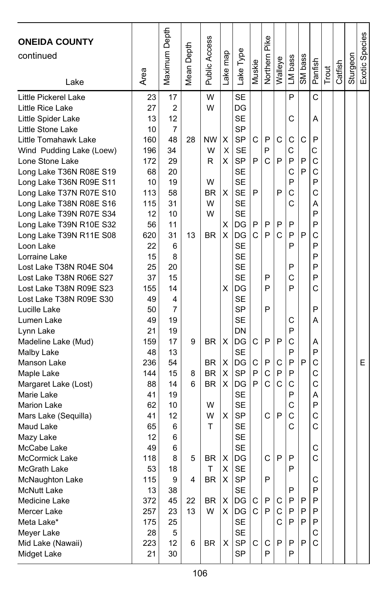| <b>ONEIDA COUNTY</b><br>continued<br>Lake | Area     | Maximum Depth  | Depth<br>Mean I | Public Access | Lake map | Lake Type       | Muskie | Northern Pike | Walleye | LM bass | SM bass | Panfish      | Trout | Catfish | Sturgeon | Exotic Species |
|-------------------------------------------|----------|----------------|-----------------|---------------|----------|-----------------|--------|---------------|---------|---------|---------|--------------|-------|---------|----------|----------------|
| Little Pickerel Lake                      | 23       | 17             |                 | W             |          | <b>SE</b>       |        |               |         | P       |         | C            |       |         |          |                |
| Little Rice Lake                          | 27       | $\overline{2}$ |                 | W             |          | DG              |        |               |         |         |         |              |       |         |          |                |
| Little Spider Lake                        | 13       | 12             |                 |               |          | <b>SE</b>       |        |               |         | С       |         | А            |       |         |          |                |
| Little Stone Lake                         | 10       | 7              |                 |               |          | <b>SP</b>       |        |               |         |         |         |              |       |         |          |                |
| Little Tomahawk Lake                      | 160      | 48             | 28              | <b>NW</b>     | X        | <b>SP</b>       | C      | P             | C       | С       | C       | P            |       |         |          |                |
| Wind Pudding Lake (Loew)                  | 196      | 34             |                 | W             | X        | <b>SE</b>       |        | P             |         | C       |         | С            |       |         |          |                |
| Lone Stone Lake                           | 172      | 29             |                 | R             | X        | <b>SP</b>       | P      | Ć             | P       | P       | P       | C            |       |         |          |                |
| Long Lake T36N R08E S19                   | 68       | 20             |                 |               |          | <b>SE</b>       |        |               |         | C       | P       | $\mathsf{C}$ |       |         |          |                |
| Long Lake T36N R09E S11                   | 10       | 19             |                 | W             |          | <b>SE</b>       |        |               |         | P       |         | P            |       |         |          |                |
| Long Lake T37N R07E S10                   | 113      | 58             |                 | BR            | X        | <b>SE</b>       | P      |               | P       | C       |         | C            |       |         |          |                |
| Long Lake T38N R08E S16                   | 115      | 31             |                 | W             |          | <b>SE</b>       |        |               |         | C       |         | Α            |       |         |          |                |
| Long Lake T39N R07E S34                   | 12       | 10             |                 | W             |          | <b>SE</b>       |        |               |         |         |         | P            |       |         |          |                |
| Long Lake T39N R10E S32                   | 56       | 11             |                 |               | х        | DG              | P      | P             | P       | P       |         | P            |       |         |          |                |
| Long Lake T39N R11E S08                   | 620      | 31             | 13              | <b>BR</b>     | X        | DG              | C      | P             | Ć       | P       | P       | C            |       |         |          |                |
| Loon Lake                                 | 22       | 6              |                 |               |          | <b>SE</b>       |        |               |         | P       |         | P            |       |         |          |                |
| Lorraine Lake                             | 15       | 8              |                 |               |          | <b>SE</b>       |        |               |         |         |         | P            |       |         |          |                |
| Lost Lake T38N R04E S04                   | 25       | 20             |                 |               |          | <b>SE</b>       |        |               |         | P       |         | P<br>P       |       |         |          |                |
| Lost Lake T38N R06E S27                   | 37       | 15             |                 |               |          | <b>SE</b>       |        | P             |         | C       |         |              |       |         |          |                |
| Lost Lake T38N R09E S23                   | 155      | 14             |                 |               | х        | DG              |        | P             |         | P       |         | C            |       |         |          |                |
| Lost Lake T38N R09E S30                   | 49       | 4<br>7         |                 |               |          | <b>SE</b><br>SP |        | P             |         |         |         | P            |       |         |          |                |
| Lucille Lake                              | 50<br>49 | 19             |                 |               |          | SE              |        |               |         | С       |         | Α            |       |         |          |                |
| Lumen Lake                                | 21       | 19             |                 |               |          | DN              |        |               |         | P       |         |              |       |         |          |                |
| Lynn Lake<br>Madeline Lake (Mud)          | 159      | 17             | 9               | <b>BR</b>     | X        | DG              | C      | P             | P       | C       |         | Α            |       |         |          |                |
| Malby Lake                                | 48       | 13             |                 |               |          | SE              |        |               |         | P       |         | P            |       |         |          |                |
| Manson Lake                               | 236      | 54             |                 | <b>BR</b>     | X        | DG              | C      | P             | С       | P       | P       | C            |       |         |          | E              |
| Maple Lake                                | 144      | 15             | 8               | <b>BR</b>     | X        | SP              | P      | C             | P       | P       |         | C            |       |         |          |                |
| Margaret Lake (Lost)                      | 88       | 14             | 6               | <b>BR</b>     | X        | DG              | P      | Ċ             | C       | C       |         | С            |       |         |          |                |
| Marie Lake                                | 41       | 19             |                 |               |          | SE              |        |               |         | P       |         | A            |       |         |          |                |
| <b>Marion Lake</b>                        | 62       | 10             |                 | W             |          | <b>SE</b>       |        |               |         | C       |         | P            |       |         |          |                |
| Mars Lake (Sequilla)                      | 41       | 12             |                 | W             | X        | <b>SP</b>       |        | C             | P       | C       |         | C            |       |         |          |                |
| Maud Lake                                 | 65       | 6              |                 | т             |          | <b>SE</b>       |        |               |         | C       |         | С            |       |         |          |                |
| Mazy Lake                                 | 12       | 6              |                 |               |          | <b>SE</b>       |        |               |         |         |         |              |       |         |          |                |
| McCabe Lake                               | 49       | 6              |                 |               |          | <b>SE</b>       |        |               |         |         |         | C            |       |         |          |                |
| <b>McCormick Lake</b>                     | 118      | 8              | 5               | BR            | х        | DG              |        | C             | P       | P       |         | С            |       |         |          |                |
| McGrath Lake                              | 53       | 18             |                 | Τ             | X        | <b>SE</b>       |        |               |         | P       |         |              |       |         |          |                |
| McNaughton Lake                           | 115      | 9              | 4               | <b>BR</b>     | Χ        | <b>SP</b>       |        | P             |         |         |         | С            |       |         |          |                |
| <b>McNutt Lake</b>                        | 13       | 38             |                 |               |          | <b>SE</b>       |        |               |         | P       |         | P            |       |         |          |                |
| Medicine Lake                             | 372      | 45             | 22              | BR            | X        | DG              | С      | P             | С       | P       | P       | P            |       |         |          |                |
| Mercer Lake                               | 257      | 23             | 13              | W             | X.       | DG              | C      | P             | C       | P       | P       | P            |       |         |          |                |
| Meta Lake*                                | 175      | 25             |                 |               |          | SE              |        |               | C       | P       | P       | P            |       |         |          |                |
| Meyer Lake                                | 28       | 5              |                 |               |          | <b>SE</b>       |        |               |         |         |         | С            |       |         |          |                |
| Mid Lake (Nawaii)                         | 223      | 12             | 6               | BR            | X        | SP              | C      | C             | P       | P       | P       | $\mathsf{C}$ |       |         |          |                |
| Midget Lake                               | 21       | 30             |                 |               |          | <b>SP</b>       |        | P             |         | P       |         |              |       |         |          |                |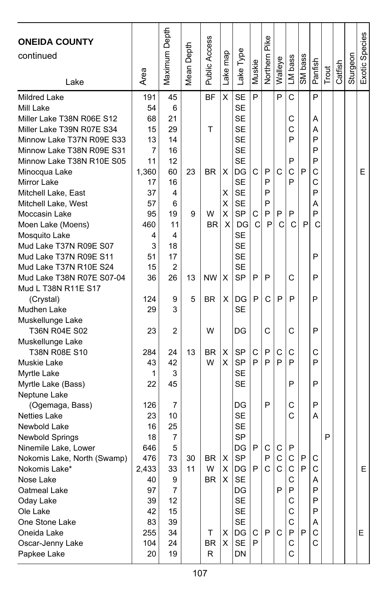| <b>ONEIDA COUNTY</b><br>continued<br>Lake | Area  | Maximum Depth  | Mean Depth | Public Access | Lake map | Lake Type | Muskie       | Pike<br>Northern | Walleye     | LM bass      | SM bass | Panfish | Trout | Catfish | Sturgeon | Exotic Species |
|-------------------------------------------|-------|----------------|------------|---------------|----------|-----------|--------------|------------------|-------------|--------------|---------|---------|-------|---------|----------|----------------|
| Mildred Lake                              | 191   | 45             |            | <b>BF</b>     | X        | <b>SE</b> | P            |                  | P           | C            |         | P       |       |         |          |                |
| Mill Lake                                 | 54    | 6              |            |               |          | <b>SE</b> |              |                  |             |              |         |         |       |         |          |                |
| Miller Lake T38N R06E S12                 | 68    | 21             |            |               |          | <b>SE</b> |              |                  |             | С            |         | А       |       |         |          |                |
| Miller Lake T39N R07E S34                 | 15    | 29             |            | T             |          | <b>SE</b> |              |                  |             | С            |         | Α       |       |         |          |                |
| Minnow Lake T37N R09E S33                 | 13    | 14             |            |               |          | <b>SE</b> |              |                  |             | P            |         | P       |       |         |          |                |
| Minnow Lake T38N R09E S31                 | 7     | 16             |            |               |          | <b>SE</b> |              |                  |             |              |         | P       |       |         |          |                |
| Minnow Lake T38N R10E S05                 | 11    | 12             |            |               |          | <b>SE</b> |              |                  |             | P            |         | P       |       |         |          |                |
| Minocqua Lake                             | 1,360 | 60             | 23         | BR            | х        | DG        | C            | P                | C           | C            | P       | C       |       |         |          | E              |
| Mirror Lake                               | 17    | 16             |            |               |          | <b>SE</b> |              | P                |             | P            |         | C       |       |         |          |                |
| Mitchell Lake, East                       | 37    | 4              |            |               | X        | <b>SE</b> |              | P                |             |              |         | P       |       |         |          |                |
| Mitchell Lake, West                       | 57    | 6              |            |               | X        | <b>SE</b> |              | P                |             |              |         | Α       |       |         |          |                |
| Moccasin Lake                             | 95    | 19             | 9          | W             | X        | SP        | C            | P                | P           | P            |         | P       |       |         |          |                |
| Moen Lake (Moens)                         | 460   | 11             |            | <b>BR</b>     | X        | DG        | $\mathsf{C}$ | P                | C           | C            | P       | C       |       |         |          |                |
| Mosquito Lake                             | 4     | 4              |            |               |          | SE        |              |                  |             |              |         |         |       |         |          |                |
| Mud Lake T37N R09E S07                    | 3     | 18             |            |               |          | <b>SE</b> |              |                  |             |              |         |         |       |         |          |                |
| Mud Lake T37N R09E S11                    | 51    | 17             |            |               |          | <b>SE</b> |              |                  |             |              |         | P       |       |         |          |                |
| Mud Lake T37N R10E S24                    | 15    | $\overline{2}$ |            |               |          | <b>SE</b> |              |                  |             |              |         |         |       |         |          |                |
| Mud Lake T38N R07E S07-04                 | 36    | 26             | 13         | <b>NW</b>     | Χ        | SP        | P            | P                |             | C            |         | P       |       |         |          |                |
| Mud L T38N R11E S17                       |       |                |            |               |          |           |              |                  |             |              |         |         |       |         |          |                |
| (Crystal)                                 | 124   | 9              | 5          | <b>BR</b>     | х        | DG        | P            | C                | P           | P            |         | P       |       |         |          |                |
| Mudhen Lake                               | 29    | 3              |            |               |          | <b>SE</b> |              |                  |             |              |         |         |       |         |          |                |
| Muskellunge Lake                          |       |                |            |               |          |           |              |                  |             |              |         |         |       |         |          |                |
| T36N R04E S02                             | 23    | 2              |            | W             |          | DG        |              | C                |             | C            |         | P       |       |         |          |                |
| Muskellunge Lake                          |       |                |            |               |          |           |              |                  |             |              |         |         |       |         |          |                |
| T38N R08E S10                             | 284   | 24             | 13         | BR            | х        | SP        | C<br>P       | P<br>P           | С<br>P      | С<br>P       |         | C       |       |         |          |                |
| Muskie Lake                               | 43    | 42             |            | W             | X.       | <b>SP</b> |              |                  |             |              |         | P       |       |         |          |                |
| Myrtle Lake                               | 1     | 3              |            |               |          | <b>SE</b> |              |                  |             |              |         |         |       |         |          |                |
| Myrtle Lake (Bass)                        | 22    | 45             |            |               |          | SЕ        |              |                  |             | P            |         | P       |       |         |          |                |
| Neptune Lake                              | 126   | 7              |            |               |          | DG        |              | P                |             | С            |         | P       |       |         |          |                |
| (Ogemaga, Bass)<br><b>Netties Lake</b>    | 23    | 10             |            |               |          | <b>SE</b> |              |                  |             | C            |         | А       |       |         |          |                |
| Newbold Lake                              | 16    | 25             |            |               |          | <b>SE</b> |              |                  |             |              |         |         |       |         |          |                |
| <b>Newbold Springs</b>                    | 18    | 7              |            |               |          | <b>SP</b> |              |                  |             |              |         |         | P     |         |          |                |
| Ninemile Lake, Lower                      | 646   | 5              |            |               |          | DG        | P            | C                | C           | P            |         |         |       |         |          |                |
| Nokomis Lake, North (Swamp)               | 476   | 73             | 30         | BR            | х        | <b>SP</b> |              | P                | $\mathsf C$ | $\mathsf{C}$ | P       | C       |       |         |          |                |
| Nokomis Lake*                             | 2.433 | 33             | 11         | W             | X        | DG        | P            | C                | C           | C            | P       | C       |       |         |          | Е              |
| Nose Lake                                 | 40    | 9              |            | BR            | X        | SE        |              |                  |             | С            |         | A       |       |         |          |                |
| Oatmeal Lake                              | 97    | 7              |            |               |          | DG        |              |                  | P           | P            |         | P       |       |         |          |                |
| Oday Lake                                 | 39    | 12             |            |               |          | <b>SE</b> |              |                  |             | С            |         | P       |       |         |          |                |
| Ole Lake                                  | 42    | 15             |            |               |          | SE        |              |                  |             | С            |         | P       |       |         |          |                |
| One Stone Lake                            | 83    | 39             |            |               |          | <b>SE</b> |              |                  |             | С            |         | Α       |       |         |          |                |
| Oneida Lake                               | 255   | 34             |            | т             | х        | DG        | C            | $\mathsf{P}$     | C           | P            | P       | С       |       |         |          | E.             |
| Oscar-Jenny Lake                          | 104   | 24             |            | BR            | X.       | SE        | P            |                  |             | С            |         | C       |       |         |          |                |
| Papkee Lake                               | 20    | 19             |            | R.            |          | DN        |              |                  |             | C            |         |         |       |         |          |                |
|                                           |       |                |            |               |          |           |              |                  |             |              |         |         |       |         |          |                |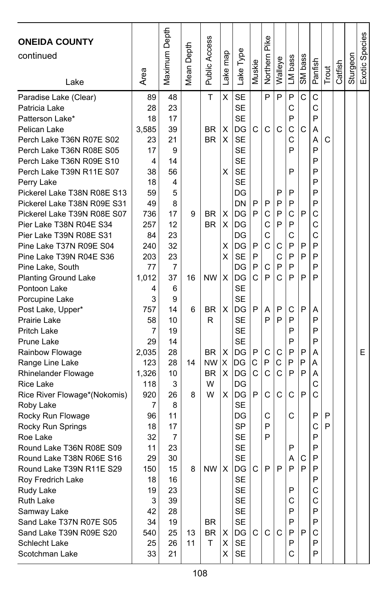| <b>ONEIDA COUNTY</b><br>continued<br>Lake                                                                                                                                                                                                                                                                                                                                                                                                                                                                                                                                                                                                                                                                                                                                                                                                                                                                                                       | Area                                                                                                                                                                                                                                                                           | Maximum Depth                                                                                                                                                                                                                                         | Depth<br>Mean                | Public Access                                                                                                                   | Lake map                                                           | Lake Type                                                                                                                                                                                                                                                                                                                                                                                                                 | Muskie                                                        | Pike<br>Northern                                                                                       | Walleye                                                                           | LM bass                                                                                                                                                      | SM bass                                                       | Panfish                                                                                                                                                                                    | Trout       | Catfish | Sturgeon | Exotic Species |
|-------------------------------------------------------------------------------------------------------------------------------------------------------------------------------------------------------------------------------------------------------------------------------------------------------------------------------------------------------------------------------------------------------------------------------------------------------------------------------------------------------------------------------------------------------------------------------------------------------------------------------------------------------------------------------------------------------------------------------------------------------------------------------------------------------------------------------------------------------------------------------------------------------------------------------------------------|--------------------------------------------------------------------------------------------------------------------------------------------------------------------------------------------------------------------------------------------------------------------------------|-------------------------------------------------------------------------------------------------------------------------------------------------------------------------------------------------------------------------------------------------------|------------------------------|---------------------------------------------------------------------------------------------------------------------------------|--------------------------------------------------------------------|---------------------------------------------------------------------------------------------------------------------------------------------------------------------------------------------------------------------------------------------------------------------------------------------------------------------------------------------------------------------------------------------------------------------------|---------------------------------------------------------------|--------------------------------------------------------------------------------------------------------|-----------------------------------------------------------------------------------|--------------------------------------------------------------------------------------------------------------------------------------------------------------|---------------------------------------------------------------|--------------------------------------------------------------------------------------------------------------------------------------------------------------------------------------------|-------------|---------|----------|----------------|
| Paradise Lake (Clear)<br>Patricia Lake<br>Patterson Lake*<br>Pelican Lake<br>Perch Lake T36N R07E S02<br>Perch Lake T36N R08E S05<br>Perch Lake T36N R09E S10<br>Perch Lake T39N R11E S07<br>Perry Lake<br>Pickerel Lake T38N R08E S13<br>Pickerel Lake T38N R09E S31<br>Pickerel Lake T39N R08E S07<br>Pier Lake T38N R04E S34<br>Pier Lake T39N R08E S31<br>Pine Lake T37N R09E S04<br>Pine Lake T39N R04E S36<br>Pine Lake, South<br><b>Planting Ground Lake</b><br>Pontoon Lake<br>Porcupine Lake<br>Post Lake, Upper*<br>Prairie Lake<br>Pritch Lake<br>Prune Lake<br>Rainbow Flowage<br>Range Line Lake<br>Rhinelander Flowage<br><b>Rice Lake</b><br>Rice River Flowage*(Nokomis)<br>Roby Lake<br>Rocky Run Flowage<br>Rocky Run Springs<br>Roe Lake<br>Round Lake T36N R08E S09<br>Round Lake T38N R06E S16<br>Round Lake T39N R11E S29<br>Roy Fredrich Lake<br>Rudy Lake<br><b>Ruth Lake</b><br>Samway Lake<br>Sand Lake T37N R07E S05 | 89<br>28<br>18<br>3,585<br>23<br>17<br>4<br>38<br>18<br>59<br>49<br>736<br>257<br>84<br>240<br>203<br>77<br>1,012<br>4<br>3<br>757<br>58<br>7<br>29<br>2,035<br>123<br>1,326<br>118<br>920<br>$\overline{7}$<br>96<br>18<br>32<br>11<br>29<br>150<br>18<br>19<br>3<br>42<br>34 | 48<br>23<br>17<br>39<br>21<br>9<br>14<br>56<br>4<br>5<br>8<br>17<br>12<br>23<br>32<br>23<br>$\overline{7}$<br>37<br>6<br>9<br>14<br>10<br>19<br>14<br>28<br>28<br>10<br>3<br>26<br>8<br>11<br>17<br>7<br>23<br>30<br>15<br>16<br>23<br>39<br>28<br>19 | 9<br>16<br>6<br>14<br>8<br>8 | T<br><b>BR</b><br><b>BR</b><br>BR.<br><b>BR</b><br><b>NW</b><br><b>BR</b><br>R<br><b>BR</b><br>NW.<br><b>BR</b><br>W<br>W<br>BR | X<br>х<br>X<br>х<br>х<br>X<br>X<br>х<br>X<br>X<br>х<br>X<br>X<br>х | <b>SE</b><br><b>SE</b><br><b>SE</b><br>DG<br><b>SE</b><br><b>SE</b><br><b>SE</b><br><b>SE</b><br><b>SE</b><br>DG<br>DN<br>DG<br>lDG<br>DG<br>DG<br><b>SE</b><br>DG<br>DG<br>SE<br>SE<br>DG<br><b>SE</b><br><b>SE</b><br><b>SE</b><br>DG<br>ΙDG<br>DG<br>DG<br>DG<br><b>SE</b><br>DG<br><b>SP</b><br><b>SE</b><br><b>SE</b><br><b>SE</b><br>NW   X   DG  <br><b>SE</b><br><b>SE</b><br><b>SE</b><br><b>SE</b><br><b>SE</b> | С<br>P<br>P<br>P<br>P<br>P<br>C<br>P<br>P<br>C<br>C<br>P<br>C | P<br>C<br>P<br>C<br>C<br>С<br>C<br>C<br>P<br>A<br>$\mathsf{P}$<br>С<br>P<br>C<br>C<br>C<br>P<br>P<br>P | P<br>C<br>P<br>P<br>P<br>P<br>С<br>C<br>P<br>C<br>P<br>P<br>С<br>C<br>C<br>C<br>P | P<br>C<br>P<br>C<br>С<br>P<br>P<br>P<br>P<br>С<br>P<br>С<br>P<br>P<br>P<br>P<br>С<br>P<br>P<br>P<br>P<br>P<br>P<br>С<br>C<br>P<br>Α<br>P<br>P<br>C<br>P<br>P | Ć<br>С<br>P<br>P<br>P<br>P<br>P<br>P<br>P<br>P<br>P<br>С<br>P | C<br>C<br>P<br>Α<br>A<br>P<br>P<br>P<br>P<br>P<br>P<br>C<br>C<br>C<br>P<br>P<br>P<br>P<br>Α<br>P<br>P<br>P<br>Α<br>A<br>A<br>C<br>Ċ<br>P<br>C<br>P<br>P<br>P<br>P<br>P<br>С<br>C<br>P<br>P | C<br>P<br>P |         |          | E              |
| Sand Lake T39N R09E S20<br>Schlecht Lake<br>Scotchman Lake                                                                                                                                                                                                                                                                                                                                                                                                                                                                                                                                                                                                                                                                                                                                                                                                                                                                                      | 540<br>25<br>33                                                                                                                                                                                                                                                                | 25<br>26<br>21                                                                                                                                                                                                                                        | 13<br>11                     | BR<br>T.                                                                                                                        | х<br>X<br>X                                                        | DG<br>SE<br>SE                                                                                                                                                                                                                                                                                                                                                                                                            | $\mathsf{C}$                                                  | C                                                                                                      | C.                                                                                | P<br>P<br>С                                                                                                                                                  | P                                                             | C<br>P<br>P                                                                                                                                                                                |             |         |          |                |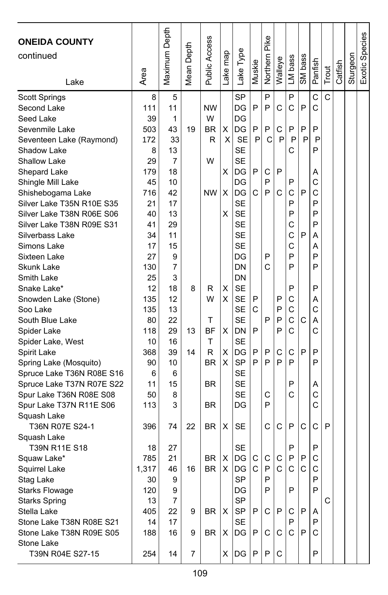| <b>ONEIDA COUNTY</b><br>continued<br>Lake    | Area     | Maximum Depth | Depth<br>Mean I | Public Access | map<br>ake <sub>1</sub> | Lake Type              | Muskie       | Pike<br>Northern | Walleye | LM bass | SM bass | Panfish | Trout | Catfish | Sturgeon | Exotic Species |
|----------------------------------------------|----------|---------------|-----------------|---------------|-------------------------|------------------------|--------------|------------------|---------|---------|---------|---------|-------|---------|----------|----------------|
| Scott Springs                                | 8        | 5             |                 |               |                         | <b>SP</b>              |              | P                |         | P       |         | C       | C     |         |          |                |
| Second Lake                                  | 111      | 11            |                 | NW            |                         | DG                     | P            | P                | С       | C       | P       | C       |       |         |          |                |
| Seed Lake                                    | 39       | 1             |                 | W             |                         | DG                     |              |                  |         |         |         |         |       |         |          |                |
| Sevenmile Lake                               | 503      | 43            | 19              | BR            | X                       | DG                     | P            | P                | C       | P       | P       | P       |       |         |          |                |
| Seventeen Lake (Raymond)                     | 172      | 33            |                 | R             | X                       | <b>SE</b>              | P            | C                | P       | P       | P       | P       |       |         |          |                |
| Shadow Lake                                  | 8        | 13            |                 |               |                         | SE                     |              |                  |         | С       |         | P       |       |         |          |                |
| <b>Shallow Lake</b>                          | 29       | 7             |                 | W             |                         | <b>SE</b>              |              |                  |         |         |         |         |       |         |          |                |
| Shepard Lake                                 | 179      | 18            |                 |               | х                       | DG                     | P            | С                | P       |         |         | Α       |       |         |          |                |
| Shingle Mill Lake                            | 45       | 10            |                 |               |                         | DG                     |              | P                |         | P       |         | C       |       |         |          |                |
| Shishebogama Lake                            | 716      | 42            |                 | <b>NW</b>     | X                       | DG                     | C            | P                | С       | С       | P       | C       |       |         |          |                |
| Silver Lake T35N R10E S35                    | 21       | 17            |                 |               |                         | <b>SE</b>              |              |                  |         | P       |         | P       |       |         |          |                |
| Silver Lake T38N R06E S06                    | 40       | 13            |                 |               | х                       | <b>SE</b>              |              |                  |         | P       |         | P       |       |         |          |                |
| Silver Lake T38N R09E S31<br>Silverbass Lake | 41<br>34 | 29<br>11      |                 |               |                         | <b>SE</b><br><b>SE</b> |              |                  |         | C<br>С  | P       | P       |       |         |          |                |
| Simons Lake                                  | 17       | 15            |                 |               |                         | SЕ                     |              |                  |         | С       |         | Α<br>А  |       |         |          |                |
| Sixteen Lake                                 | 27       | 9             |                 |               |                         | DG                     |              | P                |         | P       |         | P       |       |         |          |                |
| Skunk Lake                                   | 130      | 7             |                 |               |                         | DN                     |              | C                |         | P       |         | P       |       |         |          |                |
| Smith Lake                                   | 25       | 3             |                 |               |                         | DN                     |              |                  |         |         |         |         |       |         |          |                |
| Snake Lake*                                  | 12       | 18            | 8               | R             | х                       | <b>SE</b>              |              |                  |         | P       |         | P       |       |         |          |                |
| Snowden Lake (Stone)                         | 135      | 12            |                 | W             | х                       | SE                     | P            |                  | P       | С       |         | Α       |       |         |          |                |
| Soo Lake                                     | 135      | 13            |                 |               |                         | <b>SE</b>              | C            |                  | P       | C       |         | C       |       |         |          |                |
| South Blue Lake                              | 80       | 22            |                 | т             |                         | <b>SE</b>              |              | P                | P       | C       | C       | Α       |       |         |          |                |
| Spider Lake                                  | 118      | 29            | 13              | ΒF            | х                       | DN                     | P            |                  | P       | C       |         | Ć       |       |         |          |                |
| Spider Lake, West                            | 10       | 16            |                 | T             |                         | <b>SE</b>              |              |                  |         |         |         |         |       |         |          |                |
| Spirit Lake                                  | 368      | 39            | 14              | R             | X                       | DG                     | P            | P                | С       | С       | P       | P       |       |         |          |                |
| Spring Lake (Mosquito)                       | 90       | 10            |                 | BR            | X                       | <b>SP</b>              | P            | P                | P       | P       |         | P       |       |         |          |                |
| Spruce Lake T36N R08E S16                    | 6        | 6             |                 |               |                         | <b>SE</b>              |              |                  |         |         |         |         |       |         |          |                |
| Spruce Lake T37N R07E S22                    | 11       | 15            |                 | <b>BR</b>     |                         | <b>SE</b>              |              |                  |         | P       |         | Α       |       |         |          |                |
| Spur Lake T36N R08E S08                      | 50       | 8             |                 |               |                         | <b>SE</b>              |              | С                |         | С       |         | C       |       |         |          |                |
| Spur Lake T37N R11E S06                      | 113      | 3             |                 | <b>BR</b>     |                         | DG                     |              | P                |         |         |         | C       |       |         |          |                |
| Squash Lake                                  |          |               |                 |               |                         |                        |              |                  |         |         |         |         |       |         |          |                |
| T36N R07E S24-1                              | 396      | 74            | 22              | <b>BR</b>     | х                       | SE                     |              | C                | С       | P       | C       | C       | P     |         |          |                |
| Squash Lake                                  |          |               |                 |               |                         |                        |              |                  |         |         |         |         |       |         |          |                |
| T39N R11E S18                                | 18       | 27            |                 |               |                         | SE                     |              |                  |         | P       |         | P       |       |         |          |                |
| Squaw Lake*                                  | 785      | 21            |                 | BR            | X                       | DG                     | $\mathsf{C}$ | C                | C       | P       | Ρ       | C       |       |         |          |                |
| Squirrel Lake                                | 1.317    | 46            | 16              | <b>BR</b>     | X                       | DG.                    | C.           | P                | C.      | C.      | С       | C       |       |         |          |                |
| Stag Lake                                    | 30       | 9             |                 |               |                         | SP                     |              | P                |         |         |         | P       |       |         |          |                |
| <b>Starks Flowage</b>                        | 120      | 9             |                 |               |                         | DG                     |              | P                |         | P       |         | P       |       |         |          |                |
| <b>Starks Spring</b>                         | 13       | 7             |                 |               |                         | SP                     |              |                  |         |         |         |         | С     |         |          |                |
| Stella Lake                                  | 405      | 22            | 9               | BR            | X                       | <b>SP</b>              | P            | C                | P       | С       | P       | A       |       |         |          |                |
| Stone Lake T38N R08E S21                     | 14       | 17            |                 |               |                         | SE                     |              |                  |         | P       |         | P       |       |         |          |                |
| Stone Lake T38N R09E S05                     | 188      | 16            | 9               | BR            | х                       | DG                     | P            | С                | С       | C       | P       | С       |       |         |          |                |
| Stone Lake                                   |          |               |                 |               |                         |                        |              |                  |         |         |         |         |       |         |          |                |
| T39N R04E S27-15                             | 254      | 14            | 7               |               | X                       | DG                     | P            | P                | C       |         |         | P       |       |         |          |                |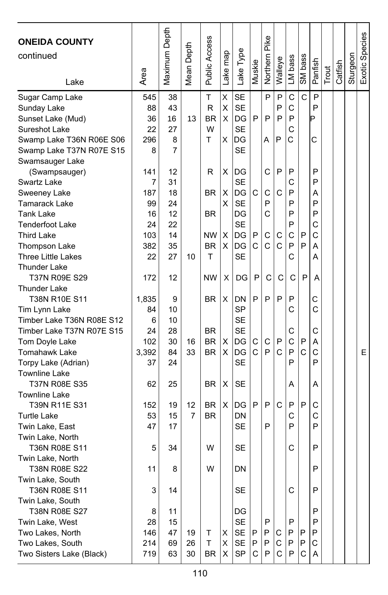| <b>ONEIDA COUNTY</b>      |       | Maximum Depth | Depth             | <b>Public Access</b> |          |           |        | Northern Pike |              |              |             |               |       |         |          | Exotic Species |
|---------------------------|-------|---------------|-------------------|----------------------|----------|-----------|--------|---------------|--------------|--------------|-------------|---------------|-------|---------|----------|----------------|
| continued                 |       |               |                   |                      |          |           |        |               |              |              |             |               |       |         |          |                |
|                           |       |               | Mean <sup>1</sup> |                      | Lake map | Lake Type | Muskie |               | Walleye      | LM bass      | SM bass     | Panfish       |       | Catfish | Sturgeon |                |
| Lake                      | Area  |               |                   |                      |          |           |        |               |              |              |             |               | Trout |         |          |                |
| Sugar Camp Lake           | 545   | 38            |                   | T                    | X        | SE        |        | P             | P            | $\mathsf{C}$ | C           | P             |       |         |          |                |
| Sunday Lake               | 88    | 43            |                   | R                    | X        | <b>SE</b> |        |               | P            | C            |             | P             |       |         |          |                |
| Sunset Lake (Mud)         | 36    | 16            | 13                | ΒR                   | X        | DG        | P      | P             | P            | P            |             | Þ             |       |         |          |                |
| Sureshot Lake             | 22    | 27            |                   | W                    |          | <b>SE</b> |        |               |              | C            |             |               |       |         |          |                |
| Swamp Lake T36N R06E S06  | 296   | 8             |                   | т                    | X        | DG        |        | A             | P            | C            |             | C             |       |         |          |                |
| Swamp Lake T37N R07E S15  | 8     | 7             |                   |                      |          | <b>SE</b> |        |               |              |              |             |               |       |         |          |                |
| Swamsauger Lake           |       |               |                   |                      |          |           |        |               |              |              |             |               |       |         |          |                |
| (Swampsauger)             | 141   | 12            |                   | R                    | Χ        | DG        |        | C             | P            | P            |             | P             |       |         |          |                |
| Swartz Lake               | 7     | 31            |                   |                      |          | <b>SE</b> |        |               |              | C            |             | P             |       |         |          |                |
| Sweeney Lake              | 187   | 18            |                   | <b>BR</b>            | Χ        | DG        | C      | С             | C            | P            |             | А             |       |         |          |                |
| Tamarack Lake             | 99    | 24            |                   |                      | х        | <b>SE</b> |        | P             |              | P            |             | P             |       |         |          |                |
| Tank Lake                 | 16    | 12            |                   | <b>BR</b>            |          | DG        |        | C             |              | P            |             | P             |       |         |          |                |
| <b>Tenderfoot Lake</b>    | 24    | 22            |                   |                      |          | <b>SE</b> |        |               |              | P            |             | C             |       |         |          |                |
| <b>Third Lake</b>         | 103   | 14            |                   | <b>NW</b>            | X        | DG        | P      | C             | С            | C            | P           | C             |       |         |          |                |
| Thompson Lake             | 382   | 35            |                   | <b>BR</b>            | X        | DG        | C      | C             | C            | P            | P           | Α             |       |         |          |                |
| <b>Three Little Lakes</b> | 22    | 27            | 10                | T                    |          | <b>SE</b> |        |               |              | C            |             | A             |       |         |          |                |
| <b>Thunder Lake</b>       |       |               |                   |                      |          |           |        |               |              |              |             |               |       |         |          |                |
| T37N R09E S29             | 172   | 12            |                   | <b>NW</b>            | Χ        | DG        | P      | $\mathbf C$   | $\mathsf{C}$ | $\mathsf{C}$ | P           | A             |       |         |          |                |
| <b>Thunder Lake</b>       |       |               |                   |                      |          |           |        |               |              |              |             |               |       |         |          |                |
| T38N R10E S11             | 1,835 | 9             |                   | <b>BR</b>            | х        | DΝ        | P      | P             | P            | P            |             | С             |       |         |          |                |
| Tim Lynn Lake             | 84    | 10            |                   |                      |          | <b>SP</b> |        |               |              | C            |             | $\mathcal{C}$ |       |         |          |                |
| Timber Lake T36N R08E S12 | 6     | 10            |                   |                      |          | <b>SE</b> |        |               |              |              |             |               |       |         |          |                |
| Timber Lake T37N R07E S15 | 24    | 28            |                   | <b>BR</b>            |          | <b>SE</b> |        |               |              | С            |             | С             |       |         |          |                |
| Tom Doyle Lake            | 102   | 30            | 16                | <b>BR</b>            | X        | DG        | С      | С             | P            | C            | P           | Α             |       |         |          |                |
| Tomahawk Lake             | 3,392 | 84            | 33                | <b>BR</b>            | х        | DG        | C      | P             | $\mathsf{C}$ | P            | $\mathbf C$ | C             |       |         |          | E              |
| Torpy Lake (Adrian)       | 37    | 24            |                   |                      |          | SE        |        |               |              | P            |             | P             |       |         |          |                |
| <b>Townline Lake</b>      |       |               |                   |                      |          |           |        |               |              |              |             |               |       |         |          |                |
| T37N R08E S35             | 62    | 25            |                   | <b>BR</b>            | X        | SE        |        |               |              | Α            |             | Α             |       |         |          |                |
| <b>Townline Lake</b>      |       |               |                   |                      |          |           |        |               |              |              |             |               |       |         |          |                |
| T39N R11E S31             | 152   | 19            | 12                | <b>BR</b>            | X        | DG        | P      | P             | C            | P            | P           | C             |       |         |          |                |
| <b>Turtle Lake</b>        | 53    | 15            | 7                 | <b>BR</b>            |          | DN        |        |               |              | C            |             | C             |       |         |          |                |
| Twin Lake, East           | 47    | 17            |                   |                      |          | <b>SE</b> |        | P             |              | P            |             | P             |       |         |          |                |
| Twin Lake, North          |       |               |                   |                      |          |           |        |               |              |              |             |               |       |         |          |                |
| T36N R08E S11             | 5     | 34            |                   | W                    |          | SE        |        |               |              | С            |             | P             |       |         |          |                |
| Twin Lake, North          |       |               |                   |                      |          |           |        |               |              |              |             |               |       |         |          |                |
| T38N R08E S22             | 11    | 8             |                   | W                    |          | DN        |        |               |              |              |             | P             |       |         |          |                |
| Twin Lake, South          |       |               |                   |                      |          |           |        |               |              |              |             |               |       |         |          |                |
| T36N R08E S11             | 3     | 14            |                   |                      |          | SE        |        |               |              | С            |             | P             |       |         |          |                |
| Twin Lake, South          |       |               |                   |                      |          |           |        |               |              |              |             |               |       |         |          |                |
| T38N R08E S27             | 8     | 11            |                   |                      |          | DG        |        |               |              |              |             | P             |       |         |          |                |
| Twin Lake, West           | 28    | 15            |                   |                      |          | <b>SE</b> |        | P             |              | P            |             | P             |       |         |          |                |
| Two Lakes, North          | 146   | 47            | 19                | Т                    | х        | SE        | Ρ      | P             | С            | P            | P           | P             |       |         |          |                |
| Two Lakes, South          | 214   | 69            | 26                | T                    | X        | SE        | P      | P             | С            | P            | P           | С             |       |         |          |                |
| Two Sisters Lake (Black)  | 719   | 63            | 30                | BR.                  | X        | <b>SP</b> | С      | P             | C            | P            | С           | Α             |       |         |          |                |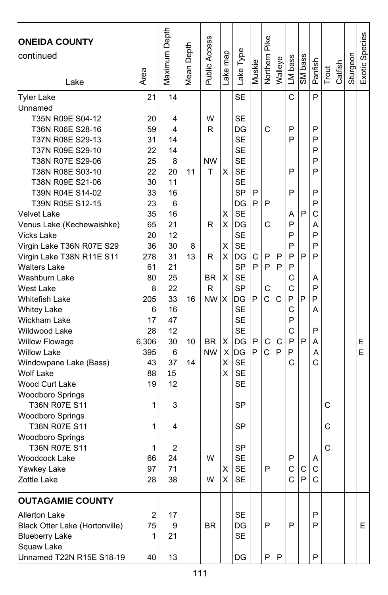| <b>ONEIDA COUNTY</b><br>continued<br>Lake      | Area     | Maximum Depth | Mean Depth | Public Access | Lake map | Lake Type              | Muskie | Northern Pike | Walleye | LM bass      | SM bass | Panfish | Trout | Catfish | Sturgeon | Exotic Species |
|------------------------------------------------|----------|---------------|------------|---------------|----------|------------------------|--------|---------------|---------|--------------|---------|---------|-------|---------|----------|----------------|
| <b>Tyler Lake</b>                              | 21       | 14            |            |               |          | <b>SE</b>              |        |               |         | C            |         | P       |       |         |          |                |
| Unnamed                                        |          |               |            |               |          |                        |        |               |         |              |         |         |       |         |          |                |
| T35N R09E S04-12                               | 20       | 4             |            | W             |          | <b>SE</b>              |        |               |         |              |         |         |       |         |          |                |
| T36N R06E S28-16                               | 59       | 4             |            | R             |          | DG                     |        | C             |         | P            |         | P       |       |         |          |                |
| T37N R08E S29-13                               | 31       | 14            |            |               |          | <b>SE</b>              |        |               |         | P            |         | P       |       |         |          |                |
| T37N R09E S29-10                               | 22       | 14            |            |               |          | <b>SE</b>              |        |               |         |              |         | P       |       |         |          |                |
| T38N R07E S29-06                               | 25       | 8             |            | NW            |          | <b>SE</b>              |        |               |         |              |         | P       |       |         |          |                |
| T38N R08E S03-10                               | 22       | 20            | 11         | T             | х        | <b>SE</b>              |        |               |         | P            |         | P       |       |         |          |                |
| T38N R09E S21-06                               | 30       | 11            |            |               |          | <b>SE</b>              |        |               |         |              |         |         |       |         |          |                |
| T39N R04E S14-02                               | 33       | 16            |            |               |          | <b>SP</b>              | P      |               |         | P            |         | P<br>P  |       |         |          |                |
| T39N R05E S12-15                               | 23       | 6<br>16       |            |               |          | DG<br><b>SE</b>        | P      | P             |         |              | P       | C       |       |         |          |                |
| <b>Velvet Lake</b>                             | 35<br>65 | 21            |            | R             | х<br>X   | DG                     |        | C             |         | Α<br>P       |         | A       |       |         |          |                |
| Venus Lake (Kechewaishke)<br><b>Vicks Lake</b> | 20       | 12            |            |               |          | <b>SE</b>              |        |               |         | P            |         | P       |       |         |          |                |
| Virgin Lake T36N R07E S29                      | 36       | 30            | 8          |               | х        | <b>SE</b>              |        |               |         | P            |         | P       |       |         |          |                |
| Virgin Lake T38N R11E S11                      | 278      | 31            | 13         | R             | х        | DG                     | С      | P             | P       | P            | P       | P       |       |         |          |                |
| <b>Walters Lake</b>                            | 61       | 21            |            |               |          | <b>SP</b>              | P      | P             | P       | P            |         |         |       |         |          |                |
| Washburn Lake                                  | 80       | 25            |            | <b>BR</b>     | X        | <b>SE</b>              |        |               |         | C            |         | Α       |       |         |          |                |
| <b>West Lake</b>                               | 8        | 22            |            | R             |          | <b>SP</b>              |        | C             |         | C            |         | P       |       |         |          |                |
| Whitefish Lake                                 | 205      | 33            | 16         | <b>NW</b>     | X        | DG                     | P      | Ć             | C       | P            | P       | P       |       |         |          |                |
| <b>Whitey Lake</b>                             | 6        | 16            |            |               |          | <b>SE</b>              |        |               |         | $\mathsf{C}$ |         | Α       |       |         |          |                |
| Wickham Lake                                   | 17       | 47            |            |               |          | <b>SE</b>              |        |               |         | P            |         |         |       |         |          |                |
| Wildwood Lake                                  | 28       | 12            |            |               |          | <b>SE</b>              |        |               |         | C            |         | P       |       |         |          |                |
| <b>Willow Flowage</b>                          | 6,306    | 30            | 10         | <b>BR</b>     | х        | DG                     | P      | С             | C       | P            | P       | A       |       |         |          | Ε              |
| <b>Willow Lake</b>                             | 395      | 6             |            | <b>NW</b>     |          | X IDG                  | P      | Ć             | P       | P            |         | A       |       |         |          | E              |
| Windowpane Lake (Bass)                         | 43       | 37            | 14         |               | X        | <b>SE</b>              |        |               |         | C            |         | Ċ       |       |         |          |                |
| <b>Wolf Lake</b>                               | 88       | 15            |            |               | X        | <b>SE</b>              |        |               |         |              |         |         |       |         |          |                |
| Wood Curt Lake                                 | 19       | 12            |            |               |          | <b>SE</b>              |        |               |         |              |         |         |       |         |          |                |
| <b>Woodboro Springs</b>                        |          |               |            |               |          |                        |        |               |         |              |         |         |       |         |          |                |
| T36N R07E S11                                  | 1        | 3             |            |               |          | <b>SP</b>              |        |               |         |              |         |         | C     |         |          |                |
| <b>Woodboro Springs</b>                        |          |               |            |               |          |                        |        |               |         |              |         |         |       |         |          |                |
| <b>T36N R07E S11</b>                           | 1        | 4             |            |               |          | <b>SP</b>              |        |               |         |              |         |         | C     |         |          |                |
| Woodboro Springs                               |          |               |            |               |          |                        |        |               |         |              |         |         | C     |         |          |                |
| <b>T36N R07E S11</b><br>Woodcock Lake          | 1<br>66  | 2<br>24       |            | W             |          | <b>SP</b><br><b>SE</b> |        |               |         | P            |         |         |       |         |          |                |
| Yawkey Lake                                    | 97       | 71            |            |               | X.       | <b>SE</b>              |        | P             |         |              | c Ic    | Α<br>C  |       |         |          |                |
| Zottle Lake                                    | 28       | 38            |            | W             | X        | SE                     |        |               |         | C            | IP.     | С       |       |         |          |                |
|                                                |          |               |            |               |          |                        |        |               |         |              |         |         |       |         |          |                |
| <b>OUTAGAMIE COUNTY</b>                        |          |               |            |               |          |                        |        |               |         |              |         |         |       |         |          |                |
| Allerton Lake                                  | 2        | 17            |            |               |          | SE                     |        |               |         |              |         | P       |       |         |          |                |
| Black Otter Lake (Hortonville)                 | 75       | 9             |            | <b>BR</b>     |          | DG                     |        | P             |         | P            |         | P       |       |         |          | E              |
| <b>Blueberry Lake</b>                          | 1        | 21            |            |               |          | <b>SE</b>              |        |               |         |              |         |         |       |         |          |                |
| Squaw Lake                                     |          |               |            |               |          |                        |        |               |         |              |         |         |       |         |          |                |
| Unnamed T22N R15E S18-19                       | 40       | 13            |            |               |          | DG                     |        | P             | P       |              |         | P       |       |         |          |                |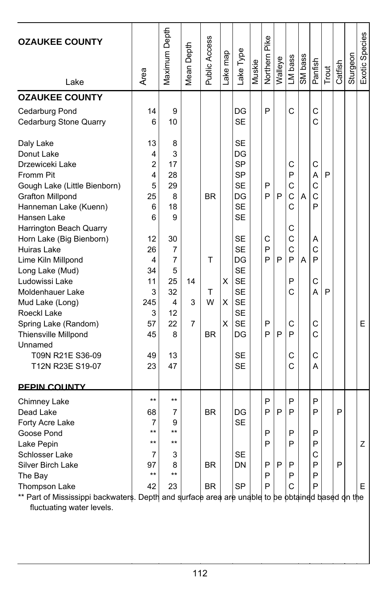| <b>OZAUKEE COUNTY</b><br>Lake                                                                                                                                                                                                                                                                                                                                                                                       | Area                                                                                                          | Maximum Depth                                                                                   | Mean Depth   | <b>Public Access</b>                  | Lake map    | Lake Type                                                                                                                                                                                                  | Muskie | Northern Pike                   | Walleye     | LM bass                                                                             | SM bass | Panfish                                                            | Trout  | Catfish | Sturgeon | Exotic Species |
|---------------------------------------------------------------------------------------------------------------------------------------------------------------------------------------------------------------------------------------------------------------------------------------------------------------------------------------------------------------------------------------------------------------------|---------------------------------------------------------------------------------------------------------------|-------------------------------------------------------------------------------------------------|--------------|---------------------------------------|-------------|------------------------------------------------------------------------------------------------------------------------------------------------------------------------------------------------------------|--------|---------------------------------|-------------|-------------------------------------------------------------------------------------|---------|--------------------------------------------------------------------|--------|---------|----------|----------------|
| <b>OZAUKEE COUNTY</b>                                                                                                                                                                                                                                                                                                                                                                                               |                                                                                                               |                                                                                                 |              |                                       |             |                                                                                                                                                                                                            |        |                                 |             |                                                                                     |         |                                                                    |        |         |          |                |
| Cedarburg Pond<br>Cedarburg Stone Quarry                                                                                                                                                                                                                                                                                                                                                                            | 14<br>6                                                                                                       | 9<br>10                                                                                         |              |                                       |             | DG<br><b>SE</b>                                                                                                                                                                                            |        | P                               |             | C                                                                                   |         | C<br>Ć                                                             |        |         |          |                |
| Daly Lake<br>Donut Lake<br>Drzewiceki Lake<br>Fromm Pit<br>Gough Lake (Little Bienborn)<br><b>Grafton Millpond</b><br>Hanneman Lake (Kuenn)<br>Hansen Lake<br>Harrington Beach Quarry<br>Horn Lake (Big Bienborn)<br>Huiras Lake<br>Lime Kiln Millpond<br>Long Lake (Mud)<br>Ludowissi Lake<br>Moldenhauer Lake<br>Mud Lake (Long)<br>Roeckl Lake<br>Spring Lake (Random)<br><b>Thiensville Millpond</b><br>Unnamed | 13<br>4<br>$\overline{2}$<br>4<br>5<br>25<br>6<br>6<br>12<br>26<br>4<br>34<br>11<br>3<br>245<br>3<br>57<br>45 | 8<br>3<br>17<br>28<br>29<br>8<br>18<br>9<br>30<br>7<br>7<br>5<br>25<br>32<br>4<br>12<br>22<br>8 | 14<br>3<br>7 | <b>BR</b><br>T<br>T<br>W<br><b>BR</b> | X<br>X<br>X | <b>SE</b><br>DG<br><b>SP</b><br><b>SP</b><br><b>SE</b><br>DG<br><b>SE</b><br><b>SE</b><br><b>SE</b><br><b>SE</b><br>DG<br><b>SE</b><br><b>SE</b><br><b>SE</b><br><b>SE</b><br><b>SE</b><br><b>SE</b><br>DG |        | P<br>P<br>C<br>P<br>P<br>P<br>P | P<br>P<br>P | C<br>P<br>$\mathsf{C}$<br>C<br>C<br>С<br>C<br>$\mathsf{C}$<br>P<br>P<br>C<br>C<br>P | A<br>A  | С<br>A<br>$\mathbf C$<br>C<br>P<br>Α<br>Ċ<br>P<br>C<br>A<br>C<br>Ċ | P<br>P |         |          | E              |
| T09N R21E S36-09<br>T12N R23E S19-07                                                                                                                                                                                                                                                                                                                                                                                | 49<br>23                                                                                                      | 13<br>47                                                                                        |              |                                       |             | <b>SE</b><br><b>SE</b>                                                                                                                                                                                     |        |                                 |             | С<br>Ć                                                                              |         | C<br>A                                                             |        |         |          |                |
| <b>PEPIN COUNTY</b><br>Chimney Lake                                                                                                                                                                                                                                                                                                                                                                                 | $\star\star$                                                                                                  | $***$                                                                                           |              |                                       |             |                                                                                                                                                                                                            |        | P                               |             | P                                                                                   |         | P                                                                  |        |         |          |                |
| Dead Lake<br>Forty Acre Lake<br>Goose Pond<br>Lake Pepin<br>Schlosser Lake<br>Silver Birch Lake                                                                                                                                                                                                                                                                                                                     | 68<br>7<br>$***$<br>$\star\star$<br>7<br>97                                                                   | 7<br>9<br>$***$<br>$***$<br>3<br>8                                                              |              | <b>BR</b><br><b>BR</b>                |             | DG<br><b>SE</b><br><b>SE</b><br>DN                                                                                                                                                                         |        | P<br>P<br>P<br>P                | P<br>P      | P<br>P<br>P<br>P                                                                    |         | P<br>P<br>P<br>С<br>P                                              |        | P<br>P  |          | Z              |
| The Bay<br><b>Thompson Lake</b><br>** Part of Mississippi backwaters. Depth and surface area are unable to be obtained based on the<br>fluctuating water levels.                                                                                                                                                                                                                                                    | $***$<br>42                                                                                                   | $\star\star$<br>23                                                                              |              | <b>BR</b>                             |             | <b>SP</b>                                                                                                                                                                                                  |        | P<br>P                          |             | P<br>Ć                                                                              |         | P<br>P                                                             |        |         |          | Е              |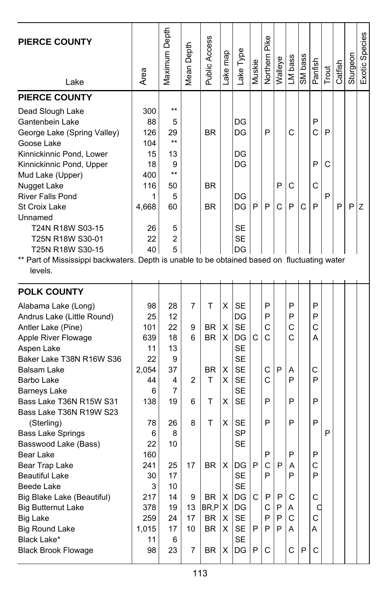| <b>PIERCE COUNTY</b><br>Lake                                                                                                                                                                                                                                                                                                                                                                                     | Area                                                                              | Maximum Depth                                                                              | Depth<br>Mean                       | Public Access                                                          | Lake map                    | Lake Type                                                                                          | Muskie                      | Pike<br>Northern                          | Walleye               | LM bass                                   | SM bass | Panfish                                   | Trout       | Catfish | Sturgeon | Exotic Species |
|------------------------------------------------------------------------------------------------------------------------------------------------------------------------------------------------------------------------------------------------------------------------------------------------------------------------------------------------------------------------------------------------------------------|-----------------------------------------------------------------------------------|--------------------------------------------------------------------------------------------|-------------------------------------|------------------------------------------------------------------------|-----------------------------|----------------------------------------------------------------------------------------------------|-----------------------------|-------------------------------------------|-----------------------|-------------------------------------------|---------|-------------------------------------------|-------------|---------|----------|----------------|
| <b>PIERCE COUNTY</b>                                                                                                                                                                                                                                                                                                                                                                                             |                                                                                   |                                                                                            |                                     |                                                                        |                             |                                                                                                    |                             |                                           |                       |                                           |         |                                           |             |         |          |                |
| Dead Slough Lake<br>Gantenbein Lake<br>George Lake (Spring Valley)<br>Goose Lake<br>Kinnickinnic Pond, Lower<br>Kinnickinnic Pond, Upper<br>Mud Lake (Upper)<br>Nugget Lake<br><b>River Falls Pond</b><br><b>St Croix Lake</b><br>Unnamed<br>T24N R18W S03-15<br>T25N R18W S30-01<br>T25N R18W S30-15<br>** Part of Mississippi backwaters. Depth is unable to be obtained based on fluctuating water<br>levels. | 300<br>88<br>126<br>104<br>15<br>18<br>400<br>116<br>1<br>4,668<br>26<br>22<br>40 | $***$<br>5<br>29<br>$***$<br>13<br>9<br>$***$<br>50<br>5<br>60<br>5<br>$\overline{2}$<br>5 |                                     | <b>BR</b><br><b>BR</b><br><b>BR</b>                                    |                             | DG<br>DG<br>DG<br>DG<br>DG<br>DG<br>SE<br>SE<br>DG                                                 | P                           | P<br>P                                    | P<br>С                | С<br>C<br>P                               | С       | P<br>Ć<br>P<br>C<br>P                     | P<br>C<br>P | P       | P        | Ζ              |
| <b>POLK COUNTY</b>                                                                                                                                                                                                                                                                                                                                                                                               |                                                                                   |                                                                                            |                                     |                                                                        |                             |                                                                                                    |                             |                                           |                       |                                           |         |                                           |             |         |          |                |
| Alabama Lake (Long)<br>Andrus Lake (Little Round)<br>Antler Lake (Pine)<br>Apple River Flowage<br>Aspen Lake<br>Baker Lake T38N R16W S36<br>Balsam Lake<br>Barbo Lake<br><b>Barneys Lake</b><br>Bass Lake T36N R15W S31<br>Bass Lake T36N R19W S23                                                                                                                                                               | 98<br>25<br>101<br>639<br>11<br>22<br>2,054<br>44<br>6<br>138                     | 28<br>12<br>22<br>18<br>13<br>9<br>37<br>4<br>7<br>19                                      | 7<br>9<br>6<br>2<br>6               | Т<br>BR.<br><b>BR</b><br>BR.<br>т<br>т                                 | X<br>X<br>X<br>X<br>X<br>X  | <b>SE</b><br>DG<br><b>SE</b><br>DG<br><b>SE</b><br><b>SE</b><br><b>SE</b><br>SE<br><b>SE</b><br>SE | C                           | P<br>P<br>C<br>C<br>C<br>C<br>P           | P                     | P<br>P<br>C<br>Ċ<br>Α<br>P<br>P           |         | P<br>P<br>Ċ<br>A<br>С<br>P<br>P           |             |         |          |                |
| (Sterling)<br><b>Bass Lake Springs</b><br>Basswood Lake (Bass)<br>Bear Lake<br>Bear Trap Lake<br>Beautiful Lake<br>Beede Lake<br>Big Blake Lake (Beautiful)<br><b>Big Butternut Lake</b><br><b>Big Lake</b><br><b>Big Round Lake</b><br>Black Lake*<br><b>Black Brook Flowage</b>                                                                                                                                | 78<br>6<br>22<br>160<br>241<br>30<br>3<br>217<br>378<br>259<br>1,015<br>11<br>98  | 26<br>8<br>10<br>25<br>17<br>10<br>14<br>19<br>24<br>17<br>6<br>23                         | 8<br>17<br>9<br>13<br>17<br>10<br>7 | т<br><b>BR</b><br>BR<br>$BR, P \mid X$<br><b>BR</b><br><b>BR</b><br>BR | X<br>х<br>Х<br>X<br>X.<br>X | <b>SE</b><br>SP<br>SЕ<br>DG<br>SE<br><b>SE</b><br>DG<br>DG<br><b>SE</b><br>SE<br><b>SE</b><br>DG   | P<br>$\mathsf{C}$<br>P<br>P | P<br>P<br>C<br>P<br>P<br>C<br>P<br>P<br>С | P<br>P<br>P<br>P<br>P | P<br>P<br>A<br>P<br>C<br>A<br>C<br>A<br>C | P       | P<br>P<br>C<br>P<br>C<br>a<br>C<br>A<br>C | P           |         |          |                |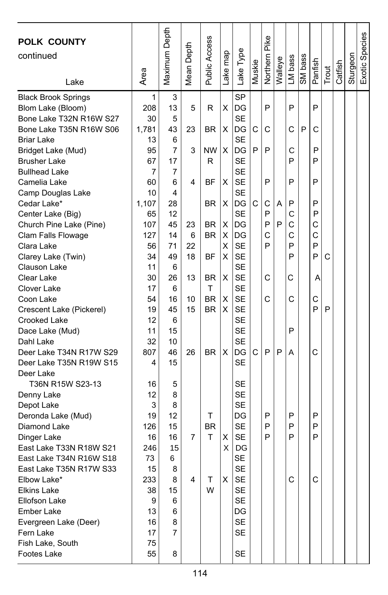| POLK COUNTY<br>continued<br>Lake            | Area     | Maximum Depth | Depth<br>Mean <sub>l</sub> | Public Access  | ake map | Lake Type       | Muskie | Pike<br>Northern | Walleye | LM bass | SM bass | Panfish | Trout | Catfish | Sturgeon | Exotic Species |
|---------------------------------------------|----------|---------------|----------------------------|----------------|---------|-----------------|--------|------------------|---------|---------|---------|---------|-------|---------|----------|----------------|
| <b>Black Brook Springs</b>                  | 1        | 3             |                            |                |         | <b>SP</b>       |        |                  |         |         |         |         |       |         |          |                |
| Blom Lake (Bloom)                           | 208      | 13            | 5                          | R              | X       | DG              |        | P                |         | P       |         | P       |       |         |          |                |
| Bone Lake T32N R16W S27                     | 30       | 5             |                            |                |         | <b>SE</b>       |        |                  |         |         |         |         |       |         |          |                |
| Bone Lake T35N R16W S06                     | 1,781    | 43            | 23                         | BR             | X       | DG              | C      | C                |         | C       | P       | C       |       |         |          |                |
| <b>Briar Lake</b>                           | 13       | 6             |                            |                |         | <b>SE</b>       |        |                  |         |         |         |         |       |         |          |                |
| Bridget Lake (Mud)                          | 95       | 7             | 3                          | <b>NW</b><br>R | X       | DG<br><b>SE</b> | P      | P                |         | С<br>P  |         | P<br>P  |       |         |          |                |
| <b>Brusher Lake</b><br><b>Bullhead Lake</b> | 67<br>7  | 17<br>7       |                            |                |         | <b>SE</b>       |        |                  |         |         |         |         |       |         |          |                |
| Camelia Lake                                | 60       | 6             | 4                          | ΒF             | X       | <b>SE</b>       |        | P                |         | P       |         | P       |       |         |          |                |
| Camp Douglas Lake                           | 10       | 4             |                            |                |         | <b>SE</b>       |        |                  |         |         |         |         |       |         |          |                |
| Cedar Lake*                                 | 1,107    | 28            |                            | ΒR             | X       | DG              | C      | С                | Α       | P       |         | P       |       |         |          |                |
| Center Lake (Big)                           | 65       | 12            |                            |                |         | <b>SE</b>       |        | P                |         | С       |         | P       |       |         |          |                |
| Church Pine Lake (Pine)                     | 107      | 45            | 23                         | BR             | X       | DG              |        | P                | P       | C       |         | C       |       |         |          |                |
| Clam Falls Flowage                          | 127      | 14            | 6                          | <b>BR</b>      | х       | DG              |        | C                |         | С       |         | C       |       |         |          |                |
| Clara Lake                                  | 56       | 71            | 22                         |                | X       | <b>SE</b>       |        | P                |         | P       |         | P       |       |         |          |                |
| Clarey Lake (Twin)                          | 34       | 49            | 18                         | ΒF             | X       | <b>SE</b>       |        |                  |         | P       |         | P       | C     |         |          |                |
| Clauson Lake                                | 11       | 6             |                            |                |         | <b>SE</b>       |        |                  |         |         |         |         |       |         |          |                |
| Clear Lake                                  | 30       | 26            | 13                         | BR             | X       | <b>SE</b>       |        | C                |         | С       |         | Α       |       |         |          |                |
| Clover Lake                                 | 17       | 6             |                            | т              |         | <b>SE</b>       |        |                  |         |         |         |         |       |         |          |                |
| Coon Lake                                   | 54       | 16            | 10                         | <b>BR</b>      | X       | <b>SE</b>       |        | C                |         | C       |         | C       |       |         |          |                |
| Crescent Lake (Pickerel)                    | 19       | 45            | 15                         | <b>BR</b>      | X       | <b>SE</b>       |        |                  |         |         |         | P       | P     |         |          |                |
| Crooked Lake                                | 12       | 6             |                            |                |         | <b>SE</b>       |        |                  |         |         |         |         |       |         |          |                |
| Dace Lake (Mud)                             | 11       | 15            |                            |                |         | <b>SE</b>       |        |                  |         | P       |         |         |       |         |          |                |
| Dahl Lake                                   | 32       | 10            |                            |                |         | <b>SE</b>       |        |                  |         |         |         |         |       |         |          |                |
| Deer Lake T34N R17W S29                     | 807      | 46            | 26                         | <b>BR</b>      | X       | DG              | C      | P                | P       | Α       |         | C       |       |         |          |                |
| Deer Lake T35N R19W S15                     | 4        | 15            |                            |                |         | <b>SE</b>       |        |                  |         |         |         |         |       |         |          |                |
| Deer Lake                                   |          |               |                            |                |         | SЕ              |        |                  |         |         |         |         |       |         |          |                |
| T36N R15W S23-13<br>Denny Lake              | 16<br>12 | 5<br>8        |                            |                |         | <b>SE</b>       |        |                  |         |         |         |         |       |         |          |                |
| Depot Lake                                  | 3        | 8             |                            |                |         | <b>SE</b>       |        |                  |         |         |         |         |       |         |          |                |
| Deronda Lake (Mud)                          | 19       | 12            |                            | т              |         | DG              |        | P                |         | P       |         | P       |       |         |          |                |
| Diamond Lake                                | 126      | 15            |                            | <b>BR</b>      |         | <b>SE</b>       |        | P                |         | P       |         | P       |       |         |          |                |
| Dinger Lake                                 | 16       | 16            | 7                          | т              | X       | <b>SE</b>       |        | P                |         | P       |         | P       |       |         |          |                |
| East Lake T33N R18W S21                     | 246      | 15            |                            |                | X       | DG              |        |                  |         |         |         |         |       |         |          |                |
| East Lake T34N R16W S18                     | 73       | 6             |                            |                |         | <b>SE</b>       |        |                  |         |         |         |         |       |         |          |                |
| East Lake T35N R17W S33                     | 15       | 8             |                            |                |         | <b>SE</b>       |        |                  |         |         |         |         |       |         |          |                |
| Elbow Lake*                                 | 233      | 8             | 4                          | т              | X       | SE              |        |                  |         | С       |         | C       |       |         |          |                |
| <b>Elkins Lake</b>                          | 38       | 15            |                            | W              |         | <b>SE</b>       |        |                  |         |         |         |         |       |         |          |                |
| <b>Ellofson Lake</b>                        | 9        | 6             |                            |                |         | <b>SE</b>       |        |                  |         |         |         |         |       |         |          |                |
| <b>Ember Lake</b>                           | 13       | 6             |                            |                |         | DG              |        |                  |         |         |         |         |       |         |          |                |
| Evergreen Lake (Deer)                       | 16       | 8             |                            |                |         | <b>SE</b>       |        |                  |         |         |         |         |       |         |          |                |
| Fern Lake                                   | 17       | 7             |                            |                |         | SE              |        |                  |         |         |         |         |       |         |          |                |
| Fish Lake, South                            | 75       |               |                            |                |         |                 |        |                  |         |         |         |         |       |         |          |                |
| Footes Lake                                 | 55       | 8             |                            |                |         | SE              |        |                  |         |         |         |         |       |         |          |                |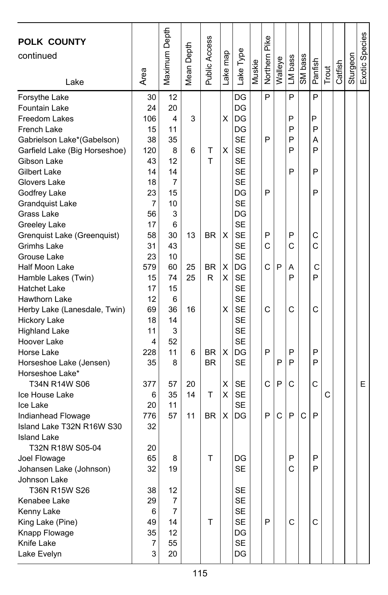| <b>POLK COUNTY</b><br>continued<br>Lake | Area     | Maximum Depth | Mean Depth | Public Access | Lake map | Lake Type       | Muskie | Northern Pike | Walleye | LM bass | SM bass | Panfish | Trout | Catfish | Sturgeon | Exotic Species |
|-----------------------------------------|----------|---------------|------------|---------------|----------|-----------------|--------|---------------|---------|---------|---------|---------|-------|---------|----------|----------------|
| Forsythe Lake                           | 30       | 12            |            |               |          | DG              |        | P             |         | P       |         | P       |       |         |          |                |
| Fountain Lake                           | 24       | 20            |            |               |          | DG              |        |               |         |         |         |         |       |         |          |                |
| Freedom Lakes                           | 106      | 4             | 3          |               | X        | DG              |        |               |         | P       |         | P       |       |         |          |                |
| French Lake                             | 15       | 11            |            |               |          | DG              |        |               |         | P       |         | P       |       |         |          |                |
| Gabrielson Lake*(Gabelson)              | 38       | 35            |            |               |          | <b>SE</b>       |        | P             |         | P       |         | Α       |       |         |          |                |
| Garfield Lake (Big Horseshoe)           | 120      | 8             | 6          | т             | X        | <b>SE</b>       |        |               |         | P       |         | P       |       |         |          |                |
| Gibson Lake                             | 43       | 12            |            | T             |          | <b>SE</b>       |        |               |         |         |         |         |       |         |          |                |
| Gilbert Lake                            | 14       | 14            |            |               |          | <b>SE</b>       |        |               |         | P       |         | P       |       |         |          |                |
| Glovers Lake                            | 18       | 7             |            |               |          | <b>SE</b>       |        |               |         |         |         |         |       |         |          |                |
| Godfrey Lake                            | 23       | 15            |            |               |          | DG              |        | P             |         |         |         | P       |       |         |          |                |
| <b>Grandquist Lake</b>                  | 7        | 10            |            |               |          | <b>SE</b>       |        |               |         |         |         |         |       |         |          |                |
| Grass Lake                              | 56       | 3             |            |               |          | DG              |        |               |         |         |         |         |       |         |          |                |
| <b>Greeley Lake</b>                     | 17       | 6             |            |               |          | <b>SE</b>       |        |               |         |         |         |         |       |         |          |                |
| Grenquist Lake (Greenquist)             | 58       | 30            | 13         | <b>BR</b>     | X        | <b>SE</b>       |        | P             |         | P       |         | С       |       |         |          |                |
| Grimhs Lake                             | 31       | 43            |            |               |          | <b>SE</b>       |        | C             |         | С       |         | C       |       |         |          |                |
| Grouse Lake                             | 23       | 10            |            |               |          | <b>SE</b>       |        |               |         |         |         |         |       |         |          |                |
| Half Moon Lake                          | 579      | 60            | 25         | <b>BR</b>     | X        | DG              |        | C             | P       | Α       |         | C       |       |         |          |                |
| Hamble Lakes (Twin)                     | 15       | 74            | 25         | R             | х        | <b>SE</b>       |        |               |         | P       |         | P       |       |         |          |                |
| <b>Hatchet Lake</b>                     | 17       | 15            |            |               |          | <b>SE</b>       |        |               |         |         |         |         |       |         |          |                |
| Hawthorn Lake                           | 12       | 6             |            |               |          | <b>SE</b>       |        |               |         |         |         |         |       |         |          |                |
| Herby Lake (Lanesdale, Twin)            | 69       | 36            | 16         |               | х        | <b>SE</b>       |        | C             |         | C       |         | C       |       |         |          |                |
| <b>Hickory Lake</b>                     | 18       | 14            |            |               |          | <b>SE</b>       |        |               |         |         |         |         |       |         |          |                |
| <b>Highland Lake</b>                    | 11       | 3             |            |               |          | <b>SE</b>       |        |               |         |         |         |         |       |         |          |                |
| Hoover Lake                             | 4        | 52            |            |               |          | <b>SE</b>       |        |               |         |         |         |         |       |         |          |                |
| Horse Lake                              | 228      | 11            | 6          | <b>BR</b>     | X        | DG              |        | P             |         | P       |         | P       |       |         |          |                |
| Horseshoe Lake (Jensen)                 | 35       | 8             |            | <b>BR</b>     |          | <b>SE</b>       |        |               | P       | P       |         | P       |       |         |          |                |
| Horseshoe Lake*                         |          |               |            |               |          |                 |        |               |         |         |         |         |       |         |          |                |
| T34N R14W S06                           | 377      | 57            | 20         |               | X        | SE              |        | C             | P       | С       |         | C       |       |         |          | Е              |
| Ice House Lake                          | 6        | 35            | 14         | T             | х        | <b>SE</b>       |        |               |         |         |         |         | C     |         |          |                |
| Ice Lake                                | 20       | 11            |            |               |          | <b>SE</b>       |        |               |         |         |         |         |       |         |          |                |
| Indianhead Flowage                      | 776      | 57            | 11         | BR            | х        | DG              |        | P             | C       | P       | C       | P       |       |         |          |                |
| Island Lake T32N R16W S30               | 32       |               |            |               |          |                 |        |               |         |         |         |         |       |         |          |                |
| <b>Island Lake</b>                      |          |               |            |               |          |                 |        |               |         |         |         |         |       |         |          |                |
| T32N R18W S05-04                        | 20       |               |            |               |          |                 |        |               |         |         |         |         |       |         |          |                |
| Joel Flowage                            | 65<br>32 | 8<br>19       |            | т             |          | DG<br><b>SE</b> |        |               |         | Ρ<br>C  |         | Ρ<br>P  |       |         |          |                |
| Johansen Lake (Johnson)                 |          |               |            |               |          |                 |        |               |         |         |         |         |       |         |          |                |
| Johnson Lake<br>T36N R15W S26           |          |               |            |               |          |                 |        |               |         |         |         |         |       |         |          |                |
| Kenabee Lake                            | 38<br>29 | 12<br>7       |            |               |          | SE<br><b>SE</b> |        |               |         |         |         |         |       |         |          |                |
|                                         | 6        | 7             |            |               |          | <b>SE</b>       |        |               |         |         |         |         |       |         |          |                |
| Kenny Lake<br>King Lake (Pine)          | 49       | 14            |            | T             |          | <b>SE</b>       |        | P             |         | C       |         | C       |       |         |          |                |
| Knapp Flowage                           | 35       | 12            |            |               |          | DG              |        |               |         |         |         |         |       |         |          |                |
| Knife Lake                              | 7        | 55            |            |               |          | <b>SE</b>       |        |               |         |         |         |         |       |         |          |                |
| Lake Evelyn                             | 3        | 20            |            |               |          | DG              |        |               |         |         |         |         |       |         |          |                |
|                                         |          |               |            |               |          |                 |        |               |         |         |         |         |       |         |          |                |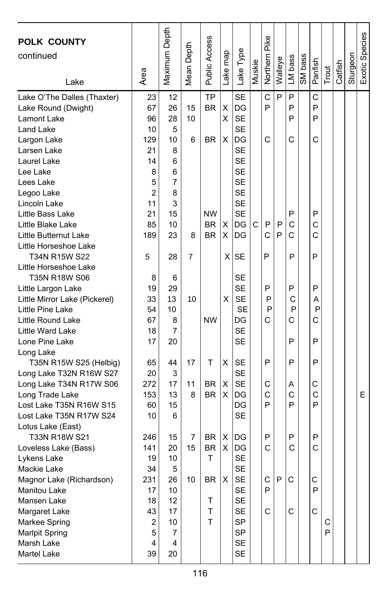| <b>POLK COUNTY</b><br>continued<br>Lake                                                                                                                                                                                | Area                                                                 | Maximum Depth                                                     | Mean Depth    | Public Access                                    | Lake map    | Lake Type                                                                                               | Muskie | Northern Pike         | Walleye | LM bass                    | SM bass | Panfish                    | Trout  | Catfish | Sturgeon | Exotic Species |
|------------------------------------------------------------------------------------------------------------------------------------------------------------------------------------------------------------------------|----------------------------------------------------------------------|-------------------------------------------------------------------|---------------|--------------------------------------------------|-------------|---------------------------------------------------------------------------------------------------------|--------|-----------------------|---------|----------------------------|---------|----------------------------|--------|---------|----------|----------------|
| Lake O'The Dalles (Thaxter)<br>Lake Round (Dwight)<br>Lamont Lake<br>Land Lake<br>Largon Lake<br>Larsen Lake<br>Laurel Lake<br>Lee Lake                                                                                | 23<br>67<br>96<br>10<br>129<br>21<br>14<br>8                         | 12<br>26<br>28<br>5<br>10<br>8<br>6<br>6                          | 15<br>10<br>6 | TP<br><b>BR</b><br>BR.                           | Χ<br>X<br>X | <b>SE</b><br>DG<br><b>SE</b><br><b>SE</b><br>DG<br><b>SE</b><br><b>SE</b><br><b>SE</b>                  |        | C<br>P<br>С           | P       | P<br>P<br>P<br>C           |         | C<br>P<br>P<br>C           |        |         |          |                |
| Lees Lake<br>Legoo Lake<br>Lincoln Lake<br>Little Bass Lake<br>Little Blake Lake<br>Little Butternut Lake<br>Little Horseshoe Lake                                                                                     | 5<br>2<br>11<br>21<br>85<br>189                                      | 7<br>8<br>3<br>15<br>10<br>23                                     | 8             | <b>NW</b><br><b>BR</b><br><b>BR</b>              | х<br>X      | <b>SE</b><br><b>SE</b><br><b>SE</b><br><b>SE</b><br>DG<br>DG                                            | C      | P<br>C                | P<br>P  | P<br>C<br>C                |         | P<br>C<br>C                |        |         |          |                |
| T34N R15W S22<br>Little Horseshoe Lake<br>T35N R18W S06<br>Little Largon Lake<br>Little Mirror Lake (Pickerel)<br>Little Pine Lake<br>Little Round Lake<br>Little Ward Lake<br>Lone Pine Lake                          | 5<br>8<br>19<br>33<br>54<br>67<br>18<br>17                           | 28<br>6<br>29<br>13<br>10<br>8<br>7<br>20                         | 7<br>10       | <b>NW</b>                                        | ΧI<br>x     | <b>SE</b><br><b>SE</b><br><b>SE</b><br><b>SE</b><br><b>SE</b><br>DG<br><b>SE</b><br><b>SE</b>           |        | P<br>P<br>P<br>P<br>C |         | P<br>P<br>С<br>P<br>C<br>P |         | P<br>P<br>Α<br>P<br>С<br>P |        |         |          |                |
| Long Lake<br>T35N R15W S25 (Helbig)<br>Long Lake T32N R16W S27<br>Long Lake T34N R17W S06<br>Long Trade Lake<br>Lost Lake T35N R16W S15<br>Lost Lake T35N R17W S24<br>Lotus Lake (East)                                | 65<br>20<br>272<br>153<br>60<br>10                                   | 44<br>3<br>17<br>13<br>15<br>6                                    | 17<br>11<br>8 | т<br>BR<br><b>BR</b>                             | X<br>х<br>X | <b>SE</b><br><b>SE</b><br><b>SE</b><br>DG<br>DG<br><b>SE</b>                                            |        | P<br>С<br>C<br>P      |         | P<br>Α<br>C<br>P           |         | P<br>С<br>C<br>P           |        |         |          | E              |
| T33N R18W S21<br>Loveless Lake (Bass)<br>Lykens Lake<br>Mackie Lake<br>Magnor Lake (Richardson)<br><b>Manitou Lake</b><br>Mansen Lake<br>Margaret Lake<br>Markee Spring<br>Marlpit Spring<br>Marsh Lake<br>Martel Lake | 246<br>141<br>19<br>34<br>231<br>17<br>18<br>43<br>2<br>5<br>4<br>39 | 15<br>20<br>10<br>5<br>26<br>10<br>12<br>17<br>10<br>7<br>4<br>20 | 7<br>15<br>10 | BR<br><b>BR</b><br>т<br><b>BR</b><br>T<br>T<br>т | х<br>X<br>X | DG<br>DG<br><b>SE</b><br><b>SE</b><br><b>SE</b><br><b>SE</b><br><b>SE</b><br>SE<br>SP<br>SP<br>SE<br>SE |        | P<br>C<br>С<br>P<br>C | P       | P<br>C<br>C<br>С           |         | P<br>C<br>С<br>P<br>C      | С<br>P |         |          |                |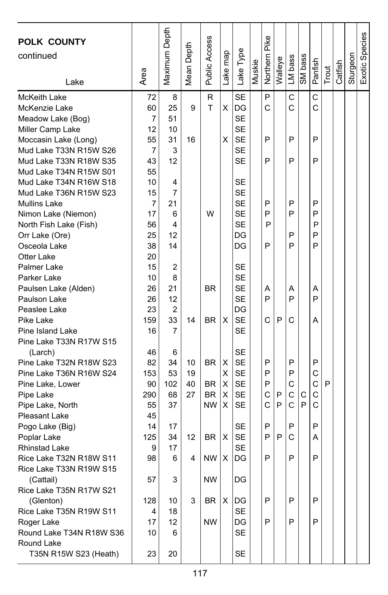| POLK COUNTY<br>continued<br>Lake   | Area | Maximum Depth  | Depth<br>Mean I | Public Access | Lake map | Lake Type | Muskie | Northern Pike | Walleye | LM bass | SM bass | Panfish      | Trout | Catfish | Sturgeon | Exotic Species |
|------------------------------------|------|----------------|-----------------|---------------|----------|-----------|--------|---------------|---------|---------|---------|--------------|-------|---------|----------|----------------|
| McKeith Lake                       | 72   | 8              |                 | $\mathsf{R}$  |          | <b>SE</b> |        | P             |         | C       |         | C            |       |         |          |                |
| McKenzie Lake                      | 60   | 25             | 9               | т             | X        | DG        |        | C             |         | C       |         | C            |       |         |          |                |
| Meadow Lake (Bog)                  | 7    | 51             |                 |               |          | <b>SE</b> |        |               |         |         |         |              |       |         |          |                |
| Miller Camp Lake                   | 12   | 10             |                 |               |          | <b>SE</b> |        |               |         |         |         |              |       |         |          |                |
| Moccasin Lake (Long)               | 55   | 31             | 16              |               | X        | <b>SE</b> |        | P             |         | P       |         | P            |       |         |          |                |
| Mud Lake T33N R15W S26             | 7    | 3              |                 |               |          | <b>SE</b> |        |               |         |         |         |              |       |         |          |                |
| Mud Lake T33N R18W S35             | 43   | 12             |                 |               |          | <b>SE</b> |        | P             |         | P       |         | P            |       |         |          |                |
| Mud Lake T34N R15W S01             | 55   |                |                 |               |          |           |        |               |         |         |         |              |       |         |          |                |
| Mud Lake T34N R16W S18             | 10   | 4              |                 |               |          | <b>SE</b> |        |               |         |         |         |              |       |         |          |                |
| Mud Lake T36N R15W S23             | 15   | 7              |                 |               |          | <b>SE</b> |        |               |         |         |         |              |       |         |          |                |
| <b>Mullins Lake</b>                | 7    | 21             |                 |               |          | <b>SE</b> |        | P             |         | P       |         | P            |       |         |          |                |
| Nimon Lake (Niemon)                | 17   | 6              |                 | W             |          | <b>SE</b> |        | P             |         | P       |         | P            |       |         |          |                |
| North Fish Lake (Fish)             | 56   | 4              |                 |               |          | <b>SE</b> |        | P             |         |         |         | P            |       |         |          |                |
| Orr Lake (Ore)                     | 25   | 12             |                 |               |          | DG        |        |               |         | P       |         | P            |       |         |          |                |
| Osceola Lake                       | 38   | 14             |                 |               |          | DG        |        | P             |         | P       |         | P            |       |         |          |                |
| Otter Lake                         | 20   |                |                 |               |          |           |        |               |         |         |         |              |       |         |          |                |
| Palmer Lake                        | 15   | 2              |                 |               |          | <b>SE</b> |        |               |         |         |         |              |       |         |          |                |
| Parker Lake                        | 10   | 8              |                 |               |          | <b>SE</b> |        |               |         |         |         |              |       |         |          |                |
| Paulsen Lake (Alden)               | 26   | 21             |                 | <b>BR</b>     |          | <b>SE</b> |        | Α             |         | Α       |         | Α            |       |         |          |                |
| Paulson Lake                       | 26   | 12             |                 |               |          | <b>SE</b> |        | P             |         | P       |         | P            |       |         |          |                |
| Peaslee Lake                       | 23   | $\overline{c}$ |                 |               |          | DG        |        |               |         |         |         |              |       |         |          |                |
| Pike Lake                          | 159  | 33             | 14              | <b>BR</b>     | X        | <b>SE</b> |        | C             | P       | C       |         | Α            |       |         |          |                |
| Pine Island Lake                   | 16   | 7              |                 |               |          | SE        |        |               |         |         |         |              |       |         |          |                |
| Pine Lake T33N R17W S15            | 46   |                |                 |               |          | SE        |        |               |         |         |         |              |       |         |          |                |
| (Larch)<br>Pine Lake T32N R18W S23 | 82   | 6<br>34        | 10              | BR.           | х        | <b>SE</b> |        | P             |         | P       |         | P            |       |         |          |                |
| Pine Lake T36N R16W S24            | 153  | 53             | 19              |               | X        | <b>SE</b> |        | P             |         | P       |         | C            |       |         |          |                |
|                                    | 90   | 102            | 40              | <b>BR</b>     | х        | <b>SE</b> |        | P             |         | С       |         | C            | P     |         |          |                |
| Pine Lake, Lower<br>Pipe Lake      | 290  | 68             | 27              | <b>BR</b>     | X        | <b>SE</b> |        | C             | P       | C       | С       | $\mathsf{C}$ |       |         |          |                |
| Pipe Lake, North                   | 55   | 37             |                 | <b>NW</b>     | X        | <b>SE</b> |        | Ć             | P       | Ċ       | P       | $\mathsf{C}$ |       |         |          |                |
| Pleasant Lake                      | 45   |                |                 |               |          |           |        |               |         |         |         |              |       |         |          |                |
| Pogo Lake (Big)                    | 14   | 17             |                 |               |          | SE        |        | P             |         | P       |         | P            |       |         |          |                |
| Poplar Lake                        | 125  | 34             | 12              | BR            | X        | <b>SE</b> |        | P             | P       | С       |         | Α            |       |         |          |                |
| <b>Rhinstad Lake</b>               | 9    | 17             |                 |               |          | <b>SE</b> |        |               |         |         |         |              |       |         |          |                |
| Rice Lake T32N R18W S11            | 98   | 6              | 4               | <b>NW</b>     | х        | DG        |        | P             |         | P       |         | P            |       |         |          |                |
| Rice Lake T33N R19W S15            |      |                |                 |               |          |           |        |               |         |         |         |              |       |         |          |                |
| (Cattail)                          | 57   | 3              |                 | NW            |          | DG        |        |               |         |         |         |              |       |         |          |                |
| Rice Lake T35N R17W S21            |      |                |                 |               |          |           |        |               |         |         |         |              |       |         |          |                |
| (Glenton)                          | 128  | 10             | 3               | BR            | Х        | DG        |        | P             |         | P       |         | P            |       |         |          |                |
| Rice Lake T35N R19W S11            | 4    | 18             |                 |               |          | SE        |        |               |         |         |         |              |       |         |          |                |
| Roger Lake                         | 17   | 12             |                 | <b>NW</b>     |          | DG        |        | P             |         | P       |         | P            |       |         |          |                |
| Round Lake T34N R18W S36           | 10   | 6              |                 |               |          | <b>SE</b> |        |               |         |         |         |              |       |         |          |                |
| Round Lake                         |      |                |                 |               |          |           |        |               |         |         |         |              |       |         |          |                |
| T35N R15W S23 (Heath)              | 23   | 20             |                 |               |          | SE        |        |               |         |         |         |              |       |         |          |                |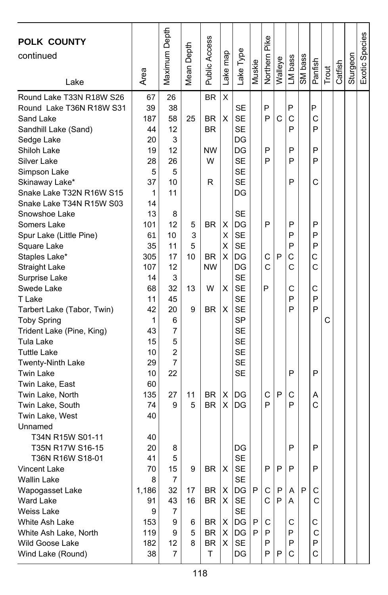| <b>POLK COUNTY</b><br>continued<br>Lake | Area  | Maximum Depth  | Depth<br>Mean I | Public Access | Lake map | Lake Type | Muskie | Northern Pike | Walleye | LM bass | SM bass | Panfish | Trout | Catfish | Sturgeon | Exotic Species |
|-----------------------------------------|-------|----------------|-----------------|---------------|----------|-----------|--------|---------------|---------|---------|---------|---------|-------|---------|----------|----------------|
| Round Lake T33N R18W S26                | 67    | 26             |                 | <b>BR</b>     | X        |           |        |               |         |         |         |         |       |         |          |                |
| Round Lake T36N R18W S31                | 39    | 38             |                 |               |          | <b>SE</b> |        | P             |         | P       |         | P       |       |         |          |                |
| Sand Lake                               | 187   | 58             | 25              | <b>BR</b>     | X        | <b>SE</b> |        | P             | C       | C       |         | C       |       |         |          |                |
| Sandhill Lake (Sand)                    | 44    | 12             |                 | <b>BR</b>     |          | <b>SE</b> |        |               |         | P       |         | P       |       |         |          |                |
| Sedge Lake                              | 20    | 3              |                 |               |          | DG        |        |               |         |         |         |         |       |         |          |                |
| Shiloh Lake                             | 19    | 12             |                 | <b>NW</b>     |          | DG        |        | P             |         | P       |         | P       |       |         |          |                |
| Silver Lake                             | 28    | 26             |                 | W             |          | <b>SE</b> |        | P             |         | P       |         | P       |       |         |          |                |
| Simpson Lake                            | 5     | 5              |                 |               |          | <b>SE</b> |        |               |         |         |         |         |       |         |          |                |
| Skinaway Lake*                          | 37    | 10             |                 | R             |          | <b>SE</b> |        |               |         | P       |         | C       |       |         |          |                |
| Snake Lake T32N R16W S15                | 1     | 11             |                 |               |          | DG        |        |               |         |         |         |         |       |         |          |                |
| Snake Lake T34N R15W S03                | 14    |                |                 |               |          |           |        |               |         |         |         |         |       |         |          |                |
| Snowshoe Lake                           | 13    | 8              |                 |               |          | <b>SE</b> |        |               |         |         |         |         |       |         |          |                |
| Somers Lake                             | 101   | 12             | 5               | <b>BR</b>     | х        | DG        |        | P             |         | P       |         | P       |       |         |          |                |
| Spur Lake (Little Pine)                 | 61    | 10             | 3               |               | X        | <b>SE</b> |        |               |         | P       |         | P       |       |         |          |                |
| Square Lake                             | 35    | 11             | 5               |               | X        | <b>SE</b> |        |               |         | P       |         | P       |       |         |          |                |
| Staples Lake*                           | 305   | 17             | 10              | <b>BR</b>     | X        | DG        |        | С             | P       | C       |         | C       |       |         |          |                |
| <b>Straight Lake</b>                    | 107   | 12             |                 | <b>NW</b>     |          | DG        |        | C             |         | C       |         | C       |       |         |          |                |
| Surprise Lake                           | 14    | 3              |                 |               |          | <b>SE</b> |        |               |         |         |         |         |       |         |          |                |
| Swede Lake                              | 68    | 32             | 13              | W             | X        | <b>SE</b> |        | P             |         | С       |         | С       |       |         |          |                |
| T Lake                                  | 11    | 45             |                 |               |          | <b>SE</b> |        |               |         | P       |         | P       |       |         |          |                |
| Tarbert Lake (Tabor, Twin)              | 42    | 20             | 9               | <b>BR</b>     | Х        | <b>SE</b> |        |               |         | P       |         | P       |       |         |          |                |
| <b>Toby Spring</b>                      | 1     | 6              |                 |               |          | <b>SP</b> |        |               |         |         |         |         | С     |         |          |                |
| Trident Lake (Pine, King)               | 43    | 7              |                 |               |          | <b>SE</b> |        |               |         |         |         |         |       |         |          |                |
| Tula Lake                               | 15    | 5              |                 |               |          | <b>SE</b> |        |               |         |         |         |         |       |         |          |                |
| <b>Tuttle Lake</b>                      | 10    | $\overline{2}$ |                 |               |          | <b>SE</b> |        |               |         |         |         |         |       |         |          |                |
| <b>Twenty-Ninth Lake</b>                | 29    | 7              |                 |               |          | <b>SE</b> |        |               |         |         |         |         |       |         |          |                |
| <b>Twin Lake</b>                        | 10    | 22             |                 |               |          | SE        |        |               |         | P       |         | P       |       |         |          |                |
| Twin Lake, East                         | 60    |                |                 |               |          |           |        |               |         |         |         |         |       |         |          |                |
| Twin Lake, North                        | 135   | 27             | 11              | <b>BR</b>     | х        | DG        |        | C             | P       | С       |         | Α       |       |         |          |                |
| Twin Lake, South                        | 74    | 9              | 5               | <b>BR</b>     | X        | DG        |        | P             |         | P       |         | Ć       |       |         |          |                |
| Twin Lake, West                         | 40    |                |                 |               |          |           |        |               |         |         |         |         |       |         |          |                |
| Unnamed                                 |       |                |                 |               |          |           |        |               |         |         |         |         |       |         |          |                |
| T34N R15W S01-11                        | 40    |                |                 |               |          |           |        |               |         |         |         |         |       |         |          |                |
| T35N R17W S16-15                        | 20    | 8              |                 |               |          | DG        |        |               |         | P       |         | P       |       |         |          |                |
| T36N R16W S18-01                        | 41    | 5              |                 |               |          | <b>SE</b> |        |               |         |         |         |         |       |         |          |                |
| Vincent Lake                            | 70    | 15             | 9               | BR            | X        | <b>SE</b> |        | P             | P       | P       |         | P       |       |         |          |                |
| Wallin Lake                             | 8     | 7              |                 |               |          | SE        |        |               |         |         |         |         |       |         |          |                |
| Wapogasset Lake                         | 1,186 | 32             | 17              | BR            | х        | DG        | P      | С             | P       | Α       | P       | С       |       |         |          |                |
| Ward Lake                               | 91    | 43             | 16              | BR            | X        | <b>SE</b> |        | $\mathsf{C}$  | P       | A       |         | C       |       |         |          |                |
| <b>Weiss Lake</b>                       | 9     | 7              |                 |               |          | <b>SE</b> |        |               |         |         |         |         |       |         |          |                |
| White Ash Lake                          | 153   | 9              | 6               | BR            | х        | DG        | P      | С             |         | С       |         | С       |       |         |          |                |
| White Ash Lake, North                   | 119   | 9              | 5               | BR            | X        | DG        | P.     | P             |         | P       |         | C       |       |         |          |                |
| Wild Goose Lake                         | 182   | 12             | 8               | BR            | X        | SE        |        | P             |         | P       |         | P       |       |         |          |                |
| Wind Lake (Round)                       | 38    | 7              |                 | T             |          | DG        |        | P             | P       | С       |         | С       |       |         |          |                |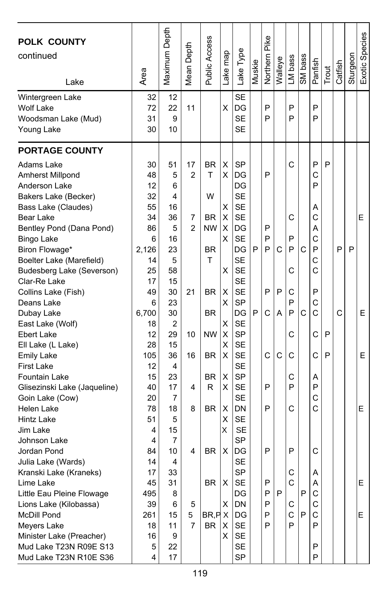| <b>POLK COUNTY</b><br>continued<br>Lake                                                                                                                                                                                                 | Area                                                                   | Maximum Depth                                             | Depth<br>Mean I                | Public Access                                                   | Lake map                        | Lake Type                                                                                                                    | Muskie | Pike<br>Northern           | Walleye | LM bass                               | SM bass  | Panfish                                        | Trout  | Catfish | Sturgeon | Exotic Species |
|-----------------------------------------------------------------------------------------------------------------------------------------------------------------------------------------------------------------------------------------|------------------------------------------------------------------------|-----------------------------------------------------------|--------------------------------|-----------------------------------------------------------------|---------------------------------|------------------------------------------------------------------------------------------------------------------------------|--------|----------------------------|---------|---------------------------------------|----------|------------------------------------------------|--------|---------|----------|----------------|
| Wintergreen Lake<br><b>Wolf Lake</b><br>Woodsman Lake (Mud)<br>Young Lake                                                                                                                                                               | 32<br>72<br>31<br>30                                                   | 12<br>22<br>9<br>10                                       | 11                             |                                                                 | X                               | <b>SE</b><br>DG<br><b>SE</b><br><b>SE</b>                                                                                    |        | P<br>P                     |         | P<br>P                                |          | P<br>P                                         |        |         |          |                |
| <b>PORTAGE COUNTY</b>                                                                                                                                                                                                                   |                                                                        |                                                           |                                |                                                                 |                                 |                                                                                                                              |        |                            |         |                                       |          |                                                |        |         |          |                |
| Adams Lake<br>Amherst Millpond<br>Anderson Lake<br>Bakers Lake (Becker)<br>Bass Lake (Claudes)<br>Bear Lake<br>Bentley Pond (Dana Pond)<br><b>Bingo Lake</b><br>Biron Flowage*<br>Boelter Lake (Marefield)<br>Budesberg Lake (Severson) | 30<br>48<br>12<br>32<br>55<br>34<br>86<br>6<br>2,126<br>14<br>25<br>17 | 51<br>5<br>6<br>4<br>16<br>36<br>5<br>16<br>23<br>5<br>58 | 17<br>2<br>7<br>$\overline{c}$ | <b>BR</b><br>т<br>W<br><b>BR</b><br><b>NW</b><br><b>BR</b><br>T | X<br>X<br>X<br>X<br>X<br>x<br>X | <b>SP</b><br>DG<br>DG<br><b>SE</b><br><b>SE</b><br><b>SE</b><br>DG<br><b>SE</b><br>DG<br><b>SE</b><br><b>SE</b><br><b>SE</b> | P      | P<br>P<br>P<br>P           | C       | C<br>C<br>P<br>P<br>С                 | C        | P<br>С<br>P<br>Α<br>C<br>Α<br>C<br>P<br>С<br>С | P      | P       | P        | E              |
| Clar-Re Lake<br>Collins Lake (Fish)<br>Deans Lake<br>Dubay Lake<br>East Lake (Wolf)                                                                                                                                                     | 49<br>6<br>6,700<br>18                                                 | 15<br>30<br>23<br>30<br>2                                 | 21                             | <b>BR</b><br><b>BR</b>                                          | х<br>X<br>X                     | <b>SE</b><br><b>SP</b><br>DG<br><b>SE</b>                                                                                    | P      | P<br>C                     | P<br>A  | C<br>P<br>P                           | C        | P<br>C<br>C                                    |        | C       |          | E              |
| Ebert Lake<br>Ell Lake (L Lake)<br><b>Emily Lake</b><br><b>First Lake</b>                                                                                                                                                               | 12<br>28<br>105<br>12                                                  | 29<br>15<br>36<br>4                                       | 10<br>16                       | <b>NW</b><br><b>BR</b>                                          | X<br>X<br>X                     | <b>SP</b><br><b>SE</b><br><b>SE</b><br><b>SE</b>                                                                             |        | C                          | C       | C<br>C                                |          | С<br>Ć                                         | P<br>P |         |          | E.             |
| Fountain Lake<br>Glisezinski Lake (Jaqueline)<br>Goin Lake (Cow)<br>Helen Lake<br>Hintz Lake<br>Jim Lake                                                                                                                                | 15<br>40<br>20<br>78<br>51<br>4                                        | 23<br>17<br>7<br>18<br>5<br>15                            | 4<br>8                         | <b>BR</b><br>R<br>BR                                            | X<br>X<br>х<br>х<br>X           | <b>SP</b><br><b>SE</b><br><b>SE</b><br>DN<br><b>SE</b><br><b>SE</b>                                                          |        | P<br>P                     |         | С<br>P<br>C                           |          | Α<br>P<br>C<br>С                               |        |         |          | E              |
| Johnson Lake<br>Jordan Pond<br>Julia Lake (Wards)<br>Kranski Lake (Kraneks)<br>Lime Lake<br>Little Eau Pleine Flowage<br>Lions Lake (Kilobassa)<br>McDill Pond<br>Meyers Lake                                                           | 4<br>84<br>14<br>17<br>45<br>495<br>39<br>261<br>18                    | 7<br>10<br>4<br>33<br>31<br>8<br>6<br>15<br>11            | 4<br>5<br>5<br>7               | <b>BR</b><br>BR<br>BR, P X<br><b>BR</b>                         | х<br>X<br>X<br>X                | <b>SP</b><br>DG<br><b>SE</b><br>SP<br>SE<br>DG<br>DN<br>DG<br>SE                                                             |        | P<br>P<br>P<br>P<br>P<br>P | P       | P<br>C<br>C<br>С<br>$\mathsf{C}$<br>P | P<br>l P | C<br>Α<br>A<br>С<br>С<br>C<br>P                |        |         |          | Е<br>E.        |
| Minister Lake (Preacher)<br>Mud Lake T23N R09E S13<br>Mud Lake T23N R10E S36                                                                                                                                                            | 16<br>5<br>4                                                           | 9<br>22<br>17                                             |                                |                                                                 | X                               | SE<br>SE<br><b>SP</b>                                                                                                        |        |                            |         |                                       |          | P<br>P                                         |        |         |          |                |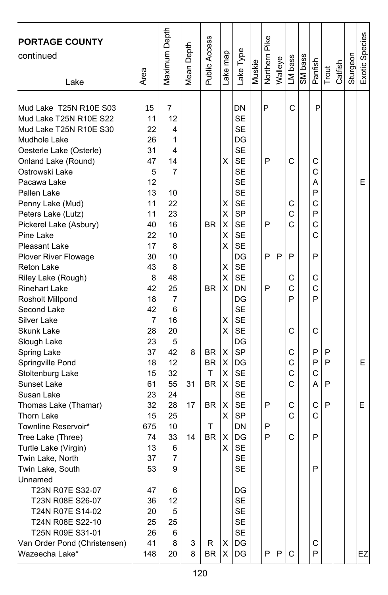| Area                                                                                        | Maximum Depth                                                               | Mean Depth    | Public Access                                   | Lake map                                       | Lake Type                                                                                                                                               | Muskie                | Northern Pike | Walleye | LM bass                                   | SM bass | Panfish                                   | Trout       | Catfish | Sturgeon | Exotic Species |
|---------------------------------------------------------------------------------------------|-----------------------------------------------------------------------------|---------------|-------------------------------------------------|------------------------------------------------|---------------------------------------------------------------------------------------------------------------------------------------------------------|-----------------------|---------------|---------|-------------------------------------------|---------|-------------------------------------------|-------------|---------|----------|----------------|
| 15<br>11<br>22<br>26<br>31<br>47<br>5<br>12<br>13<br>11<br>11<br>40<br>22                   | 7<br>12<br>4<br>1<br>4<br>14<br>7<br>10<br>22<br>23<br>16<br>10             |               | <b>BR</b>                                       | X<br>X<br>X<br>X<br>х                          | DN<br><b>SE</b><br><b>SE</b><br>DG<br><b>SE</b><br><b>SE</b><br><b>SE</b><br><b>SE</b><br><b>SE</b><br><b>SE</b><br><b>SP</b><br><b>SE</b><br><b>SE</b> |                       | P<br>P<br>P   |         | C<br>C<br>С<br>C<br>C                     |         | P<br>С<br>C<br>A<br>P<br>С<br>P<br>C<br>Ċ |             |         |          | E              |
| 17<br>30<br>43<br>8<br>42<br>18<br>42<br>$\overline{7}$<br>28<br>23<br>37<br>18<br>15<br>61 | 8<br>10<br>8<br>48<br>25<br>7<br>6<br>16<br>20<br>5<br>42<br>12<br>32<br>55 | 8<br>31       | <b>BR</b><br><b>BR</b><br>BR.<br>T<br><b>BR</b> | X<br>X<br>X<br>X<br>X<br>X<br>X<br>X<br>X<br>X | <b>SE</b><br>DG<br><b>SE</b><br><b>SE</b><br><b>DN</b><br>DG<br><b>SE</b><br><b>SE</b><br><b>SE</b><br>DG<br><b>SP</b><br>DG<br><b>SE</b><br><b>SE</b>  |                       | P<br>P        | P       | P<br>С<br>C<br>P<br>C<br>C<br>C<br>C<br>C |         | P<br>С<br>Ċ<br>P<br>C<br>P<br>P<br>C<br>А | P<br>P<br>P |         |          | E.             |
| 32<br>15<br>675<br>74<br>13<br>37<br>53<br>47<br>36<br>20<br>25<br>26                       | 28<br>25<br>10<br>33<br>6<br>$\overline{7}$<br>9<br>6<br>12<br>5<br>25<br>6 | 17<br>14      | BR<br>т<br><b>BR</b>                            | х<br>X<br>х<br>X                               | <b>SE</b><br><b>SP</b><br>DN<br>DG<br><b>SE</b><br><b>SE</b><br><b>SE</b><br>DG<br>SE<br>SE<br><b>SE</b><br>SE                                          |                       | P<br>P<br>P   |         | C<br>C<br>C                               |         | C<br>С<br>P<br>P                          | P           |         |          | E              |
| Van Order Pond (Christensen)                                                                | 23<br>41<br>148                                                             | 24<br>8<br>20 | 3<br>8                                          | R<br><b>BR</b>                                 | х<br>Χ                                                                                                                                                  | <b>SE</b><br>DG<br>DG |               | P       | P                                         | C       |                                           | С<br>P      |         |          |                |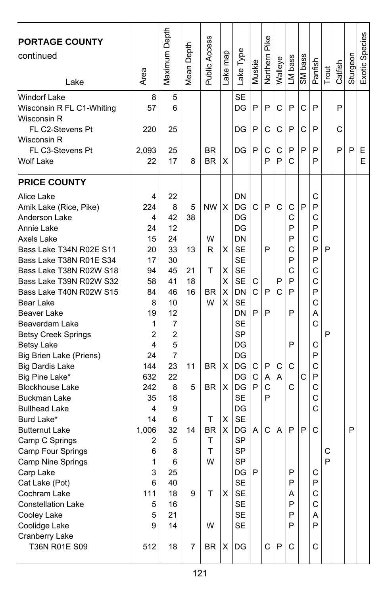| <b>PORTAGE COUNTY</b><br>continued<br>Lake       | Area        | Maximum Depth | Depth<br>Mean I | Public Access          | Lake map | Lake Type       | Muskie       | Pike<br>Northern | Walleye | LM bass | SM bass | Panfish | Trout | Catfish | Sturgeon | Exotic Species |
|--------------------------------------------------|-------------|---------------|-----------------|------------------------|----------|-----------------|--------------|------------------|---------|---------|---------|---------|-------|---------|----------|----------------|
| <b>Windorf Lake</b><br>Wisconsin R FL C1-Whiting | 8<br>57     | 5<br>6        |                 |                        |          | <b>SE</b><br>DG | P            | P                | C       | P       | C       | P       |       | P       |          |                |
| Wisconsin R<br>FL C2-Stevens Pt<br>Wisconsin R   | 220         | 25            |                 |                        |          | DG              | P            | C                | C       | P       | C       | P       |       | C       |          |                |
| FL C3-Stevens Pt<br><b>Wolf Lake</b>             | 2,093<br>22 | 25<br>17      | 8               | <b>BR</b><br><b>BR</b> | X        | DG              | P            | C<br>P           | С<br>P  | P<br>C  | P       | P<br>P  |       | P       | P        | E.<br>E.       |
| <b>PRICE COUNTY</b>                              |             |               |                 |                        |          |                 |              |                  |         |         |         |         |       |         |          |                |
| Alice Lake                                       | 4           | 22            |                 |                        |          | <b>DN</b>       |              |                  |         |         |         | С       |       |         |          |                |
| Amik Lake (Rice, Pike)                           | 224         | 8             | 5               | <b>NW</b>              | X        | lDG             | C            | P                | C       | C       | P       | P       |       |         |          |                |
| Anderson Lake                                    | 4           | 42            | 38              |                        |          | DG              |              |                  |         | C       |         | C       |       |         |          |                |
| Annie Lake                                       | 24          | 12            |                 |                        |          | DG              |              |                  |         | P       |         | P       |       |         |          |                |
| Axels Lake                                       | 15          | 24            |                 | W                      |          | DN              |              |                  |         | P       |         | C       |       |         |          |                |
| Bass Lake T34N R02E S11                          | 20          | 33            | 13              | R                      | X        | <b>SE</b>       |              | P                |         | C       |         | P       | P     |         |          |                |
| Bass Lake T38N R01E S34                          | 17          | 30            |                 |                        |          | <b>SE</b>       |              |                  |         | P       |         | P       |       |         |          |                |
| Bass Lake T38N R02W S18                          | 94          | 45            | 21              | Т                      | х        | <b>SE</b>       |              |                  |         | С       |         | С       |       |         |          |                |
| Bass Lake T39N R02W S32                          | 58          | 41            | 18              |                        | х        | <b>SE</b>       | С            |                  | P       | P       |         | C       |       |         |          |                |
| Bass Lake T40N R02W S15                          | 84          | 46            | 16              | <b>BR</b>              | Х        | DN              | C            | P                | C       | P       |         | P       |       |         |          |                |
| Bear Lake                                        | 8           | 10            |                 | W                      | X        | <b>SE</b>       |              |                  |         |         |         | С       |       |         |          |                |
| Beaver Lake                                      | 19          | 12            |                 |                        |          | DN              | P            | P                |         | P       |         | A       |       |         |          |                |
| Beaverdam Lake                                   | 1           | 7             |                 |                        |          | <b>SE</b>       |              |                  |         |         |         | С       |       |         |          |                |
| <b>Betsy Creek Springs</b>                       | 2           | 2             |                 |                        |          | <b>SP</b>       |              |                  |         |         |         |         | P     |         |          |                |
| <b>Betsy Lake</b>                                | 4           | 5             |                 |                        |          | DG              |              |                  |         | P       |         | С       |       |         |          |                |
| Big Brien Lake (Priens)                          | 24          | 7             |                 |                        |          | DG              |              |                  |         |         |         | P       |       |         |          |                |
| <b>Big Dardis Lake</b>                           | 144         | 23            | 11              | <b>BR</b>              | X        | DG              | С            | P                | С       | C       |         | С       |       |         |          |                |
| Big Pine Lake*                                   | 632         | 22            |                 |                        |          | DG              | C            | Α                | A       |         | C       | P       |       |         |          |                |
| <b>Blockhouse Lake</b>                           | 242         | 8             | 5               | BR.                    | X        | IDG             | P            | Ċ                |         | C       |         | C       |       |         |          |                |
| <b>Buckman Lake</b>                              | 35          | 18            |                 |                        |          | <b>SE</b>       |              | P                |         |         |         | C       |       |         |          |                |
| <b>Bullhead Lake</b>                             | 4           | 9             |                 |                        |          | DG              |              |                  |         |         |         | С       |       |         |          |                |
| Burd Lake*                                       | 14          | 6             |                 | Т                      | х        | <b>SE</b>       |              |                  |         |         |         |         |       |         |          |                |
| <b>Butternut Lake</b>                            | 1,006       | 32            | 14              | <b>BR</b>              | X        | DG              | A            | C                | A       | P       | P       | C       |       |         | P        |                |
| Camp C Springs                                   | 2           | 5             |                 | т                      |          | <b>SP</b>       |              |                  |         |         |         |         |       |         |          |                |
| Camp Four Springs                                | 6           | 8             |                 | Т                      |          | <b>SP</b>       |              |                  |         |         |         |         | С     |         |          |                |
| Camp Nine Springs                                | 1           | 6             |                 | W                      |          | <b>SP</b>       |              |                  |         |         |         |         | P     |         |          |                |
| Carp Lake                                        | 3           | 25            |                 |                        |          | DG              | $\mathsf{P}$ |                  |         | P       |         | С       |       |         |          |                |
| Cat Lake (Pot)                                   | 6           | 40            |                 |                        |          | <b>SE</b>       |              |                  |         | P       |         | P       |       |         |          |                |
| Cochram Lake                                     | 111         | 18            | 9               | Τ                      | X        | <b>SE</b>       |              |                  |         | A       |         | С       |       |         |          |                |
| <b>Constellation Lake</b>                        | 5           | 16            |                 |                        |          | SE              |              |                  |         | P       |         | C       |       |         |          |                |
| Cooley Lake                                      | 5           | 21            |                 |                        |          | <b>SE</b>       |              |                  |         | P       |         | A       |       |         |          |                |
| Coolidge Lake                                    | 9           | 14            |                 | W                      |          | <b>SE</b>       |              |                  |         | P       |         | P       |       |         |          |                |
| Cranberry Lake<br>T36N R01E S09                  | 512         | 18            | 7               | BR                     | Х        | DG              |              | C                | P       | C       |         | С       |       |         |          |                |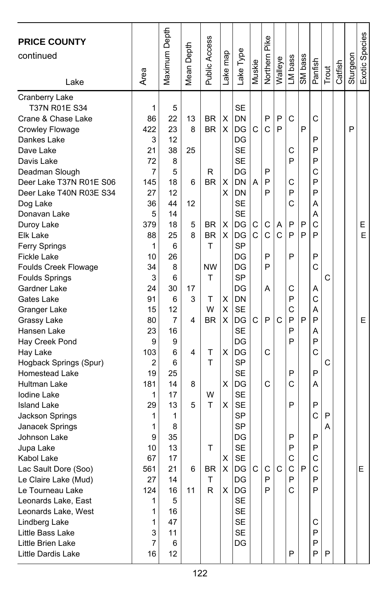| <b>PRICE COUNTY</b>     |                | Maximum Depth  | Depth  | <b>Public Access</b> |          |           |        | Northern Pike |              |              |         |         |       |         |          | Exotic Species |
|-------------------------|----------------|----------------|--------|----------------------|----------|-----------|--------|---------------|--------------|--------------|---------|---------|-------|---------|----------|----------------|
| continued               |                |                |        |                      |          |           |        |               |              |              |         |         |       |         |          |                |
|                         | Area           |                | Mean I |                      | Lake map | Lake Type | Muskie |               | Walleye      | LM bass      | SM bass | Panfish | Trout | Catfish | Sturgeon |                |
| Lake                    |                |                |        |                      |          |           |        |               |              |              |         |         |       |         |          |                |
| <b>Cranberry Lake</b>   |                |                |        |                      |          |           |        |               |              |              |         |         |       |         |          |                |
| T37N R01E S34           | 1              | 5              |        |                      |          | <b>SE</b> |        |               |              |              |         |         |       |         |          |                |
| Crane & Chase Lake      | 86             | 22             | 13     | BR                   | х        | DN        |        | P             | P            | C            |         | C       |       |         |          |                |
| Crowley Flowage         | 422            | 23             | 8      | <b>BR</b>            | X        | DG        | С      | Ć             | P            |              | P       |         |       |         | P        |                |
| Dankes Lake             | 3              | 12             |        |                      |          | DG        |        |               |              |              |         | P       |       |         |          |                |
| Dave Lake               | 21             | 38             | 25     |                      |          | SE        |        |               |              | C            |         | P       |       |         |          |                |
| Davis Lake              | 72             | 8              |        |                      |          | <b>SE</b> |        |               |              | P            |         | P       |       |         |          |                |
| Deadman Slough          | 7              | 5              |        | R                    |          | DG        |        | P             |              |              |         | C       |       |         |          |                |
| Deer Lake T37N R01E S06 | 145            | 18             | 6      | <b>BR</b>            | х        | <b>DN</b> | A      | P             |              | C            |         | P       |       |         |          |                |
| Deer Lake T40N R03E S34 | 27             | 12             |        |                      | х        | <b>DN</b> |        | P             |              | P            |         | P       |       |         |          |                |
| Dog Lake                | 36             | 44             | 12     |                      |          | <b>SE</b> |        |               |              | C            |         | Α       |       |         |          |                |
| Donavan Lake            | 5              | 14             |        |                      |          | <b>SE</b> |        |               |              |              |         | Α       |       |         |          |                |
| Duroy Lake              | 379            | 18             | 5      | <b>BR</b>            | X        | DG        | С      | С             | Α            | P            | P       | C       |       |         |          | Е              |
| Elk Lake                | 88             | 25             | 8      | <b>BR</b>            | X        | DG        | C      | Ċ             | C            | P            | P       | P       |       |         |          | E              |
| Ferry Springs           | 1              | 6              |        | T                    |          | <b>SP</b> |        |               |              |              |         |         |       |         |          |                |
| <b>Fickle Lake</b>      | 10             | 26             |        |                      |          | DG        |        | P             |              | P            |         | P       |       |         |          |                |
| Foulds Creek Flowage    | 34             | 8              |        | <b>NW</b>            |          | DG        |        | P             |              |              |         | C       |       |         |          |                |
| <b>Foulds Springs</b>   | 3              | 6              |        | т                    |          | SP        |        |               |              |              |         |         | C     |         |          |                |
| Gardner Lake            | 24             | 30             | 17     |                      |          | DG        |        | A             |              | C            |         | A       |       |         |          |                |
| Gates Lake              | 91             | 6              | 3      | т                    | х        | DN        |        |               |              | P            |         | С       |       |         |          |                |
| Granger Lake            | 15             | 12             |        | W                    | X        | <b>SE</b> |        |               |              | C            |         | Α       |       |         |          |                |
| Grassy Lake             | 80             | $\overline{7}$ | 4      | BR                   | X        | DG        | C      | P             | $\mathsf{C}$ | P            | P       | P       |       |         |          | E.             |
| Hansen Lake             | 23             | 16             |        |                      |          | <b>SE</b> |        |               |              | P            |         | A       |       |         |          |                |
| Hay Creek Pond          | 9              | 9              |        |                      |          | DG        |        |               |              | P            |         | P       |       |         |          |                |
| Hay Lake                | 103            | 6              | 4      | Т                    | X        | DG        |        | С             |              |              |         | C       |       |         |          |                |
| Hogback Springs (Spur)  | $\overline{c}$ | 6              |        | T                    |          | SP        |        |               |              |              |         |         | C     |         |          |                |
| <b>Homestead Lake</b>   | 19             | 25             |        |                      |          | <b>SE</b> |        |               |              | P            |         | P       |       |         |          |                |
| Hultman Lake            | 181            | 14             | 8      |                      | X        | DG        |        | C             |              | C            |         | A       |       |         |          |                |
| Iodine Lake             | 1              | 17             |        | W                    |          | <b>SE</b> |        |               |              |              |         |         |       |         |          |                |
| <b>Island Lake</b>      | 29             | 13             | 5      | т                    | х        | <b>SE</b> |        |               |              | P            |         | P       |       |         |          |                |
| Jackson Springs         | 1              | 1              |        |                      |          | <b>SP</b> |        |               |              |              |         | C       | P     |         |          |                |
| Janacek Springs         | 1              | 8              |        |                      |          | <b>SP</b> |        |               |              |              |         |         | Α     |         |          |                |
| Johnson Lake            | 9              | 35             |        |                      |          | DG        |        |               |              | P            |         | P       |       |         |          |                |
| Jupa Lake               | 10             | 13             |        | т                    |          | <b>SE</b> |        |               |              | P            |         | P       |       |         |          |                |
| Kabol Lake              | 67             | 17             |        |                      | х        | <b>SE</b> |        |               |              | C            |         | C       |       |         |          |                |
| Lac Sault Dore (Soo)    | 561            | 21             | 6      | <b>BR</b>            | X        | IDG I     | C I    | C I           | $\mathsf{C}$ | $\mathsf{C}$ | P       | C       |       |         |          | E              |
| Le Claire Lake (Mud)    | 27             | 14             |        | $\mathsf T$          |          | DG        |        | P             |              | P            |         | P       |       |         |          |                |
| Le Tourneau Lake        | 124            | 16             | 11     | R.                   | X        | DG        |        | P             |              | С            |         | P       |       |         |          |                |
| Leonards Lake, East     | 1              | 5              |        |                      |          | SE        |        |               |              |              |         |         |       |         |          |                |
| Leonards Lake, West     | 1              | 16             |        |                      |          | <b>SE</b> |        |               |              |              |         |         |       |         |          |                |
| Lindberg Lake           | 1              | 47             |        |                      |          | <b>SE</b> |        |               |              |              |         | С       |       |         |          |                |
| Little Bass Lake        | 3              | 11             |        |                      |          | SE        |        |               |              |              |         | P       |       |         |          |                |
| Little Brien Lake       | $\overline{7}$ | 6              |        |                      |          | DG        |        |               |              |              |         | P       |       |         |          |                |
| Little Dardis Lake      | 16             | 12             |        |                      |          |           |        |               |              | P            |         | P       | P     |         |          |                |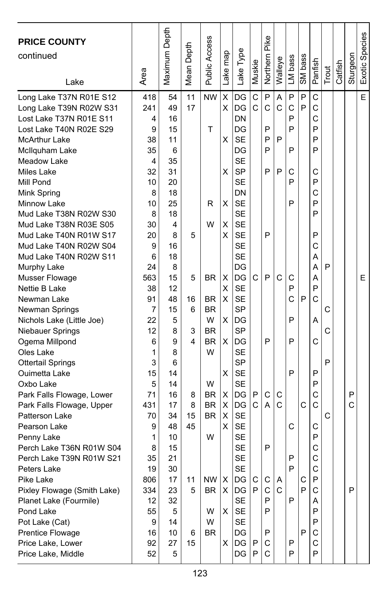| <b>PRICE COUNTY</b><br>continued<br>Lake                                                                                                                                                                                                                                                                                                                                                                                                                                                                                        | Area                                                                                                                                        | Maximum Depth                                                                                                                              | Depth<br>Mean I                          | Public Access                                                                                | Lake map                                                 | Lake Type                                                                                                                                                                                                                                                   | Muskie                     | Pike<br>Northern                                         | Walleye                               | LM bass                                                       | SM bass                     | Panfish                                                                                          | Trout       | Catfish | Sturgeon    | Exotic Species |
|---------------------------------------------------------------------------------------------------------------------------------------------------------------------------------------------------------------------------------------------------------------------------------------------------------------------------------------------------------------------------------------------------------------------------------------------------------------------------------------------------------------------------------|---------------------------------------------------------------------------------------------------------------------------------------------|--------------------------------------------------------------------------------------------------------------------------------------------|------------------------------------------|----------------------------------------------------------------------------------------------|----------------------------------------------------------|-------------------------------------------------------------------------------------------------------------------------------------------------------------------------------------------------------------------------------------------------------------|----------------------------|----------------------------------------------------------|---------------------------------------|---------------------------------------------------------------|-----------------------------|--------------------------------------------------------------------------------------------------|-------------|---------|-------------|----------------|
| Long Lake T37N R01E S12<br>Long Lake T39N R02W S31<br>Lost Lake T37N R01E S11<br>Lost Lake T40N R02E S29<br><b>McArthur Lake</b><br>McIlquham Lake<br>Meadow Lake<br>Miles Lake<br>Mill Pond<br>Mink Spring<br>Minnow Lake<br>Mud Lake T38N R02W S30<br>Mud Lake T38N R03E S05<br>Mud Lake T40N R01W S17<br>Mud Lake T40N R02W S04<br>Mud Lake T40N R02W S11<br>Murphy Lake<br>Musser Flowage<br>Nettie B Lake<br>Newman Lake<br>Newman Springs<br>Nichols Lake (Little Joe)<br>Niebauer Springs<br>Ogema Millpond<br>Oles Lake | 418<br>241<br>4<br>9<br>38<br>35<br>4<br>32<br>10<br>8<br>10<br>8<br>30<br>20<br>9<br>6<br>24<br>563<br>38<br>91<br>7<br>22<br>12<br>6<br>1 | 54<br>49<br>16<br>15<br>11<br>6<br>35<br>31<br>20<br>18<br>25<br>18<br>4<br>8<br>16<br>18<br>8<br>15<br>12<br>48<br>15<br>5<br>8<br>9<br>8 | 11<br>17<br>5<br>5<br>16<br>6<br>3<br>4  | <b>NW</b><br>T<br>R<br>W<br><b>BR</b><br>BR<br><b>BR</b><br>W<br><b>BR</b><br><b>BR</b><br>W | X<br>X<br>X<br>х<br>х<br>X<br>X<br>X<br>X<br>X<br>х<br>X | DG<br>DG<br>DN<br>DG<br><b>SE</b><br>DG<br><b>SE</b><br><b>SP</b><br><b>SE</b><br>DN<br><b>SE</b><br><b>SE</b><br><b>SE</b><br><b>SE</b><br><b>SE</b><br><b>SE</b><br>DG<br>DG<br><b>SE</b><br><b>SE</b><br><b>SP</b><br>DG<br><b>SP</b><br>DG<br><b>SE</b> | C<br>C<br>C                | P<br>C<br>P<br>P<br>P<br>P<br>P<br>P<br>P                | A<br>C<br>P<br>P<br>C                 | P<br>C<br>P<br>P<br>P<br>С<br>P<br>P<br>C<br>P<br>Ć<br>P<br>P | P<br>P<br>P                 | C<br>С<br>Ċ<br>P<br>P<br>P<br>С<br>P<br>С<br>P<br>P<br>P<br>С<br>А<br>А<br>Α<br>P<br>С<br>Α<br>C | P<br>C<br>Ċ |         |             | E<br>E         |
| <b>Ottertail Springs</b><br>Ouimetta Lake<br>Oxbo Lake<br>Park Falls Flowage, Lower<br>Park Falls Flowage, Upper<br>Patterson Lake<br>Pearson Lake<br>Penny Lake<br>Perch Lake T36N R01W S04<br>Perch Lake T39N R01W S21<br>Peters Lake<br>Pike Lake<br>Pixley Flowage (Smith Lake)<br>Planet Lake (Fourmile)<br>Pond Lake<br>Pot Lake (Cat)<br>Prentice Flowage<br>Price Lake, Lower<br>Price Lake, Middle                                                                                                                     | 3<br>15<br>5<br>71<br>431<br>70<br>9<br>1<br>8<br>35<br>19<br>806<br>334<br>12<br>55<br>9<br>16<br>92<br>52                                 | 6<br>14<br>14<br>16<br>17<br>34<br>48<br>10<br>15<br>21<br>30<br>17<br>23<br>32<br>5<br>14<br>10<br>27<br>5                                | 8<br>8<br>15<br>45<br>11<br>5<br>6<br>15 | W<br><b>BR</b><br><b>BR</b><br><b>BR</b><br>W<br>NW<br><b>BR</b><br>W<br>W<br><b>BR</b>      | X<br>х<br>X<br>X<br>X<br>X<br>X.                         | <b>SP</b><br><b>SE</b><br><b>SE</b><br>DG<br>DG<br><b>SE</b><br><b>SE</b><br><b>SE</b><br><b>SE</b><br><b>SE</b><br><b>SE</b><br>DG<br>$X$ DG<br><b>SE</b><br><b>SE</b><br>SE<br>DG<br>$X$ DG<br>DG                                                         | P<br>C<br>C<br>P<br>P<br>P | C<br>A<br>P<br>С<br>$\mathbf C$<br>P<br>P<br>P<br>С<br>C | C<br>$\mathsf{C}$<br>Α<br>$\mathbf C$ | P<br>C<br>P<br>P<br>P<br>P<br>P                               | $\mathsf{C}$<br>С<br>P<br>P | P<br>P<br>C<br>C<br>С<br>P<br>C<br>C<br>C<br>Ρ<br>С<br>Α<br>P<br>P<br>С<br>C<br>P                | P<br>C      |         | P<br>Ć<br>P |                |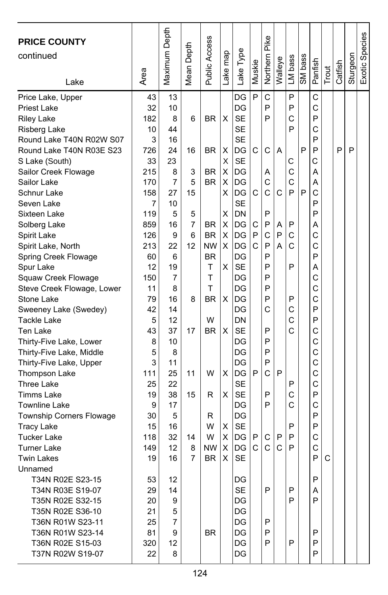| <b>PRICE COUNTY</b><br>continued                |          | Maximum Depth | Mean Depth | <b>Public Access</b>   |         |                 |        | Northern Pike |         |         |         |         |       |         |          | Exotic Species |
|-------------------------------------------------|----------|---------------|------------|------------------------|---------|-----------------|--------|---------------|---------|---------|---------|---------|-------|---------|----------|----------------|
|                                                 |          |               |            |                        |         |                 |        |               |         |         |         |         |       |         |          |                |
| Lake                                            | Area     |               |            |                        | ake map | Lake Type       | Muskie |               | Walleye | LM bass | SM bass | Panfish | Trout | Catfish | Sturgeon |                |
|                                                 |          |               |            |                        |         |                 |        |               |         |         |         |         |       |         |          |                |
| Price Lake, Upper                               | 43       | 13            |            |                        |         | DG              | P      | C             |         | P       |         | C       |       |         |          |                |
| <b>Priest Lake</b>                              | 32       | 10            |            |                        |         | DG              |        | P<br>P        |         | P       |         | C       |       |         |          |                |
| <b>Riley Lake</b>                               | 182      | 8             | 6          | <b>BR</b>              | X       | <b>SE</b>       |        |               |         | C       |         | P       |       |         |          |                |
| Risberg Lake                                    | 10       | 44            |            |                        |         | <b>SE</b>       |        |               |         | P       |         | C       |       |         |          |                |
| Round Lake T40N R02W S07                        | 3        | 16            |            |                        |         | <b>SE</b>       | C      |               |         |         | P       | P       |       |         |          |                |
| Round Lake T40N R03E S23                        | 726      | 24            | 16         | <b>BR</b>              | х       | DG              |        | C             | A       |         |         | P<br>Ć  |       | P       | P        |                |
| S Lake (South)                                  | 33       | 23            |            |                        | х       | <b>SE</b>       |        |               |         | С       |         |         |       |         |          |                |
| Sailor Creek Flowage                            | 215      | 8             | 3          | <b>BR</b>              | X       | DG              |        | Α             |         | C       |         | А       |       |         |          |                |
| Sailor Lake                                     | 170      | 7             | 5          | <b>BR</b>              | X       | DG              | C      | C<br>C        |         | C<br>P  | P       | Α       |       |         |          |                |
| Schnur Lake                                     | 158      | 27            | 15         |                        | X       | DG              |        |               | C       |         |         | C<br>P  |       |         |          |                |
| Seven Lake                                      | 7        | 10            |            |                        |         | <b>SE</b>       |        |               |         |         |         |         |       |         |          |                |
| Sixteen Lake                                    | 119      | 5             | 5          |                        | Χ       | DN              |        | P             |         |         |         | P       |       |         |          |                |
| Solberg Lake                                    | 859      | 16            | 7          | BR.                    | X       | DG              | С<br>P | P<br>C        | A       | P       |         | Α       |       |         |          |                |
| Spirit Lake                                     | 126      | 9<br>22       | 6<br>12    | <b>BR</b><br><b>NW</b> | Χ       | DG              | C      | P             | P<br>А  | C<br>C  |         | C<br>C  |       |         |          |                |
| Spirit Lake, North                              | 213      |               |            |                        | X       | DG              |        | P             |         |         |         | P       |       |         |          |                |
| Spring Creek Flowage                            | 60<br>12 | 6<br>19       |            | ΒR<br>т                | X       | DG<br><b>SE</b> |        | P             |         | P       |         | Α       |       |         |          |                |
| Spur Lake                                       | 150      | 7             |            | T                      |         | DG              |        | P             |         |         |         | C       |       |         |          |                |
| Squaw Creek Flowage                             | 11       | 8             |            | T                      |         | DG              |        | P             |         |         |         | C       |       |         |          |                |
| Steve Creek Flowage, Lower<br><b>Stone Lake</b> | 79       | 16            | 8          | BR                     | х       | DG              |        | P             |         | P       |         | C       |       |         |          |                |
| Sweeney Lake (Swedey)                           | 42       | 14            |            |                        |         | DG              |        | C             |         | C       |         | P       |       |         |          |                |
| <b>Tackle Lake</b>                              | 5        | 12            |            | W                      |         | DN              |        |               |         | C       |         | P       |       |         |          |                |
| <b>Ten Lake</b>                                 | 43       | 37            | 17         | <b>BR</b>              | X       | <b>SE</b>       |        | P             |         | Ċ       |         | С       |       |         |          |                |
| Thirty-Five Lake, Lower                         | 8        | 10            |            |                        |         | DG              |        | P             |         |         |         | C       |       |         |          |                |
| Thirty-Five Lake, Middle                        | 5        | 8             |            |                        |         | DG              |        | P             |         |         |         | C       |       |         |          |                |
| Thirty-Five Lake, Upper                         | 3        | 11            |            |                        |         | DG              |        | P             |         |         |         | C       |       |         |          |                |
| Thompson Lake                                   | 111      | 25            | 11         | W                      | X       | DG              | P      | C             | P       |         |         | C       |       |         |          |                |
| <b>Three Lake</b>                               | 25       | 22            |            |                        |         | <b>SE</b>       |        |               |         | P       |         | C       |       |         |          |                |
| <b>Timms Lake</b>                               | 19       | 38            | 15         | R                      | х       | <b>SE</b>       |        | P             |         | С       |         | P       |       |         |          |                |
| <b>Townline Lake</b>                            | 9        | 17            |            |                        |         | DG              |        | P             |         | C       |         | C       |       |         |          |                |
| <b>Township Corners Flowage</b>                 | 30       | 5             |            | R                      |         | DG              |        |               |         |         |         | P       |       |         |          |                |
| <b>Tracy Lake</b>                               | 15       | 16            |            | W                      | X       | <b>SE</b>       |        |               |         | P       |         | P       |       |         |          |                |
| <b>Tucker Lake</b>                              | 118      | 32            | 14         | W                      | X       | DG              | P      | C             | P       | P       |         | C       |       |         |          |                |
| <b>Turner Lake</b>                              | 149      | 12            | 8          | NW                     | Χ       | DG              | C      | C             | C       | P       |         | C       |       |         |          |                |
| <b>Twin Lakes</b>                               | 19       | 16            | 7          | <b>BR</b>              | X       | <b>SE</b>       |        |               |         |         |         | P       | C     |         |          |                |
| Unnamed                                         |          |               |            |                        |         |                 |        |               |         |         |         |         |       |         |          |                |
| T34N R02E S23-15                                | 53       | 12            |            |                        |         | DG              |        |               |         |         |         | P       |       |         |          |                |
| T34N R03E S19-07                                | 29       | 14            |            |                        |         | <b>SE</b>       |        | P             |         | P       |         | Α       |       |         |          |                |
| T35N R02E S32-15                                | 20       | 9             |            |                        |         | DG              |        |               |         | P       |         | P       |       |         |          |                |
| T35N R02E S36-10                                | 21       | 5             |            |                        |         | DG              |        |               |         |         |         |         |       |         |          |                |
| T36N R01W S23-11                                | 25       | 7             |            |                        |         | DG              |        | P             |         |         |         |         |       |         |          |                |
| T36N R01W S23-14                                | 81       | 9             |            | <b>BR</b>              |         | DG              |        | P             |         |         |         | P       |       |         |          |                |
| T36N R02E S15-03                                | 320      | 12            |            |                        |         | DG              |        | P             |         | P       |         | P       |       |         |          |                |
| T37N R02W S19-07                                | 22       | 8             |            |                        |         | DG              |        |               |         |         |         | P       |       |         |          |                |
|                                                 |          |               |            |                        |         |                 |        |               |         |         |         |         |       |         |          |                |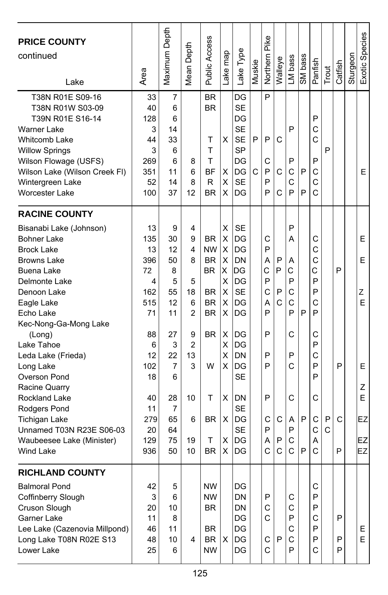| <b>PRICE COUNTY</b><br>continued<br>Lake | Area | Maximum Depth  | Mean Depth     | Public Access | Lake map | Lake Type | Muskie | Northern Pike | Walleye | LM bass | SM bass | Panfish | Trout         | Catfish | Sturgeon | Exotic Species |
|------------------------------------------|------|----------------|----------------|---------------|----------|-----------|--------|---------------|---------|---------|---------|---------|---------------|---------|----------|----------------|
| T38N R01E S09-16                         | 33   | 7              |                | <b>BR</b>     |          | DG        |        | P             |         |         |         |         |               |         |          |                |
| T38N R01W S03-09                         | 40   | 6              |                | <b>BR</b>     |          | <b>SE</b> |        |               |         |         |         |         |               |         |          |                |
| T39N R01E S16-14                         | 128  | 6              |                |               |          | DG        |        |               |         |         |         | P       |               |         |          |                |
| <b>Warner Lake</b>                       | 3    | 14             |                |               |          | <b>SE</b> |        |               |         | P       |         | C       |               |         |          |                |
| <b>Whitcomb Lake</b>                     | 44   | 33             |                | Т             | X        | <b>SE</b> | P      | P             | C       |         |         | C       |               |         |          |                |
| <b>Willow Springs</b>                    | 3    | 6              |                | Т             |          | <b>SP</b> |        |               |         |         |         |         | P             |         |          |                |
| Wilson Flowage (USFS)                    | 269  | 6              | 8              | Т             |          | DG        |        | C             |         | P       |         | P       |               |         |          |                |
| Wilson Lake (Wilson Creek FI)            | 351  | 11             | 6              | <b>BF</b>     | х        | DG        | C      | P             | C       | C       | P       | C       |               |         |          | E              |
| Wintergreen Lake                         | 52   | 14             | 8              | R             | X        | <b>SE</b> |        | P             |         | C       |         | C       |               |         |          |                |
| <b>Worcester Lake</b>                    | 100  | 37             | 12             | <b>BR</b>     | x        | DG        |        | P             | C       | P       | P       | Ć       |               |         |          |                |
| <b>RACINE COUNTY</b>                     |      |                |                |               |          |           |        |               |         |         |         |         |               |         |          |                |
| Bisanabi Lake (Johnson)                  | 13   | 9              | 4              |               | X        | <b>SE</b> |        |               |         | P       |         |         |               |         |          |                |
| <b>Bohner Lake</b>                       | 135  | 30             | 9              | <b>BR</b>     | X        | DG        |        | С             |         | A       |         | С       |               |         |          | E              |
| <b>Brock Lake</b>                        | 13   | 12             | 4              | <b>NW</b>     | X        | l DG      |        | P             |         |         |         | C       |               |         |          |                |
| Browns Lake                              | 396  | 50             | 8              | <b>BR</b>     | X        | DN        |        | A             | P       | Α       |         | C       |               |         |          | E.             |
| Buena Lake                               | 72   | 8              |                | BR.           | x        | ΙDG       |        | С             | P       | С       |         | Ć       |               | P       |          |                |
| Delmonte Lake                            | 4    | 5              | 5              |               | X        | DG        |        | P             |         | P       |         | P       |               |         |          |                |
| Denoon Lake                              | 162  | 55             | 18             | BR            | X        | <b>SE</b> |        | C             | P       | C       |         | P       |               |         |          | Ζ              |
| Eagle Lake                               | 515  | 12             | 6              | <b>BR</b>     | X        | DG        |        | А             | C       | C       |         | C       |               |         |          | E              |
| Echo Lake                                | 71   | 11             | 2              | <b>BR</b>     | X        | DG        |        | P             |         | P       | P       | P       |               |         |          |                |
| Kec-Nong-Ga-Mong Lake                    |      |                |                |               |          |           |        |               |         |         |         |         |               |         |          |                |
| (Long)                                   | 88   | 27             | 9              | <b>BR</b>     | X        | DG        |        | P             |         | С       |         | С       |               |         |          |                |
| Lake Tahoe                               | 6    | 3              | $\overline{2}$ |               | X        | DG        |        |               |         |         |         | P       |               |         |          |                |
| Leda Lake (Frieda)                       | 12   | 22             | 13             |               | X        | DN        |        | P             |         | P       |         | Ċ       |               |         |          |                |
| Long Lake                                | 102  | $\overline{7}$ | 3              | W             | X        | DG        |        | P             |         | Ć       |         | P       |               | P       |          | E.             |
| Overson Pond                             | 18   | 6              |                |               |          | <b>SE</b> |        |               |         |         |         | P       |               |         |          |                |
| Racine Quarry                            |      |                |                |               |          |           |        |               |         |         |         |         |               |         |          | Ζ              |
| <b>Rockland Lake</b>                     | 40   | 28             | 10             | Т             | X        | DN        |        | P             |         | C       |         | C       |               |         |          | E              |
| Rodgers Pond                             | 11   | 7              |                |               |          | <b>SE</b> |        |               |         |         |         |         |               |         |          |                |
| <b>Tichigan Lake</b>                     | 279  | 65             | 6              | <b>BR</b>     | X        | DG        |        | С             | C       | A       | P       | C       | P             | C       |          | EZ             |
| Unnamed T03N R23E S06-03                 | 20   | 64             |                |               |          | <b>SE</b> |        | P             |         | P       |         | C       | $\mathcal{C}$ |         |          |                |
| Waubeesee Lake (Minister)                | 129  | 75             | 19             | Т             | х        | DG        |        | А             | P       | C       |         | A       |               |         |          | EZ             |
| <b>Wind Lake</b>                         | 936  | 50             | 10             | <b>BR</b>     | X        | DG        |        | C             | C       | Ć       | P       | C       |               | P       |          | EZ             |
| <b>RICHLAND COUNTY</b>                   |      |                |                |               |          |           |        |               |         |         |         |         |               |         |          |                |
| <b>Balmoral Pond</b>                     | 42   | 5              |                | <b>NW</b>     |          | DG        |        |               |         |         |         | C       |               |         |          |                |
| Coffinberry Slough                       | 3    | 6              |                | <b>NW</b>     |          | DN        |        | P             |         | С       |         | P       |               |         |          |                |
| Cruson Slough                            | 20   | 10             |                | <b>BR</b>     |          | <b>DN</b> |        | C             |         | C       |         | P       |               |         |          |                |
| Garner Lake                              | 11   | 8              |                |               |          | DG        |        | $\mathsf{C}$  |         | P       |         | C       |               | P       |          |                |
| Lee Lake (Cazenovia Millpond)            | 46   | 11             |                | BR            |          | DG        |        |               |         | С       |         | P       |               |         |          | E.             |
| Long Lake T08N R02E S13                  | 48   | 10             | 4              | <b>BR</b>     | X        | DG        |        | C             | P       | С       |         | P       |               | P       |          | E              |
| Lower Lake                               | 25   | 6              |                | <b>NW</b>     |          | DG        |        | $\mathsf{C}$  |         | P       |         | С       |               | P       |          |                |
|                                          |      |                |                |               |          |           |        |               |         |         |         |         |               |         |          |                |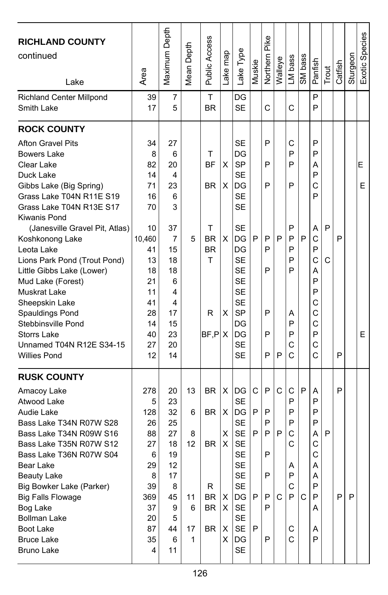| <b>RICHLAND COUNTY</b><br>continued<br>Lake                                                                                                                                                                                                                                                                                                                                                                                                                                                  | Area                                                                                                                    | Maximum Depth                                                                                                | Mean Depth                               | Public Access                                                                   | Lake map                              | Lake Type                                                                                                                                                                                  | Muskie                | Pike<br>Northern                          | Walleye     | LM bass                                                            | SM bass | Panfish                                                                                     | Trout  | Catfish | Sturgeon | Exotic Species |
|----------------------------------------------------------------------------------------------------------------------------------------------------------------------------------------------------------------------------------------------------------------------------------------------------------------------------------------------------------------------------------------------------------------------------------------------------------------------------------------------|-------------------------------------------------------------------------------------------------------------------------|--------------------------------------------------------------------------------------------------------------|------------------------------------------|---------------------------------------------------------------------------------|---------------------------------------|--------------------------------------------------------------------------------------------------------------------------------------------------------------------------------------------|-----------------------|-------------------------------------------|-------------|--------------------------------------------------------------------|---------|---------------------------------------------------------------------------------------------|--------|---------|----------|----------------|
| <b>Richland Center Millpond</b><br>Smith Lake                                                                                                                                                                                                                                                                                                                                                                                                                                                | 39<br>17                                                                                                                | 7<br>5                                                                                                       |                                          | т<br><b>BR</b>                                                                  |                                       | DG<br><b>SE</b>                                                                                                                                                                            |                       | C                                         |             | C                                                                  |         | P<br>P                                                                                      |        |         |          |                |
| <b>ROCK COUNTY</b>                                                                                                                                                                                                                                                                                                                                                                                                                                                                           |                                                                                                                         |                                                                                                              |                                          |                                                                                 |                                       |                                                                                                                                                                                            |                       |                                           |             |                                                                    |         |                                                                                             |        |         |          |                |
| <b>Afton Gravel Pits</b><br><b>Bowers Lake</b><br>Clear Lake<br>Duck Lake<br>Gibbs Lake (Big Spring)<br>Grass Lake T04N R11E S19<br>Grass Lake T04N R13E S17<br>Kiwanis Pond<br>(Janesville Gravel Pit, Atlas)<br>Koshkonong Lake<br>Leota Lake<br>Lions Park Pond (Trout Pond)<br>Little Gibbs Lake (Lower)<br>Mud Lake (Forest)<br><b>Muskrat Lake</b><br>Sheepskin Lake<br>Spauldings Pond<br>Stebbinsville Pond<br><b>Storrs Lake</b><br>Unnamed T04N R12E S34-15<br><b>Willies Pond</b> | 34<br>8<br>82<br>14<br>71<br>16<br>70<br>10<br>10,460<br>41<br>13<br>18<br>21<br>11<br>41<br>28<br>14<br>40<br>27<br>12 | 27<br>6<br>20<br>4<br>23<br>6<br>3<br>37<br>7<br>15<br>18<br>18<br>6<br>4<br>4<br>17<br>15<br>23<br>20<br>14 | 5                                        | т<br><b>BF</b><br><b>BR</b><br>т<br><b>BR</b><br><b>BR</b><br>т<br>R<br>BF, P X | X<br>X<br>X<br>х                      | SE<br>DG<br><b>SP</b><br><b>SE</b><br>DG<br><b>SE</b><br><b>SE</b><br><b>SE</b><br>DG<br>DG<br><b>SE</b><br>SE<br><b>SE</b><br><b>SE</b><br><b>SE</b><br><b>SP</b><br>DG<br>DG<br>SE<br>SE | P                     | P<br>P<br>P<br>P<br>P<br>P<br>P<br>P<br>P | P<br>P      | С<br>P<br>P<br>P<br>P<br>P<br>P<br>P<br>P<br>Α<br>P<br>P<br>C<br>C | P       | P<br>P<br>А<br>P<br>С<br>P<br>Α<br>С<br>P<br>Ċ<br>Α<br>P<br>P<br>С<br>C<br>С<br>P<br>C<br>Ć | P<br>C | P<br>P  |          | Е<br>Е<br>Е    |
| <b>RUSK COUNTY</b><br>Amacoy Lake<br>Atwood Lake<br>Audie Lake<br>Bass Lake T34N R07W S28<br>Bass Lake T34N R09W S16<br>Bass Lake T35N R07W S12<br>Bass Lake T36N R07W S04<br>Bear Lake<br><b>Beauty Lake</b><br>Big Bowker Lake (Parker)<br><b>Big Falls Flowage</b><br>Bog Lake<br><b>Bollman Lake</b><br>Boot Lake<br><b>Bruce Lake</b><br><b>Bruno Lake</b>                                                                                                                              | 278<br>5<br>128<br>26<br>88<br>27<br>6<br>29<br>8<br>39<br>369<br>37<br>20<br>87<br>35<br>4                             | 20<br>23<br>32<br>25<br>27<br>18<br>19<br>12<br>17<br>8<br>45<br>9<br>5<br>44<br>6<br>11                     | 13<br>6<br>8<br>12<br>11<br>6<br>17<br>1 | <b>BR</b><br>BR.<br><b>BR</b><br>R<br>BR<br><b>BR</b><br>BR                     | X<br>X<br>X<br>X<br>х<br>X<br>х<br>X. | DG<br><b>SE</b><br>DG<br><b>SE</b><br><b>SE</b><br><b>SE</b><br><b>SE</b><br><b>SE</b><br>SE<br><b>SE</b><br>DG<br><b>SE</b><br><b>SE</b><br><b>SE</b><br>DG<br><b>SE</b>                  | С<br>P<br>P<br>P<br>P | P<br>P<br>P<br>P<br>P<br>P<br>P<br>P<br>P | С<br>P<br>C | C<br>P<br>P<br>P<br>C<br>С<br>A<br>Ρ<br>C<br>P<br>С<br>C           | P<br>C  | A<br>P<br>P<br>P<br>А<br>С<br>C<br>Α<br>A<br>P<br>P<br>A<br>A<br>P                          | P      | P<br>P  | P        |                |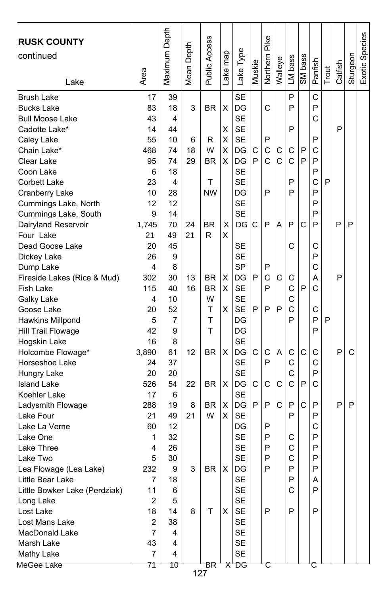| <b>RUSK COUNTY</b><br>continued<br>Lake | Area    | Maximum Depth  | Depth<br>Mean I | <b>Public Access</b> | Lake map | Lake Type              | Muskie | Northern Pike | Walleye | LM bass | SM bass | Panfish | Trout | Catfish | Sturgeon | Exotic Species |
|-----------------------------------------|---------|----------------|-----------------|----------------------|----------|------------------------|--------|---------------|---------|---------|---------|---------|-------|---------|----------|----------------|
| <b>Brush Lake</b>                       | 17      | 39             |                 |                      |          | SE                     |        |               |         | P       |         | C       |       |         |          |                |
| <b>Bucks Lake</b>                       | 83      | 18             | 3               | <b>BR</b>            | X        | DG                     |        | C             |         | P       |         | P       |       |         |          |                |
| <b>Bull Moose Lake</b>                  | 43      | 4              |                 |                      |          | <b>SE</b>              |        |               |         |         |         | C       |       |         |          |                |
| Cadotte Lake*                           | 14      | 44             |                 |                      | X        | <b>SE</b>              |        |               |         | P       |         |         |       | P       |          |                |
| Caley Lake                              | 55      | 10             | 6               | R                    | X        | <b>SE</b>              |        | P             |         |         |         | P       |       |         |          |                |
| Chain Lake*                             | 468     | 74             | 18              | W                    | X        | DG                     | С      | C             | С       | С       | P       | C       |       |         |          |                |
| Clear Lake                              | 95      | 74             | 29              | <b>BR</b>            | X        | DG                     | P      | C             | C       | C       | P       | P       |       |         |          |                |
| Coon Lake                               | 6       | 18             |                 |                      |          | <b>SE</b>              |        |               |         |         |         | P       |       |         |          |                |
| <b>Corbett Lake</b>                     | 23      | 4              |                 | т                    |          | <b>SE</b>              |        |               |         | P       |         | C       | P     |         |          |                |
| Cranberry Lake                          | 10      | 28             |                 | <b>NW</b>            |          | DG                     |        | P             |         | P       |         | P       |       |         |          |                |
| Cummings Lake, North                    | 12      | 12             |                 |                      |          | <b>SE</b>              |        |               |         |         |         | P       |       |         |          |                |
| Cummings Lake, South                    | 9       | 14             |                 |                      |          | <b>SE</b>              |        |               |         |         |         | P       |       |         |          |                |
| Dairyland Reservoir                     | 1,745   | 70             | 24              | <b>BR</b>            | X        | DG                     | C      | P             | A       | P       | C       | P       |       | P       | P        |                |
| Four Lake                               | 21      | 49             | 21              | R                    | X        |                        |        |               |         |         |         |         |       |         |          |                |
| Dead Goose Lake                         | 20      | 45             |                 |                      |          | <b>SE</b>              |        |               |         | C       |         | C       |       |         |          |                |
| Dickey Lake                             | 26      | 9              |                 |                      |          | <b>SE</b>              |        |               |         |         |         | P       |       |         |          |                |
| Dump Lake                               | 4       | 8              |                 |                      |          | <b>SP</b>              |        | P             |         |         |         | C       |       |         |          |                |
| Fireside Lakes (Rice & Mud)             | 302     | 30             | 13              | BR                   | X        | DG                     | P      | C             | C       | C       |         | A       |       | P       |          |                |
| <b>Fish Lake</b>                        | 115     | 40             | 16              | <b>BR</b>            | X        | <b>SE</b>              |        | P             |         | Ċ       | P       | Ć       |       |         |          |                |
| Galky Lake                              | 4<br>20 | 10<br>52       |                 | W<br>Т               | X        | <b>SE</b><br><b>SE</b> | P      | P             | P       | C<br>C  |         | C       |       |         |          |                |
| Goose Lake<br>Hawkins Millpond          | 5       | $\overline{7}$ |                 | T                    |          | DG                     |        |               |         | P       |         | P       | P     |         |          |                |
| Hill Trail Flowage                      | 42      | 9              |                 | T                    |          | DG                     |        |               |         |         |         | P       |       |         |          |                |
| Hogskin Lake                            | 16      | 8              |                 |                      |          | <b>SE</b>              |        |               |         |         |         |         |       |         |          |                |
| Holcombe Flowage*                       | 3,890   | 61             | 12              | <b>BR</b>            | X        | DG                     | C      | C             | A       | С       | C       | C       |       | P       | C        |                |
| Horseshoe Lake                          | 24      | 37             |                 |                      |          | <b>SE</b>              |        | P             |         | C       |         | C       |       |         |          |                |
| Hungry Lake                             | 20      | 20             |                 |                      |          | <b>SE</b>              |        |               |         | C       |         | P       |       |         |          |                |
| <b>Island Lake</b>                      | 526     | 54             | 22              | <b>BR</b>            | X        | DG                     | С      | C             | C       | C       | P       | C       |       |         |          |                |
| Koehler Lake                            | 17      | 6              |                 |                      |          | <b>SE</b>              |        |               |         |         |         |         |       |         |          |                |
| Ladysmith Flowage                       | 288     | 19             | 8               | <b>BR</b>            | X        | DG                     | P      | P             | C       | P       | C       | P       |       | P       | P        |                |
| Lake Four                               | 21      | 49             | 21              | W                    | Х        | <b>SE</b>              |        |               |         | P       |         | P       |       |         |          |                |
| Lake La Verne                           | 60      | 12             |                 |                      |          | DG                     |        | P             |         |         |         | C       |       |         |          |                |
| Lake One                                | 1       | 32             |                 |                      |          | <b>SE</b>              |        | P             |         | С       |         | P       |       |         |          |                |
| Lake Three                              | 4       | 26             |                 |                      |          | <b>SE</b>              |        | P             |         | C       |         | P       |       |         |          |                |
| Lake Two                                | 5       | 30             |                 |                      |          | <b>SE</b>              |        | P             |         | C       |         | P       |       |         |          |                |
| Lea Flowage (Lea Lake)                  | 232     | 9              | 3               | <b>BR</b>            | X        | <b>IDG</b>             |        | P             |         | P       |         | P       |       |         |          |                |
| Little Bear Lake                        | 7       | 18             |                 |                      |          | <b>SE</b>              |        |               |         | P       |         | Α       |       |         |          |                |
| Little Bowker Lake (Perdziak)           | 11      | 6              |                 |                      |          | SE                     |        |               |         | С       |         | P       |       |         |          |                |
| Long Lake                               | 2       | 5              |                 |                      |          | SE                     |        |               |         |         |         |         |       |         |          |                |
| Lost Lake                               | 18      | 14             | 8               | T                    | X        | SE                     |        | P             |         | P       |         | P       |       |         |          |                |
| Lost Mans Lake                          | 2       | 38             |                 |                      |          | SE                     |        |               |         |         |         |         |       |         |          |                |
| MacDonald Lake                          | 7       | 4              |                 |                      |          | <b>SE</b>              |        |               |         |         |         |         |       |         |          |                |
| Marsh Lake                              | 43      | 4              |                 |                      |          | SE                     |        |               |         |         |         |         |       |         |          |                |
| Mathy Lake                              | 7       | 4              |                 |                      |          | SE                     |        |               |         |         |         |         |       |         |          |                |
| MeGee Lake                              | 71      | 10             |                 | ΒR<br>127            |          | <del>X'DG</del>        |        |               |         |         |         |         |       |         |          |                |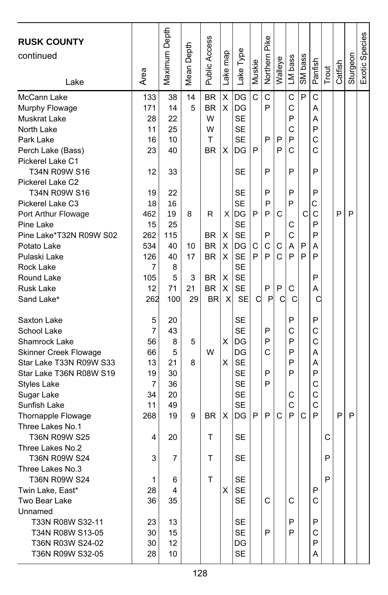| <b>RUSK COUNTY</b><br>continued<br>Lake                 | Area           | Maximum Depth | Depth<br>Mean I | Public Access          | map<br>ake <sub>l</sub> | Lake Type              | Muskie | Pike<br>Northern | Walleye | LM bass | SM bass | Panfish | Trout | Catfish | Sturgeon | Exotic Species |
|---------------------------------------------------------|----------------|---------------|-----------------|------------------------|-------------------------|------------------------|--------|------------------|---------|---------|---------|---------|-------|---------|----------|----------------|
| McCann Lake<br>Murphy Flowage                           | 133<br>171     | 38<br>14      | 14<br>5         | <b>BR</b><br><b>BR</b> | Χ<br>X                  | DG<br>DG               | C      | C<br>P           |         | C<br>C  | P       | C<br>A  |       |         |          |                |
| Muskrat Lake                                            | 28             | 22            |                 | W                      |                         | <b>SE</b>              |        |                  |         | P       |         | А       |       |         |          |                |
| North Lake                                              | 11             | 25            |                 | W                      |                         | <b>SE</b>              |        |                  |         | C       |         | P       |       |         |          |                |
| Park Lake                                               | 16             | 10            |                 | T                      |                         | <b>SE</b>              |        | P                | P       | P       |         | C       |       |         |          |                |
| Perch Lake (Bass)                                       | 23             | 40            |                 | <b>BR</b>              | х                       | DG                     | P      |                  | P       | C       |         | C       |       |         |          |                |
| Pickerel Lake C1                                        |                |               |                 |                        |                         |                        |        |                  |         |         |         |         |       |         |          |                |
| T34N R09W S16                                           | 12             | 33            |                 |                        |                         | SE                     |        | P                |         | P       |         | P       |       |         |          |                |
| Pickerel Lake C2                                        |                |               |                 |                        |                         |                        |        |                  |         |         |         |         |       |         |          |                |
| T34N R09W S16                                           | 19             | 22            |                 |                        |                         | SE                     |        | P                |         | P       |         | P       |       |         |          |                |
| Pickerel Lake C3                                        | 18             | 16            |                 |                        |                         | SE                     |        | P                |         | P       |         | C       |       |         |          |                |
| Port Arthur Flowage                                     | 462            | 19            | 8               | R                      | X                       | lDG                    | P      | P                | C       |         | C       | C       |       | P       | P        |                |
| Pine Lake                                               | 15             | 25            |                 |                        |                         | <b>SE</b>              |        |                  |         | C       |         | P       |       |         |          |                |
| Pine Lake*T32N R09W S02                                 | 262            | 115           |                 | <b>BR</b>              | X                       | <b>SE</b>              |        | P                |         | C       |         | P       |       |         |          |                |
| Potato Lake                                             | 534            | 40            | 10              | <b>BR</b>              | х                       | DG                     | С<br>P | С<br>P           | C<br>C  | A<br>P  | P<br>P  | Α<br>P  |       |         |          |                |
| Pulaski Lake<br>Rock Lake                               | 126<br>7       | 40<br>8       | 17              | <b>BR</b>              | X                       | <b>SE</b><br><b>SE</b> |        |                  |         |         |         |         |       |         |          |                |
| Round Lake                                              | 105            | 5             | 3               | <b>BR</b>              | Χ                       | <b>SE</b>              |        |                  |         |         |         | P       |       |         |          |                |
| <b>Rusk Lake</b>                                        | 12             | 71            | 21              | <b>BR</b>              | X                       | <b>SE</b>              |        | P                | P       | С       |         | A       |       |         |          |                |
| Sand Lake*                                              | 262            | 100           | 29              | <b>BR</b>              | X                       | <b>SE</b>              | C      | P                | C       | С       |         | C       |       |         |          |                |
|                                                         |                |               |                 |                        |                         |                        |        |                  |         |         |         |         |       |         |          |                |
| Saxton Lake                                             | 5              | 20            |                 |                        |                         | <b>SE</b>              |        |                  |         | P       |         | P       |       |         |          |                |
| School Lake                                             | $\overline{7}$ | 43            |                 |                        |                         | <b>SE</b>              |        | P                |         | C       |         | C       |       |         |          |                |
| Shamrock Lake                                           | 56<br>66       | 8<br>5        | 5               | W                      | X                       | DG<br>DG               |        | P<br>Ċ           |         | P<br>P  |         | C<br>А  |       |         |          |                |
| <b>Skinner Creek Flowage</b><br>Star Lake T33N R09W S33 | 13             | 21            | 8               |                        | X                       | <b>SE</b>              |        |                  |         | P       |         | A       |       |         |          |                |
| Star Lake T36N R08W S19                                 | 19             | 30            |                 |                        |                         | SE                     |        | P                |         | P       |         | P       |       |         |          |                |
| <b>Styles Lake</b>                                      | 7              | 36            |                 |                        |                         | <b>SE</b>              |        | P                |         |         |         | C       |       |         |          |                |
| Sugar Lake                                              | 34             | 20            |                 |                        |                         | <b>SE</b>              |        |                  |         | С       |         | C       |       |         |          |                |
| Sunfish Lake                                            | 11             | 49            |                 |                        |                         | <b>SE</b>              |        |                  |         | C       |         | C       |       |         |          |                |
| Thornapple Flowage                                      | 268            | 19            | 9               | <b>BR</b>              | X                       | DG                     | P      | P                | C       | P       | C       | P       |       | P       | P        |                |
| Three Lakes No.1                                        |                |               |                 |                        |                         |                        |        |                  |         |         |         |         |       |         |          |                |
| T36N R09W S25                                           | 4              | 20            |                 | T                      |                         | <b>SE</b>              |        |                  |         |         |         |         | C     |         |          |                |
| Three Lakes No.2                                        |                |               |                 |                        |                         |                        |        |                  |         |         |         |         |       |         |          |                |
| T36N R09W S24                                           | 3              | 7             |                 | T                      |                         | <b>SE</b>              |        |                  |         |         |         |         | P     |         |          |                |
| Three Lakes No.3                                        |                |               |                 |                        |                         |                        |        |                  |         |         |         |         |       |         |          |                |
| <b>T36N R09W S24</b>                                    | 1              | 6             |                 | т                      |                         | SE                     |        |                  |         |         |         |         | P     |         |          |                |
| Twin Lake, East*                                        | 28             | 4             |                 |                        | X                       | <b>SE</b>              |        |                  |         |         |         | P       |       |         |          |                |
| Two Bear Lake                                           | 36             | 35            |                 |                        |                         | <b>SE</b>              |        | C                |         | C       |         | C       |       |         |          |                |
| Unnamed                                                 |                |               |                 |                        |                         |                        |        |                  |         |         |         |         |       |         |          |                |
| T33N R08W S32-11                                        | 23             | 13            |                 |                        |                         | SE                     |        |                  |         | P       |         | P       |       |         |          |                |
| T34N R08W S13-05                                        | 30             | 15            |                 |                        |                         | <b>SE</b>              |        | P                |         | P       |         | С       |       |         |          |                |
| T36N R03W S24-02<br>T36N R09W S32-05                    | 30             | 12            |                 |                        |                         | DG                     |        |                  |         |         |         | P<br>A  |       |         |          |                |
|                                                         | 28             | 10            |                 |                        |                         | SE                     |        |                  |         |         |         |         |       |         |          |                |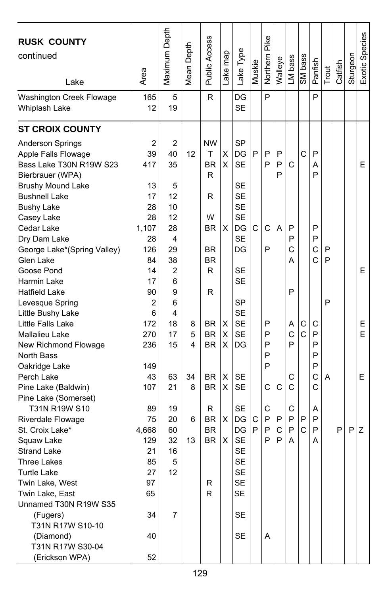| <b>RUSK COUNTY</b><br>continued<br>Lake                                                                                                                                                                                                                                                                                                                                                                                                                                                                  | Area                                                                                                                                                              | Maximum Depth                                                                                                      | Mean Depth                   | Public Access                                                                                                                            | Lake map                             | Lake Type                                                                                                                                                                                                               | Muskie | Pike<br>Northern                               | Walleye                | LM bass                                             | SM bass                          | Panfish                                                            | Trout            | Catfish | Sturgeon | Exotic Species         |
|----------------------------------------------------------------------------------------------------------------------------------------------------------------------------------------------------------------------------------------------------------------------------------------------------------------------------------------------------------------------------------------------------------------------------------------------------------------------------------------------------------|-------------------------------------------------------------------------------------------------------------------------------------------------------------------|--------------------------------------------------------------------------------------------------------------------|------------------------------|------------------------------------------------------------------------------------------------------------------------------------------|--------------------------------------|-------------------------------------------------------------------------------------------------------------------------------------------------------------------------------------------------------------------------|--------|------------------------------------------------|------------------------|-----------------------------------------------------|----------------------------------|--------------------------------------------------------------------|------------------|---------|----------|------------------------|
| Washington Creek Flowage<br>Whiplash Lake                                                                                                                                                                                                                                                                                                                                                                                                                                                                | 165<br>12                                                                                                                                                         | 5<br>19                                                                                                            |                              | R                                                                                                                                        |                                      | DG<br><b>SE</b>                                                                                                                                                                                                         |        | P                                              |                        |                                                     |                                  | P                                                                  |                  |         |          |                        |
| <b>ST CROIX COUNTY</b>                                                                                                                                                                                                                                                                                                                                                                                                                                                                                   |                                                                                                                                                                   |                                                                                                                    |                              |                                                                                                                                          |                                      |                                                                                                                                                                                                                         |        |                                                |                        |                                                     |                                  |                                                                    |                  |         |          |                        |
| Anderson Springs<br>Apple Falls Flowage<br>Bass Lake T30N R19W S23<br>Bierbrauer (WPA)<br><b>Brushy Mound Lake</b><br><b>Bushnell Lake</b><br><b>Bushy Lake</b><br>Casey Lake<br>Cedar Lake<br>Dry Dam Lake<br>George Lake*(Spring Valley)<br>Glen Lake<br>Goose Pond<br>Harmin Lake<br>Hatfield Lake<br>Levesque Spring<br>Little Bushy Lake<br>Little Falls Lake<br>Mallalieu Lake<br>New Richmond Flowage<br>North Bass<br>Oakridge Lake<br>Perch Lake<br>Pine Lake (Baldwin)<br>Pine Lake (Somerset) | $\overline{c}$<br>39<br>417<br>13<br>17<br>28<br>28<br>1.107<br>28<br>126<br>84<br>14<br>17<br>90<br>$\overline{2}$<br>6<br>172<br>270<br>236<br>149<br>43<br>107 | 2<br>40<br>35<br>5<br>12<br>10<br>12<br>28<br>4<br>29<br>38<br>2<br>6<br>9<br>6<br>4<br>18<br>17<br>15<br>63<br>21 | 12<br>8<br>5<br>4<br>34<br>8 | NW<br>т<br><b>BR</b><br>R<br>R<br>W<br><b>BR</b><br><b>BR</b><br><b>BR</b><br>R<br>R<br>BR<br><b>BR</b><br>BR.<br><b>BR</b><br><b>BR</b> | X<br>X<br>X<br>х<br>X<br>X<br>X<br>X | <b>SP</b><br>DG<br><b>SE</b><br><b>SE</b><br><b>SE</b><br><b>SE</b><br><b>SE</b><br>DG<br><b>SE</b><br>DG<br><b>SE</b><br><b>SE</b><br><b>SP</b><br><b>SE</b><br><b>SE</b><br><b>SE</b><br>DG<br><b>SE</b><br><b>SE</b> | P<br>C | P<br>P<br>C<br>P<br>P<br>P<br>P<br>P<br>P<br>C | P<br>P<br>P<br>A<br>C  | C<br>P<br>P<br>C<br>A<br>P<br>Α<br>C<br>P<br>С<br>C | $\mathsf{C}$<br>С<br>$\mathbf C$ | P<br>A<br>P<br>P<br>P<br>C<br>Ć<br>С<br>P<br>P<br>P<br>P<br>C<br>С | P<br>P<br>P<br>Α |         |          | E.<br>E<br>E<br>E<br>E |
| T31N R19W S10<br>Riverdale Flowage<br>St. Croix Lake*<br>Squaw Lake<br><b>Strand Lake</b><br>Three Lakes<br><b>Turtle Lake</b><br>Twin Lake, West<br>Twin Lake, East<br>Unnamed T30N R19W S35<br>(Fugers)<br>T31N R17W S10-10<br>(Diamond)<br>T31N R17W S30-04<br>(Erickson WPA)                                                                                                                                                                                                                         | 89<br>75<br>4,668<br>129<br>21<br>85<br>27<br>97<br>65<br>34<br>40<br>52                                                                                          | 19<br>20<br>60<br>32<br>16<br>5<br>12<br>7                                                                         | 6<br>13                      | R<br><b>BR</b><br><b>BR</b><br><b>BR</b><br>R<br>R                                                                                       | X<br>X                               | <b>SE</b><br>DG<br>DG<br><b>SE</b><br>SE<br><b>SE</b><br>SE<br>SE<br>SE<br>SE<br><b>SE</b>                                                                                                                              | C<br>P | C<br>P<br>P<br>P<br>A                          | P<br>$\mathsf{C}$<br>P | С<br>P<br>P<br>A                                    | P<br>$\mathsf{C}$                | Α<br>P<br>P<br>Α                                                   |                  | P       | P        | Z                      |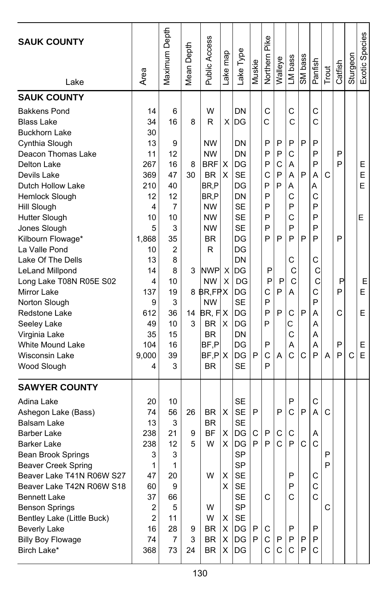| <b>SAUK COUNTY</b><br>Lake | Area           | Maximum Depth  | Depth<br>Mean I | Public Access | ake map | Lake Type | Muskie | Pike<br>Northern | Walleye      | LM bass | SM bass | Panfish      | Trout | Catfish | Sturgeon | Exotic Species |
|----------------------------|----------------|----------------|-----------------|---------------|---------|-----------|--------|------------------|--------------|---------|---------|--------------|-------|---------|----------|----------------|
| <b>SAUK COUNTY</b>         |                |                |                 |               |         |           |        |                  |              |         |         |              |       |         |          |                |
| <b>Bakkens Pond</b>        | 14             | 6              |                 | W             |         | DN        |        | C                |              | C       |         | $\mathsf{C}$ |       |         |          |                |
| <b>Blass Lake</b>          | 34             | 16             | 8               | R             | X       | DG        |        | C                |              | C       |         | C            |       |         |          |                |
| <b>Buckhorn Lake</b>       | 30             |                |                 |               |         |           |        |                  |              |         |         |              |       |         |          |                |
| Cynthia Slough             | 13             | 9              |                 | <b>NW</b>     |         | DN        |        | P                | P            | P       | P       | P            |       |         |          |                |
| Deacon Thomas Lake         | 11             | 12             |                 | <b>NW</b>     |         | DN        |        | P                | P            | C       |         | P            |       | P       |          |                |
| Delton Lake                | 267            | 16             | 8               | BRF           | X       | DG        |        | P                | C            | A       |         | P            |       | P       |          | Ε              |
| Devils Lake                | 369            | 47             | 30              | <b>BR</b>     | X       | <b>SE</b> |        | C                | P            | А       | P       | А            | C     |         |          | E              |
| Dutch Hollow Lake          | 210            | 40             |                 | BR,P          |         | DG        |        | P                | P            | А       |         | Α            |       |         |          | E              |
| Hemlock Slough             | 12             | 12             |                 | BR,P          |         | DN        |        | P                |              | C       |         | С            |       |         |          |                |
| Hill Slough                | 4              | $\overline{7}$ |                 | <b>NW</b>     |         | <b>SE</b> |        | P                |              | P       |         | P            |       |         |          |                |
| Hutter Slough              | 10             | 10             |                 | <b>NW</b>     |         | <b>SE</b> |        | P                |              | C       |         | P            |       |         |          | E              |
| Jones Slough               | 5              | 3              |                 | <b>NW</b>     |         | <b>SE</b> |        | P                |              | P       |         | P            |       |         |          |                |
| Kilbourn Flowage*          | 1,868          | 35             |                 | <b>BR</b>     |         | DG        |        | P                | P            | P       | P       | P            |       | P       |          |                |
| La Valle Pond              | 10             | $\overline{2}$ |                 | R             |         | DG        |        |                  |              |         |         |              |       |         |          |                |
| Lake Of The Dells          | 13             | 8              |                 |               |         | DN        |        |                  |              | C       |         | С            |       |         |          |                |
| LeLand Millpond            | 14             | 8              | 3               | <b>NWP</b>    | X       | DG        |        | P                |              | С       |         | С            |       |         |          |                |
| Long Lake T08N R05E S02    | 4              | 10             |                 | NW            | X       | DG        |        | P                | P            | C       |         | C            |       | Ρ       |          | Е              |
| <b>Mirror Lake</b>         | 137            | 19             |                 | 8 BR, FPX     |         | DG        |        | C                | P            | A       |         | C            |       | P       |          | E              |
| Norton Slough              | 9              | 3              |                 | <b>NW</b>     |         | <b>SE</b> |        | P                |              |         |         | P            |       |         |          |                |
| Redstone Lake              | 612            | 36             | 14              | BR, FIX       |         | DG        |        | P                | P            | С       | P       | А            |       | C       |          | E              |
| Seeley Lake                | 49             | 10             | 3               | <b>BR</b>     | X       | DG        |        | P                |              | С       |         | A            |       |         |          |                |
| Virginia Lake              | 35             | 15             |                 | <b>BR</b>     |         | DN        |        |                  |              | C       |         | Α            |       |         |          |                |
| <b>White Mound Lake</b>    | 104            | 16             |                 | BF,P          |         | DG        |        | P                |              | А       |         | А            |       | P       |          | Е              |
| <b>Wisconsin Lake</b>      | 9,000          | 39             |                 | BF, P X       |         | DG        | P      | C                | А            | Ċ       | C       | P            | A     | P       | C        | E              |
| Wood Slough                | 4              | 3              |                 | <b>BR</b>     |         | <b>SE</b> |        | P                |              |         |         |              |       |         |          |                |
| <b>SAWYER COUNTY</b>       |                |                |                 |               |         |           |        |                  |              |         |         |              |       |         |          |                |
| Adina Lake                 | 20             | 10             |                 |               |         | <b>SE</b> |        |                  |              | P       |         | С            |       |         |          |                |
| Ashegon Lake (Bass)        | 74             | 56             | 26              | BR            | х       | <b>SE</b> | P      |                  | P            | C       | P       | A            | C     |         |          |                |
| <b>Balsam Lake</b>         | 13             | 3              |                 | <b>BR</b>     |         | <b>SE</b> |        |                  |              |         |         |              |       |         |          |                |
| Barber Lake                | 238            | 21             | 9               | <b>BF</b>     | х       | DG        | С      | P                | С            | С       |         | Α            |       |         |          |                |
| <b>Barker Lake</b>         | 238            | 12             | 5               | W             | х       | DG        | P      | P                | Ċ            | P       | C       | C            |       |         |          |                |
| Bean Brook Springs         | 3              | 3              |                 |               |         | SP        |        |                  |              |         |         |              | P     |         |          |                |
| <b>Beaver Creek Spring</b> | 1              | 1              |                 |               |         | <b>SP</b> |        |                  |              |         |         |              | P     |         |          |                |
| Beaver Lake T41N R06W S27  | 47             | 20             |                 | W             | х       | SE        |        |                  |              | P       |         | С            |       |         |          |                |
| Beaver Lake T42N R06W S18  | 60             | 9              |                 |               | X       | <b>SE</b> |        |                  |              | P       |         | С            |       |         |          |                |
| <b>Bennett Lake</b>        | 37             | 66             |                 |               |         | <b>SE</b> |        | C                |              | C       |         | $\mathsf{C}$ |       |         |          |                |
| <b>Benson Springs</b>      | 2              | 5              |                 | W             |         | <b>SP</b> |        |                  |              |         |         |              | C     |         |          |                |
| Bentley Lake (Little Buck) | $\overline{2}$ | 11             |                 | W             | X       | <b>SE</b> |        |                  |              |         |         |              |       |         |          |                |
| <b>Beverly Lake</b>        | 16             | 28             | 9               | BR            | Χ       | DG        | P      | С                |              | P       |         | P            |       |         |          |                |
| <b>Billy Boy Flowage</b>   | 74             | 7              | 3               | <b>BR</b>     | X       | DG        | P      | С                | P            | P       | P       | P            |       |         |          |                |
| Birch Lake*                | 368            | 73             | 24              | BR.           | X.      | IDG.      |        | $\mathsf{C}$     | $\mathsf{C}$ | C       | P       | C            |       |         |          |                |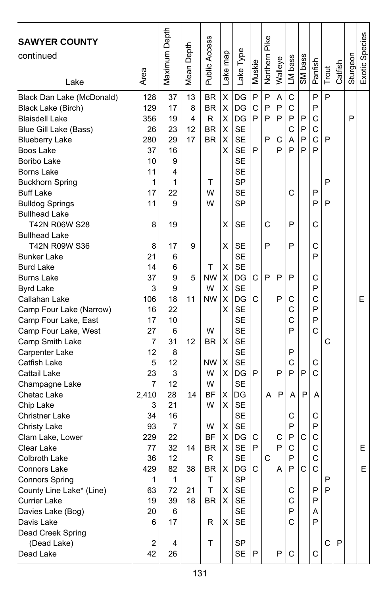| <b>SAWYER COUNTY</b><br>continued              |            | Maximum Depth | Depth  | <b>Public Access</b>   | map               | Lake Type              |        | Pike<br>Northern | Walleye | LM bass | SM bass      |         |       |         | Sturgeon | Exotic Species |
|------------------------------------------------|------------|---------------|--------|------------------------|-------------------|------------------------|--------|------------------|---------|---------|--------------|---------|-------|---------|----------|----------------|
| Lake                                           | Area       |               | Mean I |                        | Lake <sub>l</sub> |                        | Muskie |                  |         |         |              | Panfish | Trout | Catfish |          |                |
| Black Dan Lake (McDonald)                      | 128<br>129 | 37<br>17      | 13     | <b>BR</b><br><b>BR</b> | X<br>Χ            | DG                     | P<br>C | P<br>P           | A<br>P  | C<br>C  |              | P<br>P  | P     |         |          |                |
| Black Lake (Birch)                             |            | 19            | 8<br>4 | R                      |                   | DG<br>DG               | P      | P                | P       | P       | P            | C       |       |         | P        |                |
| <b>Blaisdell Lake</b>                          | 356<br>26  | 23            | 12     | <b>BR</b>              | X<br>X            | <b>SE</b>              |        |                  |         | C       | P            | C       |       |         |          |                |
| Blue Gill Lake (Bass)<br><b>Blueberry Lake</b> | 280        | 29            | 17     | <b>BR</b>              | X                 | <b>SE</b>              |        | P                | C       | A       | P            | C       | P     |         |          |                |
| Boos Lake                                      | 37         | 16            |        |                        | X                 | <b>SE</b>              | P      |                  | P       | P       | P            | P       |       |         |          |                |
| Boribo Lake                                    | 10         | 9             |        |                        |                   | SE                     |        |                  |         |         |              |         |       |         |          |                |
| Borns Lake                                     | 11         | 4             |        |                        |                   | <b>SE</b>              |        |                  |         |         |              |         |       |         |          |                |
| <b>Buckhorn Spring</b>                         | 1          | 1             |        | т                      |                   | <b>SP</b>              |        |                  |         |         |              |         | P     |         |          |                |
| <b>Buff Lake</b>                               | 17         | 22            |        | W                      |                   | <b>SE</b>              |        |                  |         | C       |              | P       |       |         |          |                |
| <b>Bulldog Springs</b>                         | 11         | 9             |        | W                      |                   | <b>SP</b>              |        |                  |         |         |              | P       | P     |         |          |                |
| <b>Bullhead Lake</b>                           |            |               |        |                        |                   |                        |        |                  |         |         |              |         |       |         |          |                |
| T42N R06W S28                                  | 8          | 19            |        |                        | х                 | SE                     |        | C                |         | P       |              | C       |       |         |          |                |
| <b>Bullhead Lake</b>                           |            |               |        |                        |                   |                        |        |                  |         |         |              |         |       |         |          |                |
| T42N R09W S36                                  | 8          | 17            | 9      |                        | х                 | SE                     |        | P                |         | P       |              | C       |       |         |          |                |
| <b>Bunker Lake</b>                             | 21         | 6             |        |                        |                   | <b>SE</b>              |        |                  |         |         |              | P       |       |         |          |                |
| <b>Burd Lake</b>                               | 14         | 6             |        | T                      | X                 | <b>SE</b>              |        |                  |         |         |              |         |       |         |          |                |
| <b>Burns Lake</b>                              | 37         | 9             | 5      | <b>NW</b>              | X                 | DG                     | C      | P                | P       | P       |              | C       |       |         |          |                |
| <b>Byrd Lake</b>                               | 3          | 9             |        | W                      | X                 | <b>SE</b>              |        |                  |         |         |              | P       |       |         |          |                |
| Callahan Lake                                  | 106        | 18            | 11     | <b>NW</b>              | Χ                 | DG                     | C      |                  | P       | С       |              | С       |       |         |          | Е              |
| Camp Four Lake (Narrow)                        | 16         | 22            |        |                        | X                 | <b>SE</b>              |        |                  |         | C       |              | P       |       |         |          |                |
| Camp Four Lake, East                           | 17         | 10            |        |                        |                   | <b>SE</b>              |        |                  |         | C       |              | P       |       |         |          |                |
| Camp Four Lake, West                           | 27         | 6             |        | W                      |                   | <b>SE</b>              |        |                  |         | P       |              | C       |       |         |          |                |
| Camp Smith Lake                                | 7          | 31            | 12     | BR.                    | X                 | <b>SE</b>              |        |                  |         |         |              |         | C     |         |          |                |
| Carpenter Lake                                 | 12         | 8             |        |                        |                   | <b>SE</b>              |        |                  |         | P       |              |         |       |         |          |                |
| Catfish Lake                                   | 5          | 12            |        | <b>NW</b>              | X                 | <b>SE</b>              |        |                  |         | C       |              | С       |       |         |          |                |
| Cattail Lake                                   | 23         | 3             |        | W                      | X                 | DG                     | P      |                  | P       | P       | P            | C       |       |         |          |                |
| Champagne Lake                                 | 7          | 12            |        | W                      |                   | <b>SE</b>              |        |                  |         |         |              |         |       |         |          |                |
| Chetac Lake                                    | 2,410      | 28            | 14     | ΒF                     | х                 | DG                     |        | A                | P       | A       | P            | A       |       |         |          |                |
| Chip Lake                                      | 3          | 21            |        | W                      | X                 | <b>SE</b>              |        |                  |         |         |              |         |       |         |          |                |
| <b>Christner Lake</b>                          | 34         | 16            |        |                        |                   | <b>SE</b>              |        |                  |         | C       |              | C       |       |         |          |                |
| <b>Christy Lake</b>                            | 93         | 7             |        | W                      | х                 | <b>SE</b>              |        |                  |         | P       |              | P       |       |         |          |                |
| Clam Lake, Lower                               | 229        | 22            |        | <b>BF</b>              | х                 | DG                     | С      |                  | С       | P       | C            | C       |       |         |          |                |
| Clear Lake                                     | 77<br>36   | 32<br>12      | 14     | BR<br>$\mathsf{R}$     | X                 | <b>SE</b><br><b>SE</b> | P      |                  | P       | C<br>P  |              | C<br>C  |       |         |          | E              |
| Colbroth Lake<br>Connors Lake                  | 429        | 82            | 38     | <b>BR</b>              | X.                | DG                     | C      | С                | Α       | P       | $\mathsf{C}$ | C       |       |         |          | Е              |
| <b>Connors Spring</b>                          | 1          | 1             |        | т                      |                   | <b>SP</b>              |        |                  |         |         |              |         | P     |         |          |                |
| County Line Lake* (Line)                       | 63         | 72            | 21     | Τ                      | х                 | <b>SE</b>              |        |                  |         | С       |              | P       | P     |         |          |                |
| <b>Currier Lake</b>                            | 19         | 39            | 18     | <b>BR</b>              | X                 | SE                     |        |                  |         | C       |              | P       |       |         |          |                |
| Davies Lake (Bog)                              | 20         | 6             |        |                        |                   | <b>SE</b>              |        |                  |         | P       |              | Α       |       |         |          |                |
| Davis Lake                                     | 6          | 17            |        | R                      | х                 | <b>SE</b>              |        |                  |         | С       |              | P       |       |         |          |                |
| Dead Creek Spring                              |            |               |        |                        |                   |                        |        |                  |         |         |              |         |       |         |          |                |
| (Dead Lake)                                    | 2          | 4             |        | т                      |                   | <b>SP</b>              |        |                  |         |         |              |         | C     | P       |          |                |
| Dead Lake                                      | 42         | 26            |        |                        |                   | SE                     | P      |                  | P       | C       |              | С       |       |         |          |                |
|                                                |            |               |        |                        |                   |                        |        |                  |         |         |              |         |       |         |          |                |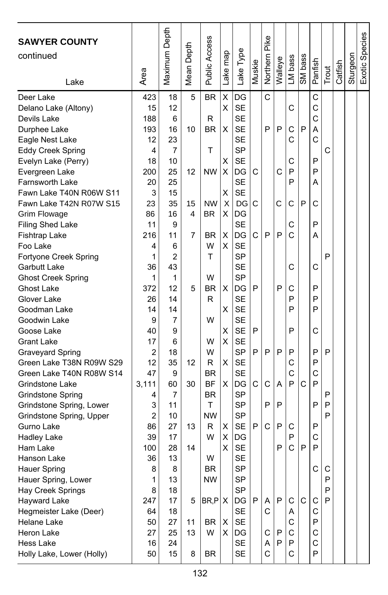| <b>SAWYER COUNTY</b><br>continued<br>Lake         | Area      | Maximum Depth | Depth<br>Mean I | Public Access   | map<br>ake <sub>1</sub> | Lake Type       | Muskie | Pike<br>Northern | Walleye | LM bass | SM bass | Panfish | Trout | Catfish | Sturgeon | Exotic Species |
|---------------------------------------------------|-----------|---------------|-----------------|-----------------|-------------------------|-----------------|--------|------------------|---------|---------|---------|---------|-------|---------|----------|----------------|
| Deer Lake                                         | 423       | 18            | 5               | <b>BR</b>       | X                       | DG              |        | C                |         |         |         | C       |       |         |          |                |
| Delano Lake (Altony)                              | 15        | 12            |                 |                 | Χ                       | <b>SE</b>       |        |                  |         | С       |         | C       |       |         |          |                |
| Devils Lake                                       | 188       | 6             |                 | R               |                         | <b>SE</b>       |        |                  |         |         |         | C       |       |         |          |                |
| Durphee Lake                                      | 193       | 16            | 10              | BR              | х                       | <b>SE</b>       |        | P                | P       | C       | P       | A       |       |         |          |                |
| Eagle Nest Lake                                   | 12        | 23            |                 |                 |                         | <b>SE</b>       |        |                  |         | C       |         | C       |       |         |          |                |
| <b>Eddy Creek Spring</b>                          | 4         | 7             |                 | T               |                         | <b>SP</b>       |        |                  |         |         |         |         | C     |         |          |                |
| Evelyn Lake (Perry)                               | 18        | 10            |                 |                 | х                       | <b>SE</b>       |        |                  |         | С       |         | P       |       |         |          |                |
| Evergreen Lake                                    | 200<br>20 | 25<br>25      | 12              | <b>NW</b>       | X                       | DG<br><b>SE</b> | С      |                  | C       | P<br>P  |         | P<br>Α  |       |         |          |                |
| <b>Farnsworth Lake</b><br>Fawn Lake T40N R06W S11 | 3         | 15            |                 |                 | х                       | <b>SE</b>       |        |                  |         |         |         |         |       |         |          |                |
| Fawn Lake T42N R07W S15                           | 23        | 35            | 15              | <b>NW</b>       | X                       | DG              | С      |                  | C       | C       | P       | С       |       |         |          |                |
| <b>Grim Flowage</b>                               | 86        | 16            | 4               | BR.             | х                       | DG              |        |                  |         |         |         |         |       |         |          |                |
| Filing Shed Lake                                  | 11        | 9             |                 |                 |                         | <b>SE</b>       |        |                  |         | С       |         | P       |       |         |          |                |
| Fishtrap Lake                                     | 216       | 11            | 7               | <b>BR</b>       | Χ                       | DG              | C      | P                | P       | C       |         | А       |       |         |          |                |
| Foo Lake                                          | 4         | 6             |                 | W               | X                       | <b>SE</b>       |        |                  |         |         |         |         |       |         |          |                |
| Fortyone Creek Spring                             | 1         | 2             |                 | T               |                         | SP              |        |                  |         |         |         |         | P     |         |          |                |
| Garbutt Lake                                      | 36        | 43            |                 |                 |                         | <b>SE</b>       |        |                  |         | C       |         | C       |       |         |          |                |
| <b>Ghost Creek Spring</b>                         | 1         | 1             |                 | W               |                         | <b>SP</b>       |        |                  |         |         |         |         |       |         |          |                |
| <b>Ghost Lake</b>                                 | 372       | 12            | 5               | ΒR              | х                       | DG              | P      |                  | P       | С       |         | P       |       |         |          |                |
| Glover Lake                                       | 26        | 14            |                 | R               |                         | <b>SE</b>       |        |                  |         | P       |         | P       |       |         |          |                |
| Goodman Lake                                      | 14        | 14            |                 |                 | х                       | <b>SE</b>       |        |                  |         | P       |         | P       |       |         |          |                |
| Goodwin Lake                                      | 9         | 7             |                 | W               |                         | <b>SE</b>       |        |                  |         |         |         |         |       |         |          |                |
| Goose Lake                                        | 40        | 9             |                 |                 | X                       | <b>SE</b>       | P      |                  |         | P       |         | C       |       |         |          |                |
| <b>Grant Lake</b>                                 | 17        | 6             |                 | W               | х                       | <b>SE</b>       |        |                  |         |         |         |         |       |         |          |                |
| <b>Graveyard Spring</b>                           | 2         | 18            |                 | W               |                         | <b>SP</b>       | P      | P                | P       | P       |         | P       | P     |         |          |                |
| Green Lake T38N R09W S29                          | 12        | 35            | 12              | R               | X                       | <b>SE</b>       |        |                  |         | C       |         | P       |       |         |          |                |
| Green Lake T40N R08W S14                          | 47        | 9             |                 | <b>BR</b>       |                         | <b>SE</b>       |        |                  |         | С       |         | C       |       |         |          |                |
| Grindstone Lake                                   | 3,111     | 60            | 30              | BF<br><b>BR</b> | X                       | DG<br><b>SP</b> | C      | C                | A       | P       | C       | P       | P     |         |          |                |
| Grindstone Spring<br>Grindstone Spring, Lower     | 4<br>3    | 7<br>11       |                 | T               |                         | SP              |        | P                | P       |         |         | P       | P     |         |          |                |
| Grindstone Spring, Upper                          | 2         | 10            |                 | <b>NW</b>       |                         | SP              |        |                  |         |         |         |         | P     |         |          |                |
| Gurno Lake                                        | 86        | 27            | 13              | R               | х                       | <b>SE</b>       | P      | C                | P       | С       |         | P       |       |         |          |                |
| <b>Hadley Lake</b>                                | 39        | 17            |                 | W               | Χ                       | DG              |        |                  |         | P       |         | C       |       |         |          |                |
| Ham Lake                                          | 100       | 28            | 14              |                 | Χ                       | <b>SE</b>       |        |                  | P       | C       | P       | P       |       |         |          |                |
| Hanson Lake                                       | 36        | 13            |                 | W               |                         | <b>SE</b>       |        |                  |         |         |         |         |       |         |          |                |
| Hauer Spring                                      | 8         | 8             |                 | <b>BR</b>       |                         | <b>SP</b>       |        |                  |         |         |         | C       | C     |         |          |                |
| Hauer Spring, Lower                               | 1         | 13            |                 | ΝW              |                         | <b>SP</b>       |        |                  |         |         |         |         | P     |         |          |                |
| Hay Creek Springs                                 | 8         | 18            |                 |                 |                         | <b>SP</b>       |        |                  |         |         |         |         | P     |         |          |                |
| <b>Hayward Lake</b>                               | 247       | 17            | 5               | $BR, P$ $X$     |                         | DG              | P      | Α                | P       | C       | C       | C       | P     |         |          |                |
| Hegmeister Lake (Deer)                            | 64        | 18            |                 |                 |                         | <b>SE</b>       |        | C                |         | Α       |         | С       |       |         |          |                |
| Helane Lake                                       | 50        | 27            | 11              | BR              | X                       | SE              |        |                  |         | С       |         | P       |       |         |          |                |
| Heron Lake                                        | 27        | 25            | 13              | W               | х                       | DG              |        | С                | P       | C       |         | С       |       |         |          |                |
| Hess Lake                                         | 16        | 24            |                 |                 |                         | SE              |        | Α                | P       | P       |         | C       |       |         |          |                |
| Holly Lake, Lower (Holly)                         | 50        | 15            | 8               | BR              |                         | <b>SE</b>       |        | C                |         | C       |         | P       |       |         |          |                |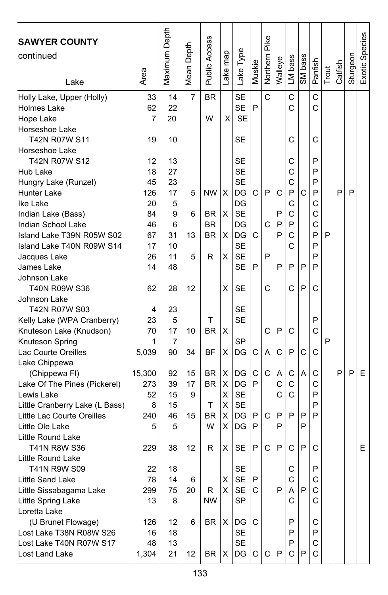| <b>SAWYER COUNTY</b><br>continued               |          | Maximum Depth | Mean Depth | <b>Public Access</b>   |          |                 |        | Northern Pike |         |         |         |         |       |         |          | Exotic Species |
|-------------------------------------------------|----------|---------------|------------|------------------------|----------|-----------------|--------|---------------|---------|---------|---------|---------|-------|---------|----------|----------------|
|                                                 |          |               |            |                        | Lake map | Lake Type       | Muskie |               | Walleye | LM bass | SM bass | Panfish |       | Catfish | Sturgeon |                |
| Lake                                            | Area     |               |            |                        |          |                 |        |               |         |         |         |         | Trout |         |          |                |
| Holly Lake, Upper (Holly)                       | 33       | 14            | 7          | <b>BR</b>              |          | <b>SE</b>       |        | Ć             |         | C       |         | C       |       |         |          |                |
| <b>Holmes Lake</b>                              | 62       | 22            |            |                        |          | <b>SE</b>       | P      |               |         | C       |         | C       |       |         |          |                |
| Hope Lake                                       | 7        | 20            |            | W                      | X        | <b>SE</b>       |        |               |         |         |         |         |       |         |          |                |
| Horseshoe Lake                                  |          |               |            |                        |          |                 |        |               |         |         |         |         |       |         |          |                |
| T42N R07W S11                                   | 19       | 10            |            |                        |          | SE              |        |               |         | С       |         | С       |       |         |          |                |
| Horseshoe Lake                                  |          |               |            |                        |          |                 |        |               |         |         |         |         |       |         |          |                |
| T42N R07W S12                                   | 12       | 13            |            |                        |          | SE              |        |               |         | С       |         | P       |       |         |          |                |
| Hub Lake                                        | 18       | 27            |            |                        |          | <b>SE</b>       |        |               |         | C       |         | P       |       |         |          |                |
| Hungry Lake (Runzel)                            | 45       | 23            |            |                        |          | <b>SE</b>       |        |               |         | C       |         | P       |       |         |          |                |
| Hunter Lake                                     | 126      | 17            | 5          | <b>NW</b>              | X        | DG              | С      | P             | С       | P       | C       | P       |       | P       | P        |                |
| Ike Lake                                        | 20       | 5             |            |                        |          | DG              |        |               |         | C<br>C  |         | С<br>C  |       |         |          |                |
| Indian Lake (Bass)                              | 84<br>46 | 9<br>6        | 6          | <b>BR</b><br><b>BR</b> | X        | <b>SE</b><br>DG |        | Ċ             | P<br>P  | P       |         | Ċ       |       |         |          |                |
| Indian School Lake<br>Island Lake T39N R05W S02 | 67       | 31            | 13         | <b>BR</b>              | X        | DG              | C      |               | P       | C       |         | P       | P     |         |          |                |
| Island Lake T40N R09W S14                       | 17       | 10            |            |                        |          | <b>SE</b>       |        |               |         | C       |         | P       |       |         |          |                |
| Jacques Lake                                    | 26       | 11            | 5          | R                      | х        | <b>SE</b>       |        | P             |         |         |         | P       |       |         |          |                |
| James Lake                                      | 14       | 48            |            |                        |          | <b>SE</b>       | P      |               | P       | P       | P       | P       |       |         |          |                |
| Johnson Lake                                    |          |               |            |                        |          |                 |        |               |         |         |         |         |       |         |          |                |
| T40N R09W S36                                   | 62       | 28            | 12         |                        | х        | SE              |        | C             |         | C       | P       | C       |       |         |          |                |
| Johnson Lake                                    |          |               |            |                        |          |                 |        |               |         |         |         |         |       |         |          |                |
| T42N R07W S03                                   | 4        | 23            |            |                        |          | SE              |        |               |         |         |         |         |       |         |          |                |
| Kelly Lake (WPA Cranberry)                      | 23       | 5             |            | т                      |          | SE              |        |               |         |         |         | P       |       |         |          |                |
| Knuteson Lake (Knudson)                         | 70       | 17            | 10         | ΒR                     | X        |                 |        | C             | P       | C       |         | C       |       |         |          |                |
| Knuteson Spring                                 | 1        | 7             |            |                        |          | SP              |        |               |         |         |         |         | P     |         |          |                |
| Lac Courte Oreilles                             | 5,039    | 90            | 34         | ΒF                     | х        | DG              | С      | Α             | C       | P       | C       | С       |       |         |          |                |
| Lake Chippewa                                   |          |               |            |                        |          |                 |        |               |         |         |         |         |       |         |          |                |
| (Chippewa FI)                                   | 15,300   | 92            | 15         | <b>BR</b>              | X        | DG              | С      | Ċ             | Α       | С       | А       | C       |       | P       | P        | Ε              |
| Lake Of The Pines (Pickerel)                    | 273      | 39            | 17         | <b>BR</b>              | X        | DG              | P      |               | C       | C       |         | С       |       |         |          |                |
| Lewis Lake                                      | 52       | 15            | 9          |                        | х        | <b>SE</b>       |        |               | C       | C       |         | P       |       |         |          |                |
| Little Cranberry Lake (L Bass)                  | 8        | 15            |            | т                      | X        | <b>SE</b>       |        |               |         |         |         | P       |       |         |          |                |
| Little Lac Courte Oreilles                      | 240      | 46            | 15         | <b>BR</b>              | X        | DG              | P      | C             | P       | P       | P       | P       |       |         |          |                |
| Little Ole Lake                                 | 5        | 5             |            | W                      | х        | DG              | P      |               | P       |         | P       |         |       |         |          |                |
| Little Round Lake                               |          |               |            |                        |          |                 |        |               |         |         |         |         |       |         |          |                |
| T41N R8W S36                                    | 229      | 38            | 12         | R                      | х        | SE              | P      | C             | P       | C       | P       | C       |       |         |          | Ε              |
| Little Round Lake                               |          |               |            |                        |          |                 |        |               |         |         |         |         |       |         |          |                |
| T41N R9W S09                                    | 22       | 18            |            |                        |          | <b>SE</b>       |        |               |         | C       |         | P       |       |         |          |                |
| Little Sand Lake                                | 78       | 14            | 6          |                        | х        | <b>SE</b>       | P      |               |         | С       |         | С       |       |         |          |                |
| Little Sissabagama Lake                         | 299      | 75            | 20         | R                      | X.       | SE              | С      |               | P       | Α       | P       | С       |       |         |          |                |
| Little Spring Lake                              | 13       | 8             |            | <b>NW</b>              |          | <b>SP</b>       |        |               |         | С       |         | C       |       |         |          |                |
| Loretta Lake                                    |          |               |            |                        |          |                 |        |               |         |         |         |         |       |         |          |                |
| (U Brunet Flowage)<br>Lost Lake T38N R08W S26   | 126      | 12            | 6          | BR                     | X        | DG<br><b>SE</b> | С      |               |         | P       |         | С<br>P  |       |         |          |                |
| Lost Lake T40N R07W S17                         | 16<br>48 | 18<br>13      |            |                        |          | SE              |        |               |         | P<br>P  |         | C       |       |         |          |                |
| Lost Land Lake                                  | 1,304    | 21            | 12         | BR                     | Χ        | DG              | C      | С             | P       | C       | P       | C       |       |         |          |                |
|                                                 |          |               |            |                        |          |                 |        |               |         |         |         |         |       |         |          |                |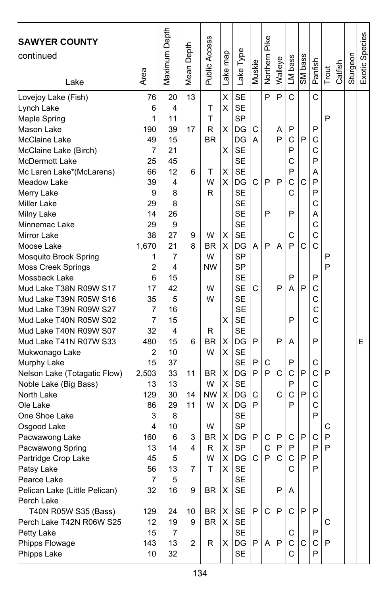| <b>SAWYER COUNTY</b><br>continued<br>Lake | Area           | Maximum Depth | Depth<br>Mean <sup>1</sup> | Public Access | Lake map | Lake Type       | Muskie | Northern Pike | Walleye | LM bass     | SM bass      | Panfish | Trout  | Catfish | Sturgeon | Exotic Species |
|-------------------------------------------|----------------|---------------|----------------------------|---------------|----------|-----------------|--------|---------------|---------|-------------|--------------|---------|--------|---------|----------|----------------|
| Lovejoy Lake (Fish)                       | 76             | 20            | 13                         |               | X        | <b>SE</b>       |        | P             | P       | C           |              | C       |        |         |          |                |
| Lynch Lake                                | 6              | 4             |                            | Т             | Χ        | <b>SE</b>       |        |               |         |             |              |         |        |         |          |                |
| Maple Spring                              | 1              | 11            |                            | T             |          | <b>SP</b>       |        |               |         |             |              |         | P      |         |          |                |
| Mason Lake                                | 190            | 39            | 17                         | R             | х        | DG              | С      |               | Α       | P           |              | P       |        |         |          |                |
| McClaine Lake                             | 49             | 15            |                            | <b>BR</b>     |          | DG              | A      |               | P       | C           | P            | C       |        |         |          |                |
| McClaine Lake (Birch)                     | 7              | 21            |                            |               | X        | <b>SE</b>       |        |               |         | P           |              | C       |        |         |          |                |
| McDermott Lake                            | 25             | 45            |                            |               |          | <b>SE</b>       |        |               |         | C           |              | P       |        |         |          |                |
| Mc Laren Lake*(McLarens)                  | 66             | 12            | 6                          | т             | X        | <b>SE</b>       |        |               |         | P           |              | Α       |        |         |          |                |
| Meadow Lake                               | 39             | 4             |                            | W             | X        | DG              | C      | P             | P       | C           | $\mathsf{C}$ | P       |        |         |          |                |
| Merry Lake                                | 9              | 8             |                            | R             |          | <b>SE</b>       |        |               |         | C           |              | P       |        |         |          |                |
| Miller Lake                               | 29             | 8             |                            |               |          | <b>SE</b>       |        |               |         |             |              | C       |        |         |          |                |
| Milny Lake                                | 14             | 26            |                            |               |          | <b>SE</b>       |        | P             |         | P           |              | Α       |        |         |          |                |
| Minnemac Lake                             | 29             | 9             |                            |               |          | <b>SE</b>       |        |               |         |             |              | C       |        |         |          |                |
| Mirror Lake                               | 38             | 27            | 9                          | W             | Χ        | <b>SE</b>       |        |               |         | C           |              | C       |        |         |          |                |
| Moose Lake                                | 1.670          | 21            | 8                          | <b>BR</b>     | X        | DG              | A      | P             | А       | P           | C            | C       |        |         |          |                |
| Mosquito Brook Spring                     | 1              | 7             |                            | W             |          | SP              |        |               |         |             |              |         | P      |         |          |                |
| <b>Moss Creek Springs</b>                 | 2              | 4             |                            | <b>NW</b>     |          | <b>SP</b>       |        |               |         |             |              |         | P      |         |          |                |
| Mossback Lake                             | 6              | 15            |                            |               |          | <b>SE</b>       |        |               |         | P           |              | P       |        |         |          |                |
| Mud Lake T38N R09W S17                    | 17             | 42            |                            | W             |          | <b>SE</b>       | С      |               | P       | Α           | P            | C       |        |         |          |                |
| Mud Lake T39N R05W S16                    | 35             | 5             |                            | W             |          | <b>SE</b>       |        |               |         |             |              | C       |        |         |          |                |
| Mud Lake T39N R09W S27                    | 7              | 16            |                            |               |          | <b>SE</b>       |        |               |         |             |              | C       |        |         |          |                |
| Mud Lake T40N R05W S02                    | $\overline{7}$ | 15            |                            |               | X        | <b>SE</b>       |        |               |         | P           |              | C       |        |         |          |                |
| Mud Lake T40N R09W S07                    | 32             | 4             |                            | R             |          | <b>SE</b>       |        |               |         |             |              |         |        |         |          |                |
| Mud Lake T41N R07W S33                    | 480            | 15            | 6                          | <b>BR</b>     | X        | DG              | P      |               | P       | A           |              | P       |        |         |          | E              |
| Mukwonago Lake                            | 2              | 10            |                            | W             | х        | <b>SE</b>       |        |               |         |             |              |         |        |         |          |                |
| Murphy Lake                               | 15             | 37            |                            |               |          | <b>SE</b>       | P      | C             |         | P           |              | C       |        |         |          |                |
| Nelson Lake (Totagatic Flow)              | 2,503          | 33            | 11                         | <b>BR</b>     | Χ        | DG              | P      | P             | C       | C           | P            | C       | P      |         |          |                |
| Noble Lake (Big Bass)                     | 13             | 13            |                            | W             | X        | <b>SE</b>       |        |               |         | P           |              | C       |        |         |          |                |
| North Lake                                | 129            | 30            | 14                         | <b>NW</b>     | Χ        | DG              | С      |               | C       | C           | P            | C       |        |         |          |                |
| Ole Lake                                  | 86             | 29            | 11                         | W             | X        | DG              | P      |               |         | P           |              | C       |        |         |          |                |
| One Shoe Lake                             | 3              | 8             |                            |               |          | <b>SE</b>       |        |               |         |             |              | P       |        |         |          |                |
| Osgood Lake                               | 4              | 10            |                            | W             |          | <b>SP</b>       |        |               |         |             |              |         | С<br>P |         |          |                |
| Pacwawong Lake                            | 160            | 6             | 3<br>4                     | <b>BR</b>     | х        | DG              | P      | C<br>C        | P       | С<br>P      | P            | C<br>P  | P      |         |          |                |
| Pacwawong Spring                          | 13<br>45       | 14<br>5       |                            | R<br>W        | X<br>X   | <b>SP</b><br>DG | C      | P             | P<br>C  | C           | P            | P       |        |         |          |                |
| Partridge Crop Lake                       |                | 13            | 7                          | T             | X        | <b>SE</b>       |        |               |         | C           |              | P       |        |         |          |                |
| Patsy Lake<br>Pearce Lake                 | 56<br>7        | 5             |                            |               |          | SE              |        |               |         |             |              |         |        |         |          |                |
| Pelican Lake (Little Pelican)             | 32             | 16            | 9                          | BR            | х        | SE              |        |               | P       | Α           |              |         |        |         |          |                |
| Perch Lake                                |                |               |                            |               |          |                 |        |               |         |             |              |         |        |         |          |                |
| T40N R05W S35 (Bass)                      | 129            | 24            | 10                         | BR            | х        | <b>SE</b>       | P      | C             | P       | C           | P            | P       |        |         |          |                |
| Perch Lake T42N R06W S25                  | 12             | 19            | 9                          | BR            | Χ        | <b>SE</b>       |        |               |         |             |              |         | С      |         |          |                |
| Petty Lake                                | 15             | 7             |                            |               |          | <b>SE</b>       |        |               |         | С           |              | P       |        |         |          |                |
| Phipps Flowage                            | 143            | 13            | 2                          | R             | X        | DG              | P      | Α             | P       | $\mathsf C$ | С            | C       | P      |         |          |                |
| Phipps Lake                               | 10             | 32            |                            |               |          | <b>SE</b>       |        |               |         | C           |              | P       |        |         |          |                |
|                                           |                |               |                            |               |          |                 |        |               |         |             |              |         |        |         |          |                |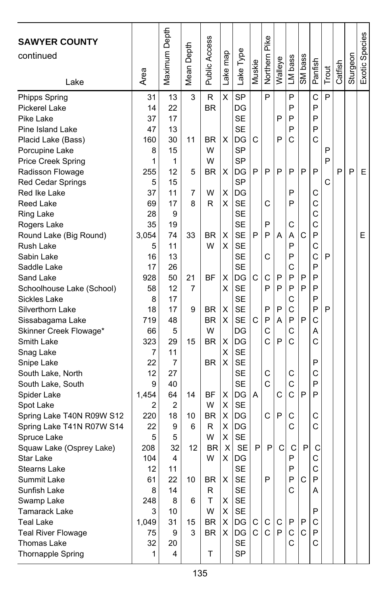| <b>SAWYER COUNTY</b><br>continued<br>Lake | Area       | Maximum Depth | Depth<br>Mean | <b>Public Access</b> | Lake map | Lake Type              | Muskie | Pike<br>Northern | Walleye | LM bass | SM bass      | Panfish | Trout | Catfish | Sturgeon | Exotic Species |
|-------------------------------------------|------------|---------------|---------------|----------------------|----------|------------------------|--------|------------------|---------|---------|--------------|---------|-------|---------|----------|----------------|
| Phipps Spring                             | 31         | 13            | 3             | R                    | X        | SP                     |        | P                |         | P       |              | Ć       | P     |         |          |                |
| Pickerel Lake                             | 14         | 22            |               | <b>BR</b>            |          | DG                     |        |                  |         | P       |              | P       |       |         |          |                |
| Pike Lake                                 | 37         | 17            |               |                      |          | <b>SE</b>              |        |                  | P       | P       |              | P       |       |         |          |                |
| Pine Island Lake                          | 47         | 13            |               |                      |          | <b>SE</b>              |        |                  |         | P       |              | P       |       |         |          |                |
| Placid Lake (Bass)                        | 160        | 30            | 11            | BR                   | X        | DG                     | C      |                  | P       | C       |              | C       |       |         |          |                |
| Porcupine Lake                            | 8          | 15            |               | W                    |          | <b>SP</b>              |        |                  |         |         |              |         | P     |         |          |                |
| <b>Price Creek Spring</b>                 | 1          | 1             |               | W                    |          | SP                     |        |                  |         |         |              |         | P     |         |          |                |
| Radisson Flowage                          | 255        | 12            | 5             | BR                   | X        | DG                     | P      | P                | P       | P       | P            | P       |       | P       | P        | Е              |
| <b>Red Cedar Springs</b>                  | 5          | 15            |               |                      |          | <b>SP</b>              |        |                  |         |         |              |         | С     |         |          |                |
| Red Ike Lake                              | 37         | 11            | 7             | W                    | X        | DG                     |        |                  |         | P       |              | С       |       |         |          |                |
| Reed Lake                                 | 69         | 17            | 8             | R                    | х        | <b>SE</b>              |        | С                |         | P       |              | C<br>C  |       |         |          |                |
| <b>Ring Lake</b>                          | 28<br>35   | 9<br>19       |               |                      |          | <b>SE</b><br><b>SE</b> |        | P                |         | C       |              | Ċ       |       |         |          |                |
| Rogers Lake<br>Round Lake (Big Round)     | 3,054      | 74            | 33            | BR                   | X        | <b>SE</b>              | P      | P                | A       | A       | C            | P       |       |         |          | E              |
| Rush Lake                                 | 5          | 11            |               | W                    | х        | <b>SE</b>              |        |                  |         | P       |              | С       |       |         |          |                |
| Sabin Lake                                | 16         | 13            |               |                      |          | <b>SE</b>              |        | С                |         | P       |              | C       | P     |         |          |                |
| Saddle Lake                               | 17         | 26            |               |                      |          | <b>SE</b>              |        |                  |         | C       |              | P       |       |         |          |                |
| Sand Lake                                 | 928        | 50            | 21            | <b>BF</b>            | X        | DG                     | C      | C                | P       | P       | P            | P       |       |         |          |                |
| Schoolhouse Lake (School)                 | 58         | 12            | 7             |                      | х        | <b>SE</b>              |        | P                | P       | P       | P            | P       |       |         |          |                |
| <b>Sickles Lake</b>                       | 8          | 17            |               |                      |          | <b>SE</b>              |        |                  |         | C       |              | P       |       |         |          |                |
| Silverthorn Lake                          | 18         | 17            | 9             | BR                   | х        | <b>SE</b>              |        | P                | P       | C       |              | P       | P     |         |          |                |
| Sissabagama Lake                          | 719        | 48            |               | <b>BR</b>            | X        | <b>SE</b>              | C      | P                | A       | P       | P            | C       |       |         |          |                |
| Skinner Creek Flowage*                    | 66         | 5             |               | W                    |          | DG                     |        | C                |         | C       |              | Α       |       |         |          |                |
| Smith Lake                                | 323        | 29            | 15            | BR                   | х        | DG                     |        | Ċ                | P       | C       |              | C       |       |         |          |                |
| Snag Lake                                 | 7          | 11            |               |                      | X        | <b>SE</b>              |        |                  |         |         |              |         |       |         |          |                |
| Snipe Lake                                | 22         | 7             |               | <b>BR</b>            | X        | <b>SE</b>              |        |                  |         |         |              | P       |       |         |          |                |
| South Lake, North                         | 12         | 27            |               |                      |          | <b>SE</b>              |        | С                |         | C       |              | С       |       |         |          |                |
| South Lake, South                         | 9          | 40            |               |                      |          | <b>SE</b>              |        | Ć                |         | C       |              | P       |       |         |          |                |
| Spider Lake                               | 1,454      | 64            | 14            | ΒF                   | х        | DG                     | A      |                  | C       | C       | P            | P       |       |         |          |                |
| Spot Lake                                 | 2          | 2             |               | W                    | X        | <b>SE</b>              |        |                  |         |         |              |         |       |         |          |                |
| Spring Lake T40N R09W S12                 | 220        | 18            | 10            | BR                   | X        | DG                     |        | C                | P       | С       |              | C       |       |         |          |                |
| Spring Lake T41N R07W S14                 | 22         | 9             | 6             | R                    | х        | DG                     |        |                  |         | C       |              | С       |       |         |          |                |
| Spruce Lake                               | 5          | 5             |               | W                    | х        | <b>SE</b>              |        |                  |         |         |              |         |       |         |          |                |
| Squaw Lake (Osprey Lake)                  | 208        | 32            | 12            | <b>BR</b>            | X        | <b>SE</b>              | P      | P                | C       | C       | P            | C       |       |         |          |                |
| <b>Star Lake</b>                          | 104        | 4             |               | W                    | х        | DG                     |        |                  |         | P       |              | С       |       |         |          |                |
| Stearns Lake                              | 12         | 11            |               |                      |          | <b>SE</b>              |        |                  |         | P       |              | C       |       |         |          |                |
| Summit Lake                               | 61         | 22            | 10            | BR                   | X        | <b>SE</b>              |        | P                |         | P       | C            | P       |       |         |          |                |
| Sunfish Lake                              | 8          | 14            |               | R<br>T.              | X        | <b>SE</b><br><b>SE</b> |        |                  |         | C       |              | A       |       |         |          |                |
| Swamp Lake                                | 248        | 8             | 6             | W                    | X        | <b>SE</b>              |        |                  |         |         |              | P       |       |         |          |                |
| Tamarack Lake<br>Teal Lake                | 3<br>1,049 | 10<br>31      | 15            | BR                   | X        | DG                     | C      | С                | C       | P       | P            | С       |       |         |          |                |
| <b>Teal River Flowage</b>                 | 75         | 9             | 3             | BR                   | X.       | DG                     | C.     | $\mathsf{C}$     | P       | C       | $\mathsf{C}$ | P       |       |         |          |                |
| <b>Thomas Lake</b>                        | 32         | 20            |               |                      |          | <b>SE</b>              |        |                  |         | C       |              | C       |       |         |          |                |
| Thornapple Spring                         | 1          | 4             |               | T                    |          | <b>SP</b>              |        |                  |         |         |              |         |       |         |          |                |
|                                           |            |               |               |                      |          |                        |        |                  |         |         |              |         |       |         |          |                |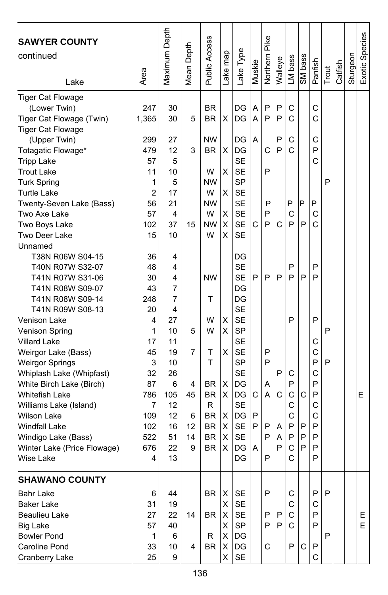| <b>SAWYER COUNTY</b><br>continued<br>Lake | Area  | Maximum Depth | Mean Depth | Public Access | ake map | Lake Type      | Muskie | Pike<br>Northern | Walleye | LM bass      | SM bass | Panfish | Trout | Catfish | Sturgeon | Exotic Species |
|-------------------------------------------|-------|---------------|------------|---------------|---------|----------------|--------|------------------|---------|--------------|---------|---------|-------|---------|----------|----------------|
| <b>Tiger Cat Flowage</b>                  |       |               |            |               |         |                |        |                  |         |              |         |         |       |         |          |                |
| (Lower Twin)                              | 247   | 30            |            | <b>BR</b>     |         | DG             | Α      | P                | P       | С            |         | C       |       |         |          |                |
| Tiger Cat Flowage (Twin)                  | 1,365 | 30            | 5          | <b>BR</b>     | х       | DG             | A      | P                | P       | C            |         | Ć       |       |         |          |                |
| <b>Tiger Cat Flowage</b>                  |       |               |            |               |         |                |        |                  |         |              |         |         |       |         |          |                |
| (Upper Twin)                              | 299   | 27            |            | NW            |         | DG             | A      |                  | P       | С            |         | С       |       |         |          |                |
| Totagatic Flowage*                        | 479   | 12            | 3          | <b>BR</b>     | х       | DG             |        | C                | P       | C            |         | P       |       |         |          |                |
| <b>Tripp Lake</b>                         | 57    | 5             |            |               |         | <b>SE</b>      |        |                  |         |              |         | Ċ       |       |         |          |                |
| <b>Trout Lake</b>                         | 11    | 10            |            | W             | X       | <b>SE</b>      |        | P                |         |              |         |         |       |         |          |                |
| <b>Turk Spring</b>                        | 1     | 5             |            | NW            |         | <b>SP</b>      |        |                  |         |              |         |         | P     |         |          |                |
| <b>Turtle Lake</b>                        | 2     | 17            |            | W             | X       | <b>SE</b>      |        |                  |         |              |         |         |       |         |          |                |
| Twenty-Seven Lake (Bass)                  | 56    | 21            |            | NW            |         | <b>SE</b>      |        | P                |         | P            | P       | P       |       |         |          |                |
| Two Axe Lake                              | 57    | 4             |            | W             | X       | <b>SE</b>      |        | P                |         | C            |         | C       |       |         |          |                |
| Two Boys Lake                             | 102   | 37            | 15         | <b>NW</b>     | X       | <b>SE</b>      | С      | P                | С       | P            | P       | Ć       |       |         |          |                |
| Two Deer Lake                             | 15    | 10            |            | W             | X       | <b>SE</b>      |        |                  |         |              |         |         |       |         |          |                |
| Unnamed                                   |       |               |            |               |         |                |        |                  |         |              |         |         |       |         |          |                |
| T38N R06W S04-15                          | 36    | 4             |            |               |         | DG             |        |                  |         |              |         |         |       |         |          |                |
| T40N R07W S32-07                          | 48    | 4             |            |               |         | <b>SE</b>      |        |                  |         | P            |         | P       |       |         |          |                |
| T41N R07W S31-06                          | 30    | 4             |            | <b>NW</b>     |         | SE             | P      | P                | P       | P            | P       | P       |       |         |          |                |
| T41N R08W S09-07                          | 43    | 7             |            |               |         | DG             |        |                  |         |              |         |         |       |         |          |                |
| T41N R08W S09-14                          | 248   | 7             |            | т             |         | DG             |        |                  |         |              |         |         |       |         |          |                |
| T41N R09W S08-13                          | 20    | 4             |            |               |         | <b>SE</b>      |        |                  |         |              |         |         |       |         |          |                |
| Venison Lake                              | 4     | 27            |            | W             | X       | <b>SE</b>      |        |                  |         | P            |         | P       |       |         |          |                |
| Venison Spring                            | 1     | 10            | 5          | W             | X       | <b>SP</b>      |        |                  |         |              |         |         | P     |         |          |                |
| <b>Villard Lake</b>                       | 17    | 11            |            |               |         | <b>SE</b>      |        |                  |         |              |         | С       |       |         |          |                |
| Weirgor Lake (Bass)                       | 45    | 19            | 7          | т             | x       | <b>SE</b>      |        | P                |         |              |         | C       |       |         |          |                |
| <b>Weirgor Springs</b>                    | 3     | 10            |            | т             |         | <b>SP</b>      |        | P                |         |              |         | P       | P     |         |          |                |
| Whiplash Lake (Whipfast)                  | 32    | 26            |            |               |         | <b>SE</b>      |        |                  | P       | С            |         | C       |       |         |          |                |
| White Birch Lake (Birch)                  | 87    | 6             | 4          | <b>BR</b>     | Х       | DG             |        | Α                |         | P            |         | P       |       |         |          |                |
| Whitefish Lake                            | 786   | 105           | 45         | <b>BR</b>     | X       | DG             | С      | A                | C       | C            | C       | P       |       |         |          | Е              |
| Williams Lake (Island)                    | 7     | 12            |            | R             |         | <b>SE</b>      |        |                  |         | C            |         | C       |       |         |          |                |
| <b>Wilson Lake</b>                        | 109   | 12            | 6          | <b>BR</b>     | х       | DG             | P      |                  |         | C            |         | Ċ       |       |         |          |                |
| <b>Windfall Lake</b>                      | 102   | 16            | 12         | <b>BR</b>     | X       | <b>SE</b>      | P      | P                | Α       | P            | P       | P       |       |         |          |                |
| Windigo Lake (Bass)                       | 522   | 51            | 14         | <b>BR</b>     | х       | <b>SE</b>      |        | P                | Α       | P            | P       | P       |       |         |          |                |
| Winter Lake (Price Flowage)               | 676   | 22            | 9          | <b>BR</b>     | X       | DG             | A      |                  | P       | $\mathsf{C}$ | P       | P       |       |         |          |                |
| Wise Lake                                 | 4     | 13            |            |               |         | DG             |        | P                |         | C            |         | P       |       |         |          |                |
| <b>SHAWANO COUNTY</b>                     |       |               |            |               |         |                |        |                  |         |              |         |         |       |         |          |                |
| Bahr Lake                                 | 6     | 44            |            | BR.           | Χ       | SE             |        | P                |         | C            |         | P       | P     |         |          |                |
| <b>Baker Lake</b>                         | 31    | 19            |            |               | X.      | <b>SE</b>      |        |                  |         | С            |         | С       |       |         |          |                |
| Beaulieu Lake                             | 27    | 22            | 14         | <b>BR</b>     | X       | SE             |        | P                | P       | $\mathsf{C}$ |         | P       |       |         |          | E.             |
| <b>Big Lake</b>                           | 57    | 40            |            |               | X.      | SP             |        | P                | P       | C            |         | P       |       |         |          | E              |
| <b>Bowler Pond</b>                        | 1     | 6             |            | R             | X       | $\overline{D}$ |        |                  |         |              |         |         | P     |         |          |                |
| Caroline Pond                             | 33    | 10            | 4          | BR            | Χ       | DG             |        | C                |         | P            | C       | P       |       |         |          |                |
| Cranberry Lake                            | 25    | 9             |            |               | X.      | SE             |        |                  |         |              |         | С       |       |         |          |                |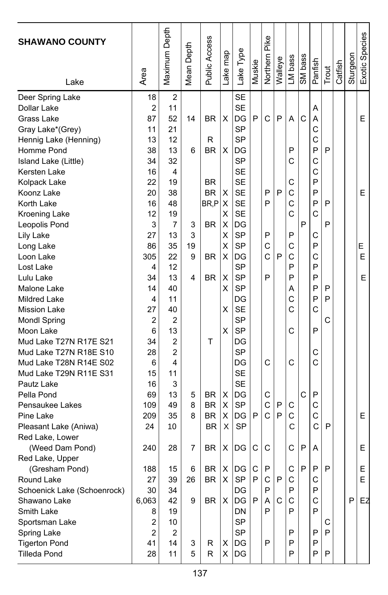| <b>SHAWANO COUNTY</b><br>Lake | Area           | Maximum Depth  | Depth<br>Mean I | Public Access | Lake map | Lake Type | Muskie       | Northern Pike | Walleye | LM bass | SM bass | Panfish | Trout        | Catfish | Sturgeon | Exotic Species |
|-------------------------------|----------------|----------------|-----------------|---------------|----------|-----------|--------------|---------------|---------|---------|---------|---------|--------------|---------|----------|----------------|
| Deer Spring Lake              | 18             | 2              |                 |               |          | <b>SE</b> |              |               |         |         |         |         |              |         |          |                |
| Dollar Lake                   | $\overline{2}$ | 11             |                 |               |          | <b>SE</b> |              |               |         |         |         | Α       |              |         |          |                |
| Grass Lake                    | 87             | 52             | 14              | BR            | X        | DG        | P            | C             | P       | A       | C       | A       |              |         |          | Е              |
| Gray Lake*(Grey)              | 11             | 21             |                 |               |          | SP        |              |               |         |         |         | C       |              |         |          |                |
| Hennig Lake (Henning)         | 13             | 12             |                 | R             |          | <b>SP</b> |              |               |         |         |         | C       |              |         |          |                |
| Homme Pond                    | 38             | 13             | 6               | BR            | X        | DG        |              |               |         | P       |         | P       | P            |         |          |                |
| Island Lake (Little)          | 34             | 32             |                 |               |          | SP        |              |               |         | C       |         | C       |              |         |          |                |
| Kersten Lake                  | 16             | 4              |                 |               |          | <b>SE</b> |              |               |         |         |         | С       |              |         |          |                |
| Kolpack Lake                  | 22             | 19             |                 | <b>BR</b>     |          | <b>SE</b> |              |               |         | C       |         | P       |              |         |          |                |
| Koonz Lake                    | 20             | 38             |                 | BR.           | X        | <b>SE</b> |              | P             | P       | C       |         | P       |              |         |          | E              |
| Korth Lake                    | 16             | 48             |                 | BR,P          | X        | <b>SE</b> |              | P             |         | C       |         | P       | P            |         |          |                |
| Kroening Lake                 | 12             | 19             |                 |               | х        | <b>SE</b> |              |               |         | C       |         | С       |              |         |          |                |
| Leopolis Pond                 | 3              | 7              | 3               | <b>BR</b>     | х        | DG        |              |               |         |         | P       |         | P            |         |          |                |
| Lily Lake                     | 27             | 13             | 3               |               | X        | <b>SP</b> |              | P             |         | P       |         | С       |              |         |          |                |
| Long Lake                     | 86             | 35             | 19              |               | X        | <b>SP</b> |              | C             |         | C       |         | P       |              |         |          | Е              |
| Loon Lake                     | 305            | 22             | 9               | BR            | X        | DG        |              | Ċ             | P       | C       |         | C       |              |         |          | Ε              |
| Lost Lake                     | 4              | 12             |                 |               |          | <b>SP</b> |              |               |         | P       |         | P       |              |         |          |                |
| Lulu Lake                     | 34             | 13             | 4               | <b>BR</b>     | X        | <b>SP</b> |              | P             |         | P       |         | P       |              |         |          | E              |
| Malone Lake                   | 14             | 40             |                 |               | х        | <b>SP</b> |              |               |         | Α       |         | P       | P            |         |          |                |
| Mildred Lake                  | 4              | 11             |                 |               |          | DG        |              |               |         | C       |         | P       | P            |         |          |                |
| <b>Mission Lake</b>           | 27             | 40             |                 |               | х        | <b>SE</b> |              |               |         | C       |         | C       |              |         |          |                |
| <b>Mondl Spring</b>           | 2              | 2              |                 |               |          | <b>SP</b> |              |               |         |         |         |         | C            |         |          |                |
| Moon Lake                     | 6              | 13             |                 |               | X        | <b>SP</b> |              |               |         | C       |         | P       |              |         |          |                |
| Mud Lake T27N R17E S21        | 34             | $\overline{2}$ |                 | т             |          | DG        |              |               |         |         |         |         |              |         |          |                |
| Mud Lake T27N R18E S10        | 28             | 2              |                 |               |          | SP        |              |               |         |         |         | С       |              |         |          |                |
| Mud Lake T28N R14E S02        | 6              | 4              |                 |               |          | DG        |              | C             |         | C       |         | Ć       |              |         |          |                |
| Mud Lake T29N R11E S31        | 15             | 11             |                 |               |          | <b>SE</b> |              |               |         |         |         |         |              |         |          |                |
| Pautz Lake                    | 16             | 3              |                 |               |          | <b>SE</b> |              |               |         |         |         |         |              |         |          |                |
| Pella Pond                    | 69             | 13             | 5               | <b>BR</b>     | х        | DG        |              | С             |         |         | C       | P       |              |         |          |                |
| Pensaukee Lakes               | 109            | 49             | 8               | <b>BR</b>     | х        | <b>SP</b> |              | Ċ             | P       | C       |         | C       |              |         |          |                |
| Pine Lake                     | 209            | 35             | 8               | <b>BR</b>     | X        | DG        | P            | Ć             | P       | C       |         | C       |              |         |          | Ε              |
| Pleasant Lake (Aniwa)         | 24             | 10             |                 | <b>BR</b>     | X        | <b>SP</b> |              |               |         | C       |         | С       | P            |         |          |                |
| Red Lake, Lower               |                |                |                 |               |          |           |              |               |         |         |         |         |              |         |          |                |
| (Weed Dam Pond)               | 240            | 28             | 7               | <b>BR</b>     | х        | DG        | С            | C             |         | С       | P       | Α       |              |         |          | Е              |
| Red Lake, Upper               |                |                |                 |               |          |           |              |               |         |         |         |         |              |         |          |                |
| (Gresham Pond)                | 188            | 15             | 6               | <b>BR</b>     |          | $X$ DG    | $\mathsf{C}$ | P             |         | C       | P       | P.      | $\mathsf{P}$ |         |          | Е              |
| Round Lake                    | 27             | 39             | 26              | BR            | Χ        | SP        | P            | С             | P       | С       |         | C       |              |         |          | E.             |
| Schoenick Lake (Schoenrock)   | 30             | 34             |                 |               |          | DG        |              | P             |         | Ρ       |         | P       |              |         |          |                |
| Shawano Lake                  | 6,063          | 42             | 9               | BR            | X        | DG        | P            | A             | C       | C       |         | C       |              |         | P        | EZ             |
| Smith Lake                    | 8              | 19             |                 |               |          | DN        |              | P             |         | P       |         | P       |              |         |          |                |
| Sportsman Lake                | $\overline{c}$ | 10             |                 |               |          | <b>SP</b> |              |               |         |         |         |         | С            |         |          |                |
| Spring Lake                   | 2              | 2              |                 |               |          | SP        |              |               |         | P       |         | P       | P            |         |          |                |
| <b>Tigerton Pond</b>          | 41             | 14             | 3               | R             | X        | DG        |              | P             |         | P       |         | P       |              |         |          |                |
| <b>Tilleda Pond</b>           | 28             | 11             | 5               | R             | X        | DG        |              |               |         | P       |         | P       | P            |         |          |                |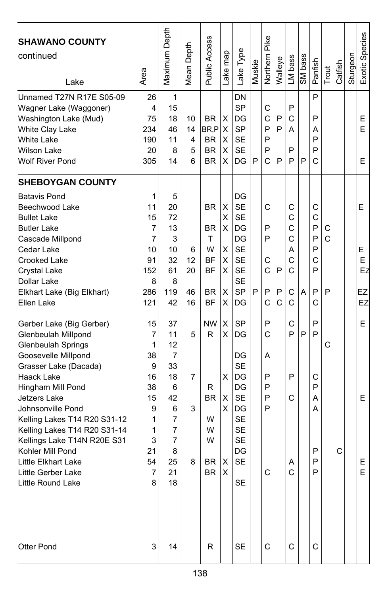| <b>SHAWANO COUNTY</b><br>continued<br>Lake                                                                                                                                                                                                                                                                                                                                | Area                                                                                     | Maximum Depth                                                                             | Depth<br>Mean                  | Public Access                                                                                   | map<br>ake i                                   | Lake Type                                                                                                                                      | Muskie | Pike<br>Northern                               | Walleye     | LM bass                                             | SM bass | Panfish                                             | Trout            | Catfish | Sturgeon | Exotic Species                     |
|---------------------------------------------------------------------------------------------------------------------------------------------------------------------------------------------------------------------------------------------------------------------------------------------------------------------------------------------------------------------------|------------------------------------------------------------------------------------------|-------------------------------------------------------------------------------------------|--------------------------------|-------------------------------------------------------------------------------------------------|------------------------------------------------|------------------------------------------------------------------------------------------------------------------------------------------------|--------|------------------------------------------------|-------------|-----------------------------------------------------|---------|-----------------------------------------------------|------------------|---------|----------|------------------------------------|
| Unnamed T27N R17E S05-09<br>Wagner Lake (Waggoner)<br>Washington Lake (Mud)<br>White Clay Lake<br>White Lake<br><b>Wilson Lake</b><br><b>Wolf River Pond</b>                                                                                                                                                                                                              | 26<br>4<br>75<br>234<br>190<br>20<br>305                                                 | 1<br>15<br>18<br>46<br>11<br>8<br>14                                                      | 10<br>14<br>4<br>5<br>6        | <b>BR</b><br>BR,P<br>BR.<br><b>BR</b><br>BR.                                                    | х<br>X<br>X<br>х<br>х                          | DN<br><b>SP</b><br>DG<br><b>SP</b><br><b>SE</b><br><b>SE</b><br>DG                                                                             | P      | C<br>C<br>P<br>P<br>P<br>Ć                     | P<br>P<br>P | P<br>C<br>Α<br>P<br>P                               | P       | P<br>P<br>Α<br>P<br>P<br>C                          |                  |         |          | Е<br>E<br>Е                        |
| <b>SHEBOYGAN COUNTY</b><br><b>Batavis Pond</b><br>Beechwood Lake<br><b>Bullet Lake</b><br><b>Butler Lake</b><br>Cascade Millpond<br>Cedar Lake<br>Crooked Lake<br>Crystal Lake<br>Dollar Lake<br>Elkhart Lake (Big Elkhart)<br>Ellen Lake<br>Gerber Lake (Big Gerber)<br>Glenbeulah Millpond<br><b>Glenbeulah Springs</b><br>Goosevelle Millpond<br>Grasser Lake (Dacada) | 1<br>11<br>15<br>7<br>7<br>10<br>91<br>152<br>8<br>286<br>121<br>15<br>7<br>1<br>38<br>9 | 5<br>20<br>72<br>13<br>3<br>10<br>32<br>61<br>8<br>119<br>42<br>37<br>11<br>12<br>7<br>33 | 6<br>12<br>20<br>46<br>16<br>5 | <b>BR</b><br><b>BR</b><br>T<br>W<br><b>BF</b><br>ΒF<br><b>BR</b><br><b>BF</b><br><b>NW</b><br>R | X<br>Χ<br>X<br>Χ<br>X<br>х<br>Χ<br>X<br>X<br>X | DG<br><b>SE</b><br><b>SE</b><br>DG<br>DG<br><b>SE</b><br><b>SE</b><br><b>SE</b><br><b>SE</b><br><b>SP</b><br>DG<br>SP<br>DG<br>DG<br><b>SE</b> | P      | C<br>P<br>P<br>C<br>C<br>P<br>C<br>P<br>C<br>А | P<br>P<br>C | C<br>C<br>C<br>Ċ<br>A<br>Ċ<br>Ċ<br>C<br>Ċ<br>C<br>P | A<br>P  | C<br>C<br>P<br>P<br>P<br>C<br>P<br>P<br>C<br>P<br>P | C<br>C<br>P<br>С |         |          | E<br>Е<br>E<br>EZ<br>EZ<br>EZ<br>E |
| Haack Lake<br>Hingham Mill Pond<br>Jetzers Lake<br>Johnsonville Pond<br>Kelling Lakes T14 R20 S31-12<br>Kelling Lakes T14 R20 S31-14<br>Kellings Lake T14N R20E S31<br>Kohler Mill Pond<br>Little Elkhart Lake<br>Little Gerber Lake<br>Little Round Lake<br><b>Otter Pond</b>                                                                                            | 16<br>38<br>15<br>9<br>1<br>1<br>3<br>21<br>54<br>7<br>8<br>3                            | 18<br>6<br>42<br>6<br>7<br>7<br>7<br>8<br>25<br>21<br>18<br>14                            | 7<br>3<br>8                    | R<br>BR<br>W<br>W<br>W<br>BR.<br>BR<br>R                                                        | X<br>X<br>X<br>х<br>$\mathsf X$                | DG<br>DG<br><b>SE</b><br>DG<br><b>SE</b><br><b>SE</b><br><b>SE</b><br>DG<br><b>SE</b><br><b>SE</b>                                             |        | P<br>P<br>P<br>P<br>C<br>С                     |             | P<br>C<br>Α<br>С                                    |         | С<br>P<br>A<br>A<br>P<br>P<br>P<br>С                |                  | C       |          | Е<br>Ε<br>E                        |
|                                                                                                                                                                                                                                                                                                                                                                           |                                                                                          |                                                                                           |                                |                                                                                                 |                                                | <b>SE</b>                                                                                                                                      |        |                                                |             | С                                                   |         |                                                     |                  |         |          |                                    |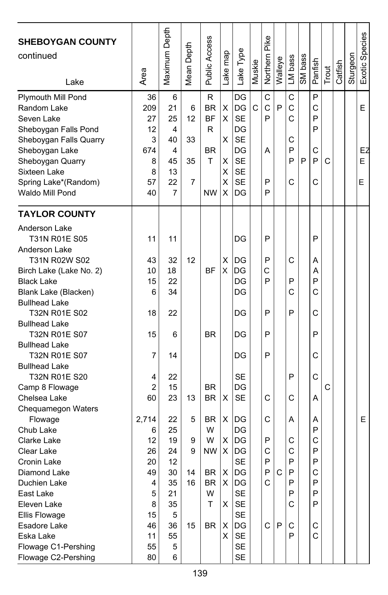| <b>SHEBOYGAN COUNTY</b><br>continued<br>Lake | Area           | Maximum Depth | Mean Depth | Public Access | Lake map | Lake Type      | Muskie | Northern Pike | Walleye | LM bass | SM bass | Panfish | Trout | Catfish | Sturgeon | Exotic Species |
|----------------------------------------------|----------------|---------------|------------|---------------|----------|----------------|--------|---------------|---------|---------|---------|---------|-------|---------|----------|----------------|
|                                              | 36             | 6             |            | R             |          | DG             |        | C             |         | C       |         | P       |       |         |          |                |
| Plymouth Mill Pond<br>Random Lake            | 209            | 21            | 6          | <b>BR</b>     | X        | DG             | Ć      | C             | P       | C       |         | C       |       |         |          | E              |
| Seven Lake                                   | 27             | 25            | 12         | <b>BF</b>     | X        | <b>SE</b>      |        | P             |         | C       |         | P       |       |         |          |                |
| Sheboygan Falls Pond                         | 12             | 4             |            | R             |          | DG             |        |               |         |         |         | P       |       |         |          |                |
| Sheboygan Falls Quarry                       | 3              | 40            | 33         |               | X        | <b>SE</b>      |        |               |         | С       |         |         |       |         |          |                |
| Sheboygan Lake                               | 674            | 4             |            | <b>BR</b>     |          | DG             |        | A             |         | P       |         | С       |       |         |          | EZ             |
| Sheboygan Quarry                             | 8              | 45            | 35         | т             | X        | <b>SE</b>      |        |               |         | P       | P       | P       | C     |         |          | Е              |
| Sixteen Lake                                 | 8              | 13            |            |               | х        | <b>SE</b>      |        |               |         |         |         |         |       |         |          |                |
| Spring Lake*(Random)                         | 57             | 22            | 7          |               | х        | <b>SE</b>      |        | P             |         | C       |         | C       |       |         |          | E              |
| Waldo Mill Pond                              | 40             | 7             |            | <b>NW</b>     | х        | DG             |        | P             |         |         |         |         |       |         |          |                |
|                                              |                |               |            |               |          |                |        |               |         |         |         |         |       |         |          |                |
| <b>TAYLOR COUNTY</b>                         |                |               |            |               |          |                |        |               |         |         |         |         |       |         |          |                |
| Anderson Lake                                |                |               |            |               |          |                |        |               |         |         |         |         |       |         |          |                |
| T31N R01E S05                                | 11             | 11            |            |               |          | DG             |        | P             |         |         |         | P       |       |         |          |                |
| Anderson Lake                                |                |               |            |               |          |                |        |               |         |         |         |         |       |         |          |                |
| T31N R02W S02                                | 43             | 32            | 12         |               | X        | DG             |        | P             |         | С       |         | Α       |       |         |          |                |
| Birch Lake (Lake No. 2)                      | 10             | 18            |            | <b>BF</b>     | X        | DG             |        | С             |         |         |         | A       |       |         |          |                |
| <b>Black Lake</b>                            | 15             | 22            |            |               |          | DG             |        | P             |         | P       |         | P       |       |         |          |                |
| Blank Lake (Blacken)                         | 6              | 34            |            |               |          | DG             |        |               |         | C       |         | C       |       |         |          |                |
| <b>Bullhead Lake</b>                         |                |               |            |               |          |                |        |               |         |         |         |         |       |         |          |                |
| T32N R01E S02                                | 18             | 22            |            |               |          | DG             |        | P             |         | P       |         | C       |       |         |          |                |
| <b>Bullhead Lake</b>                         |                |               |            |               |          |                |        |               |         |         |         |         |       |         |          |                |
| T32N R01E S07                                | 15             | 6             |            | <b>BR</b>     |          | DG             |        | P             |         |         |         | P       |       |         |          |                |
| <b>Bullhead Lake</b>                         |                |               |            |               |          |                |        |               |         |         |         |         |       |         |          |                |
| T32N R01E S07                                | 7              | 14            |            |               |          | DG             |        | P             |         |         |         | С       |       |         |          |                |
| <b>Bullhead Lake</b>                         |                |               |            |               |          |                |        |               |         |         |         |         |       |         |          |                |
| T32N R01E S20                                | 4              | 22            |            |               |          | SЕ             |        |               |         | P       |         | C       |       |         |          |                |
| Camp 8 Flowage                               | $\overline{2}$ | 15            |            | <b>BR</b>     |          | DG             |        |               |         |         |         |         | C     |         |          |                |
| Chelsea Lake                                 | 60             | 23            | 13         | <b>BR</b>     | х        | <b>SE</b>      |        | C             |         | С       |         | Α       |       |         |          |                |
| Chequamegon Waters                           |                |               |            |               |          |                |        |               |         |         |         |         |       |         |          |                |
| Flowage                                      | 2,714          | 22            | 5          | <b>BR</b>     | х        | DG             |        | C             |         | Α       |         | Α       |       |         |          | Е              |
| Chub Lake                                    | 6              | 25            |            | W             |          | DG             |        |               |         |         |         | P       |       |         |          |                |
| Clarke Lake                                  | 12             | 19            | 9          | W             | X        | DG             |        | P             |         | С       |         | C       |       |         |          |                |
| Clear Lake                                   | 26             | 24            | 9          | <b>NW</b>     | х        | DG             |        | C             |         | C       |         | P       |       |         |          |                |
| Cronin Lake                                  | 20             | 12            |            |               |          | <b>SE</b>      |        | P             |         | P       |         | P       |       |         |          |                |
| Diamond Lake                                 | 49             | 30            | 14         | BR            | х        | DG             |        | Р             | C       | Р       |         | С       |       |         |          |                |
| Duchien Lake                                 | 4              | 35            | 16         | BR            | X        | $\overline{D}$ |        | С             |         | P       |         | P       |       |         |          |                |
| East Lake                                    | 5              | 21            |            | W             |          | <b>SE</b>      |        |               |         | P       |         | P       |       |         |          |                |
| Eleven Lake                                  | 8              | 35            |            | Τ             | X        | SE             |        |               |         | C       |         | P       |       |         |          |                |
| Ellis Flowage                                | 15             | 5             |            |               |          | <b>SE</b>      |        |               |         |         |         |         |       |         |          |                |
| Esadore Lake                                 | 46             | 36            | 15         | BR            | х        | DG             |        | C             | P       | С       |         | С       |       |         |          |                |
| Eska Lake                                    | 11             | 55            |            |               | X.       | <b>SE</b>      |        |               |         | P       |         | C       |       |         |          |                |
| Flowage C1-Pershing                          | 55             | 5             |            |               |          | <b>SE</b>      |        |               |         |         |         |         |       |         |          |                |
| Flowage C2-Pershing                          | 80             | 6             |            |               |          | SE             |        |               |         |         |         |         |       |         |          |                |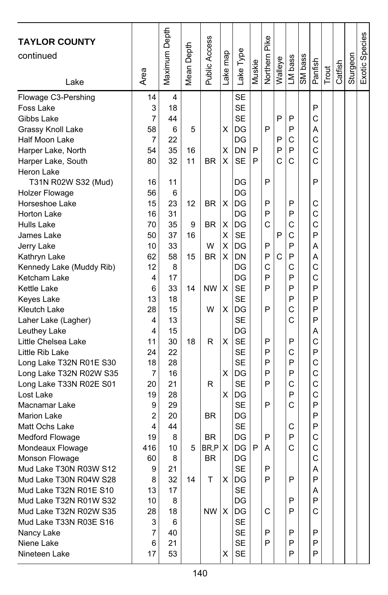| <b>TAYLOR COUNTY</b>     |                | Maximum Depth |            | <b>Public Access</b> |          |           |        | Northern Pike |         |         |         |         |       |         |          | Exotic Species |
|--------------------------|----------------|---------------|------------|----------------------|----------|-----------|--------|---------------|---------|---------|---------|---------|-------|---------|----------|----------------|
| continued                |                |               |            |                      |          |           |        |               |         |         |         |         |       |         |          |                |
|                          |                |               | Mean Depth |                      |          | ake Type. | Muskie |               | Walleye | LM bass | SM bass | Panfish |       | Catfish | Sturgeon |                |
| Lake                     | Area           |               |            |                      | Lake map |           |        |               |         |         |         |         | Trout |         |          |                |
| Flowage C3-Pershing      | 14             | 4             |            |                      |          | <b>SE</b> |        |               |         |         |         |         |       |         |          |                |
| Foss Lake                | 3              | 18            |            |                      |          | <b>SE</b> |        |               |         |         |         | P       |       |         |          |                |
| Gibbs Lake               | $\overline{7}$ | 44            |            |                      |          | <b>SE</b> |        |               | P       | P       |         | Ċ       |       |         |          |                |
| Grassy Knoll Lake        | 58             | 6             | 5          |                      | х        | DG        |        | P             |         | P       |         | А       |       |         |          |                |
| Half Moon Lake           | 7              | 22            |            |                      |          | DG        |        |               | P       | С       |         | C       |       |         |          |                |
| Harper Lake, North       | 54             | 35            | 16         |                      | X        | DN        | P      |               | P       | P       |         | C       |       |         |          |                |
| Harper Lake, South       | 80             | 32            | 11         | <b>BR</b>            | х        | <b>SE</b> | P      |               | Ć       | С       |         | С       |       |         |          |                |
| Heron Lake               |                |               |            |                      |          |           |        |               |         |         |         |         |       |         |          |                |
| T31N R02W S32 (Mud)      | 16             | 11            |            |                      |          | DG        |        | P             |         |         |         | P       |       |         |          |                |
| <b>Holzer Flowage</b>    | 56             | 6             |            |                      |          | DG        |        |               |         |         |         |         |       |         |          |                |
| Horseshoe Lake           | 15             | 23            | 12         | <b>BR</b>            | X        | DG        |        | P             |         | P       |         | С       |       |         |          |                |
| Horton Lake              | 16             | 31            |            |                      |          | DG        |        | P             |         | P       |         | C       |       |         |          |                |
| Hulls Lake               | 70             | 35            | 9          | BR                   | X        | DG        |        | C             |         | C       |         | C       |       |         |          |                |
| James Lake               | 50             | 37            | 16         |                      | Χ        | <b>SE</b> |        |               | P       | C       |         | P       |       |         |          |                |
| Jerry Lake               | 10             | 33            |            | W                    | Χ        | DG        |        | P             |         | P       |         | Α       |       |         |          |                |
| Kathryn Lake             | 62             | 58            | 15         | BR.                  | х        | DN        |        | P             | C       | P       |         | Α       |       |         |          |                |
| Kennedy Lake (Muddy Rib) | 12             | 8             |            |                      |          | DG        |        | C             |         | С       |         | C       |       |         |          |                |
| Ketcham Lake             | 4              | 17            |            |                      |          | DG        |        | P             |         | P       |         | C       |       |         |          |                |
| Kettle Lake              | 6              | 33            | 14         | <b>NW</b>            | X        | <b>SE</b> |        | P             |         | P       |         | P       |       |         |          |                |
| Keyes Lake               | 13             | 18            |            |                      |          | <b>SE</b> |        |               |         | P       |         | P       |       |         |          |                |
| Kleutch Lake             | 28             | 15            |            | W                    | Χ        | DG        |        | P             |         | C       |         | P       |       |         |          |                |
| Laher Lake (Lagher)      | 4              | 13            |            |                      |          | <b>SE</b> |        |               |         | C       |         | P       |       |         |          |                |
| Leuthey Lake             | 4              | 15            |            |                      |          | DG        |        |               |         |         |         | Α       |       |         |          |                |
| Little Chelsea Lake      | 11             | 30            | 18         | R                    | X        | <b>SE</b> |        | P             |         | P       |         | C       |       |         |          |                |
| Little Rib Lake          | 24             | 22            |            |                      |          | <b>SE</b> |        | P             |         | С       |         | P       |       |         |          |                |
| Long Lake T32N R01E S30  | 18             | 28            |            |                      |          | <b>SE</b> |        | P             |         | P       |         | C       |       |         |          |                |
| Long Lake T32N R02W S35  | $\overline{7}$ | 16            |            |                      | X        | DG        |        | P             |         | P       |         | C       |       |         |          |                |
| Long Lake T33N R02E S01  | 20             | 21            |            | R                    |          | <b>SE</b> |        | P             |         | C       |         | C       |       |         |          |                |
| Lost Lake                | 19             | 28            |            |                      | х        | DG        |        |               |         | P       |         | C       |       |         |          |                |
| Macnamar Lake            | 9              | 29            |            |                      |          | <b>SE</b> |        | P             |         | C       |         | P       |       |         |          |                |
| <b>Marion Lake</b>       | 2              | 20            |            | <b>BR</b>            |          | DG        |        |               |         |         |         | P       |       |         |          |                |
| Matt Ochs Lake           | 4              | 44            |            |                      |          | <b>SE</b> |        |               |         | С       |         | P       |       |         |          |                |
| Medford Flowage          | 19             | 8             |            | <b>BR</b>            |          | DG        |        | P             |         | P       |         | C       |       |         |          |                |
| Mondeaux Flowage         | 416            | 10            | 5          | BR,P                 | X        | DG        | P      | А             |         | Ċ       |         | C       |       |         |          |                |
| Monson Flowage           | 60             | 8             |            | <b>BR</b>            |          | DG        |        |               |         |         |         | C       |       |         |          |                |
| Mud Lake T30N R03W S12   | 9              | 21            |            |                      |          | <b>SF</b> |        | P             |         |         |         | A       |       |         |          |                |
| Mud Lake T30N R04W S28   | 8              | 32            | 14         | т                    | X        | DG        |        | P             |         | P       |         | P       |       |         |          |                |
| Mud Lake T32N R01E S10   | 13             | 17            |            |                      |          | <b>SE</b> |        |               |         |         |         | A       |       |         |          |                |
| Mud Lake T32N R01W S32   | 10             | 8             |            |                      |          | DG        |        |               |         | P       |         | P       |       |         |          |                |
| Mud Lake T32N R02W S35   | 28             | 18            |            | NW                   | X        | DG        |        | C             |         | P       |         | C       |       |         |          |                |
| Mud Lake T33N R03E S16   | 3              | 6             |            |                      |          | SE        |        |               |         |         |         |         |       |         |          |                |
| Nancy Lake               | 7              | 40            |            |                      |          | <b>SE</b> |        | P             |         | Ρ       |         | P       |       |         |          |                |
| Niene Lake               | 6              | 21            |            |                      |          | <b>SE</b> |        | P             |         | P       |         | P       |       |         |          |                |
| Nineteen Lake            | 17             | 53            |            |                      | X        | <b>SE</b> |        |               |         | P       |         | P       |       |         |          |                |
|                          |                |               |            |                      |          |           |        |               |         |         |         |         |       |         |          |                |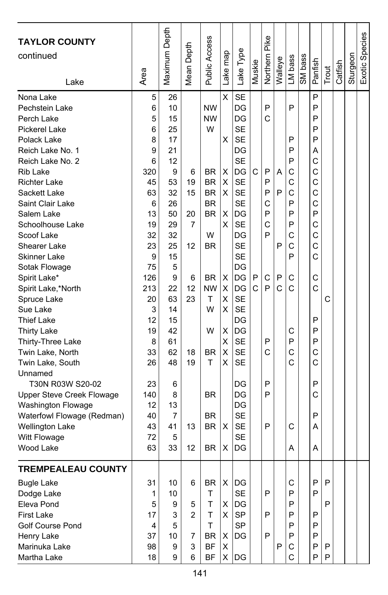| <b>TAYLOR COUNTY</b><br>continued<br>Lake | Area   | Maximum Depth | Mean Depth     | <b>Public Access</b> | Lake map | Lake Type       | Muskie | Northern Pike | Walleye | LM bass | SM bass | Panfish | Trout | Catfish | Sturgeon | Exotic Species |
|-------------------------------------------|--------|---------------|----------------|----------------------|----------|-----------------|--------|---------------|---------|---------|---------|---------|-------|---------|----------|----------------|
|                                           |        |               |                |                      |          |                 |        |               |         |         |         |         |       |         |          |                |
| Nona Lake                                 | 5<br>6 | 26<br>10      |                | <b>NW</b>            | X        | <b>SE</b><br>DG |        | P             |         | P       |         | P<br>P  |       |         |          |                |
| Pechstein Lake<br>Perch Lake              | 5      | 15            |                | <b>NW</b>            |          | DG              |        | C             |         |         |         | P       |       |         |          |                |
| <b>Pickerel Lake</b>                      | 6      | 25            |                | W                    |          | <b>SE</b>       |        |               |         |         |         | P       |       |         |          |                |
| Polack Lake                               | 8      | 17            |                |                      | х        | <b>SE</b>       |        |               |         | P       |         | P       |       |         |          |                |
| Reich Lake No. 1                          | 9      | 21            |                |                      |          | DG              |        |               |         | P       |         | Α       |       |         |          |                |
| Reich Lake No. 2                          | 6      | 12            |                |                      |          | <b>SE</b>       |        |               |         | P       |         | C       |       |         |          |                |
| Rib Lake                                  | 320    | 9             | 6              | <b>BR</b>            | X        | DG              | C      | P             | A       | С       |         | C       |       |         |          |                |
| <b>Richter Lake</b>                       | 45     | 53            | 19             | <b>BR</b>            | X        | <b>SE</b>       |        | P             |         | C       |         | C       |       |         |          |                |
| Sackett Lake                              | 63     | 32            | 15             | <b>BR</b>            | X        | <b>SE</b>       |        | P             | P       | С       |         | C       |       |         |          |                |
| Saint Clair Lake                          | 6      | 26            |                | <b>BR</b>            |          | <b>SE</b>       |        | C             |         | P       |         | C       |       |         |          |                |
| Salem Lake                                | 13     | 50            | 20             | <b>BR</b>            | Χ        | DG              |        | P             |         | P       |         | P       |       |         |          |                |
| Schoolhouse Lake                          | 19     | 29            | 7              |                      | X        | <b>SE</b>       |        | C             |         | P       |         | C       |       |         |          |                |
| Scoof Lake                                | 32     | 32            |                | W                    |          | DG              |        | P             |         | C       |         | C       |       |         |          |                |
| Shearer Lake                              | 23     | 25            | 12             | BR                   |          | <b>SE</b>       |        |               | P       | С       |         | C       |       |         |          |                |
| Skinner Lake                              | 9      | 15            |                |                      |          | <b>SE</b>       |        |               |         | P       |         | Ċ       |       |         |          |                |
| Sotak Flowage                             | 75     | 5             |                |                      |          | DG              |        |               |         |         |         |         |       |         |          |                |
| Spirit Lake*                              | 126    | 9             | 6              | BR                   | X        | DG              | P      | C             | P       | C       |         | C       |       |         |          |                |
| Spirit Lake,*North                        | 213    | 22            | 12             | <b>NW</b>            | X        | DG              | C      | P             | C       | C       |         | C       |       |         |          |                |
| Spruce Lake                               | 20     | 63            | 23             | т                    | X        | <b>SE</b>       |        |               |         |         |         |         | C     |         |          |                |
| Sue Lake                                  | 3      | 14            |                | W                    | х        | <b>SE</b>       |        |               |         |         |         |         |       |         |          |                |
| <b>Thief Lake</b>                         | 12     | 15            |                |                      |          | DG              |        |               |         |         |         | P       |       |         |          |                |
| <b>Thirty Lake</b>                        | 19     | 42            |                | W                    | Χ        | DG              |        |               |         | С       |         | P       |       |         |          |                |
| Thirty-Three Lake                         | 8      | 61            |                |                      | х        | <b>SE</b>       |        | P             |         | P       |         | P       |       |         |          |                |
| Twin Lake, North                          | 33     | 62            | 18             | <b>BR</b>            | X        | <b>SE</b>       |        | C             |         | С       |         | C       |       |         |          |                |
| Twin Lake, South                          | 26     | 48            | 19             | Τ                    | X        | <b>SE</b>       |        |               |         | Ć       |         | C       |       |         |          |                |
| Unnamed                                   |        |               |                |                      |          |                 |        |               |         |         |         |         |       |         |          |                |
| T30N R03W S20-02                          | 23     | 6             |                |                      |          | DG              |        | P             |         |         |         | P       |       |         |          |                |
| Upper Steve Creek Flowage                 | 140    | 8             |                | <b>BR</b>            |          | DG              |        | P             |         |         |         | C       |       |         |          |                |
| Washington Flowage                        | 12     | 13            |                |                      |          | DG              |        |               |         |         |         |         |       |         |          |                |
| Waterfowl Flowage (Redman)                | 40     | 7             |                | BR                   |          | <b>SE</b>       |        |               |         |         |         | P       |       |         |          |                |
| <b>Wellington Lake</b>                    | 43     | 41            | 13             | <b>BR</b>            | х        | <b>SE</b>       |        | P             |         | С       |         | Α       |       |         |          |                |
| Witt Flowage                              | 72     | 5             |                |                      |          | <b>SE</b>       |        |               |         |         |         |         |       |         |          |                |
| Wood Lake                                 | 63     | 33            | 12             | <b>BR</b>            | х        | DG              |        |               |         | A       |         | Α       |       |         |          |                |
| <b>TREMPEALEAU COUNTY</b>                 |        |               |                |                      |          |                 |        |               |         |         |         |         |       |         |          |                |
| <b>Bugle Lake</b>                         | 31     | 10            | 6              | <b>BR</b>            | X        | DG              |        |               |         | C       |         | P       | P     |         |          |                |
| Dodge Lake                                | 1      | 10            |                | T                    |          | SE              |        | P             |         | P       |         | P       |       |         |          |                |
| Eleva Pond                                | 5      | 9             | 5              | T                    | х        | DG              |        |               |         | P       |         |         | P     |         |          |                |
| <b>First Lake</b>                         | 17     | 3             | $\overline{2}$ | T                    | X        | SP              |        | P             |         | P       |         | P       |       |         |          |                |
| <b>Golf Course Pond</b>                   | 4      | 5             |                | T.                   |          | <b>SP</b>       |        |               |         | P       |         | P       |       |         |          |                |
| Henry Lake                                | 37     | 10            | 7              | BR                   | X        | IDG.            |        | P             |         | P       |         | P       |       |         |          |                |
| Marinuka Lake                             | 98     | 9             | 3              | BF                   | Х        |                 |        |               | P       | С       |         | P       | P     |         |          |                |
| Martha Lake                               | 18     | 9             | 6              | <b>BF</b>            | X        | DG              |        |               |         | C       |         | P       | P     |         |          |                |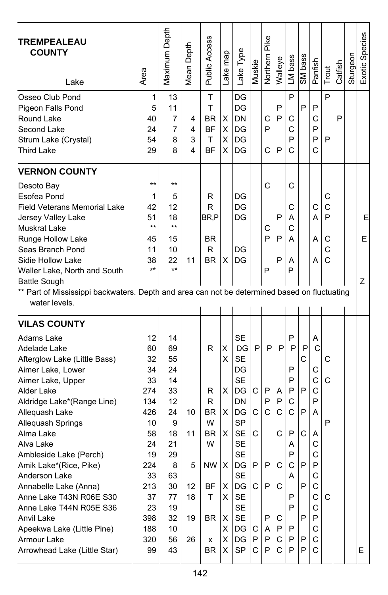| <b>TREMPEALEAU</b><br><b>COUNTY</b><br>Lake                                                                                                                                                                                                                                                                                                                                                                                                                                             | Area                                                                                                                               | Maximum Depth                                                                                                            | Mean Depth                            | <b>Public Access</b>                                                       | Lake map                                                   | Lake Type                                                                                                                                                                                         | Muskie                                     | Pike<br>Northern                               | Walleye                                                        | LM bass                                                                           | SM bass                                        | Panfish                                                                                     | Trout                                 | Catfish | Sturgeon | Exotic Species |
|-----------------------------------------------------------------------------------------------------------------------------------------------------------------------------------------------------------------------------------------------------------------------------------------------------------------------------------------------------------------------------------------------------------------------------------------------------------------------------------------|------------------------------------------------------------------------------------------------------------------------------------|--------------------------------------------------------------------------------------------------------------------------|---------------------------------------|----------------------------------------------------------------------------|------------------------------------------------------------|---------------------------------------------------------------------------------------------------------------------------------------------------------------------------------------------------|--------------------------------------------|------------------------------------------------|----------------------------------------------------------------|-----------------------------------------------------------------------------------|------------------------------------------------|---------------------------------------------------------------------------------------------|---------------------------------------|---------|----------|----------------|
| Osseo Club Pond<br>Pigeon Falls Pond<br>Round Lake<br>Second Lake<br>Strum Lake (Crystal)<br><b>Third Lake</b>                                                                                                                                                                                                                                                                                                                                                                          | 1<br>5<br>40<br>24<br>54<br>29                                                                                                     | 13<br>11<br>7<br>7<br>8<br>8                                                                                             | 4<br>4<br>3<br>4                      | T<br>T<br><b>BR</b><br>BF<br>т<br>BF                                       | X<br>X<br>х<br>X                                           | DG<br>DG<br><b>DN</b><br>lDG<br>DG<br>DG                                                                                                                                                          |                                            | С<br>P<br>C                                    | P<br>P<br>P                                                    | P<br>С<br>C<br>P<br>C                                                             | P                                              | P<br>C<br>P<br>P<br>C                                                                       | P<br>P                                | P       |          |                |
| <b>VERNON COUNTY</b><br>Desoto Bay<br>Esofea Pond<br><b>Field Veterans Memorial Lake</b><br>Jersey Valley Lake<br><b>Muskrat Lake</b><br>Runge Hollow Lake<br>Seas Branch Pond<br>Sidie Hollow Lake<br>Waller Lake, North and South<br><b>Battle Sough</b><br>** Part of Mississippi backwaters. Depth and area can not be determined based on fluctuating<br>water levels.                                                                                                             | $**$<br>1<br>42<br>51<br>$***$<br>45<br>11<br>38<br>$***$                                                                          | $***$<br>5<br>12<br>18<br>$***$<br>15<br>10<br>22<br>$***$                                                               | 11                                    | R<br>R<br>BR,P<br><b>BR</b><br>R<br><b>BR</b>                              | X                                                          | DG<br>DG<br>DG<br>DG<br>DG                                                                                                                                                                        |                                            | C<br>С<br>P<br>P                               | P<br>P<br>P                                                    | С<br>С<br>Α<br>С<br>А<br>Α<br>P                                                   |                                                | С<br>А<br>A<br>А                                                                            | С<br>$\mathsf{C}$<br>P<br>C<br>C<br>C |         |          | E<br>E<br>Ζ    |
| <b>VILAS COUNTY</b><br>Adams Lake<br>Adelade Lake<br>Afterglow Lake (Little Bass)<br>Aimer Lake, Lower<br>Aimer Lake, Upper<br>Alder Lake<br>Aldridge Lake*(Range Line)<br>Allequash Lake<br>Allequash Springs<br>Alma Lake<br>Alva Lake<br>Ambleside Lake (Perch)<br>Amik Lake*(Rice, Pike)<br>Anderson Lake<br>Annabelle Lake (Anna)<br>Anne Lake T43N R06E S30<br>Anne Lake T44N R05E S36<br>Anvil Lake<br>Apeekwa Lake (Little Pine)<br>Armour Lake<br>Arrowhead Lake (Little Star) | 12<br>60<br>32<br>34<br>33<br>274<br>134<br>426<br>10<br>58<br>24<br>19<br>224<br>33<br>213<br>37<br>23<br>398<br>188<br>320<br>99 | 14<br>69<br>55<br>24<br>14<br>33<br>12<br>24<br>9<br>18<br>21<br>29<br>8<br>63<br>30<br>77<br>19<br>32<br>10<br>56<br>43 | 10<br>11<br>5<br>12<br>18<br>19<br>26 | R<br>R<br>R<br><b>BR</b><br>W<br>BR<br>W<br>NW<br>ΒF<br>т<br>BR<br>x<br>BR | х<br>х<br>X<br>X<br>X.<br>х<br>X<br>X<br>х<br>X.<br>X<br>X | <b>SE</b><br>DG<br><b>SE</b><br>DG<br><b>SE</b><br>DG<br>DN<br><b>IDG</b><br><b>SP</b><br><b>SE</b><br><b>SE</b><br><b>SE</b><br>DG<br><b>SE</b><br>DG<br>SE<br>SE<br>SE<br>DG<br>DG<br><b>SP</b> | P<br>C<br>C<br>С<br>P<br>C.<br>С<br>P<br>C | P<br>P<br>P<br>C<br>Ρ<br>P<br>P<br>A<br>P<br>P | P<br>Α<br>P<br>$\mathsf{C}$<br>C<br>С<br>C<br>С<br>P<br>С<br>C | P<br>P<br>P<br>P<br>P<br>C<br>C<br>P<br>Α<br>P<br>C<br>A<br>P<br>P<br>P<br>P<br>P | P<br>C<br>P<br>P<br>C<br>P<br>P<br>P<br>P<br>P | A<br>C<br>C<br>C<br>C<br>P<br>A<br>A<br>C<br>C<br>P<br>С<br>С<br>C<br>C<br>P<br>С<br>C<br>С | C<br>C<br>P<br>C                      |         |          | E.             |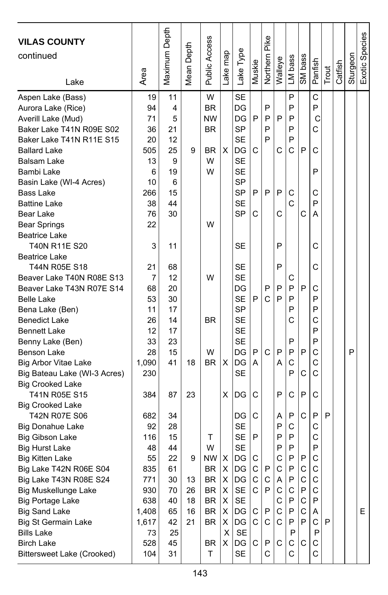| <b>VILAS COUNTY</b><br>continued<br>Lake | Area           | Maximum Depth | Depth<br>Mean I | <b>Public Access</b> | Lake map | Lake Type | Muskie | <b>Northern Pike</b> | Walleye | LM bass | SM bass     | Panfish | Trout | Catfish | Sturgeon | Exotic Species |
|------------------------------------------|----------------|---------------|-----------------|----------------------|----------|-----------|--------|----------------------|---------|---------|-------------|---------|-------|---------|----------|----------------|
| Aspen Lake (Bass)                        | 19             | 11            |                 | W                    |          | <b>SE</b> |        |                      |         | P       |             | С       |       |         |          |                |
| Aurora Lake (Rice)                       | 94             | 4             |                 | <b>BR</b>            |          | DG        |        | P                    |         | P       |             | P       |       |         |          |                |
| Averill Lake (Mud)                       | 71             | 5             |                 | <b>NW</b>            |          | DG        | P      | P                    | P       | P       |             | C       |       |         |          |                |
| Baker Lake T41N R09E S02                 | 36             | 21            |                 | <b>BR</b>            |          | SP        |        | P                    |         | P       |             | Ć       |       |         |          |                |
| Baker Lake T41N R11E S15                 | 20             | 12            |                 |                      |          | <b>SE</b> |        | P                    |         | P       |             |         |       |         |          |                |
| <b>Ballard Lake</b>                      | 505            | 25            | 9               | BR                   | X        | DG        | С      |                      | С       | C       | P           | C       |       |         |          |                |
| <b>Balsam Lake</b>                       | 13             | 9             |                 | W                    |          | <b>SE</b> |        |                      |         |         |             |         |       |         |          |                |
| Bambi Lake                               | 6              | 19            |                 | W                    |          | SE        |        |                      |         |         |             | P       |       |         |          |                |
| Basin Lake (WI-4 Acres)                  | 10             | 6             |                 |                      |          | SP        |        |                      |         |         |             |         |       |         |          |                |
| <b>Bass Lake</b>                         | 266            | 15            |                 |                      |          | SP        | P      | P                    | P       | С       |             | C       |       |         |          |                |
| <b>Battine Lake</b>                      | 38             | 44            |                 |                      |          | SE        |        |                      |         | C       |             | P       |       |         |          |                |
| Bear Lake                                | 76             | 30            |                 |                      |          | SP        | C      |                      | C       |         | С           | A       |       |         |          |                |
| <b>Bear Springs</b>                      | 22             |               |                 | W                    |          |           |        |                      |         |         |             |         |       |         |          |                |
| <b>Beatrice Lake</b>                     |                |               |                 |                      |          |           |        |                      |         |         |             |         |       |         |          |                |
| T40N R11E S20                            | 3              | 11            |                 |                      |          | <b>SE</b> |        |                      | P       |         |             | С       |       |         |          |                |
| <b>Beatrice Lake</b>                     |                |               |                 |                      |          |           |        |                      |         |         |             |         |       |         |          |                |
| T44N R05E S18                            | 21             | 68            |                 |                      |          | SE        |        |                      | P       |         |             | C       |       |         |          |                |
| Beaver Lake T40N R08E S13                | $\overline{7}$ | 12            |                 | W                    |          | <b>SE</b> |        |                      |         | С       |             |         |       |         |          |                |
| Beaver Lake T43N R07E S14                | 68             | 20            |                 |                      |          | DG        |        | P                    | P       | P       | P           | С       |       |         |          |                |
| <b>Belle Lake</b>                        | 53             | 30            |                 |                      |          | <b>SE</b> | P      | C                    | P       | P       |             | P       |       |         |          |                |
| Bena Lake (Ben)                          | 11             | 17            |                 |                      |          | SP        |        |                      |         | P       |             | P       |       |         |          |                |
| <b>Benedict Lake</b>                     | 26             | 14            |                 | <b>BR</b>            |          | <b>SE</b> |        |                      |         | C       |             | C       |       |         |          |                |
| <b>Bennett Lake</b>                      | 12             | 17            |                 |                      |          | <b>SE</b> |        |                      |         |         |             | P       |       |         |          |                |
| Benny Lake (Ben)                         | 33             | 23            |                 |                      |          | <b>SE</b> |        |                      |         | P       |             | P       |       |         |          |                |
| Benson Lake                              | 28             | 15            |                 | W                    |          | DG        | P      | C                    | P       | P       | P           | C       |       |         | P        |                |
| <b>Big Arbor Vitae Lake</b>              | 1,090          | 41            | 18              | BR                   | X        | DG        | A      |                      | А       | C       |             | Ċ       |       |         |          |                |
| Big Bateau Lake (WI-3 Acres)             | 230            |               |                 |                      |          | <b>SE</b> |        |                      |         | P       | С           | C       |       |         |          |                |
| <b>Big Crooked Lake</b>                  |                |               |                 |                      |          |           |        |                      |         |         |             |         |       |         |          |                |
| T41N R05E S15                            | 384            | 87            | 23              |                      | х        | DG        | С      |                      | P       | C       | P           | C       |       |         |          |                |
| <b>Big Crooked Lake</b>                  |                |               |                 |                      |          |           |        |                      |         |         |             |         |       |         |          |                |
| T42N R07E S06                            | 682            | 34            |                 |                      |          | DG        | С      |                      | Α       | P       | C           | P       | P     |         |          |                |
| Big Donahue Lake                         | 92             | 28            |                 |                      |          | SE        |        |                      | P       | С       |             | C       |       |         |          |                |
| Big Gibson Lake                          | 116            | 15            |                 | т                    |          | SE        | P      |                      | P       | P       |             | C       |       |         |          |                |
| <b>Big Hurst Lake</b>                    | 48             | 44            |                 | W                    |          | <b>SE</b> |        |                      | P       | P       |             | P       |       |         |          |                |
| <b>Big Kitten Lake</b>                   | 55             | 22            | 9               | <b>NW</b>            | X        | DG        | С      |                      | C       | P       | P           | C       |       |         |          |                |
| Big Lake T42N R06E S04                   | 835            | 61            |                 | <b>BR</b>            | X        | IDG.      | C.     | P                    | C       | P       | C           | C       |       |         |          |                |
| Big Lake T43N R08E S24                   | 771            | 30            | 13              | BR                   | X        | DG        | С      | C                    | Α       | P       | $\mathsf C$ | C       |       |         |          |                |
| <b>Big Muskellunge Lake</b>              | 930            | 70            | 26              | BR                   | X        | SE        | C.     | P                    | С       | С       | P           | C       |       |         |          |                |
| <b>Big Portage Lake</b>                  | 638            | 40            | 18              | BR                   | X        | <b>SE</b> |        |                      | С       | P       | $\mathsf C$ | P       |       |         |          |                |
| <b>Big Sand Lake</b>                     | 1,408          | 65            | 16              | BR                   | X        | DG        | С      | Ρ                    | С       | P       | С           | Α       |       |         |          | Е              |
| <b>Big St Germain Lake</b>               | 1,617          | 42            | 21              | BR                   | X        | DG        | С      | C                    | С       | P       | P           | C       | P     |         |          |                |
| <b>Bills Lake</b>                        | 73             | 25            |                 |                      | X        | <b>SE</b> |        |                      |         | P       |             | P       |       |         |          |                |
| <b>Birch Lake</b>                        | 528            | 45            |                 | BR                   | X.       | DG        | C      | P                    | С       | С       | С           | С       |       |         |          |                |
| Bittersweet Lake (Crooked)               | 104            | 31            |                 | T                    |          | SE        |        | C                    |         | C       |             | C       |       |         |          |                |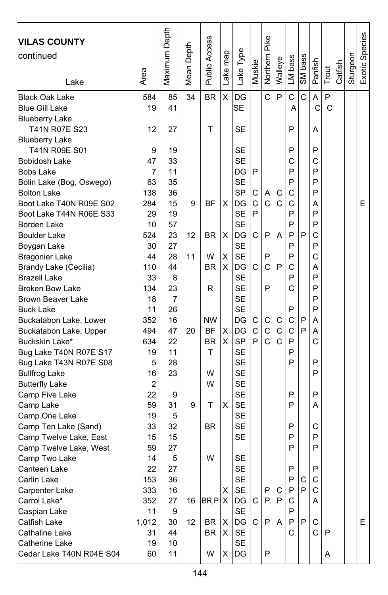| <b>VILAS COUNTY</b><br>continued               |           | Maximum Depth | Depth  | Public Access |          |                 |        | Northern Pike |         |         |         |         |       |         |          | Exotic Species |
|------------------------------------------------|-----------|---------------|--------|---------------|----------|-----------------|--------|---------------|---------|---------|---------|---------|-------|---------|----------|----------------|
|                                                |           |               |        |               | Lake map | Lake Type       | Muskie |               | Walleye | LM bass | SM bass | Panfish |       |         | Sturgeon |                |
| Lake                                           | Area      |               | Mean I |               |          |                 |        |               |         |         |         |         | Trout | Catfish |          |                |
| <b>Black Oak Lake</b>                          | 584       | 85            | 34     | <b>BR</b>     | X        | DG              |        | Ċ             | P       | C       | C       | A       | P     |         |          |                |
| <b>Blue Gill Lake</b>                          | 19        | 41            |        |               |          | lSE             |        |               |         | Α       |         | C       | C     |         |          |                |
| <b>Blueberry Lake</b>                          |           |               |        |               |          |                 |        |               |         |         |         |         |       |         |          |                |
| T41N R07E S23                                  | 12        | 27            |        | т             |          | SE              |        |               |         | P       |         | Α       |       |         |          |                |
| <b>Blueberry Lake</b>                          |           |               |        |               |          |                 |        |               |         |         |         |         |       |         |          |                |
| T41N R09E S01                                  | 9         | 19            |        |               |          | SE              |        |               |         | P       |         | P       |       |         |          |                |
| Bobidosh Lake                                  | 47        | 33            |        |               |          | <b>SE</b>       |        |               |         | С       |         | C<br>P  |       |         |          |                |
| <b>Bobs Lake</b>                               | 7         | 11            |        |               |          | DG<br><b>SE</b> | P      |               |         | P       |         | P       |       |         |          |                |
| Bolin Lake (Bog, Oswego)<br><b>Bolton Lake</b> | 63<br>138 | 35<br>36      |        |               |          | SP              |        | Α             |         | P<br>C  |         | P       |       |         |          |                |
| Boot Lake T40N R09E S02                        | 284       | 15            | 9      | ΒF            | X        | DG              | С<br>C | Ċ             | С<br>C  | C       |         | Α       |       |         |          | E              |
|                                                | 29        | 19            |        |               |          | SE              | P      |               |         | P       |         | P       |       |         |          |                |
| Boot Lake T44N R06E S33<br>Borden Lake         | 10        | 57            |        |               |          | SE              |        |               |         | P       |         | P       |       |         |          |                |
| <b>Boulder Lake</b>                            | 524       | 23            | 12     | <b>BR</b>     | X        | DG              | C      | P             | A       | P       | P       | C       |       |         |          |                |
| Boygan Lake                                    | 30        | 27            |        |               |          | <b>SE</b>       |        |               |         | P       |         | P       |       |         |          |                |
| <b>Bragonier Lake</b>                          | 44        | 28            | 11     | W             | X        | <b>SE</b>       |        | P             |         | P       |         | C       |       |         |          |                |
| Brandy Lake (Cecilia)                          | 110       | 44            |        | <b>BR</b>     | X        | DG              | С      | Ċ             | P       | C       |         | А       |       |         |          |                |
| <b>Brazell Lake</b>                            | 33        | 8             |        |               |          | <b>SE</b>       |        |               |         | P       |         | P       |       |         |          |                |
| <b>Broken Bow Lake</b>                         | 134       | 23            |        | R             |          | <b>SE</b>       |        | P             |         | C       |         | P       |       |         |          |                |
| <b>Brown Beaver Lake</b>                       | 18        | 7             |        |               |          | <b>SE</b>       |        |               |         |         |         | P       |       |         |          |                |
| <b>Buck Lake</b>                               | 11        | 26            |        |               |          | SE              |        |               |         | P       |         | P       |       |         |          |                |
| Buckatabon Lake, Lower                         | 352       | 16            |        | <b>NW</b>     |          | DG              | С      | C             | С       | C       | P       | Α       |       |         |          |                |
| Buckatabon Lake, Upper                         | 494       | 47            | 20     | ΒF            | X        | DG              | C      | C             | C       | C       | P       | Α       |       |         |          |                |
| Buckskin Lake*                                 | 634       | 22            |        | BR            | X        | <b>SP</b>       | P      | Ć             | C       | P       |         | C       |       |         |          |                |
| Bug Lake T40N R07E S17                         | 19        | 11            |        | т             |          | <b>SE</b>       |        |               |         | P       |         |         |       |         |          |                |
| Bug Lake T43N R07E S08                         | 5         | 28            |        |               |          | <b>SE</b>       |        |               |         | P       |         | P       |       |         |          |                |
| <b>Bullfrog Lake</b>                           | 16        | 23            |        | W             |          | <b>SE</b>       |        |               |         |         |         | P       |       |         |          |                |
| <b>Butterfly Lake</b>                          | 2         |               |        | W             |          | <b>SE</b>       |        |               |         |         |         |         |       |         |          |                |
| Camp Five Lake                                 | 22        | 9             |        |               |          | <b>SE</b>       |        |               |         | P       |         | P       |       |         |          |                |
| Camp Lake                                      | 59        | 31            | 9      | Т             | X        | <b>SE</b>       |        |               |         | P       |         | A       |       |         |          |                |
| Camp One Lake                                  | 19        | 5             |        |               |          | <b>SE</b>       |        |               |         |         |         |         |       |         |          |                |
| Camp Ten Lake (Sand)                           | 33        | 32            |        | BR.           |          | <b>SE</b>       |        |               |         | P       |         | С       |       |         |          |                |
| Camp Twelve Lake, East                         | 15        | 15            |        |               |          | <b>SE</b>       |        |               |         | P       |         | P       |       |         |          |                |
| Camp Twelve Lake, West                         | 59        | 27            |        |               |          |                 |        |               |         | P       |         | P       |       |         |          |                |
| Camp Two Lake                                  | 14        | 5             |        | W             |          | SE              |        |               |         |         |         |         |       |         |          |                |
| Canteen Lake                                   | 22        | 27            |        |               |          | SE              |        |               |         | P       |         | P       |       |         |          |                |
| Carlin Lake                                    | 153       | 36            |        |               |          | SE              |        |               |         | P       | С       | С       |       |         |          |                |
| Carpenter Lake                                 | 333       | 16            |        |               | х        | SE              |        | P             | С       | P       | P       | C       |       |         |          |                |
| Carrol Lake*                                   | 352       | 27            | 16     | BR, P X       |          | DG              | С      | P             | P       | C       |         | Α       |       |         |          |                |
| Caspian Lake                                   | 11        | 9             |        |               |          | <b>SE</b>       |        |               |         | P       |         |         |       |         |          |                |
| Catfish Lake                                   | 1,012     | 30            | 12     | BR            | Χ        | DG              | C      | P             | A       | P       | P       | С       |       |         |          | E              |
| Cathaline Lake                                 | 31        | 44            |        | <b>BR</b>     | X.       | SE              |        |               |         | C       |         | C.      | P     |         |          |                |
| Catherine Lake                                 | 19        | 10            |        |               |          | SE              |        |               |         |         |         |         |       |         |          |                |
| Cedar Lake T40N R04E S04                       | 60        | 11            |        | W             | X        | DG              |        | P             |         |         |         |         | Α     |         |          |                |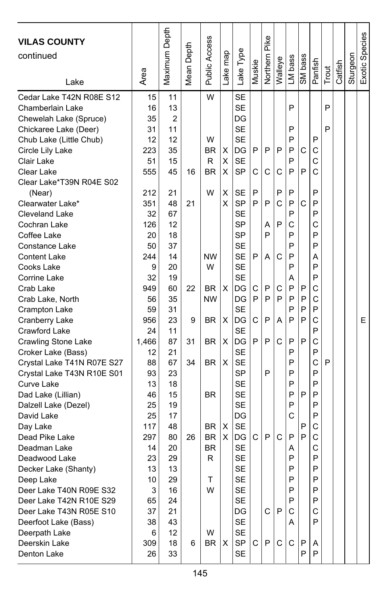| <b>VILAS COUNTY</b><br>continued  | Area     | Maximum Depth | Depth<br>Mean | <b>Public Access</b> | ake map | Lake Type       | Muskie | Northern Pike | Walleye | LM bass | SM bass | Panfish | Trout | Catfish | Sturgeon | Exotic Species |
|-----------------------------------|----------|---------------|---------------|----------------------|---------|-----------------|--------|---------------|---------|---------|---------|---------|-------|---------|----------|----------------|
| Lake                              |          |               |               |                      |         |                 |        |               |         |         |         |         |       |         |          |                |
| Cedar Lake T42N R08E S12          | 15       | 11            |               | W                    |         | <b>SE</b>       |        |               |         |         |         |         |       |         |          |                |
| Chamberlain Lake                  | 16       | 13            |               |                      |         | <b>SE</b>       |        |               |         | P       |         |         | P     |         |          |                |
| Chewelah Lake (Spruce)            | 35       | 2             |               |                      |         | DG              |        |               |         |         |         |         |       |         |          |                |
| Chickaree Lake (Deer)             | 31       | 11            |               |                      |         | <b>SE</b>       |        |               |         | P       |         |         | P     |         |          |                |
| Chub Lake (Little Chub)           | 12       | 12            |               | W                    |         | <b>SE</b>       |        |               |         | P       |         | P       |       |         |          |                |
| Circle Lily Lake                  | 223      | 35            |               | BR                   | х       | DG              | P      | P             | P       | P       | С       | С       |       |         |          |                |
| Clair Lake                        | 51       | 15            |               | R                    | х       | <b>SE</b>       |        |               |         | P       |         | С       |       |         |          |                |
| Clear Lake                        | 555      | 45            | 16            | BR                   | X       | <b>SP</b>       | C      | C             | С       | P       | P       | Ć       |       |         |          |                |
| Clear Lake*T39N R04E S02          |          |               |               |                      |         |                 |        |               |         |         |         |         |       |         |          |                |
| (Near)                            | 212      | 21            |               | W                    | X       | SE              | P      |               | P       | P       |         | P       |       |         |          |                |
| Clearwater Lake*                  | 351      | 48            | 21            |                      | X       | SP              | P      | P             | C       | P       | С       | P       |       |         |          |                |
| Cleveland Lake                    | 32       | 67            |               |                      |         | <b>SE</b>       |        |               |         | P       |         | P       |       |         |          |                |
| Cochran Lake                      | 126      | 12            |               |                      |         | <b>SP</b>       |        | A             | P       | C       |         | C       |       |         |          |                |
| Coffee Lake                       | 20       | 18            |               |                      |         | <b>SP</b>       |        | P             |         | P       |         | P       |       |         |          |                |
| Constance Lake                    | 50       | 37            |               |                      |         | <b>SE</b>       |        |               |         | P       |         | P       |       |         |          |                |
| <b>Content Lake</b>               | 244      | 14            |               | <b>NW</b>            |         | <b>SE</b>       | P      | A             | C       | P       |         | Α       |       |         |          |                |
| Cooks Lake                        | 9        | 20            |               | W                    |         | <b>SE</b>       |        |               |         | P       |         | P       |       |         |          |                |
| Corrine Lake                      | 32       | 19            |               |                      |         | <b>SE</b>       |        |               |         | Α       |         | P       |       |         |          |                |
| Crab Lake                         | 949      | 60            | 22            | <b>BR</b>            | X       | DG              | С      | P             | С       | P       | P       | С       |       |         |          |                |
| Crab Lake, North                  | 56       | 35            |               | <b>NW</b>            |         | DG              | P      | P             | P       | P       | P       | C       |       |         |          |                |
| Crampton Lake                     | 59       | 31            |               |                      |         | <b>SE</b>       |        |               |         | P       | P       | P       |       |         |          |                |
| Cranberry Lake                    | 956      | 23            | 9             | <b>BR</b>            | X       | DG              | C      | P             | A       | P       | P       | C       |       |         |          | E              |
| Crawford Lake                     | 24       | 11            |               |                      |         | <b>SE</b>       |        |               |         |         |         | P       |       |         |          |                |
| Crawling Stone Lake               | 1,466    | 87            | 31            | BR                   | Χ       | DG              | P      | P             | C       | P       | P       | C       |       |         |          |                |
| Croker Lake (Bass)                | 12       | 21            |               |                      |         | <b>SE</b>       |        |               |         | P       |         | P       |       |         |          |                |
| Crystal Lake T41N R07E S27        | 88       | 67            | 34            | BR.                  | X       | <b>SE</b>       |        |               |         | P       |         | C       | P     |         |          |                |
| Crystal Lake T43N R10E S01        | 93       | 23            |               |                      |         | <b>SP</b>       |        | P             |         | P       |         | P       |       |         |          |                |
| Curve Lake                        | 13       | 18            |               |                      |         | <b>SE</b>       |        |               |         | P       |         | P       |       |         |          |                |
| Dad Lake (Lillian)                | 46       | 15            |               | <b>BR</b>            |         | <b>SE</b>       |        |               |         | P       | P       | P       |       |         |          |                |
| Dalzell Lake (Dezel)              | 25       | 19            |               |                      |         | <b>SE</b>       |        |               |         | P       |         | P       |       |         |          |                |
| David Lake                        | 25       | 17            |               |                      |         | DG              |        |               |         | C       |         | P       |       |         |          |                |
| Day Lake                          | 117      | 48            |               | BR.                  | х       | <b>SE</b>       |        | P             | C       |         | P<br>P  | С<br>C  |       |         |          |                |
| Dead Pike Lake                    | 297      | 80            | 26            | BR                   | X       | DG<br><b>SE</b> | С      |               |         | P       |         | C       |       |         |          |                |
| Deadman Lake<br>Deadwood Lake     | 14<br>23 | 20<br>29      |               | <b>BR</b><br>R       |         | <b>SE</b>       |        |               |         | Α<br>P  |         | P       |       |         |          |                |
|                                   | 13       | 13            |               |                      |         | <b>SE</b>       |        |               |         | P       |         | P       |       |         |          |                |
| Decker Lake (Shanty)<br>Deep Lake | 10       | 29            |               | т                    |         | SE              |        |               |         | P       |         | P       |       |         |          |                |
| Deer Lake T40N R09E S32           | 3        | 16            |               | W                    |         | <b>SE</b>       |        |               |         | P       |         | P       |       |         |          |                |
| Deer Lake T42N R10E S29           | 65       | 24            |               |                      |         | <b>SE</b>       |        |               |         | P       |         | P       |       |         |          |                |
| Deer Lake T43N R05E S10           | 37       | 21            |               |                      |         | DG              |        | C             | P       | С       |         | С       |       |         |          |                |
| Deerfoot Lake (Bass)              | 38       | 43            |               |                      |         | SE              |        |               |         | A       |         | P       |       |         |          |                |
| Deerpath Lake                     | 6        | 12            |               | W                    |         | <b>SE</b>       |        |               |         |         |         |         |       |         |          |                |
| Deerskin Lake                     | 309      | 18            | 6             | BR                   | Х       | SP              | C      | ${\sf P}$     | C       | C       | P       | Α       |       |         |          |                |
| Denton Lake                       | 26       | 33            |               |                      |         | <b>SE</b>       |        |               |         |         | P       | P       |       |         |          |                |
|                                   |          |               |               |                      |         |                 |        |               |         |         |         |         |       |         |          |                |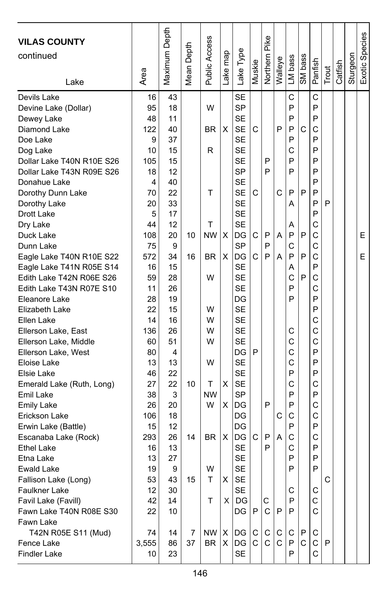| <b>VILAS COUNTY</b><br>continued<br>Lake                                                                   | Area                              | Maximum Depth                    | Mean Depth | Public Access               | Lake map | Lake Type                                                                  | Muskie | Pike<br>Northern | Walleye | LM bass                    | SM bass | Panfish                    | Trout        | Catfish | Sturgeon | Exotic Species |
|------------------------------------------------------------------------------------------------------------|-----------------------------------|----------------------------------|------------|-----------------------------|----------|----------------------------------------------------------------------------|--------|------------------|---------|----------------------------|---------|----------------------------|--------------|---------|----------|----------------|
| Devine Lake (Dollar)<br>Dewey Lake<br>Diamond Lake<br>Doe Lake<br>Dog Lake<br>Dollar Lake T40N R10E S26    | 95<br>48<br>122<br>9<br>10<br>105 | 18<br>11<br>40<br>37<br>15<br>15 |            | W<br>BR.<br>R               | X        | <b>SP</b><br><b>SE</b><br><b>SE</b><br><b>SE</b><br><b>SE</b><br><b>SE</b> | С      | P                | P       | P<br>P<br>P<br>P<br>C<br>P | C       | P<br>P<br>C<br>P<br>P<br>P |              |         |          |                |
| Dollar Lake T43N R09E S26<br>Donahue Lake<br>Dorothy Dunn Lake<br>Dorothy Lake<br>Drott Lake               | 18<br>4<br>70<br>20<br>5          | 12<br>40<br>22<br>33<br>17       |            | т                           |          | SP<br><b>SE</b><br><b>SE</b><br><b>SE</b><br><b>SE</b>                     | С      | P                | C       | P<br>P<br>A                | P       | P<br>P<br>P<br>P<br>P      | P            |         |          |                |
| Dry Lake<br>Duck Lake<br>Dunn Lake<br>Eagle Lake T40N R10E S22<br>Eagle Lake T41N R05E S14                 | 44<br>108<br>75<br>572<br>16      | 12<br>20<br>9<br>34<br>15        | 10<br>16   | т<br><b>NW</b><br><b>BR</b> | X<br>X   | <b>SE</b><br>DG<br><b>SP</b><br>DG<br><b>SE</b>                            | С<br>C | P<br>P<br>P      | Α<br>А  | Α<br>P<br>C<br>P<br>A      | P<br>P  | C<br>C<br>C<br>C<br>P      |              |         |          | Е<br>E         |
| Edith Lake T42N R06E S26<br>Edith Lake T43N R07E S10<br>Eleanore Lake<br>Elizabeth Lake<br>Ellen Lake      | 59<br>11<br>28<br>22<br>14        | 28<br>26<br>19<br>15<br>16       |            | W<br>W<br>W                 |          | <b>SE</b><br><b>SE</b><br>DG<br><b>SE</b><br><b>SE</b>                     |        |                  |         | C<br>P<br>P                | P       | C<br>C<br>P<br>P<br>C      |              |         |          |                |
| Ellerson Lake, East<br>Ellerson Lake, Middle<br>Ellerson Lake, West<br>Eloise Lake<br>Elsie Lake           | 136<br>60<br>80<br>13<br>46       | 26<br>51<br>4<br>13<br>22        |            | W<br>w<br>W                 |          | <b>SE</b><br><b>SE</b><br>DG<br><b>SE</b><br>SE                            | P      |                  |         | С<br>C<br>C<br>C<br>P      |         | C<br>C<br>P<br>P<br>P      |              |         |          |                |
| Emerald Lake (Ruth, Long)<br>Emil Lake<br><b>Emily Lake</b><br>Erickson Lake<br>Erwin Lake (Battle)        | 27<br>38<br>26<br>106<br>15       | 22<br>3<br>20<br>18<br>12        | 10         | Т<br><b>NW</b><br>W         | х<br>X   | <b>SE</b><br><b>SP</b><br>DG<br>DG<br>DG                                   |        | P                | C       | C<br>P<br>P<br>C<br>P      |         | C<br>P<br>C<br>C<br>P      |              |         |          |                |
| Escanaba Lake (Rock)<br><b>Ethel Lake</b><br>Etna Lake<br>Ewald Lake<br>Fallison Lake (Long)               | 293<br>16<br>13<br>19<br>53       | 26<br>13<br>27<br>9<br>43        | 14<br>15   | <b>BR</b><br>W<br>т         | х<br>X   | DG<br>SE<br><b>SE</b><br><b>SE</b><br><b>SE</b>                            | C      | P<br>P           | А       | C<br>C<br>P<br>P           |         | C<br>P<br>P<br>P           | C            |         |          |                |
| <b>Faulkner Lake</b><br>Favil Lake (Favill)<br>Fawn Lake T40N R08E S30<br>Fawn Lake<br>T42N R05E S11 (Mud) | 12<br>42<br>22<br>74              | 30<br>14<br>10<br>14             | 7          | т<br>$NW \mid X$            | ΧI       | <b>SE</b><br>DG<br>DG<br>DG                                                | P<br>C | С<br>C<br>С      | P<br>C. | С<br>P<br>P<br>С           | P       | С<br>С<br>C<br>С           |              |         |          |                |
| Fence Lake<br>Findler Lake                                                                                 | 3,555<br>10                       | 86<br>23                         | 37         | BR                          |          | $X$ DG<br><b>SE</b>                                                        | C      | C                | C       | P<br>P                     | C       | C<br>C                     | $\mathsf{P}$ |         |          |                |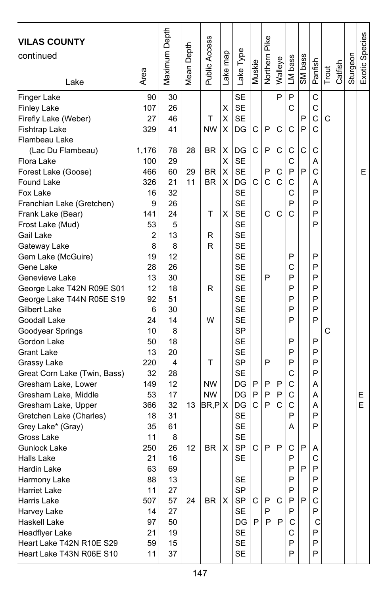| <b>VILAS COUNTY</b><br>continued<br>Lake | Area      | Maximum Depth | Depth<br>Mean I | Public Access | ake map | Lake Type              | Muskie  | Northern Pike | Walleye      | LM bass | SM bass | Panfish           | Trout | Catfish | Sturgeon | Exotic Species |
|------------------------------------------|-----------|---------------|-----------------|---------------|---------|------------------------|---------|---------------|--------------|---------|---------|-------------------|-------|---------|----------|----------------|
| Finger Lake<br><b>Finley Lake</b>        | 90<br>107 | 30<br>26      |                 |               | Χ       | <b>SE</b><br><b>SE</b> |         |               | P            | P<br>C  |         | C<br>$\mathsf{C}$ |       |         |          |                |
| Firefly Lake (Weber)                     | 27        | 46            |                 | Τ             | X       | <b>SE</b>              |         |               |              |         | P       | C                 | C     |         |          |                |
| Fishtrap Lake                            | 329       | 41            |                 | <b>NW</b>     | X       | DG                     | С       | P             | С            | C       | P       | $\mathcal{C}$     |       |         |          |                |
| Flambeau Lake                            |           |               |                 |               |         |                        |         |               |              |         |         |                   |       |         |          |                |
| (Lac Du Flambeau)                        | 1,176     | 78            | 28              | <b>BR</b>     | X       | DG                     | С       | P             | С            | С       | C       | C                 |       |         |          |                |
| Flora Lake                               | 100       | 29            |                 |               | X       | <b>SE</b>              |         |               |              | C       |         | Α                 |       |         |          |                |
| Forest Lake (Goose)                      | 466       | 60            | 29              | <b>BR</b>     | X       | <b>SE</b>              |         | P             | C            | P       | P       | C                 |       |         |          | E              |
| Found Lake                               | 326       | 21            | 11              | <b>BR</b>     | X       | DG                     | C       | C             | $\mathsf{C}$ | C       |         | A                 |       |         |          |                |
| Fox Lake                                 | 16        | 32            |                 |               |         | <b>SE</b>              |         |               |              | C       |         | P                 |       |         |          |                |
| Franchian Lake (Gretchen)                | 9         | 26            |                 |               |         | <b>SE</b>              |         |               |              | P       |         | P                 |       |         |          |                |
| Frank Lake (Bear)                        | 141       | 24            |                 | т             | Χ       | <b>SE</b>              |         | C             | C            | C       |         | P                 |       |         |          |                |
| Frost Lake (Mud)                         | 53        | 5<br>13       |                 |               |         | <b>SE</b><br><b>SE</b> |         |               |              |         |         | P                 |       |         |          |                |
| Gail Lake                                | 2<br>8    | 8             |                 | R<br>R        |         | <b>SE</b>              |         |               |              |         |         |                   |       |         |          |                |
| Gateway Lake                             | 19        | 12            |                 |               |         | <b>SE</b>              |         |               |              | P       |         | P                 |       |         |          |                |
| Gem Lake (McGuire)<br>Gene Lake          | 28        | 26            |                 |               |         | <b>SE</b>              |         |               |              | C       |         | P                 |       |         |          |                |
| Genevieve Lake                           | 13        | 30            |                 |               |         | <b>SE</b>              |         | P             |              | P       |         | P                 |       |         |          |                |
| George Lake T42N R09E S01                | 12        | 18            |                 | R             |         | <b>SE</b>              |         |               |              | P       |         | P                 |       |         |          |                |
| George Lake T44N R05E S19                | 92        | 51            |                 |               |         | <b>SE</b>              |         |               |              | P       |         | P                 |       |         |          |                |
| Gilbert Lake                             | 6         | 30            |                 |               |         | <b>SE</b>              |         |               |              | P       |         | P                 |       |         |          |                |
| Goodall Lake                             | 24        | 14            |                 | W             |         | <b>SE</b>              |         |               |              | P       |         | P                 |       |         |          |                |
| Goodyear Springs                         | 10        | 8             |                 |               |         | SP                     |         |               |              |         |         |                   | C     |         |          |                |
| Gordon Lake                              | 50        | 18            |                 |               |         | <b>SE</b>              |         |               |              | P       |         | P                 |       |         |          |                |
| <b>Grant Lake</b>                        | 13        | 20            |                 |               |         | <b>SE</b>              |         |               |              | P       |         | P                 |       |         |          |                |
| Grassy Lake                              | 220       | 4             |                 | т             |         | SP                     |         | P             |              | P       |         | P                 |       |         |          |                |
| Great Corn Lake (Twin, Bass)             | 32        | 28            |                 |               |         | <b>SE</b>              |         |               |              | C       |         | P                 |       |         |          |                |
| Gresham Lake, Lower                      | 149       | 12            |                 | <b>NW</b>     |         | DG                     | P       | P             | P            | C       |         | Α                 |       |         |          |                |
| Gresham Lake, Middle                     | 53        | 17            |                 | <b>NW</b>     |         | DG                     | P       | P             | P            | C       |         | Α                 |       |         |          | Е              |
| Gresham Lake, Upper                      | 366       | 32            | 13              | $BR$ , $PlX$  |         | DG                     | C       | P             | C            | C       |         | Α                 |       |         |          | E              |
| Gretchen Lake (Charles)                  | 18        | 31            |                 |               |         | <b>SE</b>              |         |               |              | P       |         | P                 |       |         |          |                |
| Grey Lake* (Gray)                        | 35        | 61            |                 |               |         | <b>SE</b>              |         |               |              | Α       |         | P                 |       |         |          |                |
| Gross Lake                               | 11        | 8             |                 |               |         | <b>SE</b>              |         |               |              |         |         |                   |       |         |          |                |
| Gunlock Lake                             | 250       | 26            | 12              | <b>BR</b>     | х       | <b>SP</b>              | С       | P             | P            | С       | P       | Α                 |       |         |          |                |
| Halls Lake                               | 21        | 16            |                 |               |         | <b>SE</b>              |         |               |              | P       |         | C                 |       |         |          |                |
| Hardin Lake                              | 63        | 69            |                 |               |         |                        |         |               |              | P       | P       | P                 |       |         |          |                |
| Harmony Lake                             | 88        | 13            |                 |               |         | <b>SE</b>              |         |               |              | P       |         | P                 |       |         |          |                |
| <b>Harriet Lake</b>                      | 11        | 27            |                 |               |         | <b>SP</b>              |         |               |              | P       |         | P                 |       |         |          |                |
| Harris Lake                              | 507       | 57            | 24              | <b>BR</b>     | X       | SP                     | $\circ$ | P             | C            | P       | P       | С                 |       |         |          |                |
| Harvey Lake                              | 14        | 27            |                 |               |         | <b>SE</b>              |         | P             |              | P       |         | P                 |       |         |          |                |
| Haskell Lake                             | 97        | 50            |                 |               |         | DG                     | P       | P             | P            | С       |         | С                 |       |         |          |                |
| Headflyer Lake                           | 21        | 19            |                 |               |         | <b>SE</b>              |         |               |              | C       |         | P                 |       |         |          |                |
| Heart Lake T42N R10E S29                 | 59        | 15            |                 |               |         | <b>SE</b>              |         |               |              | P       |         | P                 |       |         |          |                |
| Heart Lake T43N R06E S10                 | 11        | 37            |                 |               |         | <b>SE</b>              |         |               |              | P       |         | P                 |       |         |          |                |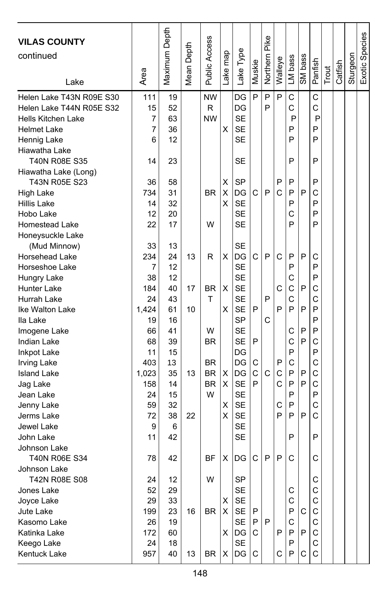| <b>VILAS COUNTY</b><br>continued<br>Lake                                                                                                                                                                                                                                                                             | Area                                                                                                             | Maximum Depth                                                                                           | Mean Depth                 | Public Access                                                                     | ake map                         | Lake Type                                                                                                                                                                                           | Muskie                     | Northern Pike    | Walleye                              | LM bass                                                                 | SM bass                              | Panfish                                                                      | Trout | Catfish | Sturgeon | Exotic Species |
|----------------------------------------------------------------------------------------------------------------------------------------------------------------------------------------------------------------------------------------------------------------------------------------------------------------------|------------------------------------------------------------------------------------------------------------------|---------------------------------------------------------------------------------------------------------|----------------------------|-----------------------------------------------------------------------------------|---------------------------------|-----------------------------------------------------------------------------------------------------------------------------------------------------------------------------------------------------|----------------------------|------------------|--------------------------------------|-------------------------------------------------------------------------|--------------------------------------|------------------------------------------------------------------------------|-------|---------|----------|----------------|
| Helen Lake T43N R09E S30<br>Helen Lake T44N R05E S32<br>Hells Kitchen Lake<br><b>Helmet Lake</b><br>Hennig Lake                                                                                                                                                                                                      | 111<br>15<br>7<br>7<br>6                                                                                         | 19<br>52<br>63<br>36<br>12                                                                              |                            | <b>NW</b><br>R<br><b>NW</b>                                                       | X                               | DG<br>DG<br><b>SE</b><br><b>SE</b><br><b>SE</b>                                                                                                                                                     | P                          | P<br>P           | P                                    | C<br>C<br>P<br>P<br>P                                                   |                                      | C<br>C<br>P<br>P<br>P                                                        |       |         |          |                |
| Hiawatha Lake<br>T40N R08E S35<br>Hiawatha Lake (Long)<br>T43N R05E S23<br><b>High Lake</b><br>Hillis Lake<br>Hobo Lake<br><b>Homestead Lake</b>                                                                                                                                                                     | 14<br>36<br>734<br>14<br>12<br>22                                                                                | 23<br>58<br>31<br>32<br>20<br>17                                                                        |                            | <b>BR</b><br>W                                                                    | X<br>X<br>x                     | SE<br><b>SP</b><br>DG<br><b>SE</b><br><b>SE</b><br><b>SE</b>                                                                                                                                        | C                          | P                | P<br>C                               | P<br>P<br>P<br>P<br>Ċ<br>P                                              | P                                    | P<br>P<br>C<br>P<br>P<br>P                                                   |       |         |          |                |
| Honeysuckle Lake<br>(Mud Minnow)<br><b>Horsehead Lake</b><br>Horseshoe Lake<br>Hungry Lake<br>Hunter Lake<br>Hurrah Lake<br>Ike Walton Lake<br>Ila Lake<br>Imogene Lake<br>Indian Lake<br>Inkpot Lake<br><b>Irving Lake</b><br><b>Island Lake</b><br>Jag Lake<br>Jean Lake<br>Jenny Lake<br>Jerms Lake<br>Jewel Lake | 33<br>234<br>7<br>38<br>184<br>24<br>1,424<br>19<br>66<br>68<br>11<br>403<br>1,023<br>158<br>24<br>59<br>72<br>9 | 13<br>24<br>12<br>12<br>40<br>43<br>61<br>16<br>41<br>39<br>15<br>13<br>35<br>14<br>15<br>32<br>38<br>6 | 13<br>17<br>10<br>13<br>22 | R<br><b>BR</b><br>T<br>W<br><b>BR</b><br><b>BR</b><br><b>BR</b><br><b>BR</b><br>W | X<br>х<br>X<br>х<br>X<br>X<br>Χ | <b>SE</b><br>DG<br><b>SE</b><br><b>SE</b><br><b>SE</b><br><b>SE</b><br><b>SE</b><br>SP<br><b>SE</b><br><b>SE</b><br>DG<br>DG<br>DG<br><b>SE</b><br><b>SE</b><br><b>SE</b><br><b>SE</b><br><b>SE</b> | C<br>P<br>P<br>C<br>C<br>P | P<br>P<br>C<br>C | C<br>С<br>P<br>P<br>C<br>C<br>С<br>P | P<br>P<br>C<br>C<br>Ċ<br>P<br>С<br>C<br>P<br>C<br>P<br>P<br>P<br>P<br>P | P<br>P<br>P<br>P<br>P<br>P<br>P<br>P | C<br>P<br>P<br>C<br>C<br>P<br>P<br>P<br>C<br>P<br>C<br>C<br>C<br>P<br>C<br>C |       |         |          |                |
| John Lake<br>Johnson Lake<br><b>T40N R06E S34</b><br>Johnson Lake<br>T42N R08E S08<br>Jones Lake<br>Joyce Lake<br>Jute Lake<br>Kasomo Lake<br>Katinka Lake<br>Keego Lake<br>Kentuck Lake                                                                                                                             | 11<br>78<br>24<br>52<br>29<br>199<br>26<br>172<br>24<br>957                                                      | 42<br>42<br>12<br>29<br>33<br>23<br>19<br>60<br>18<br>40                                                | 16<br>13                   | ΒF<br>W<br>BR<br>BR                                                               | X<br>X<br>X<br>X.<br>X          | <b>SE</b><br>DG<br>SP<br><b>SE</b><br><b>SE</b><br>SE<br>SE<br>DG<br><b>SE</b><br>DG                                                                                                                | C<br>P<br>P<br>C<br>C      | P<br>P           | P<br>P<br>С                          | P<br>C<br>С<br>C<br>P<br>C<br>P<br>P<br>P                               | С<br>P<br>C                          | P<br>C<br>С<br>C<br>C<br>C<br>С<br>C<br>C<br>$\mathsf{C}$                    |       |         |          |                |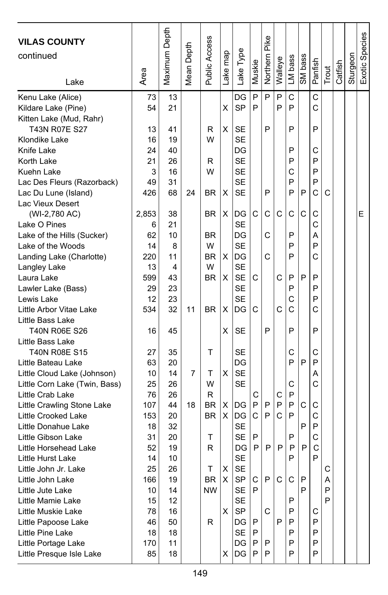| <b>VILAS COUNTY</b><br>continued<br>Lake | Area    | Maximum Depth | Mean Depth | Public Access | Lake map | Lake Type       | Muskie | Northern Pike | Walleye | LM bass | SM bass | Panfish | Trout | Catfish | Sturgeon | Exotic Species |
|------------------------------------------|---------|---------------|------------|---------------|----------|-----------------|--------|---------------|---------|---------|---------|---------|-------|---------|----------|----------------|
| Kenu Lake (Alice)                        | 73      | 13            |            |               |          | DG              | P      | P             | P       | C       |         | C       |       |         |          |                |
| Kildare Lake (Pine)                      | 54      | 21            |            |               | X        | SP              | P      |               | P       | P       |         | C       |       |         |          |                |
| Kitten Lake (Mud, Rahr)                  |         |               |            |               |          |                 |        |               |         |         |         |         |       |         |          |                |
| T43N R07E S27                            | 13      | 41            |            | R             | X        | SE              |        | P             |         | P       |         | P       |       |         |          |                |
| Klondike Lake                            | 16      | 19            |            | W             |          | <b>SE</b>       |        |               |         |         |         |         |       |         |          |                |
| Knife Lake                               | 24      | 40            |            |               |          | DG              |        |               |         | P       |         | C       |       |         |          |                |
| Korth Lake                               | 21      | 26            |            | R             |          | <b>SE</b>       |        |               |         | P       |         | P       |       |         |          |                |
| Kuehn Lake                               | 3       | 16            |            | W             |          | SE              |        |               |         | C       |         | P       |       |         |          |                |
| Lac Des Fleurs (Razorback)               | 49      | 31            |            |               |          | <b>SE</b>       |        |               |         | P       |         | P       |       |         |          |                |
| Lac Du Lune (Island)                     | 426     | 68            | 24         | BR            | X        | SE              |        | P             |         | P       | P       | C       | C     |         |          |                |
| Lac Vieux Desert                         |         |               |            |               |          |                 |        |               |         |         |         |         |       |         |          |                |
| (WI-2,780 AC)<br>Lake O Pines            | 2,853   | 38<br>21      |            | BR.           | х        | DG<br><b>SE</b> | C      | C             | С       | C       | C       | C<br>C  |       |         |          | Е              |
| Lake of the Hills (Sucker)               | 6<br>62 | 10            |            | <b>BR</b>     |          | DG              |        | C             |         | P       |         | A       |       |         |          |                |
| Lake of the Woods                        | 14      | 8             |            | W             |          | <b>SE</b>       |        |               |         | P       |         | P       |       |         |          |                |
| Landing Lake (Charlotte)                 | 220     | 11            |            | <b>BR</b>     | х        | DG              |        | C             |         | P       |         | C       |       |         |          |                |
| Langley Lake                             | 13      | 4             |            | W             |          | <b>SE</b>       |        |               |         |         |         |         |       |         |          |                |
| Laura Lake                               | 599     | 43            |            | <b>BR</b>     | X        | <b>SE</b>       | C      |               | C       | P       | P       | P       |       |         |          |                |
| Lawler Lake (Bass)                       | 29      | 23            |            |               |          | SE              |        |               |         | P       |         | P       |       |         |          |                |
| Lewis Lake                               | 12      | 23            |            |               |          | SE              |        |               |         | C       |         | P       |       |         |          |                |
| Little Arbor Vitae Lake                  | 534     | 32            | 11         | <b>BR</b>     | X        | DG              | С      |               | C       | C       |         | C       |       |         |          |                |
| Little Bass Lake                         |         |               |            |               |          |                 |        |               |         |         |         |         |       |         |          |                |
| T40N R06E S26                            | 16      | 45            |            |               | X        | SE              |        | P             |         | P       |         | P       |       |         |          |                |
| Little Bass Lake                         |         |               |            |               |          |                 |        |               |         |         |         |         |       |         |          |                |
| <b>T40N R08E S15</b>                     | 27      | 35            |            | т             |          | SE              |        |               |         | C       |         | C       |       |         |          |                |
| Little Bateau Lake                       | 63      | 20            |            |               |          | DG              |        |               |         | P       | P       | P       |       |         |          |                |
| Little Cloud Lake (Johnson)              | 10      | 14            | 7          | т             | X        | <b>SE</b>       |        |               |         |         |         | Α       |       |         |          |                |
| Little Corn Lake (Twin, Bass)            | 25      | 26            |            | W             |          | <b>SE</b>       |        |               |         | С       |         | Ċ       |       |         |          |                |
| Little Crab Lake                         | 76      | 26            |            | R             |          |                 | С      |               | С       | P       |         |         |       |         |          |                |
| Little Crawling Stone Lake               | 107     | 44            | 18         | <b>BR</b>     | X        | DG              | P      | P             | P       | P       | C       | C       |       |         |          |                |
| Little Crooked Lake                      | 153     | 20            |            | <b>BR</b>     | X        | DG              | C      | P             | C       | P       |         | C       |       |         |          |                |
| Little Donahue Lake                      | 18      | 32            |            |               |          | <b>SE</b>       |        |               |         |         | P       | P       |       |         |          |                |
| Little Gibson Lake                       | 31      | 20            |            | т             |          | <b>SE</b>       | P      |               |         | P       |         | C       |       |         |          |                |
| Little Horsehead Lake                    | 52      | 19            |            | R             |          | DG              | P      | P             | P       | P       | P       | C       |       |         |          |                |
| Little Hurst Lake                        | 14      | 10            |            |               |          | SE              |        |               |         | P       |         | P       |       |         |          |                |
| Little John Jr. Lake                     | 25      | 26            |            | Τ             | X        | <b>SE</b>       |        |               |         |         |         |         | C     |         |          |                |
| Little John Lake                         | 166     | 19            |            | BR            | X        | SP              | C      | P             | C       | C       | P       |         | Α     |         |          |                |
| Little Jute Lake                         | 10      | 14            |            | <b>NW</b>     |          | SE              | P      |               |         |         | P       |         | P     |         |          |                |
| Little Mamie Lake                        | 15      | 12            |            |               |          | <b>SE</b>       |        |               |         | P       |         |         | P     |         |          |                |
| Little Muskie Lake                       | 78      | 16            |            |               | X        | SP              |        | С             |         | P       |         | С       |       |         |          |                |
| Little Papoose Lake                      | 46      | 50            |            | R             |          | DG              | Ρ      |               | P       | P       |         | P       |       |         |          |                |
| Little Pine Lake                         | 18      | 18            |            |               |          | SE              | P      |               |         | P       |         | P       |       |         |          |                |
| Little Portage Lake                      | 170     | 11            |            |               |          | DG              | P      | P<br>P        |         | P<br>P  |         | P<br>P  |       |         |          |                |
| Little Presque Isle Lake                 | 85      | 18            |            |               | X        | DG              | P      |               |         |         |         |         |       |         |          |                |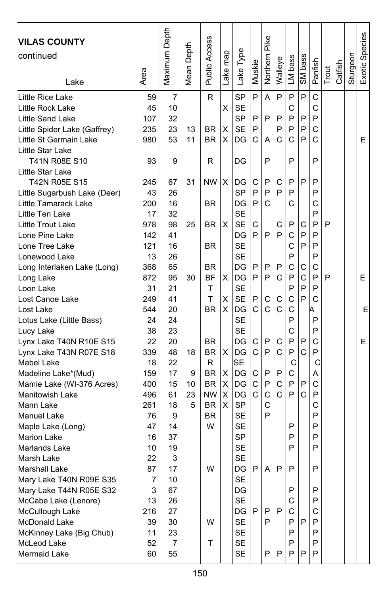| <b>VILAS COUNTY</b><br>continued<br>Lake | Area     | Maximum Depth | Mean Depth | <b>Public Access</b> | Lake map | Lake Type       | Muskie       | Northern Pike | Walleye      | LM bass | SM bass | Panfish | Trout | Catfish | Sturgeon | Exotic Species |
|------------------------------------------|----------|---------------|------------|----------------------|----------|-----------------|--------------|---------------|--------------|---------|---------|---------|-------|---------|----------|----------------|
| Little Rice Lake                         | 59       | 7             |            | R                    |          | <b>SP</b>       | P            | A             | P            | P       | P       | C       |       |         |          |                |
| Little Rock Lake                         | 45       | 10            |            |                      | X        | <b>SE</b>       |              |               |              | C       |         | C       |       |         |          |                |
| Little Sand Lake                         | 107      | 32            |            |                      |          | SP              | P            | P             | P            | P       | P       | P       |       |         |          |                |
| Little Spider Lake (Gaffrey)             | 235      | 23            | 13         | <b>BR</b>            | X        | <b>SE</b>       | P            |               | P            | P       | P       | Ċ       |       |         |          |                |
| Little St Germain Lake                   | 980      | 53            | 11         | <b>BR</b>            | X        | DG              | C            | Α             | C            | Ć       | P       | C       |       |         |          | Е              |
| Little Star Lake                         |          |               |            |                      |          |                 |              |               |              |         |         |         |       |         |          |                |
| T41N R08E S10                            | 93       | 9             |            | R                    |          | DG              |              | P             |              | P       |         | P       |       |         |          |                |
| Little Star Lake                         |          |               |            |                      |          |                 |              |               |              |         |         |         |       |         |          |                |
| T42N R05E S15                            | 245      | 67            | 31         | <b>NW</b>            | X        | DG              | С            | Ρ             | C            | P       | P       | P       |       |         |          |                |
| Little Sugarbush Lake (Deer)             | 43       | 26            |            |                      |          | <b>SP</b>       | P            | P             | P            | P       |         | P       |       |         |          |                |
| Little Tamarack Lake                     | 200      | 16            |            | <b>BR</b>            |          | DG              | P            | Ć             |              | Ć       |         | C       |       |         |          |                |
| Little Ten Lake                          | 17       | 32            |            |                      |          | <b>SE</b>       |              |               |              |         |         | P       |       |         |          |                |
| Little Trout Lake                        | 978      | 98            | 25         | <b>BR</b>            | X        | <b>SE</b>       | C            |               | С            | P       | С       | P       | P     |         |          |                |
| Lone Pine Lake                           | 142      | 41            |            |                      |          | DG              | P            | P             | P            | C       | P       | P       |       |         |          |                |
| Lone Tree Lake                           | 121      | 16            |            | BR.                  |          | <b>SE</b>       |              |               |              | С       | P       | P       |       |         |          |                |
| Lonewood Lake                            | 13       | 26            |            |                      |          | <b>SE</b>       |              |               |              | P       |         | P       |       |         |          |                |
| Long Interlaken Lake (Long)              | 368      | 65            |            | <b>BR</b>            |          | DG              | P            | P             | P            | C       | С       | C       |       |         |          |                |
| Long Lake                                | 872      | 95            | 30         | <b>BF</b>            | х        | DG              | P            | P             | C            | P       | C       | P       | P     |         |          | E              |
| Loon Lake                                | 31       | 21            |            | Т                    |          | <b>SE</b>       |              |               |              | P       | P       | P       |       |         |          |                |
| Lost Canoe Lake                          | 249      | 41            |            | Т                    | X        | <b>SE</b>       | P            | С             | С            | C       | P       | C       |       |         |          |                |
| Lost Lake                                | 544      | 20            |            | <b>BR</b>            | X        | DG              | C            | C             | $\mathsf{C}$ | C       |         | Α       |       |         |          | E              |
| Lotus Lake (Little Bass)                 | 24       | 24            |            |                      |          | <b>SE</b>       |              |               |              | P       |         | P       |       |         |          |                |
| Lucy Lake                                | 38       | 23            |            |                      |          | SE              |              |               |              | С       |         | P       |       |         |          |                |
| Lynx Lake T40N R10E S15                  | 22       | 20            |            | <b>BR</b>            |          | DG              | C            | Ρ             | C            | P       | P       | С       |       |         |          | E              |
| Lynx Lake T43N R07E S18                  | 339      | 48            | 18         | <b>BR</b>            | X        | DG              | $\mathsf{C}$ | P             | C            | P       | C       | P       |       |         |          |                |
| Mabel Lake                               | 18       | 22            |            | R                    |          | <b>SE</b>       |              |               |              | C       |         | C       |       |         |          |                |
| Madeline Lake*(Mud)                      | 159      | 17            | 9          | <b>BR</b>            | X        | DG              | С            | P             | P            | С       |         | A       |       |         |          |                |
| Mamie Lake (WI-376 Acres)                | 400      | 15            | 10         | <b>BR</b>            | X        | DG              | C            | P             | C            | P       | P       | C       |       |         |          |                |
| <b>Manitowish Lake</b>                   | 496      | 61            | 23         | <b>NW</b>            | X        | DG              | C            | C             | Ċ            | P       | C       | P       |       |         |          |                |
| Mann Lake                                | 261      | 18            | 5          | <b>BR</b>            | X        | <b>SP</b>       |              | C             |              |         |         | C       |       |         |          |                |
| <b>Manuel Lake</b>                       | 76       | 9             |            | <b>BR</b>            |          | <b>SE</b>       |              | P             |              |         |         | P       |       |         |          |                |
| Maple Lake (Long)                        | 47       | 14            |            | W                    |          | <b>SE</b>       |              |               |              | P       |         | P       |       |         |          |                |
| <b>Marion Lake</b>                       | 16       | 37            |            |                      |          | <b>SP</b>       |              |               |              | P       |         | P       |       |         |          |                |
| Marlands Lake                            | 10       | 19            |            |                      |          | <b>SE</b>       |              |               |              | P       |         | P       |       |         |          |                |
| Marsh Lake                               | 22       | 3             |            |                      |          | <b>SE</b>       |              |               |              |         |         |         |       |         |          |                |
| Marshall Lake                            | 87       | 17            |            | W                    |          | DG              | P            | A             | P            | P       |         | P       |       |         |          |                |
| Mary Lake T40N R09E S35                  | 7        | 10            |            |                      |          | <b>SE</b>       |              |               |              |         |         |         |       |         |          |                |
| Mary Lake T44N R05E S32                  | 3        | 67            |            |                      |          | DG              |              |               |              | P       |         | P       |       |         |          |                |
| McCabe Lake (Lenore)                     | 13       | 26            |            |                      |          | <b>SE</b>       | P            |               | P            | С       |         | Ρ       |       |         |          |                |
| McCullough Lake                          | 216      | 27            |            | W                    |          | DG              |              | P<br>P        |              | С<br>P  | P       | С<br>Ρ  |       |         |          |                |
| McDonald Lake                            | 39       | 30            |            |                      |          | SE<br><b>SE</b> |              |               |              | P       |         |         |       |         |          |                |
| McKinney Lake (Big Chub)<br>McLeod Lake  | 11<br>52 | 23<br>7       |            | Τ                    |          | SE              |              |               |              | P       |         | Ρ<br>P  |       |         |          |                |
| Mermaid Lake                             | 60       | 55            |            |                      |          | SE.             |              | P             | P            | P       | P       | P       |       |         |          |                |
|                                          |          |               |            |                      |          |                 |              |               |              |         |         |         |       |         |          |                |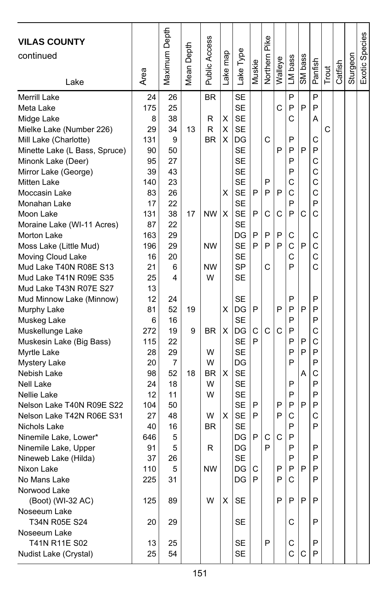| <b>VILAS COUNTY</b><br>continued                                                                                                                                         | Area                                           | Maximum Depth                                           | Depth<br>Mean I | <b>Public Access</b>                       | ake map     | Lake Type                                                                              | Muskie      | Pike<br>Northern | Walleye     | LM bass                         | SM bass     | Panfish                         | Trout | Catfish | Sturgeon | Exotic Species |
|--------------------------------------------------------------------------------------------------------------------------------------------------------------------------|------------------------------------------------|---------------------------------------------------------|-----------------|--------------------------------------------|-------------|----------------------------------------------------------------------------------------|-------------|------------------|-------------|---------------------------------|-------------|---------------------------------|-------|---------|----------|----------------|
| Lake                                                                                                                                                                     |                                                |                                                         |                 |                                            |             |                                                                                        |             |                  |             |                                 |             |                                 |       |         |          |                |
| Merrill Lake<br>Meta Lake<br>Midge Lake<br>Mielke Lake (Number 226)<br>Mill Lake (Charlotte)<br>Minette Lake (L Bass, Spruce)                                            | 24<br>175<br>8<br>29<br>131<br>90              | 26<br>25<br>38<br>34<br>9<br>50                         | 13              | <b>BR</b><br>R<br>R<br><b>BR</b>           | Χ<br>X<br>X | <b>SE</b><br><b>SE</b><br><b>SE</b><br><b>SE</b><br>DG<br><b>SE</b>                    |             | C                | C<br>P      | P<br>P<br>Ć<br>P<br>P           | P<br>P      | P<br>P<br>Α<br>С<br>P           | C     |         |          |                |
| Minonk Lake (Deer)<br>Mirror Lake (George)<br><b>Mitten Lake</b><br>Moccasin Lake<br>Monahan Lake<br>Moon Lake                                                           | 95<br>39<br>140<br>83<br>17<br>131             | 27<br>43<br>23<br>26<br>22<br>38                        | 17              | <b>NW</b>                                  | х<br>X      | <b>SE</b><br><b>SE</b><br><b>SE</b><br><b>SE</b><br><b>SE</b><br><b>SE</b>             | P<br>P      | P<br>P<br>C      | P<br>С      | P<br>P<br>С<br>C<br>P<br>P      | С           | C<br>C<br>C<br>C<br>P<br>Ċ      |       |         |          |                |
| Moraine Lake (WI-11 Acres)<br>Morton Lake<br>Moss Lake (Little Mud)<br>Moving Cloud Lake<br>Mud Lake T40N R08E S13<br>Mud Lake T41N R09E S35<br>Mud Lake T43N R07E S27   | 87<br>163<br>196<br>16<br>21<br>25<br>13       | 22<br>29<br>29<br>20<br>6<br>4                          |                 | <b>NW</b><br><b>NW</b><br>W                |             | <b>SE</b><br>DG<br><b>SE</b><br><b>SE</b><br>SP<br><b>SE</b>                           | P<br>P      | P<br>P<br>C      | P<br>P      | С<br>C<br>С<br>P                | P           | C<br>C<br>C<br>C                |       |         |          |                |
| Mud Minnow Lake (Minnow)<br>Murphy Lake<br>Muskeg Lake<br>Muskellunge Lake<br>Muskesin Lake (Big Bass)<br>Myrtle Lake                                                    | 12<br>81<br>6<br>272<br>115<br>28              | 24<br>52<br>16<br>19<br>22<br>29                        | 19<br>9         | <b>BR</b><br>W                             | х<br>X      | <b>SE</b><br>DG<br><b>SE</b><br>DG<br><b>SE</b><br><b>SE</b>                           | P<br>С<br>P | C                | P<br>С      | P<br>P<br>P<br>P<br>P<br>P      | P<br>Ρ<br>P | P<br>P<br>P<br>C<br>C<br>P      |       |         |          |                |
| <b>Mystery Lake</b><br>Nebish Lake<br><b>Nell Lake</b><br>Nellie Lake<br>Nelson Lake T40N R09E S22<br>Nelson Lake T42N R06E S31<br>Nichols Lake<br>Ninemile Lake, Lower* | 20<br>98<br>24<br>12<br>104<br>27<br>40<br>646 | $\overline{7}$<br>52<br>18<br>11<br>50<br>48<br>16<br>5 | 18              | W<br><b>BR</b><br>W<br>W<br>W<br><b>BR</b> | X<br>X      | DG<br><b>SE</b><br><b>SE</b><br><b>SE</b><br><b>SE</b><br><b>SE</b><br><b>SE</b><br>DG | P<br>P<br>P | С                | P<br>P<br>C | P<br>P<br>P<br>P<br>C<br>P<br>P | А<br>P      | P<br>C<br>P<br>P<br>P<br>C<br>P |       |         |          |                |
| Ninemile Lake, Upper<br>Nineweb Lake (Hilda)<br>Nixon Lake<br>No Mans Lake<br>Norwood Lake<br>(Boot) (WI-32 AC)                                                          | 91<br>37<br>110<br>225<br>125                  | 5<br>26<br>5<br>31<br>89                                |                 | R<br><b>NW</b><br>W                        | X           | DG<br><b>SE</b><br>DG<br>DG<br><b>SE</b>                                               | C<br>P      | P                | P<br>P<br>P | P<br>P<br>P<br>С<br>P           | P<br>P      | P<br>P<br>P<br>P<br>P           |       |         |          |                |
| Noseeum Lake<br>T34N R05E S24<br>Noseeum Lake<br>T41N R11E S02<br>Nudist Lake (Crystal)                                                                                  | 20<br>13<br>25                                 | 29<br>25<br>54                                          |                 |                                            |             | SE<br><b>SE</b><br>SE                                                                  |             | P                |             | С<br>С<br>С                     | С           | P<br>P<br>P                     |       |         |          |                |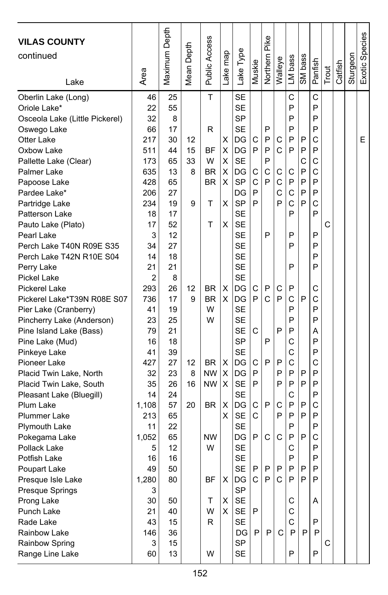| <b>VILAS COUNTY</b><br>continued<br>Lake | Area       | Maximum Depth | Depth<br>Mean I | Public Access | ake map | Lake Type       | Muskie       | Pike<br>Northern | Walleye | LM bass | SM bass | Panfish | Trout | Catfish | Sturgeon | Exotic Species |
|------------------------------------------|------------|---------------|-----------------|---------------|---------|-----------------|--------------|------------------|---------|---------|---------|---------|-------|---------|----------|----------------|
| Oberlin Lake (Long)                      | 46         | 25            |                 | T             |         | <b>SE</b>       |              |                  |         | C       |         | C<br>P  |       |         |          |                |
| Oriole Lake*                             | 22         | 55            |                 |               |         | <b>SE</b>       |              |                  |         | P<br>P  |         | P       |       |         |          |                |
| Osceola Lake (Little Pickerel)           | 32         | 8             |                 |               |         | SP              |              |                  |         |         |         | P       |       |         |          |                |
| Oswego Lake<br>Otter Lake                | 66<br>217  | 17<br>30      | 12              | R             | X       | <b>SE</b><br>DG | C            | P<br>P           | С       | P<br>P  | P       | C       |       |         |          | Е              |
| Oxbow Lake                               | 511        | 44            | 15              | ΒF            | х       | DG              | P            | P                | C       | P       | P       | P       |       |         |          |                |
| Pallette Lake (Clear)                    | 173        | 65            | 33              | W             | X       | <b>SE</b>       |              | P                |         |         | C       | C       |       |         |          |                |
| Palmer Lake                              | 635        | 13            | 8               | <b>BR</b>     | X       | DG              | С            | C                | С       | С       | P       | C       |       |         |          |                |
| Papoose Lake                             | 428        | 65            |                 | <b>BR</b>     | X       | <b>SP</b>       | C            | P                | C       | P       | P       | P       |       |         |          |                |
| Pardee Lake*                             | 206        | 27            |                 |               |         | DG              | P            |                  | C       | C       | P       | P       |       |         |          |                |
| Partridge Lake                           | 234        | 19            | 9               | т             | х       | <b>SP</b>       | P            |                  | P       | Ċ       | P       | C       |       |         |          |                |
| Patterson Lake                           | 18         | 17            |                 |               |         | <b>SE</b>       |              |                  |         | P       |         | P       |       |         |          |                |
| Pauto Lake (Plato)                       | 17         | 52            |                 | T             | X       | <b>SE</b>       |              |                  |         |         |         |         | C     |         |          |                |
| Pearl Lake                               | 3          | 12            |                 |               |         | <b>SE</b>       |              | P                |         | P       |         | P       |       |         |          |                |
| Perch Lake T40N R09E S35                 | 34         | 27            |                 |               |         | <b>SE</b>       |              |                  |         | P       |         | P       |       |         |          |                |
| Perch Lake T42N R10E S04                 | 14         | 18            |                 |               |         | <b>SE</b>       |              |                  |         |         |         | P       |       |         |          |                |
| Perry Lake                               | 21         | 21            |                 |               |         | <b>SE</b>       |              |                  |         | P       |         | P       |       |         |          |                |
| <b>Pickel Lake</b>                       | 2          | 8             |                 |               |         | <b>SE</b>       |              |                  |         |         |         |         |       |         |          |                |
| Pickerel Lake                            | 293        | 26            | 12              | BR            | х       | DG              | С            | P                | С       | P       |         | С       |       |         |          |                |
| Pickerel Lake*T39N R08E S07              | 736        | 17            | 9               | <b>BR</b>     | X       | DG              | P            | C                | P       | Ċ       | P       | C       |       |         |          |                |
| Pier Lake (Cranberry)                    | 41         | 19            |                 | W             |         | <b>SE</b>       |              |                  |         | P       |         | P       |       |         |          |                |
| Pincherry Lake (Anderson)                | 23         | 25            |                 | W             |         | <b>SE</b>       |              |                  |         | P       |         | P       |       |         |          |                |
| Pine Island Lake (Bass)                  | 79         | 21            |                 |               |         | <b>SE</b>       | С            |                  | P       | P       |         | А       |       |         |          |                |
| Pine Lake (Mud)                          | 16         | 18            |                 |               |         | <b>SP</b>       |              | P                |         | С       |         | P       |       |         |          |                |
| Pinkeye Lake                             | 41         | 39            |                 |               |         | <b>SE</b>       |              |                  |         | Ċ       |         | P       |       |         |          |                |
| Pioneer Lake                             | 427        | 27            | 12              | BR.           | х       | DG              | C            | P                | P       | C       |         | C       |       |         |          |                |
| Placid Twin Lake, North                  | 32         | 23            | 8               | <b>NW</b>     | X       | DG              | P            |                  | P       | P       | P       | P       |       |         |          |                |
| Placid Twin Lake, South                  | 35         | 26            | 16              | <b>NW</b>     | X       | <b>SE</b>       | P            |                  | P       | P       | P       | P       |       |         |          |                |
| Pleasant Lake (Bluegill)                 | 14         | 24            |                 |               |         | <b>SE</b>       |              |                  |         | C       |         | P       |       |         |          |                |
| Plum Lake                                | 1,108      | 57            | 20              | BR.           | х       | DG              | C            | P                | С       | P       | P       | C       |       |         |          |                |
| <b>Plummer Lake</b>                      | 213        | 65            |                 |               | X       | <b>SE</b>       | C            |                  | P       | P       | P       | P       |       |         |          |                |
| <b>Plymouth Lake</b>                     | 11         | 22<br>65      |                 | <b>NW</b>     |         | <b>SE</b><br>DG | P            | C                | C       | P<br>P  | P       | P<br>C  |       |         |          |                |
| Pokegama Lake<br>Pollack Lake            | 1,052<br>5 | 12            |                 | W             |         | <b>SE</b>       |              |                  |         | C       |         | P       |       |         |          |                |
| Potfish Lake                             | 16         | 16            |                 |               |         | <b>SE</b>       |              |                  |         | P       |         | P       |       |         |          |                |
| Poupart Lake                             | 49         | 50            |                 |               |         | <b>SE</b>       | $\mathsf{P}$ | P                | P       | P       | P       | P       |       |         |          |                |
| Presque Isle Lake                        | 1,280      | 80            |                 | <b>BF</b>     | X       | DG              | $\vert$ C    | P                | C       | P       | P       | P       |       |         |          |                |
| Presque Springs                          | 3          |               |                 |               |         | <b>SP</b>       |              |                  |         |         |         |         |       |         |          |                |
| Prong Lake                               | 30         | 50            |                 | Τ             | X       | <b>SE</b>       |              |                  |         | С       |         | A       |       |         |          |                |
| Punch Lake                               | 21         | 40            |                 | W             | X       | SE              | P            |                  |         | С       |         |         |       |         |          |                |
| Rade Lake                                | 43         | 15            |                 | R.            |         | SE              |              |                  |         | С       |         | P       |       |         |          |                |
| Rainbow Lake                             | 146        | 36            |                 |               |         | DG              | $\mathsf{P}$ | P                | C       | P       | P       | P       |       |         |          |                |
| Rainbow Spring                           | 3          | 15            |                 |               |         | SP              |              |                  |         |         |         |         | С     |         |          |                |
| Range Line Lake                          | 60         | 13            |                 | W             |         | SE              |              |                  |         | P       |         | P       |       |         |          |                |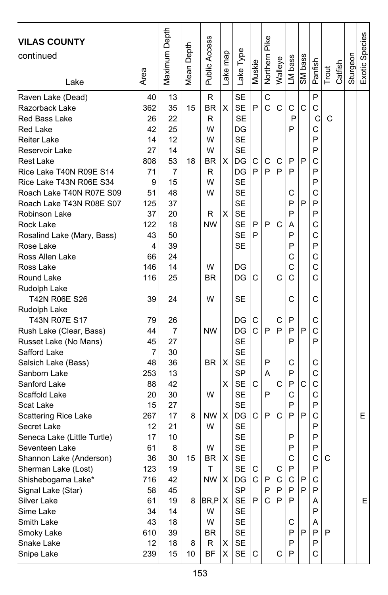| <b>VILAS COUNTY</b>                     |           | Maximum Depth |                   |                      |          |                        |        |               |         |         |         |         |       |         |          | Exotic Species |
|-----------------------------------------|-----------|---------------|-------------------|----------------------|----------|------------------------|--------|---------------|---------|---------|---------|---------|-------|---------|----------|----------------|
| continued                               |           |               | Depth             |                      |          |                        |        |               |         |         |         |         |       |         |          |                |
|                                         |           |               |                   |                      |          |                        |        |               |         |         |         |         |       |         |          |                |
|                                         | Area      |               | Mean <sup>1</sup> | <b>Public Access</b> | Lake map | Lake Type              | Muskie | Northern Pike | Walleye | LM bass | SM bass | Panfish | Trout | Catfish | Sturgeon |                |
| Lake                                    |           |               |                   |                      |          |                        |        |               |         |         |         |         |       |         |          |                |
| Raven Lake (Dead)                       | 40        | 13            |                   | R                    |          | <b>SE</b>              |        | C             |         |         |         | P       |       |         |          |                |
| Razorback Lake                          | 362       | 35            | 15                | <b>BR</b>            | X        | <b>SE</b>              | P      | Ć             | C       | C       | C       | C       |       |         |          |                |
| Red Bass Lake                           | 26        | 22            |                   | R                    |          | <b>SE</b>              |        |               |         | P       |         | C       | C     |         |          |                |
| Red Lake                                | 42        | 25            |                   | W                    |          | DG                     |        |               |         | P       |         | C       |       |         |          |                |
| <b>Reiter Lake</b>                      | 14        | 12            |                   | W                    |          | <b>SE</b>              |        |               |         |         |         | P       |       |         |          |                |
| Reservoir Lake                          | 27        | 14            |                   | W                    |          | <b>SE</b>              |        |               |         |         |         | P       |       |         |          |                |
| Rest Lake                               | 808       | 53            | 18                | BR                   | X        | DG                     | С      | С             | С       | P       | P       | C       |       |         |          |                |
| Rice Lake T40N R09E S14                 | 71        | 7             |                   | R                    |          | DG                     | P      | P             | P       | P       |         | P       |       |         |          |                |
| Rice Lake T43N R06E S34                 | 9         | 15            |                   | W                    |          | <b>SE</b>              |        |               |         |         |         | P       |       |         |          |                |
| Roach Lake T40N R07E S09                | 51        | 48            |                   | W                    |          | <b>SE</b>              |        |               |         | С       |         | C       |       |         |          |                |
| Roach Lake T43N R08E S07                | 125       | 37            |                   |                      |          | <b>SE</b>              |        |               |         | P       | P       | P       |       |         |          |                |
| Robinson Lake                           | 37        | 20            |                   | R<br><b>NW</b>       | X        | <b>SE</b>              | P      | P             |         | P       |         | P       |       |         |          |                |
| Rock Lake                               | 122<br>43 | 18            |                   |                      |          | <b>SE</b><br><b>SE</b> | P      |               | C       | Α<br>P  |         | C<br>Ċ  |       |         |          |                |
| Rosalind Lake (Mary, Bass)<br>Rose Lake | 4         | 50<br>39      |                   |                      |          | SE                     |        |               |         | P       |         | P       |       |         |          |                |
| Ross Allen Lake                         | 66        | 24            |                   |                      |          |                        |        |               |         | С       |         | C       |       |         |          |                |
| Ross Lake                               | 146       | 14            |                   | W                    |          | DG                     |        |               |         | C       |         | C       |       |         |          |                |
| Round Lake                              | 116       | 25            |                   | ΒR                   |          | DG                     | С      |               | С       | C       |         | C       |       |         |          |                |
| Rudolph Lake                            |           |               |                   |                      |          |                        |        |               |         |         |         |         |       |         |          |                |
| T42N R06E S26                           | 39        | 24            |                   | W                    |          | SE                     |        |               |         | С       |         | C       |       |         |          |                |
| Rudolph Lake                            |           |               |                   |                      |          |                        |        |               |         |         |         |         |       |         |          |                |
| T43N R07E S17                           | 79        | 26            |                   |                      |          | DG                     | C      |               | С       | P       |         | C       |       |         |          |                |
| Rush Lake (Clear, Bass)                 | 44        | 7             |                   | <b>NW</b>            |          | DG                     | C      | P             | P       | P       | P       | C       |       |         |          |                |
| Russet Lake (No Mans)                   | 45        | 27            |                   |                      |          | <b>SE</b>              |        |               |         | P       |         | P       |       |         |          |                |
| Safford Lake                            | 7         | 30            |                   |                      |          | <b>SE</b>              |        |               |         |         |         |         |       |         |          |                |
| Salsich Lake (Bass)                     | 48        | 36            |                   | BR.                  | X        | <b>SE</b>              |        | P             |         | C       |         | С       |       |         |          |                |
| Sanborn Lake                            | 253       | 13            |                   |                      |          | SP                     |        | A             |         | P       |         | C       |       |         |          |                |
| Sanford Lake                            | 88        | 42            |                   |                      | х        | <b>SE</b>              | C      |               | C       | P       | C       | C       |       |         |          |                |
| Scaffold Lake                           | 20        | 30            |                   | W                    |          | <b>SE</b>              |        | P             |         | C       |         | C       |       |         |          |                |
| Scat Lake                               | 15        | 27            |                   |                      |          | <b>SE</b>              |        |               |         | P       |         | P       |       |         |          |                |
| <b>Scattering Rice Lake</b>             | 267       | 17            | 8                 | <b>NW</b>            | X        | DG                     | C      | P             | С       | P       | P       | C       |       |         |          | E              |
| Secret Lake                             | 12        | 21            |                   | W                    |          | <b>SE</b>              |        |               |         |         |         | P       |       |         |          |                |
| Seneca Lake (Little Turtle)             | 17        | 10            |                   |                      |          | <b>SE</b>              |        |               |         | P       |         | P       |       |         |          |                |
| Seventeen Lake                          | 61        | 8             |                   | W                    |          | SE                     |        |               |         | P       |         | P       |       |         |          |                |
| Shannon Lake (Anderson)                 | 36        | 30            | 15                | BR.                  | X        | <b>SE</b>              |        |               |         | C       |         | C       | C     |         |          |                |
| Sherman Lake (Lost)                     | 123       | 19            |                   | T                    |          | <b>SE</b>              | C.     |               | C       | P       |         | P       |       |         |          |                |
| Shishebogama Lake*                      | 716       | 42            |                   | NW X                 |          | DG                     | С      | P             | С       | C       | P       | С       |       |         |          |                |
| Signal Lake (Star)                      | 58        | 45            |                   |                      |          | SP                     |        | P             | P       | P       | P       | P       |       |         |          |                |
| Silver Lake                             | 61        | 19            | 8                 | BR, P X              |          | <b>SE</b>              | P      | C             | P       | P       |         | A       |       |         |          | E              |
| Sime Lake                               | 34        | 14            |                   | W                    |          | SE                     |        |               |         |         |         | P       |       |         |          |                |
| Smith Lake                              | 43        | 18            |                   | W                    |          | <b>SE</b>              |        |               |         | С       |         | Α       |       |         |          |                |
| Smoky Lake                              | 610       | 39            |                   | <b>BR</b>            |          | <b>SE</b>              |        |               |         | P       | P       | P       | P     |         |          |                |
| Snake Lake                              | 12        | 18            | 8                 | R<br><b>BF</b>       | х        | SE                     |        |               |         | P<br>P  |         | P       |       |         |          |                |
| Snipe Lake                              | 239       | 15            | 10                |                      | х        | SE                     | С      |               | С       |         |         | С       |       |         |          |                |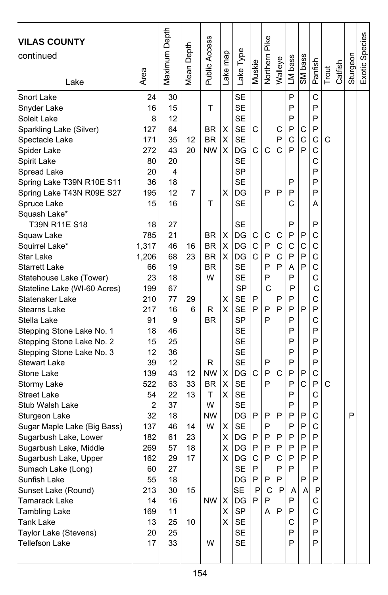| <b>VILAS COUNTY</b><br>continued<br>Lake                                                                                                                                                                                                                                                                                                                                                                                                                                                                                                                                                                                                                            | Area                                                                                                                                                                                              | Maximum Depth                                                                                                                                                                   | Depth<br>Mean I                                                           | Public Access                                                                                                                                   | map<br>Lake                                                         | Lake Type                                                                                                                                                                                                                                                                                                      | Muskie                                                                         | Pike<br>Northern                                                                                 | Walleye                                                                            | LM bass                                                                                                                                       | SM bass                                                            | Panfish                                                                                                                                            | Trout | Catfish | Sturgeon | Exotic Species |
|---------------------------------------------------------------------------------------------------------------------------------------------------------------------------------------------------------------------------------------------------------------------------------------------------------------------------------------------------------------------------------------------------------------------------------------------------------------------------------------------------------------------------------------------------------------------------------------------------------------------------------------------------------------------|---------------------------------------------------------------------------------------------------------------------------------------------------------------------------------------------------|---------------------------------------------------------------------------------------------------------------------------------------------------------------------------------|---------------------------------------------------------------------------|-------------------------------------------------------------------------------------------------------------------------------------------------|---------------------------------------------------------------------|----------------------------------------------------------------------------------------------------------------------------------------------------------------------------------------------------------------------------------------------------------------------------------------------------------------|--------------------------------------------------------------------------------|--------------------------------------------------------------------------------------------------|------------------------------------------------------------------------------------|-----------------------------------------------------------------------------------------------------------------------------------------------|--------------------------------------------------------------------|----------------------------------------------------------------------------------------------------------------------------------------------------|-------|---------|----------|----------------|
| Snort Lake<br>Snyder Lake<br>Soleit Lake<br>Sparkling Lake (Silver)<br>Spectacle Lake<br>Spider Lake<br>Spirit Lake<br>Spread Lake<br>Spring Lake T39N R10E S11<br>Spring Lake T43N R09E S27<br>Spruce Lake<br>Squash Lake*<br>T39N R11E S18                                                                                                                                                                                                                                                                                                                                                                                                                        | 24<br>16<br>8<br>127<br>171<br>272<br>80<br>20<br>36<br>195<br>15<br>18                                                                                                                           | 30<br>15<br>12<br>64<br>35<br>43<br>20<br>4<br>18<br>12<br>16<br>27                                                                                                             | 12<br>20<br>7                                                             | т<br>BR<br><b>BR</b><br><b>NW</b><br>т                                                                                                          | х<br>X<br>X<br>X                                                    | <b>SE</b><br><b>SE</b><br><b>SE</b><br><b>SE</b><br><b>SE</b><br>DG<br><b>SE</b><br>SP<br><b>SE</b><br>DG<br><b>SE</b><br>SE                                                                                                                                                                                   | С<br>С                                                                         | C<br>P                                                                                           | С<br>P<br>C<br>P                                                                   | P<br>P<br>P<br>Ρ<br>C<br>P<br>P<br>P<br>C<br>P                                                                                                | С<br>$\mathsf{C}$<br>P                                             | C<br>P<br>P<br>P<br>C<br>C<br>C<br>P<br>P<br>P<br>Α<br>P                                                                                           | C     |         |          |                |
| Squaw Lake<br>Squirrel Lake*<br>Star Lake<br><b>Starrett Lake</b><br>Statehouse Lake (Tower)<br>Stateline Lake (WI-60 Acres)<br>Statenaker Lake<br><b>Stearns Lake</b><br>Stella Lake<br>Stepping Stone Lake No. 1<br>Stepping Stone Lake No. 2<br>Stepping Stone Lake No. 3<br>Stewart Lake<br>Stone Lake<br>Stormy Lake<br><b>Street Lake</b><br>Stub Walsh Lake<br>Sturgeon Lake<br>Sugar Maple Lake (Big Bass)<br>Sugarbush Lake, Lower<br>Sugarbush Lake, Middle<br>Sugarbush Lake, Upper<br>Sumach Lake (Long)<br>Sunfish Lake<br>Sunset Lake (Round)<br>Tamarack Lake<br><b>Tambling Lake</b><br>Tank Lake<br>Taylor Lake (Stevens)<br><b>Tellefson Lake</b> | 785<br>1,317<br>1,206<br>66<br>23<br>199<br>210<br>217<br>91<br>18<br>15<br>12<br>39<br>139<br>522<br>54<br>2<br>32<br>137<br>182<br>269<br>162<br>60<br>55<br>213<br>14<br>169<br>13<br>20<br>17 | 21<br>46<br>68<br>19<br>18<br>67<br>77<br>16<br>9<br>46<br>25<br>36<br>12<br>43<br>63<br>22<br>37<br>18<br>46<br>61<br>57<br>29<br>27<br>18<br>30<br>16<br>11<br>25<br>25<br>33 | 16<br>23<br>29<br>6<br>12<br>33<br>13<br>14<br>23<br>18<br>17<br>15<br>10 | <b>BR</b><br><b>BR</b><br><b>BR</b><br><b>BR</b><br>W<br>R<br>BR<br>R<br><b>NW</b><br><b>BR</b><br>т<br>W<br><b>NW</b><br>W<br>$NW \mid X$<br>W | X<br>X<br>X<br>X<br>X<br>X<br>X<br>х<br>х<br>X<br>х<br>х<br>X<br>X. | DG<br>DG<br>DG<br><b>SE</b><br><b>SE</b><br><b>SP</b><br><b>SE</b><br><b>SE</b><br><b>SP</b><br><b>SE</b><br><b>SE</b><br><b>SE</b><br><b>SE</b><br>DG<br><b>SE</b><br><b>SE</b><br><b>SE</b><br>DG<br><b>SE</b><br>DG<br>DG<br>DG<br><b>SE</b><br>DG<br><b>SE</b><br>DG<br><b>SP</b><br>SE<br>SE<br><b>SE</b> | С<br>C<br>C<br>P<br>P<br>C<br>P<br>P<br>P<br>C<br>P<br>P<br>$\mathsf{P}$<br>P. | C<br>P<br>P<br>P<br>P<br>C<br>P<br>P<br>P<br>P<br>P<br>P<br>P<br>P<br>P<br>P<br>P<br>С<br>P<br>A | С<br>С<br>C<br>P<br>P<br>P<br>C<br>P<br>P<br>P<br>C<br>P<br>P<br>$\mathsf{P}$<br>P | P<br>C<br>P<br>A<br>P<br>P<br>P<br>P<br>P<br>P<br>P<br>P<br>P<br>P<br>P<br>P<br>P<br>P<br>P<br>P<br>P<br>P<br>P<br>Α<br>P<br>P<br>C<br>P<br>P | P<br>C<br>P<br>P<br>P<br>P<br>C<br>P<br>P<br>P<br>P<br>P<br>P<br>A | C<br>C<br>C<br>C<br>С<br>C<br>С<br>P<br>C<br>P<br>P<br>P<br>P<br>C<br>P<br>C<br>P<br>C<br>C<br>P<br>P<br>P<br>P<br>P<br>P<br>С<br>C<br>P<br>P<br>P | C     |         | P        |                |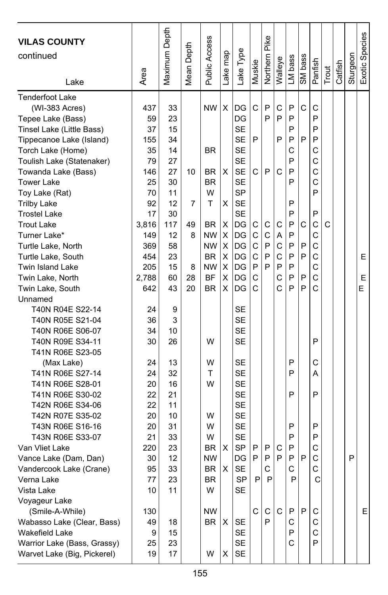| <b>VILAS COUNTY</b><br>continued<br>Lake | Area      | Maximum Depth | Mean Depth | Public Access | ake map | Lake Type              | Muskie | Northern Pike | Walleye | LM bass | SM bass | Panfish      | Trout | Catfish | Sturgeon | Exotic Species |
|------------------------------------------|-----------|---------------|------------|---------------|---------|------------------------|--------|---------------|---------|---------|---------|--------------|-------|---------|----------|----------------|
| <b>Tenderfoot Lake</b>                   |           |               |            |               |         |                        |        |               |         |         |         |              |       |         |          |                |
| (WI-383 Acres)                           | 437       | 33            |            | <b>NW</b>     | Χ       | DG                     | С      | P             | С       | P       | C       | С            |       |         |          |                |
| Tepee Lake (Bass)                        | 59        | 23            |            |               |         | DG                     |        | P             | P       | P       |         | P            |       |         |          |                |
| Tinsel Lake (Little Bass)                | 37        | 15            |            |               |         | <b>SE</b>              |        |               |         | P       |         | P            |       |         |          |                |
| Tippecanoe Lake (Island)                 | 155       | 34            |            |               |         | <b>SE</b>              | P      |               | P       | P<br>C  | P       | P<br>С       |       |         |          |                |
| Torch Lake (Home)                        | 35        | 14            |            | BR            |         | SE<br><b>SE</b>        |        |               |         | P       |         | С            |       |         |          |                |
| Toulish Lake (Statenaker)                | 79<br>146 | 27<br>27      | 10         |               | X       | <b>SE</b>              | С      | P             | C       | P       |         | C            |       |         |          |                |
| Towanda Lake (Bass)<br><b>Tower Lake</b> | 25        | 30            |            | BR<br>BR      |         | <b>SE</b>              |        |               |         | P       |         | C            |       |         |          |                |
| Toy Lake (Rat)                           | 70        | 11            |            | W             |         | <b>SP</b>              |        |               |         |         |         | P            |       |         |          |                |
| <b>Trilby Lake</b>                       | 92        | 12            | 7          | т             | X       | <b>SE</b>              |        |               |         | P       |         |              |       |         |          |                |
| <b>Trostel Lake</b>                      | 17        | 30            |            |               |         | <b>SE</b>              |        |               |         | P       |         | P            |       |         |          |                |
| <b>Trout Lake</b>                        | 3,816     | 117           | 49         | BR.           | х       | DG                     | С      | C             | С       | P       | С       | C            | C     |         |          |                |
| Turner Lake*                             | 149       | 12            | 8          | <b>NW</b>     | X       | DG                     | С      | C             | A       | P       |         | C            |       |         |          |                |
| Turtle Lake, North                       | 369       | 58            |            | <b>NW</b>     | X       | DG                     | C      | P             | С       | P       | P       | C            |       |         |          |                |
| Turtle Lake, South                       | 454       | 23            |            | <b>BR</b>     | х       | DG                     | C      | P             | C       | P       | P       | C            |       |         |          | E              |
| <b>Twin Island Lake</b>                  | 205       | 15            | 8          | <b>NW</b>     | X       | DG                     | P      | P             | P       | P       |         | C            |       |         |          |                |
| Twin Lake, North                         | 2,788     | 60            | 28         | <b>BF</b>     | X       | DG                     | C      |               | C       | P       | P       | C            |       |         |          | E              |
| Twin Lake, South                         | 642       | 43            | 20         | BR            | X       | DG                     | С      |               | Ċ       | P       | P       | C            |       |         |          | E              |
| Unnamed                                  |           |               |            |               |         |                        |        |               |         |         |         |              |       |         |          |                |
| T40N R04E S22-14                         | 24        | 9             |            |               |         | SE                     |        |               |         |         |         |              |       |         |          |                |
| T40N R05E S21-04                         | 36        | 3             |            |               |         | <b>SE</b>              |        |               |         |         |         |              |       |         |          |                |
| T40N R06E S06-07                         | 34        | 10            |            |               |         | <b>SE</b>              |        |               |         |         |         |              |       |         |          |                |
| T40N R09E S34-11                         | 30        | 26            |            | W             |         | <b>SE</b>              |        |               |         |         |         | P            |       |         |          |                |
| T41N R06E S23-05                         |           |               |            |               |         |                        |        |               |         |         |         |              |       |         |          |                |
| (Max Lake)                               | 24        | 13            |            | W             |         | <b>SE</b>              |        |               |         | P       |         | C            |       |         |          |                |
| T41N R06E S27-14                         | 24        | 32            |            | т             |         | <b>SE</b>              |        |               |         | P       |         | A            |       |         |          |                |
| T41N R06E S28-01                         | 20        | 16            |            | W             |         | <b>SE</b>              |        |               |         |         |         |              |       |         |          |                |
| T41N R06E S30-02                         | 22        | 21            |            |               |         | <b>SE</b>              |        |               |         | P       |         | P            |       |         |          |                |
| T42N R06E S34-06                         | 22        | 11            |            |               |         | <b>SE</b>              |        |               |         |         |         |              |       |         |          |                |
| T42N R07E S35-02                         | 20        | 10            |            | W             |         | <b>SE</b>              |        |               |         |         |         |              |       |         |          |                |
| T43N R06E S16-16                         | 20        | 31            |            | W             |         | <b>SE</b>              |        |               |         | P       |         | P            |       |         |          |                |
| T43N R06E S33-07                         | 21        | 33            |            | W             |         | SE                     |        |               |         | P       |         | P            |       |         |          |                |
| Van Vliet Lake                           | 220       | 23            |            | BR            | X       | <b>SP</b>              | P      | P             | С       | P       |         | C            |       |         |          |                |
| Vance Lake (Dam, Dan)                    | 30        | 12            |            | <b>NW</b>     |         | DG                     | P      | P<br>C        | P       | P<br>C  | P       | C<br>C       |       |         | P        |                |
| Vandercook Lake (Crane)                  | 95        | 33            |            | <b>BR</b>     | X       | <b>SE</b><br><b>SP</b> | P      | P             |         | P       |         |              |       |         |          |                |
| Verna Lake                               | 77        | 23            |            | BR<br>W       |         | <b>SE</b>              |        |               |         |         |         | С            |       |         |          |                |
| Vista Lake                               | 10        | 11            |            |               |         |                        |        |               |         |         |         |              |       |         |          |                |
| Voyageur Lake<br>(Smile-A-While)         | 130       |               |            | <b>NW</b>     |         |                        | C.     | C             | C       | P       | P       | С            |       |         |          | E              |
| Wabasso Lake (Clear, Bass)               | 49        | 18            |            | BR            | Χ       | <b>SE</b>              |        | P             |         | С       |         | С            |       |         |          |                |
| Wakefield Lake                           | 9         | 15            |            |               |         | SE                     |        |               |         | P       |         | $\mathsf{C}$ |       |         |          |                |
| Warrior Lake (Bass, Grassy)              | 25        | 23            |            |               |         | SE                     |        |               |         | С       |         | P            |       |         |          |                |
| Warvet Lake (Big, Pickerel)              | 19        | 17            |            | W             | х       | SE                     |        |               |         |         |         |              |       |         |          |                |
|                                          |           |               |            |               |         |                        |        |               |         |         |         |              |       |         |          |                |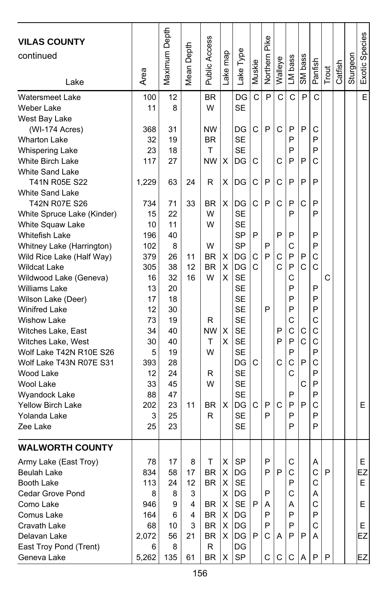| <b>VILAS COUNTY</b><br>continued<br>Lake      | Area    | Maximum Depth | Depth<br>Mean I | <b>Public Access</b> | Lake map | Lake Type              | Muskie | Pike<br>Northern | Walleye | LM bass | SM bass          | Panfish | Trout | Catfish | Sturgeon | Exotic Species |
|-----------------------------------------------|---------|---------------|-----------------|----------------------|----------|------------------------|--------|------------------|---------|---------|------------------|---------|-------|---------|----------|----------------|
| <b>Watersmeet Lake</b>                        | 100     | 12            |                 | BR                   |          | DG                     | C      | P                | C       | C       | P                | C       |       |         |          | E              |
| Weber Lake                                    | 11      | 8             |                 | W                    |          | <b>SE</b>              |        |                  |         |         |                  |         |       |         |          |                |
| West Bay Lake                                 |         |               |                 |                      |          |                        |        |                  |         |         |                  |         |       |         |          |                |
| (WI-174 Acres)                                | 368     | 31            |                 | <b>NW</b>            |          | DG                     | C      | P                | C       | P       | P                | С       |       |         |          |                |
| <b>Wharton Lake</b>                           | 32      | 19            |                 | <b>BR</b>            |          | <b>SE</b>              |        |                  |         | P       |                  | P       |       |         |          |                |
| <b>Whispering Lake</b>                        | 23      | 18            |                 | Τ                    |          | <b>SE</b>              |        |                  |         | P       |                  | P       |       |         |          |                |
| <b>White Birch Lake</b>                       | 117     | 27            |                 | NW                   | х        | DG                     | С      |                  | С       | P       | P                | C       |       |         |          |                |
| <b>White Sand Lake</b>                        |         |               |                 |                      |          |                        |        |                  |         |         |                  |         |       |         |          |                |
| T41N R05E S22                                 | 1,229   | 63            | 24              | R                    | X        | DG                     | C      | P                | C       | P       | P                | P       |       |         |          |                |
| <b>White Sand Lake</b>                        |         |               |                 |                      |          |                        |        |                  |         |         |                  |         |       |         |          |                |
| T42N R07E S26                                 | 734     | 71            | 33              | BR                   | X        | DG                     | C      | P                | C       | P       | C                | P       |       |         |          |                |
| White Spruce Lake (Kinder)                    | 15      | 22            |                 | W                    |          | <b>SE</b>              |        |                  |         | P       |                  | P       |       |         |          |                |
| White Squaw Lake                              | 10      | 11            |                 | W                    |          | <b>SE</b>              |        |                  |         |         |                  |         |       |         |          |                |
| <b>Whitefish Lake</b>                         | 196     | 40            |                 |                      |          | <b>SP</b>              | P      |                  | P       | P       |                  | P       |       |         |          |                |
| Whitney Lake (Harrington)                     | 102     | 8             |                 | W                    |          | <b>SP</b>              |        | P                |         | C       |                  | P       |       |         |          |                |
| Wild Rice Lake (Half Way)                     | 379     | 26            | 11              | BR                   | х        | DG                     | С      | P                | С       | P       | P                | C       |       |         |          |                |
| <b>Wildcat Lake</b>                           | 305     | 38            | 12              | <b>BR</b>            | X        | DG                     | Ċ      |                  | Ċ       | P       | C                | C       |       |         |          |                |
| Wildwood Lake (Geneva)                        | 16      | 32            | 16              | W                    | X        | <b>SE</b>              |        |                  |         | C       |                  |         | C     |         |          |                |
| <b>Williams Lake</b>                          | 13      | 20            |                 |                      |          | <b>SE</b>              |        |                  |         | P       |                  | P       |       |         |          |                |
| Wilson Lake (Deer)                            | 17      | 18            |                 |                      |          | <b>SE</b>              |        |                  |         | P       |                  | P       |       |         |          |                |
| <b>Winifred Lake</b>                          | 12      | 30            |                 |                      |          | <b>SE</b>              |        | P                |         | P       |                  | P       |       |         |          |                |
| <b>Wishow Lake</b>                            | 73      | 19            |                 | R                    |          | <b>SE</b>              |        |                  |         | C       |                  | Ċ       |       |         |          |                |
| Witches Lake, East                            | 34      | 40            |                 | <b>NW</b><br>т       | X<br>X   | <b>SE</b><br><b>SE</b> |        |                  | P<br>P  | C<br>P  | С<br>$\mathbf C$ | C<br>С  |       |         |          |                |
| Witches Lake, West<br>Wolf Lake T42N R10E S26 | 30<br>5 | 40<br>19      |                 | W                    |          | <b>SE</b>              |        |                  |         | P       |                  | P       |       |         |          |                |
| Wolf Lake T43N R07E S31                       | 393     | 28            |                 |                      |          | DG                     | С      |                  | C       | C       | P                | C       |       |         |          |                |
| Wood Lake                                     | 12      | 24            |                 | R                    |          | <b>SE</b>              |        |                  |         | C       |                  | P       |       |         |          |                |
| Wool Lake                                     | 33      | 45            |                 | W                    |          | <b>SE</b>              |        |                  |         |         | С                | P       |       |         |          |                |
| Wyandock Lake                                 | 88      | 47            |                 |                      |          | <b>SE</b>              |        |                  |         | P       |                  | P       |       |         |          |                |
| <b>Yellow Birch Lake</b>                      | 202     | 23            | 11              | BR                   | X        | DG                     | С      | P                | C       | P       | P                | С       |       |         |          | E.             |
| Yolanda Lake                                  | 3       | 25            |                 | R                    |          | <b>SE</b>              |        | P                |         | P       |                  | P       |       |         |          |                |
| Zee Lake                                      | 25      | 23            |                 |                      |          | SE                     |        |                  |         | P       |                  | P       |       |         |          |                |
|                                               |         |               |                 |                      |          |                        |        |                  |         |         |                  |         |       |         |          |                |
| <b>WALWORTH COUNTY</b>                        |         |               |                 |                      |          |                        |        |                  |         |         |                  |         |       |         |          |                |
| Army Lake (East Troy)                         | 78      | 17            | 8               | Τ                    | х        | SP                     |        | P                |         | С       |                  | Α       |       |         |          | E.             |
| Beulah Lake                                   | 834     | 58            | 17              | BR                   | X        | DG                     |        | ۲                | ۲       | C       |                  | C       | ۲     |         |          | EZ             |
| Booth Lake                                    | 113     | 24            | 12              | BR                   | Χ        | <b>SE</b>              |        |                  |         | P       |                  | С       |       |         |          | E.             |
| Cedar Grove Pond                              | 8       | 8             | 3               |                      |          | $X$  DG                |        | P                |         | C       |                  | A       |       |         |          |                |
| Como Lake                                     | 946     | 9             | 4               | BR                   | X.       | SE                     | P      | A                |         | Α       |                  | С       |       |         |          | E              |
| Comus Lake                                    | 164     | 6             | 4               | BR                   | X        | DG                     |        | P                |         | P       |                  | P       |       |         |          |                |
| Cravath Lake                                  | 68      | 10            | 3               | BR                   | X        | <b>IDG</b>             |        | P                |         | P       |                  | C       |       |         |          | E.             |
| Delavan Lake                                  | 2,072   | 56            | 21              | BR                   |          | X IDG                  | P      | C                | Α       | P       | l P              | A       |       |         |          | EZ             |
| East Troy Pond (Trent)                        | 6       | 8             |                 | R                    |          | DG                     |        |                  |         |         |                  |         |       |         |          |                |
| Geneva Lake                                   | 5,262   | 135           | 61              | BR                   | X        | SP                     |        | С                | С       | С       | A                | P       | P     |         |          | EZ             |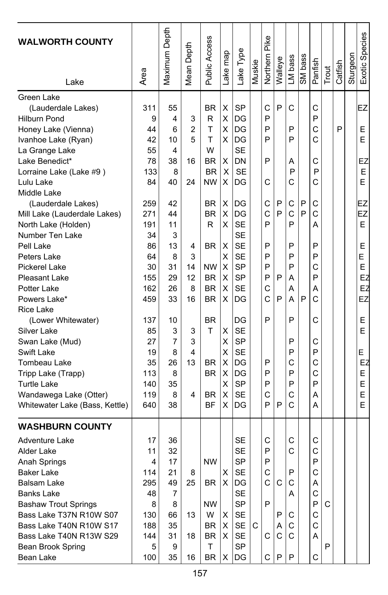| <b>WALWORTH COUNTY</b><br>Lake | Area | Maximum Depth | Depth<br>Mean I | Public Access  | ake map | Lake Type              | Muskie | Northern Pike | Walleye      | LM bass | SM bass | Panfish      | Trout | Catfish | Sturgeon | Exotic Species |
|--------------------------------|------|---------------|-----------------|----------------|---------|------------------------|--------|---------------|--------------|---------|---------|--------------|-------|---------|----------|----------------|
|                                |      |               |                 |                |         |                        |        |               |              |         |         |              |       |         |          |                |
| Green Lake                     |      |               |                 |                |         |                        |        |               |              |         |         |              |       |         |          |                |
| (Lauderdale Lakes)             | 311  | 55            |                 | BR             | х       | <b>SP</b>              |        | C             | P            | С       |         | C            |       |         |          | EZ             |
| <b>Hilburn Pond</b>            | 9    | 4             | 3               | R              | х       | DG                     |        | P             |              |         |         | P            |       |         |          |                |
| Honey Lake (Vienna)            | 44   | 6             | $\overline{2}$  | T              | х       | DG                     |        | P             |              | P       |         | C            |       | P       |          | Е              |
| Ivanhoe Lake (Ryan)            | 42   | 10            | 5               | T              | X       | DG                     |        | P             |              | P       |         | Ć            |       |         |          | E              |
| La Grange Lake                 | 55   | 4             |                 | W              |         | <b>SE</b>              |        |               |              |         |         |              |       |         |          |                |
| Lake Benedict*                 | 78   | 38            | 16              | BR             | X       | DN                     |        | P             |              | Α       |         | С            |       |         |          | EZ             |
| Lorraine Lake (Lake #9)        | 133  | 8             |                 | <b>BR</b>      | х       | <b>SE</b>              |        |               |              | P       |         | P            |       |         |          | E              |
| Lulu Lake                      | 84   | 40            | 24              | <b>NW</b>      | X       | DG                     |        | C             |              | C       |         | C            |       |         |          | E              |
| Middle Lake                    |      |               |                 |                |         |                        |        |               |              |         |         |              |       |         |          |                |
| (Lauderdale Lakes)             | 259  | 42            |                 | <b>BR</b>      | X       | DG                     |        | C             | P            | C       | P       | С            |       |         |          | EZ             |
| Mill Lake (Lauderdale Lakes)   | 271  | 44            |                 | <b>BR</b>      | х       | DG                     |        | C<br>P        | P            | C       | P       | C            |       |         |          | EZ             |
| North Lake (Holden)            | 191  | 11            |                 | R              | х       | <b>SE</b>              |        |               |              | P       |         | Α            |       |         |          | E              |
| Number Ten Lake                | 34   | 3             |                 |                |         | <b>SE</b><br><b>SE</b> |        | P             |              | P       |         | P            |       |         |          |                |
| Pell Lake                      | 86   | 13            | 4               | BR             | х       |                        |        |               |              |         |         |              |       |         |          | Ε              |
| Peters Lake                    | 64   | 8             | 3               |                | х       | <b>SE</b>              |        | P<br>P        |              | P<br>P  |         | P            |       |         |          | E              |
| <b>Pickerel Lake</b>           | 30   | 31            | 14              | <b>NW</b>      | X       | <b>SP</b>              |        |               |              |         |         | C<br>P       |       |         |          | E              |
| <b>Pleasant Lake</b>           | 155  | 29            | 12              | <b>BR</b>      | X       | <b>SP</b>              |        | P             | P            | Α       |         |              |       |         |          | EZ             |
| Potter Lake                    | 162  | 26            | 8               | <b>BR</b>      | X       | <b>SE</b>              |        | C<br>Ċ        |              | А       |         | А            |       |         |          | EZ             |
| Powers Lake*                   | 459  | 33            | 16              | <b>BR</b>      | х       | DG                     |        |               | P            | А       | P       | C            |       |         |          | EZ             |
| <b>Rice Lake</b>               |      |               |                 |                |         |                        |        | P             |              | P       |         |              |       |         |          |                |
| (Lower Whitewater)             | 137  | 10            |                 | <b>BR</b><br>T |         | DG                     |        |               |              |         |         | C            |       |         |          | Ε              |
| Silver Lake                    | 85   | 3             | 3               |                | Χ       | <b>SE</b>              |        |               |              | P       |         |              |       |         |          | E              |
| Swan Lake (Mud)                | 27   | 7             | 3<br>4          |                | X       | <b>SP</b>              |        |               |              | P       |         | С<br>P       |       |         |          |                |
| Swift Lake                     | 19   | 8             | 13              |                | х       | <b>SE</b><br>DG        |        | P             |              | C       |         | C            |       |         |          | E<br>EZ        |
| Tombeau Lake                   | 35   | 26            |                 | <b>BR</b>      | X       |                        |        |               |              | P       |         |              |       |         |          |                |
| Tripp Lake (Trapp)             | 113  | 8             |                 | <b>BR</b>      | х       | DG                     |        | P             |              |         |         | C<br>P       |       |         |          | Ε              |
| <b>Turtle Lake</b>             | 140  | 35            |                 |                | х       | <b>SP</b>              |        | P             |              | P       |         |              |       |         |          | Е              |
| Wandawega Lake (Otter)         | 119  | 8             | 4               | <b>BR</b>      | х       | <b>SE</b>              |        | C<br>P        | P            | C<br>C  |         | Α            |       |         |          | E<br>E         |
| Whitewater Lake (Bass, Kettle) | 640  | 38            |                 | ΒF             | х       | DG                     |        |               |              |         |         | Α            |       |         |          |                |
| <b>WASHBURN COUNTY</b>         |      |               |                 |                |         |                        |        |               |              |         |         |              |       |         |          |                |
| Adventure Lake                 | 17   | 36            |                 |                |         | <b>SE</b>              |        | C             |              | С       |         | С            |       |         |          |                |
| Alder Lake                     | 11   | 32            |                 |                |         | <b>SE</b>              |        | P             |              | C       |         | C            |       |         |          |                |
| Anah Springs                   | 4    | 17            |                 | <b>NW</b>      |         | <b>SP</b>              |        | P             |              |         |         | P            |       |         |          |                |
| Baker Lake                     | 114  | 21            | 8               |                | х       | SE                     |        | С             |              | Ρ       |         | С            |       |         |          |                |
| Balsam Lake                    | 295  | 49            | 25              | BR.            | X.      | DG                     |        | $\mathsf{C}$  | C            | C       |         | Α            |       |         |          |                |
| <b>Banks Lake</b>              | 48   | 7             |                 |                |         | <b>SE</b>              |        |               |              | Α       |         | С            |       |         |          |                |
| <b>Bashaw Trout Springs</b>    | 8    | 8             |                 | NW             |         | <b>SP</b>              |        | P             |              |         |         | P            | C     |         |          |                |
| Bass Lake T37N R10W S07        | 130  | 66            | 13              | W              | х       | SE                     |        |               | P            | С       |         | С            |       |         |          |                |
| Bass Lake T40N R10W S17        | 188  | 35            |                 | BR             | х       | SE                     | C      |               | Α            | C       |         | $\mathsf{C}$ |       |         |          |                |
| Bass Lake T40N R13W S29        | 144  | 31            | 18              | BR             | X       | SE                     |        | С             | $\mathsf{C}$ | C       |         | A            |       |         |          |                |
| Bean Brook Spring              | 5    | 9             |                 | T              |         | <b>SP</b>              |        |               |              |         |         |              | P     |         |          |                |
| Bean Lake                      | 100  | 35            | 16              | BR.            | X       | DG                     |        | C             | P            | P       |         | C            |       |         |          |                |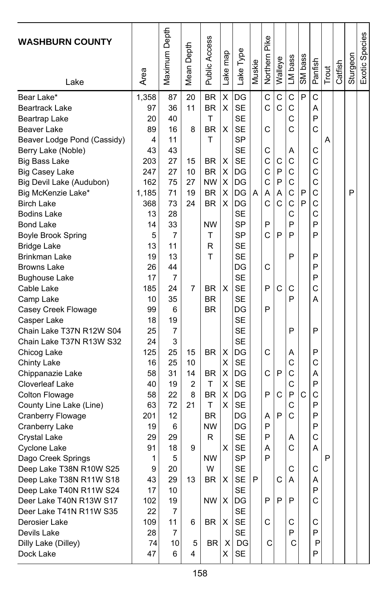| <b>WASHBURN COUNTY</b>      | Area  | Maximum Depth | Mean Depth | Public Access | map<br>ake | Type<br>Lake | Muskie | Northern Pike | Walleye | LM bass | SM bass | Panfish | Trout | Catfish | Sturgeon | Exotic Species |
|-----------------------------|-------|---------------|------------|---------------|------------|--------------|--------|---------------|---------|---------|---------|---------|-------|---------|----------|----------------|
| Lake                        |       |               |            |               |            |              |        |               |         |         |         |         |       |         |          |                |
| Bear Lake*                  | 1,358 | 87            | 20         | <b>BR</b>     | Χ          | DG           |        | C             | C       | C       | P       | Ċ       |       |         |          |                |
| Beartrack Lake              | 97    | 36            | 11         | <b>BR</b>     | X          | <b>SE</b>    |        | C             | C       | C       |         | А       |       |         |          |                |
| Beartrap Lake               | 20    | 40            |            | Τ             |            | <b>SE</b>    |        |               |         | Ċ       |         | P       |       |         |          |                |
| Beaver Lake                 | 89    | 16            | 8          | <b>BR</b>     | х          | <b>SE</b>    |        | C             |         | Ċ       |         | C       |       |         |          |                |
| Beaver Lodge Pond (Cassidy) | 4     | 11            |            | T             |            | <b>SP</b>    |        |               |         |         |         |         | Α     |         |          |                |
| Berry Lake (Noble)          | 43    | 43            |            |               |            | <b>SE</b>    |        | С             |         | Α       |         | С       |       |         |          |                |
| <b>Big Bass Lake</b>        | 203   | 27            | 15         | BR            | х          | <b>SE</b>    |        | C             | С       | C       |         | C       |       |         |          |                |
| <b>Big Casey Lake</b>       | 247   | 27            | 10         | <b>BR</b>     | X          | DG           |        | C             | P       | C       |         | C       |       |         |          |                |
| Big Devil Lake (Audubon)    | 162   | 75            | 27         | <b>NW</b>     | X          | DG           |        | C             | P       | C       |         | C       |       |         |          |                |
| Big McKenzie Lake*          | 1,185 | 71            | 19         | <b>BR</b>     | X          | DG           | A      | Α             | A       | C       | P       | C       |       |         | P        |                |
| <b>Birch Lake</b>           | 368   | 73            | 24         | BR            | X          | DG           |        | C             | C       | C       | P       | C       |       |         |          |                |
| <b>Bodins Lake</b>          | 13    | 28            |            |               |            | <b>SE</b>    |        |               |         | Ċ       |         | Ċ       |       |         |          |                |
| Bond Lake                   | 14    | 33            |            | <b>NW</b>     |            | <b>SP</b>    |        | P             |         | P       |         | P       |       |         |          |                |
| <b>Boyle Brook Spring</b>   | 5     | 7             |            | Т             |            | <b>SP</b>    |        | C             | P       | P       |         | P       |       |         |          |                |
| <b>Bridge Lake</b>          | 13    | 11            |            | R             |            | <b>SE</b>    |        |               |         |         |         |         |       |         |          |                |
| Brinkman Lake               | 19    | 13            |            | T             |            | <b>SE</b>    |        |               |         | P       |         | P       |       |         |          |                |
| <b>Browns Lake</b>          | 26    | 44            |            |               |            | DG           |        | C             |         |         |         | P       |       |         |          |                |
| Bughouse Lake               | 17    | 7             |            |               |            | <b>SE</b>    |        |               |         |         |         | P       |       |         |          |                |
| Cable Lake                  | 185   | 24            | 7          | <b>BR</b>     | X          | <b>SE</b>    |        | P             | C       | С       |         | C       |       |         |          |                |
| Camp Lake                   | 10    | 35            |            | <b>BR</b>     |            | <b>SE</b>    |        |               |         | P       |         | А       |       |         |          |                |
| Casey Creek Flowage         | 99    | 6             |            | <b>BR</b>     |            | DG           |        | P             |         |         |         |         |       |         |          |                |
| Casper Lake                 | 18    | 19            |            |               |            | <b>SE</b>    |        |               |         |         |         |         |       |         |          |                |
| Chain Lake T37N R12W S04    | 25    | 7             |            |               |            | <b>SE</b>    |        |               |         | P       |         | P       |       |         |          |                |
| Chain Lake T37N R13W S32    | 24    | 3             |            |               |            | <b>SE</b>    |        |               |         |         |         |         |       |         |          |                |
| Chicog Lake                 | 125   | 25            | 15         | <b>BR</b>     | X          | DG           |        | C             |         | Α       |         | P       |       |         |          |                |
| <b>Chinty Lake</b>          | 16    | 25            | 10         |               | X          | <b>SE</b>    |        |               |         | C       |         | C       |       |         |          |                |
| Chippanazie Lake            | 58    | 31            | 14         | BR            | X          | DG           |        | C             | P       | C       |         | Α       |       |         |          |                |
| Cloverleaf Lake             | 40    | 19            | 2          | т             | Χ          | <b>SE</b>    |        |               |         | C       |         | P       |       |         |          |                |
| Colton Flowage              | 58    | 22            | 8          | BR            | X          | DG           |        | P             | C       | P       | C       | C       |       |         |          |                |
| County Line Lake (Line)     | 63    | 72            | 21         | T             | X          | <b>SE</b>    |        |               |         | C       |         | P       |       |         |          |                |
| <b>Cranberry Flowage</b>    | 201   | 12            |            | <b>BR</b>     |            | DG           |        | Α             | P       | C       |         | P       |       |         |          |                |
| Cranberry Lake              | 19    | 6             |            | <b>NW</b>     |            | DG           |        | P             |         |         |         | P       |       |         |          |                |
| Crystal Lake                | 29    | 29            |            | R             |            | <b>SE</b>    |        | P             |         | A       |         | C       |       |         |          |                |
| Cyclone Lake                | 91    | 18            | 9          |               | x          | <b>SE</b>    |        | A             |         | Ċ       |         | Α       |       |         |          |                |
| Dago Creek Springs          | 1     | 5             |            | <b>NW</b>     |            | <b>SP</b>    |        | P             |         |         |         |         | P     |         |          |                |
| Deep Lake T38N R10W S25     | q     | 20            |            | W             |            | <b>SF</b>    |        |               |         | C       |         | C       |       |         |          |                |
| Deep Lake T38N R11W S18     | 43    | 29            | 13         | BR            | Х          | SE           | P      |               | С       | Α       |         | Α       |       |         |          |                |
| Deep Lake T40N R11W S24     | 17    | 10            |            |               |            | <b>SE</b>    |        |               |         |         |         | P       |       |         |          |                |
| Deer Lake T40N R13W S17     | 102   | 19            |            | NW            | Х          | DG           |        | P             | P       | P       |         | C       |       |         |          |                |
| Deer Lake T41N R11W S35     | 22    | 7             |            |               |            | <b>SE</b>    |        |               |         |         |         |         |       |         |          |                |
| Derosier Lake               | 109   | 11            | 6          | BR            | Х          | SE           |        | С             |         | С       |         | С       |       |         |          |                |
| Devils Lake                 | 28    | 7             |            |               |            | <b>SE</b>    |        |               |         | P       |         | P       |       |         |          |                |
| Dilly Lake (Dilley)         | 74    | 10            | 5          | BR            | Χ          | DG           |        | С             |         | С       |         | P       |       |         |          |                |
| Dock Lake                   | 47    | 6             | 4          |               | X          | SE           |        |               |         |         |         | P       |       |         |          |                |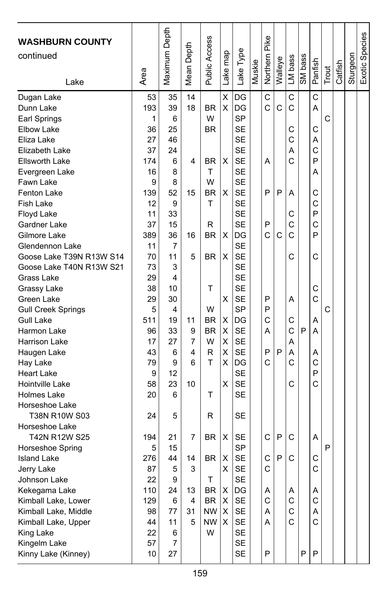| <b>WASHBURN COUNTY</b><br>continued<br>Lake                                                                                                                                                                                                                                                                                                                                                                                                                                                                                               | Area                                                                                                                                                                        | Maximum Depth                                                                                                                                                  | Mean Depth                                                     | Public Access                                                                                                            | Lake map                                                      | Lake Type                                                                                                                                                                                                                                                                                                                                          | Muskie | Northern Pike                                            | Walleye          | LM bass                                                                                | SM bass | Panfish                                                                                               | Trout  | Catfish | Sturgeon | Exotic Species |
|-------------------------------------------------------------------------------------------------------------------------------------------------------------------------------------------------------------------------------------------------------------------------------------------------------------------------------------------------------------------------------------------------------------------------------------------------------------------------------------------------------------------------------------------|-----------------------------------------------------------------------------------------------------------------------------------------------------------------------------|----------------------------------------------------------------------------------------------------------------------------------------------------------------|----------------------------------------------------------------|--------------------------------------------------------------------------------------------------------------------------|---------------------------------------------------------------|----------------------------------------------------------------------------------------------------------------------------------------------------------------------------------------------------------------------------------------------------------------------------------------------------------------------------------------------------|--------|----------------------------------------------------------|------------------|----------------------------------------------------------------------------------------|---------|-------------------------------------------------------------------------------------------------------|--------|---------|----------|----------------|
| Dugan Lake<br>Dunn Lake<br>Earl Springs<br>Elbow Lake<br>Eliza Lake<br>Elizabeth Lake<br>Ellsworth Lake<br>Evergreen Lake<br>Fawn Lake<br><b>Fenton Lake</b><br><b>Fish Lake</b><br>Floyd Lake<br>Gardner Lake<br>Gilmore Lake<br>Glendennon Lake<br>Goose Lake T39N R13W S14<br>Goose Lake T40N R13W S21<br>Grass Lake<br>Grassy Lake<br>Green Lake<br><b>Gull Creek Springs</b><br><b>Gull Lake</b><br>Harmon Lake<br>Harrison Lake<br>Haugen Lake<br>Hay Lake<br><b>Heart Lake</b><br>Hointville Lake<br>Holmes Lake<br>Horseshoe Lake | 53<br>193<br>1<br>36<br>27<br>37<br>174<br>16<br>9<br>139<br>12<br>11<br>37<br>389<br>11<br>70<br>73<br>29<br>38<br>29<br>5<br>511<br>96<br>17<br>43<br>79<br>9<br>58<br>20 | 35<br>39<br>6<br>25<br>46<br>24<br>6<br>8<br>8<br>52<br>9<br>33<br>15<br>36<br>7<br>11<br>3<br>4<br>10<br>30<br>4<br>19<br>33<br>27<br>6<br>9<br>12<br>23<br>6 | 14<br>18<br>4<br>15<br>16<br>5<br>11<br>9<br>7<br>4<br>6<br>10 | BR<br>W<br>BR<br>ΒR<br>T<br>W<br><b>BR</b><br>T<br>R<br><b>BR</b><br>BR<br>Τ<br>W<br>BR<br><b>BR</b><br>W<br>R<br>T<br>T | X<br>X<br>х<br>X<br>X<br>X<br>X<br>X<br>X<br>X<br>X<br>X<br>Χ | DG<br>DG<br><b>SP</b><br><b>SE</b><br><b>SE</b><br><b>SE</b><br><b>SE</b><br><b>SE</b><br><b>SE</b><br><b>SE</b><br><b>SE</b><br><b>SE</b><br><b>SE</b><br>DG<br><b>SE</b><br><b>SE</b><br><b>SE</b><br><b>SE</b><br><b>SE</b><br><b>SE</b><br><b>SP</b><br>DG<br><b>SE</b><br><b>SE</b><br><b>SE</b><br>DG<br><b>SE</b><br><b>SE</b><br><b>SE</b> |        | C<br>Ċ<br>A<br>P<br>P<br>C<br>P<br>P<br>C<br>A<br>P<br>C | C<br>P<br>C<br>P | C<br>C<br>С<br>C<br>Α<br>C<br>A<br>С<br>C<br>C<br>C<br>Α<br>C<br>C<br>A<br>A<br>C<br>С | P       | C<br>A<br>C<br>A<br>C<br>P<br>Α<br>С<br>C<br>P<br>C<br>P<br>C<br>C<br>C<br>Α<br>А<br>Α<br>C<br>P<br>Ć | C<br>C |         |          |                |
| T38N R10W S03<br>Horseshoe Lake<br>T42N R12W S25<br>Horseshoe Spring<br><b>Island Lake</b><br>Jerry Lake<br>Johnson Lake<br>Kekegama Lake<br>Kimball Lake, Lower<br>Kimball Lake, Middle<br>Kimball Lake, Upper<br>King Lake<br>Kingelm Lake<br>Kinny Lake (Kinney)                                                                                                                                                                                                                                                                       | 24<br>194<br>5<br>276<br>87<br>22<br>110<br>129<br>98<br>44<br>22<br>57<br>10                                                                                               | 5<br>21<br>15<br>44<br>5<br>9<br>24<br>6<br>77<br>11<br>6<br>7<br>27                                                                                           | 7<br>14<br>3<br>13<br>4<br>31<br>5                             | R<br>BR<br><b>BR</b><br>т<br>BR<br><b>BR</b><br>NW.<br><b>NW</b><br>W                                                    | х<br>х<br>X<br>Χ<br>X<br>х<br>х                               | <b>SE</b><br>SE<br><b>SP</b><br><b>SE</b><br><b>SE</b><br>SE<br>DG<br><b>SE</b><br>SE<br>SE<br>SE<br>SE<br><b>SE</b>                                                                                                                                                                                                                               |        | C<br>C<br>C<br>Α<br>C<br>Α<br>A<br>P                     | P<br>P           | C<br>C<br>Α<br>C<br>C<br>C                                                             | P       | Α<br>С<br>C<br>Α<br>C<br>Α<br>C<br>P                                                                  | P      |         |          |                |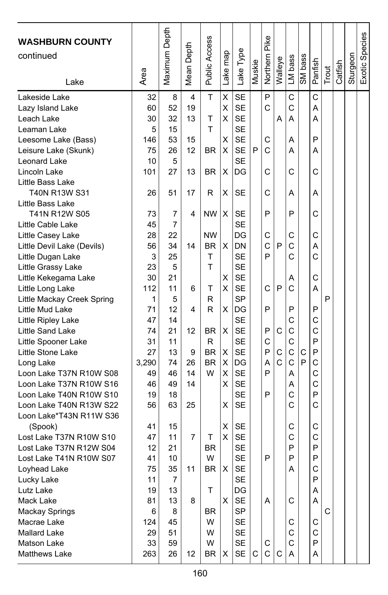| <b>WASHBURN COUNTY</b><br>continued<br>Lake | Area     | Maximum Depth | Depth<br>Mean | Public Access | ake map        | Lake Type | Muskie | Northern Pike | Walleye | LM bass      | SM bass | Panfish | Trout | Catfish | Sturgeon | Exotic Species |
|---------------------------------------------|----------|---------------|---------------|---------------|----------------|-----------|--------|---------------|---------|--------------|---------|---------|-------|---------|----------|----------------|
| Lakeside Lake                               | 32       | 8             | 4             | T             | X              | <b>SE</b> |        | P             |         | C            |         | C       |       |         |          |                |
| Lazy Island Lake                            | 60       | 52            | 19            |               | X              | <b>SE</b> |        | C             |         | C            |         | A       |       |         |          |                |
| Leach Lake                                  | 30       | 32            | 13            | T             | x              | <b>SE</b> |        |               | Α       | Α            |         | Α       |       |         |          |                |
| Leaman Lake                                 | 5        | 15            |               | T             |                | <b>SE</b> |        |               |         |              |         |         |       |         |          |                |
| Leesome Lake (Bass)                         | 146      | 53            | 15            |               | Χ              | <b>SE</b> |        | C             |         | Α            |         | P       |       |         |          |                |
| Leisure Lake (Skunk)                        | 75       | 26            | 12            | ΒR            | X              | <b>SE</b> | P      | C             |         | А            |         | Α       |       |         |          |                |
| Leonard Lake                                | 10       | 5             |               |               |                | <b>SE</b> |        |               |         |              |         |         |       |         |          |                |
| Lincoln Lake                                | 101      | 27            | 13            | BR            | X              | DG        |        | C             |         | С            |         | С       |       |         |          |                |
| Little Bass Lake                            |          |               |               |               |                |           |        |               |         |              |         |         |       |         |          |                |
| T40N R13W S31                               | 26       | 51            | 17            | R             | Χ              | SE        |        | C             |         | Α            |         | А       |       |         |          |                |
| Little Bass Lake                            |          |               |               |               |                |           |        |               |         |              |         |         |       |         |          |                |
| T41N R12W S05                               | 73       | 7             | 4             | <b>NW</b>     | Χ              | <b>SE</b> |        | P             |         | P            |         | C       |       |         |          |                |
| Little Cable Lake                           | 45       | 7             |               |               |                | <b>SE</b> |        |               |         |              |         |         |       |         |          |                |
| Little Casey Lake                           | 28       | 22            |               | <b>NW</b>     |                | DG        |        | C             |         | C            |         | C       |       |         |          |                |
| Little Devil Lake (Devils)                  | 56       | 34            | 14            | BR            | X              | DN        |        | C             | P       | C            |         | Α       |       |         |          |                |
| Little Dugan Lake                           | 3        | 25            |               | T             |                | <b>SE</b> |        | P             |         | C            |         | Ċ       |       |         |          |                |
| Little Grassy Lake                          | 23       | 5             |               | T             |                | <b>SE</b> |        |               |         |              |         |         |       |         |          |                |
| Little Kekegama Lake                        | 30       | 21            |               |               | Χ              | <b>SE</b> |        |               |         | Α            |         | C       |       |         |          |                |
| Little Long Lake                            | 112      | 11            | 6             | т             | х              | <b>SE</b> |        | C             | P       | C            |         | Α       |       |         |          |                |
| Little Mackay Creek Spring                  | 1        | 5             |               | R             |                | <b>SP</b> |        |               |         |              |         |         | P     |         |          |                |
| Little Mud Lake                             | 71       | 12            | 4             | R             | X              | DG        |        | P             |         | P            |         | P       |       |         |          |                |
| Little Ripley Lake                          | 47       | 14            |               |               |                | <b>SE</b> |        |               |         | C            |         | C       |       |         |          |                |
| Little Sand Lake                            | 74       | 21            | 12            | ΒR            | X              | <b>SE</b> |        | P             | C       | C            |         | C       |       |         |          |                |
| Little Spooner Lake                         | 31       | 11            |               | R             |                | <b>SE</b> |        | C             |         | C            |         | P       |       |         |          |                |
| Little Stone Lake                           | 27       | 13            | 9             | <b>BR</b>     | х              | <b>SE</b> |        | P             | C       | $\mathsf{C}$ | С       | P       |       |         |          |                |
| Long Lake                                   | 3,290    | 74            | 26            | <b>BR</b>     | X              | DG        |        | A             | Ċ       | $\mathsf{C}$ | P       | C       |       |         |          |                |
| Loon Lake T37N R10W S08                     | 49       | 46            | 14            | W             | Χ              | <b>SE</b> |        | P             |         | A            |         | C       |       |         |          |                |
| Loon Lake T37N R10W S16                     | 46       | 49            | 14            |               | X              | <b>SE</b> |        |               |         | Α            |         | C       |       |         |          |                |
| Loon Lake T40N R10W S10                     | 19       | 18            |               |               |                | <b>SE</b> |        | P             |         | C            |         | P       |       |         |          |                |
| Loon Lake T40N R13W S22                     | 56       | 63            | 25            |               | X              | <b>SE</b> |        |               |         | C            |         | C       |       |         |          |                |
| Loon Lake*T43N R11W S36                     |          |               |               |               |                |           |        |               |         |              |         |         |       |         |          |                |
| (Spook)                                     | 41       | 15            |               |               | X              | SE        |        |               |         | С            |         | С       |       |         |          |                |
| Lost Lake T37N R10W S10                     | 47       | 11            | 7             | т             | x              | <b>SE</b> |        |               |         | C            |         | C       |       |         |          |                |
| Lost Lake T37N R12W S04                     | 12       | 21            |               | ΒR            |                | <b>SE</b> |        |               |         | P            |         | P       |       |         |          |                |
| Lost Lake T41N R10W S07                     | 41       | 10            |               | W             |                | <b>SE</b> |        | P             |         | P            |         | P       |       |         |          |                |
| Loyhead Lake                                | 75       | 35            | 11            | <b>BR</b>     | $\mathsf{X}^-$ | <b>SE</b> |        |               |         | А            |         | Ć       |       |         |          |                |
| Lucky Lake                                  | 11       | 7             |               |               |                | SE        |        |               |         |              |         | P       |       |         |          |                |
| Lutz Lake                                   | 19       | 13            |               | т             |                | DG        |        |               |         |              |         | A       |       |         |          |                |
| Mack Lake                                   | 81       | 13            | 8             |               | X              | <b>SE</b> |        | Α             |         | C            |         | Α       | C     |         |          |                |
| <b>Mackay Springs</b><br>Macrae Lake        | 6<br>124 | 8<br>45       |               | BR<br>W       |                | SP<br>SE  |        |               |         | С            |         |         |       |         |          |                |
| <b>Mallard Lake</b>                         | 29       | 51            |               | W             |                | <b>SE</b> |        |               |         | С            |         | С<br>C  |       |         |          |                |
| Matson Lake                                 | 33       | 59            |               | W             |                | <b>SE</b> |        | С             |         | C            |         | P       |       |         |          |                |
| Matthews Lake                               | 263      | 26            | 12            | BR            | X              | SE        | С      | C             | С       | Α            |         | Α       |       |         |          |                |
|                                             |          |               |               |               |                |           |        |               |         |              |         |         |       |         |          |                |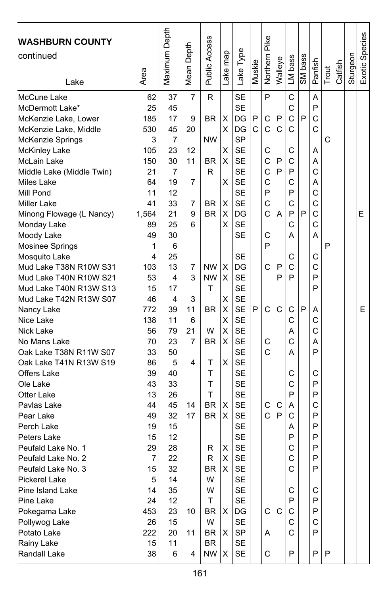| <b>WASHBURN COUNTY</b><br>continued<br>Lake | Area       | Maximum Depth        | Depth<br>Mean | Public Access          | ake map | Lake Type       | Muskie | Pike<br>Northern | Walleye | LM bass | SM bass | Panfish      | Trout | Catfish | Sturgeon | Exotic Species |
|---------------------------------------------|------------|----------------------|---------------|------------------------|---------|-----------------|--------|------------------|---------|---------|---------|--------------|-------|---------|----------|----------------|
| McCune Lake                                 | 62         | 37                   | 7             | R                      |         | <b>SE</b>       |        | P                |         | C       |         | A            |       |         |          |                |
| McDermott Lake*                             | 25         | 45                   |               |                        |         | <b>SE</b>       |        |                  |         | C       |         | P            |       |         |          |                |
| McKenzie Lake, Lower                        | 185        | 17                   | 9             | <b>BR</b>              | X       | DG              | P      | C                | P       | C       | P       | C            |       |         |          |                |
| McKenzie Lake, Middle                       | 530        | 45                   | 20            |                        | х       | DG<br><b>SP</b> | C      | C                | C       | C       |         | $\mathsf{C}$ |       |         |          |                |
| McKenzie Springs                            | 3          | $\overline{7}$<br>23 | 12            | <b>NW</b>              |         |                 |        | C                |         |         |         |              | C     |         |          |                |
| McKinley Lake<br>McLain Lake                | 105<br>150 | 30                   | 11            | BR                     | X<br>х  | SE<br><b>SE</b> |        | C                | P       | С<br>C  |         | Α<br>Α       |       |         |          |                |
|                                             | 21         | $\overline{7}$       |               | R                      |         | <b>SE</b>       |        | C                | P       | P       |         | C            |       |         |          |                |
| Middle Lake (Middle Twin)<br>Miles Lake     | 64         | 19                   | 7             |                        | X       | <b>SE</b>       |        | C                |         | C       |         | A            |       |         |          |                |
| Mill Pond                                   | 11         | 12                   |               |                        |         | <b>SE</b>       |        | P                |         | P       |         | C            |       |         |          |                |
| Miller Lake                                 | 41         | 33                   | 7             | <b>BR</b>              | X       | <b>SE</b>       |        | C                |         | C       |         | C            |       |         |          |                |
| Minong Flowage (L Nancy)                    | 1,564      | 21                   | 9             | <b>BR</b>              | Χ       | DG              |        | C                | А       | P       | P       | C            |       |         |          | Е              |
| Monday Lake                                 | 89         | 25                   | 6             |                        | X       | <b>SE</b>       |        |                  |         | C       |         | C            |       |         |          |                |
| Moody Lake                                  | 49         | 30                   |               |                        |         | <b>SE</b>       |        | C                |         | А       |         | A            |       |         |          |                |
| Mosinee Springs                             | 1          | 6                    |               |                        |         |                 |        | P                |         |         |         |              | P     |         |          |                |
| Mosquito Lake                               | 4          | 25                   |               |                        |         | <b>SE</b>       |        |                  |         | С       |         | С            |       |         |          |                |
| Mud Lake T38N R10W S31                      | 103        | 13                   | 7             | <b>NW</b>              | X       | DG              |        | C                | P       | C       |         | $\mathsf{C}$ |       |         |          |                |
| Mud Lake T40N R10W S21                      | 53         | 4                    | 3             | <b>NW</b>              | X       | <b>SE</b>       |        |                  | P       | P       |         | P            |       |         |          |                |
| Mud Lake T40N R13W S13                      | 15         | 17                   |               | T                      |         | <b>SE</b>       |        |                  |         |         |         | P            |       |         |          |                |
| Mud Lake T42N R13W S07                      | 46         | 4                    | 3             |                        | X       | <b>SE</b>       |        |                  |         |         |         |              |       |         |          |                |
| Nancy Lake                                  | 772        | 39                   | 11            | <b>BR</b>              | X       | <b>SE</b>       | P      | C                | C       | C       | P       | Α            |       |         |          | Е              |
| Nice Lake                                   | 138        | 11                   | 6             |                        | X       | <b>SE</b>       |        |                  |         | C       |         | C            |       |         |          |                |
| Nick Lake                                   | 56         | 79                   | 21            | W                      | X       | <b>SE</b>       |        |                  |         | Α       |         | C            |       |         |          |                |
| No Mans Lake                                | 70         | 23                   | 7             | <b>BR</b>              | X       | <b>SE</b>       |        | C                |         | C       |         | Α            |       |         |          |                |
| Oak Lake T38N R11W S07                      | 33         | 50                   |               |                        |         | <b>SE</b>       |        | Ċ                |         | А       |         | P            |       |         |          |                |
| Oak Lake T41N R13W S19                      | 86         | 5                    | 4             | т                      | X       | <b>SE</b>       |        |                  |         |         |         |              |       |         |          |                |
| <b>Offers Lake</b>                          | 39         | 40                   |               | T                      |         | <b>SE</b>       |        |                  |         | С       |         | С            |       |         |          |                |
| Ole Lake                                    | 43         | 33                   |               | T                      |         | <b>SE</b>       |        |                  |         | C       |         | P            |       |         |          |                |
| Otter Lake                                  | 13         | 26                   |               | T                      |         | <b>SE</b>       |        |                  |         | P       |         | P            |       |         |          |                |
| Pavlas Lake                                 | 44         | 45                   | 14            | <b>BR</b>              | х       | <b>SE</b>       |        | C                | C       | Α       |         | C            |       |         |          |                |
| Pear Lake                                   | 49         | 32                   | 17            | <b>BR</b>              | X       | <b>SE</b>       |        | C                | P       | C       |         | P            |       |         |          |                |
| Perch Lake                                  | 19         | 15                   |               |                        |         | <b>SE</b>       |        |                  |         | Α       |         | P            |       |         |          |                |
| Peters Lake                                 | 15         | 12                   |               |                        |         | <b>SE</b>       |        |                  |         | P       |         | P            |       |         |          |                |
| Peufald Lake No. 1                          | 29         | 28                   |               | R                      | X       | <b>SE</b>       |        |                  |         | C       |         | P            |       |         |          |                |
| Peufald Lake No. 2                          | 7          | 22                   |               | R                      | X       | <b>SE</b>       |        |                  |         | C       |         | P            |       |         |          |                |
| Peufald Lake No. 3                          | 15         | 32                   |               | <b>BR</b>              | X       | <b>SE</b>       |        |                  |         | C       |         | P            |       |         |          |                |
| Pickerel Lake                               | 5          | 14                   |               | W                      |         | <b>SE</b>       |        |                  |         |         |         |              |       |         |          |                |
| Pine Island Lake                            | 14         | 35                   |               | W                      |         | <b>SE</b>       |        |                  |         | С       |         | С            |       |         |          |                |
| Pine Lake                                   | 24         | 12                   |               | T                      |         | <b>SE</b>       |        |                  |         | P       |         | P            |       |         |          |                |
| Pokegama Lake                               | 453        | 23                   | 10            | <b>BR</b>              | X       | DG              |        | C                | C       | C       |         | P            |       |         |          |                |
| Pollywog Lake                               | 26         | 15                   |               | W                      |         | <b>SE</b>       |        |                  |         | C       |         | С            |       |         |          |                |
| Potato Lake                                 | 222        | 20                   | 11            | <b>BR</b>              | х       | SP              |        | A                |         | C       |         | P            |       |         |          |                |
| Rainy Lake                                  | 15         | 11                   | 4             | <b>BR</b><br><b>NW</b> | X       | <b>SE</b>       |        | C                |         | P       |         | P            | P     |         |          |                |
| Randall Lake                                | 38         | 6                    |               |                        |         | SE              |        |                  |         |         |         |              |       |         |          |                |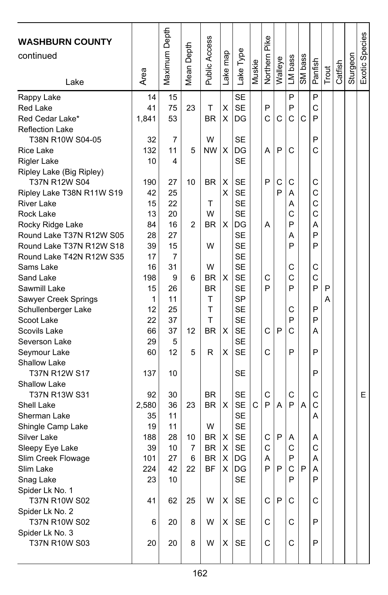| <b>WASHBURN COUNTY</b><br>continued<br>Lake | Area     | Maximum Depth | Depth<br>Mean <sup>1</sup> | <b>Public Access</b> | Lake map | Lake Type              | Muskie | Northern Pike | Walleye | LM bass | SM bass | Panfish | Trout | Catfish | Sturgeon | Exotic Species |
|---------------------------------------------|----------|---------------|----------------------------|----------------------|----------|------------------------|--------|---------------|---------|---------|---------|---------|-------|---------|----------|----------------|
| Rappy Lake                                  | 14       | 15            |                            |                      |          | <b>SE</b>              |        |               |         | P       |         | P       |       |         |          |                |
| Red Lake                                    | 41       | 75            | 23                         | т                    | Χ        | <b>SE</b>              |        | P             |         | P       |         | C       |       |         |          |                |
| Red Cedar Lake*                             | 1,841    | 53            |                            | <b>BR</b>            | х        | DG                     |        | Ć             | C       | C       | C       | P       |       |         |          |                |
| <b>Reflection Lake</b>                      |          |               |                            |                      |          |                        |        |               |         |         |         |         |       |         |          |                |
| T38N R10W S04-05                            | 32       | 7             |                            | W                    |          | <b>SE</b>              |        |               |         |         |         | P       |       |         |          |                |
| <b>Rice Lake</b>                            | 132      | 11            | 5                          | <b>NW</b>            | х        | DG                     |        | A             | P       | C       |         | C       |       |         |          |                |
| <b>Rigler Lake</b>                          | 10       | 4             |                            |                      |          | <b>SE</b>              |        |               |         |         |         |         |       |         |          |                |
| Ripley Lake (Big Ripley)                    |          |               |                            |                      |          |                        |        |               |         |         |         |         |       |         |          |                |
| T37N R12W S04                               | 190      | 27            | 10                         | <b>BR</b>            | X        | <b>SE</b>              |        | P             | С       | С       |         | С       |       |         |          |                |
| Ripley Lake T38N R11W S19                   | 42       | 25            |                            |                      | X        | <b>SE</b>              |        |               | P       | Α       |         | C       |       |         |          |                |
| <b>River Lake</b>                           | 15       | 22            |                            | т                    |          | <b>SE</b>              |        |               |         | Α       |         | C       |       |         |          |                |
| Rock Lake                                   | 13       | 20            |                            | W                    |          | <b>SE</b>              |        |               |         | C       |         | C       |       |         |          |                |
| Rocky Ridge Lake                            | 84       | 16            | 2                          | <b>BR</b>            | X        | DG                     |        | A             |         | P       |         | Α       |       |         |          |                |
| Round Lake T37N R12W S05                    | 28       | 27            |                            |                      |          | <b>SE</b>              |        |               |         | Α       |         | P       |       |         |          |                |
| Round Lake T37N R12W S18                    | 39       | 15            |                            | W                    |          | <b>SE</b>              |        |               |         | P       |         | P       |       |         |          |                |
| Round Lake T42N R12W S35                    | 17       | 7             |                            |                      |          | <b>SE</b>              |        |               |         |         |         |         |       |         |          |                |
| Sams Lake                                   | 16       | 31            |                            | W                    |          | <b>SE</b>              |        |               |         | С       |         | C       |       |         |          |                |
| Sand Lake                                   | 198      | 9             | 6                          | <b>BR</b>            | X        | <b>SE</b>              |        | C             |         | C       |         | C       |       |         |          |                |
| Sawmill Lake                                | 15       | 26            |                            | <b>BR</b>            |          | <b>SE</b>              |        | P             |         | P       |         | P       | P     |         |          |                |
| Sawyer Creek Springs                        | 1        | 11            |                            | T                    |          | <b>SP</b>              |        |               |         |         |         |         | Α     |         |          |                |
| Schullenberger Lake                         | 12       | 25            |                            | T<br>T               |          | <b>SE</b>              |        |               |         | С       |         | P       |       |         |          |                |
| Scoot Lake                                  | 22       | 37            |                            |                      |          | <b>SE</b>              |        |               |         | P       |         | P       |       |         |          |                |
| Scovils Lake                                | 66       | 37            | 12                         | <b>BR</b>            | х        | <b>SE</b><br><b>SE</b> |        | C             | P       | C       |         | А       |       |         |          |                |
| Severson Lake                               | 29<br>60 | 5<br>12       | 5                          | R                    | х        | <b>SE</b>              |        | C             |         | P       |         | P       |       |         |          |                |
| Seymour Lake<br>Shallow Lake                |          |               |                            |                      |          |                        |        |               |         |         |         |         |       |         |          |                |
| T37N R12W S17                               | 137      | 10            |                            |                      |          | <b>SE</b>              |        |               |         |         |         | P       |       |         |          |                |
| <b>Shallow Lake</b>                         |          |               |                            |                      |          |                        |        |               |         |         |         |         |       |         |          |                |
| T37N R13W S31                               | 92       | 30            |                            | <b>BR</b>            |          | <b>SE</b>              |        | C             |         | С       |         | С       |       |         |          | E              |
| Shell Lake                                  | 2,580    | 36            | 23                         | <b>BR</b>            | X        | <b>SE</b>              | C      | P             | A       | P       | A       | C       |       |         |          |                |
| Sherman Lake                                | 35       | 11            |                            |                      |          | <b>SE</b>              |        |               |         |         |         | Α       |       |         |          |                |
| Shingle Camp Lake                           | 19       | 11            |                            | W                    |          | <b>SE</b>              |        |               |         |         |         |         |       |         |          |                |
| Silver Lake                                 | 188      | 28            | 10                         | BR                   | X        | <b>SE</b>              |        | C             | P       | Α       |         | Α       |       |         |          |                |
| Sleepy Eye Lake                             | 39       | 10            | 7                          | <b>BR</b>            | х        | <b>SE</b>              |        | C             |         | C       |         | C       |       |         |          |                |
| Slim Creek Flowage                          | 101      | 27            | 6                          | <b>BR</b>            | X        | DG                     |        | A             |         | P       |         | A       |       |         |          |                |
| Slim Lake                                   | 224      | 42            | 22                         | <b>BF</b>            | X        | IDG                    |        | P             | P       | C.      | P       | A       |       |         |          |                |
| Snag Lake                                   | 23       | 10            |                            |                      |          | <b>SE</b>              |        |               |         | P       |         | P       |       |         |          |                |
| Spider Lk No. 1                             |          |               |                            |                      |          |                        |        |               |         |         |         |         |       |         |          |                |
| T37N R10W S02                               | 41       | 62            | 25                         | W                    | X        | <b>SE</b>              |        | C             | P       | C       |         | С       |       |         |          |                |
| Spider Lk No. 2                             |          |               |                            |                      |          |                        |        |               |         |         |         |         |       |         |          |                |
| T37N R10W S02                               | 6        | 20            | 8                          | W                    | х        | SE                     |        | С             |         | С       |         | P       |       |         |          |                |
| Spider Lk No. 3                             |          |               |                            |                      |          |                        |        |               |         |         |         |         |       |         |          |                |
| T37N R10W S03                               | 20       | 20            | 8                          | W                    | X        | <b>SE</b>              |        | C             |         | C       |         | P       |       |         |          |                |
|                                             |          |               |                            |                      |          |                        |        |               |         |         |         |         |       |         |          |                |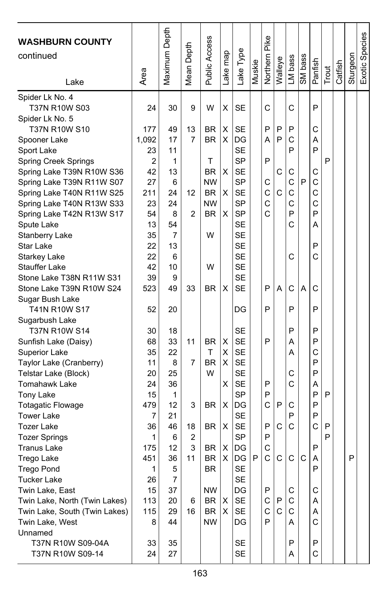| <b>WASHBURN COUNTY</b><br>continued<br>Lake | Area       | Maximum Depth | Depth<br>Mean I | Public Access          | ake map | Lake Type              | Muskie | Northern Pike | Walleye | LM bass | SM bass | Panfish | Trout | Catfish | Sturgeon | Exotic Species |
|---------------------------------------------|------------|---------------|-----------------|------------------------|---------|------------------------|--------|---------------|---------|---------|---------|---------|-------|---------|----------|----------------|
| Spider Lk No. 4<br>T37N R10W S03            | 24         | 30            | 9               | W                      | Χ       | <b>SE</b>              |        | C             |         | C       |         | P       |       |         |          |                |
| Spider Lk No. 5                             |            |               |                 |                        |         |                        |        |               |         |         |         |         |       |         |          |                |
| T37N R10W S10                               | 177        | 49            | 13              | BR                     | Χ       | SE                     |        | P             | P       | P       |         | C       |       |         |          |                |
| Spooner Lake                                | 1,092      | 17            | $\overline{7}$  | <b>BR</b>              | X       | DG                     |        | А             | P       | C       |         | A       |       |         |          |                |
| Sport Lake                                  | 23         | 11            |                 |                        |         | <b>SE</b>              |        |               |         | P       |         | P       |       |         |          |                |
| Spring Creek Springs                        | 2          | 1             |                 | Т                      |         | <b>SP</b>              |        | P             |         |         |         |         | P     |         |          |                |
| Spring Lake T39N R10W S36                   | 42         | 13            |                 | <b>BR</b>              | х       | <b>SE</b>              |        |               | С       | C       |         | C       |       |         |          |                |
| Spring Lake T39N R11W S07                   | 27         | 6             |                 | <b>NW</b>              |         | SP                     |        | C             |         | C       | P       | C       |       |         |          |                |
| Spring Lake T40N R11W S25                   | 211        | 24            | 12              | <b>BR</b>              | х       | <b>SE</b>              |        | C             | C       | C       |         | C       |       |         |          |                |
| Spring Lake T40N R13W S33                   | 23         | 24            |                 | <b>NW</b>              |         | <b>SP</b>              |        | C             |         | C       |         | C       |       |         |          |                |
| Spring Lake T42N R13W S17                   | 54         | 8             | 2               | <b>BR</b>              | х       | <b>SP</b>              |        | Ċ             |         | P       |         | P       |       |         |          |                |
| Spute Lake                                  | 13         | 54            |                 |                        |         | SE                     |        |               |         | C       |         | Α       |       |         |          |                |
| Stanberry Lake                              | 35         | 7             |                 | W                      |         | SE                     |        |               |         |         |         |         |       |         |          |                |
| Star Lake                                   | 22         | 13            |                 |                        |         | <b>SE</b><br><b>SE</b> |        |               |         | C       |         | P<br>C  |       |         |          |                |
| <b>Starkey Lake</b><br><b>Stauffer Lake</b> | 22<br>42   | 6<br>10       |                 | W                      |         | <b>SE</b>              |        |               |         |         |         |         |       |         |          |                |
| Stone Lake T38N R11W S31                    | 39         | 9             |                 |                        |         | <b>SE</b>              |        |               |         |         |         |         |       |         |          |                |
| Stone Lake T39N R10W S24                    | 523        | 49            | 33              | <b>BR</b>              | х       | <b>SE</b>              |        | P             | Α       | C       | Α       | C       |       |         |          |                |
| Sugar Bush Lake                             |            |               |                 |                        |         |                        |        |               |         |         |         |         |       |         |          |                |
| T41N R10W S17                               | 52         | 20            |                 |                        |         | DG                     |        | P             |         | P       |         | P       |       |         |          |                |
| Sugarbush Lake                              |            |               |                 |                        |         |                        |        |               |         |         |         |         |       |         |          |                |
| T37N R10W S14                               | 30         | 18            |                 |                        |         | <b>SE</b>              |        |               |         | P       |         | P       |       |         |          |                |
| Sunfish Lake (Daisy)                        | 68         | 33            | 11              | <b>BR</b>              | X       | <b>SE</b>              |        | P             |         | Α       |         | P       |       |         |          |                |
| Superior Lake                               | 35         | 22            |                 | T                      | X       | <b>SE</b>              |        |               |         | Α       |         | C       |       |         |          |                |
| Taylor Lake (Cranberry)                     | 11         | 8             | 7               | <b>BR</b>              | X       | <b>SE</b>              |        |               |         |         |         | P       |       |         |          |                |
| Telstar Lake (Block)                        | 20         | 25            |                 | W                      |         | <b>SE</b>              |        |               |         | С       |         | P       |       |         |          |                |
| <b>Tomahawk Lake</b>                        | 24         | 36            |                 |                        | X       | <b>SE</b>              |        | P             |         | C       |         | Α       |       |         |          |                |
| Tony Lake                                   | 15         | 1             |                 |                        |         | SP                     |        | P             |         |         |         | P       | P     |         |          |                |
| <b>Totagatic Flowage</b>                    | 479        | 12            | 3               | <b>BR</b>              | х       | DG                     |        | C             | P       | С       |         | P       |       |         |          |                |
| <b>Tower Lake</b>                           | 7          | 21            |                 |                        |         | <b>SE</b>              |        |               |         | P       |         | P       |       |         |          |                |
| <b>Tozer Lake</b>                           | 36         | 46            | 18              | <b>BR</b>              | X       | <b>SE</b>              |        | P             | С       | C       |         | C       | P     |         |          |                |
| <b>Tozer Springs</b>                        | 1          | 6             | 2               |                        |         | <b>SP</b>              |        | P<br>C        |         |         |         |         | P     |         |          |                |
| <b>Tranus Lake</b><br>Trego Lake            | 175<br>451 | 12<br>36      | 3<br>11         | <b>BR</b><br><b>BR</b> | х<br>X  | DG<br>DG               | P      | C             | C       | C       | C       | P<br>Α  |       |         | P        |                |
| <b>Trego Pond</b>                           | 1          | 5             |                 | <b>BR</b>              |         | <b>SE</b>              |        |               |         |         |         | P       |       |         |          |                |
| <b>Tucker Lake</b>                          | 26         | 7             |                 |                        |         | <b>SE</b>              |        |               |         |         |         |         |       |         |          |                |
| Twin Lake, East                             | 15         | 37            |                 | <b>NW</b>              |         | DG                     |        | Р             |         | С       |         | С       |       |         |          |                |
| Twin Lake, North (Twin Lakes)               | 113        | 20            | 6               | BR                     | X       | SE                     |        | С             | Ρ       | С       |         | Α       |       |         |          |                |
| Twin Lake, South (Twin Lakes)               | 115        | 29            | 16              | BR                     | X       | <b>SE</b>              |        | С             | C       | С       |         | Α       |       |         |          |                |
| Twin Lake, West                             | 8          | 44            |                 | NW                     |         | DG                     |        | P             |         | A       |         | С       |       |         |          |                |
| Unnamed                                     |            |               |                 |                        |         |                        |        |               |         |         |         |         |       |         |          |                |
| T37N R10W S09-04A                           | 33         | 35            |                 |                        |         | <b>SE</b>              |        |               |         | P       |         | Ρ       |       |         |          |                |
| T37N R10W S09-14                            | 24         | 27            |                 |                        |         | SE                     |        |               |         | Α       |         | С       |       |         |          |                |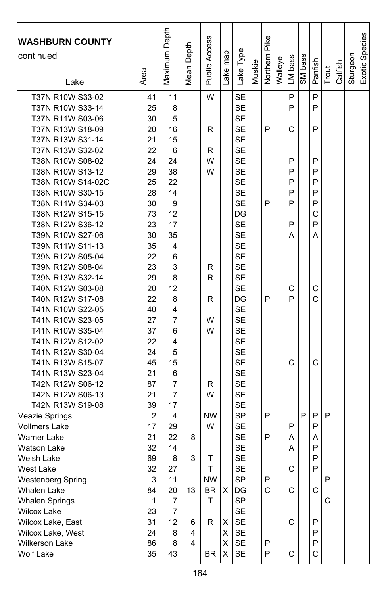| <b>WASHBURN COUNTY</b><br>continued  |                | Maximum Depth | Mean Depth | <b>Public Access</b> |          |                        |        | Northern Pike |         |         |         |         |       |         |          | Exotic Species |
|--------------------------------------|----------------|---------------|------------|----------------------|----------|------------------------|--------|---------------|---------|---------|---------|---------|-------|---------|----------|----------------|
| Lake                                 | Area           |               |            |                      | Lake map | Lake Type              | Muskie |               | Walleye | LM bass | SM bass | Panfish | Trout | Catfish | Sturgeon |                |
| T37N R10W S33-02<br>T37N R10W S33-14 | 41<br>25       | 11<br>8       |            | W                    |          | <b>SE</b><br><b>SE</b> |        |               |         | P<br>P  |         | P<br>P  |       |         |          |                |
| T37N R11W S03-06                     | 30             | 5             |            |                      |          | <b>SE</b>              |        |               |         |         |         |         |       |         |          |                |
| T37N R13W S18-09                     | 20             | 16            |            | R                    |          | <b>SE</b>              |        | P             |         | C       |         | P       |       |         |          |                |
| T37N R13W S31-14                     | 21             | 15            |            |                      |          | <b>SE</b>              |        |               |         |         |         |         |       |         |          |                |
| T37N R13W S32-02                     | 22             | 6             |            | R                    |          | <b>SE</b>              |        |               |         |         |         |         |       |         |          |                |
| T38N R10W S08-02                     | 24             | 24            |            | W                    |          | <b>SE</b>              |        |               |         | P       |         | P       |       |         |          |                |
| T38N R10W S13-12                     | 29             | 38            |            | W                    |          | <b>SE</b>              |        |               |         | P       |         | P       |       |         |          |                |
| T38N R10W S14-02C                    | 25             | 22            |            |                      |          | <b>SE</b>              |        |               |         | P       |         | P       |       |         |          |                |
| T38N R10W S30-15                     | 28             | 14            |            |                      |          | <b>SE</b>              |        |               |         | P       |         | P       |       |         |          |                |
| T38N R11W S34-03                     | 30             | 9             |            |                      |          | <b>SE</b>              |        | P             |         | P       |         | P       |       |         |          |                |
| T38N R12W S15-15                     | 73             | 12            |            |                      |          | DG                     |        |               |         |         |         | C       |       |         |          |                |
| T38N R12W S36-12                     | 23             | 17            |            |                      |          | <b>SE</b>              |        |               |         | P       |         | P       |       |         |          |                |
| T39N R10W S27-06                     | 30             | 35            |            |                      |          | <b>SE</b>              |        |               |         | Α       |         | Α       |       |         |          |                |
| T39N R11W S11-13                     | 35             | 4             |            |                      |          | <b>SE</b>              |        |               |         |         |         |         |       |         |          |                |
| T39N R12W S05-04                     | 22             | 6             |            |                      |          | <b>SE</b>              |        |               |         |         |         |         |       |         |          |                |
| T39N R12W S08-04                     | 23             | 3             |            | R                    |          | <b>SE</b>              |        |               |         |         |         |         |       |         |          |                |
| T39N R13W S32-14                     | 29             | 8             |            | R                    |          | <b>SE</b>              |        |               |         |         |         |         |       |         |          |                |
| T40N R12W S03-08<br>T40N R12W S17-08 | 20<br>22       | 12<br>8       |            | R                    |          | <b>SE</b><br>DG        |        | P             |         | C<br>P  |         | C<br>C  |       |         |          |                |
| T41N R10W S22-05                     | 40             | 4             |            |                      |          | <b>SE</b>              |        |               |         |         |         |         |       |         |          |                |
| T41N R10W S23-05                     | 27             | 7             |            | W                    |          | <b>SE</b>              |        |               |         |         |         |         |       |         |          |                |
| T41N R10W S35-04                     | 37             | 6             |            | W                    |          | <b>SE</b>              |        |               |         |         |         |         |       |         |          |                |
| T41N R12W S12-02                     | 22             | 4             |            |                      |          | <b>SE</b>              |        |               |         |         |         |         |       |         |          |                |
| T41N R12W S30-04                     | 24             | 5             |            |                      |          | <b>SE</b>              |        |               |         |         |         |         |       |         |          |                |
| T41N R13W S15-07                     | 45             | 15            |            |                      |          | <b>SE</b>              |        |               |         | C       |         | C       |       |         |          |                |
| T41N R13W S23-04                     | 21             | 6             |            |                      |          | <b>SE</b>              |        |               |         |         |         |         |       |         |          |                |
| T42N R12W S06-12                     | 87             | 7             |            | R                    |          | <b>SE</b>              |        |               |         |         |         |         |       |         |          |                |
| T42N R12W S06-13                     | 21             | 7             |            | W                    |          | <b>SE</b>              |        |               |         |         |         |         |       |         |          |                |
| T42N R13W S19-08                     | 39             | 17            |            |                      |          | <b>SE</b>              |        |               |         |         |         |         |       |         |          |                |
| <b>Veazie Springs</b>                | $\overline{2}$ | 4             |            | <b>NW</b>            |          | <b>SP</b>              |        | P             |         |         | P       | P       | P     |         |          |                |
| <b>Vollmers Lake</b>                 | 17             | 29            |            | W                    |          | <b>SE</b>              |        |               |         | P       |         | P       |       |         |          |                |
| <b>Warner Lake</b>                   | 21             | 22            | 8          |                      |          | <b>SE</b>              |        | P             |         | Α       |         | Α       |       |         |          |                |
| <b>Watson Lake</b>                   | 32             | 14            |            |                      |          | <b>SE</b>              |        |               |         | A       |         | P       |       |         |          |                |
| Welsh Lake                           | 69             | 8             | 3          | Τ                    |          | <b>SE</b>              |        |               |         |         |         | P       |       |         |          |                |
| West Lake                            | 32             | 27            |            | т                    |          | <b>SE</b>              |        |               |         | C       |         | P       |       |         |          |                |
| <b>Westenberg Spring</b>             | 3              | 11            |            | <b>NW</b>            |          | SP                     |        | P             |         |         |         |         | P     |         |          |                |
| Whalen Lake                          | 84             | 20            | 13         | BR                   | Χ        | DG                     |        | C             |         | С       |         | C       |       |         |          |                |
| <b>Whalen Springs</b>                | $\mathbf{1}$   | 7             |            | Τ                    |          | <b>SP</b>              |        |               |         |         |         |         | C     |         |          |                |
| <b>Wilcox Lake</b>                   | 23             | 7             |            |                      |          | <b>SE</b>              |        |               |         |         |         |         |       |         |          |                |
| Wilcox Lake, East                    | 31             | 12            | 6          | R                    | х        | <b>SE</b>              |        |               |         | C       |         | P       |       |         |          |                |
| Wilcox Lake, West                    | 24             | 8             | 4          |                      | х        | SE                     |        |               |         |         |         | P       |       |         |          |                |
| <b>Wilkerson Lake</b>                | 86             | 8             | 4          |                      | X        | SE                     |        | Ρ             |         |         |         | P       |       |         |          |                |
| Wolf Lake                            | 35             | 43            |            | BR                   | X        | SE                     |        | P             |         | С       |         | C       |       |         |          |                |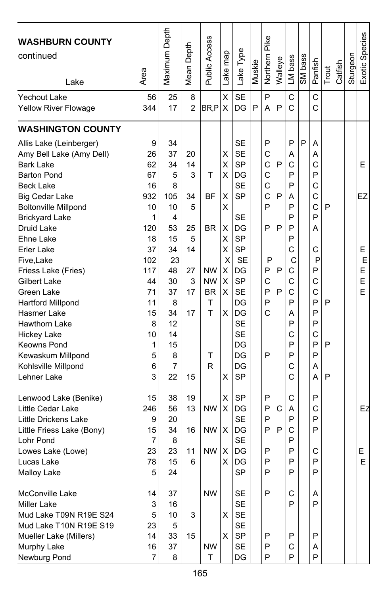| <b>WASHBURN COUNTY</b><br>continued<br>Lake                                                                                                                                                                                                                                                                                                                                                                                                                                       | Area                                                                                                                                | Maximum Depth                                                                                                                     | Depth<br>Mean <sup>1</sup>                                             | Public Access                                                                   | Lake map                                                           | Lake Type                                                                                                                                                                                                            | Muskie | Northern Pike                                                                      | Walleye               | LM bass                                                                                                         | SM bass | Panfish                                                                                                                         | Trout            | Catfish | Sturgeon | Exotic Species                   |
|-----------------------------------------------------------------------------------------------------------------------------------------------------------------------------------------------------------------------------------------------------------------------------------------------------------------------------------------------------------------------------------------------------------------------------------------------------------------------------------|-------------------------------------------------------------------------------------------------------------------------------------|-----------------------------------------------------------------------------------------------------------------------------------|------------------------------------------------------------------------|---------------------------------------------------------------------------------|--------------------------------------------------------------------|----------------------------------------------------------------------------------------------------------------------------------------------------------------------------------------------------------------------|--------|------------------------------------------------------------------------------------|-----------------------|-----------------------------------------------------------------------------------------------------------------|---------|---------------------------------------------------------------------------------------------------------------------------------|------------------|---------|----------|----------------------------------|
| Yechout Lake<br>Yellow River Flowage                                                                                                                                                                                                                                                                                                                                                                                                                                              | 56<br>344                                                                                                                           | 25<br>17                                                                                                                          | 8<br>$\overline{2}$                                                    | BR.P                                                                            | X<br>X                                                             | <b>SE</b><br>DG                                                                                                                                                                                                      | P      | P<br>А                                                                             | P                     | C<br>C                                                                                                          |         | C<br>C                                                                                                                          |                  |         |          |                                  |
| <b>WASHINGTON COUNTY</b>                                                                                                                                                                                                                                                                                                                                                                                                                                                          |                                                                                                                                     |                                                                                                                                   |                                                                        |                                                                                 |                                                                    |                                                                                                                                                                                                                      |        |                                                                                    |                       |                                                                                                                 |         |                                                                                                                                 |                  |         |          |                                  |
| Allis Lake (Leinberger)<br>Amy Bell Lake (Amy Dell)<br><b>Bark Lake</b><br><b>Barton Pond</b><br><b>Beck Lake</b><br><b>Big Cedar Lake</b><br><b>Boltonville Millpond</b><br><b>Brickyard Lake</b><br>Druid Lake<br>Ehne Lake<br>Erler Lake<br>Five, Lake<br>Friess Lake (Fries)<br>Gilbert Lake<br>Green Lake<br><b>Hartford Millpond</b><br>Hasmer Lake<br>Hawthorn Lake<br><b>Hickey Lake</b><br><b>Keowns Pond</b><br>Kewaskum Millpond<br>Kohlsville Millpond<br>Lehner Lake | 9<br>26<br>62<br>67<br>16<br>932<br>10<br>1<br>120<br>18<br>37<br>102<br>117<br>44<br>71<br>11<br>15<br>8<br>10<br>1<br>5<br>6<br>3 | 34<br>37<br>34<br>5<br>8<br>105<br>10<br>4<br>53<br>15<br>34<br>23<br>48<br>30<br>37<br>8<br>34<br>12<br>14<br>15<br>8<br>7<br>22 | 20<br>14<br>3<br>34<br>5<br>25<br>5<br>14<br>27<br>3<br>17<br>17<br>15 | т<br>BF<br><b>BR</b><br><b>NW</b><br><b>NW</b><br><b>BR</b><br>T<br>T<br>т<br>R | х<br>X<br>х<br>X<br>X<br>х<br>х<br>X<br>X<br>X<br>х<br>х<br>X<br>х | SE<br><b>SE</b><br>SP<br>DG<br><b>SE</b><br><b>SP</b><br><b>SE</b><br>DG<br><b>SP</b><br><b>SP</b><br><b>SE</b><br>DG<br><b>SP</b><br><b>SE</b><br>DG<br>DG<br><b>SE</b><br><b>SE</b><br>DG<br>DG<br>DG<br><b>SP</b> |        | P<br>C<br>$\mathsf{C}$<br>C<br>C<br>C<br>P<br>P<br>P<br>P<br>C<br>P<br>P<br>C<br>P | P<br>P<br>P<br>P<br>P | P<br>A<br>C<br>P<br>P<br>Α<br>P<br>P<br>P<br>P<br>C<br>C<br>С<br>C<br>C<br>P<br>А<br>P<br>C<br>P<br>P<br>C<br>C | P       | Α<br>Α<br>$\mathsf{C}$<br>P<br>C<br>C<br>$\mathbf C$<br>P<br>A<br>С<br>P<br>P<br>C<br>C<br>P<br>P<br>P<br>C<br>P<br>P<br>Α<br>А | P<br>P<br>P<br>P |         |          | E<br>EZ<br>Е<br>Е<br>E<br>E<br>E |
| Lenwood Lake (Benike)<br>Little Cedar Lake<br>Little Drickens Lake<br>Little Friess Lake (Bony)<br>Lohr Pond<br>Lowes Lake (Lowe)<br>Lucas Lake<br>Malloy Lake<br>McConville Lake<br>Miller Lake<br>Mud Lake T09N R19E S24<br>Mud Lake T10N R19E S19<br>Mueller Lake (Millers)<br>Murphy Lake                                                                                                                                                                                     | 15<br>246<br>9<br>15<br>7<br>23<br>78<br>5<br>14<br>3<br>5<br>23<br>14<br>16                                                        | 38<br>56<br>20<br>34<br>8<br>23<br>15<br>24<br>37<br>16<br>10<br>5<br>33<br>37                                                    | 19<br>13<br>16<br>11<br>6<br>3<br>15                                   | <b>NW</b><br><b>NW</b><br><b>NW</b><br><b>NW</b><br><b>NW</b>                   | X<br>X<br>х<br>Χ<br>X<br>х<br>X                                    | SP<br>DG<br><b>SE</b><br>DG<br><b>SE</b><br>DG<br>DG<br>SP<br><b>SE</b><br><b>SE</b><br><b>SE</b><br><b>SE</b><br>SP<br><b>SE</b>                                                                                    |        | P<br>P<br>P<br>P<br>P<br>P<br>۲<br>P<br>P<br>Ρ                                     | C<br>P                | C<br>Α<br>P<br>C<br>P<br>P<br>P<br>۲<br>C<br>P<br>P<br>С                                                        |         | P<br>C<br>P<br>P<br>С<br>P<br>۲<br>Α<br>P<br>P<br>Α                                                                             |                  |         |          | EZ<br>Е<br>Е                     |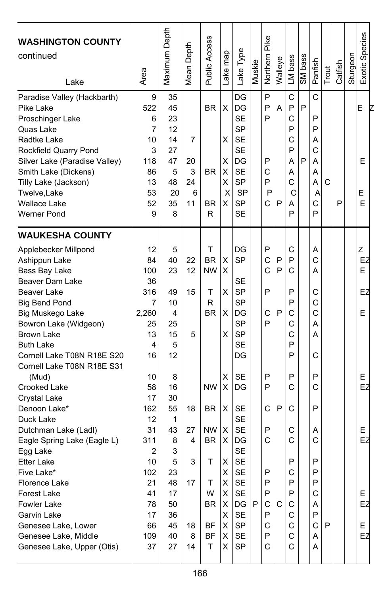| <b>WASHINGTON COUNTY</b><br>continued<br>Lake | Area           | Maximum Depth | <b>Mean Depth</b> | Public Access | ake map | Lake Type | Muskie | Pike<br>Northern | Walleye | LM bass | SM bass | Panfish | Trout | Catfish | Sturgeon | Exotic Species |
|-----------------------------------------------|----------------|---------------|-------------------|---------------|---------|-----------|--------|------------------|---------|---------|---------|---------|-------|---------|----------|----------------|
| Paradise Valley (Hackbarth)                   | 9              | 35            |                   |               |         | DG        |        | P                |         | C       |         | C       |       |         |          |                |
| Pike Lake                                     | 522            | 45            |                   | <b>BR</b>     | X       | DG        |        | P                | A       | P       | P       |         |       |         |          | E              |
| Proschinger Lake                              | 6              | 23            |                   |               |         | <b>SE</b> |        | P                |         | C       |         | P       |       |         |          |                |
| Quas Lake                                     | 7              | 12            |                   |               |         | SP        |        |                  |         | P       |         | P       |       |         |          |                |
| Radtke Lake                                   | 10             | 14            | 7                 |               | X       | <b>SE</b> |        |                  |         | Ċ       |         | Α       |       |         |          |                |
| Rockfield Quarry Pond                         | 3              | 27            |                   |               |         | <b>SE</b> |        |                  |         | P       |         | C       |       |         |          |                |
| Silver Lake (Paradise Valley)                 | 118            | 47            | 20                |               | х       | DG        |        | P                |         | А       | P       | Α       |       |         |          | E              |
| Smith Lake (Dickens)                          | 86             | 5             | 3                 | <b>BR</b>     | X       | <b>SE</b> |        | С                |         | А       |         | A       |       |         |          |                |
| Tilly Lake (Jackson)                          | 13             | 48            | 24                |               | X       | <b>SP</b> |        | P                |         | Ċ       |         | А       | C     |         |          |                |
| Twelve, Lake                                  | 53             | 20            | 6                 |               | X       | <b>SP</b> |        | P                |         | С       |         | A       |       |         |          | Е              |
| <b>Wallace Lake</b>                           | 52             | 35            | 11                | BR            | X       | SP        |        | Ć                | P       | А       |         | C       |       | P       |          | Ε              |
| Werner Pond                                   | 9              | 8             |                   | R             |         | <b>SE</b> |        |                  |         | P       |         | P       |       |         |          |                |
| <b>WAUKESHA COUNTY</b>                        |                |               |                   |               |         |           |        |                  |         |         |         |         |       |         |          |                |
| Applebecker Millpond                          | 12             | 5             |                   | T             |         | DG        |        | P                |         | С       |         | Α       |       |         |          | Z              |
| Ashippun Lake                                 | 84             | 40            | 22                | <b>BR</b>     | X       | SP        |        | C                | P       | P       |         | C       |       |         |          | EZ             |
| Bass Bay Lake                                 | 100            | 23            | 12                | <b>NW</b>     | X       |           |        | C                | P       | С       |         | Α       |       |         |          | E              |
| Beaver Dam Lake                               | 36             |               |                   |               |         | SE        |        |                  |         |         |         |         |       |         |          |                |
| Beaver Lake                                   | 316            | 49            | 15                | T             | х       | SP        |        | P                |         | P       |         | С       |       |         |          | EZ             |
| <b>Big Bend Pond</b>                          | 7              | 10            |                   | R             |         | SP        |        |                  |         | P       |         | C       |       |         |          |                |
| Big Muskego Lake                              | 2,260          | 4             |                   | <b>BR</b>     | X       | DG        |        | С                | P       | C       |         | C       |       |         |          | E              |
| Bowron Lake (Widgeon)                         | 25             | 25            |                   |               |         | SP        |        | P                |         | С       |         | Α       |       |         |          |                |
| <b>Brown Lake</b>                             | 13             | 15            | 5                 |               | X       | <b>SP</b> |        |                  |         | С       |         | Α       |       |         |          |                |
| <b>Buth Lake</b>                              | 4              | 5             |                   |               |         | <b>SE</b> |        |                  |         | P       |         |         |       |         |          |                |
| Cornell Lake T08N R18E S20                    | 16             | 12            |                   |               |         | DG        |        |                  |         | P       |         | C       |       |         |          |                |
| Cornell Lake T08N R18E S31                    |                |               |                   |               |         |           |        |                  |         |         |         |         |       |         |          |                |
| (Mud)                                         | 10             | 8             |                   |               | х       | <b>SE</b> |        | P                |         | P       |         | P       |       |         |          | Е              |
| Crooked Lake                                  | 58             | 16            |                   | <b>NW</b>     | X       | DG        |        | P                |         | C       |         | C       |       |         |          | EZ             |
| Crystal Lake                                  | 17             | 30            |                   |               |         |           |        |                  |         |         |         |         |       |         |          |                |
| Denoon Lake*                                  | 162            | 55            | 18                | <b>BR</b>     | X       | <b>SE</b> |        | С                | P       | С       |         | P       |       |         |          |                |
| Duck Lake                                     | 12             | 1             |                   |               |         | <b>SE</b> |        |                  |         |         |         |         |       |         |          |                |
| Dutchman Lake (Ladl)                          | 31             | 43            | 27                | <b>NW</b>     | х       | SE        |        | P                |         | С       |         | Α       |       |         |          | E              |
| Eagle Spring Lake (Eagle L)                   | 311            | 8             | 4                 | <b>BR</b>     | X       | DG        |        | C                |         | C       |         | C       |       |         |          | EZ             |
| Egg Lake                                      | $\overline{2}$ | 3             |                   |               |         | <b>SE</b> |        |                  |         |         |         |         |       |         |          |                |
| <b>Etter Lake</b>                             | 10             | 5             | 3                 | T             | X       | <b>SE</b> |        |                  |         | P       |         | P       |       |         |          |                |
| Five Lake*                                    | 102            | 23            |                   |               | х       | <b>SE</b> |        | ۲                |         | C       |         | ۲       |       |         |          |                |
| Florence Lake                                 | 21             | 48            | 17                | т             | X       | SE        |        | P                |         | P       |         | P       |       |         |          |                |
| Forest Lake                                   | 41             | 17            |                   | W             | X       | SE        |        | P                |         | P       |         | С       |       |         |          | E              |
| Fowler Lake                                   | 78             | 50            |                   | <b>BR</b>     | X       | DG        | P      | С                | С       | С       |         | Α       |       |         |          | EZ             |
| Garvin Lake                                   | 17             | 36            |                   |               | X       | SE        |        | P                |         | С       |         | P       |       |         |          |                |
| Genesee Lake, Lower                           | 66             | 45            | 18                | ΒF            | X       | SP        |        | С                |         | С       |         | C I     | P     |         |          | Е              |
| Genesee Lake, Middle                          | 109            | 40            | 8                 | BF            | X       | <b>SE</b> |        | P                |         | C       |         | Α       |       |         |          | EZ             |
| Genesee Lake, Upper (Otis)                    | 37             | 27            | 14                | т             | X       | SP        |        | С                |         | С       |         | Α       |       |         |          |                |
|                                               |                |               |                   |               |         |           |        |                  |         |         |         |         |       |         |          |                |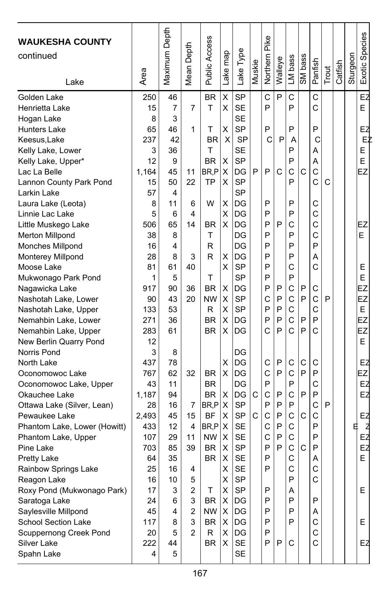| Maximum Depth<br>Exotic Species<br>Pike<br>Public Access<br>Depth<br>Lake Type<br>map<br>Northern<br>Sturgeon<br>continued<br>SM bass<br>LM bass<br>Walleye<br>Panfish<br>Muskie<br>Catfish<br>Mean I<br>Trout<br>Lake<br>Area<br>Lake<br>C<br>EZ<br>Χ<br><b>SP</b><br>P<br>C<br>C<br><b>BR</b><br>250<br>46<br><b>SE</b><br>P<br>P<br>Ċ<br>E<br>7<br>7<br>т<br>X<br>15<br><b>SE</b><br>8<br>3<br><b>SP</b><br>46<br>Χ<br>P<br>P<br>P<br>65<br>1<br>Τ<br>EZ<br>Ċ<br>42<br>X<br><b>SP</b><br>P<br>ΕŻ<br>237<br>BR<br>С<br>A<br>т<br>SE<br>P<br>E<br>3<br>36<br>А<br>12<br><b>BR</b><br><b>SP</b><br>P<br>E<br>9<br>X<br>A<br>P<br>C<br>C<br>EZ<br>BR,P<br>X<br>DG<br>P<br>C<br>C<br>1,164<br>45<br>11<br>Ċ<br><b>SP</b><br>P<br>50<br>22<br><b>TP</b><br>X<br>C<br>15<br><b>SP</b><br>57<br>4<br>W<br>X<br>DG<br>P<br>P<br>C<br>8<br>11<br>6<br>P<br>P<br>Ċ<br>Χ<br>DG<br>5<br>4<br>6<br>Ċ<br>X<br>P<br>P<br>C<br>506<br>DG<br>65<br>14<br><b>BR</b><br>EZ<br>P<br>P<br>Ċ<br>т<br>DG<br>E<br>38<br>8<br>P<br>DG<br>P<br>P<br>16<br>4<br>R<br>R<br>X<br>DG<br>P<br>P<br>A<br>28<br>8<br>3<br>X<br><b>SP</b><br>P<br>C<br>Ċ<br>81<br>61<br>40<br>Ε<br>E<br>T<br><b>SP</b><br>P<br>P<br>5<br>1<br>90<br>36<br><b>BR</b><br>X<br>DG<br>P<br>P<br>C<br>P<br>EZ<br>917<br>С<br>C<br>P<br>C<br>EZ<br>43<br>20<br><b>NW</b><br>Χ<br><b>SP</b><br>C<br>P<br>P<br>90<br>C<br>P<br>P<br>C<br>E<br>53<br>Χ<br><b>SP</b><br>133<br>R<br>$\ddot{C}$<br>X<br>P<br>P<br>P<br>EZ<br>36<br><b>BR</b><br>DG<br>P<br>271<br>C<br>P<br>Ć<br>P<br>Ċ<br>EZ<br>61<br><b>BR</b><br>X<br>DG<br>283<br>E<br>12<br>3<br>8<br>DG<br>X<br>437<br>DG<br>C<br>P<br>С<br>C<br>C<br>EZ<br>78<br>X<br>C<br>P<br>C<br>P<br>P<br>EZ<br>32<br>DG<br>767<br>62<br><b>BR</b><br>P<br>P<br>DG<br>C<br>EZ<br>43<br>11<br>BR.<br>P<br>$\mathsf{C}$<br>C<br>P<br>DG<br>C<br>P<br>1,187<br>94<br>BR.<br>X<br>EZ<br>X<br><b>SP</b><br>P<br>P<br>P<br>C<br>P<br>16<br>BR <sub>.P</sub><br>28<br>7<br>SP<br>C<br>C<br>P<br>C<br>C<br>C<br>15<br><b>BF</b><br>X<br>2.493<br>45<br>EZ<br>C<br>BR.P<br><b>SE</b><br>C<br>P<br>P<br>E<br>433<br>12<br>4<br>х<br>₫<br>ЕŻ<br>C<br>C<br>P<br>X<br><b>SE</b><br>P<br>107<br>29<br>11<br><b>NW</b><br>P<br>P<br>C<br>EZ<br>X<br><b>SP</b><br>C<br>39<br><b>BR</b><br>P<br>703<br>85<br>X<br><b>SE</b><br>P<br>C<br>E<br>35<br><b>BR</b><br>64<br>Α<br>P<br>Ċ<br>X<br><b>SF</b><br>C<br>25<br>16<br>4<br>C<br>Χ<br>SP<br>P<br>16<br>10<br>5<br>SP<br>E<br>$\mathbf{2}$<br>X<br>P<br>17<br>3<br>т<br>Α<br>P<br>P<br>P<br>3<br><b>BR</b><br>X<br>DG<br>24<br>6<br>Saylesville Millpond<br>$\overline{2}$<br>$NW \mid X$<br>DG<br>P<br>P<br>45<br>4<br>Α<br> X <br>P<br>P<br>C<br>117<br>3<br>BR<br>DG<br>Е<br>8<br>C<br>$\overline{2}$<br>Χ<br>DG<br>P<br>20<br>5<br>R<br>Ċ<br>X<br>P<br>SE<br>P<br>C<br>222<br>44<br>BR<br>EZ |                              |   |   |  |           |  |  |  |  |  |
|-------------------------------------------------------------------------------------------------------------------------------------------------------------------------------------------------------------------------------------------------------------------------------------------------------------------------------------------------------------------------------------------------------------------------------------------------------------------------------------------------------------------------------------------------------------------------------------------------------------------------------------------------------------------------------------------------------------------------------------------------------------------------------------------------------------------------------------------------------------------------------------------------------------------------------------------------------------------------------------------------------------------------------------------------------------------------------------------------------------------------------------------------------------------------------------------------------------------------------------------------------------------------------------------------------------------------------------------------------------------------------------------------------------------------------------------------------------------------------------------------------------------------------------------------------------------------------------------------------------------------------------------------------------------------------------------------------------------------------------------------------------------------------------------------------------------------------------------------------------------------------------------------------------------------------------------------------------------------------------------------------------------------------------------------------------------------------------------------------------------------------------------------------------------------------------------------------------------------------------------------------------------------------------------------------------------------------------------------------------------------------------------------------------------------------------------------------------------------------------------------------------------------------------------------------------------------------------------------------------------------------------------------------------------------------------------------------------------------------------------------------------------------------------------------------------------|------------------------------|---|---|--|-----------|--|--|--|--|--|
|                                                                                                                                                                                                                                                                                                                                                                                                                                                                                                                                                                                                                                                                                                                                                                                                                                                                                                                                                                                                                                                                                                                                                                                                                                                                                                                                                                                                                                                                                                                                                                                                                                                                                                                                                                                                                                                                                                                                                                                                                                                                                                                                                                                                                                                                                                                                                                                                                                                                                                                                                                                                                                                                                                                                                                                                                   | <b>WAUKESHA COUNTY</b>       |   |   |  |           |  |  |  |  |  |
|                                                                                                                                                                                                                                                                                                                                                                                                                                                                                                                                                                                                                                                                                                                                                                                                                                                                                                                                                                                                                                                                                                                                                                                                                                                                                                                                                                                                                                                                                                                                                                                                                                                                                                                                                                                                                                                                                                                                                                                                                                                                                                                                                                                                                                                                                                                                                                                                                                                                                                                                                                                                                                                                                                                                                                                                                   |                              |   |   |  |           |  |  |  |  |  |
|                                                                                                                                                                                                                                                                                                                                                                                                                                                                                                                                                                                                                                                                                                                                                                                                                                                                                                                                                                                                                                                                                                                                                                                                                                                                                                                                                                                                                                                                                                                                                                                                                                                                                                                                                                                                                                                                                                                                                                                                                                                                                                                                                                                                                                                                                                                                                                                                                                                                                                                                                                                                                                                                                                                                                                                                                   |                              |   |   |  |           |  |  |  |  |  |
|                                                                                                                                                                                                                                                                                                                                                                                                                                                                                                                                                                                                                                                                                                                                                                                                                                                                                                                                                                                                                                                                                                                                                                                                                                                                                                                                                                                                                                                                                                                                                                                                                                                                                                                                                                                                                                                                                                                                                                                                                                                                                                                                                                                                                                                                                                                                                                                                                                                                                                                                                                                                                                                                                                                                                                                                                   |                              |   |   |  |           |  |  |  |  |  |
|                                                                                                                                                                                                                                                                                                                                                                                                                                                                                                                                                                                                                                                                                                                                                                                                                                                                                                                                                                                                                                                                                                                                                                                                                                                                                                                                                                                                                                                                                                                                                                                                                                                                                                                                                                                                                                                                                                                                                                                                                                                                                                                                                                                                                                                                                                                                                                                                                                                                                                                                                                                                                                                                                                                                                                                                                   | Golden Lake                  |   |   |  |           |  |  |  |  |  |
|                                                                                                                                                                                                                                                                                                                                                                                                                                                                                                                                                                                                                                                                                                                                                                                                                                                                                                                                                                                                                                                                                                                                                                                                                                                                                                                                                                                                                                                                                                                                                                                                                                                                                                                                                                                                                                                                                                                                                                                                                                                                                                                                                                                                                                                                                                                                                                                                                                                                                                                                                                                                                                                                                                                                                                                                                   | Henrietta Lake               |   |   |  |           |  |  |  |  |  |
|                                                                                                                                                                                                                                                                                                                                                                                                                                                                                                                                                                                                                                                                                                                                                                                                                                                                                                                                                                                                                                                                                                                                                                                                                                                                                                                                                                                                                                                                                                                                                                                                                                                                                                                                                                                                                                                                                                                                                                                                                                                                                                                                                                                                                                                                                                                                                                                                                                                                                                                                                                                                                                                                                                                                                                                                                   | Hogan Lake                   |   |   |  |           |  |  |  |  |  |
|                                                                                                                                                                                                                                                                                                                                                                                                                                                                                                                                                                                                                                                                                                                                                                                                                                                                                                                                                                                                                                                                                                                                                                                                                                                                                                                                                                                                                                                                                                                                                                                                                                                                                                                                                                                                                                                                                                                                                                                                                                                                                                                                                                                                                                                                                                                                                                                                                                                                                                                                                                                                                                                                                                                                                                                                                   | <b>Hunters Lake</b>          |   |   |  |           |  |  |  |  |  |
|                                                                                                                                                                                                                                                                                                                                                                                                                                                                                                                                                                                                                                                                                                                                                                                                                                                                                                                                                                                                                                                                                                                                                                                                                                                                                                                                                                                                                                                                                                                                                                                                                                                                                                                                                                                                                                                                                                                                                                                                                                                                                                                                                                                                                                                                                                                                                                                                                                                                                                                                                                                                                                                                                                                                                                                                                   | Keesus, Lake                 |   |   |  |           |  |  |  |  |  |
|                                                                                                                                                                                                                                                                                                                                                                                                                                                                                                                                                                                                                                                                                                                                                                                                                                                                                                                                                                                                                                                                                                                                                                                                                                                                                                                                                                                                                                                                                                                                                                                                                                                                                                                                                                                                                                                                                                                                                                                                                                                                                                                                                                                                                                                                                                                                                                                                                                                                                                                                                                                                                                                                                                                                                                                                                   | Kelly Lake, Lower            |   |   |  |           |  |  |  |  |  |
|                                                                                                                                                                                                                                                                                                                                                                                                                                                                                                                                                                                                                                                                                                                                                                                                                                                                                                                                                                                                                                                                                                                                                                                                                                                                                                                                                                                                                                                                                                                                                                                                                                                                                                                                                                                                                                                                                                                                                                                                                                                                                                                                                                                                                                                                                                                                                                                                                                                                                                                                                                                                                                                                                                                                                                                                                   | Kelly Lake, Upper*           |   |   |  |           |  |  |  |  |  |
|                                                                                                                                                                                                                                                                                                                                                                                                                                                                                                                                                                                                                                                                                                                                                                                                                                                                                                                                                                                                                                                                                                                                                                                                                                                                                                                                                                                                                                                                                                                                                                                                                                                                                                                                                                                                                                                                                                                                                                                                                                                                                                                                                                                                                                                                                                                                                                                                                                                                                                                                                                                                                                                                                                                                                                                                                   | Lac La Belle                 |   |   |  |           |  |  |  |  |  |
|                                                                                                                                                                                                                                                                                                                                                                                                                                                                                                                                                                                                                                                                                                                                                                                                                                                                                                                                                                                                                                                                                                                                                                                                                                                                                                                                                                                                                                                                                                                                                                                                                                                                                                                                                                                                                                                                                                                                                                                                                                                                                                                                                                                                                                                                                                                                                                                                                                                                                                                                                                                                                                                                                                                                                                                                                   | Lannon County Park Pond      |   |   |  |           |  |  |  |  |  |
|                                                                                                                                                                                                                                                                                                                                                                                                                                                                                                                                                                                                                                                                                                                                                                                                                                                                                                                                                                                                                                                                                                                                                                                                                                                                                                                                                                                                                                                                                                                                                                                                                                                                                                                                                                                                                                                                                                                                                                                                                                                                                                                                                                                                                                                                                                                                                                                                                                                                                                                                                                                                                                                                                                                                                                                                                   | Larkin Lake                  |   |   |  |           |  |  |  |  |  |
|                                                                                                                                                                                                                                                                                                                                                                                                                                                                                                                                                                                                                                                                                                                                                                                                                                                                                                                                                                                                                                                                                                                                                                                                                                                                                                                                                                                                                                                                                                                                                                                                                                                                                                                                                                                                                                                                                                                                                                                                                                                                                                                                                                                                                                                                                                                                                                                                                                                                                                                                                                                                                                                                                                                                                                                                                   | Laura Lake (Leota)           |   |   |  |           |  |  |  |  |  |
|                                                                                                                                                                                                                                                                                                                                                                                                                                                                                                                                                                                                                                                                                                                                                                                                                                                                                                                                                                                                                                                                                                                                                                                                                                                                                                                                                                                                                                                                                                                                                                                                                                                                                                                                                                                                                                                                                                                                                                                                                                                                                                                                                                                                                                                                                                                                                                                                                                                                                                                                                                                                                                                                                                                                                                                                                   | Linnie Lac Lake              |   |   |  |           |  |  |  |  |  |
|                                                                                                                                                                                                                                                                                                                                                                                                                                                                                                                                                                                                                                                                                                                                                                                                                                                                                                                                                                                                                                                                                                                                                                                                                                                                                                                                                                                                                                                                                                                                                                                                                                                                                                                                                                                                                                                                                                                                                                                                                                                                                                                                                                                                                                                                                                                                                                                                                                                                                                                                                                                                                                                                                                                                                                                                                   | Little Muskego Lake          |   |   |  |           |  |  |  |  |  |
|                                                                                                                                                                                                                                                                                                                                                                                                                                                                                                                                                                                                                                                                                                                                                                                                                                                                                                                                                                                                                                                                                                                                                                                                                                                                                                                                                                                                                                                                                                                                                                                                                                                                                                                                                                                                                                                                                                                                                                                                                                                                                                                                                                                                                                                                                                                                                                                                                                                                                                                                                                                                                                                                                                                                                                                                                   | <b>Merton Millpond</b>       |   |   |  |           |  |  |  |  |  |
|                                                                                                                                                                                                                                                                                                                                                                                                                                                                                                                                                                                                                                                                                                                                                                                                                                                                                                                                                                                                                                                                                                                                                                                                                                                                                                                                                                                                                                                                                                                                                                                                                                                                                                                                                                                                                                                                                                                                                                                                                                                                                                                                                                                                                                                                                                                                                                                                                                                                                                                                                                                                                                                                                                                                                                                                                   | Monches Millpond             |   |   |  |           |  |  |  |  |  |
|                                                                                                                                                                                                                                                                                                                                                                                                                                                                                                                                                                                                                                                                                                                                                                                                                                                                                                                                                                                                                                                                                                                                                                                                                                                                                                                                                                                                                                                                                                                                                                                                                                                                                                                                                                                                                                                                                                                                                                                                                                                                                                                                                                                                                                                                                                                                                                                                                                                                                                                                                                                                                                                                                                                                                                                                                   | Monterey Millpond            |   |   |  |           |  |  |  |  |  |
|                                                                                                                                                                                                                                                                                                                                                                                                                                                                                                                                                                                                                                                                                                                                                                                                                                                                                                                                                                                                                                                                                                                                                                                                                                                                                                                                                                                                                                                                                                                                                                                                                                                                                                                                                                                                                                                                                                                                                                                                                                                                                                                                                                                                                                                                                                                                                                                                                                                                                                                                                                                                                                                                                                                                                                                                                   | Moose Lake                   |   |   |  |           |  |  |  |  |  |
|                                                                                                                                                                                                                                                                                                                                                                                                                                                                                                                                                                                                                                                                                                                                                                                                                                                                                                                                                                                                                                                                                                                                                                                                                                                                                                                                                                                                                                                                                                                                                                                                                                                                                                                                                                                                                                                                                                                                                                                                                                                                                                                                                                                                                                                                                                                                                                                                                                                                                                                                                                                                                                                                                                                                                                                                                   | Mukwonago Park Pond          |   |   |  |           |  |  |  |  |  |
|                                                                                                                                                                                                                                                                                                                                                                                                                                                                                                                                                                                                                                                                                                                                                                                                                                                                                                                                                                                                                                                                                                                                                                                                                                                                                                                                                                                                                                                                                                                                                                                                                                                                                                                                                                                                                                                                                                                                                                                                                                                                                                                                                                                                                                                                                                                                                                                                                                                                                                                                                                                                                                                                                                                                                                                                                   | Nagawicka Lake               |   |   |  |           |  |  |  |  |  |
|                                                                                                                                                                                                                                                                                                                                                                                                                                                                                                                                                                                                                                                                                                                                                                                                                                                                                                                                                                                                                                                                                                                                                                                                                                                                                                                                                                                                                                                                                                                                                                                                                                                                                                                                                                                                                                                                                                                                                                                                                                                                                                                                                                                                                                                                                                                                                                                                                                                                                                                                                                                                                                                                                                                                                                                                                   | Nashotah Lake, Lower         |   |   |  |           |  |  |  |  |  |
|                                                                                                                                                                                                                                                                                                                                                                                                                                                                                                                                                                                                                                                                                                                                                                                                                                                                                                                                                                                                                                                                                                                                                                                                                                                                                                                                                                                                                                                                                                                                                                                                                                                                                                                                                                                                                                                                                                                                                                                                                                                                                                                                                                                                                                                                                                                                                                                                                                                                                                                                                                                                                                                                                                                                                                                                                   | Nashotah Lake, Upper         |   |   |  |           |  |  |  |  |  |
|                                                                                                                                                                                                                                                                                                                                                                                                                                                                                                                                                                                                                                                                                                                                                                                                                                                                                                                                                                                                                                                                                                                                                                                                                                                                                                                                                                                                                                                                                                                                                                                                                                                                                                                                                                                                                                                                                                                                                                                                                                                                                                                                                                                                                                                                                                                                                                                                                                                                                                                                                                                                                                                                                                                                                                                                                   | Nemahbin Lake, Lower         |   |   |  |           |  |  |  |  |  |
|                                                                                                                                                                                                                                                                                                                                                                                                                                                                                                                                                                                                                                                                                                                                                                                                                                                                                                                                                                                                                                                                                                                                                                                                                                                                                                                                                                                                                                                                                                                                                                                                                                                                                                                                                                                                                                                                                                                                                                                                                                                                                                                                                                                                                                                                                                                                                                                                                                                                                                                                                                                                                                                                                                                                                                                                                   | Nemahbin Lake, Upper         |   |   |  |           |  |  |  |  |  |
|                                                                                                                                                                                                                                                                                                                                                                                                                                                                                                                                                                                                                                                                                                                                                                                                                                                                                                                                                                                                                                                                                                                                                                                                                                                                                                                                                                                                                                                                                                                                                                                                                                                                                                                                                                                                                                                                                                                                                                                                                                                                                                                                                                                                                                                                                                                                                                                                                                                                                                                                                                                                                                                                                                                                                                                                                   | New Berlin Quarry Pond       |   |   |  |           |  |  |  |  |  |
|                                                                                                                                                                                                                                                                                                                                                                                                                                                                                                                                                                                                                                                                                                                                                                                                                                                                                                                                                                                                                                                                                                                                                                                                                                                                                                                                                                                                                                                                                                                                                                                                                                                                                                                                                                                                                                                                                                                                                                                                                                                                                                                                                                                                                                                                                                                                                                                                                                                                                                                                                                                                                                                                                                                                                                                                                   | Norris Pond                  |   |   |  |           |  |  |  |  |  |
|                                                                                                                                                                                                                                                                                                                                                                                                                                                                                                                                                                                                                                                                                                                                                                                                                                                                                                                                                                                                                                                                                                                                                                                                                                                                                                                                                                                                                                                                                                                                                                                                                                                                                                                                                                                                                                                                                                                                                                                                                                                                                                                                                                                                                                                                                                                                                                                                                                                                                                                                                                                                                                                                                                                                                                                                                   | North Lake                   |   |   |  |           |  |  |  |  |  |
|                                                                                                                                                                                                                                                                                                                                                                                                                                                                                                                                                                                                                                                                                                                                                                                                                                                                                                                                                                                                                                                                                                                                                                                                                                                                                                                                                                                                                                                                                                                                                                                                                                                                                                                                                                                                                                                                                                                                                                                                                                                                                                                                                                                                                                                                                                                                                                                                                                                                                                                                                                                                                                                                                                                                                                                                                   | Oconomowoc Lake              |   |   |  |           |  |  |  |  |  |
|                                                                                                                                                                                                                                                                                                                                                                                                                                                                                                                                                                                                                                                                                                                                                                                                                                                                                                                                                                                                                                                                                                                                                                                                                                                                                                                                                                                                                                                                                                                                                                                                                                                                                                                                                                                                                                                                                                                                                                                                                                                                                                                                                                                                                                                                                                                                                                                                                                                                                                                                                                                                                                                                                                                                                                                                                   | Oconomowoc Lake, Upper       |   |   |  |           |  |  |  |  |  |
|                                                                                                                                                                                                                                                                                                                                                                                                                                                                                                                                                                                                                                                                                                                                                                                                                                                                                                                                                                                                                                                                                                                                                                                                                                                                                                                                                                                                                                                                                                                                                                                                                                                                                                                                                                                                                                                                                                                                                                                                                                                                                                                                                                                                                                                                                                                                                                                                                                                                                                                                                                                                                                                                                                                                                                                                                   | Okauchee Lake                |   |   |  |           |  |  |  |  |  |
|                                                                                                                                                                                                                                                                                                                                                                                                                                                                                                                                                                                                                                                                                                                                                                                                                                                                                                                                                                                                                                                                                                                                                                                                                                                                                                                                                                                                                                                                                                                                                                                                                                                                                                                                                                                                                                                                                                                                                                                                                                                                                                                                                                                                                                                                                                                                                                                                                                                                                                                                                                                                                                                                                                                                                                                                                   | Ottawa Lake (Silver, Lean)   |   |   |  |           |  |  |  |  |  |
|                                                                                                                                                                                                                                                                                                                                                                                                                                                                                                                                                                                                                                                                                                                                                                                                                                                                                                                                                                                                                                                                                                                                                                                                                                                                                                                                                                                                                                                                                                                                                                                                                                                                                                                                                                                                                                                                                                                                                                                                                                                                                                                                                                                                                                                                                                                                                                                                                                                                                                                                                                                                                                                                                                                                                                                                                   | Pewaukee Lake                |   |   |  |           |  |  |  |  |  |
|                                                                                                                                                                                                                                                                                                                                                                                                                                                                                                                                                                                                                                                                                                                                                                                                                                                                                                                                                                                                                                                                                                                                                                                                                                                                                                                                                                                                                                                                                                                                                                                                                                                                                                                                                                                                                                                                                                                                                                                                                                                                                                                                                                                                                                                                                                                                                                                                                                                                                                                                                                                                                                                                                                                                                                                                                   | Phantom Lake, Lower (Howitt) |   |   |  |           |  |  |  |  |  |
|                                                                                                                                                                                                                                                                                                                                                                                                                                                                                                                                                                                                                                                                                                                                                                                                                                                                                                                                                                                                                                                                                                                                                                                                                                                                                                                                                                                                                                                                                                                                                                                                                                                                                                                                                                                                                                                                                                                                                                                                                                                                                                                                                                                                                                                                                                                                                                                                                                                                                                                                                                                                                                                                                                                                                                                                                   | Phantom Lake, Upper          |   |   |  |           |  |  |  |  |  |
|                                                                                                                                                                                                                                                                                                                                                                                                                                                                                                                                                                                                                                                                                                                                                                                                                                                                                                                                                                                                                                                                                                                                                                                                                                                                                                                                                                                                                                                                                                                                                                                                                                                                                                                                                                                                                                                                                                                                                                                                                                                                                                                                                                                                                                                                                                                                                                                                                                                                                                                                                                                                                                                                                                                                                                                                                   | Pine Lake                    |   |   |  |           |  |  |  |  |  |
|                                                                                                                                                                                                                                                                                                                                                                                                                                                                                                                                                                                                                                                                                                                                                                                                                                                                                                                                                                                                                                                                                                                                                                                                                                                                                                                                                                                                                                                                                                                                                                                                                                                                                                                                                                                                                                                                                                                                                                                                                                                                                                                                                                                                                                                                                                                                                                                                                                                                                                                                                                                                                                                                                                                                                                                                                   | <b>Pretty Lake</b>           |   |   |  |           |  |  |  |  |  |
|                                                                                                                                                                                                                                                                                                                                                                                                                                                                                                                                                                                                                                                                                                                                                                                                                                                                                                                                                                                                                                                                                                                                                                                                                                                                                                                                                                                                                                                                                                                                                                                                                                                                                                                                                                                                                                                                                                                                                                                                                                                                                                                                                                                                                                                                                                                                                                                                                                                                                                                                                                                                                                                                                                                                                                                                                   | Rainbow Springs Lake         |   |   |  |           |  |  |  |  |  |
|                                                                                                                                                                                                                                                                                                                                                                                                                                                                                                                                                                                                                                                                                                                                                                                                                                                                                                                                                                                                                                                                                                                                                                                                                                                                                                                                                                                                                                                                                                                                                                                                                                                                                                                                                                                                                                                                                                                                                                                                                                                                                                                                                                                                                                                                                                                                                                                                                                                                                                                                                                                                                                                                                                                                                                                                                   | Reagon Lake                  |   |   |  |           |  |  |  |  |  |
|                                                                                                                                                                                                                                                                                                                                                                                                                                                                                                                                                                                                                                                                                                                                                                                                                                                                                                                                                                                                                                                                                                                                                                                                                                                                                                                                                                                                                                                                                                                                                                                                                                                                                                                                                                                                                                                                                                                                                                                                                                                                                                                                                                                                                                                                                                                                                                                                                                                                                                                                                                                                                                                                                                                                                                                                                   | Roxy Pond (Mukwonago Park)   |   |   |  |           |  |  |  |  |  |
|                                                                                                                                                                                                                                                                                                                                                                                                                                                                                                                                                                                                                                                                                                                                                                                                                                                                                                                                                                                                                                                                                                                                                                                                                                                                                                                                                                                                                                                                                                                                                                                                                                                                                                                                                                                                                                                                                                                                                                                                                                                                                                                                                                                                                                                                                                                                                                                                                                                                                                                                                                                                                                                                                                                                                                                                                   | Saratoga Lake                |   |   |  |           |  |  |  |  |  |
|                                                                                                                                                                                                                                                                                                                                                                                                                                                                                                                                                                                                                                                                                                                                                                                                                                                                                                                                                                                                                                                                                                                                                                                                                                                                                                                                                                                                                                                                                                                                                                                                                                                                                                                                                                                                                                                                                                                                                                                                                                                                                                                                                                                                                                                                                                                                                                                                                                                                                                                                                                                                                                                                                                                                                                                                                   |                              |   |   |  |           |  |  |  |  |  |
|                                                                                                                                                                                                                                                                                                                                                                                                                                                                                                                                                                                                                                                                                                                                                                                                                                                                                                                                                                                                                                                                                                                                                                                                                                                                                                                                                                                                                                                                                                                                                                                                                                                                                                                                                                                                                                                                                                                                                                                                                                                                                                                                                                                                                                                                                                                                                                                                                                                                                                                                                                                                                                                                                                                                                                                                                   | School Section Lake          |   |   |  |           |  |  |  |  |  |
|                                                                                                                                                                                                                                                                                                                                                                                                                                                                                                                                                                                                                                                                                                                                                                                                                                                                                                                                                                                                                                                                                                                                                                                                                                                                                                                                                                                                                                                                                                                                                                                                                                                                                                                                                                                                                                                                                                                                                                                                                                                                                                                                                                                                                                                                                                                                                                                                                                                                                                                                                                                                                                                                                                                                                                                                                   | Scuppernong Creek Pond       |   |   |  |           |  |  |  |  |  |
|                                                                                                                                                                                                                                                                                                                                                                                                                                                                                                                                                                                                                                                                                                                                                                                                                                                                                                                                                                                                                                                                                                                                                                                                                                                                                                                                                                                                                                                                                                                                                                                                                                                                                                                                                                                                                                                                                                                                                                                                                                                                                                                                                                                                                                                                                                                                                                                                                                                                                                                                                                                                                                                                                                                                                                                                                   | Silver Lake                  |   |   |  |           |  |  |  |  |  |
|                                                                                                                                                                                                                                                                                                                                                                                                                                                                                                                                                                                                                                                                                                                                                                                                                                                                                                                                                                                                                                                                                                                                                                                                                                                                                                                                                                                                                                                                                                                                                                                                                                                                                                                                                                                                                                                                                                                                                                                                                                                                                                                                                                                                                                                                                                                                                                                                                                                                                                                                                                                                                                                                                                                                                                                                                   | Spahn Lake                   | 4 | 5 |  | <b>SE</b> |  |  |  |  |  |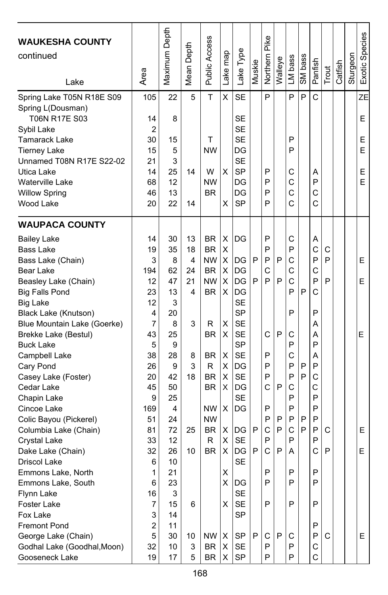| <b>WAUKESHA COUNTY</b><br>continued<br>Lake    | Area           | Maximum Depth | Depth<br>Mean | Public Access | Lake map | Lake Type              | Muskie | Pike<br>Northern | Walleye | LM bass | SM bass | Panfish | Trout | Catfish | Sturgeon | Exotic Species |
|------------------------------------------------|----------------|---------------|---------------|---------------|----------|------------------------|--------|------------------|---------|---------|---------|---------|-------|---------|----------|----------------|
| Spring Lake T05N R18E S09<br>Spring L(Dousman) | 105            | 22            | 5             | T             | Χ        | <b>SE</b>              |        | P                |         | P       | P       | C       |       |         |          | ZΕ             |
| T06N R17E S03<br>Sybil Lake                    | 14<br>2        | 8             |               |               |          | <b>SE</b><br><b>SE</b> |        |                  |         |         |         |         |       |         |          | E              |
| <b>Tamarack Lake</b>                           | 30             | 15            |               | T             |          | <b>SE</b>              |        |                  |         | P       |         |         |       |         |          | E              |
| <b>Tierney Lake</b>                            | 15             | 5             |               | <b>NW</b>     |          | DG                     |        |                  |         | P       |         |         |       |         |          | E              |
| Unnamed T08N R17E S22-02                       | 21             | 3             |               |               |          | <b>SE</b>              |        |                  |         |         |         |         |       |         |          |                |
| Utica Lake                                     | 14             | 25            | 14            | W             | x        | <b>SP</b>              |        | P                |         | С       |         | Α       |       |         |          | E              |
| <b>Waterville Lake</b>                         | 68             | 12            |               | <b>NW</b>     |          | DG                     |        | P                |         | C       |         | P       |       |         |          | E              |
| <b>Willow Spring</b>                           | 46             | 13            |               | <b>BR</b>     |          | DG                     |        | P                |         | C       |         | C       |       |         |          |                |
| Wood Lake                                      | 20             | 22            | 14            |               | x        | <b>SP</b>              |        | P                |         | C       |         | C       |       |         |          |                |
| <b>WAUPACA COUNTY</b>                          |                |               |               |               |          |                        |        |                  |         |         |         |         |       |         |          |                |
| <b>Bailey Lake</b>                             | 14             | 30            | 13            | BR            | X        | IDG                    |        | P                |         | С       |         | Α       |       |         |          |                |
| Bass Lake                                      | 19             | 35            | 18            | <b>BR</b>     | X        |                        |        | P                |         | P       |         | C       | C     |         |          |                |
| Bass Lake (Chain)                              | 3              | 8             | 4             | <b>NW</b>     | X        | <b>IDG</b>             | P      | P                | P       | C       |         | P       | P     |         |          | E.             |
| Bear Lake                                      | 194            | 62            | 24            | <b>BR</b>     | х        | DG                     |        | C                |         | C       |         | C       |       |         |          |                |
| Beasley Lake (Chain)                           | 12             | 47            | 21            | <b>NW</b>     | х        | DG                     | P      | P                | P       | C       |         | P       | P     |         |          | Е              |
| <b>Big Falls Pond</b>                          | 23             | 13            | 4             | <b>BR</b>     | X        | DG                     |        |                  |         | P       | P       | C       |       |         |          |                |
| <b>Big Lake</b>                                | 12             | 3             |               |               |          | <b>SE</b>              |        |                  |         |         |         |         |       |         |          |                |
| Black Lake (Knutson)                           | 4              | 20            |               |               |          | <b>SP</b>              |        |                  |         | P       |         | P       |       |         |          |                |
| Blue Mountain Lake (Goerke)                    | 7              | 8             | 3             | R             | х        | <b>SE</b>              |        |                  |         |         |         | А       |       |         |          |                |
| Brekke Lake (Bestul)                           | 43             | 25            |               | <b>BR</b>     | X        | <b>SE</b>              |        | С                | P       | С       |         | А       |       |         |          | Е              |
| <b>Buck Lake</b>                               | 5              | 9             |               |               |          | <b>SP</b>              |        |                  |         | P       |         | P       |       |         |          |                |
| Campbell Lake                                  | 38             | 28            | 8             | BR            | X        | <b>SE</b>              |        | P                |         | C       |         | A       |       |         |          |                |
| Cary Pond                                      | 26             | 9             | 3             | R             | х        | DG                     |        | P                |         | P       | P       | P       |       |         |          |                |
| Casey Lake (Foster)                            | 20             | 42            | 18            | <b>BR</b>     | х        | <b>SE</b>              |        | P                |         | P       | P       | C       |       |         |          |                |
| Cedar Lake                                     | 45             | 50            |               | <b>BR</b>     | X        | DG                     |        | C                | P       | C       |         | C       |       |         |          |                |
| Chapin Lake                                    | 9              | 25            |               |               |          | <b>SE</b>              |        |                  |         | P       |         | P       |       |         |          |                |
| Cincoe Lake                                    | 169            | 4             |               | NW            | х        | DG                     |        | P                |         | P       |         | P       |       |         |          |                |
| Colic Bayou (Pickerel)                         | 51             | 24            |               | <b>NW</b>     |          |                        |        | Ρ                | P       | P       | P       | P       |       |         |          |                |
| Columbia Lake (Chain)                          | 81             | 72            | 25            | <b>BR</b>     | X        | <b>IDG</b>             | P      | C                | P       | C       | P       | P       | C     |         |          | E              |
| Crystal Lake                                   | 33             | 12            |               | R             | X        | <b>SE</b>              |        | P                |         | P       |         | P       |       |         |          |                |
| Dake Lake (Chain)                              | 32             | 26            | 10            | <b>BR</b>     | X        | DG                     | P      | Ċ                | P       | Α       |         | С       | P     |         |          | Е              |
| Driscol Lake                                   | 6              | 10            |               |               |          | <b>SE</b>              |        |                  |         |         |         |         |       |         |          |                |
| Emmons Lake, North                             | 1              | 21            |               |               | Χ        |                        |        | P                |         | Ρ       |         | P       |       |         |          |                |
| Emmons Lake, South                             | 6              | 23            |               |               |          | X DG                   |        | P                |         | P       |         | P       |       |         |          |                |
| Flynn Lake                                     | 16             | 3             |               |               |          | <b>SE</b>              |        |                  |         |         |         |         |       |         |          |                |
| Foster Lake                                    | 7              | 15            | 6             |               | X        | <b>SE</b>              |        | P                |         | P       |         | P       |       |         |          |                |
| Fox Lake                                       | 3              | 14            |               |               |          | <b>SP</b>              |        |                  |         |         |         |         |       |         |          |                |
| Fremont Pond                                   | $\overline{c}$ | 11            |               |               |          |                        |        |                  |         |         |         | P       |       |         |          |                |
| George Lake (Chain)                            | 5              | 30            | 10            | NW            | X        | <b>SP</b>              | P      | C                | P       | C       |         | P       | C     |         |          | E.             |
| Godhal Lake (Goodhal, Moon)                    | 32             | 10            | 3             | BR            | Χ        | SE                     |        | P                |         | P       |         | С       |       |         |          |                |
| Gooseneck Lake                                 | 19             | 17            | 5             | <b>BR</b>     | X.       | SP                     |        | P                |         | P       |         | C       |       |         |          |                |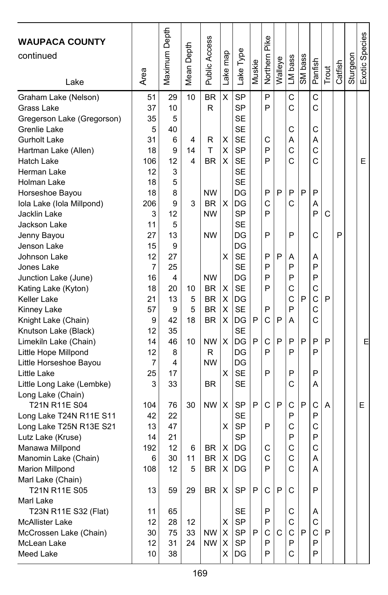| <b>WAUPACA COUNTY</b>      |      | Maximum Depth |       | <b>Public Access</b> |          |           |        | Northern Pike |         |         |         |              |       |         |          | Exotic Species |
|----------------------------|------|---------------|-------|----------------------|----------|-----------|--------|---------------|---------|---------|---------|--------------|-------|---------|----------|----------------|
| continued                  |      |               | Depth |                      |          | Lake Type |        |               |         |         |         |              |       |         |          |                |
|                            |      |               |       |                      |          |           | Muskie |               | Walleye | LM bass | SM bass |              |       | Catfish | Sturgeon |                |
| Lake                       | Area |               | Mean  |                      | Lake map |           |        |               |         |         |         | Panfish      | Trout |         |          |                |
| Graham Lake (Nelson)       | 51   | 29            | 10    | <b>BR</b>            | X        | <b>SP</b> |        | P             |         | C       |         | $\mathsf{C}$ |       |         |          |                |
| Grass Lake                 | 37   | 10            |       | R                    |          | <b>SP</b> |        | P             |         | C       |         | C            |       |         |          |                |
| Gregerson Lake (Gregorson) | 35   | 5             |       |                      |          | <b>SE</b> |        |               |         |         |         |              |       |         |          |                |
| Grenlie Lake               | 5    | 40            |       |                      |          | <b>SE</b> |        |               |         | C       |         | C            |       |         |          |                |
| <b>Gurholt Lake</b>        | 31   | 6             | 4     | R                    | Χ        | <b>SE</b> |        | C             |         | Α       |         | Α            |       |         |          |                |
| Hartman Lake (Allen)       | 18   | 9             | 14    | T                    | X        | <b>SP</b> |        | P             |         | C       |         | C            |       |         |          |                |
| Hatch Lake                 | 106  | 12            | 4     | <b>BR</b>            | х        | <b>SE</b> |        | P             |         | C       |         | C            |       |         |          | Е              |
| Herman Lake                | 12   | 3             |       |                      |          | <b>SE</b> |        |               |         |         |         |              |       |         |          |                |
| Holman Lake                | 18   | 5             |       |                      |          | <b>SE</b> |        |               |         |         |         |              |       |         |          |                |
| Horseshoe Bayou            | 18   | 8             |       | <b>NW</b>            |          | DG        |        | P             | P       | P       | P       | P            |       |         |          |                |
| Iola Lake (Iola Millpond)  | 206  | 9             | 3     | <b>BR</b>            | X        | DG        |        | C             |         | C       |         | Α            |       |         |          |                |
| Jacklin Lake               | 3    | 12            |       | <b>NW</b>            |          | <b>SP</b> |        | P             |         |         |         | P            | C     |         |          |                |
| Jackson Lake               | 11   | 5             |       |                      |          | <b>SE</b> |        |               |         |         |         |              |       |         |          |                |
| Jenny Bayou                | 27   | 13            |       | <b>NW</b>            |          | DG        |        | P             |         | P       |         | C            |       | P       |          |                |
| Jenson Lake                | 15   | 9             |       |                      |          | DG        |        |               |         |         |         |              |       |         |          |                |
| Johnson Lake               | 12   | 27            |       |                      | х        | <b>SE</b> |        | P             | P       | Α       |         | Α            |       |         |          |                |
| Jones Lake                 | 7    | 25            |       |                      |          | <b>SE</b> |        | P             |         | P       |         | P            |       |         |          |                |
| Junction Lake (June)       | 16   | 4             |       | <b>NW</b>            |          | DG        |        | P             |         | P       |         | P            |       |         |          |                |
| Kating Lake (Kyton)        | 18   | 20            | 10    | <b>BR</b>            | X        | <b>SE</b> |        | P             |         | C       |         | C            |       |         |          |                |
| Keller Lake                | 21   | 13            | 5     | BR                   | X        | DG        |        |               |         | C       | P       | C            | P     |         |          |                |
| Kinney Lake                | 57   | 9             | 5     | <b>BR</b>            | Χ        | <b>SE</b> |        | P             |         | P       |         | $\mathsf{C}$ |       |         |          |                |
| Knight Lake (Chain)        | 9    | 42            | 18    | <b>BR</b>            | X        | DG        | P      | C             | P       | A       |         | C            |       |         |          |                |
| Knutson Lake (Black)       | 12   | 35            |       |                      |          | <b>SE</b> |        |               |         |         |         |              |       |         |          |                |
| Limekiln Lake (Chain)      | 14   | 46            | 10    | <b>NW</b>            | X        | DG        | P      | C             | P       | P       | P       | P            | P     |         |          | Е              |
| Little Hope Millpond       | 12   | 8             |       | R                    |          | DG        |        | P             |         | P       |         | P            |       |         |          |                |
| Little Horseshoe Bayou     | 7    | 4             |       | <b>NW</b>            |          | DG        |        |               |         |         |         |              |       |         |          |                |
| Little Lake                | 25   | 17            |       |                      | X        | <b>SE</b> |        | P             |         | P       |         | P            |       |         |          |                |
| Little Long Lake (Lembke)  | 3    | 33            |       | <b>BR</b>            |          | <b>SE</b> |        |               |         | C       |         | Α            |       |         |          |                |
| Long Lake (Chain)          |      |               |       |                      |          |           |        |               |         |         |         |              |       |         |          |                |
| T21N R11E S04              | 104  | 76            | 30    | <b>NW</b>            | Χ        | <b>SP</b> | P      | C             | P       | C       | P       | C            | A     |         |          | Е              |
| Long Lake T24N R11E S11    | 42   | 22            |       |                      |          | <b>SE</b> |        |               |         | P       |         | P            |       |         |          |                |
| Long Lake T25N R13E S21    | 13   | 47            |       |                      | х        | <b>SP</b> |        | P             |         | C       |         | C            |       |         |          |                |
| Lutz Lake (Kruse)          | 14   | 21            |       |                      |          | <b>SP</b> |        |               |         | P       |         | P            |       |         |          |                |
| Manawa Millpond            | 192  | 12            | 6     | <b>BR</b>            | х        | DG        |        | C             |         | C       |         | C            |       |         |          |                |
| Manomin Lake (Chain)       | 6    | 30            | 11    | <b>BR</b>            | X        | DG        |        | C             |         | C       |         | Α            |       |         |          |                |
| <b>Marion Millpond</b>     | 108  | 12            | 5     | <b>BR</b>            | X        | DG        |        | P             |         | C       |         | A            |       |         |          |                |
| Marl Lake (Chain)          |      |               |       |                      |          |           |        |               |         |         |         |              |       |         |          |                |
| T21N R11E S05              | 13   | 59            | 29    | BR                   | X        | SP        | P      | С             | P       | С       |         | P            |       |         |          |                |
| Marl Lake                  |      |               |       |                      |          |           |        |               |         |         |         |              |       |         |          |                |
| T23N R11E S32 (Flat)       | 11   | 65            |       |                      |          | SE        |        | P             |         | С       |         | A            |       |         |          |                |
| <b>McAllister Lake</b>     | 12   | 28            | 12    |                      | х        | <b>SP</b> |        | P             |         | С       |         | С            |       |         |          |                |
| McCrossen Lake (Chain)     | 30   | 75            | 33    | NW.                  | X        | SP        | P      | С             | С       | C       | P       | C            | P     |         |          |                |
| McLean Lake                | 12   | 31            | 24    | NW                   | X        | SP        |        | P             |         | P       |         | P            |       |         |          |                |
| Meed Lake                  | 10   | 38            |       |                      | X.       | DG        |        | P             |         | C       |         | P            |       |         |          |                |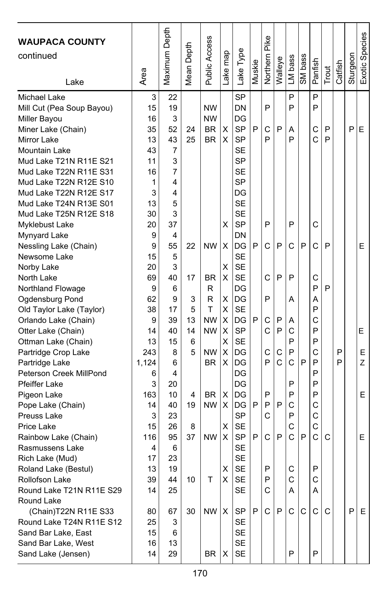| <b>WAUPACA COUNTY</b><br>continued<br>Lake | Area    | Maximum Depth  | Mean Depth | Public Access | Lake map | Lake Type       | Muskie | Pike<br>Northern | Walleye      | LM bass | SM bass | Panfish | Trout | Catfish | Sturgeon | Exotic Species |
|--------------------------------------------|---------|----------------|------------|---------------|----------|-----------------|--------|------------------|--------------|---------|---------|---------|-------|---------|----------|----------------|
| Michael Lake                               | 3       | 22             |            |               |          | <b>SP</b>       |        |                  |              | P       |         | P       |       |         |          |                |
| Mill Cut (Pea Soup Bayou)                  | 15      | 19             |            | <b>NW</b>     |          | DN              |        | P                |              | P       |         | P       |       |         |          |                |
| Miller Bayou                               | 16      | 3              |            | <b>NW</b>     |          | DG              |        |                  |              |         |         |         |       |         |          |                |
| Miner Lake (Chain)                         | 35      | 52             | 24         | BR            | х        | <b>SP</b>       | P      | C                | P            | Α       |         | C       | P     |         | P        | E              |
| Mirror Lake                                | 13      | 43             | 25         | <b>BR</b>     | X        | <b>SP</b>       |        | P                |              | P       |         | Ć       | P     |         |          |                |
| Mountain Lake                              | 43      | 7              |            |               |          | <b>SE</b>       |        |                  |              |         |         |         |       |         |          |                |
| Mud Lake T21N R11E S21                     | 11      | 3              |            |               |          | <b>SP</b>       |        |                  |              |         |         |         |       |         |          |                |
| Mud Lake T22N R11E S31                     | 16      | $\overline{7}$ |            |               |          | <b>SE</b>       |        |                  |              |         |         |         |       |         |          |                |
| Mud Lake T22N R12E S10                     | 1       | 4              |            |               |          | <b>SP</b>       |        |                  |              |         |         |         |       |         |          |                |
| Mud Lake T22N R12E S17                     | 3       | 4              |            |               |          | DG              |        |                  |              |         |         |         |       |         |          |                |
| Mud Lake T24N R13E S01                     | 13      | 5              |            |               |          | <b>SE</b>       |        |                  |              |         |         |         |       |         |          |                |
| Mud Lake T25N R12E S18                     | 30      | 3              |            |               |          | <b>SE</b>       |        | P                |              |         |         |         |       |         |          |                |
| Myklebust Lake                             | 20<br>9 | 37<br>4        |            |               | х        | <b>SP</b><br>DN |        |                  |              | P       |         | C       |       |         |          |                |
| Mynyard Lake<br>Nessling Lake (Chain)      | 9       | 55             | 22         | <b>NW</b>     | х        | DG              | P      | C                | P            | C       | P       | C       | P     |         |          | E              |
| Newsome Lake                               | 15      | 5              |            |               |          | <b>SE</b>       |        |                  |              |         |         |         |       |         |          |                |
| Norby Lake                                 | 20      | 3              |            |               | Χ        | <b>SE</b>       |        |                  |              |         |         |         |       |         |          |                |
| North Lake                                 | 69      | 40             | 17         | <b>BR</b>     | X        | <b>SE</b>       |        | C                | P            | P       |         | C       |       |         |          |                |
| Northland Flowage                          | 9       | 6              |            | R             |          | DG              |        |                  |              |         |         | P       | P     |         |          |                |
| Ogdensburg Pond                            | 62      | 9              | 3          | R             | X        | DG              |        | P                |              | Α       |         | А       |       |         |          |                |
| Old Taylor Lake (Taylor)                   | 38      | 17             | 5          | T             | Χ        | <b>SE</b>       |        |                  |              |         |         | P       |       |         |          |                |
| Orlando Lake (Chain)                       | 9       | 39             | 13         | <b>NW</b>     | X        | DG              | P      | C                | P            | Α       |         | С       |       |         |          |                |
| Otter Lake (Chain)                         | 14      | 40             | 14         | <b>NW</b>     | X        | <b>SP</b>       |        | C                | P            | C       |         | P       |       |         |          | Е              |
| Ottman Lake (Chain)                        | 13      | 15             | 6          |               | X        | <b>SE</b>       |        |                  |              | P       |         | P       |       |         |          |                |
| Partridge Crop Lake                        | 243     | 8              | 5          | <b>NW</b>     | X        | DG              |        | C                | C            | P       |         | Ċ       |       | P       |          | E              |
| Partridge Lake                             | 1,124   | 6              |            | BR.           | X        | DG              |        | P                | $\mathsf{C}$ | C       | P       | P       |       | P       |          | Z              |
| Peterson Creek MillPond                    | 6       | 4              |            |               |          | DG              |        |                  |              |         |         | P       |       |         |          |                |
| <b>Pfeiffer Lake</b>                       | 3       | 20             |            |               |          | DG              |        |                  |              | P       |         | P       |       |         |          |                |
| Pigeon Lake                                | 163     | 10             | 4          | BR            | X        | DG              |        | P                |              | P       |         | P       |       |         |          | E              |
| Pope Lake (Chain)                          | 14      | 40             | 19         | <b>NW</b>     | X.       | DG              | P      | P                | P            | C       |         | С       |       |         |          |                |
| Preuss Lake                                | 3       | 23             |            |               |          | SP              |        | C                |              | P       |         | C       |       |         |          |                |
| Price Lake                                 | 15      | 26             | 8          |               | X        | <b>SE</b>       |        |                  |              | C       |         | C       |       |         |          |                |
| Rainbow Lake (Chain)                       | 116     | 95             | 37         | <b>NW</b>     | X        | <b>SP</b>       | P      | C                | P            | Ć       | P       | Ć       | C     |         |          | E              |
| Rasmussens Lake                            | 4       | 6              |            |               |          | <b>SE</b>       |        |                  |              |         |         |         |       |         |          |                |
| Rich Lake (Mud)                            | 17      | 23             |            |               |          | <b>SE</b>       |        |                  |              |         |         |         |       |         |          |                |
| Roland Lake (Bestul)                       | 13      | 19             |            |               | х        | <b>SE</b>       |        | P                |              | C       |         | P       |       |         |          |                |
| Rollofson Lake                             | 39      | 44             | 10         | т             | X.       | SE              |        | Ρ                |              | С       |         | С       |       |         |          |                |
| Round Lake T21N R11E S29                   | 14      | 25             |            |               |          | <b>SE</b>       |        | С                |              | Α       |         | Α       |       |         |          |                |
| Round Lake                                 |         |                |            |               |          |                 |        |                  |              |         |         |         |       |         |          |                |
| (Chain)T22N R11E S33                       | 80      | 67             | 30         | NW            | X        | SP              | P      | C                | P            | C       | C       | С       | C     |         | P        | Е              |
| Round Lake T24N R11E S12                   | 25      | 3              |            |               |          | SE              |        |                  |              |         |         |         |       |         |          |                |
| Sand Bar Lake, East                        | 15      | 6              |            |               |          | <b>SE</b>       |        |                  |              |         |         |         |       |         |          |                |
| Sand Bar Lake, West                        | 16      | 13             |            |               |          | SE              |        |                  |              | P       |         | P       |       |         |          |                |
| Sand Lake (Jensen)                         | 14      | 29             |            | BR            | х        | <b>SE</b>       |        |                  |              |         |         |         |       |         |          |                |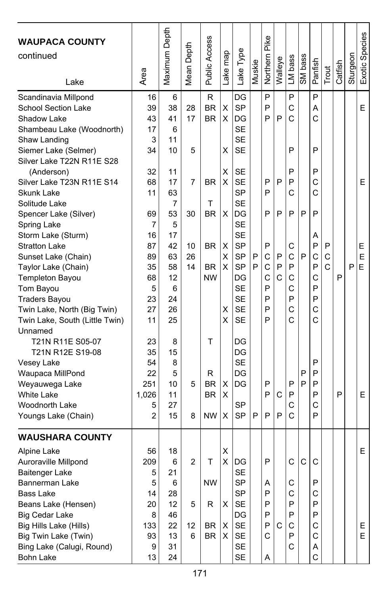| <b>WAUPACA COUNTY</b><br>continued      |          | Maximum Depth | Depth  | Public Access | Lake map | Lake Type              | Muskie | Pike<br>Northern | Walleye | LM bass | SM bass | Panfish |             | Catfish | Sturgeon | Exotic Species |
|-----------------------------------------|----------|---------------|--------|---------------|----------|------------------------|--------|------------------|---------|---------|---------|---------|-------------|---------|----------|----------------|
| Lake                                    | Area     |               | Mean I |               |          |                        |        |                  |         |         |         |         | Trout       |         |          |                |
| Scandinavia Millpond                    | 16       | 6             |        | R             |          | DG                     |        | P                |         | P       |         | P       |             |         |          |                |
| School Section Lake                     | 39       | 38            | 28     | <b>BR</b>     | Χ        | <b>SP</b>              |        | P                |         | C       |         | Α       |             |         |          | E              |
| Shadow Lake                             | 43       | 41            | 17     | <b>BR</b>     | X        | DG                     |        | P                | P       | C       |         | C       |             |         |          |                |
| Shambeau Lake (Woodnorth)               | 17       | 6             |        |               |          | <b>SE</b>              |        |                  |         |         |         |         |             |         |          |                |
| Shaw Landing                            | 3        | 11            |        |               |          | <b>SE</b>              |        |                  |         |         |         |         |             |         |          |                |
| Siemer Lake (Selmer)                    | 34       | 10            | 5      |               | X        | SE                     |        |                  |         | P       |         | P       |             |         |          |                |
| Silver Lake T22N R11E S28               |          |               |        |               |          |                        |        |                  |         |         |         |         |             |         |          |                |
| (Anderson)                              | 32       | 11            |        |               | х        | SE                     |        |                  | P       | P       |         | P<br>C  |             |         |          | E              |
| Silver Lake T23N R11E S14<br>Skunk Lake | 68<br>11 | 17<br>63      | 7      | <b>BR</b>     | X        | <b>SE</b><br><b>SP</b> |        | P<br>P           |         | P<br>C  |         | C       |             |         |          |                |
| Solitude Lake                           |          | 7             |        | т             |          | <b>SE</b>              |        |                  |         |         |         |         |             |         |          |                |
|                                         | 69       | 53            | 30     | <b>BR</b>     | x        | DG                     |        | P                | P       | P       | P       | P       |             |         |          |                |
| Spencer Lake (Silver)<br>Spring Lake    | 7        | 5             |        |               |          | <b>SE</b>              |        |                  |         |         |         |         |             |         |          |                |
| Storm Lake (Sturm)                      | 16       | 17            |        |               |          | <b>SE</b>              |        |                  |         |         |         | А       |             |         |          |                |
| <b>Stratton Lake</b>                    | 87       | 42            | 10     | <b>BR</b>     | X        | <b>SP</b>              |        | P                |         | С       |         | P       | P           |         |          | Е              |
| Sunset Lake (Chain)                     | 89       | 63            | 26     |               | X        | <b>SP</b>              | P      | С                | P       | C       | P       | C       | C           |         |          | E              |
| Taylor Lake (Chain)                     | 35       | 58            | 14     | <b>BR</b>     | X.       | <b>SP</b>              | P      | C                | P       | P       |         | P       | $\mathbf C$ |         | P        | E              |
| Templeton Bayou                         | 68       | 12            |        | <b>NW</b>     |          | DG                     |        | C                | C       | C       |         | C       |             | P       |          |                |
| Tom Bayou                               | 5        | 6             |        |               |          | <b>SE</b>              |        | P                |         | C       |         | P       |             |         |          |                |
| <b>Traders Bayou</b>                    | 23       | 24            |        |               |          | <b>SE</b>              |        | P                |         | P       |         | P       |             |         |          |                |
| Twin Lake, North (Big Twin)             | 27       | 26            |        |               | х        | <b>SE</b>              |        | P                |         | Ċ       |         | C       |             |         |          |                |
| Twin Lake, South (Little Twin)          | 11       | 25            |        |               | X        | <b>SE</b>              |        | P                |         | C       |         | Ć       |             |         |          |                |
| Unnamed                                 |          |               |        |               |          |                        |        |                  |         |         |         |         |             |         |          |                |
| T21N R11E S05-07                        | 23       | 8             |        | т             |          | DG                     |        |                  |         |         |         |         |             |         |          |                |
| T21N R12E S19-08                        | 35       | 15            |        |               |          | DG                     |        |                  |         |         |         |         |             |         |          |                |
| Vesey Lake                              | 54       | 8             |        |               |          | <b>SE</b>              |        |                  |         |         |         | P       |             |         |          |                |
| Waupaca MillPond                        | 22       | 5             |        | R             |          | DG                     |        |                  |         |         | P       | P       |             |         |          |                |
| Weyauwega Lake                          | 251      | 10            | 5      | <b>BR</b>     | х        | DG                     |        | P                |         | P       | P       | P       |             |         |          |                |
| <b>White Lake</b>                       | 1,026    | 11            |        | <b>BR</b>     | X        |                        |        | P                | С       | P       |         | P       |             | P       |          | Е              |
| <b>Woodnorth Lake</b>                   | 5        | 27            |        |               |          | <b>SP</b>              |        |                  |         | C       |         | С       |             |         |          |                |
| Youngs Lake (Chain)                     | 2        | 15            | 8      | <b>NW</b>     | X        | <b>SP</b>              | P      | P                | P       | Ć       |         | P       |             |         |          |                |
| <b>WAUSHARA COUNTY</b>                  |          |               |        |               |          |                        |        |                  |         |         |         |         |             |         |          |                |
| Alpine Lake                             | 56       | 18            |        |               | X        |                        |        |                  |         |         |         |         |             |         |          | E              |
| Auroraville Millpond                    | 209      | 6             | 2      | т             | Χ        | DG                     |        | P                |         | C       | C       | C       |             |         |          |                |
| Baitenger Lake                          | 5        | 21            |        |               |          | SE                     |        |                  |         |         |         |         |             |         |          |                |
| Bannerman Lake                          | 5        | 6             |        | <b>NW</b>     |          | SP                     |        | Α                |         | С       |         | P       |             |         |          |                |
| Bass Lake                               | 14       | 28            |        |               |          | <b>SP</b>              |        | P                |         | C       |         | С       |             |         |          |                |
| Beans Lake (Hensen)                     | 20       | 12            | 5      | R             | X        | SE                     |        | P                |         | P       |         | P       |             |         |          |                |
| Big Cedar Lake                          | 8        | 46            |        |               |          | DG                     |        | P                |         | P       |         | P       |             |         |          |                |
| Big Hills Lake (Hills)                  | 133      | 22            | 12     | BR            | X        | <b>SE</b>              |        | P                | С       | С       |         | C       |             |         |          | Е              |
| Big Twin Lake (Twin)                    | 93       | 13            | 6      | <b>BR</b>     | X.       | SE                     |        | С                |         | P       |         | С       |             |         |          | E.             |
| Bing Lake (Calugi, Round)               | 9        | 31            |        |               |          | SE                     |        |                  |         | С       |         | Α       |             |         |          |                |
| <b>Bohn Lake</b>                        | 13       | 24            |        |               |          | <b>SE</b>              |        | Α                |         |         |         | C       |             |         |          |                |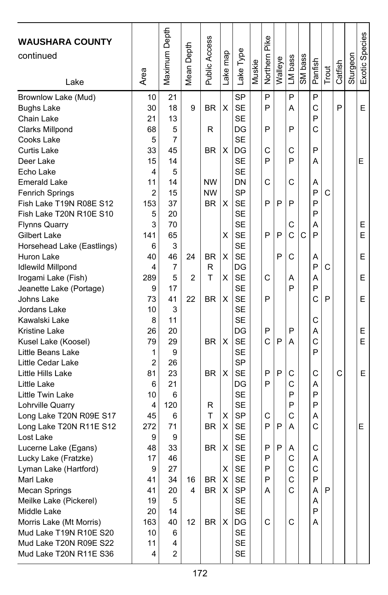| <b>WAUSHARA COUNTY</b><br>continued<br>Lake                                                                                                                                                                                                                                                                                                                                                                                                                                                                                                                                                                                                                                                                                                                                                                                                                                                                                                                             | Area                                                                                                                                                                                                                                                                   | Maximum Depth                                                                                                                                                                                                                                                                    | Depth<br>Mean I                     | Public Access                                                                                                                                                            | ake map                                                                       | Lake Type                                                                                                                                                                                                                                                                                                                                                                                                                                                                                                   | Muskie | Pike<br>Northern                                                                                           | Walleye                         | LM bass                                                                                                                        | SM bass | Panfish                                                                                                                                                                     | Trout            | Catfish | Sturgeon | Exotic Species                                       |
|-------------------------------------------------------------------------------------------------------------------------------------------------------------------------------------------------------------------------------------------------------------------------------------------------------------------------------------------------------------------------------------------------------------------------------------------------------------------------------------------------------------------------------------------------------------------------------------------------------------------------------------------------------------------------------------------------------------------------------------------------------------------------------------------------------------------------------------------------------------------------------------------------------------------------------------------------------------------------|------------------------------------------------------------------------------------------------------------------------------------------------------------------------------------------------------------------------------------------------------------------------|----------------------------------------------------------------------------------------------------------------------------------------------------------------------------------------------------------------------------------------------------------------------------------|-------------------------------------|--------------------------------------------------------------------------------------------------------------------------------------------------------------------------|-------------------------------------------------------------------------------|-------------------------------------------------------------------------------------------------------------------------------------------------------------------------------------------------------------------------------------------------------------------------------------------------------------------------------------------------------------------------------------------------------------------------------------------------------------------------------------------------------------|--------|------------------------------------------------------------------------------------------------------------|---------------------------------|--------------------------------------------------------------------------------------------------------------------------------|---------|-----------------------------------------------------------------------------------------------------------------------------------------------------------------------------|------------------|---------|----------|------------------------------------------------------|
| Brownlow Lake (Mud)<br><b>Bughs Lake</b><br>Chain Lake<br><b>Clarks Millpond</b><br>Cooks Lake<br>Curtis Lake<br>Deer Lake<br>Echo Lake<br><b>Emerald Lake</b><br><b>Fenrich Springs</b><br>Fish Lake T19N R08E S12<br>Fish Lake T20N R10E S10<br><b>Flynns Quarry</b><br>Gilbert Lake<br>Horsehead Lake (Eastlings)<br>Huron Lake<br><b>Idlewild Millpond</b><br>Irogami Lake (Fish)<br>Jeanette Lake (Portage)<br>Johns Lake<br>Jordans Lake<br>Kawalski Lake<br><b>Kristine Lake</b><br>Kusel Lake (Koosel)<br>Little Beans Lake<br>Little Cedar Lake<br>Little Hills Lake<br>Little Lake<br>Little Twin Lake<br>Lohrville Quarry<br>Long Lake T20N R09E S17<br>Long Lake T20N R11E S12<br>Lost Lake<br>Lucerne Lake (Egans)<br>Lucky Lake (Fratzke)<br>Lyman Lake (Hartford)<br>Marl Lake<br><b>Mecan Springs</b><br>Meilke Lake (Pickerel)<br>Middle Lake<br>Morris Lake (Mt Morris)<br>Mud Lake T19N R10E S20<br>Mud Lake T20N R09E S22<br>Mud Lake T20N R11E S36 | 10<br>30<br>21<br>68<br>5<br>33<br>15<br>4<br>11<br>2<br>153<br>5<br>3<br>141<br>6<br>40<br>4<br>289<br>9<br>73<br>10<br>8<br>26<br>79<br>1<br>$\overline{2}$<br>81<br>6<br>10<br>4<br>45<br>272<br>9<br>48<br>17<br>g<br>41<br>41<br>19<br>20<br>163<br>10<br>11<br>4 | 21<br>18<br>13<br>5<br>7<br>45<br>14<br>5<br>14<br>15<br>37<br>20<br>70<br>65<br>3<br>46<br>$\overline{7}$<br>5<br>17<br>41<br>3<br>11<br>20<br>29<br>9<br>26<br>23<br>21<br>6<br>120<br>6<br>71<br>9<br>33<br>46<br>27<br>34<br>20<br>5<br>14<br>40<br>6<br>4<br>$\overline{c}$ | 9<br>24<br>2<br>22<br>16<br>4<br>12 | ΒR<br>R<br><b>BR</b><br><b>NW</b><br><b>NW</b><br><b>BR</b><br>ΒR<br>R<br>т<br>ΒR<br><b>BR</b><br><b>BR</b><br>R<br>T<br><b>BR</b><br><b>BR</b><br>BR<br><b>BR</b><br>BR | X<br>х<br>X<br>x<br>х<br>х<br>х<br>X<br>X<br>х<br>X<br>х<br>X<br>X<br>X.<br>х | <b>SP</b><br><b>SE</b><br><b>SE</b><br>DG<br><b>SE</b><br>DG<br><b>SE</b><br><b>SE</b><br>DN<br><b>SP</b><br><b>SE</b><br><b>SE</b><br><b>SE</b><br>SE<br><b>SE</b><br><b>SE</b><br>DG<br><b>SE</b><br><b>SE</b><br><b>SE</b><br><b>SE</b><br><b>SE</b><br>DG<br><b>SE</b><br><b>SE</b><br><b>SP</b><br><b>SE</b><br>DG<br><b>SE</b><br><b>SE</b><br><b>SP</b><br><b>SE</b><br><b>SE</b><br><b>SE</b><br><b>SE</b><br><b>SE</b><br><b>SE</b><br><b>SP</b><br>SE<br><b>SE</b><br>DG<br>SE<br>SE<br><b>SE</b> |        | P<br>P<br>P<br>C<br>P<br>C<br>P<br>P<br>C<br>P<br>P<br>Ċ<br>P<br>P<br>С<br>P<br>P<br>P<br>P<br>Ρ<br>A<br>С | P<br>P<br>P<br>P<br>P<br>P<br>P | P<br>Α<br>P<br>C<br>P<br>С<br>P<br>С<br>Ć<br>C<br>Α<br>P<br>P<br>Α<br>С<br>С<br>P<br>P<br>C<br>A<br>Α<br>C<br>C<br>С<br>C<br>С | C       | P<br>С<br>P<br>C<br>P<br>Α<br>Α<br>P<br>P<br>P<br>А<br>P<br>Α<br>P<br>А<br>P<br>Ć<br>C<br>А<br>C<br>P<br>C<br>А<br>P<br>P<br>Α<br>C<br>C<br>A<br>C<br>P<br>A<br>A<br>P<br>Α | C<br>C<br>P<br>P | P<br>C  |          | E<br>E<br>E.<br>E<br>E<br>E<br>E<br>E<br>E<br>E<br>E |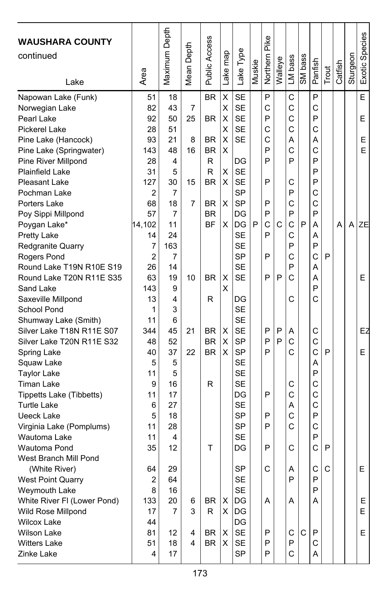| <b>WAUSHARA COUNTY</b><br>continued<br>Lake | Area     | Maximum Depth | Depth<br>Mean | <b>Public Access</b>   | map<br>Lake | Lake Type       | Muskie | Pike<br>Northern | Walleye | LM bass | SM bass | Panfish      | Trout        | Catfish | Sturgeon | Exotic Species |
|---------------------------------------------|----------|---------------|---------------|------------------------|-------------|-----------------|--------|------------------|---------|---------|---------|--------------|--------------|---------|----------|----------------|
| Napowan Lake (Funk)                         | 51       | 18            |               | <b>BR</b>              | Χ           | <b>SE</b>       |        | P                |         | C       |         | P            |              |         |          | E              |
| Norwegian Lake                              | 82       | 43            | 7             |                        | Χ           | <b>SE</b>       |        | C                |         | C       |         | С            |              |         |          |                |
| Pearl Lake                                  | 92       | 50            | 25            | <b>BR</b>              | X           | <b>SE</b>       |        | P                |         | C       |         | P            |              |         |          | E              |
| <b>Pickerel Lake</b>                        | 28       | 51            |               |                        | Χ           | <b>SE</b>       |        | Ċ                |         | C       |         | C            |              |         |          |                |
| Pine Lake (Hancock)                         | 93       | 21            | 8             | BR                     | X           | SE              |        | Ċ                |         | Α       |         | Α            |              |         |          | E.             |
| Pine Lake (Springwater)                     | 143      | 48            | 16            | <b>BR</b>              | X           |                 |        | P                |         | C       |         | C            |              |         |          | Е              |
| Pine River Millpond                         | 28       | 4             |               | R                      |             | DG              |        | P                |         | P       |         | P            |              |         |          |                |
| <b>Plainfield Lake</b>                      | 31       | 5             |               | R                      | х           | <b>SE</b>       |        |                  |         |         |         | P            |              |         |          |                |
| <b>Pleasant Lake</b>                        | 127      | 30            | 15            | BR                     | X           | <b>SE</b>       |        | P                |         | C       |         | P            |              |         |          |                |
| Pochman Lake                                | 2        | 7             |               |                        |             | SP              |        |                  |         | P       |         | C            |              |         |          |                |
| Porters Lake                                | 68       | 18            | 7             | BR                     | х           | <b>SP</b>       |        | P                |         | C       |         | С            |              |         |          |                |
| Poy Sippi Millpond                          | 57       | 7             |               | <b>BR</b>              |             | DG              |        | P                |         | P       |         | P            |              |         |          |                |
| Poygan Lake*                                | 14,102   | 11            |               | <b>BF</b>              | X           | DG              | P      | Ċ                | C       | C       | P       | А            |              | А       | A        | <b>ZE</b>      |
| Pretty Lake                                 | 14       | 24            |               |                        |             | SE              |        | P                |         | C       |         | А            |              |         |          |                |
| Redgranite Quarry                           | 7        | 163           |               |                        |             | <b>SE</b>       |        |                  |         | P       |         | P            |              |         |          |                |
| Rogers Pond                                 | 2        | 7             |               |                        |             | <b>SP</b>       |        | P                |         | C       |         | C            | P            |         |          |                |
| Round Lake T19N R10E S19                    | 26       | 14            |               |                        |             | <b>SE</b>       |        |                  |         | P       |         | A            |              |         |          |                |
| Round Lake T20N R11E S35                    | 63       | 19            | 10            | <b>BR</b>              | X           | <b>SE</b>       |        | P                | P       | C       |         | A            |              |         |          | E              |
| Sand Lake                                   | 143      | 9             |               |                        | X           |                 |        |                  |         |         |         | P            |              |         |          |                |
| Saxeville Millpond                          | 13       | 4             |               | R                      |             | DG              |        |                  |         | С       |         | C            |              |         |          |                |
| School Pond                                 | 1        | 3             |               |                        |             | SE              |        |                  |         |         |         |              |              |         |          |                |
| Shumway Lake (Smith)                        | 11       | 6             |               |                        |             | <b>SE</b>       |        |                  |         |         |         |              |              |         |          |                |
| Silver Lake T18N R11E S07                   | 344      | 45            | 21            | BR                     | X           | <b>SE</b>       |        | P<br>P           | P<br>P  | Α       |         | C            |              |         |          | EZ             |
| Silver Lake T20N R11E S32                   | 48<br>40 | 52<br>37      | 22            | <b>BR</b><br><b>BR</b> | X<br>X      | <b>SP</b><br>SP |        | P                |         | C<br>C  |         | C<br>C       | P            |         |          | E              |
| Spring Lake                                 | 5        | 5             |               |                        |             | <b>SE</b>       |        |                  |         |         |         | Α            |              |         |          |                |
| Squaw Lake<br><b>Taylor Lake</b>            | 11       | 5             |               |                        |             | <b>SE</b>       |        |                  |         |         |         | P            |              |         |          |                |
| <b>Timan Lake</b>                           | 9        | 16            |               | R                      |             | SE              |        |                  |         | С       |         | C            |              |         |          |                |
| Tippetts Lake (Tibbetts)                    | 11       | 17            |               |                        |             | DG              |        | P                |         | C       |         | C            |              |         |          |                |
| <b>Turtle Lake</b>                          | 6        | 27            |               |                        |             | <b>SE</b>       |        |                  |         | А       |         | C            |              |         |          |                |
| <b>Ueeck Lake</b>                           | 5        | 18            |               |                        |             | <b>SP</b>       |        | P                |         | C       |         | P            |              |         |          |                |
| Virginia Lake (Pomplums)                    | 11       | 28            |               |                        |             | SP              |        | P                |         | C       |         | C            |              |         |          |                |
| Wautoma Lake                                | 11       | 4             |               |                        |             | <b>SE</b>       |        |                  |         |         |         | P            |              |         |          |                |
| Wautoma Pond                                | 35       | 12            |               | т                      |             | DG              |        | P                |         | C       |         | C            | P            |         |          |                |
| West Branch Mill Pond                       |          |               |               |                        |             |                 |        |                  |         |         |         |              |              |         |          |                |
| (White River)                               | 64       | 29            |               |                        |             | <b>SP</b>       |        | C                |         | A       |         | $\mathsf{C}$ | $\mathsf{C}$ |         |          | E              |
| <b>West Point Quarry</b>                    | 2        | 64            |               |                        |             | SE              |        |                  |         | P       |         | P            |              |         |          |                |
| Weymouth Lake                               | 8        | 16            |               |                        |             | SE              |        |                  |         |         |         | P            |              |         |          |                |
| White River FI (Lower Pond)                 | 133      | 20            | 6             | BR                     | X           | DG              |        | Α                |         | Α       |         | Α            |              |         |          | E              |
| Wild Rose Millpond                          | 17       | 7             | 3             | R                      | X.          | DG              |        |                  |         |         |         |              |              |         |          | E.             |
| <b>Wilcox Lake</b>                          | 44       |               |               |                        |             | DG              |        |                  |         |         |         |              |              |         |          |                |
| Wilson Lake                                 | 81       | 12            | 4             | BR                     | х           | <b>SE</b>       |        | P                |         | C       | C       | P            |              |         |          | Е.             |
| <b>Witters Lake</b>                         | 51       | 18            | 4             | BR                     | X           | SE              |        | P                |         | P       |         | C            |              |         |          |                |
| Zinke Lake                                  | 4        | 17            |               |                        |             | <b>SP</b>       |        | P                |         | C       |         | A            |              |         |          |                |
|                                             |          |               |               |                        |             |                 |        |                  |         |         |         |              |              |         |          |                |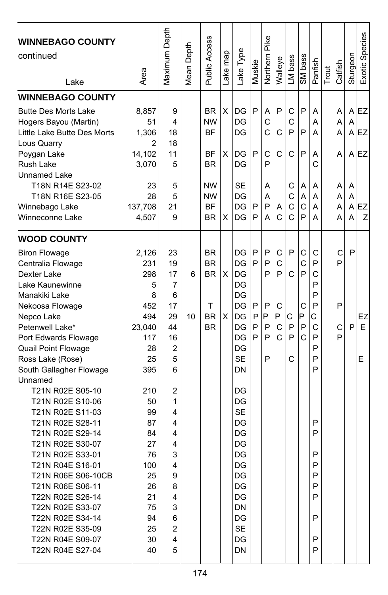| <b>WINNEBAGO COUNTY</b><br>continued<br>Lake           | Area     | Maximum Depth  | Depth<br>Mean I | Public Access | ake map | Lake Type | Muskie | Pike<br>Northern | Walleye | LM bass | SM bass       | Panfish | Trout | Catfish | Sturgeon | Exotic Species |
|--------------------------------------------------------|----------|----------------|-----------------|---------------|---------|-----------|--------|------------------|---------|---------|---------------|---------|-------|---------|----------|----------------|
| <b>WINNEBAGO COUNTY</b><br><b>Butte Des Morts Lake</b> | 8,857    | 9              |                 | <b>BR</b>     | X       | DG        | P      | Α                | P       | C       | P             | A       |       | Α       | A        | EZ             |
| Hogers Bayou (Martin)                                  | 51       | 4              |                 | <b>NW</b>     |         | DG        |        | C                |         | C       |               | А       |       | A       | A        |                |
| Little Lake Butte Des Morts                            | 1,306    | 18             |                 | BF            |         | DG        |        | Ć                | C       | P       | P             | A       |       | Α       |          | $A$ EZ         |
| Lous Quarry                                            | 2        | 18             |                 |               |         |           |        |                  |         |         |               |         |       |         |          |                |
| Poygan Lake                                            | 14,102   | 11             |                 | ΒF            | X       | DG        | P      | C                | C       | C       | P             | Α       |       | Α       |          | A IEZ          |
| Rush Lake                                              | 3.070    | 5              |                 | BR            |         | DG        |        | P                |         |         |               | C       |       |         |          |                |
| Unnamed Lake                                           |          |                |                 |               |         |           |        |                  |         |         |               |         |       |         |          |                |
| T18N R14E S23-02                                       | 23       | 5              |                 | <b>NW</b>     |         | SE        |        | A                |         | С       | A             | A       |       | A       | A        |                |
| T18N R16E S23-05                                       | 28       | 5              |                 | <b>NW</b>     |         | DG        |        | А                |         | C       | A             | A       |       | Α       | A        |                |
| Winnebago Lake                                         | 137,708  | 21             |                 | <b>BF</b>     |         | DG        | P      | P                | A       | C       | $\mathsf{C}$  | A       |       | Α       | A        | EZ             |
| Winneconne Lake                                        | 4,507    | 9              |                 | <b>BR</b>     | X       | DG        | P      | А                | C       | C       | P             | A       |       | А       | A        | Z              |
| <b>WOOD COUNTY</b>                                     |          |                |                 |               |         |           |        |                  |         |         |               |         |       |         |          |                |
| <b>Biron Flowage</b>                                   | 2.126    | 23             |                 | <b>BR</b>     |         | DG        | P      | P                | С       | P       | C             | C       |       | C       | P        |                |
| Centralia Flowage                                      | 231      | 19             |                 | <b>BR</b>     |         | DG        | P      | P                | C       |         | C             | P       |       | P       |          |                |
| Dexter Lake                                            | 298      | 17             | 6               | <b>BR</b>     | X       | DG        |        | P                | P       | C       | P             | C       |       |         |          |                |
| Lake Kaunewinne                                        | 5        | 7              |                 |               |         | DG        |        |                  |         |         |               | P       |       |         |          |                |
| Manakiki Lake                                          | 8        | 6              |                 |               |         | DG        |        |                  |         |         |               | P       |       |         |          |                |
| Nekoosa Flowage                                        | 452      | 17             |                 | т             |         | DG        | P      | P                | С       |         | C             | P       |       | P       |          |                |
| Nepco Lake                                             | 494      | 29             | 10              | <b>BR</b>     | X       | DG        | P      | P                | P       | С       | Þ             | Ć       |       |         |          | EZ             |
| Petenwell Lake*                                        | 23,040   | 44             |                 | <b>BR</b>     |         | DG        | P      | P                | C       | P       | P             | C       |       | C       | P        | E              |
| Port Edwards Flowage                                   | 117      | 16             |                 |               |         | DG        | P      | P                | C       | P       | $\mathcal{C}$ | P       |       | P       |          |                |
| Quail Point Flowage                                    | 28       | $\overline{2}$ |                 |               |         | DG        |        |                  |         |         |               | P       |       |         |          |                |
| Ross Lake (Rose)                                       | 25       | 5              |                 |               |         | <b>SE</b> |        | P                |         | C       |               | P       |       |         |          | E              |
| South Gallagher Flowage                                | 395      | 6              |                 |               |         | DN        |        |                  |         |         |               | P       |       |         |          |                |
| Unnamed                                                |          |                |                 |               |         |           |        |                  |         |         |               |         |       |         |          |                |
| T21N R02E S05-10                                       | 210      | 2              |                 |               |         | DG        |        |                  |         |         |               |         |       |         |          |                |
| T21N R02E S10-06                                       | 50       | 1              |                 |               |         | DG        |        |                  |         |         |               |         |       |         |          |                |
| T21N R02E S11-03                                       | 99       | 4              |                 |               |         | <b>SE</b> |        |                  |         |         |               |         |       |         |          |                |
| T21N R02E S28-11<br>T21N R02E S29-14                   | 87<br>84 | 4<br>4         |                 |               |         | DG<br>DG  |        |                  |         |         |               | P<br>P  |       |         |          |                |
| T21N R02E S30-07                                       | 27       | 4              |                 |               |         | DG        |        |                  |         |         |               |         |       |         |          |                |
| T21N R02E S33-01                                       | 76       | 3              |                 |               |         | DG        |        |                  |         |         |               | P       |       |         |          |                |
| T21N R04E S16-01                                       | 100      | 4              |                 |               |         | DG        |        |                  |         |         |               | P       |       |         |          |                |
| T21N R06E S06-10CB                                     | 25       | 9              |                 |               |         | DG        |        |                  |         |         |               | P       |       |         |          |                |
| T21N R06E S06-11                                       | 26       | 8              |                 |               |         | DG        |        |                  |         |         |               | P       |       |         |          |                |
| T22N R02E S26-14                                       | 21       | 4              |                 |               |         | DG        |        |                  |         |         |               | P       |       |         |          |                |
| T22N R02E S33-07                                       | 75       | 3              |                 |               |         | DN        |        |                  |         |         |               |         |       |         |          |                |
| T22N R02E S34-14                                       | 94       | 6              |                 |               |         | DG        |        |                  |         |         |               | P       |       |         |          |                |
| T22N R02E S35-09                                       | 25       | 2              |                 |               |         | <b>SE</b> |        |                  |         |         |               |         |       |         |          |                |
| T22N R04E S09-07                                       | 30       | 4              |                 |               |         | DG        |        |                  |         |         |               | P       |       |         |          |                |
| T22N R04E S27-04                                       | 40       | 5              |                 |               |         | DN        |        |                  |         |         |               | P       |       |         |          |                |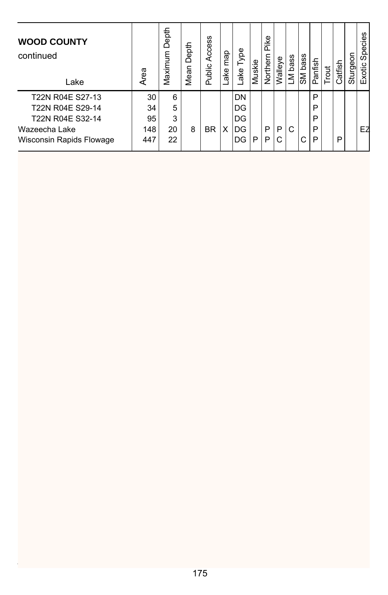| <b>WOOD COUNTY</b><br>continued<br>Lake | Area | Depth<br>Maximum | Depth<br>Mean | w<br>Acces:<br>Public | map<br>ake | ype<br>⊢<br>ake | Muskie | ike<br>n<br>Northern | Walleye | bass<br>ΣJ | bass<br>ŠΜ | Panfish | jout | Catfish | క్<br>Sturgeo | Species<br>Exotic |
|-----------------------------------------|------|------------------|---------------|-----------------------|------------|-----------------|--------|----------------------|---------|------------|------------|---------|------|---------|---------------|-------------------|
| T22N R04E S27-13                        | 30   | 6                |               |                       |            | DN              |        |                      |         |            |            | P       |      |         |               |                   |
| T22N R04E S29-14                        | 34   | 5                |               |                       |            | DG              |        |                      |         |            |            | P       |      |         |               |                   |
| T22N R04E S32-14                        | 95   | 3                |               |                       |            | DG              |        |                      |         |            |            | P       |      |         |               |                   |
| Wazeecha Lake                           | 148  | 20               | 8             | <b>BR</b>             | X          | DG              |        | P                    | P       | С          |            | P       |      |         |               | EZ                |
| Wisconsin Rapids Flowage                | 447  | 22               |               |                       |            | DG              | P      | P                    | C       |            | С          | P       |      | P       |               |                   |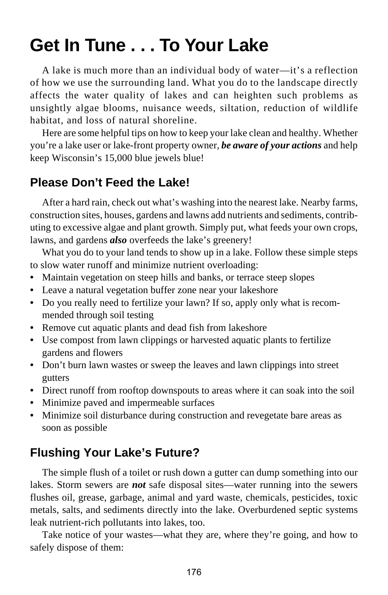# **Get In Tune . . . To Your Lake**

A lake is much more than an individual body of water—it's a reflection of how we use the surrounding land. What you do to the landscape directly affects the water quality of lakes and can heighten such problems as unsightly algae blooms, nuisance weeds, siltation, reduction of wildlife habitat, and loss of natural shoreline.

Here are some helpful tips on how to keep your lake clean and healthy. Whether you're a lake user or lake-front property owner, *be aware of your actions* and help keep Wisconsin's 15,000 blue jewels blue!

### **Please Don't Feed the Lake!**

After a hard rain, check out what's washing into the nearest lake. Nearby farms, construction sites, houses, gardens and lawns add nutrients and sediments, contributing to excessive algae and plant growth. Simply put, what feeds your own crops, lawns, and gardens *also* overfeeds the lake's greenery!

What you do to your land tends to show up in a lake. Follow these simple steps to slow water runoff and minimize nutrient overloading:

- **•** Maintain vegetation on steep hills and banks, or terrace steep slopes
- **•** Leave a natural vegetation buffer zone near your lakeshore
- **•** Do you really need to fertilize your lawn? If so, apply only what is recommended through soil testing
- **•** Remove cut aquatic plants and dead fish from lakeshore
- **•** Use compost from lawn clippings or harvested aquatic plants to fertilize gardens and flowers
- **•** Don't burn lawn wastes or sweep the leaves and lawn clippings into street gutters
- **•** Direct runoff from rooftop downspouts to areas where it can soak into the soil
- **•** Minimize paved and impermeable surfaces
- **•** Minimize soil disturbance during construction and revegetate bare areas as soon as possible

#### **Flushing Your Lake's Future?**

The simple flush of a toilet or rush down a gutter can dump something into our lakes. Storm sewers are *not* safe disposal sites—water running into the sewers flushes oil, grease, garbage, animal and yard waste, chemicals, pesticides, toxic metals, salts, and sediments directly into the lake. Overburdened septic systems leak nutrient-rich pollutants into lakes, too.

Take notice of your wastes—what they are, where they're going, and how to safely dispose of them: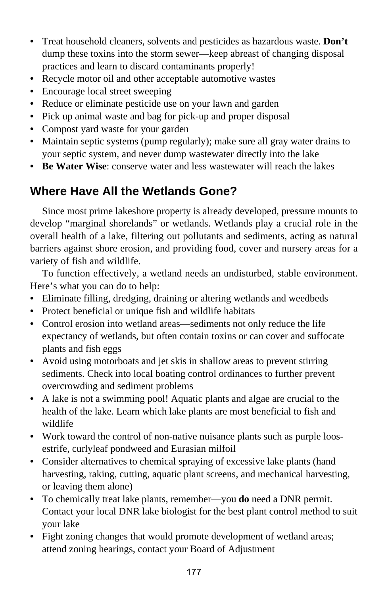- **•** Treat household cleaners, solvents and pesticides as hazardous waste. **Don't** dump these toxins into the storm sewer—keep abreast of changing disposal practices and learn to discard contaminants properly!
- **•** Recycle motor oil and other acceptable automotive wastes
- **•** Encourage local street sweeping
- **•** Reduce or eliminate pesticide use on your lawn and garden
- **•** Pick up animal waste and bag for pick-up and proper disposal
- **•** Compost yard waste for your garden
- **•** Maintain septic systems (pump regularly); make sure all gray water drains to your septic system, and never dump wastewater directly into the lake
- **Be Water Wise**: conserve water and less wastewater will reach the lakes

## **Where Have All the Wetlands Gone?**

Since most prime lakeshore property is already developed, pressure mounts to develop "marginal shorelands" or wetlands. Wetlands play a crucial role in the overall health of a lake, filtering out pollutants and sediments, acting as natural barriers against shore erosion, and providing food, cover and nursery areas for a variety of fish and wildlife.

To function effectively, a wetland needs an undisturbed, stable environment. Here's what you can do to help:

- **•** Eliminate filling, dredging, draining or altering wetlands and weedbeds
- **•** Protect beneficial or unique fish and wildlife habitats
- **•** Control erosion into wetland areas—sediments not only reduce the life expectancy of wetlands, but often contain toxins or can cover and suffocate plants and fish eggs
- **•** Avoid using motorboats and jet skis in shallow areas to prevent stirring sediments. Check into local boating control ordinances to further prevent overcrowding and sediment problems
- **•** A lake is not a swimming pool! Aquatic plants and algae are crucial to the health of the lake. Learn which lake plants are most beneficial to fish and wildlife
- **•** Work toward the control of non-native nuisance plants such as purple loosestrife, curlyleaf pondweed and Eurasian milfoil
- **•** Consider alternatives to chemical spraying of excessive lake plants (hand harvesting, raking, cutting, aquatic plant screens, and mechanical harvesting, or leaving them alone)
- **•** To chemically treat lake plants, remember—you **do** need a DNR permit. Contact your local DNR lake biologist for the best plant control method to suit your lake
- **•** Fight zoning changes that would promote development of wetland areas; attend zoning hearings, contact your Board of Adjustment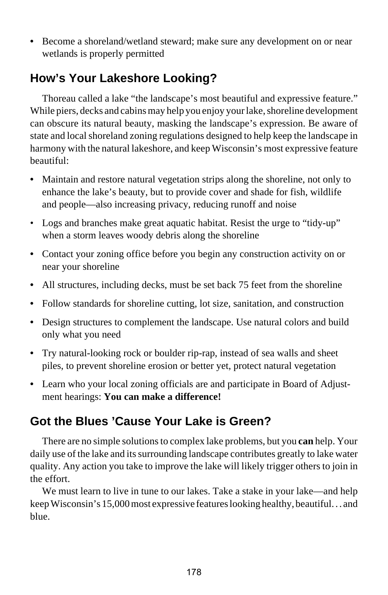**•** Become a shoreland/wetland steward; make sure any development on or near wetlands is properly permitted

## **How's Your Lakeshore Looking?**

Thoreau called a lake "the landscape's most beautiful and expressive feature." While piers, decks and cabins may help you enjoy your lake, shoreline development can obscure its natural beauty, masking the landscape's expression. Be aware of state and local shoreland zoning regulations designed to help keep the landscape in harmony with the natural lakeshore, and keep Wisconsin's most expressive feature beautiful:

- **•** Maintain and restore natural vegetation strips along the shoreline, not only to enhance the lake's beauty, but to provide cover and shade for fish, wildlife and people—also increasing privacy, reducing runoff and noise
- Logs and branches make great aquatic habitat. Resist the urge to "tidy-up" when a storm leaves woody debris along the shoreline
- **•** Contact your zoning office before you begin any construction activity on or near your shoreline
- **•** All structures, including decks, must be set back 75 feet from the shoreline
- **•** Follow standards for shoreline cutting, lot size, sanitation, and construction
- **•** Design structures to complement the landscape. Use natural colors and build only what you need
- **•** Try natural-looking rock or boulder rip-rap, instead of sea walls and sheet piles, to prevent shoreline erosion or better yet, protect natural vegetation
- **•** Learn who your local zoning officials are and participate in Board of Adjustment hearings: **You can make a difference!**

## **Got the Blues 'Cause Your Lake is Green?**

There are no simple solutions to complex lake problems, but you **can** help. Your daily use of the lake and its surrounding landscape contributes greatly to lake water quality. Any action you take to improve the lake will likely trigger others to join in the effort.

We must learn to live in tune to our lakes. Take a stake in your lake—and help keep Wisconsin's 15,000 most expressive features looking healthy, beautiful. . . and blue.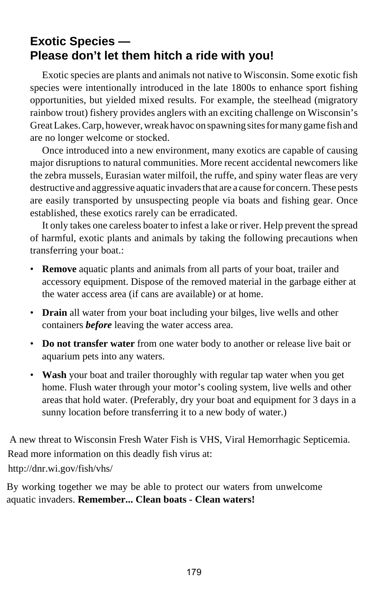## **Exotic Species — Please don't let them hitch a ride with you!**

Exotic species are plants and animals not native to Wisconsin. Some exotic fish species were intentionally introduced in the late 1800s to enhance sport fishing opportunities, but yielded mixed results. For example, the steelhead (migratory rainbow trout) fishery provides anglers with an exciting challenge on Wisconsin's Great Lakes. Carp, however, wreak havoc on spawning sites for many game fish and are no longer welcome or stocked.

Once introduced into a new environment, many exotics are capable of causing major disruptions to natural communities. More recent accidental newcomers like the zebra mussels, Eurasian water milfoil, the ruffe, and spiny water fleas are very destructive and aggressive aquatic invaders that are a cause for concern. These pests are easily transported by unsuspecting people via boats and fishing gear. Once established, these exotics rarely can be erradicated.

It only takes one careless boater to infest a lake or river. Help prevent the spread of harmful, exotic plants and animals by taking the following precautions when transferring your boat.:

- **Remove** aquatic plants and animals from all parts of your boat, trailer and accessory equipment. Dispose of the removed material in the garbage either at the water access area (if cans are available) or at home.
- **Drain** all water from your boat including your bilges, live wells and other containers *before* leaving the water access area.
- **Do not transfer water** from one water body to another or release live bait or aquarium pets into any waters.
- **Wash** your boat and trailer thoroughly with regular tap water when you get home. Flush water through your motor's cooling system, live wells and other areas that hold water. (Preferably, dry your boat and equipment for 3 days in a sunny location before transferring it to a new body of water.)

 A new threat to Wisconsin Fresh Water Fish is VHS, Viral Hemorrhagic Septicemia. Read more information on this deadly fish virus at: http://dnr.wi.gov/fish/vhs/

 By working together we may be able to protect our waters from unwelcome a aquatic invaders. **Remember... Clean boats - Clean waters!**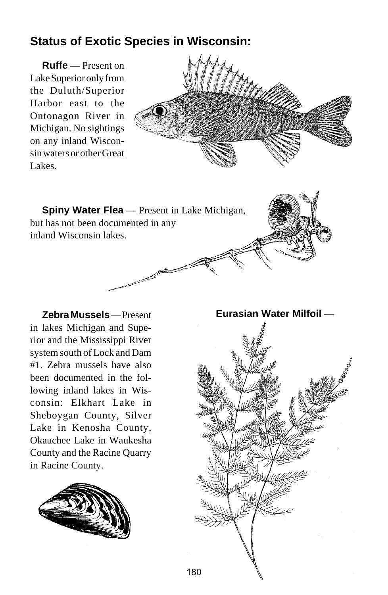## **Status of Exotic Species in Wisconsin:**

**Ruffe** — Present on Lake Superior only from the Duluth/Superior Harbor east to the Ontonagon River in Michigan. No sightings on any inland Wisconsin waters or other Great Lakes.



**Spiny Water Flea** — Present in Lake Michigan, but has not been documented in any inland Wisconsin lakes.

**Zebra Mussels** — Present in lakes Michigan and Superior and the Mississippi River system south of Lock and Dam #1. Zebra mussels have also been documented in the following inland lakes in Wisconsin: Elkhart Lake in Sheboygan County, Silver Lake in Kenosha County, Okauchee Lake in Waukesha County and the Racine Quarry in Racine County.